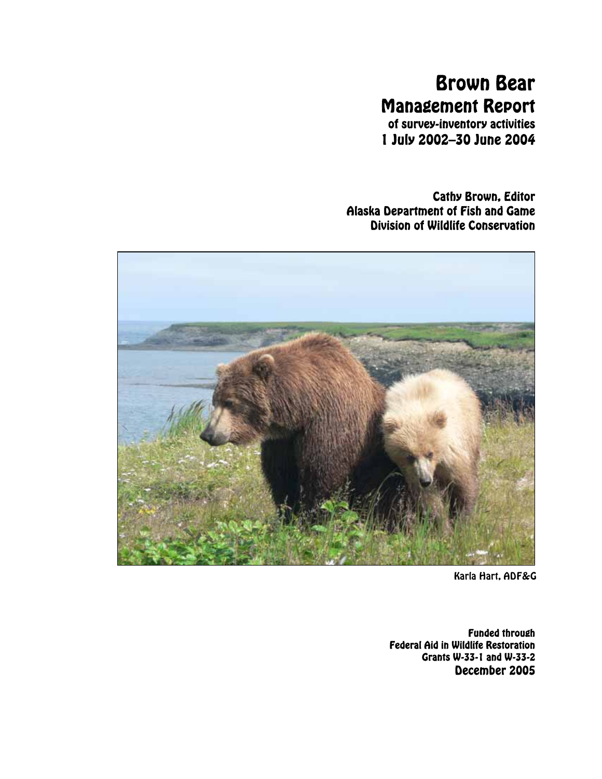# Brown Bear Management Report

of survey-inventory activities 1 July 2002–30 June 2004

Cathy Brown, Editor Alaska Department of Fish and Game Division of Wildlife Conservation



Karla Hart, ADF&G

Funded through Federal Aid in Wildlife Restoration Grants W-33-1 and W-33-2 December 2005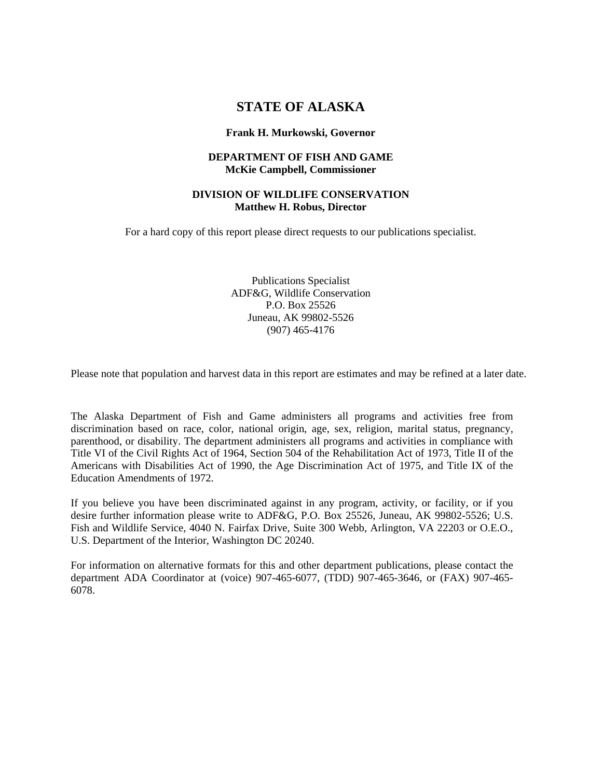# **STATE OF ALASKA**

#### **Frank H. Murkowski, Governor**

#### **DEPARTMENT OF FISH AND GAME McKie Campbell, Commissioner**

#### **DIVISION OF WILDLIFE CONSERVATION Matthew H. Robus, Director**

For a hard copy of this report please direct requests to our publications specialist.

Publications Specialist ADF&G, Wildlife Conservation P.O. Box 25526 Juneau, AK 99802-5526 (907) 465-4176

Please note that population and harvest data in this report are estimates and may be refined at a later date.

The Alaska Department of Fish and Game administers all programs and activities free from discrimination based on race, color, national origin, age, sex, religion, marital status, pregnancy, parenthood, or disability. The department administers all programs and activities in compliance with Title VI of the Civil Rights Act of 1964, Section 504 of the Rehabilitation Act of 1973, Title II of the Americans with Disabilities Act of 1990, the Age Discrimination Act of 1975, and Title IX of the Education Amendments of 1972.

If you believe you have been discriminated against in any program, activity, or facility, or if you desire further information please write to ADF&G, P.O. Box 25526, Juneau, AK 99802-5526; U.S. Fish and Wildlife Service, 4040 N. Fairfax Drive, Suite 300 Webb, Arlington, VA 22203 or O.E.O., U.S. Department of the Interior, Washington DC 20240.

For information on alternative formats for this and other department publications, please contact the department ADA Coordinator at (voice) 907-465-6077, (TDD) 907-465-3646, or (FAX) 907-465- 6078.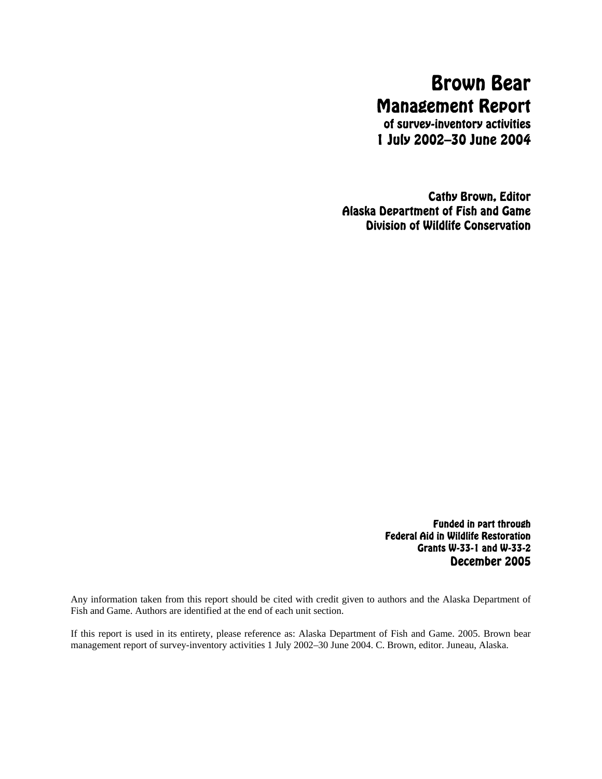# Brown Bear Management Report

of survey-inventory activities 1 July 2002–30 June 2004

Cathy Brown, Editor Alaska Department of Fish and Game Division of Wildlife Conservation

> Funded in part through Federal Aid in Wildlife Restoration Grants W-33-1 and W-33-2 December 2005

Any information taken from this report should be cited with credit given to authors and the Alaska Department of Fish and Game. Authors are identified at the end of each unit section.

If this report is used in its entirety, please reference as: Alaska Department of Fish and Game. 2005. Brown bear management report of survey-inventory activities 1 July 2002–30 June 2004. C. Brown, editor. Juneau, Alaska.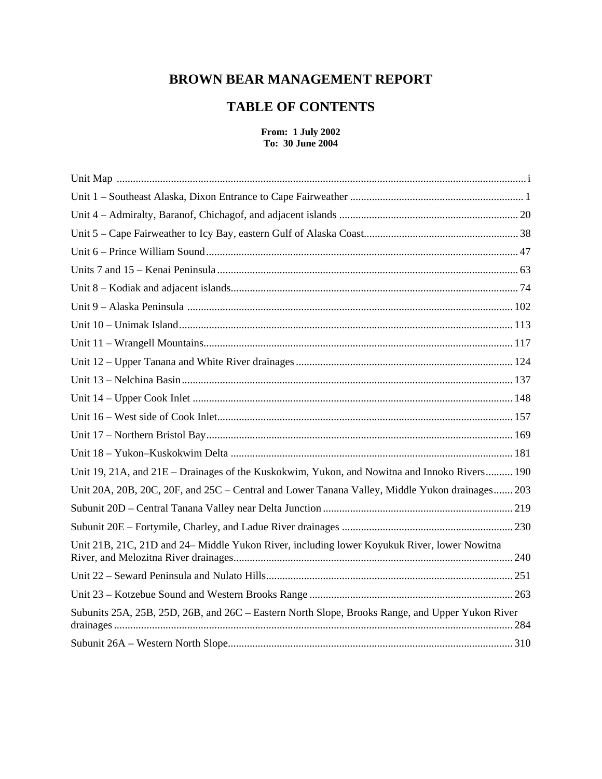# **BROWN BEAR MANAGEMENT REPORT**

# **TABLE OF CONTENTS**

#### **From: 1 July 2002 To: 30 June 2004**

| Unit 19, 21A, and 21E – Drainages of the Kuskokwim, Yukon, and Nowitna and Innoko Rivers 190    |
|-------------------------------------------------------------------------------------------------|
| Unit 20A, 20B, 20C, 20F, and 25C - Central and Lower Tanana Valley, Middle Yukon drainages 203  |
|                                                                                                 |
|                                                                                                 |
| Unit 21B, 21C, 21D and 24– Middle Yukon River, including lower Koyukuk River, lower Nowitna     |
|                                                                                                 |
|                                                                                                 |
| Subunits 25A, 25B, 25D, 26B, and 26C - Eastern North Slope, Brooks Range, and Upper Yukon River |
|                                                                                                 |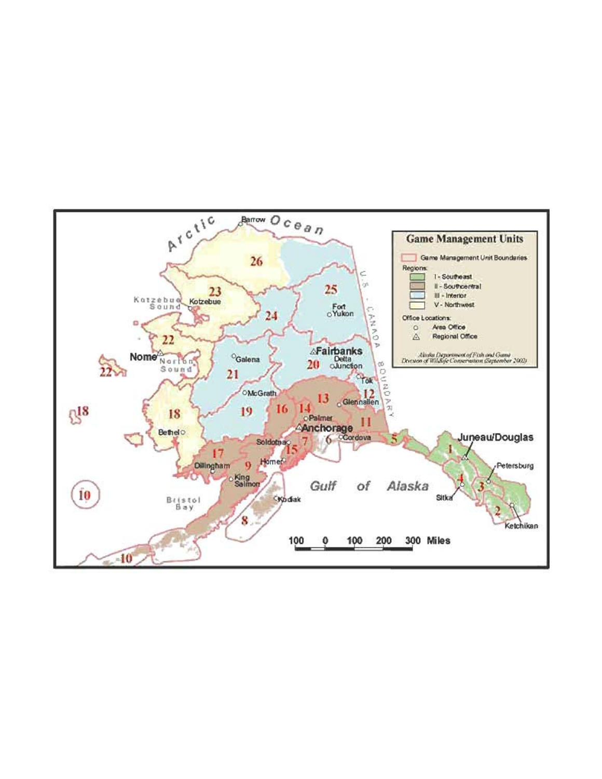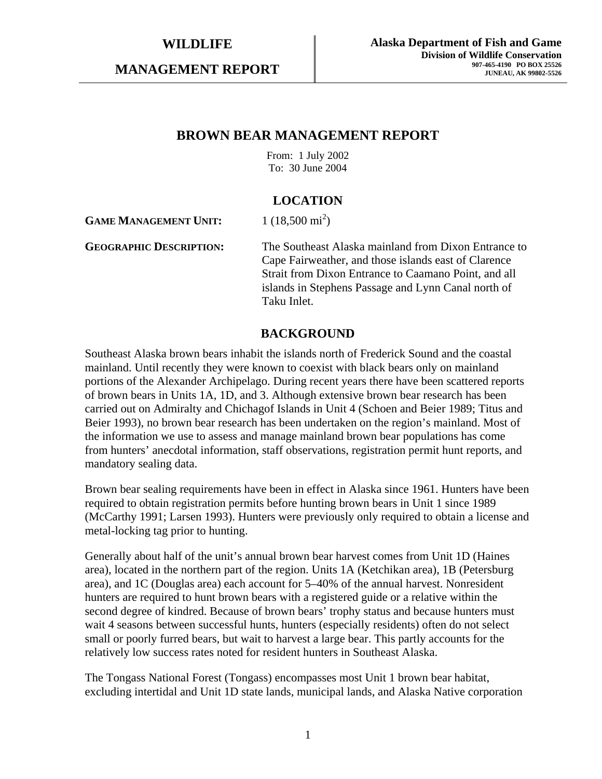**MANAGEMENT REPORT** 

# **BROWN BEAR MANAGEMENT REPORT**

From: 1 July 2002 To: 30 June 2004

# **LOCATION**

**GAME MANAGEMENT UNIT:**  $1(18,500 \text{ mi}^2)$ 

**GEOGRAPHIC DESCRIPTION:** The Southeast Alaska mainland from Dixon Entrance to Cape Fairweather, and those islands east of Clarence Strait from Dixon Entrance to Caamano Point, and all islands in Stephens Passage and Lynn Canal north of Taku Inlet.

# **BACKGROUND**

Southeast Alaska brown bears inhabit the islands north of Frederick Sound and the coastal mainland. Until recently they were known to coexist with black bears only on mainland portions of the Alexander Archipelago. During recent years there have been scattered reports of brown bears in Units 1A, 1D, and 3. Although extensive brown bear research has been carried out on Admiralty and Chichagof Islands in Unit 4 (Schoen and Beier 1989; Titus and Beier 1993), no brown bear research has been undertaken on the region's mainland. Most of the information we use to assess and manage mainland brown bear populations has come from hunters' anecdotal information, staff observations, registration permit hunt reports, and mandatory sealing data.

Brown bear sealing requirements have been in effect in Alaska since 1961. Hunters have been required to obtain registration permits before hunting brown bears in Unit 1 since 1989 (McCarthy 1991; Larsen 1993). Hunters were previously only required to obtain a license and metal-locking tag prior to hunting.

Generally about half of the unit's annual brown bear harvest comes from Unit 1D (Haines area), located in the northern part of the region. Units 1A (Ketchikan area), 1B (Petersburg area), and 1C (Douglas area) each account for 5–40% of the annual harvest. Nonresident hunters are required to hunt brown bears with a registered guide or a relative within the second degree of kindred. Because of brown bears' trophy status and because hunters must wait 4 seasons between successful hunts, hunters (especially residents) often do not select small or poorly furred bears, but wait to harvest a large bear. This partly accounts for the relatively low success rates noted for resident hunters in Southeast Alaska.

The Tongass National Forest (Tongass) encompasses most Unit 1 brown bear habitat, excluding intertidal and Unit 1D state lands, municipal lands, and Alaska Native corporation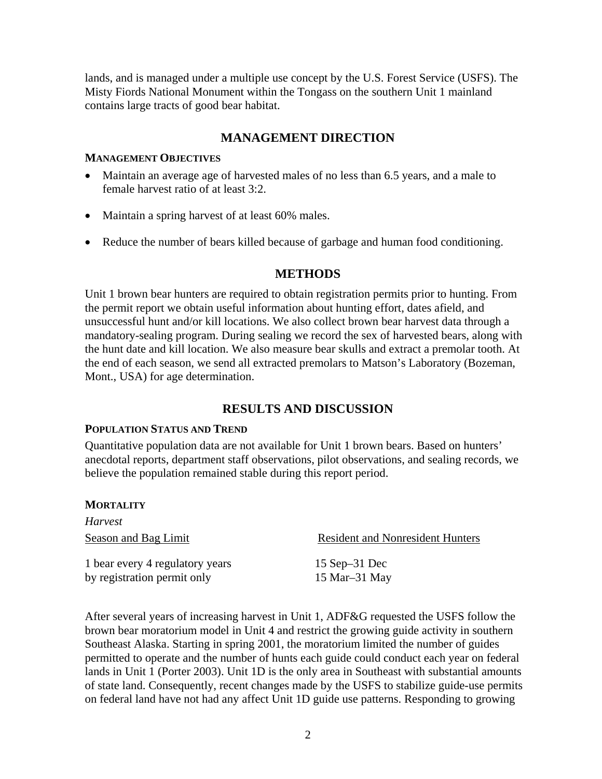lands, and is managed under a multiple use concept by the U.S. Forest Service (USFS). The Misty Fiords National Monument within the Tongass on the southern Unit 1 mainland contains large tracts of good bear habitat.

# **MANAGEMENT DIRECTION**

### **MANAGEMENT OBJECTIVES**

- Maintain an average age of harvested males of no less than 6.5 years, and a male to female harvest ratio of at least 3:2.
- Maintain a spring harvest of at least 60% males.
- Reduce the number of bears killed because of garbage and human food conditioning.

# **METHODS**

Unit 1 brown bear hunters are required to obtain registration permits prior to hunting. From the permit report we obtain useful information about hunting effort, dates afield, and unsuccessful hunt and/or kill locations. We also collect brown bear harvest data through a mandatory-sealing program. During sealing we record the sex of harvested bears, along with the hunt date and kill location. We also measure bear skulls and extract a premolar tooth. At the end of each season, we send all extracted premolars to Matson's Laboratory (Bozeman, Mont., USA) for age determination.

# **RESULTS AND DISCUSSION**

### **POPULATION STATUS AND TREND**

Quantitative population data are not available for Unit 1 brown bears. Based on hunters' anecdotal reports, department staff observations, pilot observations, and sealing records, we believe the population remained stable during this report period.

### **MORTALITY**

*Harvest*  Season and Bag Limit Resident and Nonresident Hunters 1 bear every 4 regulatory years 15 Sep–31 Dec by registration permit only 15 Mar–31 May

After several years of increasing harvest in Unit 1, ADF&G requested the USFS follow the brown bear moratorium model in Unit 4 and restrict the growing guide activity in southern Southeast Alaska. Starting in spring 2001, the moratorium limited the number of guides permitted to operate and the number of hunts each guide could conduct each year on federal lands in Unit 1 (Porter 2003). Unit 1D is the only area in Southeast with substantial amounts of state land. Consequently, recent changes made by the USFS to stabilize guide-use permits on federal land have not had any affect Unit 1D guide use patterns. Responding to growing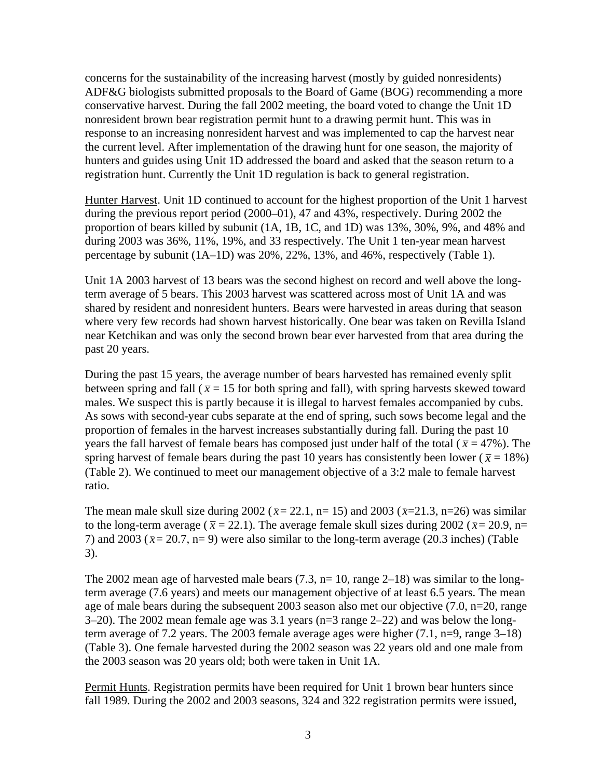concerns for the sustainability of the increasing harvest (mostly by guided nonresidents) ADF&G biologists submitted proposals to the Board of Game (BOG) recommending a more conservative harvest. During the fall 2002 meeting, the board voted to change the Unit 1D nonresident brown bear registration permit hunt to a drawing permit hunt. This was in response to an increasing nonresident harvest and was implemented to cap the harvest near the current level. After implementation of the drawing hunt for one season, the majority of hunters and guides using Unit 1D addressed the board and asked that the season return to a registration hunt. Currently the Unit 1D regulation is back to general registration.

Hunter Harvest. Unit 1D continued to account for the highest proportion of the Unit 1 harvest during the previous report period (2000–01), 47 and 43%, respectively. During 2002 the proportion of bears killed by subunit (1A, 1B, 1C, and 1D) was 13%, 30%, 9%, and 48% and during 2003 was 36%, 11%, 19%, and 33 respectively. The Unit 1 ten-year mean harvest percentage by subunit (1A–1D) was 20%, 22%, 13%, and 46%, respectively (Table 1).

Unit 1A 2003 harvest of 13 bears was the second highest on record and well above the longterm average of 5 bears. This 2003 harvest was scattered across most of Unit 1A and was shared by resident and nonresident hunters. Bears were harvested in areas during that season where very few records had shown harvest historically. One bear was taken on Revilla Island near Ketchikan and was only the second brown bear ever harvested from that area during the past 20 years.

During the past 15 years, the average number of bears harvested has remained evenly split between spring and fall ( $\bar{x}$  = 15 for both spring and fall), with spring harvests skewed toward males. We suspect this is partly because it is illegal to harvest females accompanied by cubs. As sows with second-year cubs separate at the end of spring, such sows become legal and the proportion of females in the harvest increases substantially during fall. During the past 10 years the fall harvest of female bears has composed just under half of the total ( $\bar{x}$  = 47%). The spring harvest of female bears during the past 10 years has consistently been lower ( $\bar{x}$  = 18%) (Table 2). We continued to meet our management objective of a 3:2 male to female harvest ratio.

The mean male skull size during 2002 ( $\bar{x}$  = 22.1, n = 15) and 2003 ( $\bar{x}$  = 21.3, n = 26) was similar to the long-term average ( $\bar{x} = 22.1$ ). The average female skull sizes during 2002 ( $\bar{x} = 20.9$ , n= 7) and 2003 ( $\bar{x}$  = 20.7, n = 9) were also similar to the long-term average (20.3 inches) (Table 3).

The 2002 mean age of harvested male bears  $(7.3, n=10,$  range  $2-18)$  was similar to the longterm average (7.6 years) and meets our management objective of at least 6.5 years. The mean age of male bears during the subsequent 2003 season also met our objective (7.0, n=20, range 3–20). The 2002 mean female age was 3.1 years (n=3 range 2–22) and was below the longterm average of 7.2 years. The 2003 female average ages were higher (7.1, n=9, range 3–18) (Table 3). One female harvested during the 2002 season was 22 years old and one male from the 2003 season was 20 years old; both were taken in Unit 1A.

Permit Hunts. Registration permits have been required for Unit 1 brown bear hunters since fall 1989. During the 2002 and 2003 seasons, 324 and 322 registration permits were issued,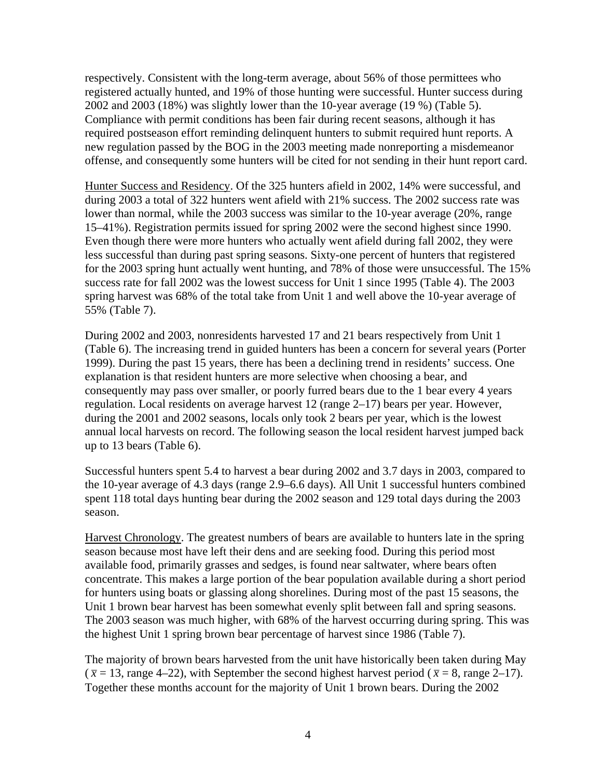respectively. Consistent with the long-term average, about 56% of those permittees who registered actually hunted, and 19% of those hunting were successful. Hunter success during 2002 and 2003 (18%) was slightly lower than the 10-year average (19 %) (Table 5). Compliance with permit conditions has been fair during recent seasons, although it has required postseason effort reminding delinquent hunters to submit required hunt reports. A new regulation passed by the BOG in the 2003 meeting made nonreporting a misdemeanor offense, and consequently some hunters will be cited for not sending in their hunt report card.

Hunter Success and Residency. Of the 325 hunters afield in 2002, 14% were successful, and during 2003 a total of 322 hunters went afield with 21% success. The 2002 success rate was lower than normal, while the 2003 success was similar to the 10-year average (20%, range 15–41%). Registration permits issued for spring 2002 were the second highest since 1990. Even though there were more hunters who actually went afield during fall 2002, they were less successful than during past spring seasons. Sixty-one percent of hunters that registered for the 2003 spring hunt actually went hunting, and 78% of those were unsuccessful. The 15% success rate for fall 2002 was the lowest success for Unit 1 since 1995 (Table 4). The 2003 spring harvest was 68% of the total take from Unit 1 and well above the 10-year average of 55% (Table 7).

During 2002 and 2003, nonresidents harvested 17 and 21 bears respectively from Unit 1 (Table 6). The increasing trend in guided hunters has been a concern for several years (Porter 1999). During the past 15 years, there has been a declining trend in residents' success. One explanation is that resident hunters are more selective when choosing a bear, and consequently may pass over smaller, or poorly furred bears due to the 1 bear every 4 years regulation. Local residents on average harvest 12 (range 2–17) bears per year. However, during the 2001 and 2002 seasons, locals only took 2 bears per year, which is the lowest annual local harvests on record. The following season the local resident harvest jumped back up to 13 bears (Table 6).

Successful hunters spent 5.4 to harvest a bear during 2002 and 3.7 days in 2003, compared to the 10-year average of 4.3 days (range 2.9–6.6 days). All Unit 1 successful hunters combined spent 118 total days hunting bear during the 2002 season and 129 total days during the 2003 season.

Harvest Chronology. The greatest numbers of bears are available to hunters late in the spring season because most have left their dens and are seeking food. During this period most available food, primarily grasses and sedges, is found near saltwater, where bears often concentrate. This makes a large portion of the bear population available during a short period for hunters using boats or glassing along shorelines. During most of the past 15 seasons, the Unit 1 brown bear harvest has been somewhat evenly split between fall and spring seasons. The 2003 season was much higher, with 68% of the harvest occurring during spring. This was the highest Unit 1 spring brown bear percentage of harvest since 1986 (Table 7).

The majority of brown bears harvested from the unit have historically been taken during May  $(\bar{x} = 13, \text{range } 4-22)$ , with September the second highest harvest period ( $\bar{x} = 8$ , range 2–17). Together these months account for the majority of Unit 1 brown bears. During the 2002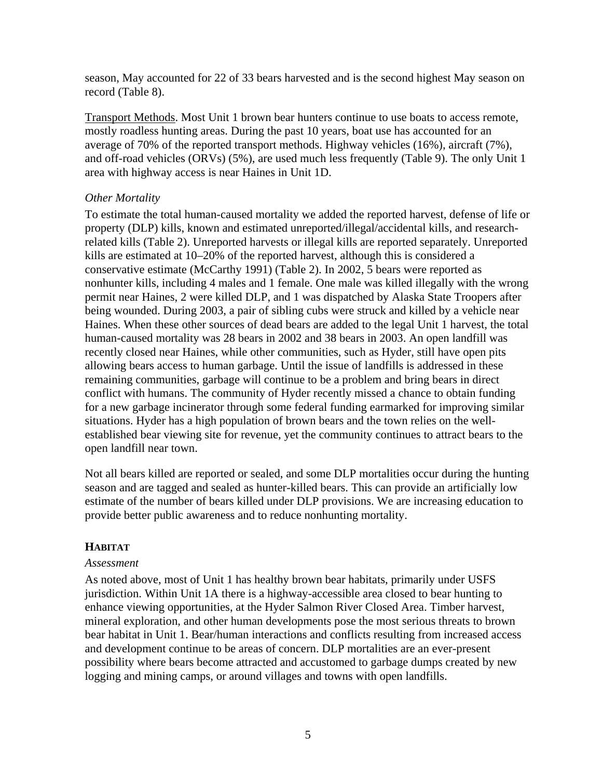season, May accounted for 22 of 33 bears harvested and is the second highest May season on record (Table 8).

Transport Methods. Most Unit 1 brown bear hunters continue to use boats to access remote, mostly roadless hunting areas. During the past 10 years, boat use has accounted for an average of 70% of the reported transport methods. Highway vehicles (16%), aircraft (7%), and off-road vehicles (ORVs) (5%), are used much less frequently (Table 9). The only Unit 1 area with highway access is near Haines in Unit 1D.

# *Other Mortality*

To estimate the total human-caused mortality we added the reported harvest, defense of life or property (DLP) kills, known and estimated unreported/illegal/accidental kills, and researchrelated kills (Table 2). Unreported harvests or illegal kills are reported separately. Unreported kills are estimated at 10–20% of the reported harvest, although this is considered a conservative estimate (McCarthy 1991) (Table 2). In 2002, 5 bears were reported as nonhunter kills, including 4 males and 1 female. One male was killed illegally with the wrong permit near Haines, 2 were killed DLP, and 1 was dispatched by Alaska State Troopers after being wounded. During 2003, a pair of sibling cubs were struck and killed by a vehicle near Haines. When these other sources of dead bears are added to the legal Unit 1 harvest, the total human-caused mortality was 28 bears in 2002 and 38 bears in 2003. An open landfill was recently closed near Haines, while other communities, such as Hyder, still have open pits allowing bears access to human garbage. Until the issue of landfills is addressed in these remaining communities, garbage will continue to be a problem and bring bears in direct conflict with humans. The community of Hyder recently missed a chance to obtain funding for a new garbage incinerator through some federal funding earmarked for improving similar situations. Hyder has a high population of brown bears and the town relies on the wellestablished bear viewing site for revenue, yet the community continues to attract bears to the open landfill near town.

Not all bears killed are reported or sealed, and some DLP mortalities occur during the hunting season and are tagged and sealed as hunter-killed bears. This can provide an artificially low estimate of the number of bears killed under DLP provisions. We are increasing education to provide better public awareness and to reduce nonhunting mortality.

# **HABITAT**

## *Assessment*

As noted above, most of Unit 1 has healthy brown bear habitats, primarily under USFS jurisdiction. Within Unit 1A there is a highway-accessible area closed to bear hunting to enhance viewing opportunities, at the Hyder Salmon River Closed Area. Timber harvest, mineral exploration, and other human developments pose the most serious threats to brown bear habitat in Unit 1. Bear/human interactions and conflicts resulting from increased access and development continue to be areas of concern. DLP mortalities are an ever-present possibility where bears become attracted and accustomed to garbage dumps created by new logging and mining camps, or around villages and towns with open landfills.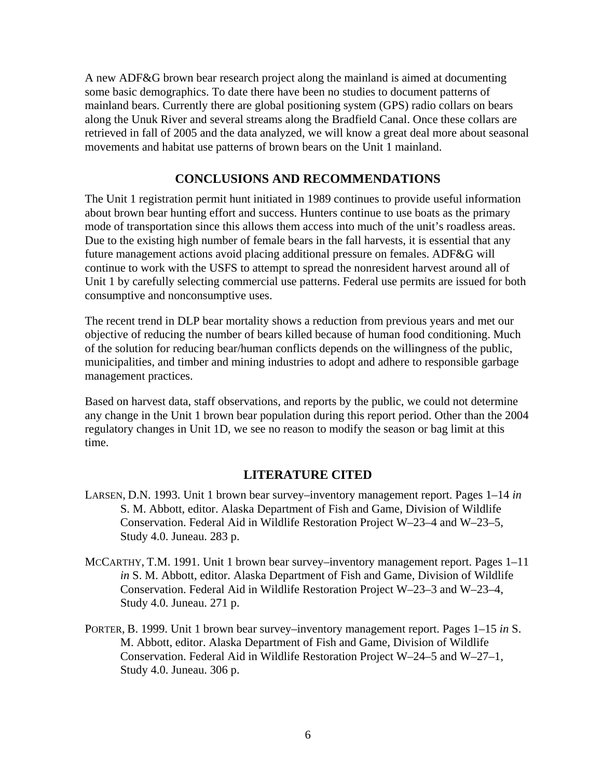A new ADF&G brown bear research project along the mainland is aimed at documenting some basic demographics. To date there have been no studies to document patterns of mainland bears. Currently there are global positioning system (GPS) radio collars on bears along the Unuk River and several streams along the Bradfield Canal. Once these collars are retrieved in fall of 2005 and the data analyzed, we will know a great deal more about seasonal movements and habitat use patterns of brown bears on the Unit 1 mainland.

# **CONCLUSIONS AND RECOMMENDATIONS**

The Unit 1 registration permit hunt initiated in 1989 continues to provide useful information about brown bear hunting effort and success. Hunters continue to use boats as the primary mode of transportation since this allows them access into much of the unit's roadless areas. Due to the existing high number of female bears in the fall harvests, it is essential that any future management actions avoid placing additional pressure on females. ADF&G will continue to work with the USFS to attempt to spread the nonresident harvest around all of Unit 1 by carefully selecting commercial use patterns. Federal use permits are issued for both consumptive and nonconsumptive uses.

The recent trend in DLP bear mortality shows a reduction from previous years and met our objective of reducing the number of bears killed because of human food conditioning. Much of the solution for reducing bear/human conflicts depends on the willingness of the public, municipalities, and timber and mining industries to adopt and adhere to responsible garbage management practices.

Based on harvest data, staff observations, and reports by the public, we could not determine any change in the Unit 1 brown bear population during this report period. Other than the 2004 regulatory changes in Unit 1D, we see no reason to modify the season or bag limit at this time.

# **LITERATURE CITED**

- LARSEN, D.N. 1993. Unit 1 brown bear survey–inventory management report. Pages 1–14 *in* S. M. Abbott, editor. Alaska Department of Fish and Game, Division of Wildlife Conservation. Federal Aid in Wildlife Restoration Project W–23–4 and W–23–5, Study 4.0. Juneau. 283 p.
- MCCARTHY, T.M. 1991. Unit 1 brown bear survey–inventory management report. Pages 1–11 *in* S. M. Abbott, editor. Alaska Department of Fish and Game, Division of Wildlife Conservation. Federal Aid in Wildlife Restoration Project W–23–3 and W–23–4, Study 4.0. Juneau. 271 p.
- PORTER, B. 1999. Unit 1 brown bear survey–inventory management report. Pages 1–15 *in* S. M. Abbott, editor. Alaska Department of Fish and Game, Division of Wildlife Conservation. Federal Aid in Wildlife Restoration Project W–24–5 and W–27–1, Study 4.0. Juneau. 306 p.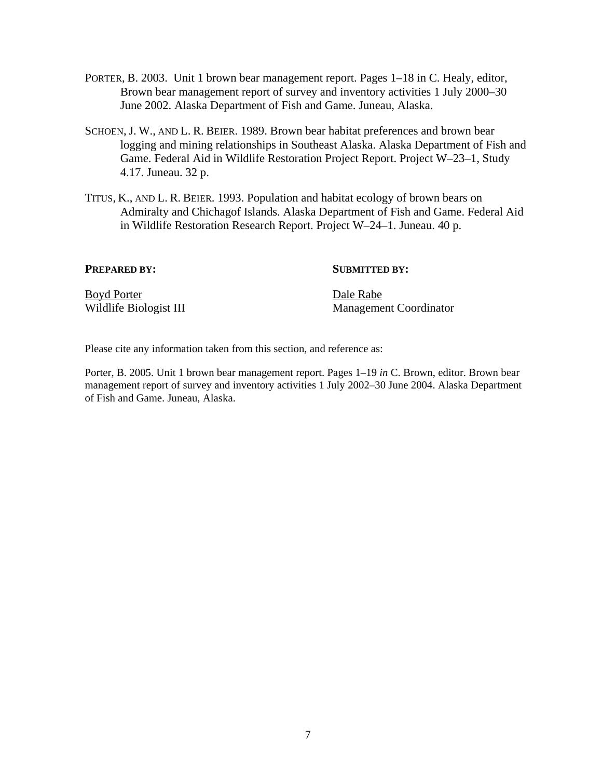- PORTER, B. 2003. Unit 1 brown bear management report. Pages 1–18 in C. Healy, editor, Brown bear management report of survey and inventory activities 1 July 2000–30 June 2002. Alaska Department of Fish and Game. Juneau, Alaska.
- SCHOEN, J. W., AND L. R. BEIER. 1989. Brown bear habitat preferences and brown bear logging and mining relationships in Southeast Alaska. Alaska Department of Fish and Game. Federal Aid in Wildlife Restoration Project Report. Project W–23–1, Study 4.17. Juneau. 32 p.
- TITUS, K., AND L. R. BEIER. 1993. Population and habitat ecology of brown bears on Admiralty and Chichagof Islands. Alaska Department of Fish and Game. Federal Aid in Wildlife Restoration Research Report. Project W–24–1. Juneau. 40 p.

#### **PREPARED BY:** SUBMITTED BY:

Boyd Porter Dale Rabe

Wildlife Biologist III Management Coordinator

Please cite any information taken from this section, and reference as:

Porter, B. 2005. Unit 1 brown bear management report. Pages 1–19 *in* C. Brown, editor. Brown bear management report of survey and inventory activities 1 July 2002–30 June 2004. Alaska Department of Fish and Game. Juneau, Alaska.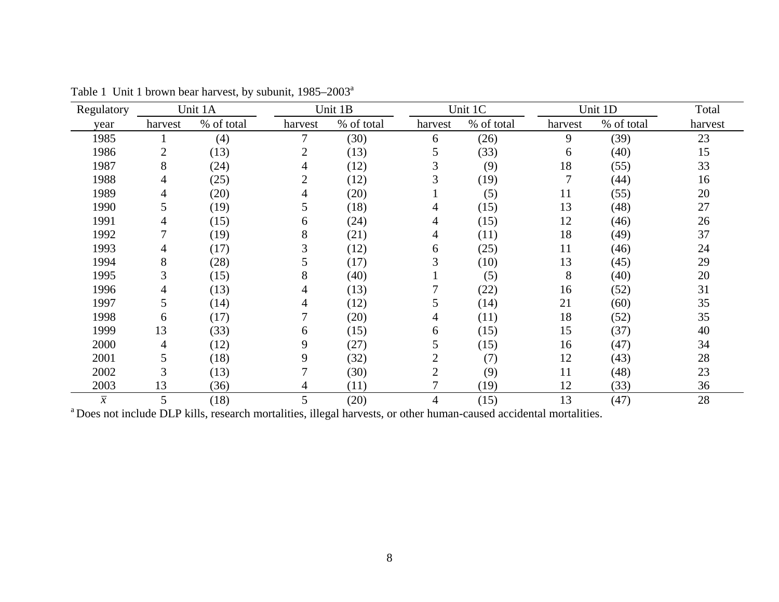| Regulatory     |                | Unit 1A    |                | Unit 1B    |                | Unit 1C    |         | Unit 1D    | Total   |
|----------------|----------------|------------|----------------|------------|----------------|------------|---------|------------|---------|
| year           | harvest        | % of total | harvest        | % of total | harvest        | % of total | harvest | % of total | harvest |
| 1985           |                | (4)        | 7              | (30)       | 6              | (26)       | 9       | (39)       | 23      |
| 1986           | $\overline{2}$ | (13)       | $\overline{2}$ | (13)       | 5              | (33)       | 6       | (40)       | 15      |
| 1987           | 8              | (24)       | 4              | (12)       | 3              | (9)        | 18      | (55)       | 33      |
| 1988           | 4              | (25)       | $\overline{2}$ | (12)       | 3              | (19)       |         | (44)       | 16      |
| 1989           | 4              | (20)       | 4              | (20)       |                | (5)        | 11      | (55)       | 20      |
| 1990           | 5              | (19)       | 5              | (18)       | 4              | (15)       | 13      | (48)       | 27      |
| 1991           | 4              | (15)       | 6              | (24)       | 4              | (15)       | 12      | (46)       | 26      |
| 1992           | 7              | (19)       | 8              | (21)       | 4              | (11)       | 18      | (49)       | 37      |
| 1993           | 4              | (17)       | 3              | (12)       | 6              | (25)       | 11      | (46)       | 24      |
| 1994           | 8              | (28)       | 5              | (17)       | 3              | (10)       | 13      | (45)       | 29      |
| 1995           | 3              | (15)       | 8              | (40)       |                | (5)        | 8       | (40)       | 20      |
| 1996           | 4              | (13)       | 4              | (13)       | 7              | (22)       | 16      | (52)       | 31      |
| 1997           | 5              | (14)       | 4              | (12)       | 5              | (14)       | 21      | (60)       | 35      |
| 1998           | 6              | (17)       |                | (20)       | 4              | (11)       | 18      | (52)       | 35      |
| 1999           | 13             | (33)       | 6              | (15)       | 6              | (15)       | 15      | (37)       | 40      |
| 2000           | 4              | (12)       | 9              | (27)       | 5              | (15)       | 16      | (47)       | 34      |
| 2001           | 5              | (18)       | 9              | (32)       | $\overline{2}$ | (7)        | 12      | (43)       | 28      |
| 2002           | 3              | (13)       | 7              | (30)       | $\overline{2}$ | (9)        | 11      | (48)       | 23      |
| 2003           | 13             | (36)       | 4              | (11)       | 7              | (19)       | 12      | (33)       | 36      |
| $\overline{x}$ | 5              | (18)       | 5              | (20)       | $\overline{4}$ | (15)       | 13      | (47)       | 28      |

Table 1 Unit 1 brown bear harvest, by subunit, 1985–2003<sup>a</sup>

<sup>a</sup> Does not include DLP kills, research mortalities, illegal harvests, or other human-caused accidental mortalities.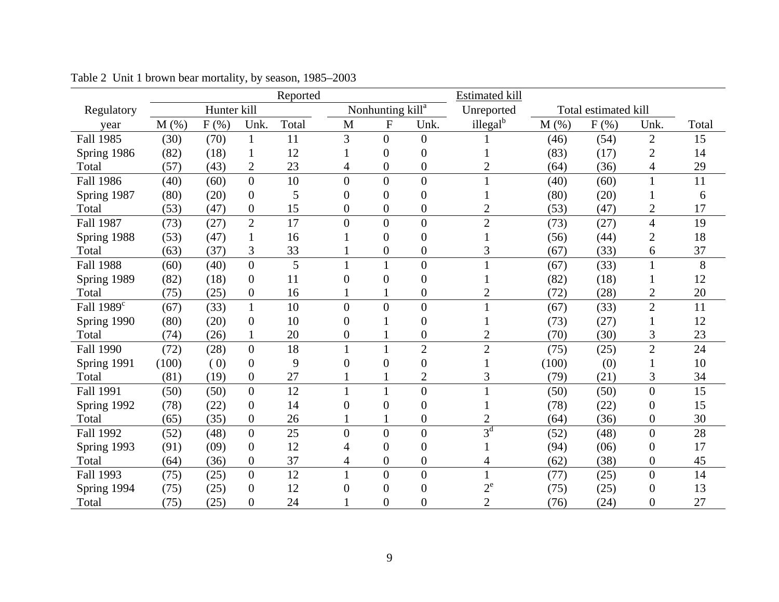|                        |       |             |                  | Reported |                |                              |                  | <b>Estimated kill</b> |         |                      |                  |       |
|------------------------|-------|-------------|------------------|----------|----------------|------------------------------|------------------|-----------------------|---------|----------------------|------------------|-------|
| Regulatory             |       | Hunter kill |                  |          |                | Nonhunting kill <sup>a</sup> |                  | Unreported            |         | Total estimated kill |                  |       |
| year                   | M(%)  | $F(\%)$     | Unk.             | Total    | M              | $\mathbf{F}$                 | Unk.             | illegal <sup>b</sup>  | $M(\%)$ | $F(\%)$              | Unk.             | Total |
| <b>Fall 1985</b>       | (30)  | (70)        | $\mathbf{1}$     | 11       | 3              | $\overline{0}$               | $\boldsymbol{0}$ |                       | (46)    | (54)                 | $\overline{2}$   | 15    |
| Spring 1986            | (82)  | (18)        | 1                | 12       |                | $\boldsymbol{0}$             | $\boldsymbol{0}$ |                       | (83)    | (17)                 | 2                | 14    |
| Total                  | (57)  | (43)        | $\overline{2}$   | 23       | 4              | $\boldsymbol{0}$             | $\boldsymbol{0}$ | $\overline{c}$        | (64)    | (36)                 | 4                | 29    |
| <b>Fall 1986</b>       | (40)  | (60)        | $\overline{0}$   | 10       | $\overline{0}$ | $\overline{0}$               | $\overline{0}$   | 1                     | (40)    | (60)                 | $\mathbf{1}$     | 11    |
| Spring 1987            | (80)  | (20)        | $\overline{0}$   | 5        | $\overline{0}$ | $\overline{0}$               | $\overline{0}$   |                       | (80)    | (20)                 |                  | 6     |
| Total                  | (53)  | (47)        | $\boldsymbol{0}$ | 15       | $\overline{0}$ | $\boldsymbol{0}$             | $\boldsymbol{0}$ | $\overline{2}$        | (53)    | (47)                 | 2                | 17    |
| <b>Fall 1987</b>       | (73)  | (27)        | $\overline{2}$   | 17       | $\overline{0}$ | $\overline{0}$               | $\boldsymbol{0}$ | $\overline{2}$        | (73)    | (27)                 | 4                | 19    |
| Spring 1988            | (53)  | (47)        | $\mathbf{1}$     | 16       |                | $\overline{0}$               | $\overline{0}$   |                       | (56)    | (44)                 | $\overline{2}$   | 18    |
| Total                  | (63)  | (37)        | 3                | 33       |                | $\overline{0}$               | $\boldsymbol{0}$ | 3                     | (67)    | (33)                 | 6                | 37    |
| <b>Fall 1988</b>       | (60)  | (40)        | $\overline{0}$   | 5        | $\mathbf{1}$   | $\mathbf{1}$                 | $\overline{0}$   |                       | (67)    | (33)                 | $\mathbf{1}$     | 8     |
| Spring 1989            | (82)  | (18)        | $\theta$         | 11       | $\overline{0}$ | $\overline{0}$               | $\mathbf{0}$     |                       | (82)    | (18)                 | 1                | 12    |
| Total                  | (75)  | (25)        | $\boldsymbol{0}$ | 16       |                |                              | $\boldsymbol{0}$ | $\overline{c}$        | (72)    | (28)                 | 2                | 20    |
| Fall 1989 <sup>c</sup> | (67)  | (33)        | $\mathbf{1}$     | 10       | $\theta$       | $\overline{0}$               | $\overline{0}$   |                       | (67)    | (33)                 | $\overline{2}$   | 11    |
| Spring 1990            | (80)  | (20)        | $\theta$         | 10       | $\overline{0}$ |                              | $\overline{0}$   |                       | (73)    | (27)                 |                  | 12    |
| Total                  | (74)  | (26)        | 1                | 20       | $\overline{0}$ |                              | $\boldsymbol{0}$ | $\overline{2}$        | (70)    | (30)                 | 3                | 23    |
| <b>Fall 1990</b>       | (72)  | (28)        | $\overline{0}$   | 18       | $\mathbf{1}$   |                              | $\overline{2}$   | $\overline{2}$        | (75)    | (25)                 | $\overline{2}$   | 24    |
| Spring 1991            | (100) | (0)         | $\boldsymbol{0}$ | 9        | $\overline{0}$ | $\overline{0}$               | $\boldsymbol{0}$ |                       | (100)   | (0)                  |                  | 10    |
| Total                  | (81)  | (19)        | $\boldsymbol{0}$ | 27       |                |                              | $\mathbf{2}$     | 3                     | (79)    | (21)                 | 3                | 34    |
| Fall 1991              | (50)  | (50)        | $\overline{0}$   | 12       | $\mathbf{1}$   |                              | $\overline{0}$   |                       | (50)    | (50)                 | $\overline{0}$   | 15    |
| Spring 1992            | (78)  | (22)        | $\overline{0}$   | 14       | $\overline{0}$ | $\overline{0}$               | $\overline{0}$   |                       | (78)    | (22)                 | $\overline{0}$   | 15    |
| Total                  | (65)  | (35)        | $\boldsymbol{0}$ | 26       |                |                              | $\boldsymbol{0}$ | $\overline{2}$        | (64)    | (36)                 | $\boldsymbol{0}$ | 30    |
| Fall 1992              | (52)  | (48)        | $\overline{0}$   | 25       | $\overline{0}$ | $\overline{0}$               | $\overline{0}$   | $3^d$                 | (52)    | (48)                 | $\overline{0}$   | 28    |
| Spring 1993            | (91)  | (09)        | $\boldsymbol{0}$ | 12       | 4              | $\overline{0}$               | $\boldsymbol{0}$ |                       | (94)    | (06)                 | 0                | 17    |
| Total                  | (64)  | (36)        | $\overline{0}$   | 37       | 4              | $\overline{0}$               | $\boldsymbol{0}$ | 4                     | (62)    | (38)                 | $\boldsymbol{0}$ | 45    |
| Fall 1993              | (75)  | (25)        | $\overline{0}$   | 12       | $\mathbf{1}$   | $\overline{0}$               | $\overline{0}$   |                       | (77)    | (25)                 | $\boldsymbol{0}$ | 14    |
| Spring 1994            | (75)  | (25)        | $\boldsymbol{0}$ | 12       | $\overline{0}$ | $\boldsymbol{0}$             | $\boldsymbol{0}$ | $2^{\rm e}$           | (75)    | (25)                 | $\boldsymbol{0}$ | 13    |
| Total                  | (75)  | (25)        | $\overline{0}$   | 24       |                | $\overline{0}$               | $\overline{0}$   | $\overline{2}$        | (76)    | (24)                 | $\overline{0}$   | 27    |

Table 2 Unit 1 brown bear mortality, by season, 1985–2003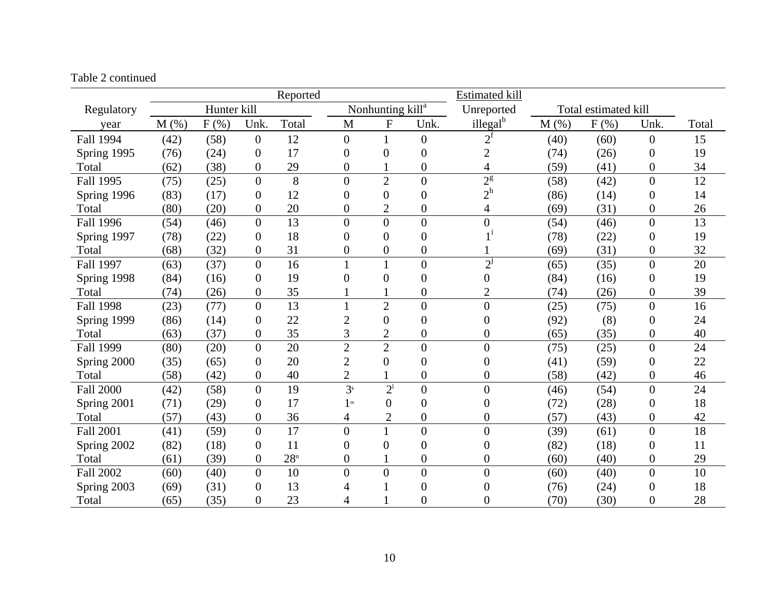#### Table 2 continued

|                  |      |             |                  | Reported        |                  |                              |                  | <b>Estimated kill</b> |         |                      |                  |                 |
|------------------|------|-------------|------------------|-----------------|------------------|------------------------------|------------------|-----------------------|---------|----------------------|------------------|-----------------|
| Regulatory       |      | Hunter kill |                  |                 |                  | Nonhunting kill <sup>a</sup> |                  | Unreported            |         | Total estimated kill |                  |                 |
| year             | M(%) | $F$ $(\%)$  | Unk.             | Total           | M                | ${\bf F}$                    | Unk.             | illegal <sup>b</sup>  | $M$ (%) | $F$ $(\%)$           | Unk.             | Total           |
| Fall 1994        | (42) | (58)        | $\overline{0}$   | 12              | $\overline{0}$   |                              | $\overline{0}$   | $2^{\rm f}$           | (40)    | (60)                 | $\boldsymbol{0}$ | 15              |
| Spring 1995      | (76) | (24)        | $\overline{0}$   | 17              | $\overline{0}$   | $\overline{0}$               | $\boldsymbol{0}$ | $\overline{2}$        | (74)    | (26)                 | $\boldsymbol{0}$ | 19              |
| Total            | (62) | (38)        | $\overline{0}$   | 29              | $\boldsymbol{0}$ |                              | $\boldsymbol{0}$ | 4                     | (59)    | (41)                 | $\boldsymbol{0}$ | 34              |
| <b>Fall 1995</b> | (75) | (25)        | $\overline{0}$   | 8               | $\overline{0}$   | $\overline{2}$               | $\overline{0}$   | $2^{\frac{g}{2}}$     | (58)    | (42)                 | $\overline{0}$   | 12              |
| Spring 1996      | (83) | (17)        | $\boldsymbol{0}$ | 12              | $\overline{0}$   | $\overline{0}$               | $\boldsymbol{0}$ | $2^h$                 | (86)    | (14)                 | $\boldsymbol{0}$ | 14              |
| Total            | (80) | (20)        | $\boldsymbol{0}$ | 20              | $\overline{0}$   | $\overline{2}$               | $\boldsymbol{0}$ | 4                     | (69)    | (31)                 | $\boldsymbol{0}$ | 26              |
| <b>Fall 1996</b> | (54) | (46)        | $\theta$         | 13              | $\overline{0}$   | $\overline{0}$               | $\overline{0}$   | $\overline{0}$        | (54)    | (46)                 | $\overline{0}$   | $\overline{13}$ |
| Spring 1997      | (78) | (22)        | $\boldsymbol{0}$ | 18              | $\overline{0}$   | $\overline{0}$               | $\boldsymbol{0}$ | $1^{\rm i}$           | (78)    | (22)                 | $\overline{0}$   | 19              |
| Total            | (68) | (32)        | $\boldsymbol{0}$ | 31              | $\boldsymbol{0}$ | $\boldsymbol{0}$             | $\boldsymbol{0}$ |                       | (69)    | (31)                 | $\boldsymbol{0}$ | 32              |
| <b>Fall 1997</b> | (63) | (37)        | $\theta$         | 16              | 1                |                              | $\overline{0}$   | $2^{j}$               | (65)    | (35)                 | $\overline{0}$   | 20              |
| Spring 1998      | (84) | (16)        | $\overline{0}$   | 19              | $\overline{0}$   | $\overline{0}$               | $\boldsymbol{0}$ | 0                     | (84)    | (16)                 | $\boldsymbol{0}$ | 19              |
| Total            | (74) | (26)        | $\boldsymbol{0}$ | 35              |                  |                              | $\boldsymbol{0}$ | $\overline{c}$        | (74)    | (26)                 | $\boldsymbol{0}$ | 39              |
| <b>Fall 1998</b> | (23) | (77)        | $\overline{0}$   | 13              |                  | $\overline{2}$               | $\overline{0}$   | $\overline{0}$        | (25)    | (75)                 | $\overline{0}$   | 16              |
| Spring 1999      | (86) | (14)        | $\theta$         | 22              | $\overline{2}$   | $\overline{0}$               | $\boldsymbol{0}$ | $\theta$              | (92)    | (8)                  | $\boldsymbol{0}$ | 24              |
| Total            | (63) | (37)        | $\overline{0}$   | 35              | 3                | $\overline{2}$               | $\overline{0}$   | $\overline{0}$        | (65)    | (35)                 | $\overline{0}$   | 40              |
| Fall 1999        | (80) | (20)        | $\overline{0}$   | 20              | $\overline{2}$   | $\overline{2}$               | $\boldsymbol{0}$ | $\boldsymbol{0}$      | (75)    | (25)                 | $\overline{0}$   | 24              |
| Spring 2000      | (35) | (65)        | $\boldsymbol{0}$ | 20              | $\overline{2}$   | $\overline{0}$               | $\boldsymbol{0}$ | $\overline{0}$        | (41)    | (59)                 | $\boldsymbol{0}$ | 22              |
| Total            | (58) | (42)        | $\overline{0}$   | 40              | $\overline{2}$   |                              | $\boldsymbol{0}$ | 0                     | (58)    | (42)                 | $\boldsymbol{0}$ | 46              |
| <b>Fall 2000</b> | (42) | (58)        | $\overline{0}$   | 19              | 3 <sup>k</sup>   | 2 <sup>1</sup>               | $\boldsymbol{0}$ | $\overline{0}$        | (46)    | (54)                 | $\boldsymbol{0}$ | 24              |
| Spring 2001      | (71) | (29)        | 0                | 17              | 1 <sup>m</sup>   | $\overline{0}$               | $\boldsymbol{0}$ | $\boldsymbol{0}$      | (72)    | (28)                 | $\boldsymbol{0}$ | 18              |
| Total            | (57) | (43)        | $\overline{0}$   | 36              | 4                | $\overline{2}$               | $\boldsymbol{0}$ | $\boldsymbol{0}$      | (57)    | (43)                 | $\boldsymbol{0}$ | 42              |
| <b>Fall 2001</b> | (41) | (59)        | $\overline{0}$   | 17              | $\overline{0}$   | $\mathbf{1}$                 | $\overline{0}$   | $\overline{0}$        | (39)    | (61)                 | $\overline{0}$   | 18              |
| Spring 2002      | (82) | (18)        | 0                | 11              | $\overline{0}$   | $\overline{0}$               | $\boldsymbol{0}$ | $\boldsymbol{0}$      | (82)    | (18)                 | $\boldsymbol{0}$ | 11              |
| Total            | (61) | (39)        | $\overline{0}$   | 28 <sup>n</sup> | $\overline{0}$   |                              | $\boldsymbol{0}$ | $\overline{0}$        | (60)    | (40)                 | $\boldsymbol{0}$ | 29              |
| <b>Fall 2002</b> | (60) | (40)        | $\theta$         | 10              | $\theta$         | $\overline{0}$               | $\overline{0}$   | $\overline{0}$        | (60)    | (40)                 | $\overline{0}$   | 10              |
| Spring 2003      | (69) | (31)        | $\boldsymbol{0}$ | 13              | 4                |                              | $\boldsymbol{0}$ | $\boldsymbol{0}$      | (76)    | (24)                 | $\boldsymbol{0}$ | 18              |
| Total            | (65) | (35)        | $\overline{0}$   | 23              | 4                |                              | $\overline{0}$   | 0                     | (70)    | (30)                 | $\overline{0}$   | 28              |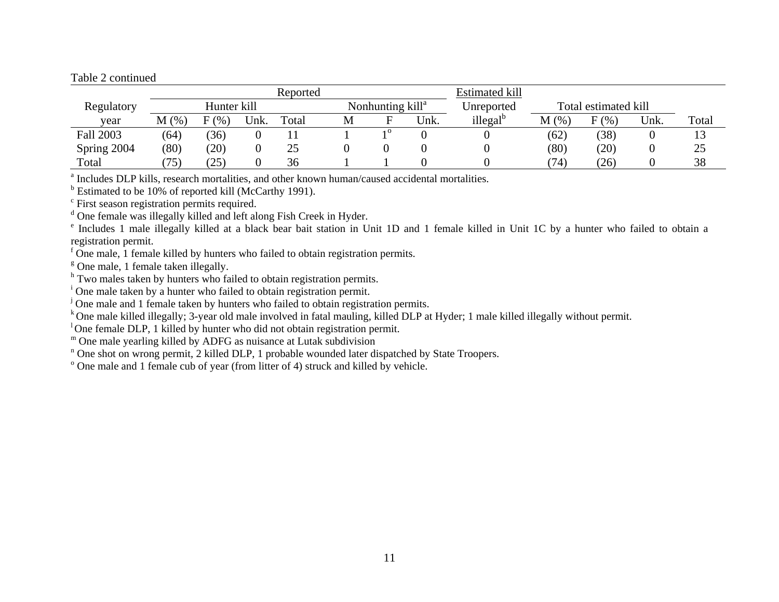#### Table 2 continued

|                  |       |                |      | Reported |   |                              |      | Estimated kill       |           |                      |      |       |
|------------------|-------|----------------|------|----------|---|------------------------------|------|----------------------|-----------|----------------------|------|-------|
| Regulatory       |       | Hunter kill    |      |          |   | Nonhunting kill <sup>a</sup> |      | Unreported           |           | Total estimated kill |      |       |
| vear             | M(% ) | $\gamma_{0}$ , | Unk. | Total    | M |                              | Unk. | illegal <sup>b</sup> | M<br>(96) | $F$ (%)              | Unk. | Total |
| <b>Fall 2003</b> | (64)  | (36)           |      |          |   | 10                           |      |                      | (62)      | (38)                 |      | 13    |
| Spring 2004      | (80)  | (20)           |      | 25       |   |                              |      |                      | (80)      | (20)                 |      | 25    |
| Total            | (75)  | $25^{\circ}$   |      | 36       |   |                              |      |                      | (74)      | (26)                 |      | 38    |

<sup>a</sup> Includes DLP kills, research mortalities, and other known human/caused accidental mortalities.

 $<sup>b</sup>$  Estimated to be 10% of reported kill (McCarthy 1991).</sup>

<sup>c</sup> First season registration permits required.

<sup>d</sup> One female was illegally killed and left along Fish Creek in Hyder.

e Includes 1 male illegally killed at a black bear bait station in Unit 1D and 1 female killed in Unit 1C by a hunter who failed to obtain a registration permit.

 $\overline{f}$  One male, 1 female killed by hunters who failed to obtain registration permits.

 $\textdegree$  One male, 1 female taken illegally.

<sup>h</sup> Two males taken by hunters who failed to obtain registration permits.

<sup>i</sup> One male taken by a hunter who failed to obtain registration permit.

<sup>j</sup> One male and 1 female taken by hunters who failed to obtain registration permits.

<sup>k</sup> One male killed illegally; 3-year old male involved in fatal mauling, killed DLP at Hyder; 1 male killed illegally without permit.

<sup>1</sup> One female DLP, 1 killed by hunter who did not obtain registration permit.

<sup>m</sup> One male yearling killed by ADFG as nuisance at Lutak subdivision

<sup>n</sup> One shot on wrong permit, 2 killed DLP, 1 probable wounded later dispatched by State Troopers.

 $^{\circ}$  One male and 1 female cub of year (from litter of 4) struck and killed by vehicle.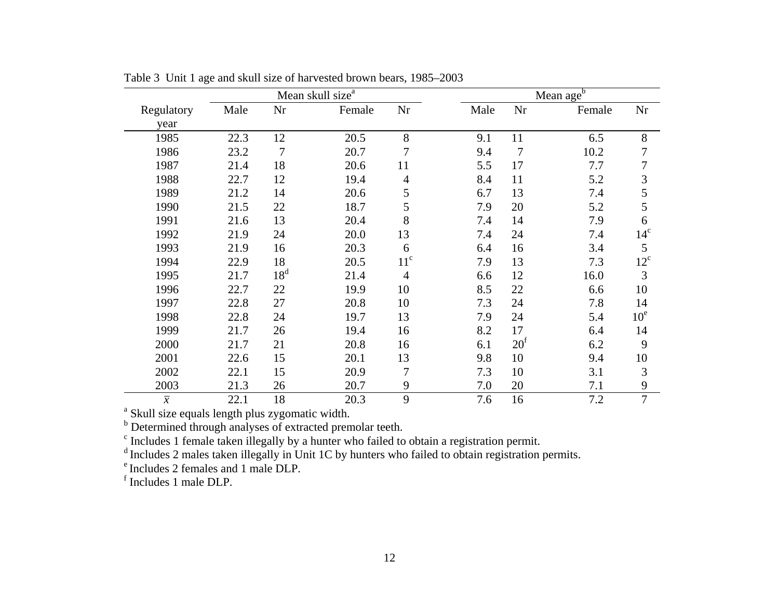|                |      |                 | Mean skull size <sup>a</sup> |                 | Mean age <sup>b</sup> |                |        |                 |  |  |  |
|----------------|------|-----------------|------------------------------|-----------------|-----------------------|----------------|--------|-----------------|--|--|--|
| Regulatory     | Male | Nr              | Female                       | Nr              | Male                  | Nr             | Female | Nr              |  |  |  |
| year           |      |                 |                              |                 |                       |                |        |                 |  |  |  |
| 1985           | 22.3 | 12              | 20.5                         | 8               | 9.1                   | 11             | 6.5    | 8               |  |  |  |
| 1986           | 23.2 | $\overline{7}$  | 20.7                         | $\overline{7}$  | 9.4                   | $\overline{7}$ | 10.2   | 7               |  |  |  |
| 1987           | 21.4 | 18              | 20.6                         | 11              | 5.5                   | 17             | 7.7    | 7               |  |  |  |
| 1988           | 22.7 | 12              | 19.4                         | 4               | 8.4                   | 11             | 5.2    | 3               |  |  |  |
| 1989           | 21.2 | 14              | 20.6                         | 5               | 6.7                   | 13             | 7.4    | 5               |  |  |  |
| 1990           | 21.5 | 22              | 18.7                         | 5               | 7.9                   | 20             | 5.2    | 5               |  |  |  |
| 1991           | 21.6 | 13              | 20.4                         | 8               | 7.4                   | 14             | 7.9    | 6               |  |  |  |
| 1992           | 21.9 | 24              | 20.0                         | 13              | 7.4                   | 24             | 7.4    | 14 <sup>c</sup> |  |  |  |
| 1993           | 21.9 | 16              | 20.3                         | 6               | 6.4                   | 16             | 3.4    | 5               |  |  |  |
| 1994           | 22.9 | 18              | 20.5                         | 11 <sup>c</sup> | 7.9                   | 13             | 7.3    | $12^{\circ}$    |  |  |  |
| 1995           | 21.7 | 18 <sup>d</sup> | 21.4                         | $\overline{4}$  | 6.6                   | 12             | 16.0   | 3               |  |  |  |
| 1996           | 22.7 | 22              | 19.9                         | 10              | 8.5                   | 22             | 6.6    | 10              |  |  |  |
| 1997           | 22.8 | 27              | 20.8                         | 10              | 7.3                   | 24             | 7.8    | 14              |  |  |  |
| 1998           | 22.8 | 24              | 19.7                         | 13              | 7.9                   | 24             | 5.4    | $10^e$          |  |  |  |
| 1999           | 21.7 | 26              | 19.4                         | 16              | 8.2                   | 17             | 6.4    | 14              |  |  |  |
| 2000           | 21.7 | 21              | 20.8                         | 16              | 6.1                   | $20^{\rm f}$   | 6.2    | 9               |  |  |  |
| 2001           | 22.6 | 15              | 20.1                         | 13              | 9.8                   | 10             | 9.4    | 10              |  |  |  |
| 2002           | 22.1 | 15              | 20.9                         | $\overline{7}$  | 7.3                   | 10             | 3.1    | $\mathfrak{Z}$  |  |  |  |
| 2003           | 21.3 | 26              | 20.7                         | 9               | 7.0                   | 20             | 7.1    | 9               |  |  |  |
| $\overline{x}$ | 22.1 | 18              | 20.3                         | 9               | 7.6                   | 16             | 7.2    | $\overline{7}$  |  |  |  |

Table 3 Unit 1 age and skull size of harvested brown bears, 1985–2003

<sup>a</sup> Skull size equals length plus zygomatic width.

<sup>b</sup> Determined through analyses of extracted premolar teeth.

<sup>c</sup> Includes 1 female taken illegally by a hunter who failed to obtain a registration permit.

<sup>d</sup> Includes 2 males taken illegally in Unit 1C by hunters who failed to obtain registration permits.

e Includes 2 females and 1 male DLP.

f Includes 1 male DLP.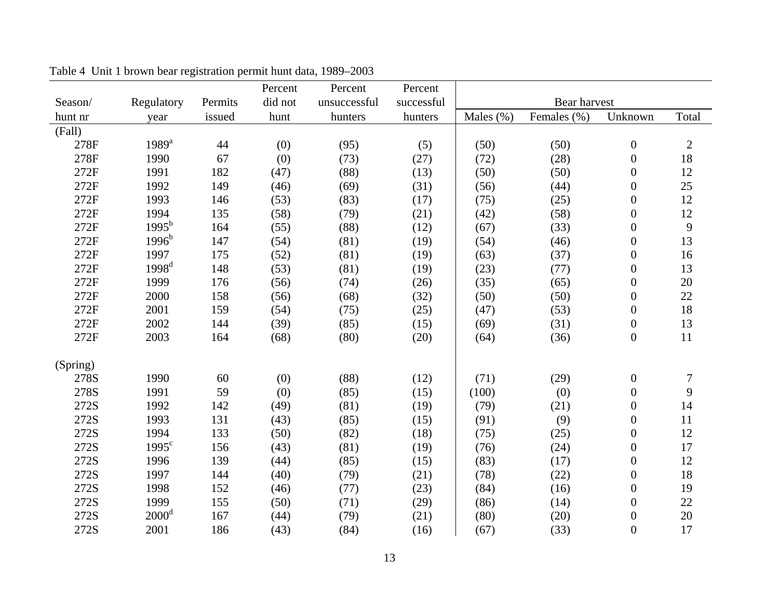|          |                   |         | Percent | Percent      | Percent    |           |              |                  |            |
|----------|-------------------|---------|---------|--------------|------------|-----------|--------------|------------------|------------|
| Season/  | Regulatory        | Permits | did not | unsuccessful | successful |           | Bear harvest |                  |            |
| hunt nr  | year              | issued  | hunt    | hunters      | hunters    | Males (%) | Females (%)  | Unknown          | Total      |
| (Fall)   |                   |         |         |              |            |           |              |                  |            |
| 278F     | $1989^a$          | 44      | (0)     | (95)         | (5)        | (50)      | (50)         | $\boldsymbol{0}$ | $\sqrt{2}$ |
| 278F     | 1990              | 67      | (0)     | (73)         | (27)       | (72)      | (28)         | $\boldsymbol{0}$ | 18         |
| 272F     | 1991              | 182     | (47)    | (88)         | (13)       | (50)      | (50)         | $\boldsymbol{0}$ | 12         |
| 272F     | 1992              | 149     | (46)    | (69)         | (31)       | (56)      | (44)         | $\boldsymbol{0}$ | 25         |
| 272F     | 1993              | 146     | (53)    | (83)         | (17)       | (75)      | (25)         | $\boldsymbol{0}$ | 12         |
| 272F     | 1994              | 135     | (58)    | (79)         | (21)       | (42)      | (58)         | $\boldsymbol{0}$ | 12         |
| 272F     | $1995^{b}$        | 164     | (55)    | (88)         | (12)       | (67)      | (33)         | $\boldsymbol{0}$ | 9          |
| 272F     | $1996^b$          | 147     | (54)    | (81)         | (19)       | (54)      | (46)         | $\boldsymbol{0}$ | 13         |
| 272F     | 1997              | 175     | (52)    | (81)         | (19)       | (63)      | (37)         | $\boldsymbol{0}$ | 16         |
| 272F     | 1998 <sup>d</sup> | 148     | (53)    | (81)         | (19)       | (23)      | (77)         | $\boldsymbol{0}$ | 13         |
| 272F     | 1999              | 176     | (56)    | (74)         | (26)       | (35)      | (65)         | $\boldsymbol{0}$ | $20\,$     |
| 272F     | 2000              | 158     | (56)    | (68)         | (32)       | (50)      | (50)         | $\boldsymbol{0}$ | 22         |
| 272F     | 2001              | 159     | (54)    | (75)         | (25)       | (47)      | (53)         | $\boldsymbol{0}$ | 18         |
| 272F     | 2002              | 144     | (39)    | (85)         | (15)       | (69)      | (31)         | $\boldsymbol{0}$ | 13         |
| 272F     | 2003              | 164     | (68)    | (80)         | (20)       | (64)      | (36)         | $\boldsymbol{0}$ | 11         |
| (Spring) |                   |         |         |              |            |           |              |                  |            |
| 278S     | 1990              | 60      | (0)     | (88)         | (12)       | (71)      | (29)         | $\boldsymbol{0}$ | $\sqrt{ }$ |
| 278S     | 1991              | 59      | (0)     | (85)         | (15)       | (100)     | (0)          | $\boldsymbol{0}$ | 9          |
| 272S     | 1992              | 142     | (49)    | (81)         | (19)       | (79)      | (21)         | $\boldsymbol{0}$ | 14         |
| 272S     | 1993              | 131     | (43)    | (85)         | (15)       | (91)      | (9)          | $\boldsymbol{0}$ | 11         |
| 272S     | 1994              | 133     | (50)    | (82)         | (18)       | (75)      | (25)         | $\boldsymbol{0}$ | 12         |
| 272S     | $1995^{\circ}$    | 156     | (43)    | (81)         | (19)       | (76)      | (24)         | $\boldsymbol{0}$ | 17         |
| 272S     | 1996              | 139     | (44)    | (85)         | (15)       | (83)      | (17)         | $\boldsymbol{0}$ | 12         |
| 272S     | 1997              | 144     | (40)    | (79)         | (21)       | (78)      | (22)         | $\boldsymbol{0}$ | 18         |
| 272S     | 1998              | 152     | (46)    | (77)         | (23)       | (84)      | (16)         | $\boldsymbol{0}$ | 19         |
| 272S     | 1999              | 155     | (50)    | (71)         | (29)       | (86)      | (14)         | $\boldsymbol{0}$ | 22         |
| 272S     | 2000 <sup>d</sup> | 167     | (44)    | (79)         | (21)       | (80)      | (20)         | $\boldsymbol{0}$ | 20         |
| 272S     | 2001              | 186     | (43)    | (84)         | (16)       | (67)      | (33)         | $\boldsymbol{0}$ | 17         |

Table 4 Unit 1 brown bear registration permit hunt data, 1989–2003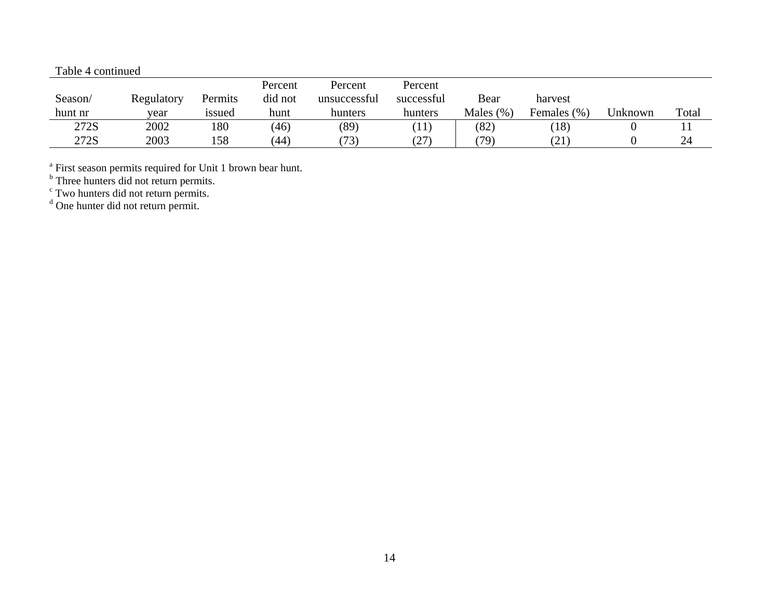#### Table 4 continued

|         |            |         | Percent | Percent      | Percent      |              |              |         |       |
|---------|------------|---------|---------|--------------|--------------|--------------|--------------|---------|-------|
| Season/ | Regulatory | Permits | did not | unsuccessful | successful   | Bear         | harvest      |         |       |
| hunt nr | vear       | 1ssued  | hunt    | hunters      | hunters      | Males $(\%)$ | Females (%)  | Unknown | Total |
| 272S    | 2002       | 180     | (46)    | (89)         | $ 11\rangle$ | (82)         | 18)          | v       | 11    |
| 272S    | 2003       | 158     | (44)    | (73)         | (27)         | (79)         | $21^{\circ}$ |         | 24    |

<sup>a</sup> First season permits required for Unit 1 brown bear hunt.

<sup>b</sup> Three hunters did not return permits.

<sup>c</sup> Two hunters did not return permits.

<sup>d</sup> One hunter did not return permit.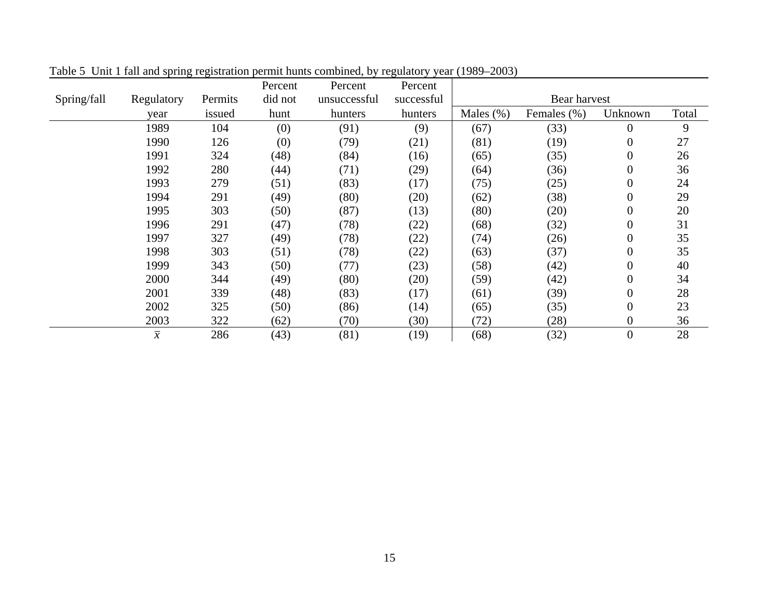|             |                |         | Percent | Percent      | Percent    |              |              |                  |       |
|-------------|----------------|---------|---------|--------------|------------|--------------|--------------|------------------|-------|
| Spring/fall | Regulatory     | Permits | did not | unsuccessful | successful |              | Bear harvest |                  |       |
|             | year           | issued  | hunt    | hunters      | hunters    | Males $(\%)$ | Females (%)  | Unknown          | Total |
|             | 1989           | 104     | (0)     | (91)         | (9)        | (67)         | (33)         | $\overline{0}$   | 9     |
|             | 1990           | 126     | (0)     | (79)         | (21)       | (81)         | (19)         | 0                | 27    |
|             | 1991           | 324     | (48)    | (84)         | (16)       | (65)         | (35)         | $\overline{0}$   | 26    |
|             | 1992           | 280     | (44)    | (71)         | (29)       | (64)         | (36)         | $\overline{0}$   | 36    |
|             | 1993           | 279     | (51)    | (83)         | (17)       | (75)         | (25)         | $\overline{0}$   | 24    |
|             | 1994           | 291     | (49)    | (80)         | (20)       | (62)         | (38)         | $\overline{0}$   | 29    |
|             | 1995           | 303     | (50)    | (87)         | (13)       | (80)         | (20)         | $\boldsymbol{0}$ | 20    |
|             | 1996           | 291     | (47)    | (78)         | (22)       | (68)         | (32)         | $\overline{0}$   | 31    |
|             | 1997           | 327     | (49)    | (78)         | (22)       | (74)         | (26)         | $\boldsymbol{0}$ | 35    |
|             | 1998           | 303     | (51)    | (78)         | (22)       | (63)         | (37)         | $\boldsymbol{0}$ | 35    |
|             | 1999           | 343     | (50)    | (77)         | (23)       | (58)         | (42)         | $\boldsymbol{0}$ | 40    |
|             | 2000           | 344     | (49)    | (80)         | (20)       | (59)         | (42)         | $\boldsymbol{0}$ | 34    |
|             | 2001           | 339     | (48)    | (83)         | (17)       | (61)         | (39)         | $\boldsymbol{0}$ | 28    |
|             | 2002           | 325     | (50)    | (86)         | (14)       | (65)         | (35)         | $\boldsymbol{0}$ | 23    |
|             | 2003           | 322     | (62)    | (70)         | (30)       | (72)         | (28)         | 0                | 36    |
|             | $\overline{x}$ | 286     | (43)    | (81)         | (19)       | (68)         | (32)         | $\overline{0}$   | 28    |

Table 5 Unit 1 fall and spring registration permit hunts combined, by regulatory year (1989–2003)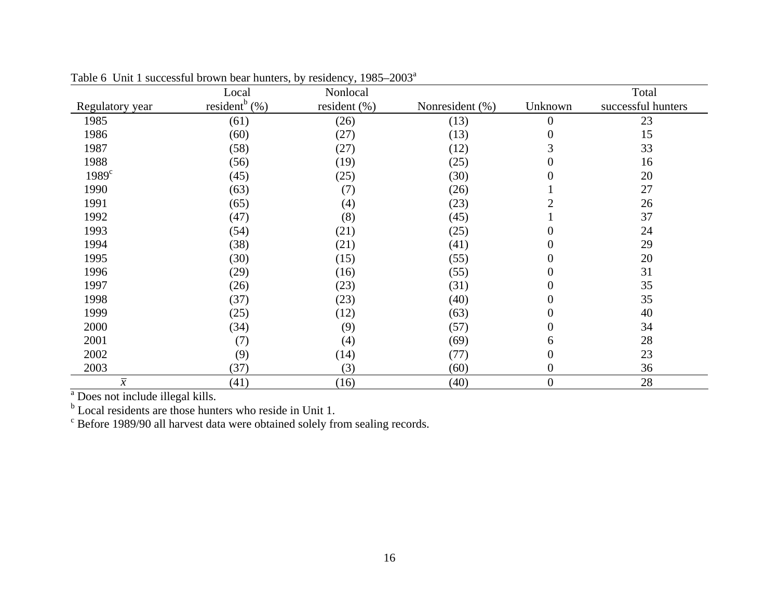|                   | Local                         | Nonlocal         |                 |                  | Total              |
|-------------------|-------------------------------|------------------|-----------------|------------------|--------------------|
| Regulatory year   | resident <sup>b</sup> $(\% )$ | resident $(\% )$ | Nonresident (%) | Unknown          | successful hunters |
| 1985              | (61)                          | (26)             | (13)            | $\boldsymbol{0}$ | 23                 |
| 1986              | (60)                          | (27)             | (13)            | 0                | 15                 |
| 1987              | (58)                          | (27)             | (12)            | 3                | 33                 |
| 1988              | (56)                          | (19)             | (25)            | $\boldsymbol{0}$ | 16                 |
| 1989 <sup>c</sup> | (45)                          | (25)             | (30)            | 0                | 20                 |
| 1990              | (63)                          | (7)              | (26)            |                  | 27                 |
| 1991              | (65)                          | (4)              | (23)            | $\overline{2}$   | 26                 |
| 1992              | (47)                          | (8)              | (45)            |                  | 37                 |
| 1993              | (54)                          | (21)             | (25)            | $\overline{0}$   | 24                 |
| 1994              | (38)                          | (21)             | (41)            | $\boldsymbol{0}$ | 29                 |
| 1995              | (30)                          | (15)             | (55)            | $\boldsymbol{0}$ | 20                 |
| 1996              | (29)                          | (16)             | (55)            | $\boldsymbol{0}$ | 31                 |
| 1997              | (26)                          | (23)             | (31)            | $\boldsymbol{0}$ | 35                 |
| 1998              | (37)                          | (23)             | (40)            | $\boldsymbol{0}$ | 35                 |
| 1999              | (25)                          | (12)             | (63)            | $\boldsymbol{0}$ | 40                 |
| 2000              | (34)                          | (9)              | (57)            | $\boldsymbol{0}$ | 34                 |
| 2001              | (7)                           | (4)              | (69)            | 6                | 28                 |
| 2002              | (9)                           | (14)             | (77)            | $\boldsymbol{0}$ | 23                 |
| 2003              | (37)                          | (3)              | (60)            | $\boldsymbol{0}$ | 36                 |
| $\overline{\chi}$ | (41)                          | (16)             | (40)            | $\boldsymbol{0}$ | 28                 |

Table 6 Unit 1 successful brown bear hunters, by residency,  $1985-2003^a$ 

<sup>a</sup> Does not include illegal kills.

 $\sigma^b$  Local residents are those hunters who reside in Unit 1.<br>
<sup>c</sup> Before 1989/90 all harvest data were obtained solely from sealing records.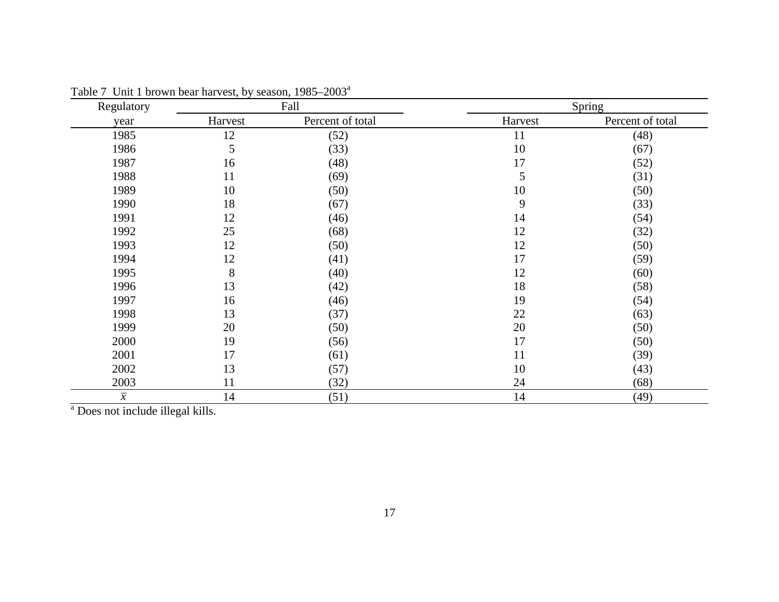| Regulatory     |         | Fall             |         | Spring           |
|----------------|---------|------------------|---------|------------------|
| year           | Harvest | Percent of total | Harvest | Percent of total |
| 1985           | 12      | (52)             | 11      | (48)             |
| 1986           | 5       | (33)             | 10      | (67)             |
| 1987           | 16      | (48)             | 17      | (52)             |
| 1988           | 11      | (69)             | 5       | (31)             |
| 1989           | 10      | (50)             | 10      | (50)             |
| 1990           | 18      | (67)             | 9       | (33)             |
| 1991           | 12      | (46)             | 14      | (54)             |
| 1992           | 25      | (68)             | 12      | (32)             |
| 1993           | 12      | (50)             | 12      | (50)             |
| 1994           | 12      | (41)             | 17      | (59)             |
| 1995           | 8       | (40)             | 12      | (60)             |
| 1996           | 13      | (42)             | 18      | (58)             |
| 1997           | 16      | (46)             | 19      | (54)             |
| 1998           | 13      | (37)             | 22      | (63)             |
| 1999           | 20      | (50)             | 20      | (50)             |
| 2000           | 19      | (56)             | 17      | (50)             |
| 2001           | 17      | (61)             | 11      | (39)             |
| 2002           | 13      | (57)             | 10      | (43)             |
| 2003           | 11      | (32)             | 24      | (68)             |
| $\overline{x}$ | 14      | (51)             | 14      | (49)             |

Table 7 Unit 1 brown bear harvest, by season, 1985–2003<sup>a</sup>

<sup>a</sup> Does not include illegal kills.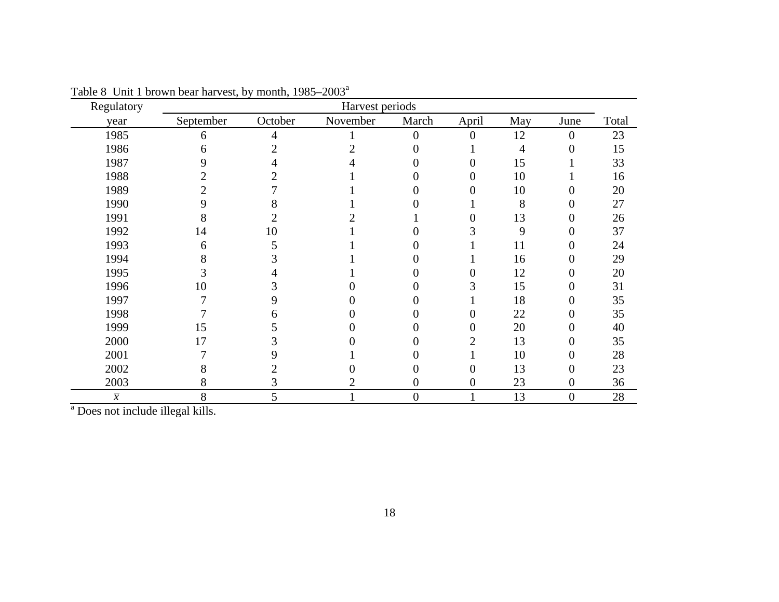| Regulatory     | Harvest periods |         |          |                  |                  |     |                  |       |  |
|----------------|-----------------|---------|----------|------------------|------------------|-----|------------------|-------|--|
| year           | September       | October | November | March            | April            | May | June             | Total |  |
| 1985           | 6               | 4       |          | $\overline{0}$   | $\overline{0}$   | 12  | $\overline{0}$   | 23    |  |
| 1986           | 6               |         |          |                  |                  | 4   | $\overline{0}$   | 15    |  |
| 1987           |                 |         |          |                  | 0                | 15  |                  | 33    |  |
| 1988           |                 |         |          |                  | 0                | 10  |                  | 16    |  |
| 1989           |                 |         |          |                  | 0                | 10  | 0                | 20    |  |
| 1990           |                 |         |          |                  |                  | 8   | 0                | 27    |  |
| 1991           | 8               |         |          |                  | $\overline{0}$   | 13  | $\boldsymbol{0}$ | 26    |  |
| 1992           | 14              | 10      |          |                  | 3                | 9   | $\boldsymbol{0}$ | 37    |  |
| 1993           | 6               |         |          |                  |                  | 11  | 0                | 24    |  |
| 1994           |                 |         |          |                  |                  | 16  | $\boldsymbol{0}$ | 29    |  |
| 1995           |                 |         |          |                  | 0                | 12  | $\boldsymbol{0}$ | 20    |  |
| 1996           | 10              |         |          |                  | 3                | 15  | $\boldsymbol{0}$ | 31    |  |
| 1997           |                 | 9       |          |                  |                  | 18  | $\overline{0}$   | 35    |  |
| 1998           |                 | n       |          |                  | 0                | 22  | $\boldsymbol{0}$ | 35    |  |
| 1999           | 15              |         |          |                  | 0                | 20  | $\overline{0}$   | 40    |  |
| 2000           | 17              |         |          |                  | $\overline{2}$   | 13  | $\overline{0}$   | 35    |  |
| 2001           |                 | 9       |          |                  |                  | 10  | 0                | 28    |  |
| 2002           |                 |         |          |                  | 0                | 13  | $\boldsymbol{0}$ | 23    |  |
| 2003           | 8               | C       |          | $\boldsymbol{0}$ | $\boldsymbol{0}$ | 23  | $\boldsymbol{0}$ | 36    |  |
| $\overline{x}$ | 8               | 5       |          | $\boldsymbol{0}$ |                  | 13  | $\boldsymbol{0}$ | 28    |  |

Table 8 Unit 1 brown bear harvest, by month,  $1985-2003^a$ 

<sup>a</sup> Does not include illegal kills.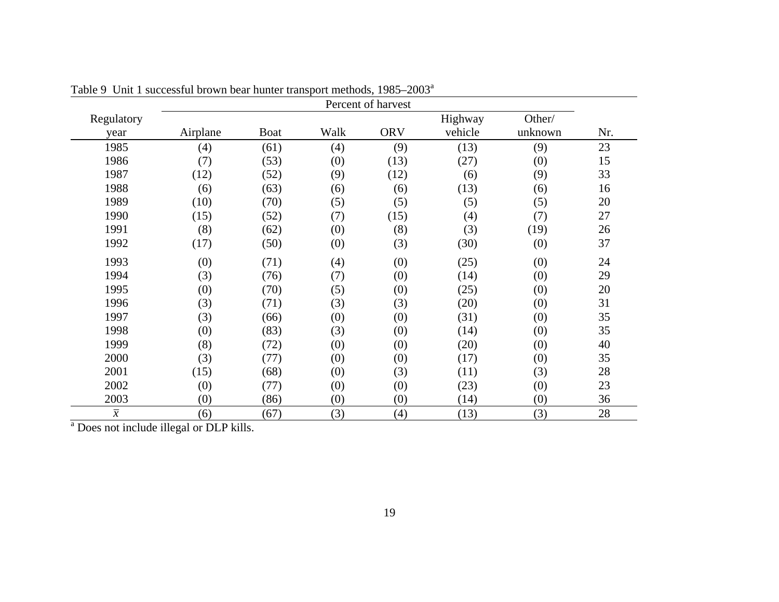|                | Percent of harvest |      |      |            |         |         |        |  |
|----------------|--------------------|------|------|------------|---------|---------|--------|--|
| Regulatory     |                    |      |      |            | Highway | Other/  |        |  |
| year           | Airplane           | Boat | Walk | <b>ORV</b> | vehicle | unknown | Nr.    |  |
| 1985           | (4)                | (61) | (4)  | (9)        | (13)    | (9)     | 23     |  |
| 1986           | (7)                | (53) | (0)  | (13)       | (27)    | (0)     | 15     |  |
| 1987           | (12)               | (52) | (9)  | (12)       | (6)     | (9)     | 33     |  |
| 1988           | (6)                | (63) | (6)  | (6)        | (13)    | (6)     | 16     |  |
| 1989           | (10)               | (70) | (5)  | (5)        | (5)     | (5)     | 20     |  |
| 1990           | (15)               | (52) | (7)  | (15)       | (4)     | (7)     | 27     |  |
| 1991           | (8)                | (62) | (0)  | (8)        | (3)     | (19)    | 26     |  |
| 1992           | (17)               | (50) | (0)  | (3)        | (30)    | (0)     | 37     |  |
| 1993           | (0)                | (71) | (4)  | (0)        | (25)    | (0)     | 24     |  |
| 1994           | (3)                | (76) | (7)  | (0)        | (14)    | (0)     | 29     |  |
| 1995           | (0)                | (70) | (5)  | (0)        | (25)    | (0)     | 20     |  |
| 1996           | (3)                | (71) | (3)  | (3)        | (20)    | (0)     | 31     |  |
| 1997           | (3)                | (66) | (0)  | (0)        | (31)    | (0)     | 35     |  |
| 1998           | (0)                | (83) | (3)  | (0)        | (14)    | (0)     | 35     |  |
| 1999           | (8)                | (72) | (0)  | (0)        | (20)    | (0)     | 40     |  |
| 2000           | (3)                | (77) | (0)  | (0)        | (17)    | (0)     | 35     |  |
| 2001           | (15)               | (68) | (0)  | (3)        | (11)    | (3)     | $28\,$ |  |
| 2002           | (0)                | (77) | (0)  | (0)        | (23)    | (0)     | 23     |  |
| 2003           | (0)                | (86) | (0)  | (0)        | (14)    | (0)     | 36     |  |
| $\overline{x}$ | (6)                | (67) | (3)  | (4)        | (13)    | (3)     | 28     |  |

Table 9 Unit 1 successful brown bear hunter transport methods, 1985–2003<sup>a</sup>

<sup>a</sup> Does not include illegal or DLP kills.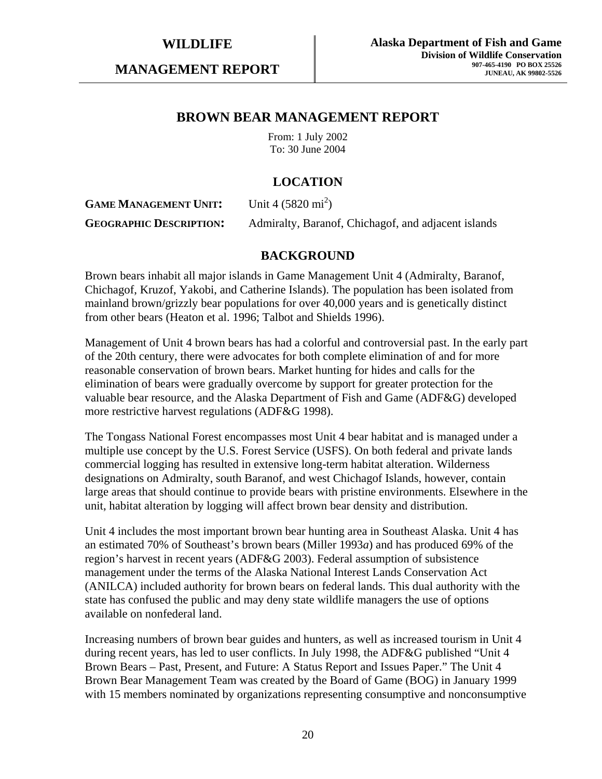**MANAGEMENT REPORT** 

# **BROWN BEAR MANAGEMENT REPORT**

From: 1 July 2002 To: 30 June 2004

# **LOCATION**

**GAME MANAGEMENT UNIT:** Unit 4  $(5820 \text{ mi}^2)$ **GEOGRAPHIC DESCRIPTION:** Admiralty, Baranof, Chichagof, and adjacent islands

# **BACKGROUND**

Brown bears inhabit all major islands in Game Management Unit 4 (Admiralty, Baranof, Chichagof, Kruzof, Yakobi, and Catherine Islands). The population has been isolated from mainland brown/grizzly bear populations for over 40,000 years and is genetically distinct from other bears (Heaton et al. 1996; Talbot and Shields 1996).

Management of Unit 4 brown bears has had a colorful and controversial past. In the early part of the 20th century, there were advocates for both complete elimination of and for more reasonable conservation of brown bears. Market hunting for hides and calls for the elimination of bears were gradually overcome by support for greater protection for the valuable bear resource, and the Alaska Department of Fish and Game (ADF&G) developed more restrictive harvest regulations (ADF&G 1998).

The Tongass National Forest encompasses most Unit 4 bear habitat and is managed under a multiple use concept by the U.S. Forest Service (USFS). On both federal and private lands commercial logging has resulted in extensive long-term habitat alteration. Wilderness designations on Admiralty, south Baranof, and west Chichagof Islands, however, contain large areas that should continue to provide bears with pristine environments. Elsewhere in the unit, habitat alteration by logging will affect brown bear density and distribution.

Unit 4 includes the most important brown bear hunting area in Southeast Alaska. Unit 4 has an estimated 70% of Southeast's brown bears (Miller 1993*a*) and has produced 69% of the region's harvest in recent years (ADF&G 2003). Federal assumption of subsistence management under the terms of the Alaska National Interest Lands Conservation Act (ANILCA) included authority for brown bears on federal lands. This dual authority with the state has confused the public and may deny state wildlife managers the use of options available on nonfederal land.

Increasing numbers of brown bear guides and hunters, as well as increased tourism in Unit 4 during recent years, has led to user conflicts. In July 1998, the ADF&G published "Unit 4 Brown Bears – Past, Present, and Future: A Status Report and Issues Paper." The Unit 4 Brown Bear Management Team was created by the Board of Game (BOG) in January 1999 with 15 members nominated by organizations representing consumptive and nonconsumptive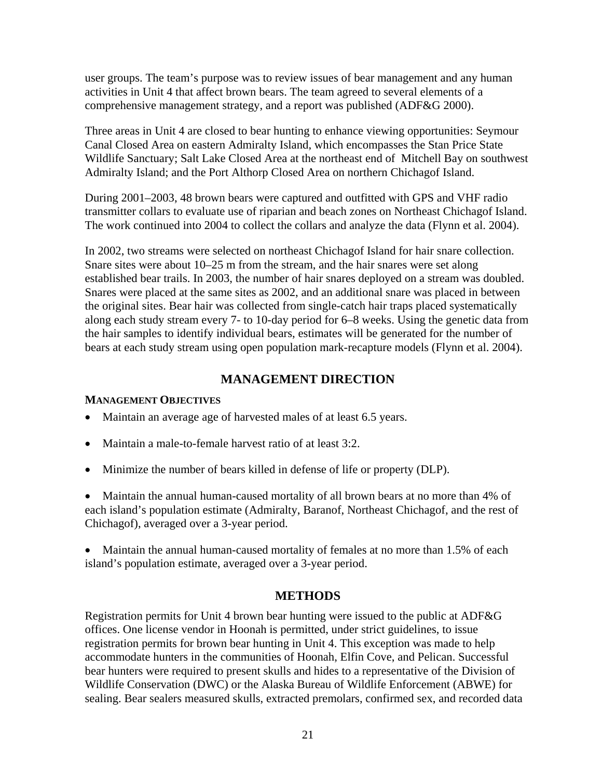user groups. The team's purpose was to review issues of bear management and any human activities in Unit 4 that affect brown bears. The team agreed to several elements of a comprehensive management strategy, and a report was published (ADF&G 2000).

Three areas in Unit 4 are closed to bear hunting to enhance viewing opportunities: Seymour Canal Closed Area on eastern Admiralty Island, which encompasses the Stan Price State Wildlife Sanctuary; Salt Lake Closed Area at the northeast end of Mitchell Bay on southwest Admiralty Island; and the Port Althorp Closed Area on northern Chichagof Island.

During 2001–2003, 48 brown bears were captured and outfitted with GPS and VHF radio transmitter collars to evaluate use of riparian and beach zones on Northeast Chichagof Island. The work continued into 2004 to collect the collars and analyze the data (Flynn et al. 2004).

In 2002, two streams were selected on northeast Chichagof Island for hair snare collection. Snare sites were about 10–25 m from the stream, and the hair snares were set along established bear trails. In 2003, the number of hair snares deployed on a stream was doubled. Snares were placed at the same sites as 2002, and an additional snare was placed in between the original sites. Bear hair was collected from single-catch hair traps placed systematically along each study stream every 7- to 10-day period for 6–8 weeks. Using the genetic data from the hair samples to identify individual bears, estimates will be generated for the number of bears at each study stream using open population mark-recapture models (Flynn et al. 2004).

# **MANAGEMENT DIRECTION**

### **MANAGEMENT OBJECTIVES**

- Maintain an average age of harvested males of at least 6.5 years.
- Maintain a male-to-female harvest ratio of at least 3:2.
- Minimize the number of bears killed in defense of life or property (DLP).

• Maintain the annual human-caused mortality of all brown bears at no more than 4% of each island's population estimate (Admiralty, Baranof, Northeast Chichagof, and the rest of Chichagof), averaged over a 3-year period.

• Maintain the annual human-caused mortality of females at no more than 1.5% of each island's population estimate, averaged over a 3-year period.

## **METHODS**

Registration permits for Unit 4 brown bear hunting were issued to the public at ADF&G offices. One license vendor in Hoonah is permitted, under strict guidelines, to issue registration permits for brown bear hunting in Unit 4. This exception was made to help accommodate hunters in the communities of Hoonah, Elfin Cove, and Pelican. Successful bear hunters were required to present skulls and hides to a representative of the Division of Wildlife Conservation (DWC) or the Alaska Bureau of Wildlife Enforcement (ABWE) for sealing. Bear sealers measured skulls, extracted premolars, confirmed sex, and recorded data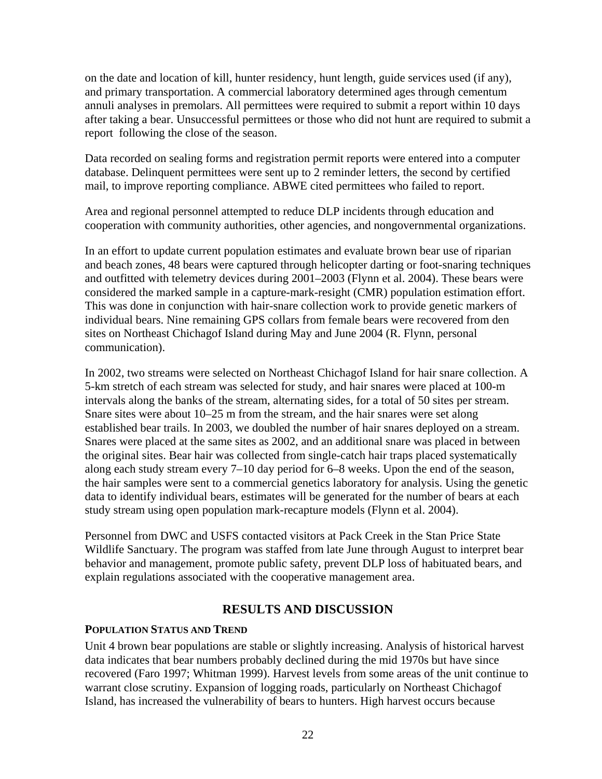on the date and location of kill, hunter residency, hunt length, guide services used (if any), and primary transportation. A commercial laboratory determined ages through cementum annuli analyses in premolars. All permittees were required to submit a report within 10 days after taking a bear. Unsuccessful permittees or those who did not hunt are required to submit a report following the close of the season.

Data recorded on sealing forms and registration permit reports were entered into a computer database. Delinquent permittees were sent up to 2 reminder letters, the second by certified mail, to improve reporting compliance. ABWE cited permittees who failed to report.

Area and regional personnel attempted to reduce DLP incidents through education and cooperation with community authorities, other agencies, and nongovernmental organizations.

In an effort to update current population estimates and evaluate brown bear use of riparian and beach zones, 48 bears were captured through helicopter darting or foot-snaring techniques and outfitted with telemetry devices during 2001–2003 (Flynn et al. 2004). These bears were considered the marked sample in a capture-mark-resight (CMR) population estimation effort. This was done in conjunction with hair-snare collection work to provide genetic markers of individual bears. Nine remaining GPS collars from female bears were recovered from den sites on Northeast Chichagof Island during May and June 2004 (R. Flynn, personal communication).

In 2002, two streams were selected on Northeast Chichagof Island for hair snare collection. A 5-km stretch of each stream was selected for study, and hair snares were placed at 100-m intervals along the banks of the stream, alternating sides, for a total of 50 sites per stream. Snare sites were about 10–25 m from the stream, and the hair snares were set along established bear trails. In 2003, we doubled the number of hair snares deployed on a stream. Snares were placed at the same sites as 2002, and an additional snare was placed in between the original sites. Bear hair was collected from single-catch hair traps placed systematically along each study stream every 7–10 day period for 6–8 weeks. Upon the end of the season, the hair samples were sent to a commercial genetics laboratory for analysis. Using the genetic data to identify individual bears, estimates will be generated for the number of bears at each study stream using open population mark-recapture models (Flynn et al. 2004).

Personnel from DWC and USFS contacted visitors at Pack Creek in the Stan Price State Wildlife Sanctuary. The program was staffed from late June through August to interpret bear behavior and management, promote public safety, prevent DLP loss of habituated bears, and explain regulations associated with the cooperative management area.

# **RESULTS AND DISCUSSION**

### **POPULATION STATUS AND TREND**

Unit 4 brown bear populations are stable or slightly increasing. Analysis of historical harvest data indicates that bear numbers probably declined during the mid 1970s but have since recovered (Faro 1997; Whitman 1999). Harvest levels from some areas of the unit continue to warrant close scrutiny. Expansion of logging roads, particularly on Northeast Chichagof Island, has increased the vulnerability of bears to hunters. High harvest occurs because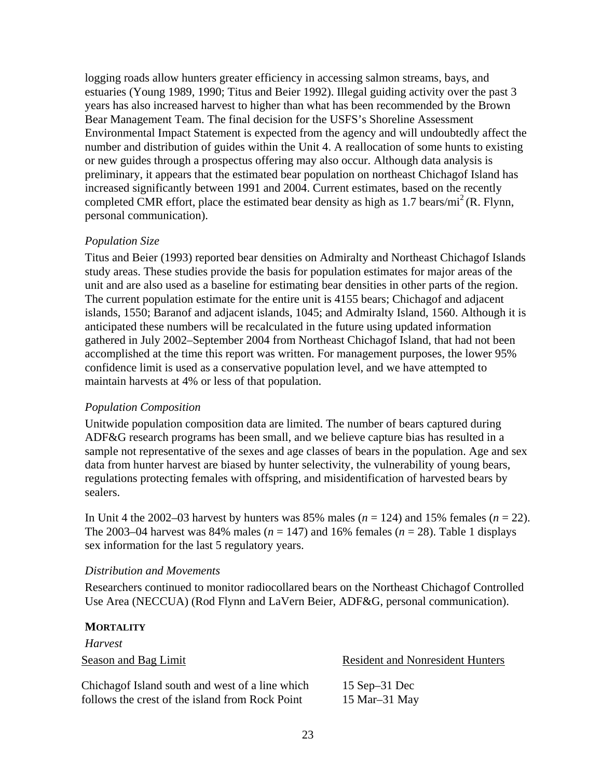logging roads allow hunters greater efficiency in accessing salmon streams, bays, and estuaries (Young 1989, 1990; Titus and Beier 1992). Illegal guiding activity over the past 3 years has also increased harvest to higher than what has been recommended by the Brown Bear Management Team. The final decision for the USFS's Shoreline Assessment Environmental Impact Statement is expected from the agency and will undoubtedly affect the number and distribution of guides within the Unit 4. A reallocation of some hunts to existing or new guides through a prospectus offering may also occur. Although data analysis is preliminary, it appears that the estimated bear population on northeast Chichagof Island has increased significantly between 1991 and 2004. Current estimates, based on the recently completed CMR effort, place the estimated bear density as high as  $1.7 \text{ bears/mi}^2$  (R. Flynn, personal communication).

### *Population Size*

Titus and Beier (1993) reported bear densities on Admiralty and Northeast Chichagof Islands study areas. These studies provide the basis for population estimates for major areas of the unit and are also used as a baseline for estimating bear densities in other parts of the region. The current population estimate for the entire unit is 4155 bears; Chichagof and adjacent islands, 1550; Baranof and adjacent islands, 1045; and Admiralty Island, 1560. Although it is anticipated these numbers will be recalculated in the future using updated information gathered in July 2002–September 2004 from Northeast Chichagof Island, that had not been accomplished at the time this report was written. For management purposes, the lower 95% confidence limit is used as a conservative population level, and we have attempted to maintain harvests at 4% or less of that population.

### *Population Composition*

Unitwide population composition data are limited. The number of bears captured during ADF&G research programs has been small, and we believe capture bias has resulted in a sample not representative of the sexes and age classes of bears in the population. Age and sex data from hunter harvest are biased by hunter selectivity, the vulnerability of young bears, regulations protecting females with offspring, and misidentification of harvested bears by sealers.

In Unit 4 the 2002–03 harvest by hunters was 85% males  $(n = 124)$  and 15% females  $(n = 22)$ . The 2003–04 harvest was 84% males ( $n = 147$ ) and 16% females ( $n = 28$ ). Table 1 displays sex information for the last 5 regulatory years.

### *Distribution and Movements*

Researchers continued to monitor radiocollared bears on the Northeast Chichagof Controlled Use Area (NECCUA) (Rod Flynn and LaVern Beier, ADF&G, personal communication).

### **MORTALITY**

*Harvest* 

Season and Bag Limit Resident and Nonresident Hunters

Chichagof Island south and west of a line which follows the crest of the island from Rock Point

 15 Sep–31 Dec 15 Mar–31 May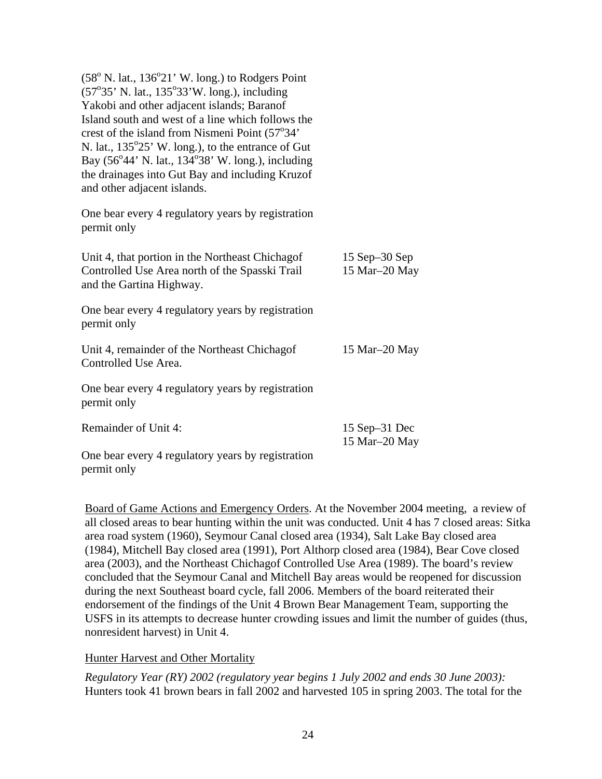| $(58^{\circ}$ N. lat., $136^{\circ}21'$ W. long.) to Rodgers Point<br>$(57°35' N. lat., 135°33' W. long.), including$<br>Yakobi and other adjacent islands; Baranof<br>Island south and west of a line which follows the<br>crest of the island from Nismeni Point (57°34'<br>N. lat., 135°25' W. long.), to the entrance of Gut<br>Bay (56°44' N. lat., 134°38' W. long.), including<br>the drainages into Gut Bay and including Kruzof<br>and other adjacent islands. |                                   |
|-------------------------------------------------------------------------------------------------------------------------------------------------------------------------------------------------------------------------------------------------------------------------------------------------------------------------------------------------------------------------------------------------------------------------------------------------------------------------|-----------------------------------|
| One bear every 4 regulatory years by registration<br>permit only                                                                                                                                                                                                                                                                                                                                                                                                        |                                   |
| Unit 4, that portion in the Northeast Chichagof<br>Controlled Use Area north of the Spasski Trail<br>and the Gartina Highway.                                                                                                                                                                                                                                                                                                                                           | 15 Sep $-30$ Sep<br>15 Mar-20 May |
| One bear every 4 regulatory years by registration<br>permit only                                                                                                                                                                                                                                                                                                                                                                                                        |                                   |
| Unit 4, remainder of the Northeast Chichagof<br>Controlled Use Area.                                                                                                                                                                                                                                                                                                                                                                                                    | 15 Mar-20 May                     |
| One bear every 4 regulatory years by registration<br>permit only                                                                                                                                                                                                                                                                                                                                                                                                        |                                   |
| Remainder of Unit 4:                                                                                                                                                                                                                                                                                                                                                                                                                                                    | 15 Sep-31 Dec<br>15 Mar-20 May    |
| One bear every 4 regulatory years by registration                                                                                                                                                                                                                                                                                                                                                                                                                       |                                   |

Board of Game Actions and Emergency Orders. At the November 2004 meeting, a review of all closed areas to bear hunting within the unit was conducted. Unit 4 has 7 closed areas: Sitka area road system (1960), Seymour Canal closed area (1934), Salt Lake Bay closed area (1984), Mitchell Bay closed area (1991), Port Althorp closed area (1984), Bear Cove closed area (2003), and the Northeast Chichagof Controlled Use Area (1989). The board's review concluded that the Seymour Canal and Mitchell Bay areas would be reopened for discussion during the next Southeast board cycle, fall 2006. Members of the board reiterated their endorsement of the findings of the Unit 4 Brown Bear Management Team, supporting the USFS in its attempts to decrease hunter crowding issues and limit the number of guides (thus, nonresident harvest) in Unit 4.

Hunter Harvest and Other Mortality

permit only

*Regulatory Year (RY) 2002 (regulatory year begins 1 July 2002 and ends 30 June 2003):*  Hunters took 41 brown bears in fall 2002 and harvested 105 in spring 2003. The total for the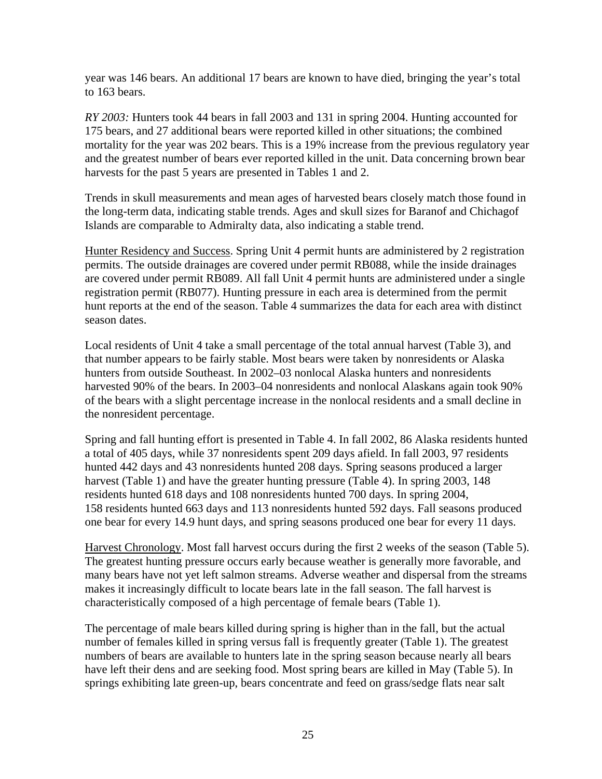year was 146 bears. An additional 17 bears are known to have died, bringing the year's total to 163 bears.

*RY 2003:* Hunters took 44 bears in fall 2003 and 131 in spring 2004. Hunting accounted for 175 bears, and 27 additional bears were reported killed in other situations; the combined mortality for the year was 202 bears. This is a 19% increase from the previous regulatory year and the greatest number of bears ever reported killed in the unit. Data concerning brown bear harvests for the past 5 years are presented in Tables 1 and 2.

Trends in skull measurements and mean ages of harvested bears closely match those found in the long-term data, indicating stable trends. Ages and skull sizes for Baranof and Chichagof Islands are comparable to Admiralty data, also indicating a stable trend.

Hunter Residency and Success. Spring Unit 4 permit hunts are administered by 2 registration permits. The outside drainages are covered under permit RB088, while the inside drainages are covered under permit RB089. All fall Unit 4 permit hunts are administered under a single registration permit (RB077). Hunting pressure in each area is determined from the permit hunt reports at the end of the season. Table 4 summarizes the data for each area with distinct season dates.

Local residents of Unit 4 take a small percentage of the total annual harvest (Table 3), and that number appears to be fairly stable. Most bears were taken by nonresidents or Alaska hunters from outside Southeast. In 2002–03 nonlocal Alaska hunters and nonresidents harvested 90% of the bears. In 2003–04 nonresidents and nonlocal Alaskans again took 90% of the bears with a slight percentage increase in the nonlocal residents and a small decline in the nonresident percentage.

Spring and fall hunting effort is presented in Table 4. In fall 2002, 86 Alaska residents hunted a total of 405 days, while 37 nonresidents spent 209 days afield. In fall 2003, 97 residents hunted 442 days and 43 nonresidents hunted 208 days. Spring seasons produced a larger harvest (Table 1) and have the greater hunting pressure (Table 4). In spring 2003, 148 residents hunted 618 days and 108 nonresidents hunted 700 days. In spring 2004, 158 residents hunted 663 days and 113 nonresidents hunted 592 days. Fall seasons produced one bear for every 14.9 hunt days, and spring seasons produced one bear for every 11 days.

Harvest Chronology. Most fall harvest occurs during the first 2 weeks of the season (Table 5). The greatest hunting pressure occurs early because weather is generally more favorable, and many bears have not yet left salmon streams. Adverse weather and dispersal from the streams makes it increasingly difficult to locate bears late in the fall season. The fall harvest is characteristically composed of a high percentage of female bears (Table 1).

The percentage of male bears killed during spring is higher than in the fall, but the actual number of females killed in spring versus fall is frequently greater (Table 1). The greatest numbers of bears are available to hunters late in the spring season because nearly all bears have left their dens and are seeking food. Most spring bears are killed in May (Table 5). In springs exhibiting late green-up, bears concentrate and feed on grass/sedge flats near salt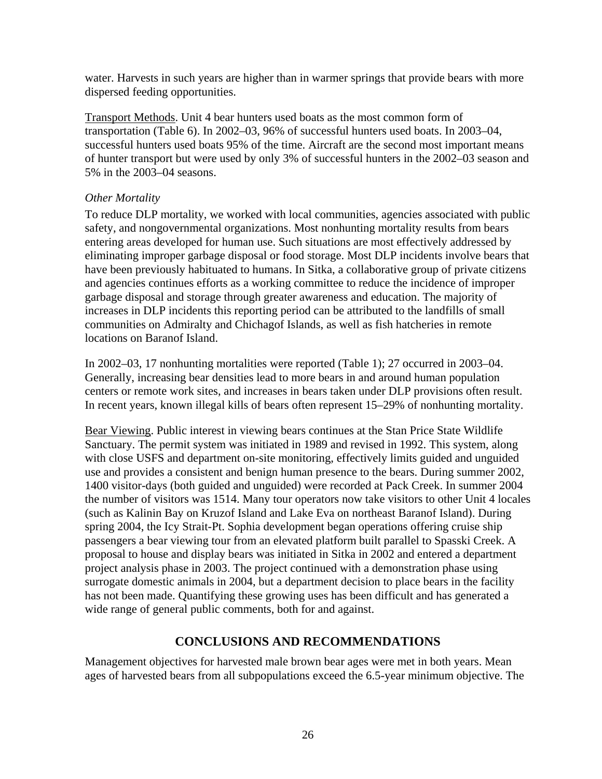water. Harvests in such years are higher than in warmer springs that provide bears with more dispersed feeding opportunities.

Transport Methods. Unit 4 bear hunters used boats as the most common form of transportation (Table 6). In 2002–03, 96% of successful hunters used boats. In 2003–04, successful hunters used boats 95% of the time. Aircraft are the second most important means of hunter transport but were used by only 3% of successful hunters in the 2002–03 season and 5% in the 2003–04 seasons.

# *Other Mortality*

To reduce DLP mortality, we worked with local communities, agencies associated with public safety, and nongovernmental organizations. Most nonhunting mortality results from bears entering areas developed for human use. Such situations are most effectively addressed by eliminating improper garbage disposal or food storage. Most DLP incidents involve bears that have been previously habituated to humans. In Sitka, a collaborative group of private citizens and agencies continues efforts as a working committee to reduce the incidence of improper garbage disposal and storage through greater awareness and education. The majority of increases in DLP incidents this reporting period can be attributed to the landfills of small communities on Admiralty and Chichagof Islands, as well as fish hatcheries in remote locations on Baranof Island.

In 2002–03, 17 nonhunting mortalities were reported (Table 1); 27 occurred in 2003–04. Generally, increasing bear densities lead to more bears in and around human population centers or remote work sites, and increases in bears taken under DLP provisions often result. In recent years, known illegal kills of bears often represent 15–29% of nonhunting mortality.

Bear Viewing. Public interest in viewing bears continues at the Stan Price State Wildlife Sanctuary. The permit system was initiated in 1989 and revised in 1992. This system, along with close USFS and department on-site monitoring, effectively limits guided and unguided use and provides a consistent and benign human presence to the bears. During summer 2002, 1400 visitor-days (both guided and unguided) were recorded at Pack Creek. In summer 2004 the number of visitors was 1514. Many tour operators now take visitors to other Unit 4 locales (such as Kalinin Bay on Kruzof Island and Lake Eva on northeast Baranof Island). During spring 2004, the Icy Strait-Pt. Sophia development began operations offering cruise ship passengers a bear viewing tour from an elevated platform built parallel to Spasski Creek. A proposal to house and display bears was initiated in Sitka in 2002 and entered a department project analysis phase in 2003. The project continued with a demonstration phase using surrogate domestic animals in 2004, but a department decision to place bears in the facility has not been made. Quantifying these growing uses has been difficult and has generated a wide range of general public comments, both for and against.

# **CONCLUSIONS AND RECOMMENDATIONS**

Management objectives for harvested male brown bear ages were met in both years. Mean ages of harvested bears from all subpopulations exceed the 6.5-year minimum objective. The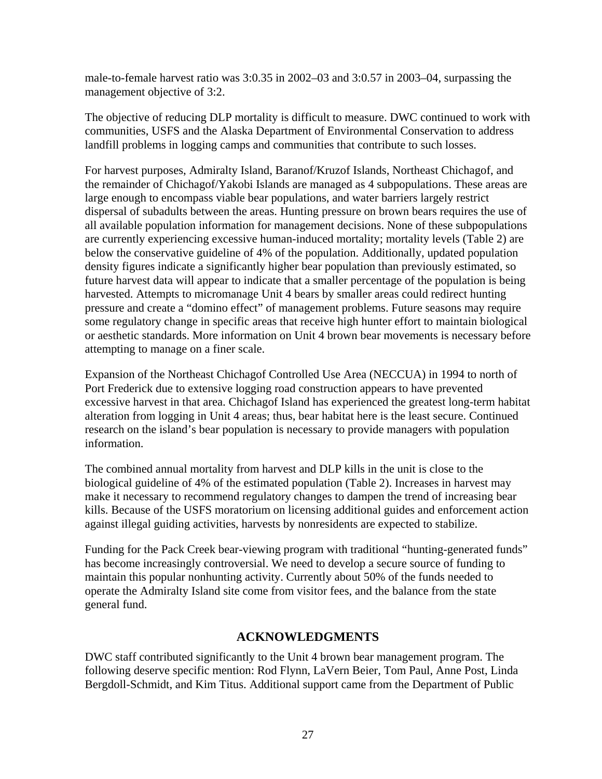male-to-female harvest ratio was 3:0.35 in 2002–03 and 3:0.57 in 2003–04, surpassing the management objective of 3:2.

The objective of reducing DLP mortality is difficult to measure. DWC continued to work with communities, USFS and the Alaska Department of Environmental Conservation to address landfill problems in logging camps and communities that contribute to such losses.

For harvest purposes, Admiralty Island, Baranof/Kruzof Islands, Northeast Chichagof, and the remainder of Chichagof/Yakobi Islands are managed as 4 subpopulations. These areas are large enough to encompass viable bear populations, and water barriers largely restrict dispersal of subadults between the areas. Hunting pressure on brown bears requires the use of all available population information for management decisions. None of these subpopulations are currently experiencing excessive human-induced mortality; mortality levels (Table 2) are below the conservative guideline of 4% of the population. Additionally, updated population density figures indicate a significantly higher bear population than previously estimated, so future harvest data will appear to indicate that a smaller percentage of the population is being harvested. Attempts to micromanage Unit 4 bears by smaller areas could redirect hunting pressure and create a "domino effect" of management problems. Future seasons may require some regulatory change in specific areas that receive high hunter effort to maintain biological or aesthetic standards. More information on Unit 4 brown bear movements is necessary before attempting to manage on a finer scale.

Expansion of the Northeast Chichagof Controlled Use Area (NECCUA) in 1994 to north of Port Frederick due to extensive logging road construction appears to have prevented excessive harvest in that area. Chichagof Island has experienced the greatest long-term habitat alteration from logging in Unit 4 areas; thus, bear habitat here is the least secure. Continued research on the island's bear population is necessary to provide managers with population information.

The combined annual mortality from harvest and DLP kills in the unit is close to the biological guideline of 4% of the estimated population (Table 2). Increases in harvest may make it necessary to recommend regulatory changes to dampen the trend of increasing bear kills. Because of the USFS moratorium on licensing additional guides and enforcement action against illegal guiding activities, harvests by nonresidents are expected to stabilize.

Funding for the Pack Creek bear-viewing program with traditional "hunting-generated funds" has become increasingly controversial. We need to develop a secure source of funding to maintain this popular nonhunting activity. Currently about 50% of the funds needed to operate the Admiralty Island site come from visitor fees, and the balance from the state general fund.

# **ACKNOWLEDGMENTS**

DWC staff contributed significantly to the Unit 4 brown bear management program. The following deserve specific mention: Rod Flynn, LaVern Beier, Tom Paul, Anne Post, Linda Bergdoll-Schmidt, and Kim Titus. Additional support came from the Department of Public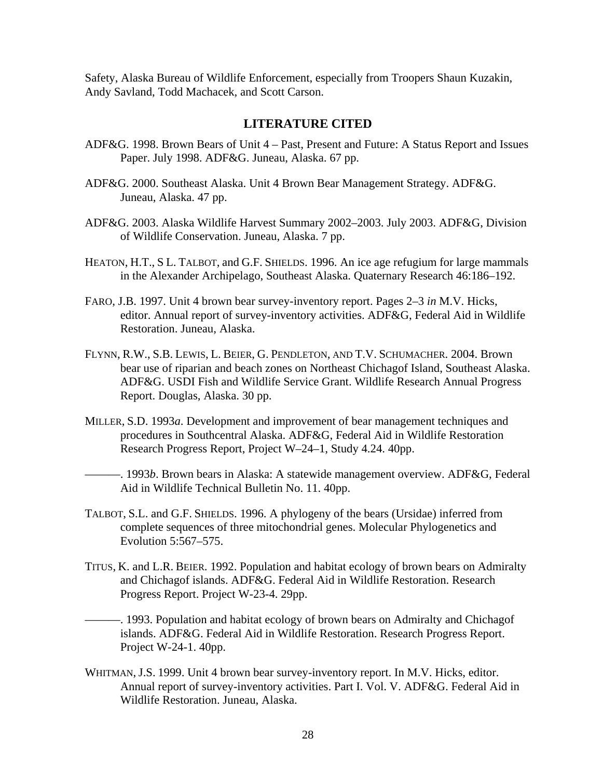Safety, Alaska Bureau of Wildlife Enforcement, especially from Troopers Shaun Kuzakin, Andy Savland, Todd Machacek, and Scott Carson.

### **LITERATURE CITED**

- ADF&G. 1998. Brown Bears of Unit 4 Past, Present and Future: A Status Report and Issues Paper. July 1998. ADF&G. Juneau, Alaska. 67 pp.
- ADF&G. 2000. Southeast Alaska. Unit 4 Brown Bear Management Strategy. ADF&G. Juneau, Alaska. 47 pp.
- ADF&G. 2003. Alaska Wildlife Harvest Summary 2002–2003. July 2003. ADF&G, Division of Wildlife Conservation. Juneau, Alaska. 7 pp.
- HEATON, H.T., S L. TALBOT, and G.F. SHIELDS. 1996. An ice age refugium for large mammals in the Alexander Archipelago, Southeast Alaska. Quaternary Research 46:186–192.
- FARO, J.B. 1997. Unit 4 brown bear survey-inventory report. Pages 2–3 *in* M.V. Hicks, editor. Annual report of survey-inventory activities. ADF&G, Federal Aid in Wildlife Restoration. Juneau, Alaska.
- FLYNN, R.W., S.B. LEWIS, L. BEIER, G. PENDLETON, AND T.V. SCHUMACHER. 2004. Brown bear use of riparian and beach zones on Northeast Chichagof Island, Southeast Alaska. ADF&G. USDI Fish and Wildlife Service Grant. Wildlife Research Annual Progress Report. Douglas, Alaska. 30 pp.
- MILLER, S.D. 1993*a*. Development and improvement of bear management techniques and procedures in Southcentral Alaska. ADF&G, Federal Aid in Wildlife Restoration Research Progress Report, Project W–24–1, Study 4.24. 40pp.

———. 1993*b*. Brown bears in Alaska: A statewide management overview. ADF&G, Federal Aid in Wildlife Technical Bulletin No. 11. 40pp.

- TALBOT, S.L. and G.F. SHIELDS. 1996. A phylogeny of the bears (Ursidae) inferred from complete sequences of three mitochondrial genes. Molecular Phylogenetics and Evolution 5:567–575.
- TITUS, K. and L.R. BEIER. 1992. Population and habitat ecology of brown bears on Admiralty and Chichagof islands. ADF&G. Federal Aid in Wildlife Restoration. Research Progress Report. Project W-23-4. 29pp.

———. 1993. Population and habitat ecology of brown bears on Admiralty and Chichagof islands. ADF&G. Federal Aid in Wildlife Restoration. Research Progress Report. Project W-24-1. 40pp.

WHITMAN, J.S. 1999. Unit 4 brown bear survey-inventory report. In M.V. Hicks, editor. Annual report of survey-inventory activities. Part I. Vol. V. ADF&G. Federal Aid in Wildlife Restoration. Juneau, Alaska.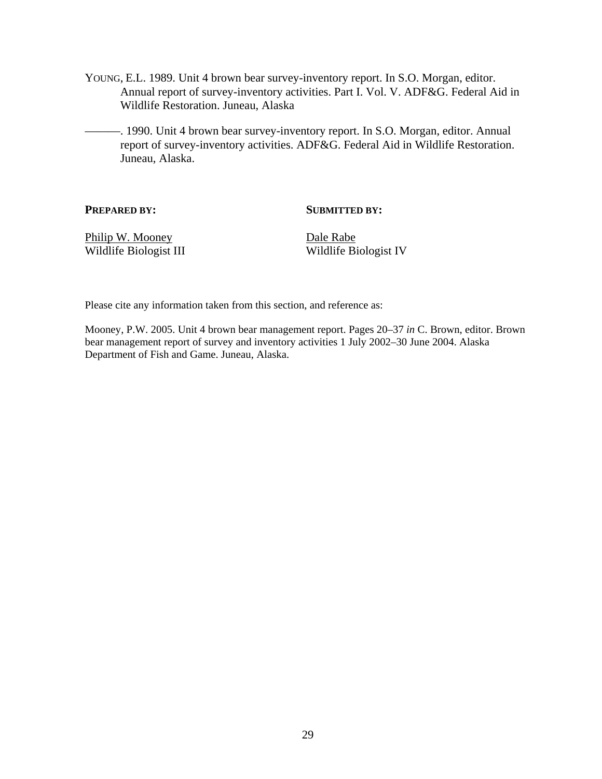- YOUNG, E.L. 1989. Unit 4 brown bear survey-inventory report. In S.O. Morgan, editor. Annual report of survey-inventory activities. Part I. Vol. V. ADF&G. Federal Aid in Wildlife Restoration. Juneau, Alaska
- ———. 1990. Unit 4 brown bear survey-inventory report. In S.O. Morgan, editor. Annual report of survey-inventory activities. ADF&G. Federal Aid in Wildlife Restoration. Juneau, Alaska.

#### **PREPARED BY:** SUBMITTED BY:

Philip W. Mooney Dale Rabe

Wildlife Biologist III Wildlife Biologist IV

Please cite any information taken from this section, and reference as:

Mooney, P.W. 2005. Unit 4 brown bear management report. Pages 20–37 *in* C. Brown, editor. Brown bear management report of survey and inventory activities 1 July 2002–30 June 2004. Alaska Department of Fish and Game. Juneau, Alaska.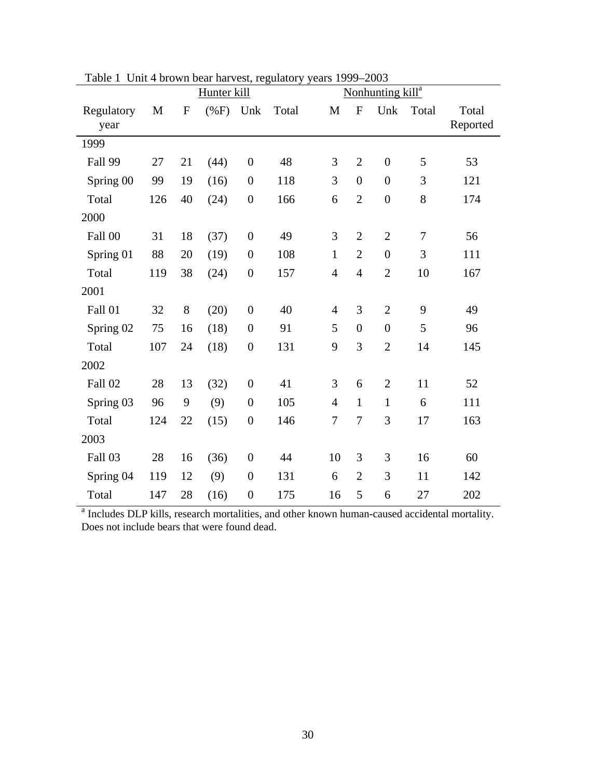| ravit 1            | Officer of other than vest, regulatory years 1777<br>Hunter kill |              |         |                  |       | $-200J$<br>Nonhunting kill <sup>a</sup> |                  |                  |       |                   |
|--------------------|------------------------------------------------------------------|--------------|---------|------------------|-------|-----------------------------------------|------------------|------------------|-------|-------------------|
| Regulatory<br>year | M                                                                | $\mathbf{F}$ | $(\%F)$ | Unk              | Total | $\mathbf M$                             | $\mathbf F$      | Unk              | Total | Total<br>Reported |
| 1999               |                                                                  |              |         |                  |       |                                         |                  |                  |       |                   |
| Fall 99            | 27                                                               | 21           | (44)    | $\boldsymbol{0}$ | 48    | 3                                       | $\overline{2}$   | $\boldsymbol{0}$ | 5     | 53                |
| Spring 00          | 99                                                               | 19           | (16)    | $\boldsymbol{0}$ | 118   | 3                                       | $\boldsymbol{0}$ | $\boldsymbol{0}$ | 3     | 121               |
| Total              | 126                                                              | 40           | (24)    | $\boldsymbol{0}$ | 166   | 6                                       | $\overline{2}$   | $\boldsymbol{0}$ | 8     | 174               |
| 2000               |                                                                  |              |         |                  |       |                                         |                  |                  |       |                   |
| Fall 00            | 31                                                               | 18           | (37)    | $\boldsymbol{0}$ | 49    | 3                                       | $\overline{2}$   | $\overline{2}$   | 7     | 56                |
| Spring 01          | 88                                                               | 20           | (19)    | $\boldsymbol{0}$ | 108   | $\mathbf{1}$                            | $\overline{2}$   | $\boldsymbol{0}$ | 3     | 111               |
| Total              | 119                                                              | 38           | (24)    | $\boldsymbol{0}$ | 157   | $\overline{4}$                          | $\overline{4}$   | $\overline{2}$   | 10    | 167               |
| 2001               |                                                                  |              |         |                  |       |                                         |                  |                  |       |                   |
| Fall 01            | 32                                                               | 8            | (20)    | $\boldsymbol{0}$ | 40    | $\overline{4}$                          | 3                | $\overline{2}$   | 9     | 49                |
| Spring 02          | 75                                                               | 16           | (18)    | $\boldsymbol{0}$ | 91    | 5                                       | $\overline{0}$   | $\boldsymbol{0}$ | 5     | 96                |
| Total              | 107                                                              | 24           | (18)    | $\boldsymbol{0}$ | 131   | 9                                       | 3                | $\overline{2}$   | 14    | 145               |
| 2002               |                                                                  |              |         |                  |       |                                         |                  |                  |       |                   |
| Fall 02            | 28                                                               | 13           | (32)    | $\boldsymbol{0}$ | 41    | 3                                       | 6                | $\overline{2}$   | 11    | 52                |
| Spring 03          | 96                                                               | 9            | (9)     | $\boldsymbol{0}$ | 105   | $\overline{4}$                          | $\mathbf{1}$     | $\mathbf{1}$     | 6     | 111               |
| Total              | 124                                                              | 22           | (15)    | $\boldsymbol{0}$ | 146   | $\tau$                                  | 7                | 3                | 17    | 163               |
| 2003               |                                                                  |              |         |                  |       |                                         |                  |                  |       |                   |
| Fall 03            | 28                                                               | 16           | (36)    | $\boldsymbol{0}$ | 44    | 10                                      | 3                | 3                | 16    | 60                |
| Spring 04          | 119                                                              | 12           | (9)     | $\boldsymbol{0}$ | 131   | 6                                       | $\overline{2}$   | 3                | 11    | 142               |
| Total              | 147                                                              | 28           | (16)    | $\boldsymbol{0}$ | 175   | 16                                      | 5                | 6                | 27    | 202               |

Table 1 Unit 4 brown bear harvest, regulatory years 1999–2003

<sup>a</sup> Includes DLP kills, research mortalities, and other known human-caused accidental mortality. Does not include bears that were found dead.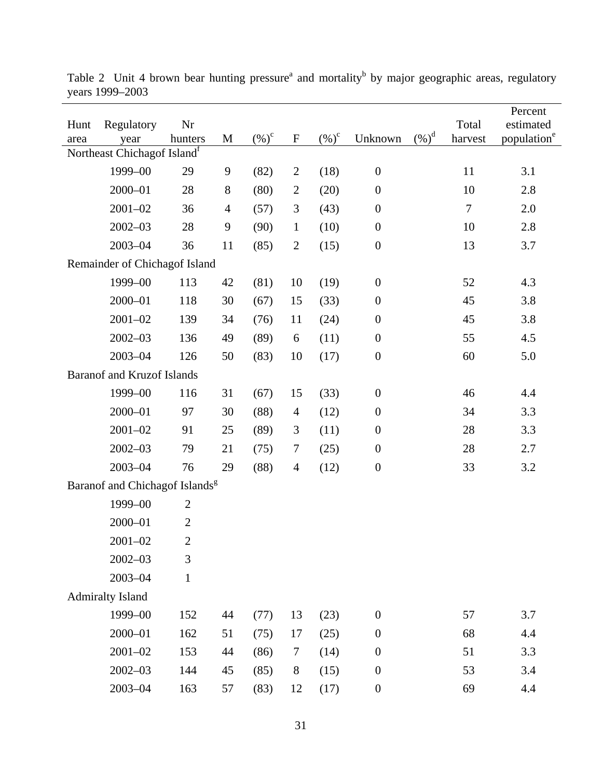| Hunt<br>area                               | Regulatory<br>year                | Nr<br>hunters  | M              | $(\%)^c$ | $\mathbf F$    | $(\%)^c$ | Unknown          | $(%)^d$ | Total<br>harvest | Percent<br>estimated<br>population <sup>e</sup> |
|--------------------------------------------|-----------------------------------|----------------|----------------|----------|----------------|----------|------------------|---------|------------------|-------------------------------------------------|
| Northeast Chichagof Island <sup>f</sup>    |                                   |                |                |          |                |          |                  |         |                  |                                                 |
|                                            | 1999-00                           | 29             | 9              | (82)     | $\overline{2}$ | (18)     | $\boldsymbol{0}$ |         | 11               | 3.1                                             |
|                                            | $2000 - 01$                       | 28             | $8\,$          | (80)     | $\overline{2}$ | (20)     | $\boldsymbol{0}$ |         | 10               | 2.8                                             |
|                                            | $2001 - 02$                       | 36             | $\overline{4}$ | (57)     | $\mathfrak{Z}$ | (43)     | $\boldsymbol{0}$ |         | $\tau$           | 2.0                                             |
|                                            | $2002 - 03$                       | 28             | 9              | (90)     | $\mathbf{1}$   | (10)     | $\boldsymbol{0}$ |         | 10               | 2.8                                             |
|                                            | $2003 - 04$                       | 36             | 11             | (85)     | $\overline{2}$ | (15)     | $\boldsymbol{0}$ |         | 13               | 3.7                                             |
| Remainder of Chichagof Island              |                                   |                |                |          |                |          |                  |         |                  |                                                 |
|                                            | 1999-00                           | 113            | 42             | (81)     | 10             | (19)     | $\boldsymbol{0}$ |         | 52               | 4.3                                             |
|                                            | $2000 - 01$                       | 118            | 30             | (67)     | 15             | (33)     | $\boldsymbol{0}$ |         | 45               | 3.8                                             |
|                                            | $2001 - 02$                       | 139            | 34             | (76)     | 11             | (24)     | $\boldsymbol{0}$ |         | 45               | 3.8                                             |
|                                            | $2002 - 03$                       | 136            | 49             | (89)     | 6              | (11)     | $\boldsymbol{0}$ |         | 55               | 4.5                                             |
|                                            | $2003 - 04$                       | 126            | 50             | (83)     | 10             | (17)     | $\boldsymbol{0}$ |         | 60               | 5.0                                             |
|                                            | <b>Baranof and Kruzof Islands</b> |                |                |          |                |          |                  |         |                  |                                                 |
|                                            | 1999-00                           | 116            | 31             | (67)     | 15             | (33)     | $\boldsymbol{0}$ |         | 46               | 4.4                                             |
|                                            | $2000 - 01$                       | 97             | 30             | (88)     | $\overline{4}$ | (12)     | $\boldsymbol{0}$ |         | 34               | 3.3                                             |
|                                            | $2001 - 02$                       | 91             | 25             | (89)     | $\mathfrak{Z}$ | (11)     | $\boldsymbol{0}$ |         | 28               | 3.3                                             |
|                                            | $2002 - 03$                       | 79             | 21             | (75)     | $\tau$         | (25)     | $\boldsymbol{0}$ |         | 28               | 2.7                                             |
|                                            | $2003 - 04$                       | 76             | 29             | (88)     | $\overline{4}$ | (12)     | $\boldsymbol{0}$ |         | 33               | 3.2                                             |
| Baranof and Chichagof Islands <sup>g</sup> |                                   |                |                |          |                |          |                  |         |                  |                                                 |
|                                            | 1999-00                           | $\overline{2}$ |                |          |                |          |                  |         |                  |                                                 |
|                                            | 2000-01                           | $\overline{2}$ |                |          |                |          |                  |         |                  |                                                 |
|                                            | $2001 - 02$                       | $\overline{2}$ |                |          |                |          |                  |         |                  |                                                 |
|                                            | $2002 - 03$                       | 3              |                |          |                |          |                  |         |                  |                                                 |
|                                            | $2003 - 04$                       | $\mathbf{1}$   |                |          |                |          |                  |         |                  |                                                 |
| <b>Admiralty Island</b>                    |                                   |                |                |          |                |          |                  |         |                  |                                                 |
|                                            | 1999-00                           | 152            | 44             | (77)     | 13             | (23)     | $\boldsymbol{0}$ |         | 57               | 3.7                                             |
|                                            | $2000 - 01$                       | 162            | 51             | (75)     | 17             | (25)     | $\boldsymbol{0}$ |         | 68               | 4.4                                             |
|                                            | $2001 - 02$                       | 153            | 44             | (86)     | $\tau$         | (14)     | $\boldsymbol{0}$ |         | 51               | 3.3                                             |
|                                            | $2002 - 03$                       | 144            | 45             | (85)     | 8              | (15)     | $\boldsymbol{0}$ |         | 53               | 3.4                                             |
|                                            | $2003 - 04$                       | 163            | 57             | (83)     | 12             | (17)     | $\boldsymbol{0}$ |         | 69               | 4.4                                             |

Table 2 Unit 4 brown bear hunting pressure<sup>a</sup> and mortality<sup>b</sup> by major geographic areas, regulatory years 1999–2003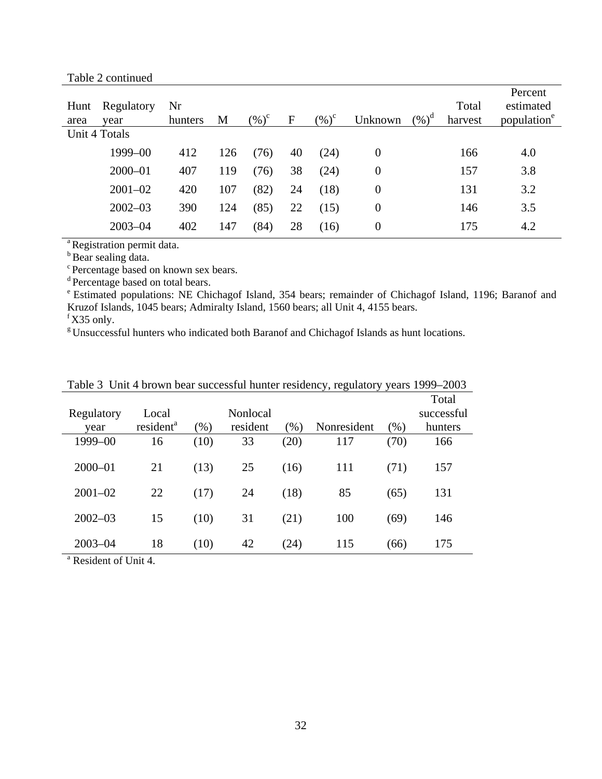| Hunt<br>area | Regulatory<br>vear | Nr<br>hunters | M   | $(\%)^c$ | $\mathbf F$ | $(\%)^c$ | Unknown        | $(%)^d$ | Total<br>harvest | Percent<br>estimated<br>population <sup>e</sup> |
|--------------|--------------------|---------------|-----|----------|-------------|----------|----------------|---------|------------------|-------------------------------------------------|
|              | Unit 4 Totals      |               |     |          |             |          |                |         |                  |                                                 |
|              | 1999-00            | 412           | 126 | (76)     | 40          | (24)     | $\overline{0}$ |         | 166              | 4.0                                             |
|              | $2000 - 01$        | 407           | 119 | (76)     | 38          | (24)     | 0              |         | 157              | 3.8                                             |
|              | $2001 - 02$        | 420           | 107 | (82)     | 24          | (18)     | 0              |         | 131              | 3.2                                             |
|              | $2002 - 03$        | 390           | 124 | (85)     | 22          | (15)     | 0              |         | 146              | 3.5                                             |
|              | $2003 - 04$        | 402           | 147 | (84)     | 28          | (16)     | 0              |         | 175              | 4.2                                             |
|              |                    |               |     |          |             |          |                |         |                  |                                                 |

<sup>a</sup> Registration permit data.

**b** Bear sealing data.

c Percentage based on known sex bears.

<sup>d</sup> Percentage based on total bears.

e Estimated populations: NE Chichagof Island, 354 bears; remainder of Chichagof Island, 1196; Baranof and Kruzof Islands, 1045 bears; Admiralty Island, 1560 bears; all Unit 4, 4155 bears.

 $f$  X35 only.

<sup>g</sup> Unsuccessful hunters who indicated both Baranof and Chichagof Islands as hunt locations.

|             |                       |        |          |        |             |      | Total      |
|-------------|-----------------------|--------|----------|--------|-------------|------|------------|
| Regulatory  | Local                 |        | Nonlocal |        |             |      | successful |
| year        | resident <sup>a</sup> | $(\%)$ | resident | $(\%)$ | Nonresident | (% ) | hunters    |
| 1999-00     | 16                    | (10)   | 33       | (20)   | 117         | (70) | 166        |
| $2000 - 01$ | 21                    | (13)   | 25       | (16)   | 111         | (71) | 157        |
| $2001 - 02$ | 22                    | (17)   | 24       | (18)   | 85          | (65) | 131        |
| $2002 - 03$ | 15                    | (10)   | 31       | (21)   | 100         | (69) | 146        |
| $2003 - 04$ | 18                    | (10)   | 42       | (24)   | 115         | (66) | 175        |

Table 3 Unit 4 brown bear successful hunter residency, regulatory years 1999–2003

<sup>a</sup> Resident of Unit 4.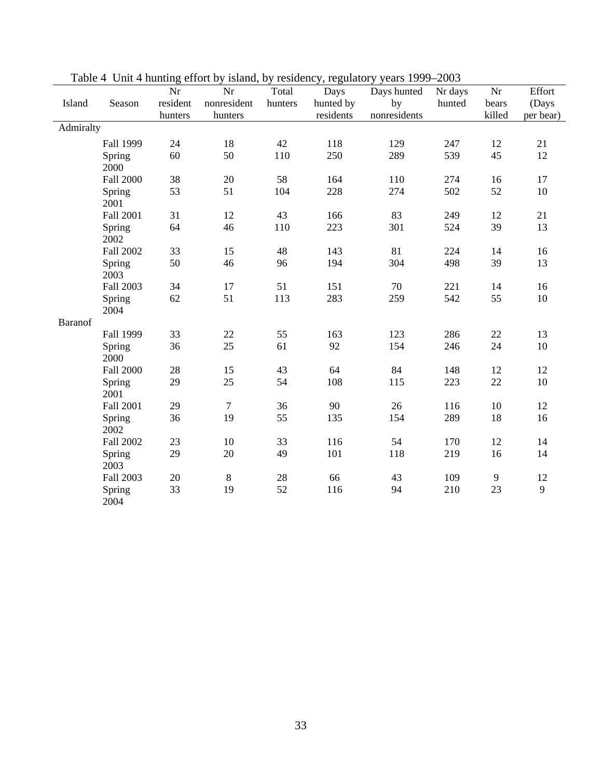|                |                  | 0<br>Nr  | Nr             | Total   | -0-<br>Days | Days hunted  | Nr days | Nr     | Effort    |
|----------------|------------------|----------|----------------|---------|-------------|--------------|---------|--------|-----------|
| Island         | Season           | resident | nonresident    | hunters | hunted by   | by           | hunted  | bears  | (Days     |
|                |                  | hunters  | hunters        |         | residents   | nonresidents |         | killed | per bear) |
| Admiralty      |                  |          |                |         |             |              |         |        |           |
|                | Fall 1999        | 24       | 18             | 42      | 118         | 129          | 247     | 12     | 21        |
|                | Spring<br>2000   | 60       | 50             | 110     | 250         | 289          | 539     | 45     | 12        |
|                | <b>Fall 2000</b> | 38       | 20             | 58      | 164         | 110          | 274     | 16     | 17        |
|                | Spring<br>2001   | 53       | 51             | 104     | 228         | 274          | 502     | 52     | $10\,$    |
|                | Fall 2001        | 31       | 12             | 43      | 166         | 83           | 249     | 12     | 21        |
|                | Spring<br>2002   | 64       | 46             | 110     | 223         | 301          | 524     | 39     | 13        |
|                | Fall 2002        | 33       | 15             | 48      | 143         | 81           | 224     | 14     | 16        |
|                | Spring<br>2003   | 50       | 46             | 96      | 194         | 304          | 498     | 39     | 13        |
|                | Fall 2003        | 34       | 17             | 51      | 151         | 70           | 221     | 14     | 16        |
|                | Spring<br>2004   | 62       | 51             | 113     | 283         | 259          | 542     | 55     | 10        |
| <b>Baranof</b> |                  |          |                |         |             |              |         |        |           |
|                | Fall 1999        | 33       | 22             | 55      | 163         | 123          | 286     | 22     | 13        |
|                | Spring<br>2000   | 36       | 25             | 61      | 92          | 154          | 246     | 24     | 10        |
|                | <b>Fall 2000</b> | 28       | 15             | 43      | 64          | 84           | 148     | 12     | 12        |
|                | Spring<br>2001   | 29       | 25             | 54      | 108         | 115          | 223     | 22     | $10\,$    |
|                | Fall 2001        | 29       | $\overline{7}$ | 36      | 90          | 26           | 116     | 10     | 12        |
|                | Spring<br>2002   | 36       | 19             | 55      | 135         | 154          | 289     | 18     | 16        |
|                | Fall 2002        | 23       | 10             | 33      | 116         | 54           | 170     | 12     | 14        |
|                | Spring<br>2003   | 29       | 20             | 49      | 101         | 118          | 219     | 16     | 14        |
|                | Fall 2003        | 20       | $8\,$          | 28      | 66          | 43           | 109     | 9      | 12        |
|                | Spring<br>2004   | 33       | 19             | 52      | 116         | 94           | 210     | 23     | 9         |

Table 4 Unit 4 hunting effort by island, by residency, regulatory years 1999–2003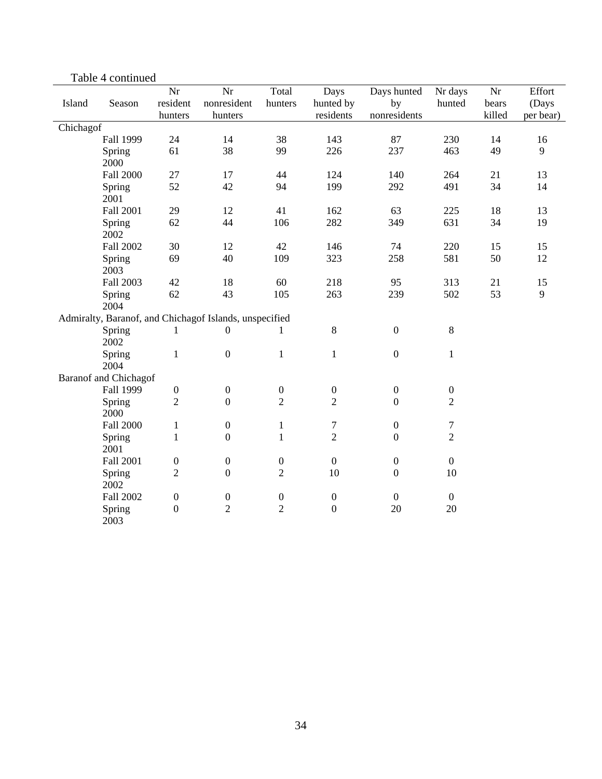|           |                              | Nr               | Nr                                                     | Total                              | Days                             | Days hunted      | Nr days          | Nr     | Effort    |
|-----------|------------------------------|------------------|--------------------------------------------------------|------------------------------------|----------------------------------|------------------|------------------|--------|-----------|
| Island    | Season                       | resident         | nonresident                                            | hunters                            | hunted by                        | by               | hunted           | bears  | (Days     |
|           |                              | hunters          | hunters                                                |                                    | residents                        | nonresidents     |                  | killed | per bear) |
| Chichagof |                              |                  |                                                        |                                    |                                  |                  |                  |        |           |
|           | Fall 1999                    | 24               | 14                                                     | 38                                 | 143                              | 87               | 230              | 14     | 16        |
|           | Spring                       | 61               | 38                                                     | 99                                 | 226                              | 237              | 463              | 49     | 9         |
|           | 2000                         |                  |                                                        |                                    |                                  |                  |                  |        |           |
|           | <b>Fall 2000</b>             | 27               | 17                                                     | 44                                 | 124                              | 140              | 264              | 21     | 13        |
|           | Spring                       | 52               | 42                                                     | 94                                 | 199                              | 292              | 491              | 34     | 14        |
|           | 2001                         |                  |                                                        |                                    |                                  |                  |                  |        |           |
|           | Fall 2001                    | 29               | 12                                                     | 41                                 | 162                              | 63               | 225              | 18     | 13        |
|           | Spring                       | 62               | 44                                                     | 106                                | 282                              | 349              | 631              | 34     | 19        |
|           | 2002                         |                  |                                                        |                                    |                                  |                  |                  |        |           |
|           | Fall 2002                    | 30               | 12                                                     | 42                                 | 146                              | 74               | 220              | 15     | 15        |
|           | Spring                       | 69               | 40                                                     | 109                                | 323                              | 258              | 581              | 50     | 12        |
|           | 2003                         |                  |                                                        |                                    |                                  |                  |                  |        |           |
|           | Fall 2003                    | 42               | 18                                                     | 60                                 | 218                              | 95               | 313              | 21     | 15        |
|           | Spring                       | 62               | 43                                                     | 105                                | 263                              | 239              | 502              | 53     | 9         |
|           | 2004                         |                  |                                                        |                                    |                                  |                  |                  |        |           |
|           |                              |                  | Admiralty, Baranof, and Chichagof Islands, unspecified |                                    |                                  |                  |                  |        |           |
|           | Spring                       | $\mathbf{1}$     | $\boldsymbol{0}$                                       | $\mathbf{1}$                       | $\,8\,$                          | $\boldsymbol{0}$ | $\,8\,$          |        |           |
|           | 2002                         |                  |                                                        |                                    |                                  |                  |                  |        |           |
|           | Spring                       | $\mathbf{1}$     | $\boldsymbol{0}$                                       | $\mathbf{1}$                       | $\mathbf{1}$                     | $\boldsymbol{0}$ | $\mathbf{1}$     |        |           |
|           | 2004                         |                  |                                                        |                                    |                                  |                  |                  |        |           |
|           | <b>Baranof and Chichagof</b> |                  |                                                        |                                    |                                  |                  |                  |        |           |
|           | Fall 1999                    | $\boldsymbol{0}$ | $\boldsymbol{0}$                                       | $\boldsymbol{0}$                   | $\boldsymbol{0}$                 | $\boldsymbol{0}$ | $\boldsymbol{0}$ |        |           |
|           | Spring                       | $\mathbf{2}$     | $\mathbf{0}$                                           | $\overline{2}$                     | $\overline{2}$                   | $\boldsymbol{0}$ | $\overline{2}$   |        |           |
|           | 2000                         |                  |                                                        |                                    |                                  |                  |                  |        |           |
|           | Fall 2000                    | $\mathbf{1}$     | $\boldsymbol{0}$                                       | $\mathbf{1}$                       | $\boldsymbol{7}$                 | $\boldsymbol{0}$ | $\tau$           |        |           |
|           | Spring                       | $\mathbf{1}$     | $\boldsymbol{0}$                                       | $\mathbf{1}$                       | $\overline{2}$                   | $\boldsymbol{0}$ | $\overline{2}$   |        |           |
|           | 2001                         |                  |                                                        |                                    |                                  |                  |                  |        |           |
|           | Fall 2001                    | $\boldsymbol{0}$ | $\boldsymbol{0}$                                       | $\boldsymbol{0}$                   | $\boldsymbol{0}$                 | $\boldsymbol{0}$ | $\boldsymbol{0}$ |        |           |
|           | Spring                       | $\overline{2}$   | $\boldsymbol{0}$                                       | $\overline{2}$                     | 10                               | $\boldsymbol{0}$ | 10               |        |           |
|           | 2002                         |                  |                                                        |                                    |                                  |                  |                  |        |           |
|           | Fall 2002                    | $\boldsymbol{0}$ | $\boldsymbol{0}$<br>$\overline{2}$                     | $\boldsymbol{0}$<br>$\overline{2}$ | $\boldsymbol{0}$<br>$\mathbf{0}$ | $\boldsymbol{0}$ | $\boldsymbol{0}$ |        |           |
|           | Spring<br>2003               | $\boldsymbol{0}$ |                                                        |                                    |                                  | 20               | 20               |        |           |

Table 4 continued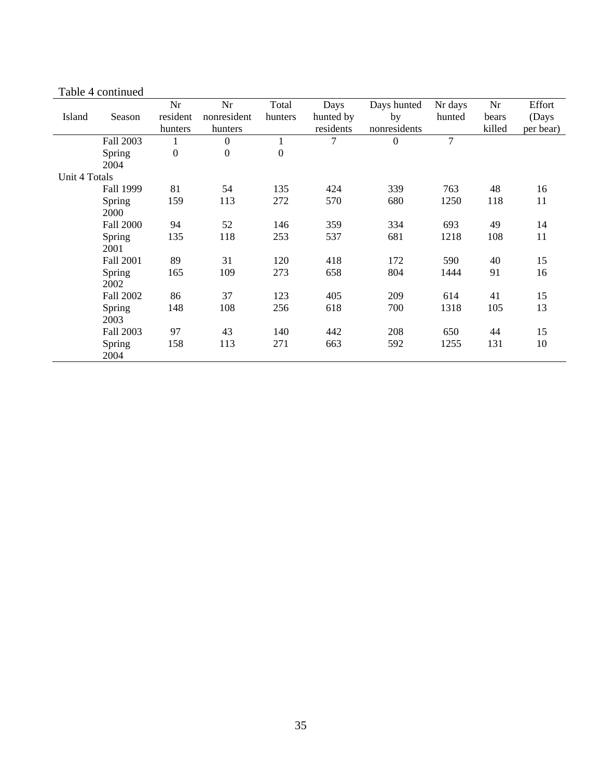|               |               | Nr               | Nr               | Total   | Days           | Days hunted    | Nr days | Nr     | Effort    |
|---------------|---------------|------------------|------------------|---------|----------------|----------------|---------|--------|-----------|
| Island        | Season        | resident         | nonresident      | hunters | hunted by      | by             | hunted  | bears  | (Days     |
|               |               | hunters          | hunters          |         | residents      | nonresidents   |         | killed | per bear) |
|               | Fall 2003     |                  | $\boldsymbol{0}$ |         | $\overline{7}$ | $\overline{0}$ | $\tau$  |        |           |
|               | Spring        | $\boldsymbol{0}$ | $\boldsymbol{0}$ | 0       |                |                |         |        |           |
|               | 2004          |                  |                  |         |                |                |         |        |           |
| Unit 4 Totals |               |                  |                  |         |                |                |         |        |           |
|               | Fall 1999     | 81               | 54               | 135     | 424            | 339            | 763     | 48     | 16        |
|               | <b>Spring</b> | 159              | 113              | 272     | 570            | 680            | 1250    | 118    | 11        |
|               | 2000          |                  |                  |         |                |                |         |        |           |
|               | Fall 2000     | 94               | 52               | 146     | 359            | 334            | 693     | 49     | 14        |
|               | Spring        | 135              | 118              | 253     | 537            | 681            | 1218    | 108    | 11        |
|               | 2001          |                  |                  |         |                |                |         |        |           |
|               | Fall 2001     | 89               | 31               | 120     | 418            | 172            | 590     | 40     | 15        |
|               | Spring        | 165              | 109              | 273     | 658            | 804            | 1444    | 91     | 16        |
|               | 2002          |                  |                  |         |                |                |         |        |           |
|               | Fall 2002     | 86               | 37               | 123     | 405            | 209            | 614     | 41     | 15        |
|               | Spring        | 148              | 108              | 256     | 618            | 700            | 1318    | 105    | 13        |
|               | 2003          |                  |                  |         |                |                |         |        |           |
|               | Fall 2003     | 97               | 43               | 140     | 442            | 208            | 650     | 44     | 15        |
|               | Spring        | 158              | 113              | 271     | 663            | 592            | 1255    | 131    | 10        |
|               | 2004          |                  |                  |         |                |                |         |        |           |

#### Table 4 continued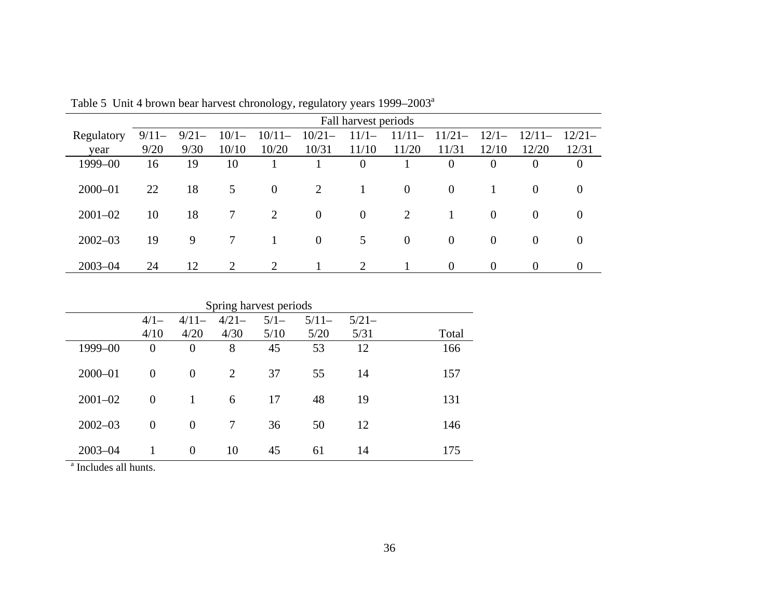|             |         | Fall harvest periods |         |                |                |                |                |          |          |                |                |  |  |  |
|-------------|---------|----------------------|---------|----------------|----------------|----------------|----------------|----------|----------|----------------|----------------|--|--|--|
| Regulatory  | $9/11-$ | $9/21-$              | $10/1-$ | $10/11-$       | $10/21-$       | $11/1-$        | $11/11-$       | $11/21-$ | $12/1-$  | $12/11-$       | $12/21-$       |  |  |  |
| year        | 9/20    | 9/30                 | 10/10   | 10/20          | 10/31          | 11/10          | 11/20          | 11/31    | 12/10    | 12/20          | 12/31          |  |  |  |
| 1999-00     | 16      | 19                   | 10      |                |                | $\theta$       |                | $\theta$ | $\Omega$ | $\theta$       | $\overline{0}$ |  |  |  |
|             |         |                      |         |                |                |                |                |          |          |                |                |  |  |  |
| $2000 - 01$ | 22      | 18                   | 5       | $\overline{0}$ | 2              | 1              | $\overline{0}$ | $\theta$ |          | $\theta$       | $\theta$       |  |  |  |
|             |         |                      |         |                |                |                |                |          |          |                |                |  |  |  |
| $2001 - 02$ | 10      | 18                   | $\tau$  | 2              | $\overline{0}$ | $\overline{0}$ | 2              |          | $\theta$ | $\overline{0}$ | $\theta$       |  |  |  |
|             |         |                      |         |                |                |                |                |          |          |                |                |  |  |  |
| $2002 - 03$ | 19      | 9                    | 7       |                | $\overline{0}$ | 5              | $\mathbf{0}$   | $\theta$ | $\theta$ | $\theta$       | $\theta$       |  |  |  |
| $2003 - 04$ | 24      | 12                   | 2       | 2              |                | 2              |                | $\theta$ | $\theta$ | $\theta$       | $\theta$       |  |  |  |

Table 5 Unit 4 brown bear harvest chronology, regulatory years 1999–2003a

|             | Spring harvest periods |                |         |        |         |         |       |  |  |  |  |  |
|-------------|------------------------|----------------|---------|--------|---------|---------|-------|--|--|--|--|--|
|             | $4/1-$                 | $4/11-$        | $4/21-$ | $5/1-$ | $5/11-$ | $5/21-$ |       |  |  |  |  |  |
|             | 4/10                   | 4/20           | 4/30    | 5/10   | 5/20    | 5/31    | Total |  |  |  |  |  |
| 1999-00     | $\theta$               | $\overline{0}$ | 8       | 45     | 53      | 12      | 166   |  |  |  |  |  |
| $2000 - 01$ | $\theta$               | $\overline{0}$ | 2       | 37     | 55      | 14      | 157   |  |  |  |  |  |
| $2001 - 02$ | $\theta$               | $\mathbf{1}$   | 6       | 17     | 48      | 19      | 131   |  |  |  |  |  |
| $2002 - 03$ | $\theta$               | $\mathbf{0}$   | 7       | 36     | 50      | 12      | 146   |  |  |  |  |  |
| $2003 - 04$ |                        | $\theta$       | 10      | 45     | 61      | 14      | 175   |  |  |  |  |  |

<sup>a</sup> Includes all hunts.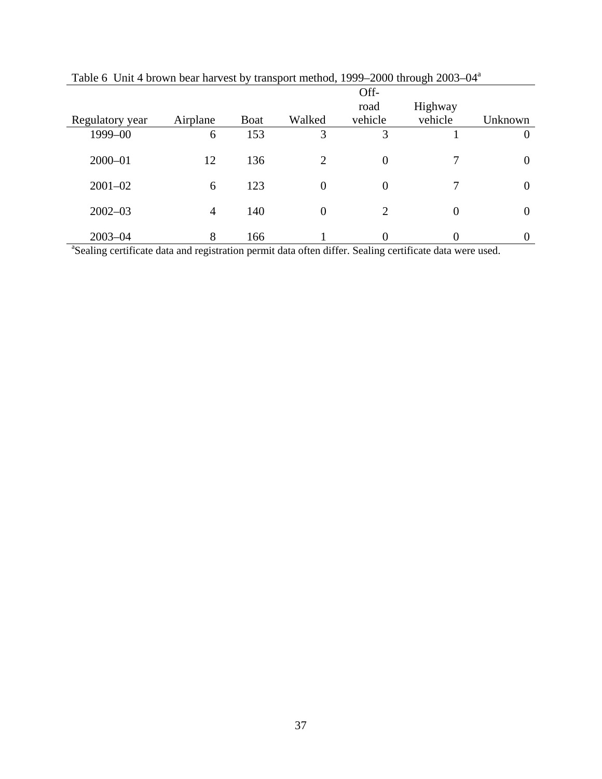|                                                                                                                      |          |             |                | Off-           |         |         |
|----------------------------------------------------------------------------------------------------------------------|----------|-------------|----------------|----------------|---------|---------|
|                                                                                                                      |          |             |                | road           | Highway |         |
| Regulatory year                                                                                                      | Airplane | <b>Boat</b> | Walked         | vehicle        | vehicle | Unknown |
| 1999-00                                                                                                              | 6        | 153         | 3              | 3              |         |         |
| $2000 - 01$                                                                                                          | 12       | 136         | $\overline{2}$ | $\overline{0}$ |         |         |
| $2001 - 02$                                                                                                          | 6        | 123         | $\Omega$       | $\theta$       |         |         |
| $2002 - 03$                                                                                                          | 4        | 140         | $\Omega$       | 2              | 0       |         |
| $2003 - 04$                                                                                                          | 8        | 166         |                | $\Omega$       |         |         |
| <sup>a</sup> Sealing certificate data and registration permit data often differ. Sealing certificate data were used. |          |             |                |                |         |         |

Table 6 Unit 4 brown bear harvest by transport method, 1999–2000 through 2003–04<sup>a</sup>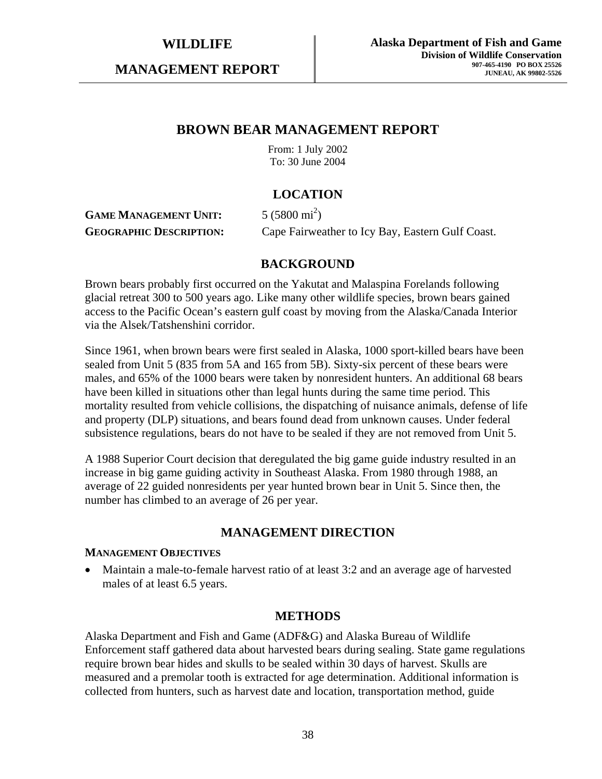**MANAGEMENT REPORT** 

# **BROWN BEAR MANAGEMENT REPORT**

From: 1 July 2002 To: 30 June 2004

## **LOCATION**

#### **GAME MANAGEMENT UNIT:** 5 (5800 mi<sup>2</sup>) **GEOGRAPHIC DESCRIPTION:** Cape Fairweather to Icy Bay, Eastern Gulf Coast.

## **BACKGROUND**

Brown bears probably first occurred on the Yakutat and Malaspina Forelands following glacial retreat 300 to 500 years ago. Like many other wildlife species, brown bears gained access to the Pacific Ocean's eastern gulf coast by moving from the Alaska/Canada Interior via the Alsek/Tatshenshini corridor.

Since 1961, when brown bears were first sealed in Alaska, 1000 sport-killed bears have been sealed from Unit 5 (835 from 5A and 165 from 5B). Sixty-six percent of these bears were males, and 65% of the 1000 bears were taken by nonresident hunters. An additional 68 bears have been killed in situations other than legal hunts during the same time period. This mortality resulted from vehicle collisions, the dispatching of nuisance animals, defense of life and property (DLP) situations, and bears found dead from unknown causes. Under federal subsistence regulations, bears do not have to be sealed if they are not removed from Unit 5.

A 1988 Superior Court decision that deregulated the big game guide industry resulted in an increase in big game guiding activity in Southeast Alaska. From 1980 through 1988, an average of 22 guided nonresidents per year hunted brown bear in Unit 5. Since then, the number has climbed to an average of 26 per year.

## **MANAGEMENT DIRECTION**

#### **MANAGEMENT OBJECTIVES**

• Maintain a male-to-female harvest ratio of at least 3:2 and an average age of harvested males of at least 6.5 years.

## **METHODS**

Alaska Department and Fish and Game (ADF&G) and Alaska Bureau of Wildlife Enforcement staff gathered data about harvested bears during sealing. State game regulations require brown bear hides and skulls to be sealed within 30 days of harvest. Skulls are measured and a premolar tooth is extracted for age determination. Additional information is collected from hunters, such as harvest date and location, transportation method, guide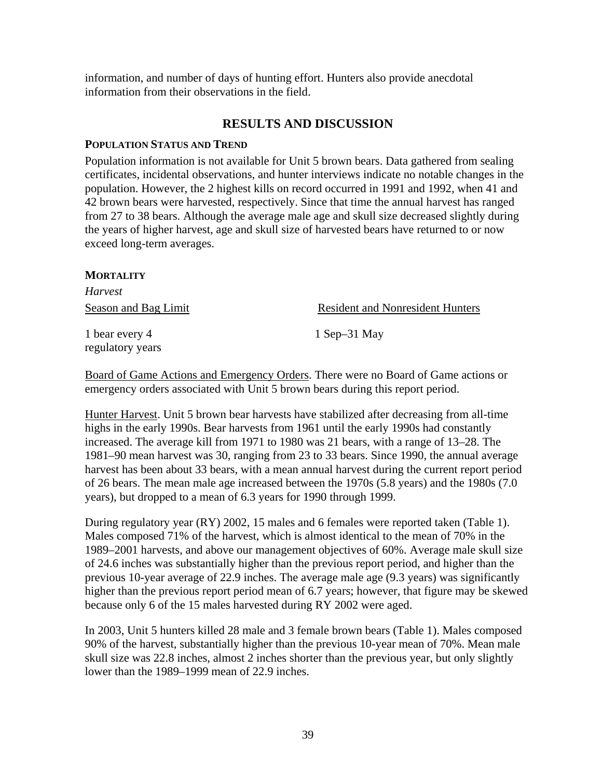information, and number of days of hunting effort. Hunters also provide anecdotal information from their observations in the field.

## **RESULTS AND DISCUSSION**

#### **POPULATION STATUS AND TREND**

Population information is not available for Unit 5 brown bears. Data gathered from sealing certificates, incidental observations, and hunter interviews indicate no notable changes in the population. However, the 2 highest kills on record occurred in 1991 and 1992, when 41 and 42 brown bears were harvested, respectively. Since that time the annual harvest has ranged from 27 to 38 bears. Although the average male age and skull size decreased slightly during the years of higher harvest, age and skull size of harvested bears have returned to or now exceed long-term averages.

#### **MORTALITY**

| <i>Harvest</i>                     |                                         |
|------------------------------------|-----------------------------------------|
| <b>Season and Bag Limit</b>        | <b>Resident and Nonresident Hunters</b> |
| 1 bear every 4<br>regulatory years | $1$ Sep $-31$ May                       |

Board of Game Actions and Emergency Orders. There were no Board of Game actions or emergency orders associated with Unit 5 brown bears during this report period.

Hunter Harvest. Unit 5 brown bear harvests have stabilized after decreasing from all-time highs in the early 1990s. Bear harvests from 1961 until the early 1990s had constantly increased. The average kill from 1971 to 1980 was 21 bears, with a range of 13–28. The 1981–90 mean harvest was 30, ranging from 23 to 33 bears. Since 1990, the annual average harvest has been about 33 bears, with a mean annual harvest during the current report period of 26 bears. The mean male age increased between the 1970s (5.8 years) and the 1980s (7.0 years), but dropped to a mean of 6.3 years for 1990 through 1999.

During regulatory year (RY) 2002, 15 males and 6 females were reported taken (Table 1). Males composed 71% of the harvest, which is almost identical to the mean of 70% in the 1989–2001 harvests, and above our management objectives of 60%. Average male skull size of 24.6 inches was substantially higher than the previous report period, and higher than the previous 10-year average of 22.9 inches. The average male age (9.3 years) was significantly higher than the previous report period mean of 6.7 years; however, that figure may be skewed because only 6 of the 15 males harvested during RY 2002 were aged.

In 2003, Unit 5 hunters killed 28 male and 3 female brown bears (Table 1). Males composed 90% of the harvest, substantially higher than the previous 10-year mean of 70%. Mean male skull size was 22.8 inches, almost 2 inches shorter than the previous year, but only slightly lower than the 1989–1999 mean of 22.9 inches.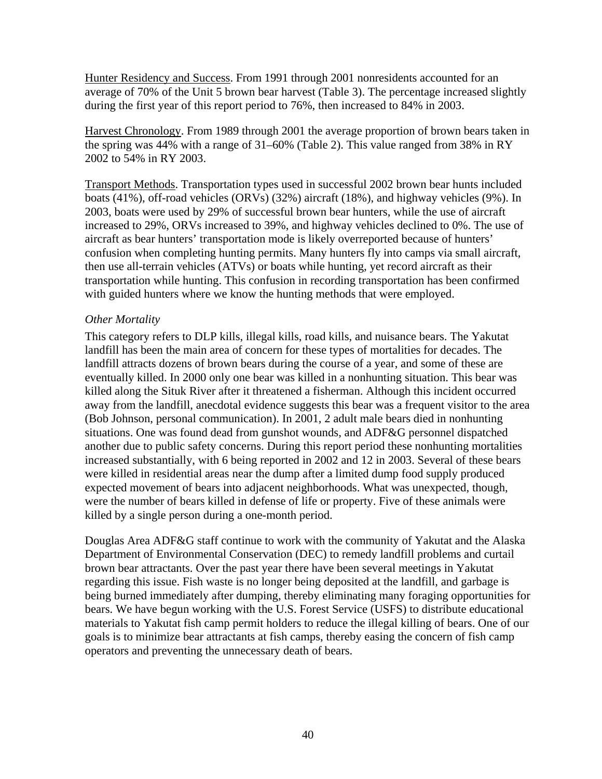Hunter Residency and Success. From 1991 through 2001 nonresidents accounted for an average of 70% of the Unit 5 brown bear harvest (Table 3). The percentage increased slightly during the first year of this report period to 76%, then increased to 84% in 2003.

Harvest Chronology. From 1989 through 2001 the average proportion of brown bears taken in the spring was 44% with a range of 31–60% (Table 2). This value ranged from 38% in RY 2002 to 54% in RY 2003.

Transport Methods. Transportation types used in successful 2002 brown bear hunts included boats (41%), off-road vehicles (ORVs) (32%) aircraft (18%), and highway vehicles (9%). In 2003, boats were used by 29% of successful brown bear hunters, while the use of aircraft increased to 29%, ORVs increased to 39%, and highway vehicles declined to 0%. The use of aircraft as bear hunters' transportation mode is likely overreported because of hunters' confusion when completing hunting permits. Many hunters fly into camps via small aircraft, then use all-terrain vehicles (ATVs) or boats while hunting, yet record aircraft as their transportation while hunting. This confusion in recording transportation has been confirmed with guided hunters where we know the hunting methods that were employed.

#### *Other Mortality*

This category refers to DLP kills, illegal kills, road kills, and nuisance bears. The Yakutat landfill has been the main area of concern for these types of mortalities for decades. The landfill attracts dozens of brown bears during the course of a year, and some of these are eventually killed. In 2000 only one bear was killed in a nonhunting situation. This bear was killed along the Situk River after it threatened a fisherman. Although this incident occurred away from the landfill, anecdotal evidence suggests this bear was a frequent visitor to the area (Bob Johnson, personal communication). In 2001, 2 adult male bears died in nonhunting situations. One was found dead from gunshot wounds, and ADF&G personnel dispatched another due to public safety concerns. During this report period these nonhunting mortalities increased substantially, with 6 being reported in 2002 and 12 in 2003. Several of these bears were killed in residential areas near the dump after a limited dump food supply produced expected movement of bears into adjacent neighborhoods. What was unexpected, though, were the number of bears killed in defense of life or property. Five of these animals were killed by a single person during a one-month period.

Douglas Area ADF&G staff continue to work with the community of Yakutat and the Alaska Department of Environmental Conservation (DEC) to remedy landfill problems and curtail brown bear attractants. Over the past year there have been several meetings in Yakutat regarding this issue. Fish waste is no longer being deposited at the landfill, and garbage is being burned immediately after dumping, thereby eliminating many foraging opportunities for bears. We have begun working with the U.S. Forest Service (USFS) to distribute educational materials to Yakutat fish camp permit holders to reduce the illegal killing of bears. One of our goals is to minimize bear attractants at fish camps, thereby easing the concern of fish camp operators and preventing the unnecessary death of bears.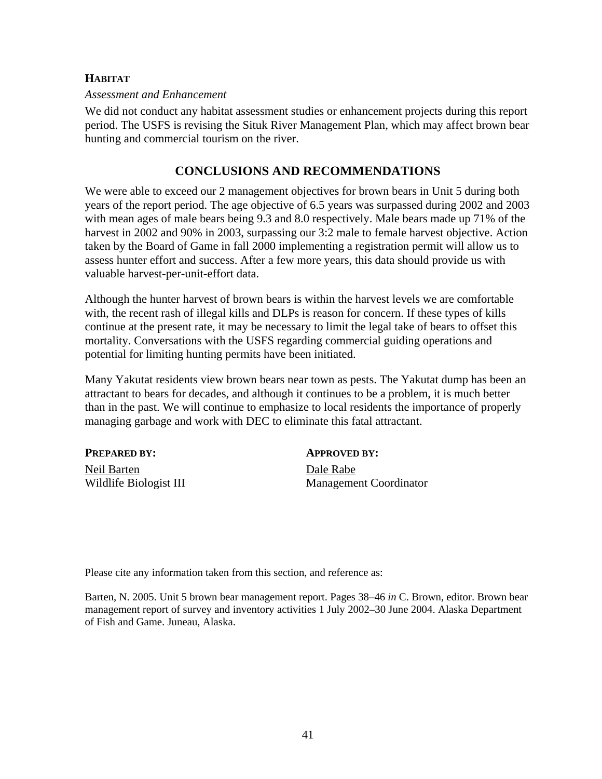### **HABITAT**

#### *Assessment and Enhancement*

We did not conduct any habitat assessment studies or enhancement projects during this report period. The USFS is revising the Situk River Management Plan, which may affect brown bear hunting and commercial tourism on the river.

## **CONCLUSIONS AND RECOMMENDATIONS**

We were able to exceed our 2 management objectives for brown bears in Unit 5 during both years of the report period. The age objective of 6.5 years was surpassed during 2002 and 2003 with mean ages of male bears being 9.3 and 8.0 respectively. Male bears made up 71% of the harvest in 2002 and 90% in 2003, surpassing our 3:2 male to female harvest objective. Action taken by the Board of Game in fall 2000 implementing a registration permit will allow us to assess hunter effort and success. After a few more years, this data should provide us with valuable harvest-per-unit-effort data.

Although the hunter harvest of brown bears is within the harvest levels we are comfortable with, the recent rash of illegal kills and DLPs is reason for concern. If these types of kills continue at the present rate, it may be necessary to limit the legal take of bears to offset this mortality. Conversations with the USFS regarding commercial guiding operations and potential for limiting hunting permits have been initiated.

Many Yakutat residents view brown bears near town as pests. The Yakutat dump has been an attractant to bears for decades, and although it continues to be a problem, it is much better than in the past. We will continue to emphasize to local residents the importance of properly managing garbage and work with DEC to eliminate this fatal attractant.

| PREPARED BY:           | <b>APPROVED BY:</b>           |
|------------------------|-------------------------------|
| Neil Barten            | Dale Rabe                     |
| Wildlife Biologist III | <b>Management Coordinator</b> |

Please cite any information taken from this section, and reference as:

Barten, N. 2005. Unit 5 brown bear management report. Pages 38–46 *in* C. Brown, editor. Brown bear management report of survey and inventory activities 1 July 2002–30 June 2004. Alaska Department of Fish and Game. Juneau, Alaska.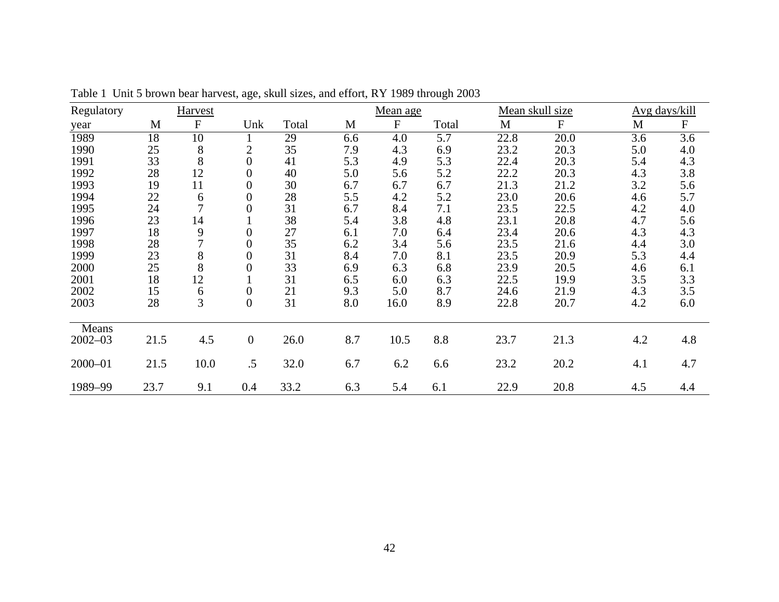| Regulatory  |      | Harvest                   |                  |       |     | Mean age    |                  |      | Mean skull size | Avg days/kill    |                  |
|-------------|------|---------------------------|------------------|-------|-----|-------------|------------------|------|-----------------|------------------|------------------|
| year        | M    | $\boldsymbol{\mathrm{F}}$ | Unk              | Total | M   | $\mathbf F$ | Total            | M    | $\mathbf F$     | M                | $\mathbf F$      |
| 1989        | 18   | $\overline{10}$           |                  | 29    | 6.6 | 4.0         | $\overline{5.7}$ | 22.8 | 20.0            | $\overline{3.6}$ | $\overline{3.6}$ |
| 1990        | 25   | $8\,$                     | $\overline{c}$   | 35    | 7.9 | 4.3         | 6.9              | 23.2 | 20.3            | 5.0              | 4.0              |
| 1991        | 33   | 8                         | $\overline{0}$   | 41    | 5.3 | 4.9         | 5.3              | 22.4 | 20.3            | 5.4              | 4.3              |
| 1992        | 28   | 12                        | $\boldsymbol{0}$ | 40    | 5.0 | 5.6         | 5.2              | 22.2 | 20.3            | 4.3              | 3.8              |
| 1993        | 19   | 11                        | $\overline{0}$   | 30    | 6.7 | 6.7         | 6.7              | 21.3 | 21.2            | 3.2              | 5.6              |
| 1994        | 22   | 6                         | $\boldsymbol{0}$ | 28    | 5.5 | 4.2         | 5.2              | 23.0 | 20.6            | 4.6              | 5.7              |
| 1995        | 24   | $\overline{7}$            | $\overline{0}$   | 31    | 6.7 | 8.4         | 7.1              | 23.5 | 22.5            | 4.2              | 4.0              |
| 1996        | 23   | 14                        |                  | 38    | 5.4 | 3.8         | 4.8              | 23.1 | 20.8            | 4.7              | 5.6              |
| 1997        | 18   | 9                         | $\boldsymbol{0}$ | 27    | 6.1 | 7.0         | 6.4              | 23.4 | 20.6            | 4.3              | 4.3              |
| 1998        | 28   |                           | $\overline{0}$   | 35    | 6.2 | 3.4         | 5.6              | 23.5 | 21.6            | 4.4              | 3.0              |
| 1999        | 23   | $8\,$                     | $\boldsymbol{0}$ | 31    | 8.4 | 7.0         | 8.1              | 23.5 | 20.9            | 5.3              | 4.4              |
| 2000        | 25   | 8                         | $\overline{0}$   | 33    | 6.9 | 6.3         | 6.8              | 23.9 | 20.5            | 4.6              | 6.1              |
| 2001        | 18   | 12                        |                  | 31    | 6.5 | 6.0         | 6.3              | 22.5 | 19.9            | 3.5              | 3.3              |
| 2002        | 15   | $\boldsymbol{6}$          | $\boldsymbol{0}$ | 21    | 9.3 | 5.0         | 8.7              | 24.6 | 21.9            | 4.3              | 3.5              |
| 2003        | 28   | 3                         | $\overline{0}$   | 31    | 8.0 | 16.0        | 8.9              | 22.8 | 20.7            | 4.2              | 6.0              |
| Means       |      |                           |                  |       |     |             |                  |      |                 |                  |                  |
| $2002 - 03$ | 21.5 | 4.5                       | $\boldsymbol{0}$ | 26.0  | 8.7 | 10.5        | 8.8              | 23.7 | 21.3            | 4.2              | 4.8              |
| 2000-01     | 21.5 | 10.0                      | .5               | 32.0  | 6.7 | 6.2         | 6.6              | 23.2 | 20.2            | 4.1              | 4.7              |
| 1989-99     | 23.7 | 9.1                       | 0.4              | 33.2  | 6.3 | 5.4         | 6.1              | 22.9 | 20.8            | 4.5              | 4.4              |

Table 1 Unit 5 brown bear harvest, age, skull sizes, and effort, RY 1989 through 2003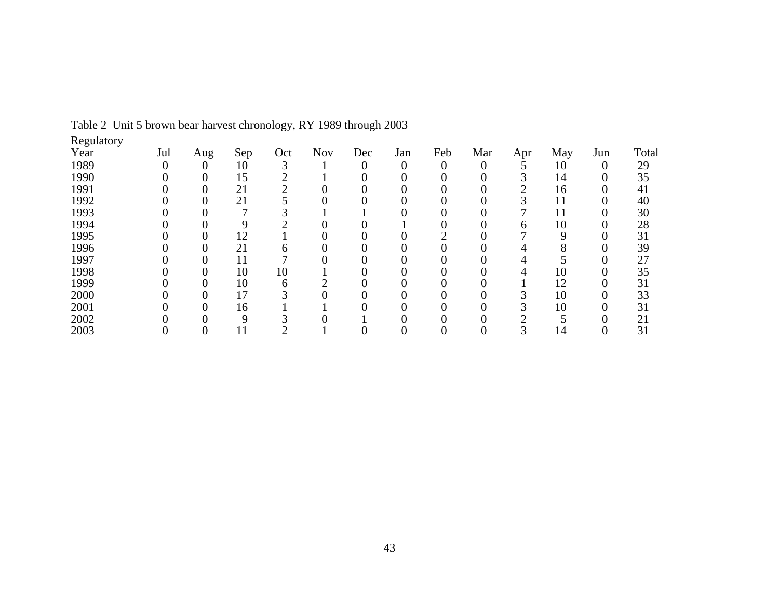| Regulatory |                |                |              |     |            |                |                |                  |                |              |             |                |       |  |
|------------|----------------|----------------|--------------|-----|------------|----------------|----------------|------------------|----------------|--------------|-------------|----------------|-------|--|
| Year       | Jul            | $\text{Aug}$   | Sep          | Oct | <b>Nov</b> | Dec            | Jan            | Feb              | Mar            | Apr          | May         | Jun            | Total |  |
| 1989       | $\overline{0}$ | $\theta$       | 10           | 3   |            | $\overline{0}$ | $\overline{0}$ | $\theta$         | $\overline{0}$ |              | 10          | $\overline{0}$ | 29    |  |
| 1990       | 0              | $\overline{0}$ | 15           | ⌒   |            |                | 0              | 0                | $\overline{0}$ | 3            | 14          | 0              | 35    |  |
| 1991       |                | 0              | 21           |     |            |                |                | 0                |                |              | 16          | 0              | 41    |  |
| 1992       |                | 0              | 21           |     |            |                |                | $\overline{0}$   | 0              | ⌒            | 11          | 0              | 40    |  |
| 1993       |                | 0              | $\mathbf{r}$ |     |            |                | 0              | $\overline{0}$   | 0              |              | 11          | $\Omega$       | 30    |  |
| 1994       |                | 0              | 9            | ⌒   |            |                |                | 0                |                | <sub>b</sub> | 10          | 0              | 28    |  |
| 1995       |                | 0              | 12           |     |            |                | 0              | ◠                |                |              | $\mathbf Q$ | $\Omega$       | 31    |  |
| 1996       |                | 0              | 21           | h   |            |                |                | $\Omega$         |                |              |             |                | 39    |  |
| 1997       |                | 0              | 11           |     |            |                |                | $\overline{0}$   |                | 4            |             | 0              | 27    |  |
| 1998       |                | $\overline{0}$ | 10           | 10  |            | 0              | $\overline{0}$ | $\boldsymbol{0}$ | $\overline{0}$ | 4            | 10          | 0              | 35    |  |
| 1999       |                | 0              | 10           | 6   |            |                | 0              | 0                |                |              | 12          | 0              | 31    |  |
| 2000       |                | 0              | 17           | ⌒   |            |                |                | 0                |                | ⌒            | 10          | $\Omega$       | 33    |  |
| 2001       |                | 0              | 16           |     |            |                |                | 0                |                |              | 10          | 0              | 31    |  |
| 2002       |                | $\overline{0}$ | 9            |     |            |                |                | $\overline{0}$   |                |              |             | 0              | 21    |  |
| 2003       | 0              | O              | 11           | ◠   |            | 0              | 0              | $\overline{0}$   | $\overline{0}$ |              | 14          | 0              | 31    |  |

Table 2 Unit 5 brown bear harvest chronology, RY 1989 through 2003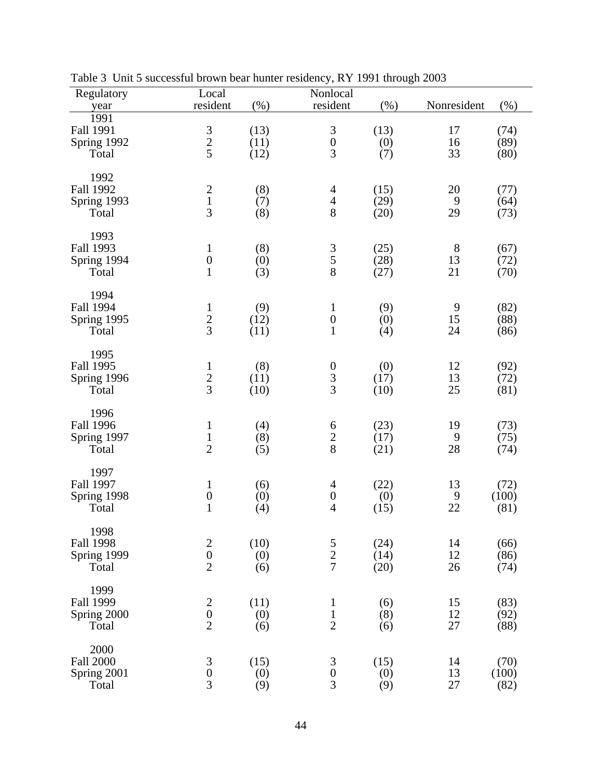| Regulatory<br>year                               | Local<br>resident                                | (% )                 | Nonlocal<br>resident                                    | (%)                  | Nonresident       | (%)                   |  |
|--------------------------------------------------|--------------------------------------------------|----------------------|---------------------------------------------------------|----------------------|-------------------|-----------------------|--|
| 1991<br>Fall 1991<br>Spring 1992<br>Total        | $\frac{3}{2}$                                    | (13)<br>(11)<br>(12) | $\begin{array}{c} 3 \\ 0 \end{array}$<br>$\overline{3}$ | (13)<br>(0)<br>(7)   | 17<br>16<br>33    | (74)<br>(89)<br>(80)  |  |
| 1992<br><b>Fall 1992</b><br>Spring 1993<br>Total | $\frac{2}{3}$                                    | (8)<br>(7)<br>(8)    | $\overline{4}$<br>$\frac{4}{8}$                         | (15)<br>(29)<br>(20) | 20<br>9<br>29     | (77)<br>(64)<br>(73)  |  |
| 1993<br>Fall 1993<br>Spring 1994<br>Total        | $\mathbf{1}$<br>$\boldsymbol{0}$<br>$\mathbf{1}$ | (8)<br>(0)<br>(3)    | $\frac{3}{5}$                                           | (25)<br>(28)<br>(27) | $8\,$<br>13<br>21 | (67)<br>(72)<br>(70)  |  |
| 1994<br><b>Fall 1994</b><br>Spring 1995<br>Total | $\frac{1}{2}$                                    | (9)<br>(12)<br>(11)  | $\mathbf{1}$<br>$\boldsymbol{0}$<br>$\mathbf{1}$        | (9)<br>(0)<br>(4)    | 9<br>15<br>24     | (82)<br>(88)<br>(86)  |  |
| 1995<br><b>Fall 1995</b><br>Spring 1996<br>Total | $\frac{1}{2}$                                    | (8)<br>(11)<br>(10)  | $\begin{array}{c} 0 \\ 3 \\ 3 \end{array}$              | (0)<br>(17)<br>(10)  | 12<br>13<br>25    | (92)<br>(72)<br>(81)  |  |
| 1996<br><b>Fall 1996</b><br>Spring 1997<br>Total | $\mathbf{1}$<br>$\frac{1}{2}$                    | (4)<br>(8)<br>(5)    | 6<br>$\frac{2}{8}$                                      | (23)<br>(17)<br>(21) | 19<br>9<br>28     | (73)<br>(75)<br>(74)  |  |
| 1997<br>Fall 1997<br>Spring 1998<br>Total        | $\mathbf{1}$<br>$\boldsymbol{0}$<br>$\mathbf{1}$ | (6)<br>(0)<br>(4)    | 4<br>$\boldsymbol{0}$<br>$\overline{4}$                 | (22)<br>(0)<br>(15)  | 13<br>9<br>22     | (72)<br>(100)<br>(81) |  |
| 1998<br><b>Fall 1998</b><br>Spring 1999<br>Total | $\begin{array}{c} 2 \\ 0 \\ 2 \end{array}$       | (10)<br>(0)<br>(6)   | $\frac{5}{2}$                                           | (24)<br>(14)<br>(20) | 14<br>12<br>26    | (66)<br>(86)<br>(74)  |  |
| 1999<br><b>Fall 1999</b><br>Spring 2000<br>Total | $\begin{array}{c} 2 \\ 0 \\ 2 \end{array}$       | (11)<br>(0)<br>(6)   | $\mathbf{1}$<br>$\mathbf 1$<br>$\overline{2}$           | (6)<br>(8)<br>(6)    | 15<br>12<br>27    | (83)<br>(92)<br>(88)  |  |
| 2000<br><b>Fall 2000</b><br>Spring 2001<br>Total | $\frac{3}{0}$<br>$\overline{3}$                  | (15)<br>(0)<br>(9)   | $\frac{3}{0}$<br>$\overline{3}$                         | (15)<br>(0)<br>(9)   | 14<br>13<br>27    | (70)<br>(100)<br>(82) |  |

Table 3 Unit 5 successful brown bear hunter residency, RY 1991 through 2003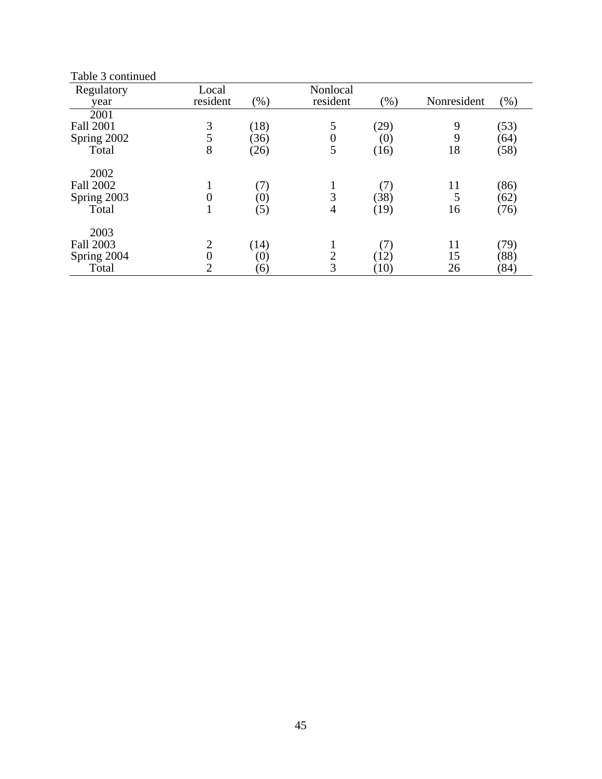| Table 3 continued |                  |                   |                  |         |             |        |
|-------------------|------------------|-------------------|------------------|---------|-------------|--------|
| Regulatory        | Local            |                   | Nonlocal         |         |             |        |
| year              | resident         | (% )              | resident         | $(\% )$ | Nonresident | $(\%)$ |
| 2001              |                  |                   |                  |         |             |        |
| <b>Fall 2001</b>  | 3                | (18)              | 5                | (29)    | 9           | (53)   |
| Spring 2002       | 5                | (36)              | $\boldsymbol{0}$ | (0)     | 9           | (64)   |
| Total             | 8                | (26)              | 5                | (16)    | 18          | (58)   |
| 2002              |                  |                   |                  |         |             |        |
| <b>Fall 2002</b>  |                  | (7)               | 1                | (7)     | 11          | (86)   |
| Spring 2003       | $\boldsymbol{0}$ | (0)               | 3                | (38)    | 5           | (62)   |
| Total             | $\bf{l}$         | (5)               | 4                | (19)    | 16          | (76)   |
| 2003              |                  |                   |                  |         |             |        |
| <b>Fall 2003</b>  | $\overline{2}$   | (14)              | 1                | (7)     | 11          | (79)   |
| Spring 2004       | $\boldsymbol{0}$ | (0)               | $\overline{c}$   | (12)    | 15          | (88)   |
| Total             | $\overline{2}$   | $\left( 6\right)$ | 3                | (10)    | 26          | (84)   |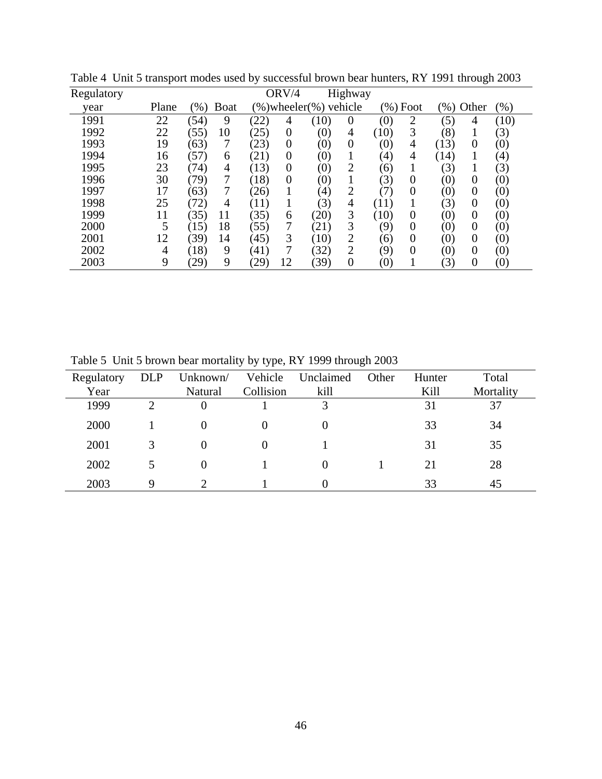| Regulatory |       |        |                |                   | ORV/4          |                           | Highway        |                   |                |                   |                  |                   |
|------------|-------|--------|----------------|-------------------|----------------|---------------------------|----------------|-------------------|----------------|-------------------|------------------|-------------------|
| year       | Plane | $(\%)$ | <b>Boat</b>    |                   |                | $(\%)$ wheeler(%) vehicle |                |                   | $(\%)$ Foot    | (%) Other         |                  | (% )              |
| 1991       | 22    | (54)   | 9              | (22)              | 4              | (10)                      | $\theta$       | (0)               | $\overline{2}$ | (5)               | 4                | (10)              |
| 1992       | 22    | (55)   | 10             | (25)              | $\overline{0}$ | $\left( 0\right)$         | 4              | (10)              | 3              | (8)               |                  | (3)               |
| 1993       | 19    | (63)   |                | (23)              | $\theta$       | $\left( 0\right)$         | 0              | $\left( 0\right)$ | 4              | (13)              | $\overline{0}$   | (0)               |
| 1994       | 16    | (57)   | 6              | (21)              | $\theta$       | $\left( 0\right)$         |                | $\left( 4\right)$ | 4              | (14)              |                  | $\left( 4\right)$ |
| 1995       | 23    | (74)   | 4              | (13)              | $\Omega$       | $\left( 0\right)$         | 2              | (6)               |                | (3)               |                  | (3)               |
| 1996       | 30    | (79)   | 7              | (18)              | $\theta$       | (0)                       |                | (3)               | 0              | $\left( 0\right)$ | 0                | (0)               |
| 1997       | 17    | (63)   |                | (26)              |                | (4)                       | $\overline{2}$ |                   | 0              | $\left( 0\right)$ | 0                | (0)               |
| 1998       | 25    | (72)   | $\overline{4}$ | (11)              |                | (3)                       | 4              | (11)              |                | (3)               | $\overline{0}$   | (0)               |
| 1999       | 11    | (35)   | 11             | (35)              | 6              | (20)                      | 3              | (10)              | 0              | $\left( 0\right)$ | 0                | (0)               |
| 2000       | 5     | (15)   | 18             | (55)              |                | (21)                      | 3              | (9)               | 0              | (0)               | $\overline{0}$   | (0)               |
| 2001       | 12    | 39)    | 14             | (45)              | 3              | (10)                      | $\overline{2}$ | (6)               | 0              | $\left( 0\right)$ | 0                | (0)               |
| 2002       | 4     | (18)   | 9              | (41)              |                | 32)                       | 2              | (9)               | $\theta$       | (0)               | $\overline{0}$   | (0)               |
| 2003       | 9     | (29)   | 9              | $\left[29\right]$ | 12             | 39)                       | $\overline{0}$ | $\left( 0\right)$ |                | (3)               | $\boldsymbol{0}$ | (0)               |

Table 4 Unit 5 transport modes used by successful brown bear hunters, RY 1991 through 2003

Table 5 Unit 5 brown bear mortality by type, RY 1999 through 2003

| Regulatory | <b>DLP</b> | Unknown/ | Vehicle   | Unclaimed | Other | Hunter | Total     |
|------------|------------|----------|-----------|-----------|-------|--------|-----------|
| Year       |            | Natural  | Collision | kill      |       | Kill   | Mortality |
| 1999       |            | $\Omega$ |           |           |       | 31     | 37        |
| 2000       |            | $\theta$ |           |           |       | 33     | 34        |
| 2001       |            |          |           |           |       | 31     | 35        |
| 2002       |            | $\Omega$ |           |           |       | 21     | 28        |
| 2003       | Q          |          |           |           |       | 33     | 45        |
|            |            |          |           |           |       |        |           |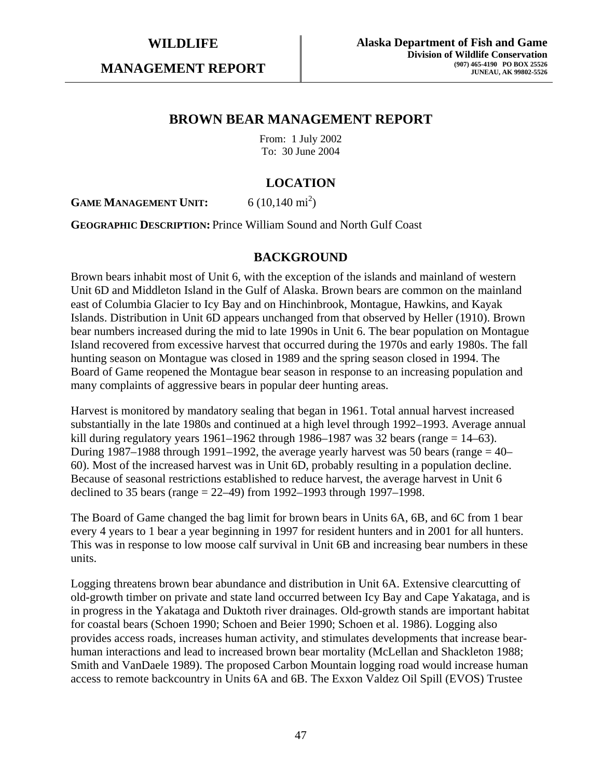**MANAGEMENT REPORT** 

## **BROWN BEAR MANAGEMENT REPORT**

From: 1 July 2002 To: 30 June 2004

# **LOCATION**

**GAME MANAGEMENT UNIT:** 6 (10,140 mi<sup>2</sup>)

**GEOGRAPHIC DESCRIPTION:** Prince William Sound and North Gulf Coast

#### **BACKGROUND**

Brown bears inhabit most of Unit 6, with the exception of the islands and mainland of western Unit 6D and Middleton Island in the Gulf of Alaska. Brown bears are common on the mainland east of Columbia Glacier to Icy Bay and on Hinchinbrook, Montague, Hawkins, and Kayak Islands. Distribution in Unit 6D appears unchanged from that observed by Heller (1910). Brown bear numbers increased during the mid to late 1990s in Unit 6. The bear population on Montague Island recovered from excessive harvest that occurred during the 1970s and early 1980s. The fall hunting season on Montague was closed in 1989 and the spring season closed in 1994. The Board of Game reopened the Montague bear season in response to an increasing population and many complaints of aggressive bears in popular deer hunting areas.

Harvest is monitored by mandatory sealing that began in 1961. Total annual harvest increased substantially in the late 1980s and continued at a high level through 1992–1993. Average annual kill during regulatory years  $1961-1962$  through 1986–1987 was 32 bears (range = 14–63). During 1987–1988 through 1991–1992, the average yearly harvest was 50 bears (range  $=$  40– 60). Most of the increased harvest was in Unit 6D, probably resulting in a population decline. Because of seasonal restrictions established to reduce harvest, the average harvest in Unit 6 declined to 35 bears (range = 22–49) from 1992–1993 through 1997–1998.

The Board of Game changed the bag limit for brown bears in Units 6A, 6B, and 6C from 1 bear every 4 years to 1 bear a year beginning in 1997 for resident hunters and in 2001 for all hunters. This was in response to low moose calf survival in Unit 6B and increasing bear numbers in these units.

Logging threatens brown bear abundance and distribution in Unit 6A. Extensive clearcutting of old-growth timber on private and state land occurred between Icy Bay and Cape Yakataga, and is in progress in the Yakataga and Duktoth river drainages. Old-growth stands are important habitat for coastal bears (Schoen 1990; Schoen and Beier 1990; Schoen et al. 1986). Logging also provides access roads, increases human activity, and stimulates developments that increase bearhuman interactions and lead to increased brown bear mortality (McLellan and Shackleton 1988; Smith and VanDaele 1989). The proposed Carbon Mountain logging road would increase human access to remote backcountry in Units 6A and 6B. The Exxon Valdez Oil Spill (EVOS) Trustee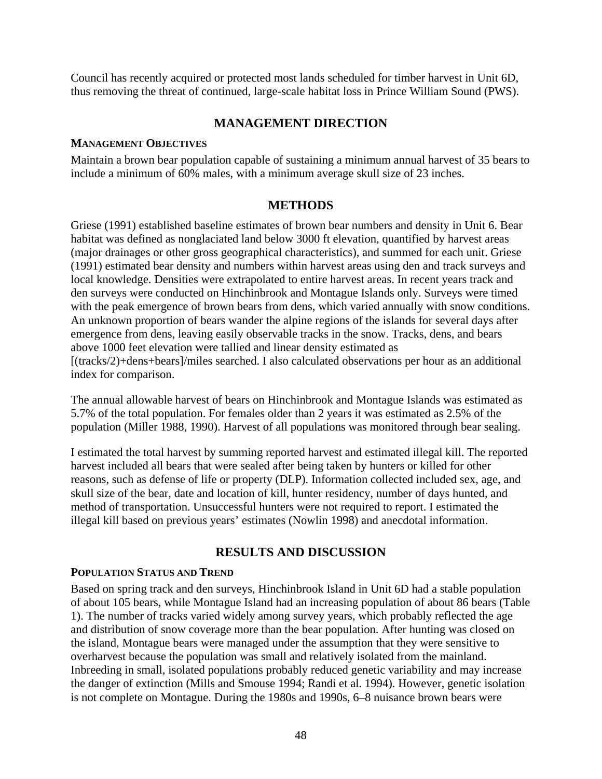Council has recently acquired or protected most lands scheduled for timber harvest in Unit 6D, thus removing the threat of continued, large-scale habitat loss in Prince William Sound (PWS).

## **MANAGEMENT DIRECTION**

#### **MANAGEMENT OBJECTIVES**

Maintain a brown bear population capable of sustaining a minimum annual harvest of 35 bears to include a minimum of 60% males, with a minimum average skull size of 23 inches.

#### **METHODS**

Griese (1991) established baseline estimates of brown bear numbers and density in Unit 6. Bear habitat was defined as nonglaciated land below 3000 ft elevation, quantified by harvest areas (major drainages or other gross geographical characteristics), and summed for each unit. Griese (1991) estimated bear density and numbers within harvest areas using den and track surveys and local knowledge. Densities were extrapolated to entire harvest areas. In recent years track and den surveys were conducted on Hinchinbrook and Montague Islands only. Surveys were timed with the peak emergence of brown bears from dens, which varied annually with snow conditions. An unknown proportion of bears wander the alpine regions of the islands for several days after emergence from dens, leaving easily observable tracks in the snow. Tracks, dens, and bears above 1000 feet elevation were tallied and linear density estimated as [(tracks/2)+dens+bears]/miles searched. I also calculated observations per hour as an additional index for comparison.

The annual allowable harvest of bears on Hinchinbrook and Montague Islands was estimated as 5.7% of the total population. For females older than 2 years it was estimated as 2.5% of the population (Miller 1988, 1990). Harvest of all populations was monitored through bear sealing.

I estimated the total harvest by summing reported harvest and estimated illegal kill. The reported harvest included all bears that were sealed after being taken by hunters or killed for other reasons, such as defense of life or property (DLP). Information collected included sex, age, and skull size of the bear, date and location of kill, hunter residency, number of days hunted, and method of transportation. Unsuccessful hunters were not required to report. I estimated the illegal kill based on previous years' estimates (Nowlin 1998) and anecdotal information.

## **RESULTS AND DISCUSSION**

#### **POPULATION STATUS AND TREND**

Based on spring track and den surveys, Hinchinbrook Island in Unit 6D had a stable population of about 105 bears, while Montague Island had an increasing population of about 86 bears (Table 1). The number of tracks varied widely among survey years, which probably reflected the age and distribution of snow coverage more than the bear population. After hunting was closed on the island, Montague bears were managed under the assumption that they were sensitive to overharvest because the population was small and relatively isolated from the mainland. Inbreeding in small, isolated populations probably reduced genetic variability and may increase the danger of extinction (Mills and Smouse 1994; Randi et al. 1994). However, genetic isolation is not complete on Montague. During the 1980s and 1990s, 6–8 nuisance brown bears were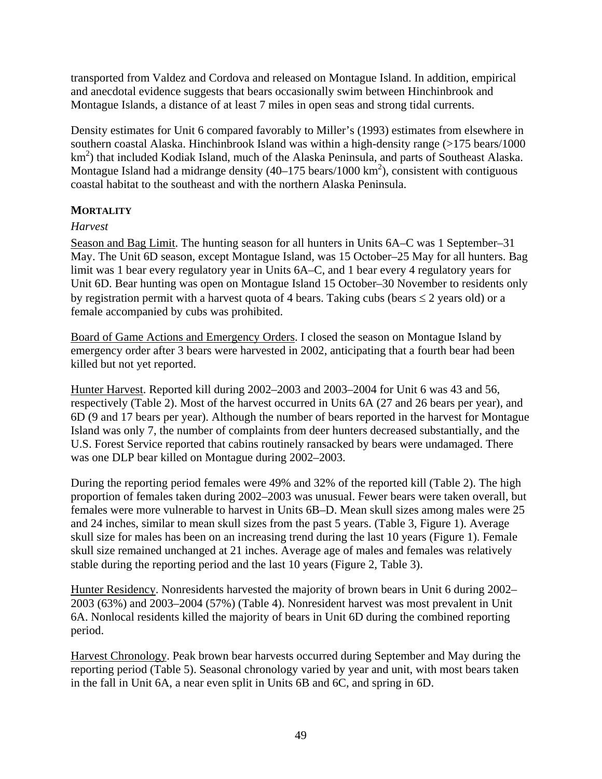transported from Valdez and Cordova and released on Montague Island. In addition, empirical and anecdotal evidence suggests that bears occasionally swim between Hinchinbrook and Montague Islands, a distance of at least 7 miles in open seas and strong tidal currents.

Density estimates for Unit 6 compared favorably to Miller's (1993) estimates from elsewhere in southern coastal Alaska. Hinchinbrook Island was within a high-density range (>175 bears/1000 km<sup>2</sup>) that included Kodiak Island, much of the Alaska Peninsula, and parts of Southeast Alaska. Montague Island had a midrange density  $(40-175 \text{ bears}/1000 \text{ km}^2)$ , consistent with contiguous coastal habitat to the southeast and with the northern Alaska Peninsula.

#### **MORTALITY**

#### *Harvest*

Season and Bag Limit. The hunting season for all hunters in Units 6A–C was 1 September–31 May. The Unit 6D season, except Montague Island, was 15 October–25 May for all hunters. Bag limit was 1 bear every regulatory year in Units 6A–C, and 1 bear every 4 regulatory years for Unit 6D. Bear hunting was open on Montague Island 15 October–30 November to residents only by registration permit with a harvest quota of 4 bears. Taking cubs (bears  $\leq 2$  years old) or a female accompanied by cubs was prohibited.

Board of Game Actions and Emergency Orders. I closed the season on Montague Island by emergency order after 3 bears were harvested in 2002, anticipating that a fourth bear had been killed but not yet reported.

Hunter Harvest. Reported kill during 2002–2003 and 2003–2004 for Unit 6 was 43 and 56, respectively (Table 2). Most of the harvest occurred in Units 6A (27 and 26 bears per year), and 6D (9 and 17 bears per year). Although the number of bears reported in the harvest for Montague Island was only 7, the number of complaints from deer hunters decreased substantially, and the U.S. Forest Service reported that cabins routinely ransacked by bears were undamaged. There was one DLP bear killed on Montague during 2002–2003.

During the reporting period females were 49% and 32% of the reported kill (Table 2). The high proportion of females taken during 2002–2003 was unusual. Fewer bears were taken overall, but females were more vulnerable to harvest in Units 6B–D. Mean skull sizes among males were 25 and 24 inches, similar to mean skull sizes from the past 5 years. (Table 3, Figure 1). Average skull size for males has been on an increasing trend during the last 10 years (Figure 1). Female skull size remained unchanged at 21 inches. Average age of males and females was relatively stable during the reporting period and the last 10 years (Figure 2, Table 3).

Hunter Residency. Nonresidents harvested the majority of brown bears in Unit 6 during 2002– 2003 (63%) and 2003–2004 (57%) (Table 4). Nonresident harvest was most prevalent in Unit 6A. Nonlocal residents killed the majority of bears in Unit 6D during the combined reporting period.

Harvest Chronology. Peak brown bear harvests occurred during September and May during the reporting period (Table 5). Seasonal chronology varied by year and unit, with most bears taken in the fall in Unit 6A, a near even split in Units 6B and 6C, and spring in 6D.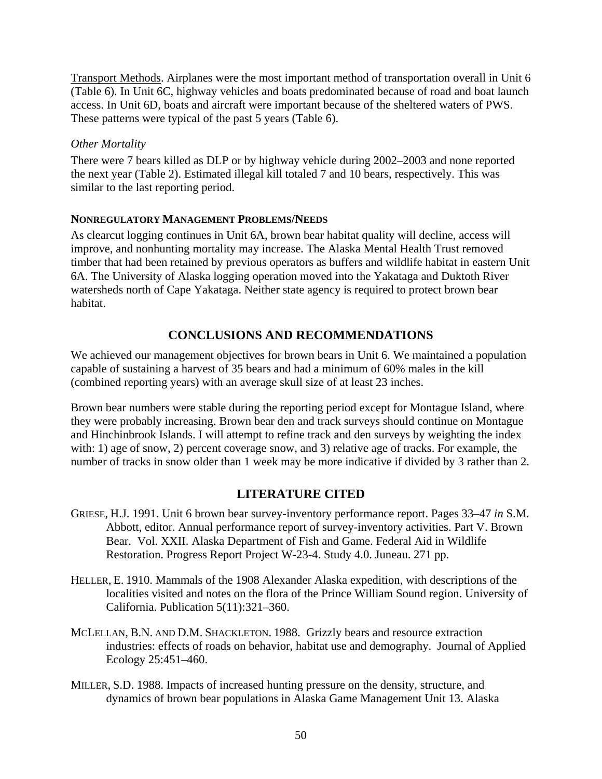Transport Methods. Airplanes were the most important method of transportation overall in Unit 6 (Table 6). In Unit 6C, highway vehicles and boats predominated because of road and boat launch access. In Unit 6D, boats and aircraft were important because of the sheltered waters of PWS. These patterns were typical of the past 5 years (Table 6).

#### *Other Mortality*

There were 7 bears killed as DLP or by highway vehicle during 2002–2003 and none reported the next year (Table 2). Estimated illegal kill totaled 7 and 10 bears, respectively. This was similar to the last reporting period.

#### **NONREGULATORY MANAGEMENT PROBLEMS/NEEDS**

As clearcut logging continues in Unit 6A, brown bear habitat quality will decline, access will improve, and nonhunting mortality may increase. The Alaska Mental Health Trust removed timber that had been retained by previous operators as buffers and wildlife habitat in eastern Unit 6A. The University of Alaska logging operation moved into the Yakataga and Duktoth River watersheds north of Cape Yakataga. Neither state agency is required to protect brown bear habitat.

## **CONCLUSIONS AND RECOMMENDATIONS**

We achieved our management objectives for brown bears in Unit 6. We maintained a population capable of sustaining a harvest of 35 bears and had a minimum of 60% males in the kill (combined reporting years) with an average skull size of at least 23 inches.

Brown bear numbers were stable during the reporting period except for Montague Island, where they were probably increasing. Brown bear den and track surveys should continue on Montague and Hinchinbrook Islands. I will attempt to refine track and den surveys by weighting the index with: 1) age of snow, 2) percent coverage snow, and 3) relative age of tracks. For example, the number of tracks in snow older than 1 week may be more indicative if divided by 3 rather than 2.

## **LITERATURE CITED**

- GRIESE, H.J. 1991. Unit 6 brown bear survey-inventory performance report. Pages 33–47 *in* S.M. Abbott, editor. Annual performance report of survey-inventory activities. Part V. Brown Bear. Vol. XXII. Alaska Department of Fish and Game. Federal Aid in Wildlife Restoration. Progress Report Project W-23-4. Study 4.0. Juneau. 271 pp.
- HELLER, E. 1910. Mammals of the 1908 Alexander Alaska expedition, with descriptions of the localities visited and notes on the flora of the Prince William Sound region. University of California. Publication 5(11):321–360.
- MCLELLAN, B.N. AND D.M. SHACKLETON. 1988. Grizzly bears and resource extraction industries: effects of roads on behavior, habitat use and demography. Journal of Applied Ecology 25:451–460.
- MILLER, S.D. 1988. Impacts of increased hunting pressure on the density, structure, and dynamics of brown bear populations in Alaska Game Management Unit 13. Alaska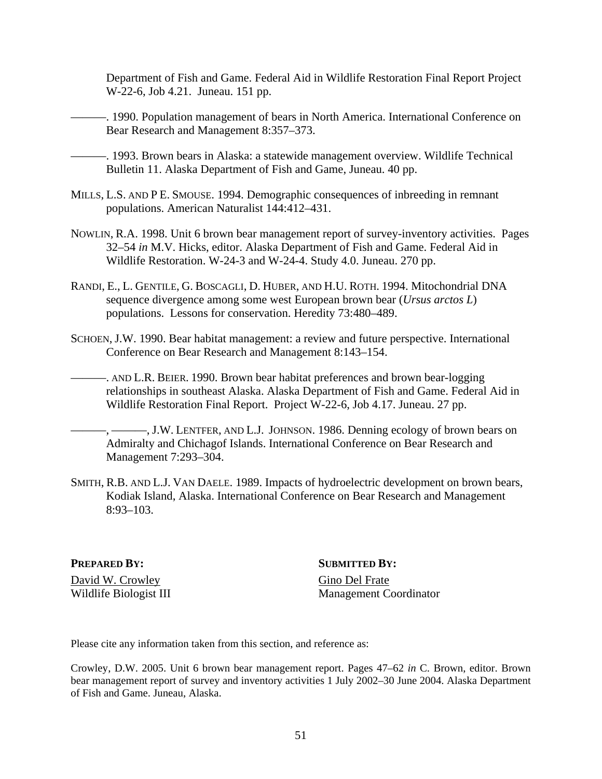Department of Fish and Game. Federal Aid in Wildlife Restoration Final Report Project W-22-6, Job 4.21. Juneau. 151 pp.

———. 1990. Population management of bears in North America. International Conference on Bear Research and Management 8:357–373.

———. 1993. Brown bears in Alaska: a statewide management overview. Wildlife Technical Bulletin 11. Alaska Department of Fish and Game, Juneau. 40 pp.

- MILLS, L.S. AND P E. SMOUSE. 1994. Demographic consequences of inbreeding in remnant populations. American Naturalist 144:412–431.
- NOWLIN, R.A. 1998. Unit 6 brown bear management report of survey-inventory activities. Pages 32–54 *in* M.V. Hicks, editor. Alaska Department of Fish and Game. Federal Aid in Wildlife Restoration. W-24-3 and W-24-4. Study 4.0. Juneau. 270 pp.
- RANDI, E., L. GENTILE, G. BOSCAGLI, D. HUBER, AND H.U. ROTH. 1994. Mitochondrial DNA sequence divergence among some west European brown bear (*Ursus arctos L*) populations. Lessons for conservation. Heredity 73:480–489.
- SCHOEN, J.W. 1990. Bear habitat management: a review and future perspective. International Conference on Bear Research and Management 8:143–154.
- ———. AND L.R. BEIER. 1990. Brown bear habitat preferences and brown bear-logging relationships in southeast Alaska. Alaska Department of Fish and Game. Federal Aid in Wildlife Restoration Final Report. Project W-22-6, Job 4.17. Juneau. 27 pp.
- ———, ———, J.W. LENTFER, AND L.J. JOHNSON. 1986. Denning ecology of brown bears on Admiralty and Chichagof Islands. International Conference on Bear Research and Management 7:293–304.
- SMITH, R.B. AND L.J. VAN DAELE. 1989. Impacts of hydroelectric development on brown bears, Kodiak Island, Alaska. International Conference on Bear Research and Management 8:93–103.

David W. Crowley Gino Del Frate

**PREPARED BY:** SUBMITTED BY:

Wildlife Biologist III Management Coordinator

Please cite any information taken from this section, and reference as:

Crowley, D.W. 2005. Unit 6 brown bear management report. Pages 47–62 *in* C. Brown, editor. Brown bear management report of survey and inventory activities 1 July 2002–30 June 2004. Alaska Department of Fish and Game. Juneau, Alaska.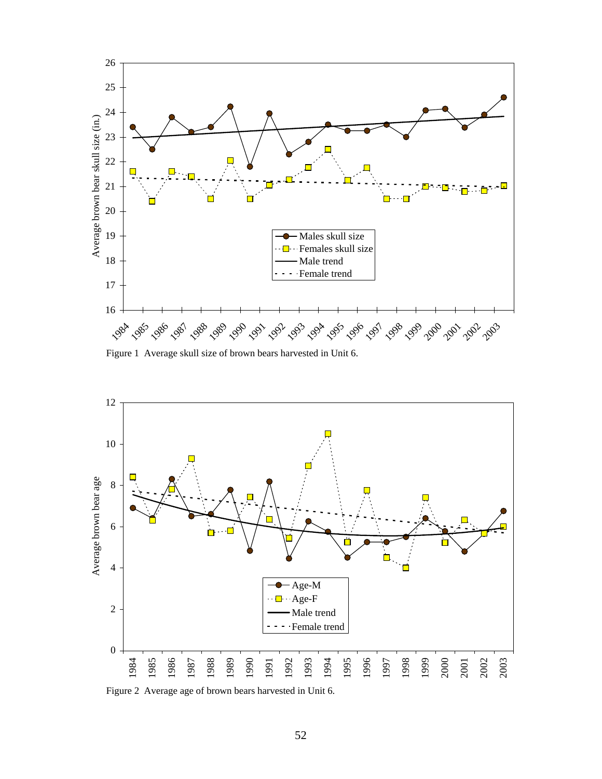

Figure 1 Average skull size of brown bears harvested in Unit 6.



Figure 2 Average age of brown bears harvested in Unit 6.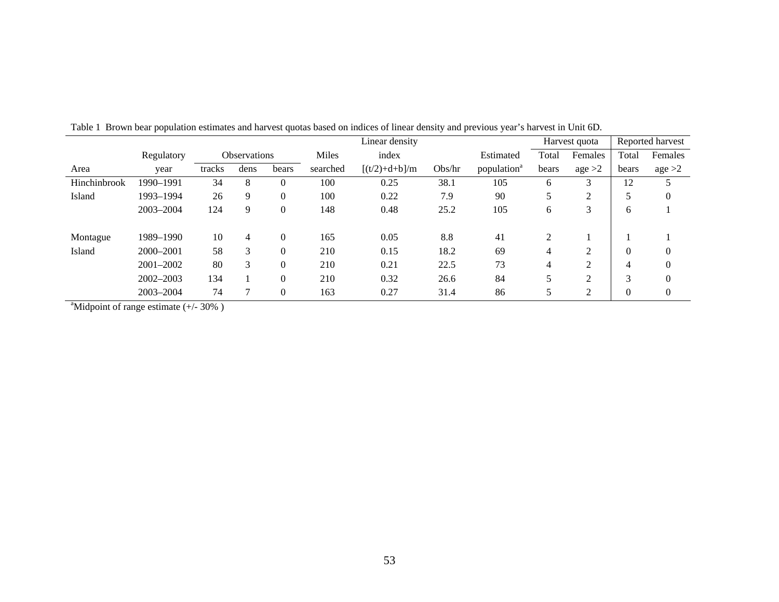|               |               |        |                     |          |          | Linear density  |        |                         |       | Harvest quota  |          | Reported harvest |
|---------------|---------------|--------|---------------------|----------|----------|-----------------|--------|-------------------------|-------|----------------|----------|------------------|
|               | Regulatory    |        | <b>Observations</b> |          | Miles    | index           |        | Estimated               | Total | Females        | Total    | Females          |
| Area          | year          | tracks | dens                | bears    | searched | $[(t/2)+d+b]/m$ | Obs/hr | population <sup>a</sup> | bears | age >2         | bears    | age >2           |
| Hinchinbrook  | 1990-1991     | 34     | 8                   |          | 100      | 0.25            | 38.1   | 105                     | 6     | 3              | 12       |                  |
| Island        | 1993-1994     | 26     | 9                   | $\Omega$ | 100      | 0.22            | 7.9    | 90                      | 5     | $\overline{2}$ |          | $\boldsymbol{0}$ |
|               | 2003-2004     | 124    | 9                   | $\theta$ | 148      | 0.48            | 25.2   | 105                     | 6     | 3              | 6        |                  |
| Montague      | 1989-1990     | 10     | 4                   | $\Omega$ | 165      | 0.05            | 8.8    | 41                      | 2     |                |          |                  |
| Island        | 2000-2001     | 58     | 3                   |          | 210      | 0.15            | 18.2   | 69                      | 4     | $\overline{2}$ | $\theta$ | 0                |
|               | 2001-2002     | 80     | 3                   |          | 210      | 0.21            | 22.5   | 73                      | 4     | $\overline{2}$ | 4        | $\overline{0}$   |
|               | $2002 - 2003$ | 134    |                     |          | 210      | 0.32            | 26.6   | 84                      | 5     | ↑<br>∠         | $\sim$   | $\theta$         |
| $\sim$ $\sim$ | 2003-2004     | 74     | ┑                   | $\Omega$ | 163      | 0.27            | 31.4   | 86                      | 5     | 2              | $\theta$ | $\overline{0}$   |

Table 1 Brown bear population estimates and harvest quotas based on indices of linear density and previous year's harvest in Unit 6D.

<sup>a</sup>Midpoint of range estimate  $(+/- 30\%)$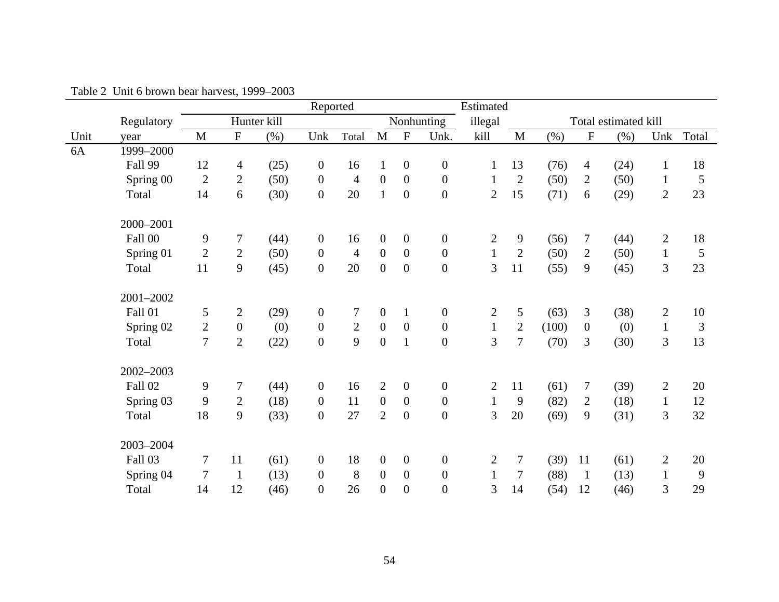|      |            |                |                  |             | Reported         |                |                  |                  |                  | Estimated      |                |       |                  |                      |                |                |
|------|------------|----------------|------------------|-------------|------------------|----------------|------------------|------------------|------------------|----------------|----------------|-------|------------------|----------------------|----------------|----------------|
|      | Regulatory |                |                  | Hunter kill |                  |                |                  |                  | Nonhunting       | illegal        |                |       |                  | Total estimated kill |                |                |
| Unit | year       | $\mathbf{M}$   | $\mathbf{F}$     | (% )        | Unk              | Total          | $\mathbf{M}$     | $\mathbf F$      | Unk.             | kill           | M              | (% )  | $\overline{F}$   | (% )                 | Unk            | Total          |
| 6A   | 1999-2000  |                |                  |             |                  |                |                  |                  |                  |                |                |       |                  |                      |                |                |
|      | Fall 99    | 12             | $\overline{4}$   | (25)        | $\mathbf{0}$     | 16             | $\mathbf{1}$     | $\overline{0}$   | $\boldsymbol{0}$ | $\mathbf{1}$   | 13             | (76)  | $\overline{4}$   | (24)                 | $\mathbf{1}$   | 18             |
|      | Spring 00  | 2              | $\overline{2}$   | (50)        | $\mathbf{0}$     | $\overline{4}$ | $\boldsymbol{0}$ | $\mathbf{0}$     | $\boldsymbol{0}$ | $\mathbf{1}$   | $\overline{2}$ | (50)  | $\overline{2}$   | (50)                 | $\mathbf{1}$   | $\mathfrak{S}$ |
|      | Total      | 14             | 6                | (30)        | $\overline{0}$   | 20             | $\mathbf{1}$     | $\overline{0}$   | $\overline{0}$   | $\overline{2}$ | 15             | (71)  | 6                | (29)                 | $\overline{2}$ | 23             |
|      | 2000-2001  |                |                  |             |                  |                |                  |                  |                  |                |                |       |                  |                      |                |                |
|      | Fall 00    | 9              | 7                | (44)        | $\overline{0}$   | 16             | $\boldsymbol{0}$ | $\mathbf{0}$     | $\boldsymbol{0}$ | $\overline{2}$ | 9              | (56)  | $\tau$           | (44)                 | $\overline{2}$ | 18             |
|      | Spring 01  | $\overline{2}$ | $\overline{2}$   | (50)        | $\mathbf{0}$     | $\overline{4}$ | $\boldsymbol{0}$ | $\mathbf{0}$     | $\boldsymbol{0}$ | $\mathbf{1}$   | $\overline{2}$ | (50)  | $\overline{2}$   | (50)                 | $\mathbf{1}$   | $\mathfrak{S}$ |
|      | Total      | 11             | 9                | (45)        | $\overline{0}$   | 20             | $\overline{0}$   | $\mathbf{0}$     | $\boldsymbol{0}$ | 3              | 11             | (55)  | 9                | (45)                 | 3              | 23             |
|      | 2001-2002  |                |                  |             |                  |                |                  |                  |                  |                |                |       |                  |                      |                |                |
|      | Fall 01    | 5              | $\mathbf{2}$     | (29)        | $\boldsymbol{0}$ | $\tau$         | $\boldsymbol{0}$ | $\mathbf{1}$     | $\boldsymbol{0}$ | $\mathbf{2}$   | $\overline{5}$ | (63)  | 3                | (38)                 | $\overline{2}$ | 10             |
|      | Spring 02  | $\overline{c}$ | $\boldsymbol{0}$ | (0)         | $\mathbf{0}$     | $\overline{2}$ | $\mathbf{0}$     | $\overline{0}$   | $\overline{0}$   | $\mathbf{1}$   | $\sqrt{2}$     | (100) | $\mathbf{0}$     | (0)                  | $\mathbf{1}$   | $\mathfrak{Z}$ |
|      | Total      | $\overline{7}$ | $\overline{2}$   | (22)        | $\overline{0}$   | 9              | $\boldsymbol{0}$ | $\mathbf{1}$     | $\boldsymbol{0}$ | 3              | $\overline{7}$ | (70)  | 3                | (30)                 | 3              | 13             |
|      | 2002-2003  |                |                  |             |                  |                |                  |                  |                  |                |                |       |                  |                      |                |                |
|      | Fall 02    | 9              | 7                | (44)        | $\mathbf{0}$     | 16             | $\overline{2}$   | $\overline{0}$   | $\boldsymbol{0}$ | $\overline{2}$ | 11             | (61)  | $\boldsymbol{7}$ | (39)                 | $\overline{2}$ | 20             |
|      | Spring 03  | 9              | $\mathbf{2}$     | (18)        | $\mathbf{0}$     | 11             | $\overline{0}$   | $\boldsymbol{0}$ | $\boldsymbol{0}$ | $\mathbf{1}$   | 9              | (82)  | $\mathbf{2}$     | (18)                 | $\mathbf{1}$   | 12             |
|      | Total      | 18             | 9                | (33)        | $\boldsymbol{0}$ | 27             | $\overline{2}$   | $\overline{0}$   | $\boldsymbol{0}$ | 3              | 20             | (69)  | 9                | (31)                 | $\mathfrak{Z}$ | 32             |
|      | 2003-2004  |                |                  |             |                  |                |                  |                  |                  |                |                |       |                  |                      |                |                |
|      | Fall 03    | 7              | 11               | (61)        | $\mathbf{0}$     | 18             | $\boldsymbol{0}$ | $\mathbf{0}$     | $\boldsymbol{0}$ | $\overline{2}$ | $\overline{7}$ | (39)  | 11               | (61)                 | $\overline{2}$ | 20             |
|      | Spring 04  | $\tau$         | $\mathbf{1}$     | (13)        | $\mathbf{0}$     | 8              | $\boldsymbol{0}$ | $\mathbf{0}$     | $\boldsymbol{0}$ | $\mathbf{1}$   | $\tau$         | (88)  | $\mathbf{1}$     | (13)                 | $\mathbf{1}$   | 9              |
|      | Total      | 14             | 12               | (46)        | $\overline{0}$   | 26             | $\overline{0}$   | $\overline{0}$   | $\overline{0}$   | 3              | 14             | (54)  | 12               | (46)                 | 3              | 29             |

Table 2 Unit 6 brown bear harvest, 1999–2003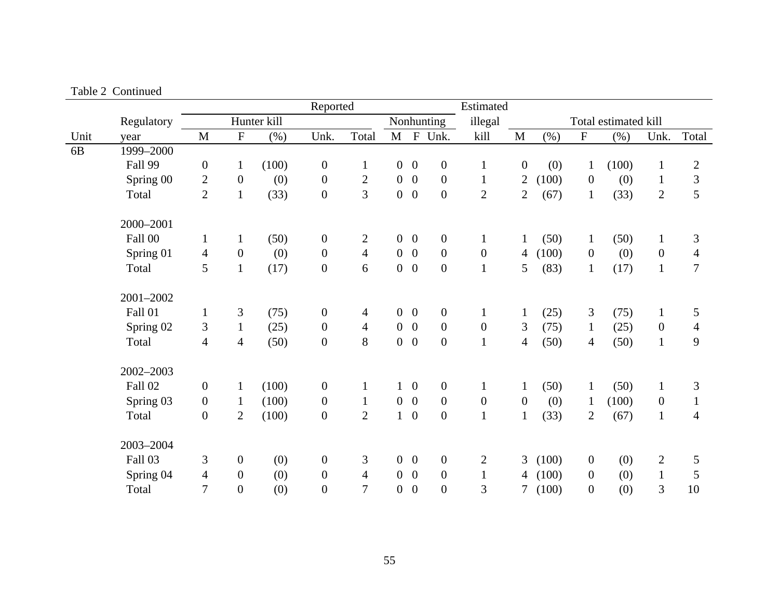|                |            |                  |                  |             | Reported         |                  |                |                  |                  | Estimated        |                  |         |                           |                      |                |                |
|----------------|------------|------------------|------------------|-------------|------------------|------------------|----------------|------------------|------------------|------------------|------------------|---------|---------------------------|----------------------|----------------|----------------|
|                | Regulatory |                  |                  | Hunter kill |                  |                  |                |                  | Nonhunting       | illegal          |                  |         |                           | Total estimated kill |                |                |
| Unit           | year       | M                | ${\bf F}$        | (% )        | Unk.             | Total            | $M$ F          |                  | Unk.             | kill             | $\mathbf M$      | $(\% )$ | $\boldsymbol{\mathrm{F}}$ | $(\% )$              | Unk.           | Total          |
| 6 <sub>B</sub> | 1999-2000  |                  |                  |             |                  |                  |                |                  |                  |                  |                  |         |                           |                      |                |                |
|                | Fall 99    | $\boldsymbol{0}$ | $\mathbf{1}$     | (100)       | $\boldsymbol{0}$ | $\mathbf{1}$     | $\overline{0}$ | $\overline{0}$   | $\boldsymbol{0}$ | $\,1$            | $\boldsymbol{0}$ | (0)     | $\mathbf{1}$              | (100)                | $\mathbf{1}$   | $\mathbf{2}$   |
|                | Spring 00  | $\mathbf{2}$     | $\boldsymbol{0}$ | (0)         | $\boldsymbol{0}$ | $\boldsymbol{2}$ | $\overline{0}$ | $\overline{0}$   | $\boldsymbol{0}$ | $\mathbf{1}$     | $\overline{2}$   | (100)   | $\mathbf{0}$              | (0)                  | $\mathbf{1}$   | $\overline{3}$ |
|                | Total      | $\overline{2}$   | $\mathbf{1}$     | (33)        | $\boldsymbol{0}$ | 3                | $\overline{0}$ | $\overline{0}$   | $\boldsymbol{0}$ | $\mathbf{2}$     | $\overline{2}$   | (67)    | $\mathbf{1}$              | (33)                 | $\overline{2}$ | 5              |
|                | 2000-2001  |                  |                  |             |                  |                  |                |                  |                  |                  |                  |         |                           |                      |                |                |
|                | Fall 00    | $\mathbf{1}$     | $\mathbf{1}$     | (50)        | $\boldsymbol{0}$ | $\overline{2}$   | $\overline{0}$ | $\overline{0}$   | $\boldsymbol{0}$ | $\mathbf{1}$     | $\mathbf{1}$     | (50)    | $\mathbf{1}$              | (50)                 | $\mathbf{1}$   | 3              |
|                | Spring 01  | $\overline{4}$   | $\overline{0}$   | (0)         | $\boldsymbol{0}$ | $\overline{4}$   | $\overline{0}$ | $\overline{0}$   | $\boldsymbol{0}$ | $\boldsymbol{0}$ | $\overline{4}$   | (100)   | $\overline{0}$            | (0)                  | $\mathbf{0}$   | $\overline{4}$ |
|                | Total      | 5                | $\mathbf{1}$     | (17)        | $\boldsymbol{0}$ | 6                | $\overline{0}$ | $\overline{0}$   | $\boldsymbol{0}$ | $\mathbf{1}$     | 5                | (83)    | $\mathbf{1}$              | (17)                 | $\mathbf{1}$   | $\overline{7}$ |
|                | 2001-2002  |                  |                  |             |                  |                  |                |                  |                  |                  |                  |         |                           |                      |                |                |
|                | Fall 01    | $\mathbf{1}$     | 3                | (75)        | $\boldsymbol{0}$ | 4                | $\overline{0}$ | $\overline{0}$   | $\boldsymbol{0}$ | $\mathbf{1}$     | $\mathbf{1}$     | (25)    | $\mathfrak{Z}$            | (75)                 | $\mathbf{1}$   | 5              |
|                | Spring 02  | 3                | $\mathbf{1}$     | (25)        | $\boldsymbol{0}$ | $\overline{4}$   | $\overline{0}$ | $\overline{0}$   | $\boldsymbol{0}$ | $\boldsymbol{0}$ | 3                | (75)    | $\mathbf{1}$              | (25)                 | $\overline{0}$ | $\overline{4}$ |
|                | Total      | $\overline{4}$   | $\overline{4}$   | (50)        | $\boldsymbol{0}$ | 8                | $\overline{0}$ | $\mathbf{0}$     | $\boldsymbol{0}$ | $\mathbf{1}$     | $\overline{4}$   | (50)    | $\overline{4}$            | (50)                 | $\mathbf{1}$   | 9              |
|                | 2002-2003  |                  |                  |             |                  |                  |                |                  |                  |                  |                  |         |                           |                      |                |                |
|                | Fall 02    | $\boldsymbol{0}$ | $\mathbf{1}$     | (100)       | $\boldsymbol{0}$ | $\mathbf{1}$     | $\mathbf{1}$   | $\overline{0}$   | $\boldsymbol{0}$ | $\mathbf{1}$     | $\mathbf{1}$     | (50)    | $\mathbf{1}$              | (50)                 | $\mathbf{1}$   | 3              |
|                | Spring 03  | $\boldsymbol{0}$ | $\mathbf{1}$     | (100)       | $\boldsymbol{0}$ | $\mathbf{1}$     | $\overline{0}$ | $\mathbf{0}$     | $\boldsymbol{0}$ | $\boldsymbol{0}$ | $\mathbf{0}$     | (0)     | $\mathbf{1}$              | (100)                | $\mathbf{0}$   | $\mathbf{1}$   |
|                | Total      | $\boldsymbol{0}$ | $\overline{2}$   | (100)       | $\boldsymbol{0}$ | $\mathbf{2}$     | $\mathbf{1}$   | $\boldsymbol{0}$ | $\boldsymbol{0}$ | $\mathbf 1$      | $\mathbf{1}$     | (33)    | $\overline{2}$            | (67)                 | $\mathbf{1}$   | $\overline{4}$ |
|                | 2003-2004  |                  |                  |             |                  |                  |                |                  |                  |                  |                  |         |                           |                      |                |                |
|                | Fall 03    | 3                | $\boldsymbol{0}$ | (0)         | $\boldsymbol{0}$ | 3                | $\overline{0}$ | $\boldsymbol{0}$ | $\boldsymbol{0}$ | $\overline{2}$   | 3                | (100)   | $\overline{0}$            | (0)                  | $\overline{2}$ | 5              |
|                | Spring 04  | $\overline{4}$   | $\boldsymbol{0}$ | (0)         | $\boldsymbol{0}$ | $\overline{4}$   | $\overline{0}$ | $\overline{0}$   | $\boldsymbol{0}$ | $\mathbf{1}$     | $\overline{4}$   | (100)   | $\overline{0}$            | (0)                  | $\mathbf{1}$   | 5              |
|                | Total      | $\overline{7}$   | $\boldsymbol{0}$ | (0)         | $\boldsymbol{0}$ | $\tau$           | $\overline{0}$ | $\overline{0}$   | $\boldsymbol{0}$ | 3                | 7 <sup>1</sup>   | (100)   | $\boldsymbol{0}$          | (0)                  | 3              | 10             |

Table 2 Continued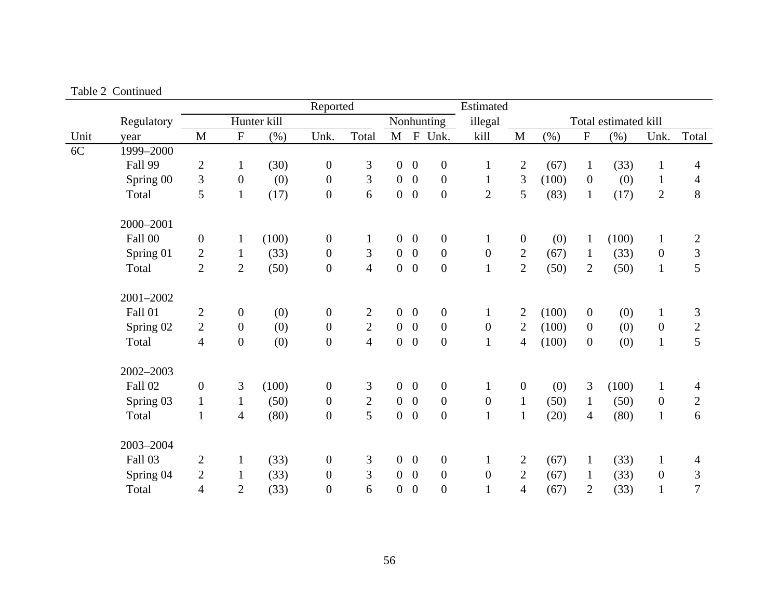|      |            |                  |                  |             | Reported         |                |                |                  |                  | Estimated        |                  |       |                  |                      |                  |                |
|------|------------|------------------|------------------|-------------|------------------|----------------|----------------|------------------|------------------|------------------|------------------|-------|------------------|----------------------|------------------|----------------|
|      | Regulatory |                  |                  | Hunter kill |                  |                |                |                  | Nonhunting       | illegal          |                  |       |                  | Total estimated kill |                  |                |
| Unit | year       | M                | $\mathbf F$      | (% )        | Unk.             | Total          | $\mathbf M$    | $\mathbf{F}$     | Unk.             | kill             | $\mathbf M$      | (% )  | ${\bf F}$        | (% )                 | Unk.             | Total          |
| 6C   | 1999-2000  |                  |                  |             |                  |                |                |                  |                  |                  |                  |       |                  |                      |                  |                |
|      | Fall 99    | $\mathbf{2}$     | $\mathbf{1}$     | (30)        | $\boldsymbol{0}$ | 3              | $\overline{0}$ | $\boldsymbol{0}$ | $\boldsymbol{0}$ | $\mathbf{1}$     | $\overline{2}$   | (67)  | $\mathbf{1}$     | (33)                 | $\mathbf{1}$     | 4              |
|      | Spring 00  | $\mathfrak{Z}$   | $\boldsymbol{0}$ | (0)         | $\boldsymbol{0}$ | 3              | $\overline{0}$ | $\overline{0}$   | $\boldsymbol{0}$ | $\mathbf{1}$     | 3                | (100) | $\boldsymbol{0}$ | (0)                  | $\mathbf{1}$     | $\overline{4}$ |
|      | Total      | 5                | $\mathbf{1}$     | (17)        | $\boldsymbol{0}$ | 6              | $\overline{0}$ | $\overline{0}$   | $\mathbf{0}$     | $\overline{2}$   | 5                | (83)  | $\mathbf{1}$     | (17)                 | $\overline{2}$   | 8              |
|      | 2000-2001  |                  |                  |             |                  |                |                |                  |                  |                  |                  |       |                  |                      |                  |                |
|      | Fall 00    | $\boldsymbol{0}$ | $\mathbf{1}$     | (100)       | $\boldsymbol{0}$ | $\mathbf{1}$   | $\overline{0}$ | $\mathbf{0}$     | $\overline{0}$   | $\mathbf{1}$     | $\boldsymbol{0}$ | (0)   | $\mathbf{1}$     | (100)                | $\mathbf{1}$     | $\overline{2}$ |
|      | Spring 01  | $\mathbf{2}$     | $\mathbf{1}$     | (33)        | $\boldsymbol{0}$ | 3              | $\overline{0}$ | $\overline{0}$   | $\boldsymbol{0}$ | $\boldsymbol{0}$ | $\overline{2}$   | (67)  | $\mathbf{1}$     | (33)                 | $\overline{0}$   | 3              |
|      | Total      | $\overline{2}$   | $\mathbf{2}$     | (50)        | $\boldsymbol{0}$ | $\overline{4}$ | $\overline{0}$ | $\boldsymbol{0}$ | $\boldsymbol{0}$ | $\mathbf{1}$     | $\overline{2}$   | (50)  | $\overline{2}$   | (50)                 | $\mathbf{1}$     | 5              |
|      | 2001-2002  |                  |                  |             |                  |                |                |                  |                  |                  |                  |       |                  |                      |                  |                |
|      | Fall 01    | $\mathbf{2}$     | $\boldsymbol{0}$ | (0)         | $\boldsymbol{0}$ | $\overline{2}$ | $\overline{0}$ | $\boldsymbol{0}$ | $\boldsymbol{0}$ | $\mathbf{1}$     | $\overline{2}$   | (100) | $\overline{0}$   | (0)                  | $\mathbf{1}$     | 3              |
|      | Spring 02  | $\overline{2}$   | $\boldsymbol{0}$ | (0)         | $\boldsymbol{0}$ | $\overline{2}$ | $\overline{0}$ | $\mathbf{0}$     | $\boldsymbol{0}$ | $\boldsymbol{0}$ | $\mathbf{2}$     | (100) | $\boldsymbol{0}$ | (0)                  | $\boldsymbol{0}$ | $\overline{c}$ |
|      | Total      | $\overline{4}$   | $\boldsymbol{0}$ | (0)         | $\boldsymbol{0}$ | $\overline{4}$ | $\overline{0}$ | $\overline{0}$   | $\boldsymbol{0}$ | $\mathbf{1}$     | $\overline{4}$   | (100) | $\overline{0}$   | (0)                  | $\mathbf{1}$     | 5              |
|      | 2002-2003  |                  |                  |             |                  |                |                |                  |                  |                  |                  |       |                  |                      |                  |                |
|      | Fall 02    | $\boldsymbol{0}$ | 3                | (100)       | $\boldsymbol{0}$ | 3              | $\overline{0}$ | $\mathbf{0}$     | $\overline{0}$   | $\mathbf{1}$     | $\boldsymbol{0}$ | (0)   | 3                | (100)                | $\mathbf{1}$     | 4              |
|      | Spring 03  | $\mathbf{1}$     | $\mathbf{1}$     | (50)        | $\boldsymbol{0}$ | $\mathbf{2}$   | $\overline{0}$ | $\overline{0}$   | $\boldsymbol{0}$ | $\boldsymbol{0}$ | $\mathbf{1}$     | (50)  | $\mathbf{1}$     | (50)                 | $\overline{0}$   | $\overline{2}$ |
|      | Total      | $\mathbf{1}$     | $\overline{4}$   | (80)        | $\boldsymbol{0}$ | 5              | $\overline{0}$ | $\overline{0}$   | $\boldsymbol{0}$ | $\mathbf{1}$     | $\mathbf{1}$     | (20)  | $\overline{4}$   | (80)                 | $\mathbf{1}$     | 6              |
|      | 2003-2004  |                  |                  |             |                  |                |                |                  |                  |                  |                  |       |                  |                      |                  |                |
|      | Fall 03    | $\mathbf{2}$     | $\mathbf{1}$     | (33)        | $\boldsymbol{0}$ | 3              | $\overline{0}$ | $\boldsymbol{0}$ | $\boldsymbol{0}$ | $\mathbf{1}$     | $\overline{2}$   | (67)  | $\mathbf{1}$     | (33)                 | $\mathbf{1}$     | 4              |
|      | Spring 04  | $\mathbf{2}$     | $\mathbf{1}$     | (33)        | $\boldsymbol{0}$ | 3              | $\overline{0}$ | $\overline{0}$   | $\boldsymbol{0}$ | $\boldsymbol{0}$ | $\overline{2}$   | (67)  | $\mathbf{1}$     | (33)                 | $\mathbf{0}$     | 3              |
|      | Total      | 4                | $\overline{2}$   | (33)        | $\boldsymbol{0}$ | 6              | $\overline{0}$ | $\boldsymbol{0}$ | $\overline{0}$   | $\mathbf{1}$     | $\overline{4}$   | (67)  | $\overline{2}$   | (33)                 | $\mathbf{1}$     | $\overline{7}$ |

Table 2 Continued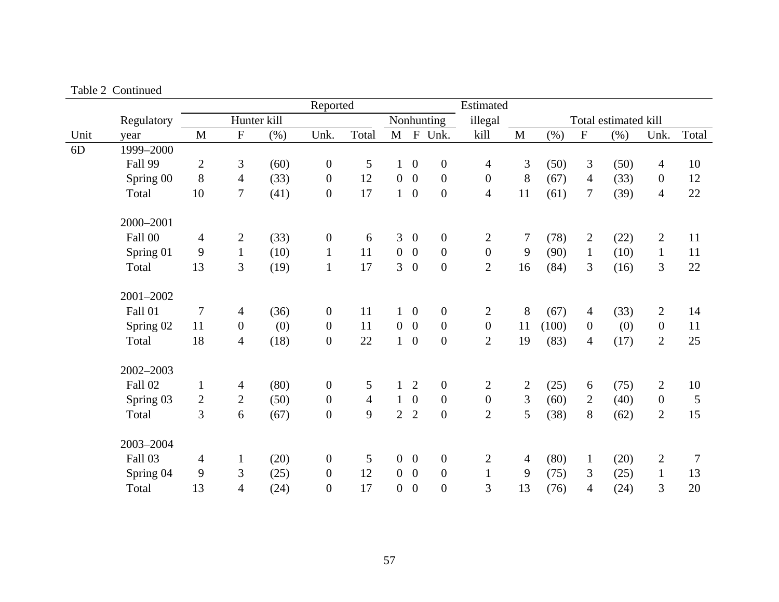|      |            |                |                           |             | Reported         |                |                |                  |                  | Estimated        |                |       |                |                      |                |       |
|------|------------|----------------|---------------------------|-------------|------------------|----------------|----------------|------------------|------------------|------------------|----------------|-------|----------------|----------------------|----------------|-------|
|      | Regulatory |                |                           | Hunter kill |                  |                |                |                  | Nonhunting       | illegal          |                |       |                | Total estimated kill |                |       |
| Unit | year       | M              | $\boldsymbol{\mathrm{F}}$ | (%)         | Unk.             | Total          | M              | $\mathbf{F}$     | Unk.             | kill             | $\mathbf{M}$   | (%)   | ${\bf F}$      | $(\%)$               | Unk.           | Total |
| 6D   | 1999-2000  |                |                           |             |                  |                |                |                  |                  |                  |                |       |                |                      |                |       |
|      | Fall 99    | $\overline{2}$ | 3                         | (60)        | $\boldsymbol{0}$ | 5              | $\mathbf{1}$   | $\overline{0}$   | $\boldsymbol{0}$ | 4                | 3              | (50)  | $\mathfrak{Z}$ | (50)                 | 4              | 10    |
|      | Spring 00  | 8              | $\overline{4}$            | (33)        | $\boldsymbol{0}$ | 12             | $\overline{0}$ | $\overline{0}$   | $\boldsymbol{0}$ | $\boldsymbol{0}$ | 8              | (67)  | $\overline{4}$ | (33)                 | $\mathbf{0}$   | 12    |
|      | Total      | 10             | $\overline{7}$            | (41)        | $\boldsymbol{0}$ | 17             |                | $1\quad 0$       | $\boldsymbol{0}$ | $\overline{4}$   | 11             | (61)  | $\tau$         | (39)                 | $\overline{4}$ | 22    |
|      | 2000-2001  |                |                           |             |                  |                |                |                  |                  |                  |                |       |                |                      |                |       |
|      | Fall 00    | $\overline{4}$ | $\overline{c}$            | (33)        | $\boldsymbol{0}$ | 6              | 3              | $\boldsymbol{0}$ | $\boldsymbol{0}$ | $\overline{2}$   | $\tau$         | (78)  | 2              | (22)                 | $\overline{2}$ | 11    |
|      | Spring 01  | 9              | $\mathbf{1}$              | (10)        | $\mathbf{1}$     | 11             | $\overline{0}$ | $\overline{0}$   | $\boldsymbol{0}$ | $\mathbf{0}$     | 9              | (90)  | $\mathbf{1}$   | (10)                 | $\mathbf{1}$   | 11    |
|      | Total      | 13             | 3                         | (19)        | $\mathbf{1}$     | 17             | $\overline{3}$ | $\boldsymbol{0}$ | $\boldsymbol{0}$ | $\overline{2}$   | 16             | (84)  | 3              | (16)                 | 3              | 22    |
|      | 2001-2002  |                |                           |             |                  |                |                |                  |                  |                  |                |       |                |                      |                |       |
|      | Fall 01    | $\overline{7}$ | $\overline{4}$            | (36)        | $\boldsymbol{0}$ | 11             |                | $1\quad 0$       | $\boldsymbol{0}$ | $\overline{2}$   | 8              | (67)  | $\overline{4}$ | (33)                 | $\overline{2}$ | 14    |
|      | Spring 02  | 11             | $\mathbf{0}$              | (0)         | $\boldsymbol{0}$ | 11             | $\overline{0}$ | $\overline{0}$   | $\boldsymbol{0}$ | $\overline{0}$   | 11             | (100) | $\mathbf{0}$   | (0)                  | $\overline{0}$ | 11    |
|      | Total      | 18             | $\overline{4}$            | (18)        | $\boldsymbol{0}$ | 22             | 1              | $\overline{0}$   | $\boldsymbol{0}$ | $\overline{2}$   | 19             | (83)  | $\overline{4}$ | (17)                 | $\overline{2}$ | 25    |
|      | 2002-2003  |                |                           |             |                  |                |                |                  |                  |                  |                |       |                |                      |                |       |
|      | Fall 02    | $\mathbf{1}$   | $\overline{4}$            | (80)        | $\boldsymbol{0}$ | 5              | $\mathbf{1}$   | $\overline{2}$   | $\boldsymbol{0}$ | $\overline{2}$   | $\overline{2}$ | (25)  | 6              | (75)                 | $\overline{2}$ | 10    |
|      | Spring 03  | $\sqrt{2}$     | $\overline{2}$            | (50)        | $\boldsymbol{0}$ | $\overline{4}$ | $\mathbf{1}$   | $\overline{0}$   | $\boldsymbol{0}$ | $\boldsymbol{0}$ | 3              | (60)  | $\overline{2}$ | (40)                 | $\overline{0}$ | 5     |
|      | Total      | 3              | 6                         | (67)        | $\boldsymbol{0}$ | 9              | $\overline{2}$ | $\overline{2}$   | $\boldsymbol{0}$ | $\overline{2}$   | 5              | (38)  | 8              | (62)                 | $\overline{2}$ | 15    |
|      | 2003-2004  |                |                           |             |                  |                |                |                  |                  |                  |                |       |                |                      |                |       |
|      | Fall 03    | $\overline{4}$ | $\mathbf{1}$              | (20)        | $\boldsymbol{0}$ | 5              | $\overline{0}$ | $\boldsymbol{0}$ | $\boldsymbol{0}$ | $\overline{2}$   | $\overline{4}$ | (80)  | $\mathbf{1}$   | (20)                 | $\overline{2}$ | 7     |
|      | Spring 04  | 9              | 3                         | (25)        | $\boldsymbol{0}$ | 12             | $\overline{0}$ | $\overline{0}$   | $\boldsymbol{0}$ | $\mathbf{1}$     | 9              | (75)  | 3              | (25)                 | $\mathbf{1}$   | 13    |
|      | Total      | 13             | $\overline{4}$            | (24)        | $\boldsymbol{0}$ | 17             | $\overline{0}$ | $\overline{0}$   | $\overline{0}$   | 3                | 13             | (76)  | $\overline{4}$ | (24)                 | 3              | 20    |

Table 2 Continued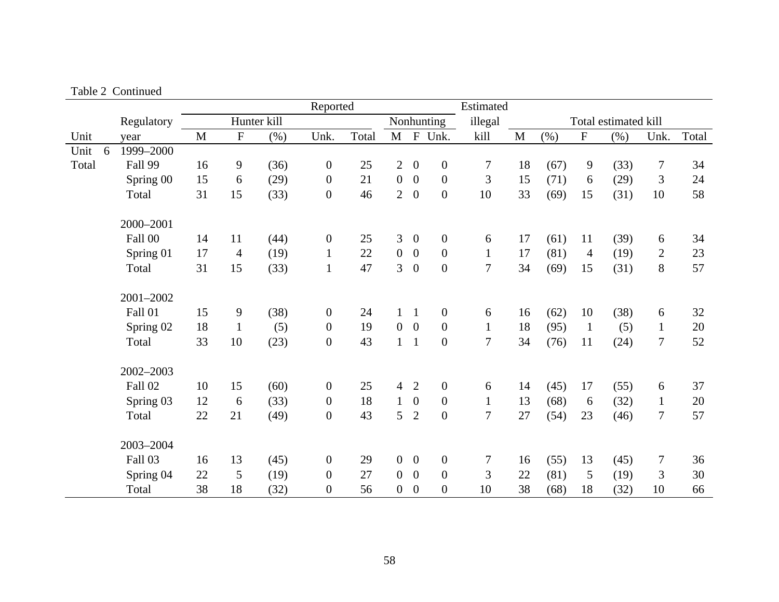|       |                |             |                |             | Reported         |       |                |                  |                  | Estimated      |              |      |                |                      |                |       |
|-------|----------------|-------------|----------------|-------------|------------------|-------|----------------|------------------|------------------|----------------|--------------|------|----------------|----------------------|----------------|-------|
|       | Regulatory     |             |                | Hunter kill |                  |       |                |                  | Nonhunting       | illegal        |              |      |                | Total estimated kill |                |       |
| Unit  | year           | $\mathbf M$ | ${\bf F}$      | (% )        | Unk.             | Total | $\mathbf{M}$   |                  | F Unk.           | kill           | $\mathbf{M}$ | (% ) | ${\bf F}$      | (% )                 | Unk.           | Total |
| Unit  | 1999-2000<br>6 |             |                |             |                  |       |                |                  |                  |                |              |      |                |                      |                |       |
| Total | Fall 99        | 16          | 9              | (36)        | $\boldsymbol{0}$ | 25    | $\overline{2}$ | $\overline{0}$   | $\overline{0}$   | $\tau$         | 18           | (67) | $\mathbf{9}$   | (33)                 | $\tau$         | 34    |
|       | Spring 00      | 15          | 6              | (29)        | $\boldsymbol{0}$ | 21    | $\mathbf{0}$   | $\boldsymbol{0}$ | $\overline{0}$   | 3              | 15           | (71) | 6              | (29)                 | 3              | 24    |
|       | Total          | 31          | 15             | (33)        | $\boldsymbol{0}$ | 46    | $\overline{2}$ | $\boldsymbol{0}$ | $\overline{0}$   | 10             | 33           | (69) | 15             | (31)                 | 10             | 58    |
|       | 2000-2001      |             |                |             |                  |       |                |                  |                  |                |              |      |                |                      |                |       |
|       | Fall 00        | 14          | 11             | (44)        | $\boldsymbol{0}$ | 25    | 3              | $\boldsymbol{0}$ | $\boldsymbol{0}$ | 6              | 17           | (61) | 11             | (39)                 | 6              | 34    |
|       | Spring 01      | 17          | $\overline{4}$ | (19)        | $\mathbf{1}$     | 22    | $\overline{0}$ | $\boldsymbol{0}$ | $\boldsymbol{0}$ | $\mathbf{1}$   | 17           | (81) | $\overline{4}$ | (19)                 | $\overline{2}$ | 23    |
|       | Total          | 31          | 15             | (33)        | $\mathbf 1$      | 47    | 3              | $\boldsymbol{0}$ | $\boldsymbol{0}$ | $\overline{7}$ | 34           | (69) | 15             | (31)                 | 8              | 57    |
|       | 2001-2002      |             |                |             |                  |       |                |                  |                  |                |              |      |                |                      |                |       |
|       | Fall 01        | 15          | 9              | (38)        | $\boldsymbol{0}$ | 24    | $\mathbf{1}$   | $\mathbf{1}$     | $\overline{0}$   | 6              | 16           | (62) | 10             | (38)                 | 6              | 32    |
|       | Spring 02      | 18          | $\mathbf{1}$   | (5)         | $\mathbf{0}$     | 19    | $\overline{0}$ | $\overline{0}$   | $\overline{0}$   | $\mathbf{1}$   | 18           | (95) | $\mathbf{1}$   | (5)                  | $\mathbf{1}$   | 20    |
|       | Total          | 33          | 10             | (23)        | $\boldsymbol{0}$ | 43    | $\mathbf{1}$   | $\mathbf{1}$     | $\boldsymbol{0}$ | $\overline{7}$ | 34           | (76) | 11             | (24)                 | $\tau$         | 52    |
|       | 2002-2003      |             |                |             |                  |       |                |                  |                  |                |              |      |                |                      |                |       |
|       | Fall 02        | 10          | 15             | (60)        | $\boldsymbol{0}$ | 25    | $\overline{4}$ | $\overline{2}$   | $\boldsymbol{0}$ | 6              | 14           | (45) | 17             | (55)                 | 6              | 37    |
|       | Spring 03      | 12          | 6              | (33)        | $\boldsymbol{0}$ | 18    | $\mathbf{1}$   | $\boldsymbol{0}$ | $\boldsymbol{0}$ | $\mathbf{1}$   | 13           | (68) | 6              | (32)                 | $\mathbf{1}$   | 20    |
|       | Total          | 22          | 21             | (49)        | $\boldsymbol{0}$ | 43    | 5              | $\overline{2}$   | $\boldsymbol{0}$ | 7              | 27           | (54) | 23             | (46)                 | $\overline{7}$ | 57    |
|       | 2003-2004      |             |                |             |                  |       |                |                  |                  |                |              |      |                |                      |                |       |
|       | Fall 03        | 16          | 13             | (45)        | $\boldsymbol{0}$ | 29    | $\overline{0}$ | $\boldsymbol{0}$ | $\boldsymbol{0}$ | 7              | 16           | (55) | 13             | (45)                 | $\tau$         | 36    |
|       | Spring 04      | 22          | 5              | (19)        | $\boldsymbol{0}$ | 27    | $\overline{0}$ | $\boldsymbol{0}$ | $\boldsymbol{0}$ | 3              | 22           | (81) | 5              | (19)                 | 3              | 30    |
|       | Total          | 38          | 18             | (32)        | $\boldsymbol{0}$ | 56    | $\overline{0}$ | $\theta$         | $\overline{0}$   | 10             | 38           | (68) | 18             | (32)                 | 10             | 66    |

Table 2 Continued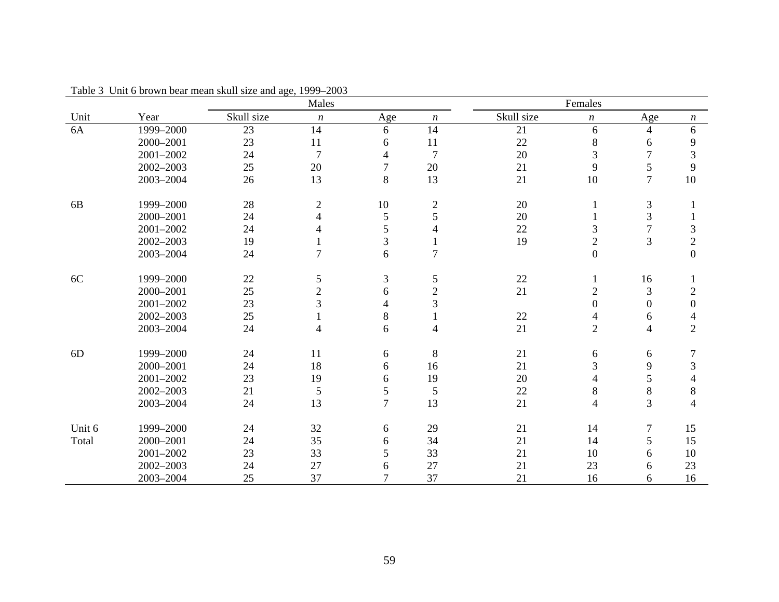|                |           |            | Males            |                |                  |            | Females          |                  |                          |
|----------------|-----------|------------|------------------|----------------|------------------|------------|------------------|------------------|--------------------------|
| Unit           | Year      | Skull size | $\boldsymbol{n}$ | Age            | $\boldsymbol{n}$ | Skull size | $\boldsymbol{n}$ | Age              | $\boldsymbol{n}$         |
| 6A             | 1999-2000 | 23         | 14               | 6              | 14               | 21         | 6                | $\overline{4}$   | 6                        |
|                | 2000-2001 | 23         | 11               | 6              | 11               | 22         | 8                | 6                | 9                        |
|                | 2001-2002 | 24         | $\overline{7}$   | 4              | $\overline{7}$   | 20         | 3                | 7                | $\overline{3}$           |
|                | 2002-2003 | 25         | 20               | 7              | 20               | 21         | 9                | 5                | 9                        |
|                | 2003-2004 | 26         | 13               | 8              | 13               | 21         | 10               | $\overline{7}$   | 10                       |
| 6 <sub>B</sub> | 1999-2000 | 28         | $\sqrt{2}$       | 10             | $\mathbf{2}$     | 20         | 1                | 3                |                          |
|                | 2000-2001 | 24         | $\overline{4}$   | 5              | 5                | 20         |                  | 3                |                          |
|                | 2001-2002 | 24         | 4                | 5              | 4                | 22         | 3                | $\overline{7}$   | $\mathfrak{Z}$           |
|                | 2002-2003 | 19         |                  | 3              |                  | 19         | $\overline{c}$   | 3                | $\mathbf{2}$             |
|                | 2003-2004 | 24         | $\overline{7}$   | 6              | $\overline{7}$   |            | $\boldsymbol{0}$ |                  | $\overline{0}$           |
| 6C             | 1999-2000 | 22         | 5                | 3              | 5                | $22\,$     |                  | 16               |                          |
|                | 2000-2001 | 25         | $\overline{2}$   | 6              | $\overline{2}$   | 21         | $\overline{2}$   | 3                | $\mathfrak{2}$           |
|                | 2001-2002 | 23         | 3                | 4              | 3                |            | $\overline{0}$   | $\mathbf{0}$     | $\boldsymbol{0}$         |
|                | 2002-2003 | 25         |                  | 8              |                  | $22\,$     | 4                | 6                | $\overline{\mathcal{A}}$ |
|                | 2003-2004 | 24         | 4                | 6              | 4                | 21         | $\overline{2}$   | 4                | $\overline{2}$           |
| 6D             | 1999-2000 | 24         | 11               | 6              | 8                | 21         | 6                | 6                | $\overline{7}$           |
|                | 2000-2001 | 24         | 18               | 6              | 16               | 21         | 3                | 9                | $\mathfrak{Z}$           |
|                | 2001-2002 | 23         | 19               | 6              | 19               | 20         | 4                | 5                | $\overline{4}$           |
|                | 2002-2003 | 21         | $\sqrt{5}$       | 5              | 5                | 22         | 8                | $\,8$            | $8\,$                    |
|                | 2003-2004 | 24         | 13               | $\overline{7}$ | 13               | 21         | $\overline{4}$   | $\overline{3}$   | $\overline{4}$           |
| Unit 6         | 1999-2000 | 24         | 32               | 6              | 29               | 21         | 14               | $\boldsymbol{7}$ | 15                       |
| Total          | 2000-2001 | 24         | 35               | 6              | 34               | 21         | 14               | 5                | 15                       |
|                | 2001-2002 | 23         | 33               | 5              | 33               | 21         | 10               | 6                | 10                       |
|                | 2002-2003 | 24         | 27               | 6              | 27               | 21         | 23               | 6                | 23                       |
|                | 2003-2004 | 25         | 37               | $\overline{7}$ | 37               | 21         | 16               | 6                | 16                       |

Table 3 Unit 6 brown bear mean skull size and age, 1999–2003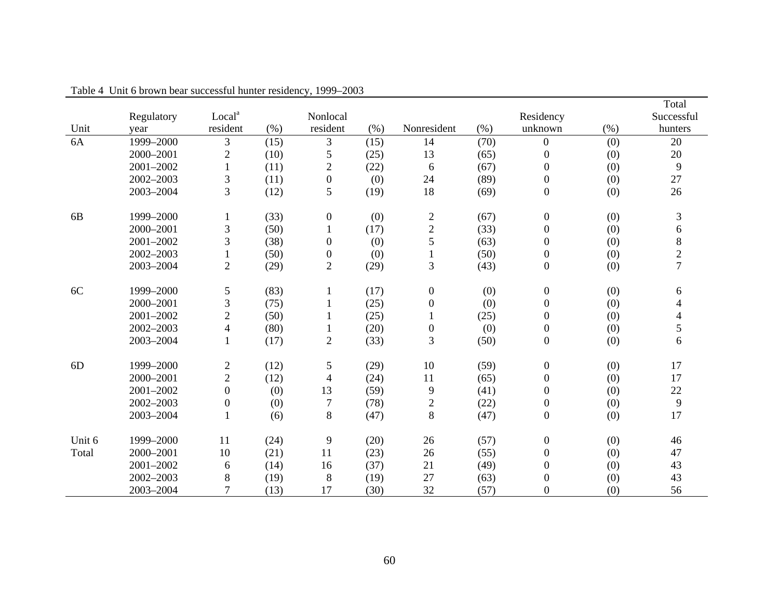|                |            |                          |      |                  |      |                  |           |                  |      | Total          |  |
|----------------|------------|--------------------------|------|------------------|------|------------------|-----------|------------------|------|----------------|--|
|                | Regulatory | Local <sup>a</sup>       |      | Nonlocal         |      |                  | Residency |                  |      | Successful     |  |
| Unit           | year       | resident                 | (% ) | resident         | (% ) | Nonresident      | (% )      | unknown          | (% ) | hunters        |  |
| 6A             | 1999-2000  | 3                        | (15) | 3                | (15) | 14               | (70)      | $\boldsymbol{0}$ | (0)  | 20             |  |
|                | 2000-2001  | $\mathfrak{2}$           | (10) | $\mathfrak{S}$   | (25) | 13               | (65)      | $\boldsymbol{0}$ | (0)  | 20             |  |
|                | 2001-2002  | $\mathbf{1}$             | (11) | $\overline{c}$   | (22) | 6                | (67)      | $\mathbf{0}$     | (0)  | 9              |  |
|                | 2002-2003  | $\mathfrak{Z}$           | (11) | $\boldsymbol{0}$ | (0)  | 24               | (89)      | $\boldsymbol{0}$ | (0)  | 27             |  |
|                | 2003-2004  | 3                        | (12) | $\mathfrak{S}$   | (19) | 18               | (69)      | $\boldsymbol{0}$ | (0)  | 26             |  |
| 6 <sub>B</sub> | 1999-2000  |                          | (33) | $\boldsymbol{0}$ | (0)  | $\overline{c}$   | (67)      | $\boldsymbol{0}$ | (0)  | 3              |  |
|                | 2000-2001  | 3                        | (50) | $\mathbf{1}$     | (17) | $\mathbf{2}$     | (33)      | $\boldsymbol{0}$ | (0)  | 6              |  |
|                | 2001-2002  | 3                        | (38) | $\boldsymbol{0}$ | (0)  | 5                | (63)      | $\boldsymbol{0}$ | (0)  | $\,8\,$        |  |
|                | 2002-2003  | $\mathbf{1}$             | (50) | $\boldsymbol{0}$ | (0)  | $\mathbf{1}$     | (50)      | $\boldsymbol{0}$ | (0)  | $\overline{2}$ |  |
|                | 2003-2004  | $\overline{c}$           | (29) | $\sqrt{2}$       | (29) | 3                | (43)      | $\boldsymbol{0}$ | (0)  | $\overline{7}$ |  |
| 6C             | 1999-2000  | 5                        | (83) | 1                | (17) | $\boldsymbol{0}$ | (0)       | $\boldsymbol{0}$ | (0)  | 6              |  |
|                | 2000-2001  | 3                        | (75) |                  | (25) | $\boldsymbol{0}$ | (0)       | $\boldsymbol{0}$ | (0)  | 4              |  |
|                | 2001-2002  | $\overline{2}$           | (50) | 1                | (25) | $\mathbf{1}$     | (25)      | $\boldsymbol{0}$ | (0)  | 4              |  |
|                | 2002-2003  | $\overline{\mathcal{A}}$ | (80) | 1                | (20) | $\boldsymbol{0}$ | (0)       | $\boldsymbol{0}$ | (0)  | 5              |  |
|                | 2003-2004  | $\mathbf{1}$             | (17) | $\sqrt{2}$       | (33) | 3                | (50)      | $\boldsymbol{0}$ | (0)  | 6              |  |
| 6D             | 1999-2000  | $\overline{c}$           | (12) | $\mathfrak s$    | (29) | 10               | (59)      | $\boldsymbol{0}$ | (0)  | 17             |  |
|                | 2000-2001  | $\overline{c}$           | (12) | 4                | (24) | 11               | (65)      | $\boldsymbol{0}$ | (0)  | 17             |  |
|                | 2001-2002  | $\overline{0}$           | (0)  | 13               | (59) | 9                | (41)      | $\boldsymbol{0}$ | (0)  | 22             |  |
|                | 2002-2003  | $\boldsymbol{0}$         | (0)  | $\overline{7}$   | (78) | $\overline{c}$   | (22)      | $\boldsymbol{0}$ | (0)  | 9              |  |
|                | 2003-2004  | $\mathbf{1}$             | (6)  | 8                | (47) | 8                | (47)      | $\boldsymbol{0}$ | (0)  | 17             |  |
| Unit 6         | 1999-2000  | 11                       | (24) | 9                | (20) | 26               | (57)      | $\boldsymbol{0}$ | (0)  | 46             |  |
| Total          | 2000-2001  | 10                       | (21) | 11               | (23) | 26               | (55)      | $\boldsymbol{0}$ | (0)  | 47             |  |
|                | 2001-2002  | 6                        | (14) | 16               | (37) | 21               | (49)      | $\boldsymbol{0}$ | (0)  | 43             |  |
|                | 2002-2003  | $8\,$                    | (19) | 8                | (19) | 27               | (63)      | $\boldsymbol{0}$ | (0)  | 43             |  |
|                | 2003-2004  | $\overline{7}$           | (13) | 17               | (30) | 32               | (57)      | $\boldsymbol{0}$ | (0)  | 56             |  |

Table 4 Unit 6 brown bear successful hunter residency, 1999–2003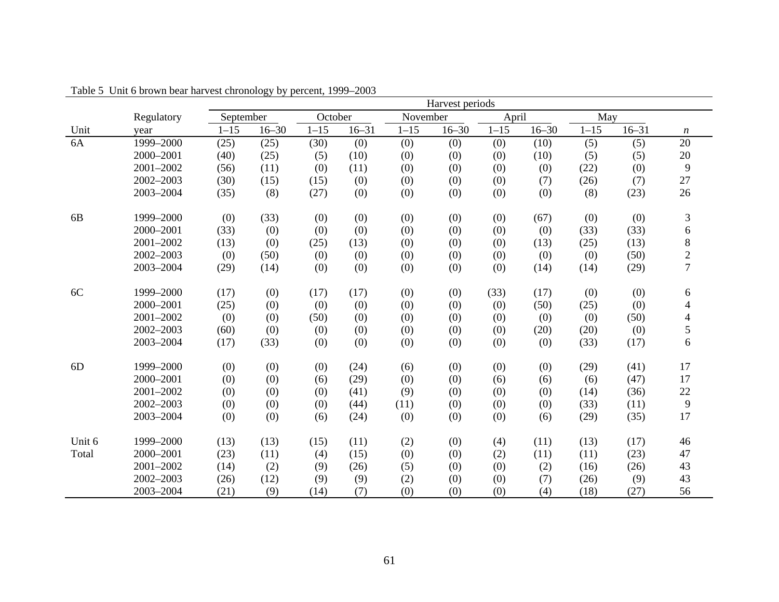|                |            |           | Harvest periods |          |           |          |           |          |           |          |           |                          |
|----------------|------------|-----------|-----------------|----------|-----------|----------|-----------|----------|-----------|----------|-----------|--------------------------|
|                | Regulatory | September |                 | October  |           | November |           | April    |           | May      |           |                          |
| Unit           | year       | $1 - 15$  | $16 - 30$       | $1 - 15$ | $16 - 31$ | $1 - 15$ | $16 - 30$ | $1 - 15$ | $16 - 30$ | $1 - 15$ | $16 - 31$ | $\boldsymbol{n}$         |
| 6A             | 1999-2000  | (25)      | (25)            | (30)     | (0)       | (0)      | (0)       | (0)      | (10)      | (5)      | (5)       | 20                       |
|                | 2000-2001  | (40)      | (25)            | (5)      | (10)      | (0)      | (0)       | (0)      | (10)      | (5)      | (5)       | $20\,$                   |
|                | 2001-2002  | (56)      | (11)            | (0)      | (11)      | (0)      | (0)       | (0)      | (0)       | (22)     | (0)       | 9                        |
|                | 2002-2003  | (30)      | (15)            | (15)     | (0)       | (0)      | (0)       | (0)      | (7)       | (26)     | (7)       | 27                       |
|                | 2003-2004  | (35)      | (8)             | (27)     | (0)       | (0)      | (0)       | (0)      | (0)       | (8)      | (23)      | 26                       |
| 6 <sub>B</sub> | 1999-2000  | (0)       | (33)            | (0)      | (0)       | (0)      | (0)       | (0)      | (67)      | (0)      | (0)       | $\mathfrak{Z}$           |
|                | 2000-2001  | (33)      | (0)             | (0)      | (0)       | (0)      | (0)       | (0)      | (0)       | (33)     | (33)      | 6                        |
|                | 2001-2002  | (13)      | (0)             | (25)     | (13)      | (0)      | (0)       | (0)      | (13)      | (25)     | (13)      | $\,8\,$                  |
|                | 2002-2003  | (0)       | (50)            | (0)      | (0)       | (0)      | (0)       | (0)      | (0)       | (0)      | (50)      | $\overline{c}$           |
|                | 2003-2004  | (29)      | (14)            | (0)      | (0)       | (0)      | (0)       | (0)      | (14)      | (14)     | (29)      | $\overline{7}$           |
| 6C             | 1999-2000  | (17)      | (0)             | (17)     | (17)      | (0)      | (0)       | (33)     | (17)      | (0)      | (0)       | 6                        |
|                | 2000-2001  | (25)      | (0)             | (0)      | (0)       | (0)      | (0)       | (0)      | (50)      | (25)     | (0)       | $\overline{\mathcal{A}}$ |
|                | 2001-2002  | (0)       | (0)             | (50)     | (0)       | (0)      | (0)       | (0)      | (0)       | (0)      | (50)      | $\overline{\mathcal{A}}$ |
|                | 2002-2003  | (60)      | (0)             | (0)      | (0)       | (0)      | (0)       | (0)      | (20)      | (20)     | (0)       | 5                        |
|                | 2003-2004  | (17)      | (33)            | (0)      | (0)       | (0)      | (0)       | (0)      | (0)       | (33)     | (17)      | $\sqrt{6}$               |
| 6D             | 1999-2000  | (0)       | (0)             | (0)      | (24)      | (6)      | (0)       | (0)      | (0)       | (29)     | (41)      | 17                       |
|                | 2000-2001  | (0)       | (0)             | (6)      | (29)      | (0)      | (0)       | (6)      | (6)       | (6)      | (47)      | 17                       |
|                | 2001-2002  | (0)       | (0)             | (0)      | (41)      | (9)      | (0)       | (0)      | (0)       | (14)     | (36)      | 22                       |
|                | 2002-2003  | (0)       | (0)             | (0)      | (44)      | (11)     | (0)       | (0)      | (0)       | (33)     | (11)      | 9                        |
|                | 2003-2004  | (0)       | (0)             | (6)      | (24)      | (0)      | (0)       | (0)      | (6)       | (29)     | (35)      | 17                       |
| Unit 6         | 1999-2000  | (13)      | (13)            | (15)     | (11)      | (2)      | (0)       | (4)      | (11)      | (13)     | (17)      | 46                       |
| Total          | 2000-2001  | (23)      | (11)            | (4)      | (15)      | (0)      | (0)       | (2)      | (11)      | (11)     | (23)      | 47                       |
|                | 2001-2002  | (14)      | (2)             | (9)      | (26)      | (5)      | (0)       | (0)      | (2)       | (16)     | (26)      | 43                       |
|                | 2002-2003  | (26)      | (12)            | (9)      | (9)       | (2)      | (0)       | (0)      | (7)       | (26)     | (9)       | 43                       |
|                | 2003-2004  | (21)      | (9)             | (14)     | (7)       | (0)      | (0)       | (0)      | (4)       | (18)     | (27)      | 56                       |

Table 5 Unit 6 brown bear harvest chronology by percent, 1999–2003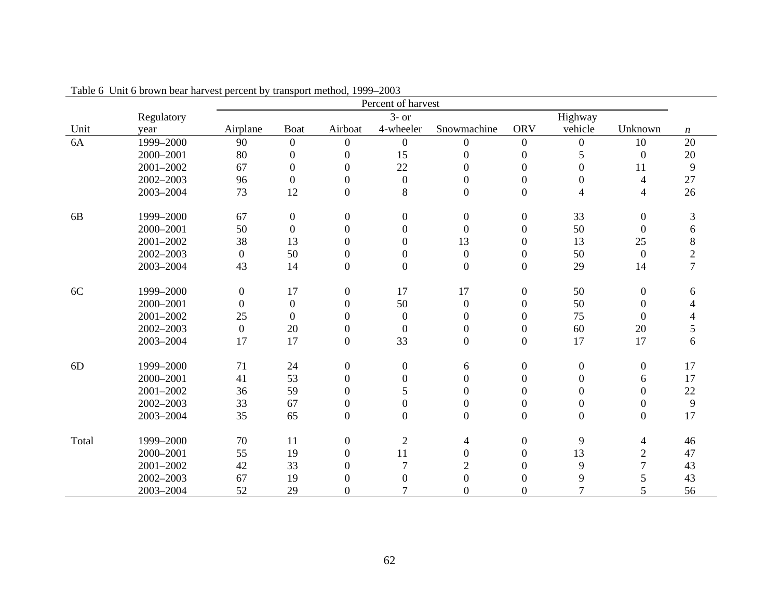|            | Tuble $\sigma$ only $\sigma$ below to be that vest percent by transport method, 1999<br>Percent of harvest |                    |                  |                  |                  |                  |                  |                  |                          |                  |  |
|------------|------------------------------------------------------------------------------------------------------------|--------------------|------------------|------------------|------------------|------------------|------------------|------------------|--------------------------|------------------|--|
|            | Regulatory                                                                                                 | $3-$ or<br>Highway |                  |                  |                  |                  |                  |                  |                          |                  |  |
| Unit       | year                                                                                                       | Airplane           | <b>Boat</b>      | Airboat          | 4-wheeler        | Snowmachine      | <b>ORV</b>       | vehicle          | Unknown                  | $\boldsymbol{n}$ |  |
| 6A         | 1999-2000                                                                                                  | 90                 | $\boldsymbol{0}$ | $\boldsymbol{0}$ | $\mathbf{0}$     | $\boldsymbol{0}$ | $\boldsymbol{0}$ | $\boldsymbol{0}$ | 10                       | 20               |  |
|            | 2000-2001                                                                                                  | 80                 | $\boldsymbol{0}$ | $\boldsymbol{0}$ | 15               | $\boldsymbol{0}$ | $\boldsymbol{0}$ | 5                | $\boldsymbol{0}$         | 20               |  |
|            | 2001-2002                                                                                                  | 67                 | $\boldsymbol{0}$ | $\Omega$         | 22               | $\theta$         | $\boldsymbol{0}$ | $\overline{0}$   | 11                       | 9                |  |
|            | 2002-2003                                                                                                  | 96                 | $\boldsymbol{0}$ | $\overline{0}$   | $\boldsymbol{0}$ | $\boldsymbol{0}$ | $\boldsymbol{0}$ | $\boldsymbol{0}$ | $\overline{\mathcal{A}}$ | 27               |  |
|            | 2003-2004                                                                                                  | 73                 | 12               | $\boldsymbol{0}$ | 8                | $\boldsymbol{0}$ | $\overline{0}$   | 4                | $\overline{4}$           | 26               |  |
| 6 <b>B</b> | 1999-2000                                                                                                  | 67                 | $\boldsymbol{0}$ | $\boldsymbol{0}$ | $\mathbf{0}$     | $\boldsymbol{0}$ | $\boldsymbol{0}$ | 33               | $\boldsymbol{0}$         | 3                |  |
|            | 2000-2001                                                                                                  | 50                 | $\boldsymbol{0}$ | $\boldsymbol{0}$ | $\overline{0}$   | $\boldsymbol{0}$ | $\boldsymbol{0}$ | 50               | $\boldsymbol{0}$         | 6                |  |
|            | 2001-2002                                                                                                  | 38                 | 13               | $\boldsymbol{0}$ | $\overline{0}$   | 13               | $\boldsymbol{0}$ | 13               | 25                       | $8\,$            |  |
|            | 2002-2003                                                                                                  | $\boldsymbol{0}$   | 50               | $\boldsymbol{0}$ | $\mathbf{0}$     | $\boldsymbol{0}$ | $\boldsymbol{0}$ | 50               | $\boldsymbol{0}$         | $\overline{2}$   |  |
|            | 2003-2004                                                                                                  | 43                 | 14               | $\boldsymbol{0}$ | $\boldsymbol{0}$ | $\boldsymbol{0}$ | $\boldsymbol{0}$ | 29               | 14                       | $\overline{7}$   |  |
| 6C         | 1999-2000                                                                                                  | $\boldsymbol{0}$   | 17               | $\boldsymbol{0}$ | 17               | 17               | $\boldsymbol{0}$ | 50               | $\boldsymbol{0}$         | 6                |  |
|            | 2000-2001                                                                                                  | $\boldsymbol{0}$   | $\boldsymbol{0}$ | $\boldsymbol{0}$ | 50               | $\boldsymbol{0}$ | $\boldsymbol{0}$ | 50               | $\boldsymbol{0}$         |                  |  |
|            | 2001-2002                                                                                                  | 25                 | $\boldsymbol{0}$ | $\overline{0}$   | $\mathbf{0}$     | $\Omega$         | $\Omega$         | 75               | $\overline{0}$           |                  |  |
|            | 2002-2003                                                                                                  | $\boldsymbol{0}$   | 20               | $\boldsymbol{0}$ | $\overline{0}$   | $\mathbf{0}$     | $\boldsymbol{0}$ | 60               | 20                       | 5                |  |
|            | 2003-2004                                                                                                  | 17                 | 17               | $\boldsymbol{0}$ | 33               | $\boldsymbol{0}$ | $\boldsymbol{0}$ | 17               | 17                       | 6                |  |
| 6D         | 1999-2000                                                                                                  | 71                 | 24               | $\boldsymbol{0}$ | $\mathbf{0}$     | 6                | $\boldsymbol{0}$ | $\overline{0}$   | $\boldsymbol{0}$         | 17               |  |
|            | 2000-2001                                                                                                  | 41                 | 53               | $\overline{0}$   | $\overline{0}$   | $\theta$         | $\Omega$         | $\Omega$         | 6                        | 17               |  |
|            | 2001-2002                                                                                                  | 36                 | 59               | $\boldsymbol{0}$ | 5                | 0                | $\boldsymbol{0}$ | $\overline{0}$   | $\boldsymbol{0}$         | 22               |  |
|            | 2002-2003                                                                                                  | 33                 | 67               | $\boldsymbol{0}$ | $\overline{0}$   | $\mathbf{0}$     | $\boldsymbol{0}$ | $\Omega$         | $\boldsymbol{0}$         | $\overline{9}$   |  |
|            | 2003-2004                                                                                                  | 35                 | 65               | $\boldsymbol{0}$ | $\overline{0}$   | $\boldsymbol{0}$ | $\boldsymbol{0}$ | $\overline{0}$   | $\boldsymbol{0}$         | 17               |  |
| Total      | 1999-2000                                                                                                  | 70                 | 11               | $\boldsymbol{0}$ | $\overline{2}$   | 4                | $\boldsymbol{0}$ | 9                | $\overline{4}$           | 46               |  |
|            | 2000-2001                                                                                                  | 55                 | 19               | $\Omega$         | 11               | $\mathbf{0}$     | $\Omega$         | 13               | $\mathbf{2}$             | 47               |  |
|            | 2001-2002                                                                                                  | 42                 | 33               | 0                |                  | $\overline{2}$   | $\Omega$         | 9                | 7                        | 43               |  |
|            | 2002-2003                                                                                                  | 67                 | 19               | 0                | $\overline{0}$   | $\boldsymbol{0}$ | 0                | 9                | 5                        | 43               |  |
|            | 2003-2004                                                                                                  | 52                 | 29               | $\Omega$         |                  | $\Omega$         | $\Omega$         | $\tau$           | 5                        | 56               |  |

Table 6 Unit 6 brown bear harvest percent by transport method, 1999–2003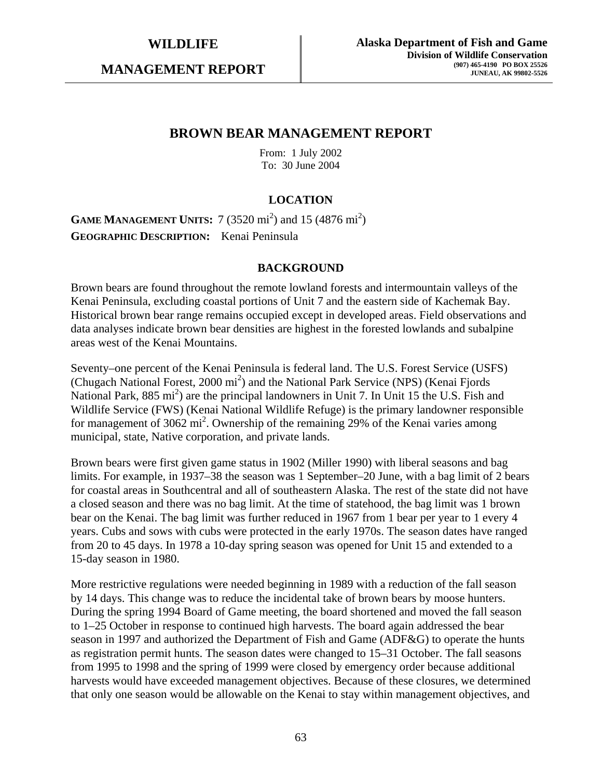**MANAGEMENT REPORT** 

## **BROWN BEAR MANAGEMENT REPORT**

From: 1 July 2002 To: 30 June 2004

## **LOCATION**

**GAME MANAGEMENT UNITS:** 7 (3520 mi<sup>2</sup>) and 15 (4876 mi<sup>2</sup>) **GEOGRAPHIC DESCRIPTION:** Kenai Peninsula

#### **BACKGROUND**

Brown bears are found throughout the remote lowland forests and intermountain valleys of the Kenai Peninsula, excluding coastal portions of Unit 7 and the eastern side of Kachemak Bay. Historical brown bear range remains occupied except in developed areas. Field observations and data analyses indicate brown bear densities are highest in the forested lowlands and subalpine areas west of the Kenai Mountains.

Seventy–one percent of the Kenai Peninsula is federal land. The U.S. Forest Service (USFS) (Chugach National Forest, 2000 mi<sup>2</sup>) and the National Park Service (NPS) (Kenai Fjords National Park, 885 mi<sup>2</sup>) are the principal landowners in Unit 7. In Unit 15 the U.S. Fish and Wildlife Service (FWS) (Kenai National Wildlife Refuge) is the primary landowner responsible for management of 3062 mi<sup>2</sup>. Ownership of the remaining 29% of the Kenai varies among municipal, state, Native corporation, and private lands.

Brown bears were first given game status in 1902 (Miller 1990) with liberal seasons and bag limits. For example, in 1937–38 the season was 1 September–20 June, with a bag limit of 2 bears for coastal areas in Southcentral and all of southeastern Alaska. The rest of the state did not have a closed season and there was no bag limit. At the time of statehood, the bag limit was 1 brown bear on the Kenai. The bag limit was further reduced in 1967 from 1 bear per year to 1 every 4 years. Cubs and sows with cubs were protected in the early 1970s. The season dates have ranged from 20 to 45 days. In 1978 a 10-day spring season was opened for Unit 15 and extended to a 15-day season in 1980.

More restrictive regulations were needed beginning in 1989 with a reduction of the fall season by 14 days. This change was to reduce the incidental take of brown bears by moose hunters. During the spring 1994 Board of Game meeting, the board shortened and moved the fall season to 1–25 October in response to continued high harvests. The board again addressed the bear season in 1997 and authorized the Department of Fish and Game (ADF&G) to operate the hunts as registration permit hunts. The season dates were changed to 15–31 October. The fall seasons from 1995 to 1998 and the spring of 1999 were closed by emergency order because additional harvests would have exceeded management objectives. Because of these closures, we determined that only one season would be allowable on the Kenai to stay within management objectives, and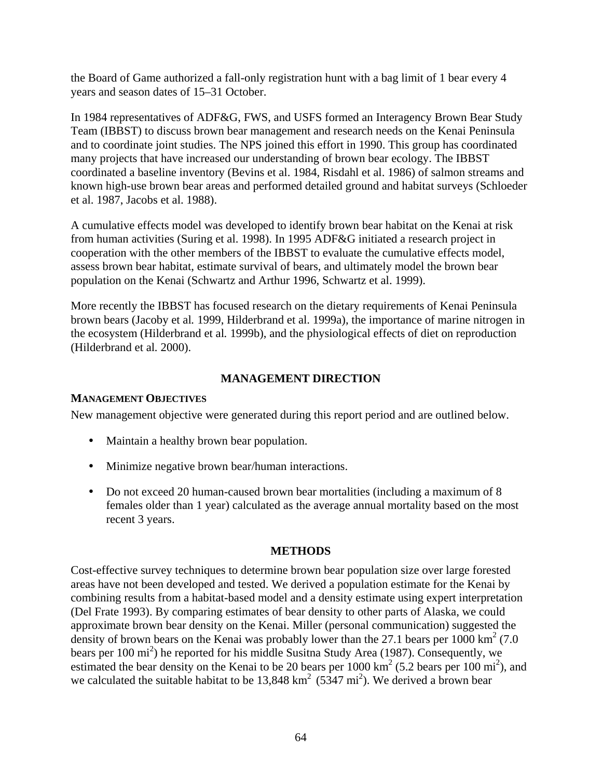the Board of Game authorized a fall-only registration hunt with a bag limit of 1 bear every 4 years and season dates of 15–31 October.

In 1984 representatives of ADF&G, FWS, and USFS formed an Interagency Brown Bear Study Team (IBBST) to discuss brown bear management and research needs on the Kenai Peninsula and to coordinate joint studies. The NPS joined this effort in 1990. This group has coordinated many projects that have increased our understanding of brown bear ecology. The IBBST coordinated a baseline inventory (Bevins et al. 1984, Risdahl et al. 1986) of salmon streams and known high-use brown bear areas and performed detailed ground and habitat surveys (Schloeder et al. 1987, Jacobs et al. 1988).

A cumulative effects model was developed to identify brown bear habitat on the Kenai at risk from human activities (Suring et al. 1998). In 1995 ADF&G initiated a research project in cooperation with the other members of the IBBST to evaluate the cumulative effects model, assess brown bear habitat, estimate survival of bears, and ultimately model the brown bear population on the Kenai (Schwartz and Arthur 1996, Schwartz et al. 1999).

More recently the IBBST has focused research on the dietary requirements of Kenai Peninsula brown bears (Jacoby et al*.* 1999, Hilderbrand et al. 1999a), the importance of marine nitrogen in the ecosystem (Hilderbrand et al*.* 1999b), and the physiological effects of diet on reproduction (Hilderbrand et al*.* 2000).

## **MANAGEMENT DIRECTION**

#### **MANAGEMENT OBJECTIVES**

New management objective were generated during this report period and are outlined below.

- Maintain a healthy brown bear population.
- Minimize negative brown bear/human interactions.
- Do not exceed 20 human-caused brown bear mortalities (including a maximum of 8 females older than 1 year) calculated as the average annual mortality based on the most recent 3 years.

#### **METHODS**

Cost-effective survey techniques to determine brown bear population size over large forested areas have not been developed and tested. We derived a population estimate for the Kenai by combining results from a habitat-based model and a density estimate using expert interpretation (Del Frate 1993). By comparing estimates of bear density to other parts of Alaska, we could approximate brown bear density on the Kenai. Miller (personal communication) suggested the density of brown bears on the Kenai was probably lower than the 27.1 bears per 1000 km<sup>2</sup> (7.0) bears per 100 mi<sup>2</sup>) he reported for his middle Susitna Study Area (1987). Consequently, we estimated the bear density on the Kenai to be 20 bears per  $1000 \text{ km}^2$  (5.2 bears per  $100 \text{ mi}^2$ ), and we calculated the suitable habitat to be  $13,848 \text{ km}^2$  (5347 mi<sup>2</sup>). We derived a brown bear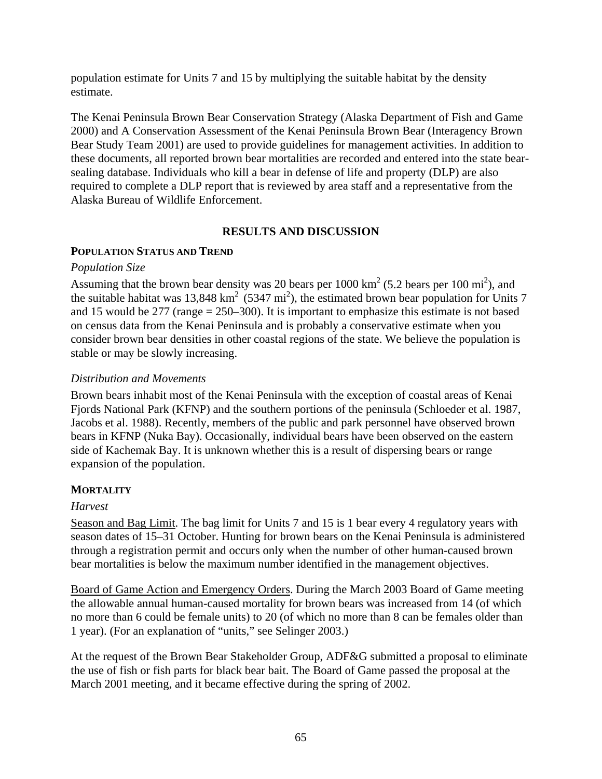population estimate for Units 7 and 15 by multiplying the suitable habitat by the density estimate.

The Kenai Peninsula Brown Bear Conservation Strategy (Alaska Department of Fish and Game 2000) and A Conservation Assessment of the Kenai Peninsula Brown Bear (Interagency Brown Bear Study Team 2001) are used to provide guidelines for management activities. In addition to these documents, all reported brown bear mortalities are recorded and entered into the state bearsealing database. Individuals who kill a bear in defense of life and property (DLP) are also required to complete a DLP report that is reviewed by area staff and a representative from the Alaska Bureau of Wildlife Enforcement.

#### **RESULTS AND DISCUSSION**

#### **POPULATION STATUS AND TREND**

#### *Population Size*

Assuming that the brown bear density was 20 bears per  $1000 \text{ km}^2$  (5.2 bears per  $100 \text{ mi}^2$ ), and the suitable habitat was 13,848 km<sup>2</sup> (5347 mi<sup>2</sup>), the estimated brown bear population for Units 7 and 15 would be  $277$  (range  $= 250-300$ ). It is important to emphasize this estimate is not based on census data from the Kenai Peninsula and is probably a conservative estimate when you consider brown bear densities in other coastal regions of the state. We believe the population is stable or may be slowly increasing.

## *Distribution and Movements*

Brown bears inhabit most of the Kenai Peninsula with the exception of coastal areas of Kenai Fjords National Park (KFNP) and the southern portions of the peninsula (Schloeder et al. 1987, Jacobs et al. 1988). Recently, members of the public and park personnel have observed brown bears in KFNP (Nuka Bay). Occasionally, individual bears have been observed on the eastern side of Kachemak Bay. It is unknown whether this is a result of dispersing bears or range expansion of the population.

## **MORTALITY**

## *Harvest*

Season and Bag Limit. The bag limit for Units 7 and 15 is 1 bear every 4 regulatory years with season dates of 15–31 October. Hunting for brown bears on the Kenai Peninsula is administered through a registration permit and occurs only when the number of other human-caused brown bear mortalities is below the maximum number identified in the management objectives.

Board of Game Action and Emergency Orders. During the March 2003 Board of Game meeting the allowable annual human-caused mortality for brown bears was increased from 14 (of which no more than 6 could be female units) to 20 (of which no more than 8 can be females older than 1 year). (For an explanation of "units," see Selinger 2003.)

At the request of the Brown Bear Stakeholder Group, ADF&G submitted a proposal to eliminate the use of fish or fish parts for black bear bait. The Board of Game passed the proposal at the March 2001 meeting, and it became effective during the spring of 2002.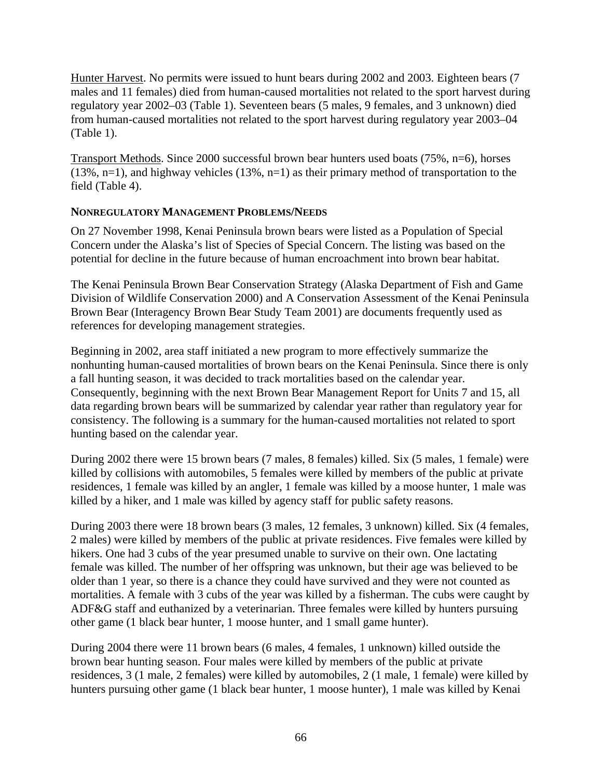Hunter Harvest. No permits were issued to hunt bears during 2002 and 2003. Eighteen bears (7 males and 11 females) died from human-caused mortalities not related to the sport harvest during regulatory year 2002–03 (Table 1). Seventeen bears (5 males, 9 females, and 3 unknown) died from human-caused mortalities not related to the sport harvest during regulatory year 2003–04 (Table 1).

Transport Methods. Since 2000 successful brown bear hunters used boats (75%, n=6), horses  $(13\%, n=1)$ , and highway vehicles  $(13\%, n=1)$  as their primary method of transportation to the field (Table 4).

#### **NONREGULATORY MANAGEMENT PROBLEMS/NEEDS**

On 27 November 1998, Kenai Peninsula brown bears were listed as a Population of Special Concern under the Alaska's list of Species of Special Concern. The listing was based on the potential for decline in the future because of human encroachment into brown bear habitat.

The Kenai Peninsula Brown Bear Conservation Strategy (Alaska Department of Fish and Game Division of Wildlife Conservation 2000) and A Conservation Assessment of the Kenai Peninsula Brown Bear (Interagency Brown Bear Study Team 2001) are documents frequently used as references for developing management strategies.

Beginning in 2002, area staff initiated a new program to more effectively summarize the nonhunting human-caused mortalities of brown bears on the Kenai Peninsula. Since there is only a fall hunting season, it was decided to track mortalities based on the calendar year. Consequently, beginning with the next Brown Bear Management Report for Units 7 and 15, all data regarding brown bears will be summarized by calendar year rather than regulatory year for consistency. The following is a summary for the human-caused mortalities not related to sport hunting based on the calendar year.

During 2002 there were 15 brown bears (7 males, 8 females) killed. Six (5 males, 1 female) were killed by collisions with automobiles, 5 females were killed by members of the public at private residences, 1 female was killed by an angler, 1 female was killed by a moose hunter, 1 male was killed by a hiker, and 1 male was killed by agency staff for public safety reasons.

During 2003 there were 18 brown bears (3 males, 12 females, 3 unknown) killed. Six (4 females, 2 males) were killed by members of the public at private residences. Five females were killed by hikers. One had 3 cubs of the year presumed unable to survive on their own. One lactating female was killed. The number of her offspring was unknown, but their age was believed to be older than 1 year, so there is a chance they could have survived and they were not counted as mortalities. A female with 3 cubs of the year was killed by a fisherman. The cubs were caught by ADF&G staff and euthanized by a veterinarian. Three females were killed by hunters pursuing other game (1 black bear hunter, 1 moose hunter, and 1 small game hunter).

During 2004 there were 11 brown bears (6 males, 4 females, 1 unknown) killed outside the brown bear hunting season. Four males were killed by members of the public at private residences, 3 (1 male, 2 females) were killed by automobiles, 2 (1 male, 1 female) were killed by hunters pursuing other game (1 black bear hunter, 1 moose hunter), 1 male was killed by Kenai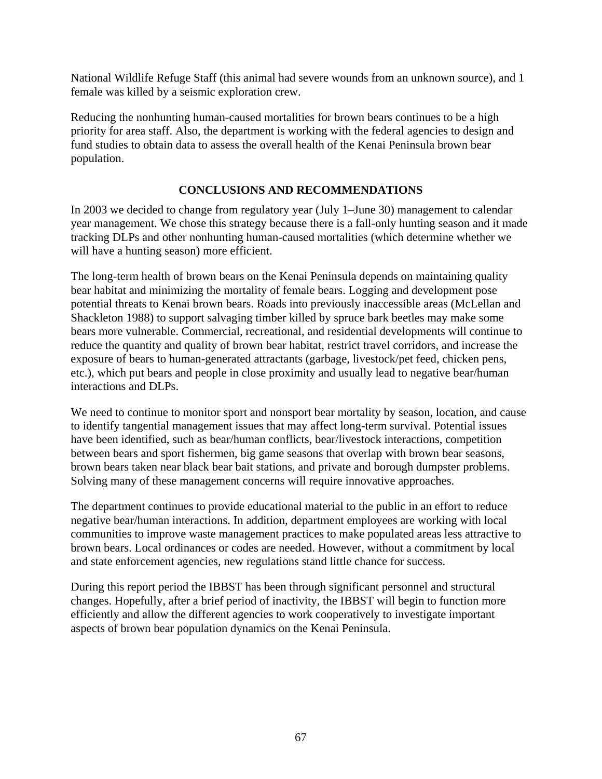National Wildlife Refuge Staff (this animal had severe wounds from an unknown source), and 1 female was killed by a seismic exploration crew.

Reducing the nonhunting human-caused mortalities for brown bears continues to be a high priority for area staff. Also, the department is working with the federal agencies to design and fund studies to obtain data to assess the overall health of the Kenai Peninsula brown bear population.

## **CONCLUSIONS AND RECOMMENDATIONS**

In 2003 we decided to change from regulatory year (July 1–June 30) management to calendar year management. We chose this strategy because there is a fall-only hunting season and it made tracking DLPs and other nonhunting human-caused mortalities (which determine whether we will have a hunting season) more efficient.

The long-term health of brown bears on the Kenai Peninsula depends on maintaining quality bear habitat and minimizing the mortality of female bears. Logging and development pose potential threats to Kenai brown bears. Roads into previously inaccessible areas (McLellan and Shackleton 1988) to support salvaging timber killed by spruce bark beetles may make some bears more vulnerable. Commercial, recreational, and residential developments will continue to reduce the quantity and quality of brown bear habitat, restrict travel corridors, and increase the exposure of bears to human-generated attractants (garbage, livestock/pet feed, chicken pens, etc.), which put bears and people in close proximity and usually lead to negative bear/human interactions and DLPs.

We need to continue to monitor sport and nonsport bear mortality by season, location, and cause to identify tangential management issues that may affect long-term survival. Potential issues have been identified, such as bear/human conflicts, bear/livestock interactions, competition between bears and sport fishermen, big game seasons that overlap with brown bear seasons, brown bears taken near black bear bait stations, and private and borough dumpster problems. Solving many of these management concerns will require innovative approaches.

The department continues to provide educational material to the public in an effort to reduce negative bear/human interactions. In addition, department employees are working with local communities to improve waste management practices to make populated areas less attractive to brown bears. Local ordinances or codes are needed. However, without a commitment by local and state enforcement agencies, new regulations stand little chance for success.

During this report period the IBBST has been through significant personnel and structural changes. Hopefully, after a brief period of inactivity, the IBBST will begin to function more efficiently and allow the different agencies to work cooperatively to investigate important aspects of brown bear population dynamics on the Kenai Peninsula.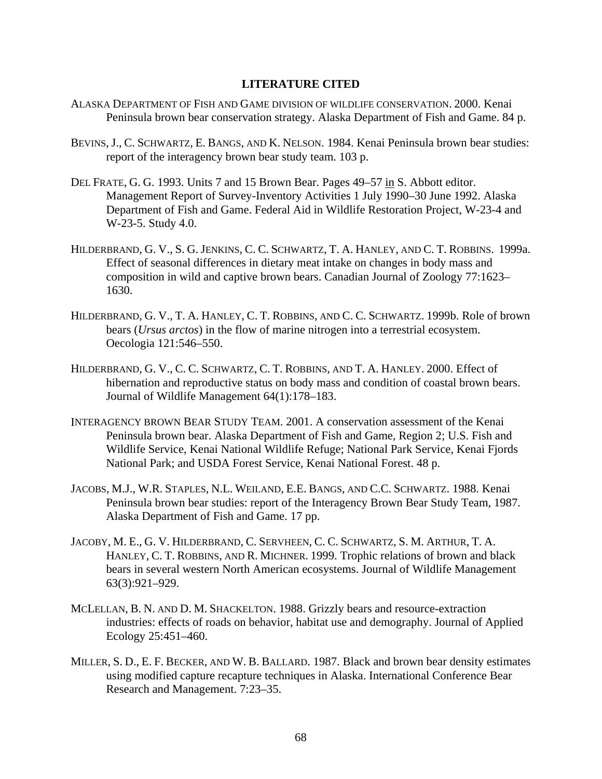## **LITERATURE CITED**

- ALASKA DEPARTMENT OF FISH AND GAME DIVISION OF WILDLIFE CONSERVATION. 2000. Kenai Peninsula brown bear conservation strategy. Alaska Department of Fish and Game. 84 p.
- BEVINS, J., C. SCHWARTZ, E. BANGS, AND K. NELSON. 1984. Kenai Peninsula brown bear studies: report of the interagency brown bear study team. 103 p.
- DEL FRATE, G. G. 1993. Units 7 and 15 Brown Bear. Pages 49–57 in S. Abbott editor. Management Report of Survey-Inventory Activities 1 July 1990–30 June 1992. Alaska Department of Fish and Game. Federal Aid in Wildlife Restoration Project, W-23-4 and W-23-5. Study 4.0.
- HILDERBRAND, G. V., S. G. JENKINS, C. C. SCHWARTZ, T. A. HANLEY, AND C. T. ROBBINS. 1999a. Effect of seasonal differences in dietary meat intake on changes in body mass and composition in wild and captive brown bears. Canadian Journal of Zoology 77:1623– 1630.
- HILDERBRAND, G. V., T. A. HANLEY, C. T. ROBBINS, AND C. C. SCHWARTZ. 1999b. Role of brown bears (*Ursus arctos*) in the flow of marine nitrogen into a terrestrial ecosystem. Oecologia 121:546–550.
- HILDERBRAND, G. V., C. C. SCHWARTZ, C. T. ROBBINS, AND T. A. HANLEY. 2000. Effect of hibernation and reproductive status on body mass and condition of coastal brown bears. Journal of Wildlife Management 64(1):178–183.
- INTERAGENCY BROWN BEAR STUDY TEAM. 2001. A conservation assessment of the Kenai Peninsula brown bear. Alaska Department of Fish and Game, Region 2; U.S. Fish and Wildlife Service, Kenai National Wildlife Refuge; National Park Service, Kenai Fjords National Park; and USDA Forest Service, Kenai National Forest. 48 p.
- JACOBS, M.J., W.R. STAPLES, N.L. WEILAND, E.E. BANGS, AND C.C. SCHWARTZ. 1988. Kenai Peninsula brown bear studies: report of the Interagency Brown Bear Study Team, 1987. Alaska Department of Fish and Game. 17 pp.
- JACOBY, M. E., G. V. HILDERBRAND, C. SERVHEEN, C. C. SCHWARTZ, S. M. ARTHUR, T. A. HANLEY, C. T. ROBBINS, AND R. MICHNER. 1999. Trophic relations of brown and black bears in several western North American ecosystems. Journal of Wildlife Management 63(3):921–929.
- MCLELLAN, B. N. AND D. M. SHACKELTON. 1988. Grizzly bears and resource-extraction industries: effects of roads on behavior, habitat use and demography. Journal of Applied Ecology 25:451–460.
- MILLER, S. D., E. F. BECKER, AND W. B. BALLARD. 1987. Black and brown bear density estimates using modified capture recapture techniques in Alaska. International Conference Bear Research and Management. 7:23–35.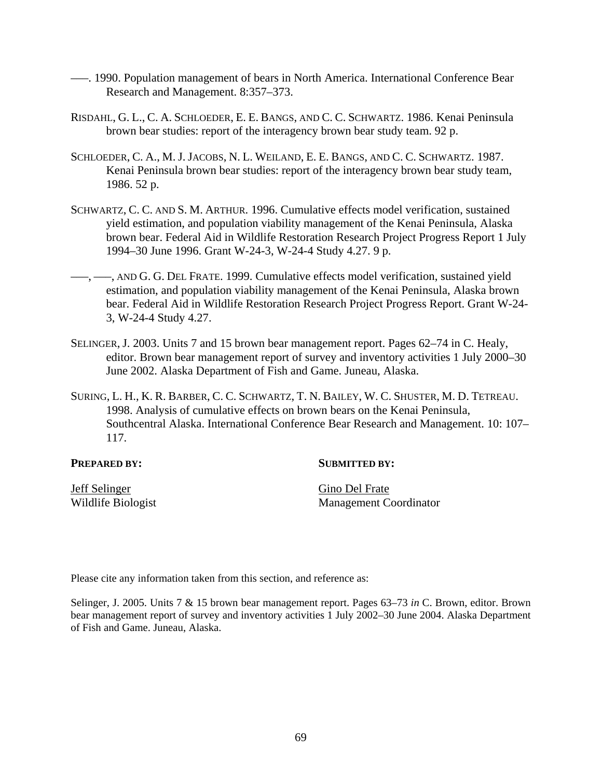- –––. 1990. Population management of bears in North America. International Conference Bear Research and Management. 8:357–373.
- RISDAHL, G. L., C. A. SCHLOEDER, E. E. BANGS, AND C. C. SCHWARTZ. 1986. Kenai Peninsula brown bear studies: report of the interagency brown bear study team. 92 p.
- SCHLOEDER, C. A., M. J. JACOBS, N. L. WEILAND, E. E. BANGS, AND C. C. SCHWARTZ. 1987. Kenai Peninsula brown bear studies: report of the interagency brown bear study team, 1986. 52 p.
- SCHWARTZ, C. C. AND S. M. ARTHUR. 1996. Cumulative effects model verification, sustained yield estimation, and population viability management of the Kenai Peninsula, Alaska brown bear. Federal Aid in Wildlife Restoration Research Project Progress Report 1 July 1994–30 June 1996. Grant W-24-3, W-24-4 Study 4.27. 9 p.
- $-$ ,  $-$ , AND G. G. DEL FRATE. 1999. Cumulative effects model verification, sustained yield estimation, and population viability management of the Kenai Peninsula, Alaska brown bear. Federal Aid in Wildlife Restoration Research Project Progress Report. Grant W-24- 3, W-24-4 Study 4.27.
- SELINGER, J. 2003. Units 7 and 15 brown bear management report. Pages 62–74 in C. Healy, editor. Brown bear management report of survey and inventory activities 1 July 2000–30 June 2002. Alaska Department of Fish and Game. Juneau, Alaska.
- SURING, L. H., K. R. BARBER, C. C. SCHWARTZ, T. N. BAILEY, W. C. SHUSTER, M. D. TETREAU. 1998. Analysis of cumulative effects on brown bears on the Kenai Peninsula, Southcentral Alaska. International Conference Bear Research and Management. 10: 107– 117.

#### **PREPARED BY:** SUBMITTED BY:

Jeff Selinger Gino Del Frate

Wildlife Biologist Management Coordinator

Please cite any information taken from this section, and reference as:

Selinger, J. 2005. Units 7 & 15 brown bear management report. Pages 63–73 *in* C. Brown, editor. Brown bear management report of survey and inventory activities 1 July 2002–30 June 2004. Alaska Department of Fish and Game. Juneau, Alaska.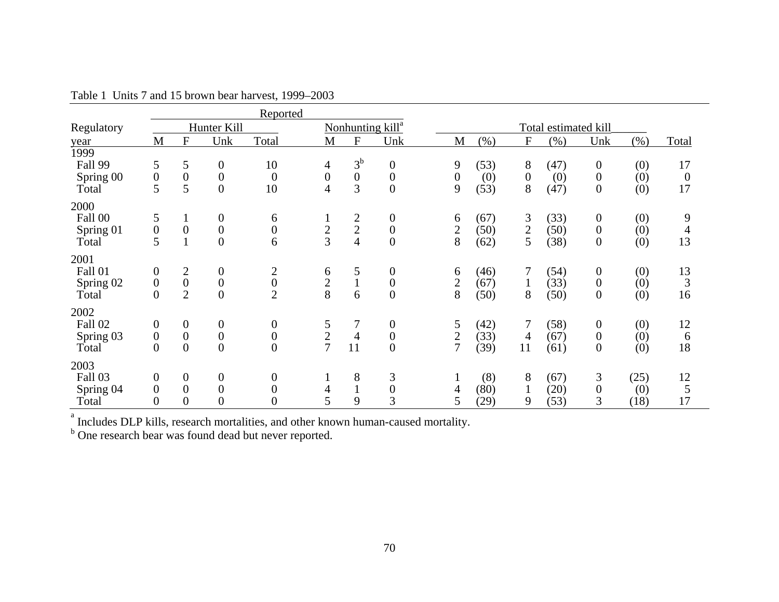|            |                  |                  |                  | Reported                             |                          |                  |                              |                  |         |                  |                      |                  |         |                  |
|------------|------------------|------------------|------------------|--------------------------------------|--------------------------|------------------|------------------------------|------------------|---------|------------------|----------------------|------------------|---------|------------------|
| Regulatory |                  |                  | Hunter Kill      |                                      |                          |                  | Nonhunting kill <sup>a</sup> |                  |         |                  | Total estimated kill |                  |         |                  |
| year       | M                | F                | Unk              | Total                                | M                        | $\overline{F}$   | Unk                          | M                | $(\% )$ | ${\bf F}$        | (% )                 | Unk              | $(\% )$ | Total            |
| 1999       |                  |                  |                  |                                      |                          |                  |                              |                  |         |                  |                      |                  |         |                  |
| Fall 99    | 5                | 5                | $\boldsymbol{0}$ | 10                                   | $\overline{4}$           | $3^{\rm b}$      | $\boldsymbol{0}$             | 9                | (53)    | 8                | (47)                 | $\boldsymbol{0}$ | (0)     | 17               |
| Spring 00  | $\boldsymbol{0}$ | $\boldsymbol{0}$ | $\boldsymbol{0}$ | $\overline{0}$                       | $\boldsymbol{0}$         | $\boldsymbol{0}$ | $\boldsymbol{0}$             | $\boldsymbol{0}$ | (0)     | $\boldsymbol{0}$ | (0)                  | $\boldsymbol{0}$ | (0)     | $\boldsymbol{0}$ |
| Total      | 5                | 5                | $\overline{0}$   | 10                                   | $\overline{\mathcal{A}}$ | 3                | $\overline{0}$               | 9                | (53)    | 8                | (47)                 | $\boldsymbol{0}$ | (0)     | 17               |
| 2000       |                  |                  |                  |                                      |                          |                  |                              |                  |         |                  |                      |                  |         |                  |
| Fall 00    | 5                | $\mathbf{I}$     | $\boldsymbol{0}$ | 6                                    |                          |                  | $\boldsymbol{0}$             | 6                | (67)    | 3                | (33)                 | $\boldsymbol{0}$ | (0)     | 9                |
| Spring 01  | $\boldsymbol{0}$ | $\boldsymbol{0}$ | $\boldsymbol{0}$ | $\boldsymbol{0}$                     | $rac{2}{3}$              | $\frac{2}{4}$    | $\boldsymbol{0}$             | $\overline{2}$   | (50)    | $\overline{c}$   | (50)                 | $\boldsymbol{0}$ | (0)     | $\overline{4}$   |
| Total      | 5                |                  | $\overline{0}$   | 6                                    |                          |                  | $\overline{0}$               | 8                | (62)    | 5                | (38)                 | $\boldsymbol{0}$ | (0)     | 13               |
| 2001       |                  |                  |                  |                                      |                          |                  |                              |                  |         |                  |                      |                  |         |                  |
| Fall 01    | $\boldsymbol{0}$ | $\boldsymbol{2}$ | $\boldsymbol{0}$ |                                      | 6                        | 5                | $\boldsymbol{0}$             | 6                | (46)    | 7                | (54)                 | $\boldsymbol{0}$ | (0)     | 13               |
| Spring 02  | $\boldsymbol{0}$ | $\boldsymbol{0}$ | $\boldsymbol{0}$ | $\begin{matrix} 2 \\ 0 \end{matrix}$ | $\frac{2}{8}$            | $\mathbf{1}$     | $\boldsymbol{0}$             | $\mathbf{2}$     | (67)    | $\mathbf{1}$     | (33)                 | $\boldsymbol{0}$ | (0)     | $\overline{3}$   |
| Total      | $\overline{0}$   | $\overline{2}$   | $\overline{0}$   | $\overline{2}$                       |                          | 6                | $\overline{0}$               | 8                | (50)    | 8                | (50)                 | $\overline{0}$   | (0)     | 16               |
| 2002       |                  |                  |                  |                                      |                          |                  |                              |                  |         |                  |                      |                  |         |                  |
| Fall 02    | $\boldsymbol{0}$ | $\boldsymbol{0}$ | $\boldsymbol{0}$ | $\boldsymbol{0}$                     |                          | 7                | $\boldsymbol{0}$             | 5                | (42)    | 7                | (58)                 | $\boldsymbol{0}$ | (0)     | 12               |
| Spring 03  | $\boldsymbol{0}$ | $\boldsymbol{0}$ | $\boldsymbol{0}$ | $\boldsymbol{0}$                     | $\frac{5}{2}$            | $\overline{4}$   | $\boldsymbol{0}$             | $\mathfrak{2}$   | (33)    | 4                | (67)                 | $\boldsymbol{0}$ | (0)     | 6                |
| Total      | $\boldsymbol{0}$ | $\overline{0}$   | $\overline{0}$   | $\overline{0}$                       |                          | 11               | $\boldsymbol{0}$             | $\overline{7}$   | (39)    | 11               | (61)                 | $\boldsymbol{0}$ | (0)     | 18               |
| 2003       |                  |                  |                  |                                      |                          |                  |                              |                  |         |                  |                      |                  |         |                  |
| Fall 03    | $\boldsymbol{0}$ | $\boldsymbol{0}$ | $\boldsymbol{0}$ | $\boldsymbol{0}$                     | $\mathbf{I}$             | 8                | 3                            |                  | (8)     | 8                | (67)                 | 3                | (25)    | 12               |
| Spring 04  | $\overline{0}$   | $\overline{0}$   | $\overline{0}$   | $\overline{0}$                       | $\overline{4}$           | $\mathbf{1}$     | $\boldsymbol{0}$             | 4                | (80)    | 1                | (20)                 | $\boldsymbol{0}$ | (0)     | $\sqrt{5}$       |
| Total      | $\overline{0}$   | $\overline{0}$   | $\overline{0}$   | $\overline{0}$                       | 5                        | 9                | 3                            | 5                | (29)    | 9                | (53)                 | 3                | (18)    | 17               |

Table 1 Units 7 and 15 brown bear harvest, 1999–2003

<sup>a</sup> Includes DLP kills, research mortalities, and other known human-caused mortality.

<sup>b</sup> One research bear was found dead but never reported.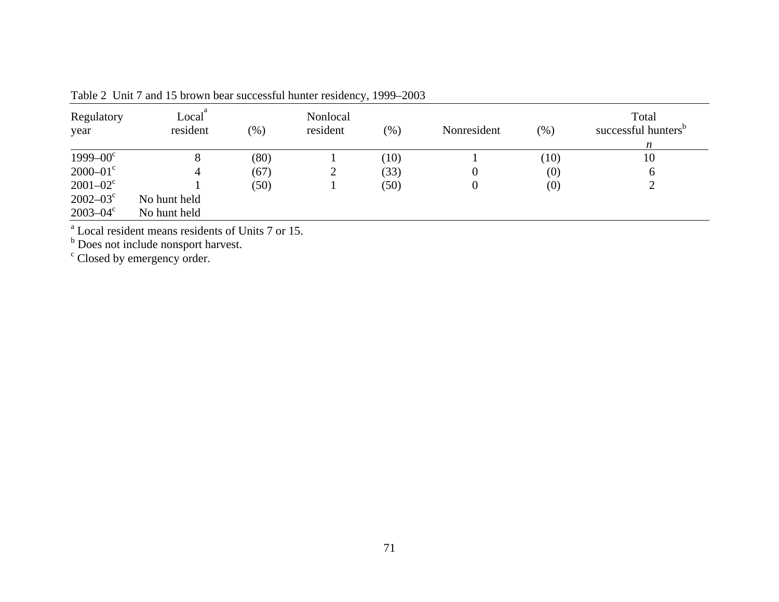| Regulatory<br>year       | Local<br>resident | $(\% )$ | Nonlocal<br>resident | $(\% )$ | Nonresident | (%)  | Total<br>successful hunters <sup>b</sup><br>n |
|--------------------------|-------------------|---------|----------------------|---------|-------------|------|-----------------------------------------------|
| $1999 - 00^{\circ}$      | 8                 | (80)    |                      | (10)    |             | (10) | 10                                            |
| $2000 - 01$ <sup>c</sup> |                   | (67)    | ∠                    | (33)    |             | (0)  | 6                                             |
| $2001 - 02^c$            |                   | (50)    |                      | (50)    |             | (0)  | ↑                                             |
| $2002 - 03^{\circ}$      | No hunt held      |         |                      |         |             |      |                                               |
| $2003 - 04^{\circ}$      | No hunt held      |         |                      |         |             |      |                                               |

Table 2 Unit 7 and 15 brown bear successful hunter residency, 1999–2003

<sup>a</sup> Local resident means residents of Units 7 or 15.<br><sup>b</sup> Does not include nonsport harvest.

<sup>c</sup> Closed by emergency order.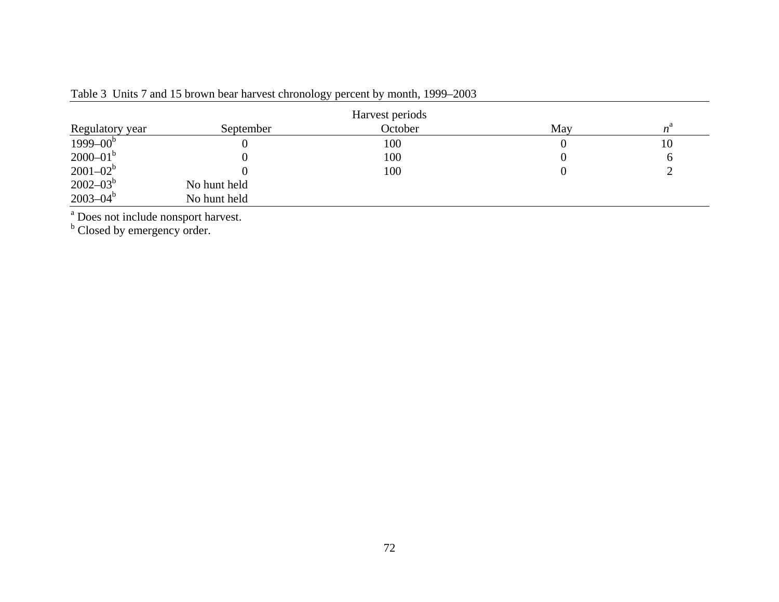|                 |              | Harvest periods |     |             |
|-----------------|--------------|-----------------|-----|-------------|
| Regulatory year | September    | October         | May | $n^{\rm a}$ |
| $1999 - 00b$    |              | 100             |     | 10          |
| $2000 - 01^b$   |              | 100             |     | $\sigma$    |
| $2001 - 02^b$   |              | 100             |     |             |
| $2002 - 03^b$   | No hunt held |                 |     |             |
| $2003 - 04^b$   | No hunt held |                 |     |             |

Table 3 Units 7 and 15 brown bear harvest chronology percent by month, 1999–2003

<sup>a</sup> Does not include nonsport harvest.

<sup>b</sup> Closed by emergency order.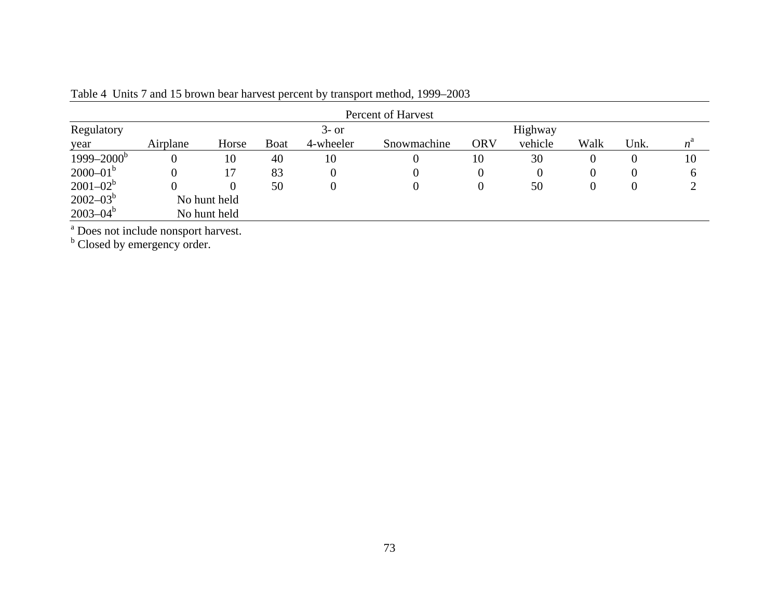|                 | Percent of Harvest |              |             |           |             |            |         |          |          |             |  |  |  |  |
|-----------------|--------------------|--------------|-------------|-----------|-------------|------------|---------|----------|----------|-------------|--|--|--|--|
| Regulatory      |                    |              |             | $3-$ or   |             |            | Highway |          |          |             |  |  |  |  |
| year            | Airplane           | Horse        | <b>Boat</b> | 4-wheeler | Snowmachine | <b>ORV</b> | vehicle | Walk     | Unk.     | $n^{\rm a}$ |  |  |  |  |
| $1999 - 2000^b$ | $\boldsymbol{0}$   | 10           | 40          | 10        | 0           | 10         | 30      | 0        | $\bf{0}$ | 10          |  |  |  |  |
| $2000 - 01^b$   | 0                  |              | 83          |           | O           | 0          |         | $\theta$ | $\theta$ |             |  |  |  |  |
| $2001 - 02^b$   | 0                  | $\mathbf{U}$ | 50          |           |             | 0          | 50      | O        | U        |             |  |  |  |  |
| $2002 - 03^b$   |                    | No hunt held |             |           |             |            |         |          |          |             |  |  |  |  |
| $2003 - 04^b$   |                    | No hunt held |             |           |             |            |         |          |          |             |  |  |  |  |

Table 4 Units 7 and 15 brown bear harvest percent by transport method, 1999–2003

<sup>a</sup> Does not include nonsport harvest.

<sup>b</sup> Closed by emergency order.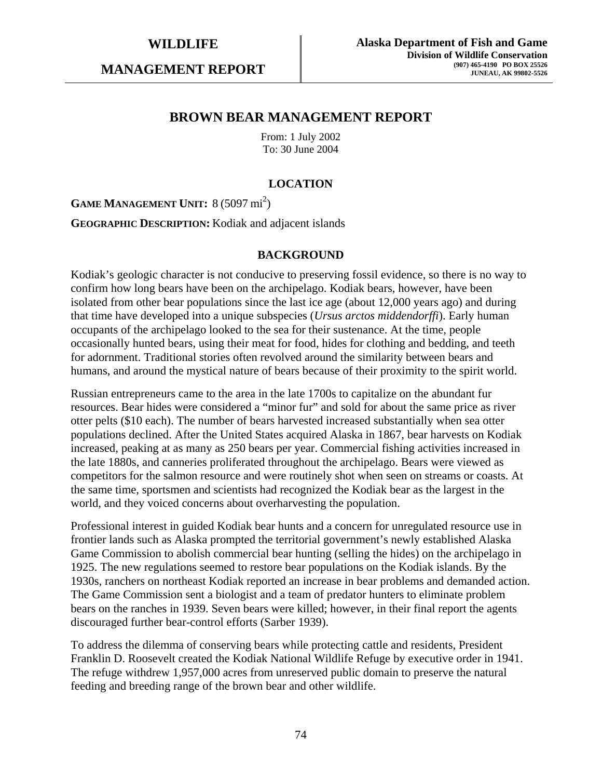**MANAGEMENT REPORT** 

## **BROWN BEAR MANAGEMENT REPORT**

From: 1 July 2002 To: 30 June 2004

## **LOCATION**

GAME MANAGEMENT UNIT: 8 (5097 mi<sup>2</sup>)

**GEOGRAPHIC DESCRIPTION:** Kodiak and adjacent islands

#### **BACKGROUND**

Kodiak's geologic character is not conducive to preserving fossil evidence, so there is no way to confirm how long bears have been on the archipelago. Kodiak bears, however, have been isolated from other bear populations since the last ice age (about 12,000 years ago) and during that time have developed into a unique subspecies (*Ursus arctos middendorffi*). Early human occupants of the archipelago looked to the sea for their sustenance. At the time, people occasionally hunted bears, using their meat for food, hides for clothing and bedding, and teeth for adornment. Traditional stories often revolved around the similarity between bears and humans, and around the mystical nature of bears because of their proximity to the spirit world.

Russian entrepreneurs came to the area in the late 1700s to capitalize on the abundant fur resources. Bear hides were considered a "minor fur" and sold for about the same price as river otter pelts (\$10 each). The number of bears harvested increased substantially when sea otter populations declined. After the United States acquired Alaska in 1867, bear harvests on Kodiak increased, peaking at as many as 250 bears per year. Commercial fishing activities increased in the late 1880s, and canneries proliferated throughout the archipelago. Bears were viewed as competitors for the salmon resource and were routinely shot when seen on streams or coasts. At the same time, sportsmen and scientists had recognized the Kodiak bear as the largest in the world, and they voiced concerns about overharvesting the population.

Professional interest in guided Kodiak bear hunts and a concern for unregulated resource use in frontier lands such as Alaska prompted the territorial government's newly established Alaska Game Commission to abolish commercial bear hunting (selling the hides) on the archipelago in 1925. The new regulations seemed to restore bear populations on the Kodiak islands. By the 1930s, ranchers on northeast Kodiak reported an increase in bear problems and demanded action. The Game Commission sent a biologist and a team of predator hunters to eliminate problem bears on the ranches in 1939. Seven bears were killed; however, in their final report the agents discouraged further bear-control efforts (Sarber 1939).

To address the dilemma of conserving bears while protecting cattle and residents, President Franklin D. Roosevelt created the Kodiak National Wildlife Refuge by executive order in 1941. The refuge withdrew 1,957,000 acres from unreserved public domain to preserve the natural feeding and breeding range of the brown bear and other wildlife.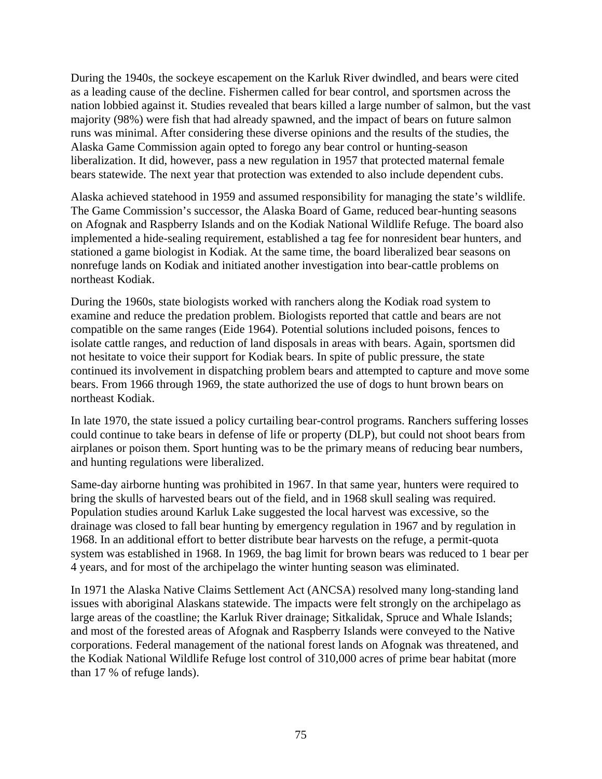During the 1940s, the sockeye escapement on the Karluk River dwindled, and bears were cited as a leading cause of the decline. Fishermen called for bear control, and sportsmen across the nation lobbied against it. Studies revealed that bears killed a large number of salmon, but the vast majority (98%) were fish that had already spawned, and the impact of bears on future salmon runs was minimal. After considering these diverse opinions and the results of the studies, the Alaska Game Commission again opted to forego any bear control or hunting-season liberalization. It did, however, pass a new regulation in 1957 that protected maternal female bears statewide. The next year that protection was extended to also include dependent cubs.

Alaska achieved statehood in 1959 and assumed responsibility for managing the state's wildlife. The Game Commission's successor, the Alaska Board of Game, reduced bear-hunting seasons on Afognak and Raspberry Islands and on the Kodiak National Wildlife Refuge. The board also implemented a hide-sealing requirement, established a tag fee for nonresident bear hunters, and stationed a game biologist in Kodiak. At the same time, the board liberalized bear seasons on nonrefuge lands on Kodiak and initiated another investigation into bear-cattle problems on northeast Kodiak.

During the 1960s, state biologists worked with ranchers along the Kodiak road system to examine and reduce the predation problem. Biologists reported that cattle and bears are not compatible on the same ranges (Eide 1964). Potential solutions included poisons, fences to isolate cattle ranges, and reduction of land disposals in areas with bears. Again, sportsmen did not hesitate to voice their support for Kodiak bears. In spite of public pressure, the state continued its involvement in dispatching problem bears and attempted to capture and move some bears. From 1966 through 1969, the state authorized the use of dogs to hunt brown bears on northeast Kodiak.

In late 1970, the state issued a policy curtailing bear-control programs. Ranchers suffering losses could continue to take bears in defense of life or property (DLP), but could not shoot bears from airplanes or poison them. Sport hunting was to be the primary means of reducing bear numbers, and hunting regulations were liberalized.

Same-day airborne hunting was prohibited in 1967. In that same year, hunters were required to bring the skulls of harvested bears out of the field, and in 1968 skull sealing was required. Population studies around Karluk Lake suggested the local harvest was excessive, so the drainage was closed to fall bear hunting by emergency regulation in 1967 and by regulation in 1968. In an additional effort to better distribute bear harvests on the refuge, a permit-quota system was established in 1968. In 1969, the bag limit for brown bears was reduced to 1 bear per 4 years, and for most of the archipelago the winter hunting season was eliminated.

In 1971 the Alaska Native Claims Settlement Act (ANCSA) resolved many long-standing land issues with aboriginal Alaskans statewide. The impacts were felt strongly on the archipelago as large areas of the coastline; the Karluk River drainage; Sitkalidak, Spruce and Whale Islands; and most of the forested areas of Afognak and Raspberry Islands were conveyed to the Native corporations. Federal management of the national forest lands on Afognak was threatened, and the Kodiak National Wildlife Refuge lost control of 310,000 acres of prime bear habitat (more than 17 % of refuge lands).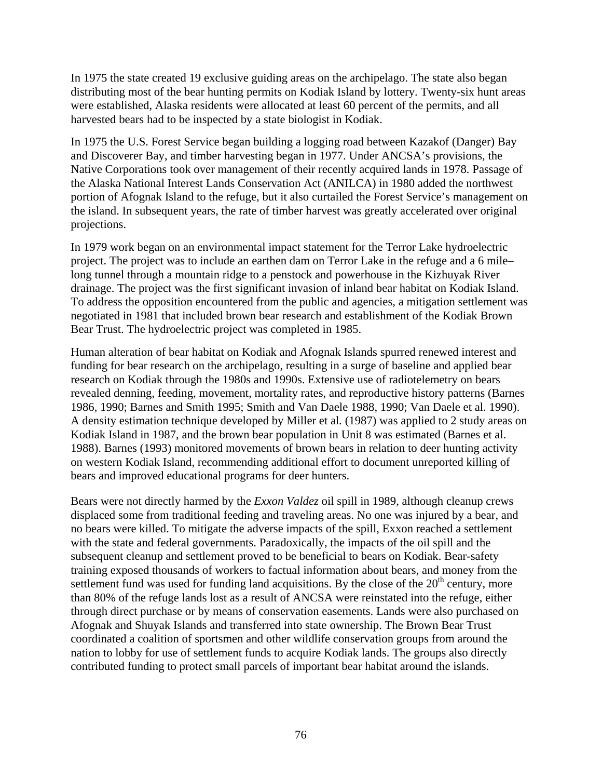In 1975 the state created 19 exclusive guiding areas on the archipelago. The state also began distributing most of the bear hunting permits on Kodiak Island by lottery. Twenty-six hunt areas were established, Alaska residents were allocated at least 60 percent of the permits, and all harvested bears had to be inspected by a state biologist in Kodiak.

In 1975 the U.S. Forest Service began building a logging road between Kazakof (Danger) Bay and Discoverer Bay, and timber harvesting began in 1977. Under ANCSA's provisions, the Native Corporations took over management of their recently acquired lands in 1978. Passage of the Alaska National Interest Lands Conservation Act (ANILCA) in 1980 added the northwest portion of Afognak Island to the refuge, but it also curtailed the Forest Service's management on the island. In subsequent years, the rate of timber harvest was greatly accelerated over original projections.

In 1979 work began on an environmental impact statement for the Terror Lake hydroelectric project. The project was to include an earthen dam on Terror Lake in the refuge and a 6 mile– long tunnel through a mountain ridge to a penstock and powerhouse in the Kizhuyak River drainage. The project was the first significant invasion of inland bear habitat on Kodiak Island. To address the opposition encountered from the public and agencies, a mitigation settlement was negotiated in 1981 that included brown bear research and establishment of the Kodiak Brown Bear Trust. The hydroelectric project was completed in 1985.

Human alteration of bear habitat on Kodiak and Afognak Islands spurred renewed interest and funding for bear research on the archipelago, resulting in a surge of baseline and applied bear research on Kodiak through the 1980s and 1990s. Extensive use of radiotelemetry on bears revealed denning, feeding, movement, mortality rates, and reproductive history patterns (Barnes 1986, 1990; Barnes and Smith 1995; Smith and Van Daele 1988, 1990; Van Daele et al*.* 1990). A density estimation technique developed by Miller et al*.* (1987) was applied to 2 study areas on Kodiak Island in 1987, and the brown bear population in Unit 8 was estimated (Barnes et al. 1988). Barnes (1993) monitored movements of brown bears in relation to deer hunting activity on western Kodiak Island, recommending additional effort to document unreported killing of bears and improved educational programs for deer hunters.

Bears were not directly harmed by the *Exxon Valdez* oil spill in 1989, although cleanup crews displaced some from traditional feeding and traveling areas. No one was injured by a bear, and no bears were killed. To mitigate the adverse impacts of the spill, Exxon reached a settlement with the state and federal governments. Paradoxically, the impacts of the oil spill and the subsequent cleanup and settlement proved to be beneficial to bears on Kodiak. Bear-safety training exposed thousands of workers to factual information about bears, and money from the settlement fund was used for funding land acquisitions. By the close of the  $20<sup>th</sup>$  century, more than 80% of the refuge lands lost as a result of ANCSA were reinstated into the refuge, either through direct purchase or by means of conservation easements. Lands were also purchased on Afognak and Shuyak Islands and transferred into state ownership. The Brown Bear Trust coordinated a coalition of sportsmen and other wildlife conservation groups from around the nation to lobby for use of settlement funds to acquire Kodiak lands. The groups also directly contributed funding to protect small parcels of important bear habitat around the islands.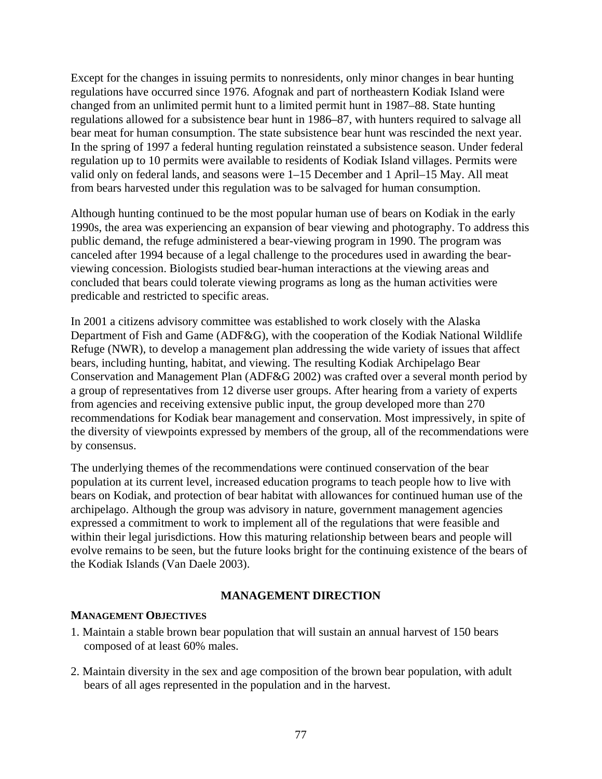Except for the changes in issuing permits to nonresidents, only minor changes in bear hunting regulations have occurred since 1976. Afognak and part of northeastern Kodiak Island were changed from an unlimited permit hunt to a limited permit hunt in 1987–88. State hunting regulations allowed for a subsistence bear hunt in 1986–87, with hunters required to salvage all bear meat for human consumption. The state subsistence bear hunt was rescinded the next year. In the spring of 1997 a federal hunting regulation reinstated a subsistence season. Under federal regulation up to 10 permits were available to residents of Kodiak Island villages. Permits were valid only on federal lands, and seasons were 1–15 December and 1 April–15 May. All meat from bears harvested under this regulation was to be salvaged for human consumption.

Although hunting continued to be the most popular human use of bears on Kodiak in the early 1990s, the area was experiencing an expansion of bear viewing and photography. To address this public demand, the refuge administered a bear-viewing program in 1990. The program was canceled after 1994 because of a legal challenge to the procedures used in awarding the bearviewing concession. Biologists studied bear-human interactions at the viewing areas and concluded that bears could tolerate viewing programs as long as the human activities were predicable and restricted to specific areas.

In 2001 a citizens advisory committee was established to work closely with the Alaska Department of Fish and Game (ADF&G), with the cooperation of the Kodiak National Wildlife Refuge (NWR), to develop a management plan addressing the wide variety of issues that affect bears, including hunting, habitat, and viewing. The resulting Kodiak Archipelago Bear Conservation and Management Plan (ADF&G 2002) was crafted over a several month period by a group of representatives from 12 diverse user groups. After hearing from a variety of experts from agencies and receiving extensive public input, the group developed more than 270 recommendations for Kodiak bear management and conservation. Most impressively, in spite of the diversity of viewpoints expressed by members of the group, all of the recommendations were by consensus.

The underlying themes of the recommendations were continued conservation of the bear population at its current level, increased education programs to teach people how to live with bears on Kodiak, and protection of bear habitat with allowances for continued human use of the archipelago. Although the group was advisory in nature, government management agencies expressed a commitment to work to implement all of the regulations that were feasible and within their legal jurisdictions. How this maturing relationship between bears and people will evolve remains to be seen, but the future looks bright for the continuing existence of the bears of the Kodiak Islands (Van Daele 2003).

#### **MANAGEMENT DIRECTION**

#### **MANAGEMENT OBJECTIVES**

- 1. Maintain a stable brown bear population that will sustain an annual harvest of 150 bears composed of at least 60% males.
- 2. Maintain diversity in the sex and age composition of the brown bear population, with adult bears of all ages represented in the population and in the harvest.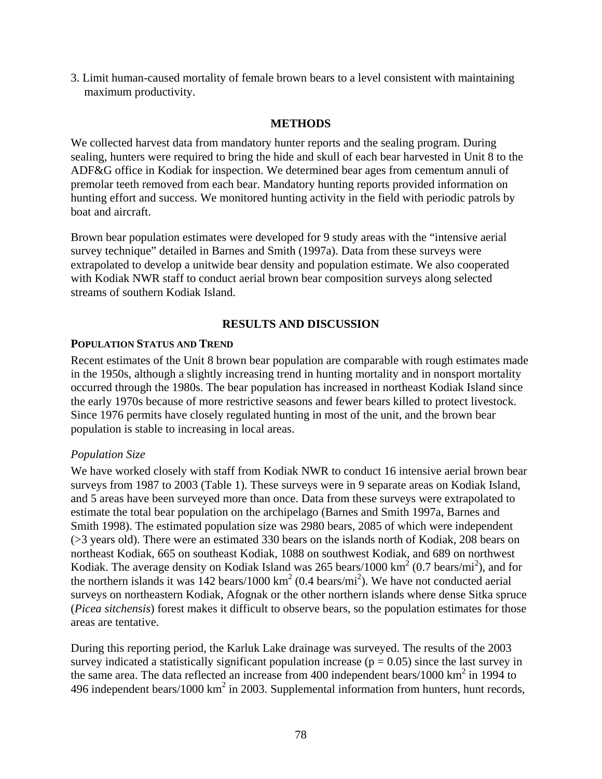3. Limit human-caused mortality of female brown bears to a level consistent with maintaining maximum productivity.

## **METHODS**

We collected harvest data from mandatory hunter reports and the sealing program. During sealing, hunters were required to bring the hide and skull of each bear harvested in Unit 8 to the ADF&G office in Kodiak for inspection. We determined bear ages from cementum annuli of premolar teeth removed from each bear. Mandatory hunting reports provided information on hunting effort and success. We monitored hunting activity in the field with periodic patrols by boat and aircraft.

Brown bear population estimates were developed for 9 study areas with the "intensive aerial survey technique" detailed in Barnes and Smith (1997a). Data from these surveys were extrapolated to develop a unitwide bear density and population estimate. We also cooperated with Kodiak NWR staff to conduct aerial brown bear composition surveys along selected streams of southern Kodiak Island.

## **RESULTS AND DISCUSSION**

### **POPULATION STATUS AND TREND**

Recent estimates of the Unit 8 brown bear population are comparable with rough estimates made in the 1950s, although a slightly increasing trend in hunting mortality and in nonsport mortality occurred through the 1980s. The bear population has increased in northeast Kodiak Island since the early 1970s because of more restrictive seasons and fewer bears killed to protect livestock. Since 1976 permits have closely regulated hunting in most of the unit, and the brown bear population is stable to increasing in local areas.

## *Population Size*

We have worked closely with staff from Kodiak NWR to conduct 16 intensive aerial brown bear surveys from 1987 to 2003 (Table 1). These surveys were in 9 separate areas on Kodiak Island, and 5 areas have been surveyed more than once. Data from these surveys were extrapolated to estimate the total bear population on the archipelago (Barnes and Smith 1997a, Barnes and Smith 1998). The estimated population size was 2980 bears, 2085 of which were independent (>3 years old). There were an estimated 330 bears on the islands north of Kodiak, 208 bears on northeast Kodiak, 665 on southeast Kodiak, 1088 on southwest Kodiak, and 689 on northwest Kodiak. The average density on Kodiak Island was 265 bears/1000  $\text{km}^2$  (0.7 bears/mi<sup>2</sup>), and for the northern islands it was  $142$  bears/1000 km<sup>2</sup> (0.4 bears/mi<sup>2</sup>). We have not conducted aerial surveys on northeastern Kodiak, Afognak or the other northern islands where dense Sitka spruce (*Picea sitchensis*) forest makes it difficult to observe bears, so the population estimates for those areas are tentative.

During this reporting period, the Karluk Lake drainage was surveyed. The results of the 2003 survey indicated a statistically significant population increase ( $p = 0.05$ ) since the last survey in the same area. The data reflected an increase from 400 independent bears/1000  $\text{km}^2$  in 1994 to 496 independent bears/1000  $\text{km}^2$  in 2003. Supplemental information from hunters, hunt records,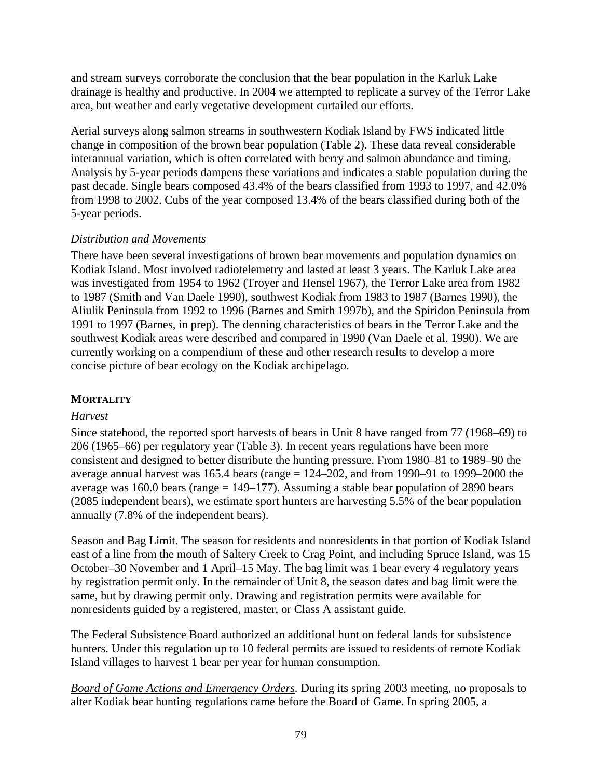and stream surveys corroborate the conclusion that the bear population in the Karluk Lake drainage is healthy and productive. In 2004 we attempted to replicate a survey of the Terror Lake area, but weather and early vegetative development curtailed our efforts.

Aerial surveys along salmon streams in southwestern Kodiak Island by FWS indicated little change in composition of the brown bear population (Table 2). These data reveal considerable interannual variation, which is often correlated with berry and salmon abundance and timing. Analysis by 5-year periods dampens these variations and indicates a stable population during the past decade. Single bears composed 43.4% of the bears classified from 1993 to 1997, and 42.0% from 1998 to 2002. Cubs of the year composed 13.4% of the bears classified during both of the 5-year periods.

# *Distribution and Movements*

There have been several investigations of brown bear movements and population dynamics on Kodiak Island. Most involved radiotelemetry and lasted at least 3 years. The Karluk Lake area was investigated from 1954 to 1962 (Troyer and Hensel 1967), the Terror Lake area from 1982 to 1987 (Smith and Van Daele 1990), southwest Kodiak from 1983 to 1987 (Barnes 1990), the Aliulik Peninsula from 1992 to 1996 (Barnes and Smith 1997b), and the Spiridon Peninsula from 1991 to 1997 (Barnes, in prep). The denning characteristics of bears in the Terror Lake and the southwest Kodiak areas were described and compared in 1990 (Van Daele et al. 1990). We are currently working on a compendium of these and other research results to develop a more concise picture of bear ecology on the Kodiak archipelago.

# **MORTALITY**

## *Harvest*

Since statehood, the reported sport harvests of bears in Unit 8 have ranged from 77 (1968–69) to 206 (1965–66) per regulatory year (Table 3). In recent years regulations have been more consistent and designed to better distribute the hunting pressure. From 1980–81 to 1989–90 the average annual harvest was 165.4 bears (range  $= 124-202$ , and from 1990–91 to 1999–2000 the average was 160.0 bears (range  $= 149-177$ ). Assuming a stable bear population of 2890 bears (2085 independent bears), we estimate sport hunters are harvesting 5.5% of the bear population annually (7.8% of the independent bears).

Season and Bag Limit. The season for residents and nonresidents in that portion of Kodiak Island east of a line from the mouth of Saltery Creek to Crag Point, and including Spruce Island, was 15 October–30 November and 1 April–15 May. The bag limit was 1 bear every 4 regulatory years by registration permit only. In the remainder of Unit 8, the season dates and bag limit were the same, but by drawing permit only. Drawing and registration permits were available for nonresidents guided by a registered, master, or Class A assistant guide.

The Federal Subsistence Board authorized an additional hunt on federal lands for subsistence hunters. Under this regulation up to 10 federal permits are issued to residents of remote Kodiak Island villages to harvest 1 bear per year for human consumption.

*Board of Game Actions and Emergency Orders.* During its spring 2003 meeting, no proposals to alter Kodiak bear hunting regulations came before the Board of Game. In spring 2005, a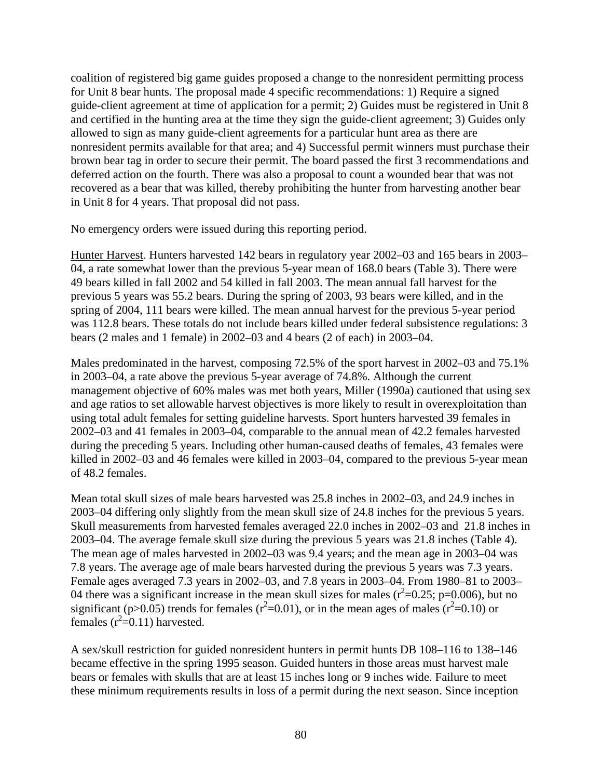coalition of registered big game guides proposed a change to the nonresident permitting process for Unit 8 bear hunts. The proposal made 4 specific recommendations: 1) Require a signed guide-client agreement at time of application for a permit; 2) Guides must be registered in Unit 8 and certified in the hunting area at the time they sign the guide-client agreement; 3) Guides only allowed to sign as many guide-client agreements for a particular hunt area as there are nonresident permits available for that area; and 4) Successful permit winners must purchase their brown bear tag in order to secure their permit. The board passed the first 3 recommendations and deferred action on the fourth. There was also a proposal to count a wounded bear that was not recovered as a bear that was killed, thereby prohibiting the hunter from harvesting another bear in Unit 8 for 4 years. That proposal did not pass.

No emergency orders were issued during this reporting period.

Hunter Harvest. Hunters harvested 142 bears in regulatory year 2002–03 and 165 bears in 2003– 04, a rate somewhat lower than the previous 5-year mean of 168.0 bears (Table 3). There were 49 bears killed in fall 2002 and 54 killed in fall 2003. The mean annual fall harvest for the previous 5 years was 55.2 bears. During the spring of 2003, 93 bears were killed, and in the spring of 2004, 111 bears were killed. The mean annual harvest for the previous 5-year period was 112.8 bears. These totals do not include bears killed under federal subsistence regulations: 3 bears (2 males and 1 female) in 2002–03 and 4 bears (2 of each) in 2003–04.

Males predominated in the harvest, composing 72.5% of the sport harvest in 2002–03 and 75.1% in 2003–04, a rate above the previous 5-year average of 74.8%. Although the current management objective of 60% males was met both years, Miller (1990a) cautioned that using sex and age ratios to set allowable harvest objectives is more likely to result in overexploitation than using total adult females for setting guideline harvests. Sport hunters harvested 39 females in 2002–03 and 41 females in 2003–04, comparable to the annual mean of 42.2 females harvested during the preceding 5 years. Including other human-caused deaths of females, 43 females were killed in 2002–03 and 46 females were killed in 2003–04, compared to the previous 5-year mean of 48.2 females.

Mean total skull sizes of male bears harvested was 25.8 inches in 2002–03, and 24.9 inches in 2003–04 differing only slightly from the mean skull size of 24.8 inches for the previous 5 years. Skull measurements from harvested females averaged 22.0 inches in 2002–03 and 21.8 inches in 2003–04. The average female skull size during the previous 5 years was 21.8 inches (Table 4). The mean age of males harvested in 2002–03 was 9.4 years; and the mean age in 2003–04 was 7.8 years. The average age of male bears harvested during the previous 5 years was 7.3 years. Female ages averaged 7.3 years in 2002–03, and 7.8 years in 2003–04. From 1980–81 to 2003– 04 there was a significant increase in the mean skull sizes for males  $(r^2=0.25; p=0.006)$ , but no significant (p>0.05) trends for females ( $r^2$ =0.01), or in the mean ages of males ( $r^2$ =0.10) or females  $(r^2=0.11)$  harvested.

A sex/skull restriction for guided nonresident hunters in permit hunts DB 108–116 to 138–146 became effective in the spring 1995 season. Guided hunters in those areas must harvest male bears or females with skulls that are at least 15 inches long or 9 inches wide. Failure to meet these minimum requirements results in loss of a permit during the next season. Since inception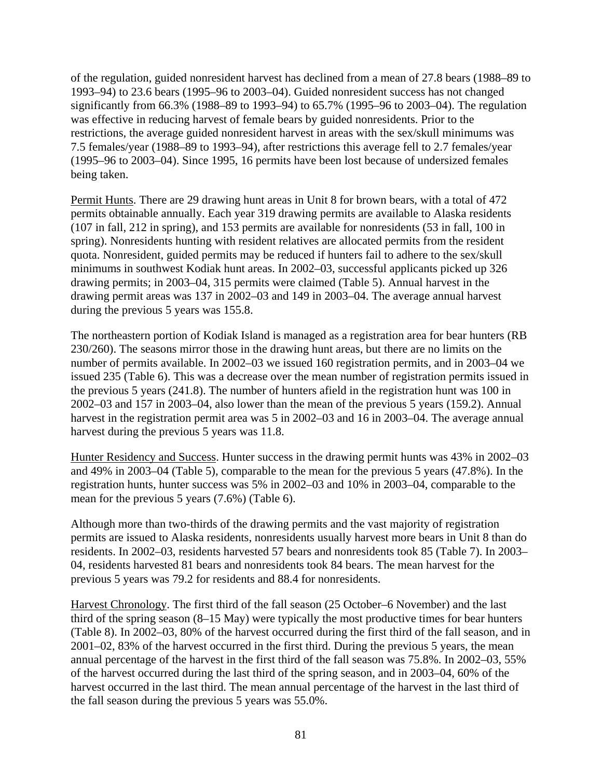of the regulation, guided nonresident harvest has declined from a mean of 27.8 bears (1988–89 to 1993–94) to 23.6 bears (1995–96 to 2003–04). Guided nonresident success has not changed significantly from 66.3% (1988–89 to 1993–94) to 65.7% (1995–96 to 2003–04). The regulation was effective in reducing harvest of female bears by guided nonresidents. Prior to the restrictions, the average guided nonresident harvest in areas with the sex/skull minimums was 7.5 females/year (1988–89 to 1993–94), after restrictions this average fell to 2.7 females/year (1995–96 to 2003–04). Since 1995, 16 permits have been lost because of undersized females being taken.

Permit Hunts. There are 29 drawing hunt areas in Unit 8 for brown bears, with a total of 472 permits obtainable annually. Each year 319 drawing permits are available to Alaska residents (107 in fall, 212 in spring), and 153 permits are available for nonresidents (53 in fall, 100 in spring). Nonresidents hunting with resident relatives are allocated permits from the resident quota. Nonresident, guided permits may be reduced if hunters fail to adhere to the sex/skull minimums in southwest Kodiak hunt areas. In 2002–03, successful applicants picked up 326 drawing permits; in 2003–04, 315 permits were claimed (Table 5). Annual harvest in the drawing permit areas was 137 in 2002–03 and 149 in 2003–04. The average annual harvest during the previous 5 years was 155.8.

The northeastern portion of Kodiak Island is managed as a registration area for bear hunters (RB 230/260). The seasons mirror those in the drawing hunt areas, but there are no limits on the number of permits available. In 2002–03 we issued 160 registration permits, and in 2003–04 we issued 235 (Table 6). This was a decrease over the mean number of registration permits issued in the previous 5 years (241.8). The number of hunters afield in the registration hunt was 100 in 2002–03 and 157 in 2003–04, also lower than the mean of the previous 5 years (159.2). Annual harvest in the registration permit area was 5 in 2002–03 and 16 in 2003–04. The average annual harvest during the previous 5 years was 11.8.

Hunter Residency and Success. Hunter success in the drawing permit hunts was 43% in 2002–03 and 49% in 2003–04 (Table 5), comparable to the mean for the previous 5 years (47.8%). In the registration hunts, hunter success was 5% in 2002–03 and 10% in 2003–04, comparable to the mean for the previous 5 years (7.6%) (Table 6).

Although more than two-thirds of the drawing permits and the vast majority of registration permits are issued to Alaska residents, nonresidents usually harvest more bears in Unit 8 than do residents. In 2002–03, residents harvested 57 bears and nonresidents took 85 (Table 7). In 2003– 04, residents harvested 81 bears and nonresidents took 84 bears. The mean harvest for the previous 5 years was 79.2 for residents and 88.4 for nonresidents.

Harvest Chronology. The first third of the fall season (25 October–6 November) and the last third of the spring season (8–15 May) were typically the most productive times for bear hunters (Table 8). In 2002–03, 80% of the harvest occurred during the first third of the fall season, and in 2001–02, 83% of the harvest occurred in the first third. During the previous 5 years, the mean annual percentage of the harvest in the first third of the fall season was 75.8%. In 2002–03, 55% of the harvest occurred during the last third of the spring season, and in 2003–04, 60% of the harvest occurred in the last third. The mean annual percentage of the harvest in the last third of the fall season during the previous 5 years was 55.0%.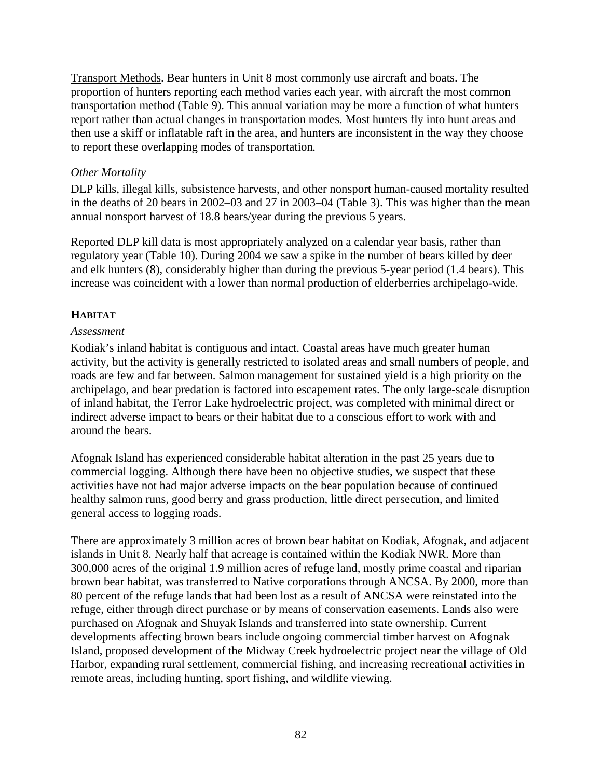Transport Methods. Bear hunters in Unit 8 most commonly use aircraft and boats. The proportion of hunters reporting each method varies each year, with aircraft the most common transportation method (Table 9). This annual variation may be more a function of what hunters report rather than actual changes in transportation modes. Most hunters fly into hunt areas and then use a skiff or inflatable raft in the area, and hunters are inconsistent in the way they choose to report these overlapping modes of transportation*.* 

## *Other Mortality*

DLP kills, illegal kills, subsistence harvests, and other nonsport human-caused mortality resulted in the deaths of 20 bears in 2002–03 and 27 in 2003–04 (Table 3). This was higher than the mean annual nonsport harvest of 18.8 bears/year during the previous 5 years.

Reported DLP kill data is most appropriately analyzed on a calendar year basis, rather than regulatory year (Table 10). During 2004 we saw a spike in the number of bears killed by deer and elk hunters (8), considerably higher than during the previous 5-year period (1.4 bears). This increase was coincident with a lower than normal production of elderberries archipelago-wide.

# **HABITAT**

#### *Assessment*

Kodiak's inland habitat is contiguous and intact. Coastal areas have much greater human activity, but the activity is generally restricted to isolated areas and small numbers of people, and roads are few and far between. Salmon management for sustained yield is a high priority on the archipelago, and bear predation is factored into escapement rates. The only large-scale disruption of inland habitat, the Terror Lake hydroelectric project, was completed with minimal direct or indirect adverse impact to bears or their habitat due to a conscious effort to work with and around the bears.

Afognak Island has experienced considerable habitat alteration in the past 25 years due to commercial logging. Although there have been no objective studies, we suspect that these activities have not had major adverse impacts on the bear population because of continued healthy salmon runs, good berry and grass production, little direct persecution, and limited general access to logging roads.

There are approximately 3 million acres of brown bear habitat on Kodiak, Afognak, and adjacent islands in Unit 8. Nearly half that acreage is contained within the Kodiak NWR. More than 300,000 acres of the original 1.9 million acres of refuge land, mostly prime coastal and riparian brown bear habitat, was transferred to Native corporations through ANCSA. By 2000, more than 80 percent of the refuge lands that had been lost as a result of ANCSA were reinstated into the refuge, either through direct purchase or by means of conservation easements. Lands also were purchased on Afognak and Shuyak Islands and transferred into state ownership. Current developments affecting brown bears include ongoing commercial timber harvest on Afognak Island, proposed development of the Midway Creek hydroelectric project near the village of Old Harbor, expanding rural settlement, commercial fishing, and increasing recreational activities in remote areas, including hunting, sport fishing, and wildlife viewing.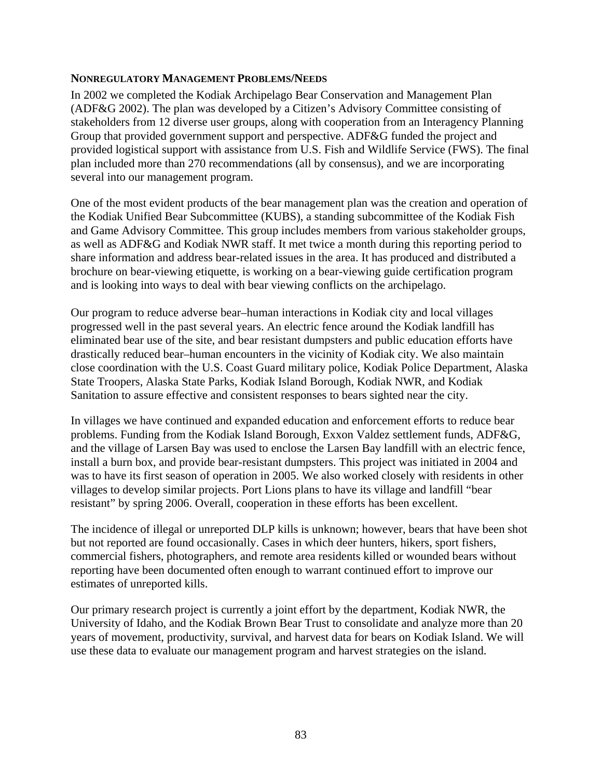#### **NONREGULATORY MANAGEMENT PROBLEMS/NEEDS**

In 2002 we completed the Kodiak Archipelago Bear Conservation and Management Plan (ADF&G 2002). The plan was developed by a Citizen's Advisory Committee consisting of stakeholders from 12 diverse user groups, along with cooperation from an Interagency Planning Group that provided government support and perspective. ADF&G funded the project and provided logistical support with assistance from U.S. Fish and Wildlife Service (FWS). The final plan included more than 270 recommendations (all by consensus), and we are incorporating several into our management program.

One of the most evident products of the bear management plan was the creation and operation of the Kodiak Unified Bear Subcommittee (KUBS), a standing subcommittee of the Kodiak Fish and Game Advisory Committee. This group includes members from various stakeholder groups, as well as ADF&G and Kodiak NWR staff. It met twice a month during this reporting period to share information and address bear-related issues in the area. It has produced and distributed a brochure on bear-viewing etiquette, is working on a bear-viewing guide certification program and is looking into ways to deal with bear viewing conflicts on the archipelago.

Our program to reduce adverse bear–human interactions in Kodiak city and local villages progressed well in the past several years. An electric fence around the Kodiak landfill has eliminated bear use of the site, and bear resistant dumpsters and public education efforts have drastically reduced bear–human encounters in the vicinity of Kodiak city. We also maintain close coordination with the U.S. Coast Guard military police, Kodiak Police Department, Alaska State Troopers, Alaska State Parks, Kodiak Island Borough, Kodiak NWR, and Kodiak Sanitation to assure effective and consistent responses to bears sighted near the city.

In villages we have continued and expanded education and enforcement efforts to reduce bear problems. Funding from the Kodiak Island Borough, Exxon Valdez settlement funds, ADF&G, and the village of Larsen Bay was used to enclose the Larsen Bay landfill with an electric fence, install a burn box, and provide bear-resistant dumpsters. This project was initiated in 2004 and was to have its first season of operation in 2005. We also worked closely with residents in other villages to develop similar projects. Port Lions plans to have its village and landfill "bear resistant" by spring 2006. Overall, cooperation in these efforts has been excellent.

The incidence of illegal or unreported DLP kills is unknown; however, bears that have been shot but not reported are found occasionally. Cases in which deer hunters, hikers, sport fishers, commercial fishers, photographers, and remote area residents killed or wounded bears without reporting have been documented often enough to warrant continued effort to improve our estimates of unreported kills.

Our primary research project is currently a joint effort by the department, Kodiak NWR, the University of Idaho, and the Kodiak Brown Bear Trust to consolidate and analyze more than 20 years of movement, productivity, survival, and harvest data for bears on Kodiak Island. We will use these data to evaluate our management program and harvest strategies on the island.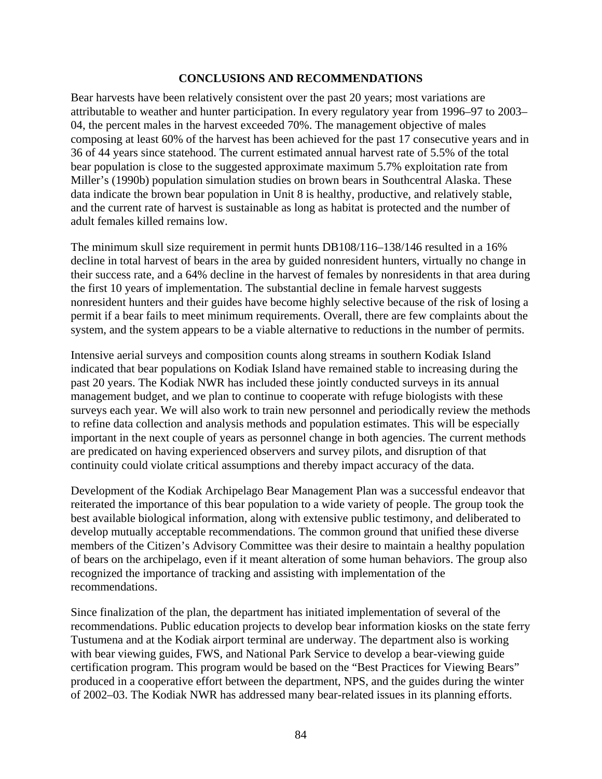#### **CONCLUSIONS AND RECOMMENDATIONS**

Bear harvests have been relatively consistent over the past 20 years; most variations are attributable to weather and hunter participation. In every regulatory year from 1996–97 to 2003– 04, the percent males in the harvest exceeded 70%. The management objective of males composing at least 60% of the harvest has been achieved for the past 17 consecutive years and in 36 of 44 years since statehood. The current estimated annual harvest rate of 5.5% of the total bear population is close to the suggested approximate maximum 5.7% exploitation rate from Miller's (1990b) population simulation studies on brown bears in Southcentral Alaska. These data indicate the brown bear population in Unit 8 is healthy, productive, and relatively stable, and the current rate of harvest is sustainable as long as habitat is protected and the number of adult females killed remains low.

The minimum skull size requirement in permit hunts DB108/116–138/146 resulted in a 16% decline in total harvest of bears in the area by guided nonresident hunters, virtually no change in their success rate, and a 64% decline in the harvest of females by nonresidents in that area during the first 10 years of implementation. The substantial decline in female harvest suggests nonresident hunters and their guides have become highly selective because of the risk of losing a permit if a bear fails to meet minimum requirements. Overall, there are few complaints about the system, and the system appears to be a viable alternative to reductions in the number of permits.

Intensive aerial surveys and composition counts along streams in southern Kodiak Island indicated that bear populations on Kodiak Island have remained stable to increasing during the past 20 years. The Kodiak NWR has included these jointly conducted surveys in its annual management budget, and we plan to continue to cooperate with refuge biologists with these surveys each year. We will also work to train new personnel and periodically review the methods to refine data collection and analysis methods and population estimates. This will be especially important in the next couple of years as personnel change in both agencies. The current methods are predicated on having experienced observers and survey pilots, and disruption of that continuity could violate critical assumptions and thereby impact accuracy of the data.

Development of the Kodiak Archipelago Bear Management Plan was a successful endeavor that reiterated the importance of this bear population to a wide variety of people. The group took the best available biological information, along with extensive public testimony, and deliberated to develop mutually acceptable recommendations. The common ground that unified these diverse members of the Citizen's Advisory Committee was their desire to maintain a healthy population of bears on the archipelago, even if it meant alteration of some human behaviors. The group also recognized the importance of tracking and assisting with implementation of the recommendations.

Since finalization of the plan, the department has initiated implementation of several of the recommendations. Public education projects to develop bear information kiosks on the state ferry Tustumena and at the Kodiak airport terminal are underway. The department also is working with bear viewing guides, FWS, and National Park Service to develop a bear-viewing guide certification program. This program would be based on the "Best Practices for Viewing Bears" produced in a cooperative effort between the department, NPS, and the guides during the winter of 2002–03. The Kodiak NWR has addressed many bear-related issues in its planning efforts.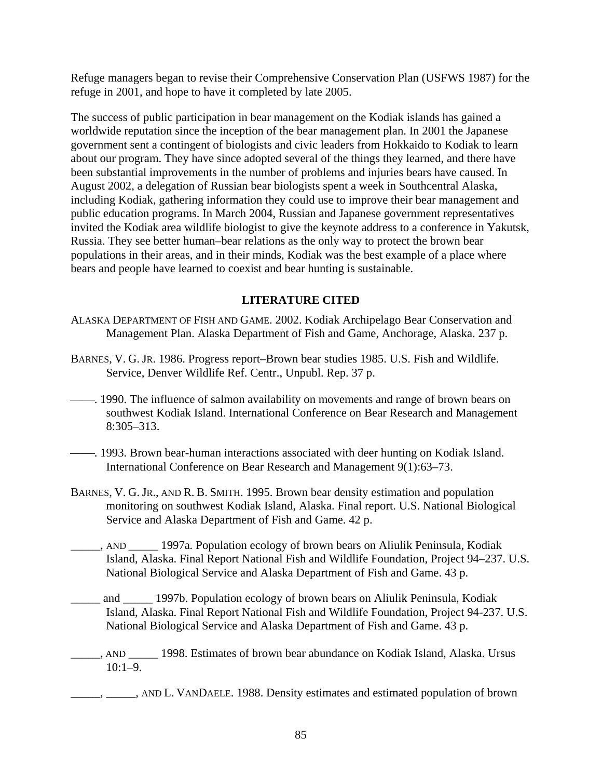Refuge managers began to revise their Comprehensive Conservation Plan (USFWS 1987) for the refuge in 2001, and hope to have it completed by late 2005.

The success of public participation in bear management on the Kodiak islands has gained a worldwide reputation since the inception of the bear management plan. In 2001 the Japanese government sent a contingent of biologists and civic leaders from Hokkaido to Kodiak to learn about our program. They have since adopted several of the things they learned, and there have been substantial improvements in the number of problems and injuries bears have caused. In August 2002, a delegation of Russian bear biologists spent a week in Southcentral Alaska, including Kodiak, gathering information they could use to improve their bear management and public education programs. In March 2004, Russian and Japanese government representatives invited the Kodiak area wildlife biologist to give the keynote address to a conference in Yakutsk, Russia. They see better human–bear relations as the only way to protect the brown bear populations in their areas, and in their minds, Kodiak was the best example of a place where bears and people have learned to coexist and bear hunting is sustainable.

## **LITERATURE CITED**

- ALASKA DEPARTMENT OF FISH AND GAME. 2002. Kodiak Archipelago Bear Conservation and Management Plan. Alaska Department of Fish and Game, Anchorage, Alaska. 237 p.
- BARNES, V. G. JR. 1986. Progress report–Brown bear studies 1985. U.S. Fish and Wildlife. Service, Denver Wildlife Ref. Centr., Unpubl. Rep. 37 p.
- --------------. 1990. The influence of salmon availability on movements and range of brown bears on southwest Kodiak Island. International Conference on Bear Research and Management 8:305–313.
- 1993. Brown bear-human interactions associated with deer hunting on Kodiak Island. International Conference on Bear Research and Management 9(1):63–73.
- BARNES, V. G. JR., AND R. B. SMITH. 1995. Brown bear density estimation and population monitoring on southwest Kodiak Island, Alaska. Final report. U.S. National Biological Service and Alaska Department of Fish and Game. 42 p.
- \_\_\_\_\_, AND \_\_\_\_\_ 1997a*.* Population ecology of brown bears on Aliulik Peninsula, Kodiak Island, Alaska. Final Report National Fish and Wildlife Foundation, Project 94–237. U.S. National Biological Service and Alaska Department of Fish and Game. 43 p.
- and 1997b. Population ecology of brown bears on Aliulik Peninsula, Kodiak Island, Alaska. Final Report National Fish and Wildlife Foundation, Project 94-237. U.S. National Biological Service and Alaska Department of Fish and Game. 43 p.
- \_\_\_\_\_, AND \_\_\_\_\_ 1998. Estimates of brown bear abundance on Kodiak Island, Alaska. Ursus 10:1–9.
- <sub>\_\_\_\_</sub>, \_\_\_\_\_, AND L. VANDAELE. 1988. Density estimates and estimated population of brown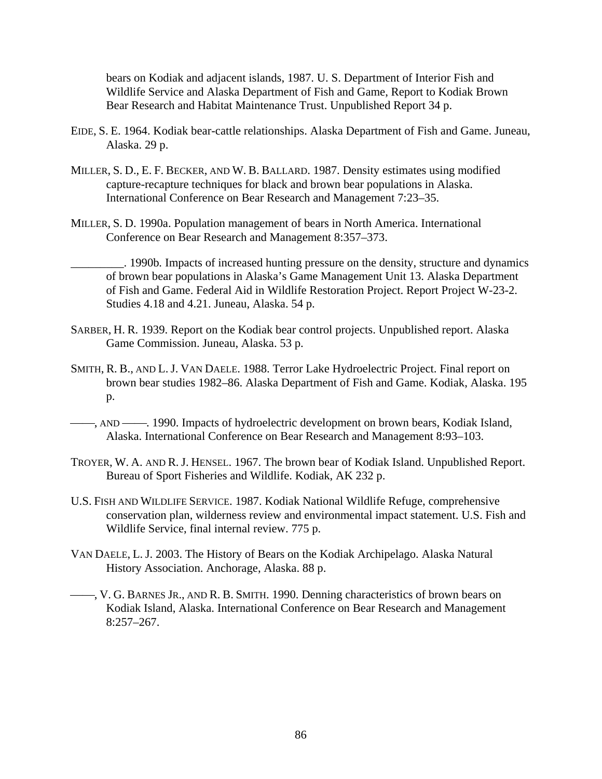bears on Kodiak and adjacent islands, 1987. U. S. Department of Interior Fish and Wildlife Service and Alaska Department of Fish and Game, Report to Kodiak Brown Bear Research and Habitat Maintenance Trust. Unpublished Report 34 p.

- EIDE, S. E. 1964. Kodiak bear-cattle relationships. Alaska Department of Fish and Game. Juneau, Alaska. 29 p.
- MILLER, S. D., E. F. BECKER, AND W. B. BALLARD. 1987. Density estimates using modified capture-recapture techniques for black and brown bear populations in Alaska. International Conference on Bear Research and Management 7:23–35.
- MILLER, S. D. 1990a. Population management of bears in North America. International Conference on Bear Research and Management 8:357–373.

\_\_\_\_\_\_\_\_\_. 1990b*.* Impacts of increased hunting pressure on the density, structure and dynamics of brown bear populations in Alaska's Game Management Unit 13. Alaska Department of Fish and Game. Federal Aid in Wildlife Restoration Project. Report Project W-23-2. Studies 4.18 and 4.21. Juneau, Alaska. 54 p.

- SARBER, H. R. 1939. Report on the Kodiak bear control projects. Unpublished report. Alaska Game Commission. Juneau, Alaska. 53 p.
- SMITH, R. B., AND L. J. VAN DAELE. 1988. Terror Lake Hydroelectric Project. Final report on brown bear studies 1982–86. Alaska Department of Fish and Game. Kodiak, Alaska. 195 p.
- —, AND —, 1990. Impacts of hydroelectric development on brown bears, Kodiak Island, Alaska. International Conference on Bear Research and Management 8:93–103.
- TROYER, W. A. AND R. J. HENSEL. 1967. The brown bear of Kodiak Island. Unpublished Report. Bureau of Sport Fisheries and Wildlife. Kodiak, AK 232 p.
- U.S. FISH AND WILDLIFE SERVICE. 1987. Kodiak National Wildlife Refuge, comprehensive conservation plan, wilderness review and environmental impact statement. U.S. Fish and Wildlife Service, final internal review. 775 p.
- VAN DAELE, L. J. 2003. The History of Bears on the Kodiak Archipelago. Alaska Natural History Association. Anchorage, Alaska. 88 p.
- ⎯⎯, V. G. BARNES JR., AND R. B. SMITH. 1990. Denning characteristics of brown bears on Kodiak Island, Alaska. International Conference on Bear Research and Management 8:257–267.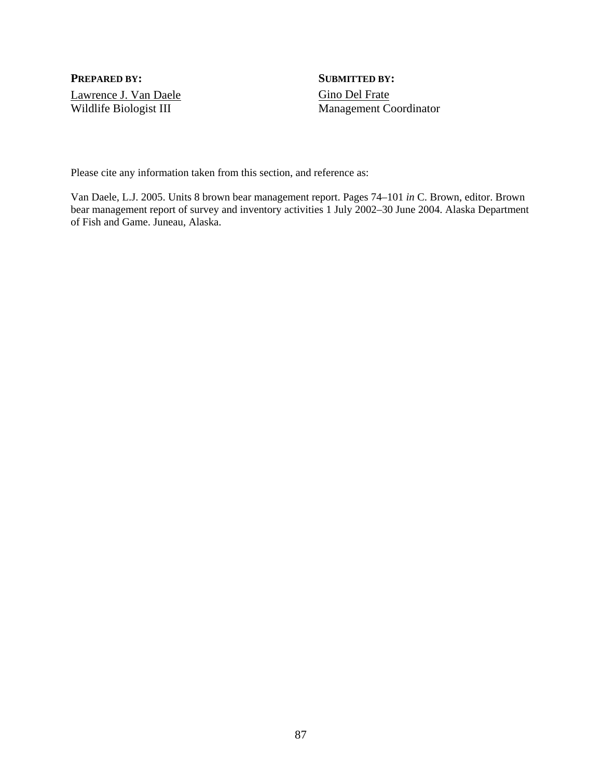**PREPARED BY:** SUBMITTED BY: Lawrence J. Van Daele Gino Del Frate

Wildlife Biologist III Management Coordinator

Please cite any information taken from this section, and reference as:

Van Daele, L.J. 2005. Units 8 brown bear management report. Pages 74–101 *in* C. Brown, editor. Brown bear management report of survey and inventory activities 1 July 2002–30 June 2004. Alaska Department of Fish and Game. Juneau, Alaska.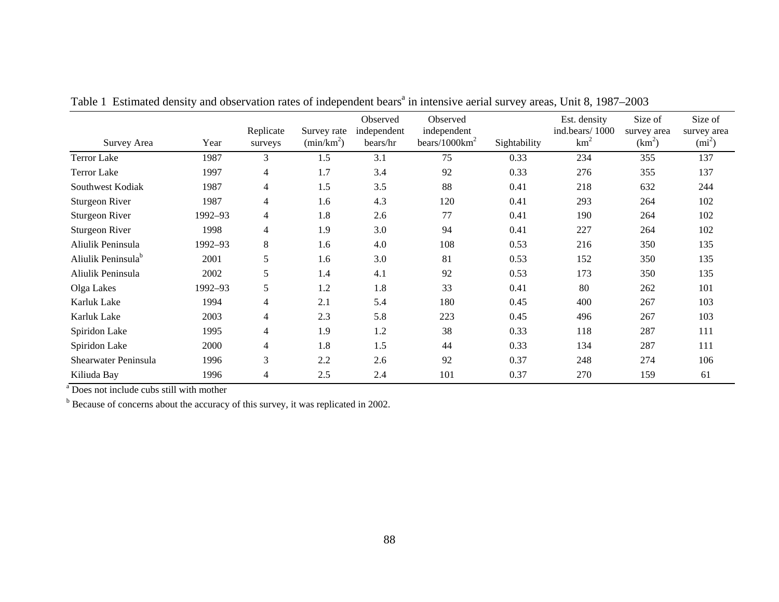| Survey Area                    | Year    | Replicate<br>surveys | Survey rate<br>(min/km <sup>2</sup> ) | Observed<br>independent<br>bears/hr | Observed<br>independent<br>bears/ $1000 \text{km}^2$ | Sightability | Est. density<br>ind.bears/1000<br>$km^2$ | Size of<br>survey area<br>(km <sup>2</sup> ) | Size of<br>survey area<br>$(mi^2)$ |
|--------------------------------|---------|----------------------|---------------------------------------|-------------------------------------|------------------------------------------------------|--------------|------------------------------------------|----------------------------------------------|------------------------------------|
| <b>Terror Lake</b>             | 1987    | 3                    | 1.5                                   | 3.1                                 | 75                                                   | 0.33         | 234                                      | 355                                          | 137                                |
| <b>Terror Lake</b>             | 1997    | 4                    | 1.7                                   | 3.4                                 | 92                                                   | 0.33         | 276                                      | 355                                          | 137                                |
| Southwest Kodiak               | 1987    | 4                    | 1.5                                   | 3.5                                 | 88                                                   | 0.41         | 218                                      | 632                                          | 244                                |
| <b>Sturgeon River</b>          | 1987    | 4                    | 1.6                                   | 4.3                                 | 120                                                  | 0.41         | 293                                      | 264                                          | 102                                |
| <b>Sturgeon River</b>          | 1992-93 | $\overline{4}$       | 1.8                                   | 2.6                                 | 77                                                   | 0.41         | 190                                      | 264                                          | 102                                |
| <b>Sturgeon River</b>          | 1998    | 4                    | 1.9                                   | 3.0                                 | 94                                                   | 0.41         | 227                                      | 264                                          | 102                                |
| Aliulik Peninsula              | 1992-93 | 8                    | 1.6                                   | 4.0                                 | 108                                                  | 0.53         | 216                                      | 350                                          | 135                                |
| Aliulik Peninsula <sup>b</sup> | 2001    | 5                    | 1.6                                   | 3.0                                 | 81                                                   | 0.53         | 152                                      | 350                                          | 135                                |
| Aliulik Peninsula              | 2002    | 5                    | 1.4                                   | 4.1                                 | 92                                                   | 0.53         | 173                                      | 350                                          | 135                                |
| Olga Lakes                     | 1992-93 | 5                    | 1.2                                   | 1.8                                 | 33                                                   | 0.41         | 80                                       | 262                                          | 101                                |
| Karluk Lake                    | 1994    | 4                    | 2.1                                   | 5.4                                 | 180                                                  | 0.45         | 400                                      | 267                                          | 103                                |
| Karluk Lake                    | 2003    | 4                    | 2.3                                   | 5.8                                 | 223                                                  | 0.45         | 496                                      | 267                                          | 103                                |
| Spiridon Lake                  | 1995    | 4                    | 1.9                                   | 1.2                                 | 38                                                   | 0.33         | 118                                      | 287                                          | 111                                |
| Spiridon Lake                  | 2000    | 4                    | 1.8                                   | 1.5                                 | 44                                                   | 0.33         | 134                                      | 287                                          | 111                                |
| Shearwater Peninsula           | 1996    | 3                    | 2.2                                   | 2.6                                 | 92                                                   | 0.37         | 248                                      | 274                                          | 106                                |
| Kiliuda Bay                    | 1996    | 4                    | 2.5                                   | 2.4                                 | 101                                                  | 0.37         | 270                                      | 159                                          | 61                                 |

Table 1 Estimated density and observation rates of independent bears<sup>a</sup> in intensive aerial survey areas, Unit 8, 1987–2003

a Does not include cubs still with mother

<sup>b</sup> Because of concerns about the accuracy of this survey, it was replicated in 2002.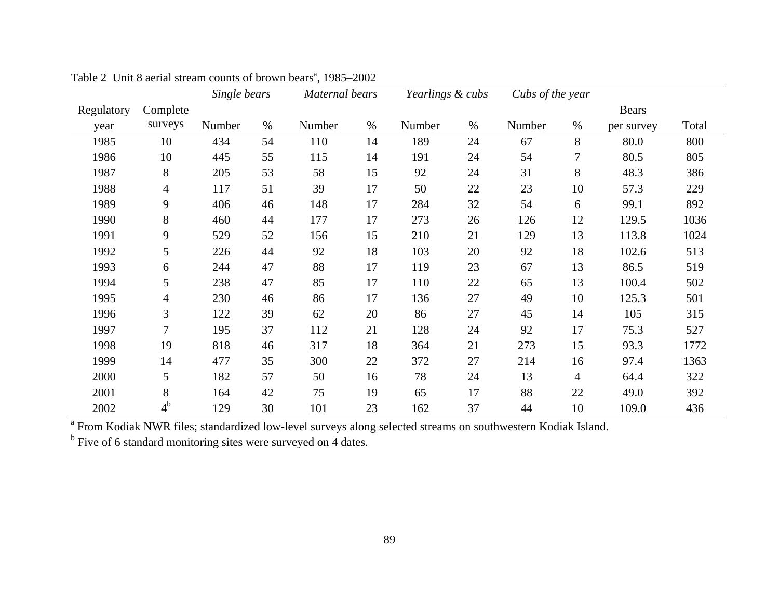|            |                | Single bears |      | Maternal bears |      | Yearlings & cubs |      | Cubs of the year |                |              |       |
|------------|----------------|--------------|------|----------------|------|------------------|------|------------------|----------------|--------------|-------|
| Regulatory | Complete       |              |      |                |      |                  |      |                  |                | <b>Bears</b> |       |
| year       | surveys        | Number       | $\%$ | Number         | $\%$ | Number           | $\%$ | Number           | $\%$           | per survey   | Total |
| 1985       | 10             | 434          | 54   | 110            | 14   | 189              | 24   | 67               | 8              | 80.0         | 800   |
| 1986       | 10             | 445          | 55   | 115            | 14   | 191              | 24   | 54               | 7              | 80.5         | 805   |
| 1987       | 8              | 205          | 53   | 58             | 15   | 92               | 24   | 31               | 8              | 48.3         | 386   |
| 1988       | 4              | 117          | 51   | 39             | 17   | 50               | 22   | 23               | 10             | 57.3         | 229   |
| 1989       | 9              | 406          | 46   | 148            | 17   | 284              | 32   | 54               | 6              | 99.1         | 892   |
| 1990       | 8              | 460          | 44   | 177            | 17   | 273              | 26   | 126              | 12             | 129.5        | 1036  |
| 1991       | 9              | 529          | 52   | 156            | 15   | 210              | 21   | 129              | 13             | 113.8        | 1024  |
| 1992       | 5              | 226          | 44   | 92             | 18   | 103              | 20   | 92               | 18             | 102.6        | 513   |
| 1993       | 6              | 244          | 47   | 88             | 17   | 119              | 23   | 67               | 13             | 86.5         | 519   |
| 1994       | 5              | 238          | 47   | 85             | 17   | 110              | 22   | 65               | 13             | 100.4        | 502   |
| 1995       | 4              | 230          | 46   | 86             | 17   | 136              | 27   | 49               | 10             | 125.3        | 501   |
| 1996       | 3              | 122          | 39   | 62             | 20   | 86               | 27   | 45               | 14             | 105          | 315   |
| 1997       | $\overline{7}$ | 195          | 37   | 112            | 21   | 128              | 24   | 92               | 17             | 75.3         | 527   |
| 1998       | 19             | 818          | 46   | 317            | 18   | 364              | 21   | 273              | 15             | 93.3         | 1772  |
| 1999       | 14             | 477          | 35   | 300            | 22   | 372              | 27   | 214              | 16             | 97.4         | 1363  |
| 2000       | 5              | 182          | 57   | 50             | 16   | 78               | 24   | 13               | $\overline{4}$ | 64.4         | 322   |
| 2001       | 8              | 164          | 42   | 75             | 19   | 65               | 17   | 88               | 22             | 49.0         | 392   |
| 2002       | 4 <sup>b</sup> | 129          | 30   | 101            | 23   | 162              | 37   | 44               | 10             | 109.0        | 436   |

Table 2 Unit 8 aerial stream counts of brown bears<sup>a</sup>, 1985–2002

 $^{\text{a}}$  From Kodiak NWR files; standardized low-level surveys along selected streams on southwestern Kodiak Island.<br><sup>b</sup> Five of 6 standard monitoring sites were surveyed on 4 dates.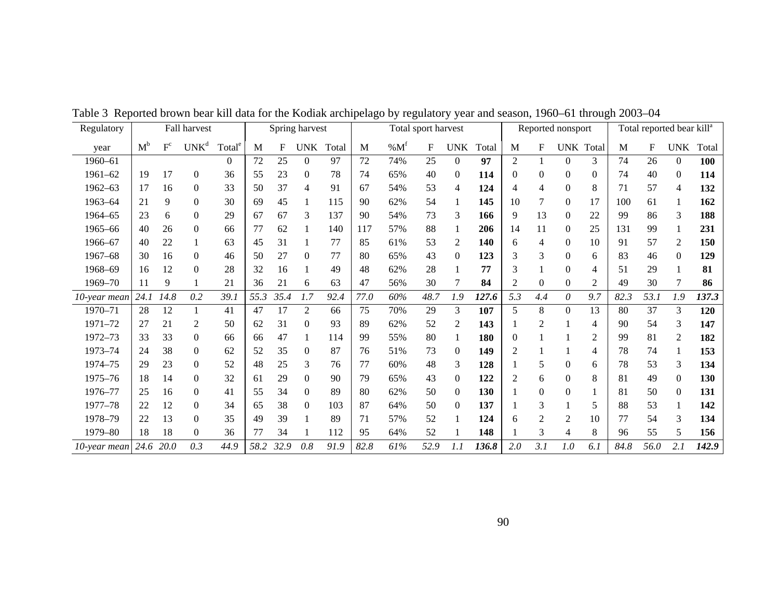| Regulatory   |       |         | Fall harvest     |                    |      |      | Spring harvest |       |      |                 | Total sport harvest |                  |       |                |                | Reported nonsport |                  |      |             | Total reported bear kill <sup>a</sup> |            |
|--------------|-------|---------|------------------|--------------------|------|------|----------------|-------|------|-----------------|---------------------|------------------|-------|----------------|----------------|-------------------|------------------|------|-------------|---------------------------------------|------------|
| year         | $M^b$ | $F^{c}$ | UNK <sup>d</sup> | Total <sup>e</sup> | M    | F    | <b>UNK</b>     | Total | M    | %M <sup>f</sup> | F                   | <b>UNK</b>       | Total | M              | F              |                   | <b>UNK</b> Total | M    | $\mathbf F$ | <b>UNK</b>                            | Total      |
| 1960-61      |       |         |                  | $\theta$           | 72   | 25   | 0              | 97    | 72   | 74%             | 25                  | $\overline{0}$   | 97    | $\overline{2}$ |                | $\Omega$          | 3                | 74   | 26          | $\theta$                              | 100        |
| $1961 - 62$  | 19    | 17      | $\boldsymbol{0}$ | 36                 | 55   | 23   | 0              | 78    | 74   | 65%             | 40                  | $\mathbf{0}$     | 114   | 0              | 0              | $\theta$          | $\Omega$         | 74   | 40          | $\Omega$                              | 114        |
| $1962 - 63$  | 17    | 16      | $\boldsymbol{0}$ | 33                 | 50   | 37   | 4              | 91    | 67   | 54%             | 53                  | $\overline{4}$   | 124   | 4              | 4              | $\Omega$          | 8                | 71   | 57          | 4                                     | 132        |
| 1963-64      | 21    | 9       | $\theta$         | 30                 | 69   | 45   |                | 115   | 90   | 62%             | 54                  | 1                | 145   | 10             | 7              | $\Omega$          | 17               | 100  | 61          |                                       | 162        |
| 1964-65      | 23    | 6       | $\boldsymbol{0}$ | 29                 | 67   | 67   | 3              | 137   | 90   | 54%             | 73                  | 3                | 166   | 9              | 13             | $\theta$          | 22               | 99   | 86          | 3                                     | 188        |
| 1965-66      | 40    | 26      | $\mathbf{0}$     | 66                 | 77   | 62   |                | 140   | 117  | 57%             | 88                  | 1                | 206   | 14             | 11             | $\Omega$          | 25               | 131  | 99          |                                       | 231        |
| 1966-67      | 40    | 22      | $\mathbf{1}$     | 63                 | 45   | 31   |                | 77    | 85   | 61%             | 53                  | $\overline{2}$   | 140   | 6              | 4              | $\theta$          | 10               | 91   | 57          | $\overline{c}$                        | 150        |
| 1967-68      | 30    | 16      | $\boldsymbol{0}$ | 46                 | 50   | 27   | $\Omega$       | 77    | 80   | 65%             | 43                  | $\boldsymbol{0}$ | 123   | 3              | 3              | $\Omega$          | 6                | 83   | 46          | $\Omega$                              | 129        |
| 1968-69      | 16    | 12      | $\boldsymbol{0}$ | 28                 | 32   | 16   |                | 49    | 48   | 62%             | 28                  | 1                | 77    | 3              |                | $\Omega$          | $\overline{4}$   | 51   | 29          |                                       | 81         |
| 1969-70      | 11    | 9       |                  | 21                 | 36   | 21   | 6              | 63    | 47   | 56%             | 30                  | $\tau$           | 84    | 2              | $\overline{0}$ | $\Omega$          | 2                | 49   | 30          | 7                                     | 86         |
| 10-year mean | 24.1  | 14.8    | 0.2              | 39. j              | 55.3 | 35.4 | 1.7            | 92.4  | 77.0 | 60%             | 48.7                | 1.9              | 127.6 | 5.3            | 4.4            | 0                 | 9.7              | 82.3 | 53.1        | 1.9                                   | 137.3      |
| 1970-71      | 28    | 12      |                  | 41                 | 47   | 17   | 2              | 66    | 75   | 70%             | 29                  | 3                | 107   | 5              | 8              | 0                 | 13               | 80   | 37          | 3                                     | 120        |
| 1971-72      | 27    | 21      | 2                | 50                 | 62   | 31   | 0              | 93    | 89   | 62%             | 52                  | 2                | 143   |                | 2              |                   | 4                | 90   | 54          | 3                                     | 147        |
| 1972-73      | 33    | 33      | $\boldsymbol{0}$ | 66                 | 66   | 47   |                | 114   | 99   | 55%             | 80                  | 1                | 180   |                |                |                   | $\overline{2}$   | 99   | 81          | 2                                     | 182        |
| 1973-74      | 24    | 38      | $\boldsymbol{0}$ | 62                 | 52   | 35   | $\theta$       | 87    | 76   | 51%             | 73                  | $\theta$         | 149   | 2              |                |                   | 4                | 78   | 74          |                                       | 153        |
| 1974-75      | 29    | 23      | $\overline{0}$   | 52                 | 48   | 25   | 3              | 76    | 77   | 60%             | 48                  | 3                | 128   |                | 5              | $\Omega$          | 6                | 78   | 53          | 3                                     | 134        |
| 1975-76      | 18    | 14      | $\boldsymbol{0}$ | 32                 | 61   | 29   | $\Omega$       | 90    | 79   | 65%             | 43                  | $\overline{0}$   | 122   | 2              | 6              | $\Omega$          | 8                | 81   | 49          | $\Omega$                              | <b>130</b> |
| 1976-77      | 25    | 16      | $\boldsymbol{0}$ | 41                 | 55   | 34   | 0              | 89    | 80   | 62%             | 50                  | $\overline{0}$   | 130   |                | $\overline{0}$ | $\Omega$          |                  | 81   | 50          | $\Omega$                              | 131        |
| 1977-78      | 22    | 12      | $\boldsymbol{0}$ | 34                 | 65   | 38   | 0              | 103   | 87   | 64%             | 50                  | $\theta$         | 137   |                | 3              |                   | 5                | 88   | 53          |                                       | 142        |
| 1978-79      | 22    | 13      | $\boldsymbol{0}$ | 35                 | 49   | 39   |                | 89    | 71   | 57%             | 52                  | 1                | 124   | 6              | 2              | 2                 | 10               | 77   | 54          | 3                                     | 134        |
| 1979-80      | 18    | 18      | $\boldsymbol{0}$ | 36                 | 77   | 34   |                | 112   | 95   | 64%             | 52                  | 1                | 148   |                | 3              | $\overline{4}$    | 8                | 96   | 55          | 5                                     | 156        |
| 10-year mean | 24.6  | 20.0    | 0.3              | 44.9               | 58.2 | 32.9 | 0.8            | 91.9  | 82.8 | 61%             | 52.9                | 1.1              | 136.8 | 2.0            | 3.1            | 1.0               | 6.1              | 84.8 | 56.0        | 2.1                                   | 142.9      |

Table 3 Reported brown bear kill data for the Kodiak archipelago by regulatory year and season, 1960–61 through 2003–04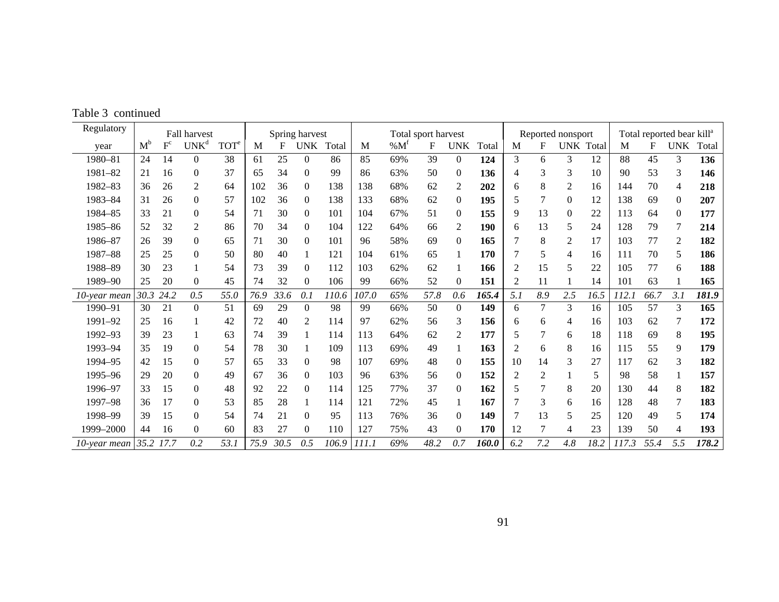|  |  | Table 3 continued |
|--|--|-------------------|
|--|--|-------------------|

| Regulatory   |           |                         | Fall harvest     |                  |      |      | Spring harvest |       |       |        | Total sport harvest |                |       |                |                | Reported nonsport |           |       |      | Total reported bear kill <sup>a</sup> |       |
|--------------|-----------|-------------------------|------------------|------------------|------|------|----------------|-------|-------|--------|---------------------|----------------|-------|----------------|----------------|-------------------|-----------|-------|------|---------------------------------------|-------|
| year         | $M^b$     | $\mathbf{F}^\mathrm{c}$ | UNK <sup>d</sup> | TOT <sup>e</sup> | M    | F    | <b>UNK</b>     | Total | M     | % $Mt$ | F                   | <b>UNK</b>     | Total | M              | F              |                   | UNK Total | M     | F    | <b>UNK</b>                            | Total |
| 1980-81      | 24        | 14                      | $\Omega$         | 38               | 61   | 25   | $\theta$       | 86    | 85    | 69%    | 39                  | $\theta$       | 124   | 3              | 6              | 3                 | 12        | 88    | 45   | 3                                     | 136   |
| 1981-82      | 21        | 16                      | $\theta$         | 37               | 65   | 34   | $\Omega$       | 99    | 86    | 63%    | 50                  | $\mathbf{0}$   | 136   | 4              | 3              | 3                 | 10        | 90    | 53   | 3                                     | 146   |
| 1982-83      | 36        | 26                      | 2                | 64               | 102  | 36   | $\Omega$       | 138   | 138   | 68%    | 62                  | 2              | 202   | 6              | 8              | 2                 | 16        | 144   | 70   | 4                                     | 218   |
| 1983-84      | 31        | 26                      | $\boldsymbol{0}$ | 57               | 102  | 36   | 0              | 138   | 133   | 68%    | 62                  | $\mathbf{0}$   | 195   | 5              | 7              | $\mathbf{0}$      | 12        | 138   | 69   | $\theta$                              | 207   |
| 1984-85      | 33        | 21                      | $\boldsymbol{0}$ | 54               | 71   | 30   | $\mathbf{0}$   | 101   | 104   | 67%    | 51                  | $\theta$       | 155   | 9              | 13             | $\mathbf{0}$      | 22        | 113   | 64   | $\overline{0}$                        | 177   |
| 1985-86      | 52        | 32                      | $\overline{2}$   | 86               | 70   | 34   | $\Omega$       | 104   | 122   | 64%    | 66                  | $\overline{2}$ | 190   | 6              | 13             | 5                 | 24        | 128   | 79   | 7                                     | 214   |
| 1986-87      | 26        | 39                      | $\overline{0}$   | 65               | 71   | 30   | $\Omega$       | 101   | 96    | 58%    | 69                  | $\Omega$       | 165   | 7              | 8              | $\overline{2}$    | 17        | 103   | 77   | 2                                     | 182   |
| 1987-88      | 25        | 25                      | $\overline{0}$   | 50               | 80   | 40   |                | 121   | 104   | 61%    | 65                  |                | 170   |                | 5              | $\overline{4}$    | 16        | 111   | 70   | 5                                     | 186   |
| 1988-89      | 30        | 23                      | 1                | 54               | 73   | 39   | $\Omega$       | 112   | 103   | 62%    | 62                  |                | 166   | $\overline{2}$ | 15             | 5                 | 22        | 105   | 77   | 6                                     | 188   |
| 1989-90      | 25        | 20                      | $\overline{0}$   | 45               | 74   | 32   | $\Omega$       | 106   | 99    | 66%    | 52                  | $\Omega$       | 151   | $\overline{2}$ | 11             |                   | 14        | 101   | 63   |                                       | 165   |
| 10-year mean | 30.3 24.2 |                         | 0.5              | 55.0             | 76.9 | 33.6 | 0.1            | 110.6 | 107.0 | 65%    | 57.8                | 0.6            | 165.4 | 5.1            | 8.9            | 2.5               | 16.5      | 112.1 | 66.7 | 3.1                                   | 181.9 |
| 1990-91      | 30        | 21                      | $\overline{0}$   | 51               | 69   | 29   | $\Omega$       | 98    | 99    | 66%    | 50                  | $\theta$       | 149   | 6              | $\tau$         | 3                 | 16        | 105   | 57   | 3                                     | 165   |
| 1991-92      | 25        | 16                      |                  | 42               | 72   | 40   | 2              | 114   | 97    | 62%    | 56                  | 3              | 156   | 6              | 6              | 4                 | 16        | 103   | 62   |                                       | 172   |
| 1992-93      | 39        | 23                      |                  | 63               | 74   | 39   |                | 114   | 113   | 64%    | 62                  | 2              | 177   | 5              | 7              | 6                 | 18        | 118   | 69   | 8                                     | 195   |
| 1993-94      | 35        | 19                      | $\boldsymbol{0}$ | 54               | 78   | 30   |                | 109   | 113   | 69%    | 49                  |                | 163   | 2              | 6              | 8                 | 16        | 115   | 55   | 9                                     | 179   |
| 1994-95      | 42        | 15                      | $\overline{0}$   | 57               | 65   | 33   | $\theta$       | 98    | 107   | 69%    | 48                  | $\theta$       | 155   | 10             | 14             | 3                 | 27        | 117   | 62   | 3                                     | 182   |
| 1995-96      | 29        | 20                      | $\boldsymbol{0}$ | 49               | 67   | 36   | $\Omega$       | 103   | 96    | 63%    | 56                  | $\mathbf{0}$   | 152   | 2              | $\overline{c}$ |                   | 5         | 98    | 58   |                                       | 157   |
| 1996-97      | 33        | 15                      | $\boldsymbol{0}$ | 48               | 92   | 22   | $\Omega$       | 114   | 125   | 77%    | 37                  | $\theta$       | 162   | 5              | 7              | 8                 | 20        | 130   | 44   | 8                                     | 182   |
| 1997-98      | 36        | 17                      | $\boldsymbol{0}$ | 53               | 85   | 28   |                | 114   | 121   | 72%    | 45                  |                | 167   |                | 3              | 6                 | 16        | 128   | 48   | 7                                     | 183   |
| 1998-99      | 39        | 15                      | $\boldsymbol{0}$ | 54               | 74   | 21   | $\Omega$       | 95    | 113   | 76%    | 36                  | $\theta$       | 149   |                | 13             | 5                 | 25        | 120   | 49   | 5                                     | 174   |
| 1999-2000    | 44        | 16                      | $\boldsymbol{0}$ | 60               | 83   | 27   | $\mathbf{0}$   | 110   | 127   | 75%    | 43                  | $\mathbf{0}$   | 170   | 12             | $\overline{7}$ | 4                 | 23        | 139   | 50   | 4                                     | 193   |
| 10-year mean | 35.2      | 17.7                    | 0.2              | 53.1             | 75.9 | 30.5 | 0.5            | 106.9 | 111.1 | 69%    | 48.2                | 0.7            | 160.0 | 6.2            | 7.2            | 4.8               | 18.2      | 117.3 | 55.4 | 5.5                                   | 178.2 |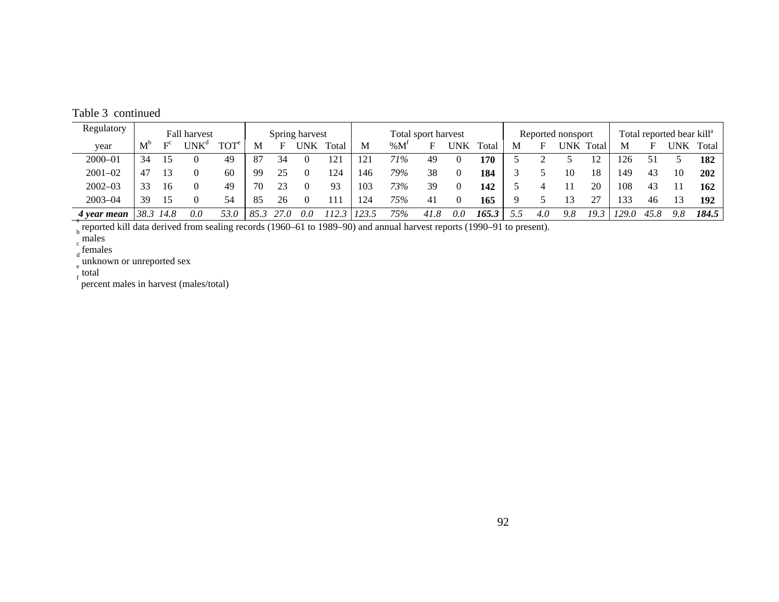Table 3 continued

| Regulatory  |                                                                                                                       |                | Fall harvest     |                  |      |      | Spring harvest |       |       |           | Total sport harvest |     |       |   |     | Reported nonsport |       |       |      | Total reported bear kill <sup>a</sup> |       |
|-------------|-----------------------------------------------------------------------------------------------------------------------|----------------|------------------|------------------|------|------|----------------|-------|-------|-----------|---------------------|-----|-------|---|-----|-------------------|-------|-------|------|---------------------------------------|-------|
| year        | $M^{\circ}$                                                                                                           | E <sup>c</sup> | UNK <sup>d</sup> | TOT <sup>e</sup> | M    | н    | UNK            | Total | M     | $\%$ $M'$ | F                   | UNK | Total | м | F   | UNK -             | Total | M     |      | UNK.                                  | Total |
| $2000 - 01$ | 34                                                                                                                    | 15             |                  | 49               | 87   | 34   |                | 121   | 121   | 71%       | 49                  |     | 170   |   |     |                   | 12    | .26   |      |                                       | 182   |
| $2001 - 02$ | 47                                                                                                                    | 13             |                  | 60               | 99   | 25   |                | 124   | 146   | 79%       | 38                  |     | 184   |   |     | 10                | 18    | 49ء   | 43   | 10                                    | 202   |
| $2002 - 03$ | 33                                                                                                                    | 16             | $\Omega$         | 49               | 70   | 23   |                | 93    | 103   | 73%       | 39                  | 0   | 142   |   |     |                   | 20    | 108   | 43   |                                       | 162   |
| $2003 - 04$ | 39                                                                                                                    | 15             | $\theta$         | 54               | 85   | 26   |                | 11    | 124   | 75%       | 41                  |     | 165   |   |     |                   | 27    | 33    | 46   | $\mathcal{R}$                         | 192   |
| 4 year mean | 38.3                                                                                                                  | 14.8           | 0.0              | 53.0             | 85.3 | 27.0 | 0.0            | 112.3 | 123.5 | 75%       | 41.8                | 0.0 | 165.3 |   | 4.0 | 9.8               | 19.5  | 129.0 | 45.8 | 9.8                                   | 184.5 |
|             | reported kill data derived from sealing records (1960–61 to 1989–90) and annual harvest reports (1990–91 to present). |                |                  |                  |      |      |                |       |       |           |                     |     |       |   |     |                   |       |       |      |                                       |       |

 $\int_{d}^{c}$  females

 $\int_{e}^{d}$  unknown or unreported sex

 $f_{\rm f}$  total

percent males in harvest (males/total)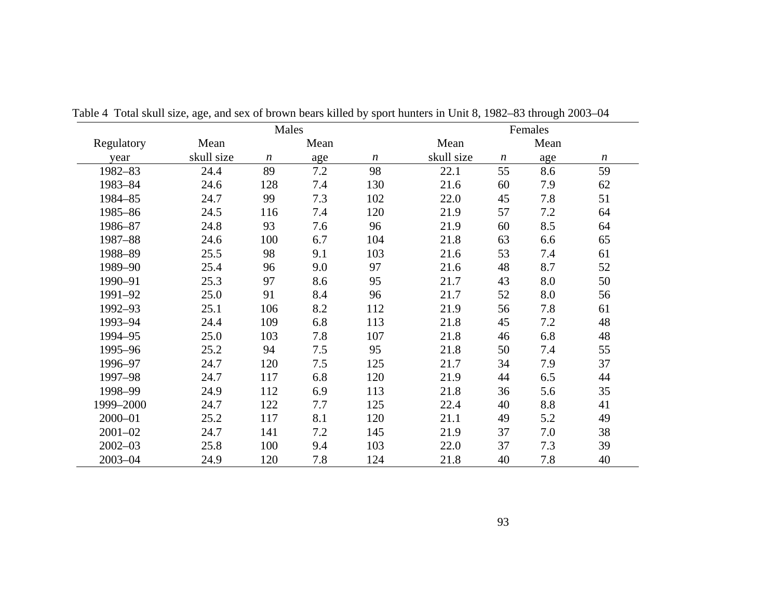|             |            | Males            |      |                  |            |                  | Females |                  |
|-------------|------------|------------------|------|------------------|------------|------------------|---------|------------------|
| Regulatory  | Mean       |                  | Mean |                  | Mean       |                  | Mean    |                  |
| year        | skull size | $\boldsymbol{n}$ | age  | $\boldsymbol{n}$ | skull size | $\boldsymbol{n}$ | age     | $\boldsymbol{n}$ |
| 1982-83     | 24.4       | 89               | 7.2  | 98               | 22.1       | 55               | 8.6     | 59               |
| 1983-84     | 24.6       | 128              | 7.4  | 130              | 21.6       | 60               | 7.9     | 62               |
| 1984-85     | 24.7       | 99               | 7.3  | 102              | 22.0       | 45               | 7.8     | 51               |
| 1985-86     | 24.5       | 116              | 7.4  | 120              | 21.9       | 57               | 7.2     | 64               |
| 1986-87     | 24.8       | 93               | 7.6  | 96               | 21.9       | 60               | 8.5     | 64               |
| 1987-88     | 24.6       | 100              | 6.7  | 104              | 21.8       | 63               | 6.6     | 65               |
| 1988-89     | 25.5       | 98               | 9.1  | 103              | 21.6       | 53               | 7.4     | 61               |
| 1989-90     | 25.4       | 96               | 9.0  | 97               | 21.6       | 48               | 8.7     | 52               |
| 1990-91     | 25.3       | 97               | 8.6  | 95               | 21.7       | 43               | 8.0     | 50               |
| 1991-92     | 25.0       | 91               | 8.4  | 96               | 21.7       | 52               | 8.0     | 56               |
| 1992-93     | 25.1       | 106              | 8.2  | 112              | 21.9       | 56               | 7.8     | 61               |
| 1993-94     | 24.4       | 109              | 6.8  | 113              | 21.8       | 45               | 7.2     | 48               |
| 1994-95     | 25.0       | 103              | 7.8  | 107              | 21.8       | 46               | 6.8     | 48               |
| 1995-96     | 25.2       | 94               | 7.5  | 95               | 21.8       | 50               | 7.4     | 55               |
| 1996-97     | 24.7       | 120              | 7.5  | 125              | 21.7       | 34               | 7.9     | 37               |
| 1997-98     | 24.7       | 117              | 6.8  | 120              | 21.9       | 44               | 6.5     | 44               |
| 1998-99     | 24.9       | 112              | 6.9  | 113              | 21.8       | 36               | 5.6     | 35               |
| 1999-2000   | 24.7       | 122              | 7.7  | 125              | 22.4       | 40               | 8.8     | 41               |
| 2000-01     | 25.2       | 117              | 8.1  | 120              | 21.1       | 49               | 5.2     | 49               |
| $2001 - 02$ | 24.7       | 141              | 7.2  | 145              | 21.9       | 37               | 7.0     | 38               |
| $2002 - 03$ | 25.8       | 100              | 9.4  | 103              | 22.0       | 37               | 7.3     | 39               |
| $2003 - 04$ | 24.9       | 120              | 7.8  | 124              | 21.8       | 40               | 7.8     | 40               |

Table 4 Total skull size, age, and sex of brown bears killed by sport hunters in Unit 8, 1982–83 through 2003–04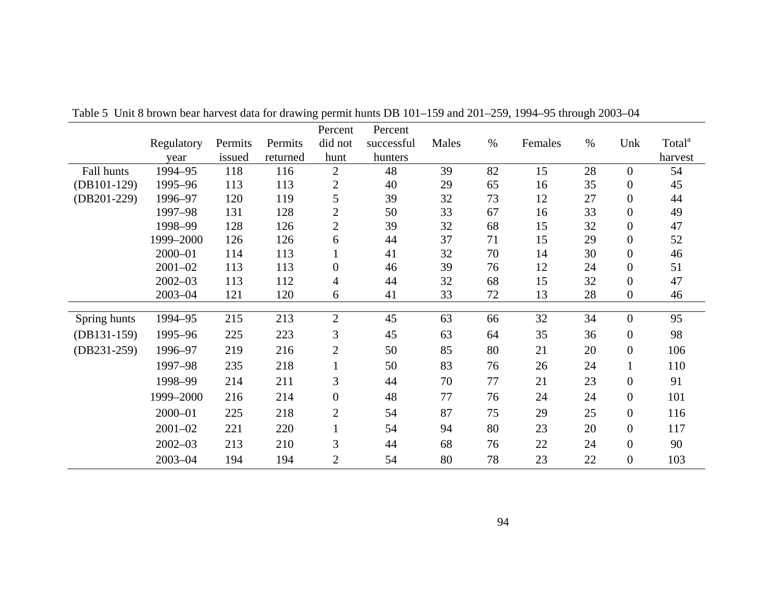|               |             |         |          | Percent          | Percent    |       |      |         |      |                  |                    |
|---------------|-------------|---------|----------|------------------|------------|-------|------|---------|------|------------------|--------------------|
|               | Regulatory  | Permits | Permits  | did not          | successful | Males | $\%$ | Females | $\%$ | Unk              | Total <sup>a</sup> |
|               | year        | issued  | returned | hunt             | hunters    |       |      |         |      |                  | harvest            |
| Fall hunts    | 1994-95     | 118     | 116      | $\overline{2}$   | 48         | 39    | 82   | 15      | 28   | $\overline{0}$   | 54                 |
| $(DB101-129)$ | 1995-96     | 113     | 113      | $\overline{2}$   | 40         | 29    | 65   | 16      | 35   | $\overline{0}$   | 45                 |
| $(DB201-229)$ | 1996-97     | 120     | 119      | 5                | 39         | 32    | 73   | 12      | 27   | $\overline{0}$   | 44                 |
|               | 1997-98     | 131     | 128      | $\overline{2}$   | 50         | 33    | 67   | 16      | 33   | $\overline{0}$   | 49                 |
|               | 1998-99     | 128     | 126      | $\overline{2}$   | 39         | 32    | 68   | 15      | 32   | $\overline{0}$   | 47                 |
|               | 1999-2000   | 126     | 126      | 6                | 44         | 37    | 71   | 15      | 29   | $\overline{0}$   | 52                 |
|               | 2000-01     | 114     | 113      | $\mathbf{I}$     | 41         | 32    | 70   | 14      | 30   | $\overline{0}$   | 46                 |
|               | $2001 - 02$ | 113     | 113      | $\boldsymbol{0}$ | 46         | 39    | 76   | 12      | 24   | $\overline{0}$   | 51                 |
|               | $2002 - 03$ | 113     | 112      | 4                | 44         | 32    | 68   | 15      | 32   | $\overline{0}$   | 47                 |
|               | $2003 - 04$ | 121     | 120      | 6                | 41         | 33    | 72   | 13      | 28   | $\overline{0}$   | 46                 |
|               |             |         |          |                  |            |       |      |         |      |                  |                    |
| Spring hunts  | 1994-95     | 215     | 213      | $\overline{2}$   | 45         | 63    | 66   | 32      | 34   | $\overline{0}$   | 95                 |
| $(DB131-159)$ | 1995-96     | 225     | 223      | 3                | 45         | 63    | 64   | 35      | 36   | $\boldsymbol{0}$ | 98                 |
| $(DB231-259)$ | 1996-97     | 219     | 216      | $\overline{2}$   | 50         | 85    | 80   | 21      | 20   | $\overline{0}$   | 106                |
|               | 1997-98     | 235     | 218      |                  | 50         | 83    | 76   | 26      | 24   |                  | 110                |
|               | 1998-99     | 214     | 211      | 3                | 44         | 70    | 77   | 21      | 23   | $\overline{0}$   | 91                 |
|               | 1999-2000   | 216     | 214      | $\overline{0}$   | 48         | 77    | 76   | 24      | 24   | $\overline{0}$   | 101                |
|               | 2000-01     | 225     | 218      | $\overline{2}$   | 54         | 87    | 75   | 29      | 25   | $\overline{0}$   | 116                |
|               | $2001 - 02$ | 221     | 220      | 1                | 54         | 94    | 80   | 23      | 20   | $\boldsymbol{0}$ | 117                |
|               | $2002 - 03$ | 213     | 210      | 3                | 44         | 68    | 76   | 22      | 24   | $\overline{0}$   | 90                 |
|               | $2003 - 04$ | 194     | 194      | $\overline{2}$   | 54         | 80    | 78   | 23      | 22   | $\overline{0}$   | 103                |

Table 5 Unit 8 brown bear harvest data for drawing permit hunts DB 101–159 and 201–259, 1994–95 through 2003–04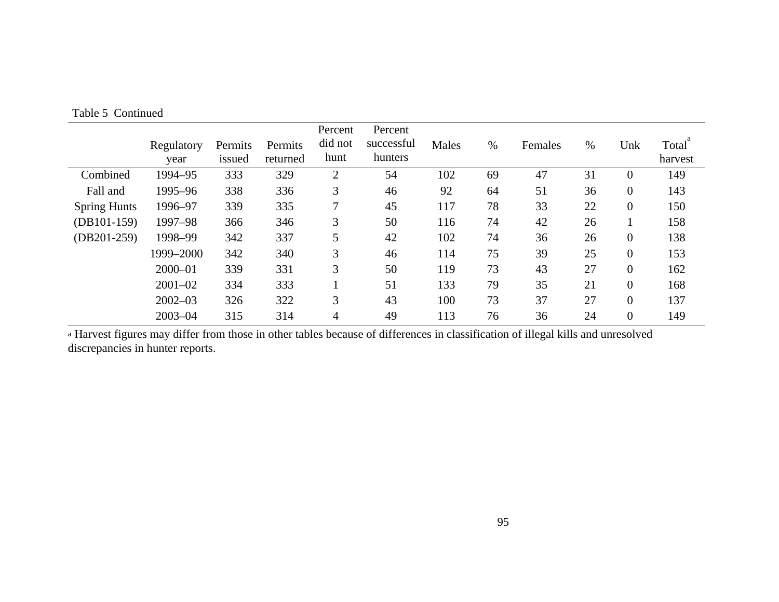|                     | Regulatory<br>year | Permits<br>issued | Permits<br>returned | Percent<br>did not<br>hunt | Percent<br>successful<br>hunters | Males | $\%$ | Females | $\%$ | Unk              | Total<br>harvest |
|---------------------|--------------------|-------------------|---------------------|----------------------------|----------------------------------|-------|------|---------|------|------------------|------------------|
| Combined            | 1994-95            | 333               | 329                 | $\overline{2}$             | 54                               | 102   | 69   | 47      | 31   | $\overline{0}$   | 149              |
| Fall and            | 1995-96            | 338               | 336                 | 3                          | 46                               | 92    | 64   | 51      | 36   | $\overline{0}$   | 143              |
| <b>Spring Hunts</b> | 1996-97            | 339               | 335                 | 7                          | 45                               | 117   | 78   | 33      | 22   | $\theta$         | 150              |
| $(DB101-159)$       | 1997-98            | 366               | 346                 | 3                          | 50                               | 116   | 74   | 42      | 26   |                  | 158              |
| $(DB201-259)$       | 1998-99            | 342               | 337                 | 5                          | 42                               | 102   | 74   | 36      | 26   | $\boldsymbol{0}$ | 138              |
|                     | 1999-2000          | 342               | 340                 | 3                          | 46                               | 114   | 75   | 39      | 25   | $\boldsymbol{0}$ | 153              |
|                     | $2000 - 01$        | 339               | 331                 | 3                          | 50                               | 119   | 73   | 43      | 27   | $\theta$         | 162              |
|                     | $2001 - 02$        | 334               | 333                 |                            | 51                               | 133   | 79   | 35      | 21   | $\overline{0}$   | 168              |
|                     | $2002 - 03$        | 326               | 322                 | 3                          | 43                               | 100   | 73   | 37      | 27   | $\theta$         | 137              |
|                     | $2003 - 04$        | 315               | 314                 | 4                          | 49                               | 113   | 76   | 36      | 24   | $\theta$         | 149              |

Table 5 Continued

a Harvest figures may differ from those in other tables because of differences in classification of illegal kills and unresolved discrepancies in hunter reports.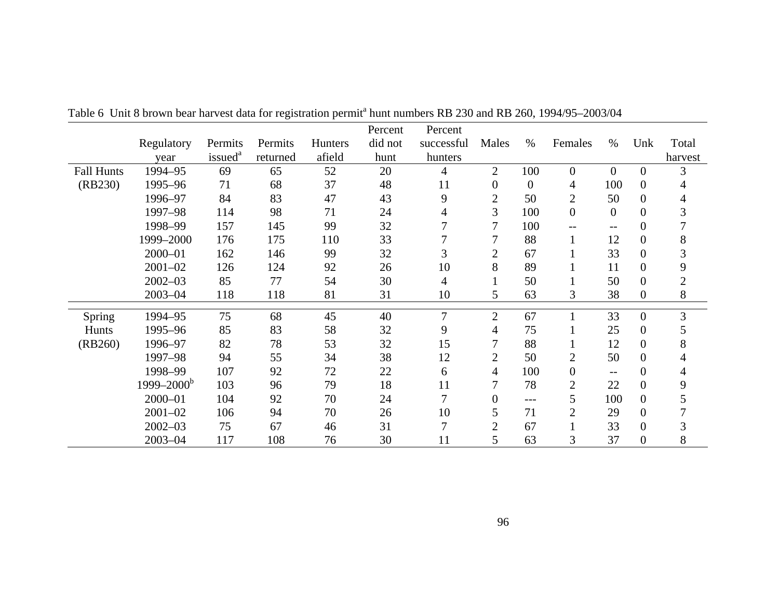|                   |                       |                     |          |                | Percent | Percent    |                |                  |                   |                   |                |                |
|-------------------|-----------------------|---------------------|----------|----------------|---------|------------|----------------|------------------|-------------------|-------------------|----------------|----------------|
|                   | Regulatory            | Permits             | Permits  | <b>Hunters</b> | did not | successful | Males          | $\%$             | Females           | $\%$              | Unk            | Total          |
|                   | year                  | issued <sup>a</sup> | returned | afield         | hunt    | hunters    |                |                  |                   |                   |                | harvest        |
| <b>Fall Hunts</b> | 1994-95               | 69                  | 65       | 52             | 20      | 4          | $\overline{2}$ | 100              | $\overline{0}$    | $\overline{0}$    | $\overline{0}$ | 3              |
| (RB230)           | 1995-96               | 71                  | 68       | 37             | 48      | 11         | $\overline{0}$ | $\boldsymbol{0}$ | 4                 | 100               | $\mathbf{0}$   |                |
|                   | 1996-97               | 84                  | 83       | 47             | 43      | 9          | $\overline{2}$ | 50               | $\overline{2}$    | 50                | $\Omega$       |                |
|                   | 1997-98               | 114                 | 98       | 71             | 24      | 4          | 3              | 100              | $\mathbf{0}$      | $\theta$          | $\Omega$       |                |
|                   | 1998-99               | 157                 | 145      | 99             | 32      |            | 7              | 100              | $\qquad \qquad -$ | $\qquad \qquad -$ | 0              |                |
|                   | 1999-2000             | 176                 | 175      | 110            | 33      |            | 7              | 88               | $\mathbf{1}$      | 12                | 0              | 8              |
|                   | $2000 - 01$           | 162                 | 146      | 99             | 32      | 3          | $\overline{2}$ | 67               | 1                 | 33                | $\overline{0}$ |                |
|                   | $2001 - 02$           | 126                 | 124      | 92             | 26      | 10         | 8              | 89               | 1                 | 11                | $\Omega$       | 9              |
|                   | $2002 - 03$           | 85                  | 77       | 54             | 30      | 4          |                | 50               | 1                 | 50                | $\overline{0}$ | $\overline{2}$ |
|                   | $2003 - 04$           | 118                 | 118      | 81             | 31      | 10         | 5              | 63               | 3                 | 38                | $\overline{0}$ | 8              |
| Spring            | 1994-95               | 75                  | 68       | 45             | 40      | 7          | $\overline{2}$ | 67               |                   | 33                | $\overline{0}$ | $\overline{3}$ |
| Hunts             | 1995-96               | 85                  | 83       | 58             | 32      | 9          | 4              | 75               | 1                 | 25                | $\theta$       |                |
| (RB260)           | 1996-97               | 82                  | 78       | 53             | 32      | 15         | 7              | 88               |                   | 12                | $\overline{0}$ | 8              |
|                   | 1997-98               | 94                  | 55       | 34             | 38      | 12         | $\overline{2}$ | 50               | 2                 | 50                | $\Omega$       |                |
|                   | 1998-99               | 107                 | 92       | 72             | 22      | 6          | 4              | 100              | $\overline{0}$    | $\qquad \qquad -$ | $\overline{0}$ |                |
|                   | $1999 - 2000^{\rm b}$ | 103                 | 96       | 79             | 18      | 11         | 7              | 78               | $\overline{2}$    | 22                | $\overline{0}$ | 9              |
|                   | $2000 - 01$           | 104                 | 92       | 70             | 24      | 7          | $\Omega$       | $---$            | 5                 | 100               | $\Omega$       |                |
|                   | $2001 - 02$           | 106                 | 94       | 70             | 26      | 10         | 5              | 71               | $\overline{2}$    | 29                | 0              |                |
|                   | $2002 - 03$           | 75                  | 67       | 46             | 31      | 7          | $\overline{2}$ | 67               |                   | 33                | $\Omega$       | 3              |
|                   | $2003 - 04$           | 117                 | 108      | 76             | 30      | 11         | 5              | 63               | 3                 | 37                | 0              | 8              |

Table 6 Unit 8 brown bear harvest data for registration permit<sup>a</sup> hunt numbers RB 230 and RB 260, 1994/95–2003/04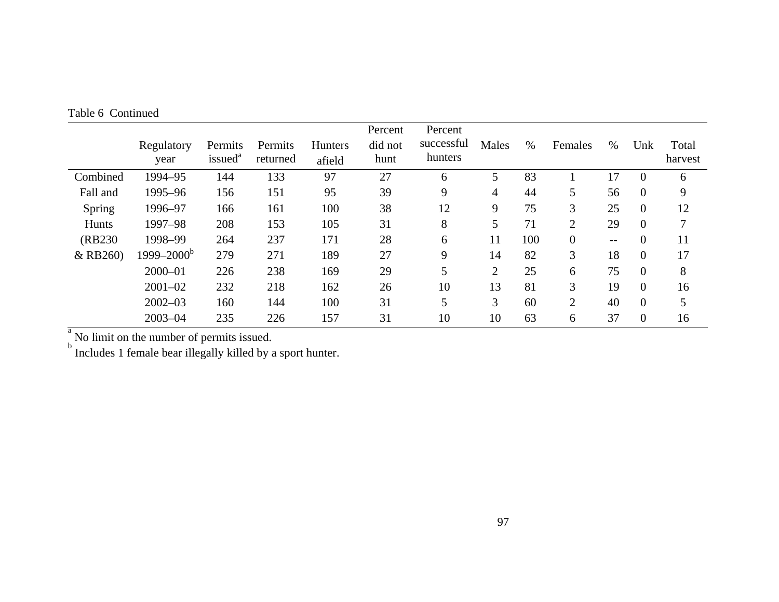|               | Regulatory<br>year | Permits<br>issued <sup>a</sup> | Permits<br>returned | <b>Hunters</b><br>afield | Percent<br>did not<br>hunt | Percent<br>successful<br>hunters | Males          | $\%$ | Females        | $\%$  | Unk            | Total<br>harvest |
|---------------|--------------------|--------------------------------|---------------------|--------------------------|----------------------------|----------------------------------|----------------|------|----------------|-------|----------------|------------------|
| Combined      | 1994-95            | 144                            | 133                 | 97                       | 27                         | 6                                | 5              | 83   |                | 17    | $\overline{0}$ | 6                |
| Fall and      | 1995-96            | 156                            | 151                 | 95                       | 39                         | 9                                | 4              | 44   | 5              | 56    | $\theta$       | 9                |
| <b>Spring</b> | 1996-97            | 166                            | 161                 | 100                      | 38                         | 12                               | 9              | 75   | 3              | 25    | $\overline{0}$ | 12               |
| Hunts         | 1997-98            | 208                            | 153                 | 105                      | 31                         | 8                                | 5              | 71   | $\overline{2}$ | 29    | $\overline{0}$ |                  |
| (RB230)       | 1998-99            | 264                            | 237                 | 171                      | 28                         | 6                                | 11             | 100  | $\theta$       | $- -$ | $\overline{0}$ | 11               |
| & RB260)      | $1999 - 2000^b$    | 279                            | 271                 | 189                      | 27                         | 9                                | 14             | 82   | 3              | 18    | $\theta$       | 17               |
|               | $2000 - 01$        | 226                            | 238                 | 169                      | 29                         | 5                                | $\overline{2}$ | 25   | 6              | 75    | $\theta$       | 8                |
|               | $2001 - 02$        | 232                            | 218                 | 162                      | 26                         | 10                               | 13             | 81   | 3              | 19    | $\overline{0}$ | 16               |
|               | $2002 - 03$        | 160                            | 144                 | 100                      | 31                         | 5                                | 3              | 60   | $\overline{2}$ | 40    | $\overline{0}$ | 5                |
|               | $2003 - 04$        | 235                            | 226                 | 157                      | 31                         | 10                               | 10             | 63   | 6              | 37    | $\overline{0}$ | 16               |

Table 6 Continued

 $\sigma_{\rm b}^{\rm b}$  No limit on the number of permits issued.<br><sup>b</sup> Includes 1 female bear illegally killed by a sport hunter.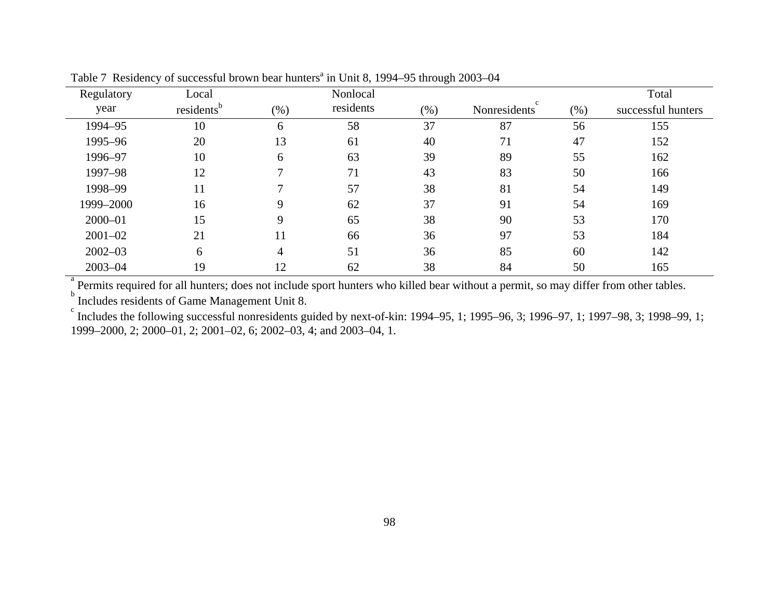| Regulatory  | Local                  |                | Nonlocal  |         |              |         | Total              |
|-------------|------------------------|----------------|-----------|---------|--------------|---------|--------------------|
| year        | residents <sup>b</sup> | (% )           | residents | $(\% )$ | Nonresidents | $(\% )$ | successful hunters |
| 1994-95     | 10                     | 6              | 58        | 37      | 87           | 56      | 155                |
| 1995-96     | 20                     | 13             | 61        | 40      | 71           | 47      | 152                |
| 1996-97     | 10                     | 6              | 63        | 39      | 89           | 55      | 162                |
| 1997-98     | 12                     | $\mathcal{I}$  | 71        | 43      | 83           | 50      | 166                |
| 1998-99     | 11                     | $\mathcal{I}$  | 57        | 38      | 81           | 54      | 149                |
| 1999-2000   | 16                     | 9              | 62        | 37      | 91           | 54      | 169                |
| $2000 - 01$ | 15                     | 9              | 65        | 38      | 90           | 53      | 170                |
| $2001 - 02$ | 21                     | 11             | 66        | 36      | 97           | 53      | 184                |
| $2002 - 03$ | 6                      | $\overline{4}$ | 51        | 36      | 85           | 60      | 142                |
| $2003 - 04$ | 19                     | 12             | 62        | 38      | 84           | 50      | 165                |

Table 7 Residency of successful brown bear hunters<sup>a</sup> in Unit 8, 1994–95 through 2003–04

 $\alpha$  Permits required for all hunters; does not include sport hunters who killed bear without a permit, so may differ from other tables.

Includes residents of Game Management Unit 8.

 Includes the following successful nonresidents guided by next-of-kin: 1994–95, 1; 1995–96, 3; 1996–97, 1; 1997–98, 3; 1998–99, 1; 1999–2000, 2; 2000–01, 2; 2001–02, 6; 2002–03, 4; and 2003–04, 1.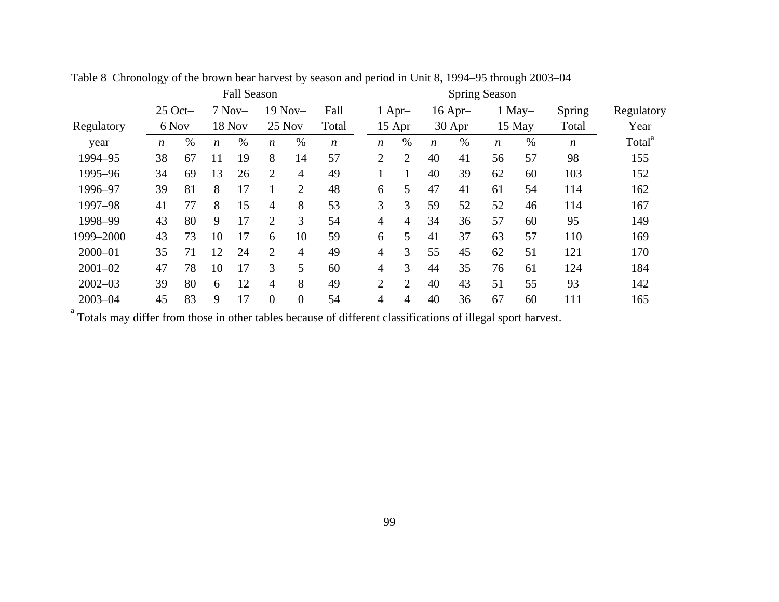|             | <b>Fall Season</b> |    |                  |          |                  | <b>Spring Season</b>     |                  |  |                |                |                  |           |                  |          |                  |                    |
|-------------|--------------------|----|------------------|----------|------------------|--------------------------|------------------|--|----------------|----------------|------------------|-----------|------------------|----------|------------------|--------------------|
|             | $25$ Oct-          |    |                  | $7$ Nov- |                  | $19$ Nov-                | Fall             |  |                | $1$ Apr-       |                  | $16$ Apr- |                  | $1$ May- | Spring           | Regulatory         |
| Regulatory  | 6 Nov              |    |                  | 18 Nov   | 25 Nov           |                          | Total            |  |                | 15 Apr         |                  | 30 Apr    |                  | 15 May   | Total            | Year               |
| year        | $\boldsymbol{n}$   | %  | $\boldsymbol{n}$ | $\%$     | $\boldsymbol{n}$ | $\%$                     | $\boldsymbol{n}$ |  | n              | %              | $\boldsymbol{n}$ | %         | $\boldsymbol{n}$ | $\%$     | $\boldsymbol{n}$ | Total <sup>a</sup> |
| 1994-95     | 38                 | 67 | 11               | 19       | 8                | 14                       | 57               |  | $\overline{2}$ | $\overline{2}$ | 40               | 41        | 56               | 57       | 98               | 155                |
| 1995-96     | 34                 | 69 | 13               | 26       | $\overline{2}$   | $\overline{\mathcal{A}}$ | 49               |  |                |                | 40               | 39        | 62               | 60       | 103              | 152                |
| 1996-97     | 39                 | 81 | 8                | 17       |                  | $\overline{2}$           | 48               |  | 6              | 5              | 47               | 41        | 61               | 54       | 114              | 162                |
| 1997-98     | 41                 | 77 | 8                | 15       | 4                | 8                        | 53               |  | 3              | 3              | 59               | 52        | 52               | 46       | 114              | 167                |
| 1998-99     | 43                 | 80 | 9                | 17       | $\overline{2}$   | 3                        | 54               |  | $\overline{4}$ | $\overline{4}$ | 34               | 36        | 57               | 60       | 95               | 149                |
| 1999-2000   | 43                 | 73 | 10               | 17       | 6                | 10                       | 59               |  | 6              | 5              | 41               | 37        | 63               | 57       | 110              | 169                |
| $2000 - 01$ | 35                 | 71 | 12               | 24       | 2                | $\overline{4}$           | 49               |  | $\overline{4}$ | 3              | 55               | 45        | 62               | 51       | 121              | 170                |
| $2001 - 02$ | 47                 | 78 | 10               | 17       | 3                | 5                        | 60               |  | $\overline{4}$ | $\overline{3}$ | 44               | 35        | 76               | 61       | 124              | 184                |
| $2002 - 03$ | 39                 | 80 | 6                | 12       | 4                | 8                        | 49               |  | 2              | 2              | 40               | 43        | 51               | 55       | 93               | 142                |
| $2003 - 04$ | 45                 | 83 | 9                | 17       | $\overline{0}$   | $\theta$                 | 54               |  | 4              | 4              | 40               | 36        | 67               | 60       | 111              | 165                |

Table 8 Chronology of the brown bear harvest by season and period in Unit 8, 1994–95 through 2003–04

<sup>a</sup> Totals may differ from those in other tables because of different classifications of illegal sport harvest.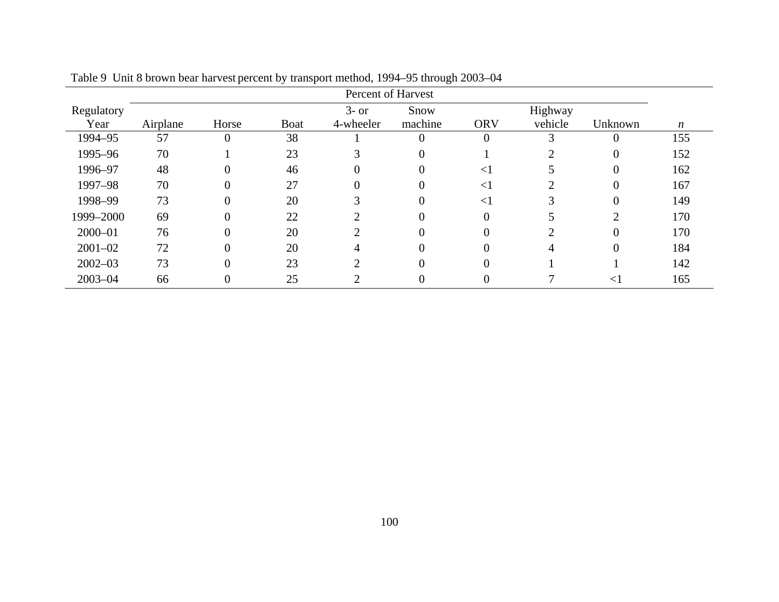| Percent of Harvest |          |       |             |           |         |                |         |              |     |
|--------------------|----------|-------|-------------|-----------|---------|----------------|---------|--------------|-----|
| Regulatory         |          |       |             | $3-$ or   | Snow    |                | Highway |              |     |
| Year               | Airplane | Horse | <b>Boat</b> | 4-wheeler | machine | <b>ORV</b>     | vehicle | Unknown      | n   |
| 1994-95            | 57       |       | 38          |           |         | $\overline{0}$ |         |              | 155 |
| 1995-96            | 70       |       | 23          |           |         |                |         | 0            | 152 |
| 1996-97            | 48       |       | 46          |           |         | $\leq$ 1       |         | 0            | 162 |
| 1997-98            | 70       |       | 27          |           |         | $<$ 1          |         | 0            | 167 |
| 1998-99            | 73       |       | 20          |           |         | $<$ 1          |         | 0            | 149 |
| 1999-2000          | 69       |       | 22          |           |         | $\theta$       |         | C            | 170 |
| $2000 - 01$        | 76       | 0     | 20          |           |         | $\theta$       | ◠       | $\Omega$     | 170 |
| $2001 - 02$        | 72       |       | 20          |           |         | $\Omega$       |         | 0            | 184 |
| $2002 - 03$        | 73       | 0     | 23          |           |         | $\theta$       |         |              | 142 |
| $2003 - 04$        | 66       |       | 25          |           |         | 0              |         | $\lt$ $\mid$ | 165 |

Table 9 Unit 8 brown bear harvest percent by transport method, 1994–95 through 2003–04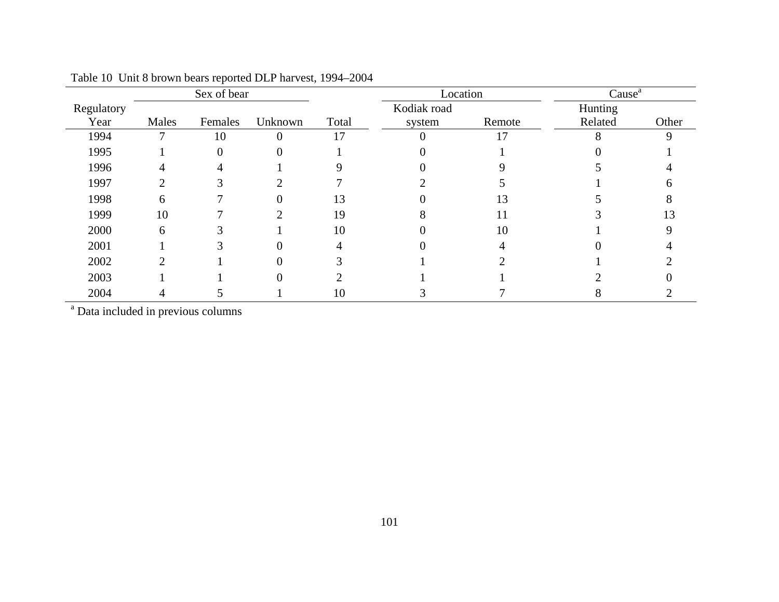|            |       | Sex of bear |                |       | Location    |        | Cause <sup>a</sup> |       |  |
|------------|-------|-------------|----------------|-------|-------------|--------|--------------------|-------|--|
| Regulatory |       |             |                |       | Kodiak road |        | Hunting            |       |  |
| Year       | Males | Females     | Unknown        | Total | system      | Remote | Related            | Other |  |
| 1994       |       | 10          | $\overline{0}$ | 17    | $\theta$    | 17     |                    | 9     |  |
| 1995       |       |             | 0              |       |             |        |                    |       |  |
| 1996       | 4     |             |                |       |             |        |                    |       |  |
| 1997       | ◠     |             |                |       |             |        |                    |       |  |
| 1998       | 6     |             |                | 13    |             | 13     |                    |       |  |
| 1999       | 10    |             |                | 19    |             | 11     |                    | 13    |  |
| 2000       | 6     |             |                | 10    |             | 10     |                    |       |  |
| 2001       |       |             |                |       |             |        |                    |       |  |
| 2002       |       |             |                |       |             |        |                    |       |  |
| 2003       |       |             | 0              |       |             |        |                    |       |  |
| 2004       |       |             |                | 10    |             |        |                    |       |  |

|  |  |  | Table 10 Unit 8 brown bears reported DLP harvest, 1994–2004 |
|--|--|--|-------------------------------------------------------------|
|--|--|--|-------------------------------------------------------------|

<sup>a</sup> Data included in previous columns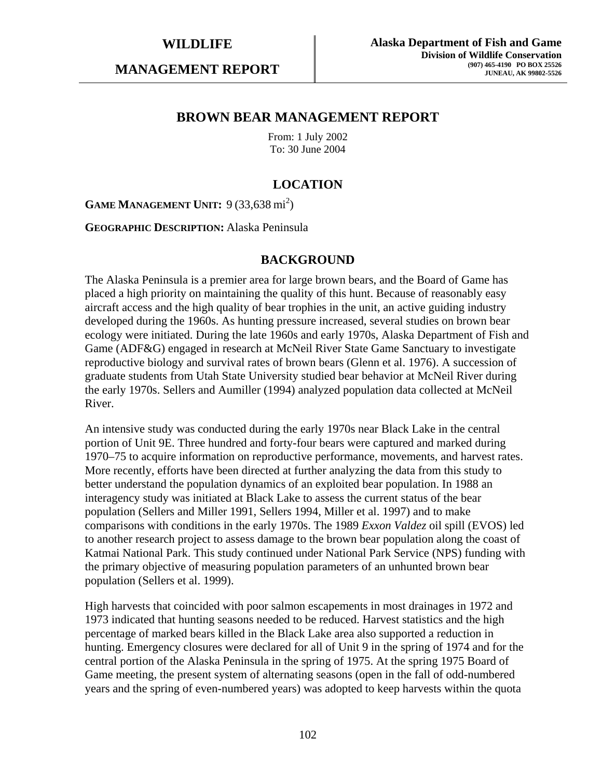**MANAGEMENT REPORT** 

## **BROWN BEAR MANAGEMENT REPORT**

From: 1 July 2002 To: 30 June 2004

# **LOCATION**

**GAME MANAGEMENT UNIT:** 9 (33,638 mi<sup>2</sup>)

**GEOGRAPHIC DESCRIPTION:** Alaska Peninsula

#### **BACKGROUND**

The Alaska Peninsula is a premier area for large brown bears, and the Board of Game has placed a high priority on maintaining the quality of this hunt. Because of reasonably easy aircraft access and the high quality of bear trophies in the unit, an active guiding industry developed during the 1960s. As hunting pressure increased, several studies on brown bear ecology were initiated. During the late 1960s and early 1970s, Alaska Department of Fish and Game (ADF&G) engaged in research at McNeil River State Game Sanctuary to investigate reproductive biology and survival rates of brown bears (Glenn et al. 1976). A succession of graduate students from Utah State University studied bear behavior at McNeil River during the early 1970s. Sellers and Aumiller (1994) analyzed population data collected at McNeil River.

An intensive study was conducted during the early 1970s near Black Lake in the central portion of Unit 9E. Three hundred and forty-four bears were captured and marked during 1970–75 to acquire information on reproductive performance, movements, and harvest rates. More recently, efforts have been directed at further analyzing the data from this study to better understand the population dynamics of an exploited bear population. In 1988 an interagency study was initiated at Black Lake to assess the current status of the bear population (Sellers and Miller 1991, Sellers 1994, Miller et al. 1997) and to make comparisons with conditions in the early 1970s. The 1989 *Exxon Valdez* oil spill (EVOS) led to another research project to assess damage to the brown bear population along the coast of Katmai National Park. This study continued under National Park Service (NPS) funding with the primary objective of measuring population parameters of an unhunted brown bear population (Sellers et al. 1999).

High harvests that coincided with poor salmon escapements in most drainages in 1972 and 1973 indicated that hunting seasons needed to be reduced. Harvest statistics and the high percentage of marked bears killed in the Black Lake area also supported a reduction in hunting. Emergency closures were declared for all of Unit 9 in the spring of 1974 and for the central portion of the Alaska Peninsula in the spring of 1975. At the spring 1975 Board of Game meeting, the present system of alternating seasons (open in the fall of odd-numbered years and the spring of even-numbered years) was adopted to keep harvests within the quota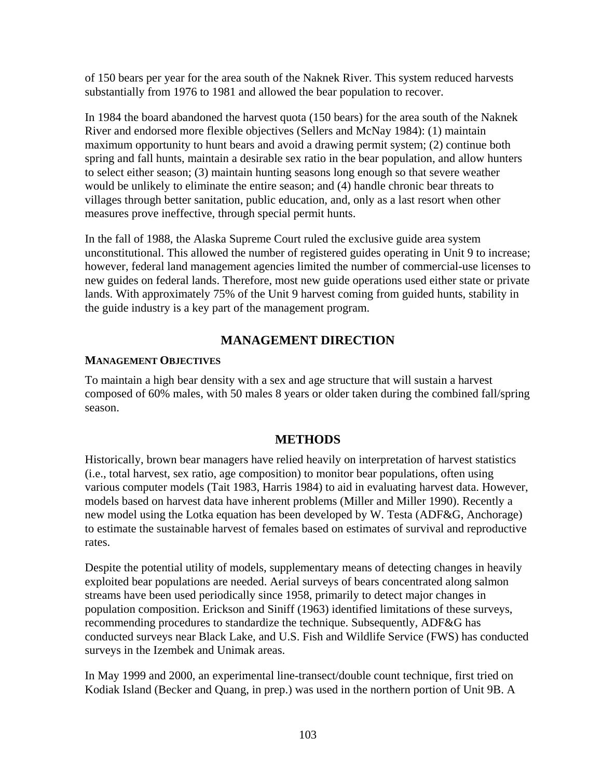of 150 bears per year for the area south of the Naknek River. This system reduced harvests substantially from 1976 to 1981 and allowed the bear population to recover.

In 1984 the board abandoned the harvest quota (150 bears) for the area south of the Naknek River and endorsed more flexible objectives (Sellers and McNay 1984): (1) maintain maximum opportunity to hunt bears and avoid a drawing permit system; (2) continue both spring and fall hunts, maintain a desirable sex ratio in the bear population, and allow hunters to select either season; (3) maintain hunting seasons long enough so that severe weather would be unlikely to eliminate the entire season; and (4) handle chronic bear threats to villages through better sanitation, public education, and, only as a last resort when other measures prove ineffective, through special permit hunts.

In the fall of 1988, the Alaska Supreme Court ruled the exclusive guide area system unconstitutional. This allowed the number of registered guides operating in Unit 9 to increase; however, federal land management agencies limited the number of commercial-use licenses to new guides on federal lands. Therefore, most new guide operations used either state or private lands. With approximately 75% of the Unit 9 harvest coming from guided hunts, stability in the guide industry is a key part of the management program.

# **MANAGEMENT DIRECTION**

### **MANAGEMENT OBJECTIVES**

To maintain a high bear density with a sex and age structure that will sustain a harvest composed of 60% males, with 50 males 8 years or older taken during the combined fall/spring season.

# **METHODS**

Historically, brown bear managers have relied heavily on interpretation of harvest statistics (i.e., total harvest, sex ratio, age composition) to monitor bear populations, often using various computer models (Tait 1983, Harris 1984) to aid in evaluating harvest data. However, models based on harvest data have inherent problems (Miller and Miller 1990). Recently a new model using the Lotka equation has been developed by W. Testa (ADF&G, Anchorage) to estimate the sustainable harvest of females based on estimates of survival and reproductive rates.

Despite the potential utility of models, supplementary means of detecting changes in heavily exploited bear populations are needed. Aerial surveys of bears concentrated along salmon streams have been used periodically since 1958, primarily to detect major changes in population composition. Erickson and Siniff (1963) identified limitations of these surveys, recommending procedures to standardize the technique. Subsequently, ADF&G has conducted surveys near Black Lake, and U.S. Fish and Wildlife Service (FWS) has conducted surveys in the Izembek and Unimak areas.

In May 1999 and 2000, an experimental line-transect/double count technique, first tried on Kodiak Island (Becker and Quang, in prep.) was used in the northern portion of Unit 9B. A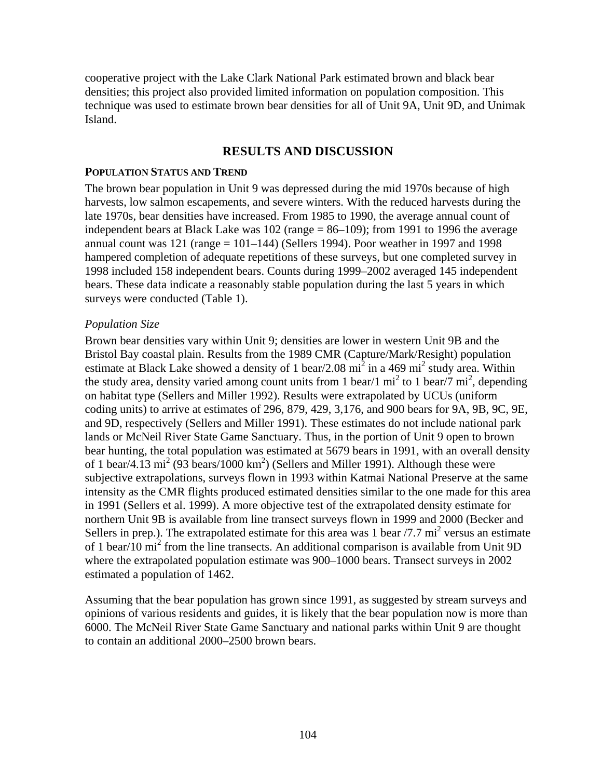cooperative project with the Lake Clark National Park estimated brown and black bear densities; this project also provided limited information on population composition. This technique was used to estimate brown bear densities for all of Unit 9A, Unit 9D, and Unimak Island.

## **RESULTS AND DISCUSSION**

#### **POPULATION STATUS AND TREND**

The brown bear population in Unit 9 was depressed during the mid 1970s because of high harvests, low salmon escapements, and severe winters. With the reduced harvests during the late 1970s, bear densities have increased. From 1985 to 1990, the average annual count of independent bears at Black Lake was  $102$  (range = 86–109); from 1991 to 1996 the average annual count was  $121$  (range =  $101-144$ ) (Sellers 1994). Poor weather in 1997 and 1998 hampered completion of adequate repetitions of these surveys, but one completed survey in 1998 included 158 independent bears. Counts during 1999–2002 averaged 145 independent bears. These data indicate a reasonably stable population during the last 5 years in which surveys were conducted (Table 1).

#### *Population Size*

Brown bear densities vary within Unit 9; densities are lower in western Unit 9B and the Bristol Bay coastal plain. Results from the 1989 CMR (Capture/Mark/Resight) population estimate at Black Lake showed a density of 1 bear/2.08  $\text{mi}^2$  in a 469  $\text{mi}^2$  study area. Within the study area, density varied among count units from 1 bear/1  $\text{mi}^2$  to 1 bear/7  $\text{mi}^2$ , depending on habitat type (Sellers and Miller 1992). Results were extrapolated by UCUs (uniform coding units) to arrive at estimates of 296, 879, 429, 3,176, and 900 bears for 9A, 9B, 9C, 9E, and 9D, respectively (Sellers and Miller 1991). These estimates do not include national park lands or McNeil River State Game Sanctuary. Thus, in the portion of Unit 9 open to brown bear hunting, the total population was estimated at 5679 bears in 1991, with an overall density of 1 bear/4.13 mi<sup>2</sup> (93 bears/1000 km<sup>2</sup>) (Sellers and Miller 1991). Although these were subjective extrapolations, surveys flown in 1993 within Katmai National Preserve at the same intensity as the CMR flights produced estimated densities similar to the one made for this area in 1991 (Sellers et al. 1999). A more objective test of the extrapolated density estimate for northern Unit 9B is available from line transect surveys flown in 1999 and 2000 (Becker and Sellers in prep.). The extrapolated estimate for this area was 1 bear  $/7.7 \text{ mi}^2$  versus an estimate of 1 bear/10  $\text{mi}^2$  from the line transects. An additional comparison is available from Unit 9D where the extrapolated population estimate was 900–1000 bears. Transect surveys in 2002 estimated a population of 1462.

Assuming that the bear population has grown since 1991, as suggested by stream surveys and opinions of various residents and guides, it is likely that the bear population now is more than 6000. The McNeil River State Game Sanctuary and national parks within Unit 9 are thought to contain an additional 2000–2500 brown bears.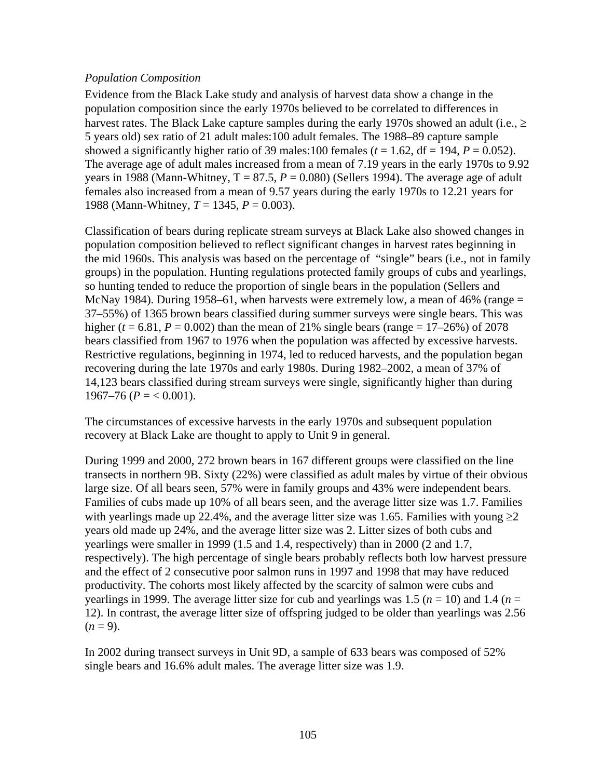# *Population Composition*

Evidence from the Black Lake study and analysis of harvest data show a change in the population composition since the early 1970s believed to be correlated to differences in harvest rates. The Black Lake capture samples during the early 1970s showed an adult (i.e.,  $\geq$ 5 years old) sex ratio of 21 adult males:100 adult females. The 1988–89 capture sample showed a significantly higher ratio of 39 males:100 females ( $t = 1.62$ , df = 194,  $P = 0.052$ ). The average age of adult males increased from a mean of 7.19 years in the early 1970s to 9.92 years in 1988 (Mann-Whitney,  $T = 87.5$ ,  $P = 0.080$ ) (Sellers 1994). The average age of adult females also increased from a mean of 9.57 years during the early 1970s to 12.21 years for 1988 (Mann-Whitney, *T* = 1345, *P* = 0.003).

Classification of bears during replicate stream surveys at Black Lake also showed changes in population composition believed to reflect significant changes in harvest rates beginning in the mid 1960s. This analysis was based on the percentage of "single" bears (i.e., not in family groups) in the population. Hunting regulations protected family groups of cubs and yearlings, so hunting tended to reduce the proportion of single bears in the population (Sellers and McNay 1984). During 1958–61, when harvests were extremely low, a mean of 46% (range = 37–55%) of 1365 brown bears classified during summer surveys were single bears. This was higher ( $t = 6.81$ ,  $P = 0.002$ ) than the mean of 21% single bears (range = 17–26%) of 2078 bears classified from 1967 to 1976 when the population was affected by excessive harvests. Restrictive regulations, beginning in 1974, led to reduced harvests, and the population began recovering during the late 1970s and early 1980s. During 1982–2002, a mean of 37% of 14,123 bears classified during stream surveys were single, significantly higher than during  $1967-76$  ( $P = < 0.001$ ).

The circumstances of excessive harvests in the early 1970s and subsequent population recovery at Black Lake are thought to apply to Unit 9 in general.

During 1999 and 2000, 272 brown bears in 167 different groups were classified on the line transects in northern 9B. Sixty (22%) were classified as adult males by virtue of their obvious large size. Of all bears seen, 57% were in family groups and 43% were independent bears. Families of cubs made up 10% of all bears seen, and the average litter size was 1.7. Families with yearlings made up 22.4%, and the average litter size was 1.65. Families with young  $\geq 2$ years old made up 24%, and the average litter size was 2. Litter sizes of both cubs and yearlings were smaller in 1999 (1.5 and 1.4, respectively) than in 2000 (2 and 1.7, respectively). The high percentage of single bears probably reflects both low harvest pressure and the effect of 2 consecutive poor salmon runs in 1997 and 1998 that may have reduced productivity. The cohorts most likely affected by the scarcity of salmon were cubs and yearlings in 1999. The average litter size for cub and yearlings was 1.5 ( $n = 10$ ) and 1.4 ( $n =$ 12). In contrast, the average litter size of offspring judged to be older than yearlings was 2.56  $(n=9)$ .

In 2002 during transect surveys in Unit 9D, a sample of 633 bears was composed of 52% single bears and 16.6% adult males. The average litter size was 1.9.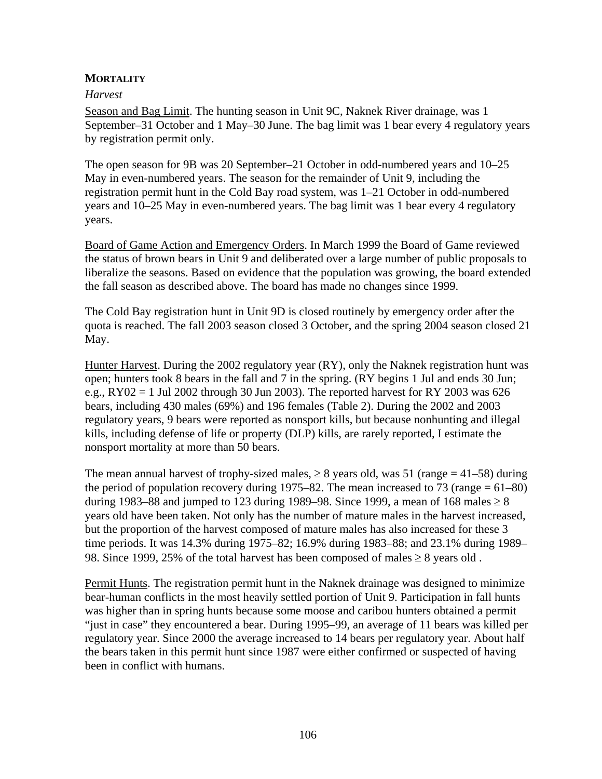# **MORTALITY**

### *Harvest*

Season and Bag Limit. The hunting season in Unit 9C, Naknek River drainage, was 1 September–31 October and 1 May–30 June. The bag limit was 1 bear every 4 regulatory years by registration permit only.

The open season for 9B was 20 September–21 October in odd-numbered years and 10–25 May in even-numbered years. The season for the remainder of Unit 9, including the registration permit hunt in the Cold Bay road system, was 1–21 October in odd-numbered years and 10–25 May in even-numbered years. The bag limit was 1 bear every 4 regulatory years.

Board of Game Action and Emergency Orders. In March 1999 the Board of Game reviewed the status of brown bears in Unit 9 and deliberated over a large number of public proposals to liberalize the seasons. Based on evidence that the population was growing, the board extended the fall season as described above. The board has made no changes since 1999.

The Cold Bay registration hunt in Unit 9D is closed routinely by emergency order after the quota is reached. The fall 2003 season closed 3 October, and the spring 2004 season closed 21 May.

Hunter Harvest. During the 2002 regulatory year (RY), only the Naknek registration hunt was open; hunters took 8 bears in the fall and 7 in the spring. (RY begins 1 Jul and ends 30 Jun; e.g.,  $RY02 = 1$  Jul 2002 through 30 Jun 2003). The reported harvest for RY 2003 was 626 bears, including 430 males (69%) and 196 females (Table 2). During the 2002 and 2003 regulatory years, 9 bears were reported as nonsport kills, but because nonhunting and illegal kills, including defense of life or property (DLP) kills, are rarely reported, I estimate the nonsport mortality at more than 50 bears.

The mean annual harvest of trophy-sized males,  $\geq 8$  years old, was 51 (range = 41–58) during the period of population recovery during 1975–82. The mean increased to 73 (range  $= 61-80$ ) during 1983–88 and jumped to 123 during 1989–98. Since 1999, a mean of 168 males  $\geq 8$ years old have been taken. Not only has the number of mature males in the harvest increased, but the proportion of the harvest composed of mature males has also increased for these 3 time periods. It was 14.3% during 1975–82; 16.9% during 1983–88; and 23.1% during 1989– 98. Since 1999, 25% of the total harvest has been composed of males  $\geq 8$  years old.

Permit Hunts. The registration permit hunt in the Naknek drainage was designed to minimize bear-human conflicts in the most heavily settled portion of Unit 9. Participation in fall hunts was higher than in spring hunts because some moose and caribou hunters obtained a permit "just in case" they encountered a bear. During 1995–99, an average of 11 bears was killed per regulatory year. Since 2000 the average increased to 14 bears per regulatory year. About half the bears taken in this permit hunt since 1987 were either confirmed or suspected of having been in conflict with humans.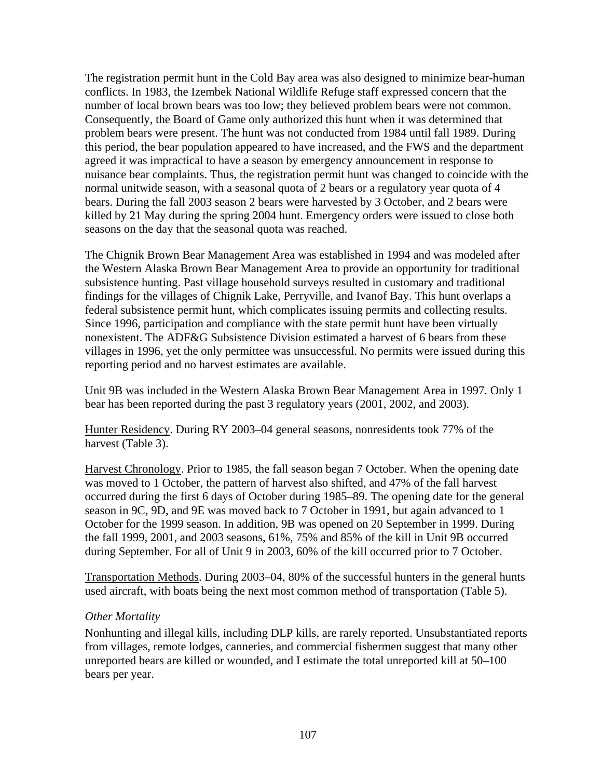The registration permit hunt in the Cold Bay area was also designed to minimize bear-human conflicts. In 1983, the Izembek National Wildlife Refuge staff expressed concern that the number of local brown bears was too low; they believed problem bears were not common. Consequently, the Board of Game only authorized this hunt when it was determined that problem bears were present. The hunt was not conducted from 1984 until fall 1989. During this period, the bear population appeared to have increased, and the FWS and the department agreed it was impractical to have a season by emergency announcement in response to nuisance bear complaints. Thus, the registration permit hunt was changed to coincide with the normal unitwide season, with a seasonal quota of 2 bears or a regulatory year quota of 4 bears. During the fall 2003 season 2 bears were harvested by 3 October, and 2 bears were killed by 21 May during the spring 2004 hunt. Emergency orders were issued to close both seasons on the day that the seasonal quota was reached.

The Chignik Brown Bear Management Area was established in 1994 and was modeled after the Western Alaska Brown Bear Management Area to provide an opportunity for traditional subsistence hunting. Past village household surveys resulted in customary and traditional findings for the villages of Chignik Lake, Perryville, and Ivanof Bay. This hunt overlaps a federal subsistence permit hunt, which complicates issuing permits and collecting results. Since 1996, participation and compliance with the state permit hunt have been virtually nonexistent. The ADF&G Subsistence Division estimated a harvest of 6 bears from these villages in 1996, yet the only permittee was unsuccessful. No permits were issued during this reporting period and no harvest estimates are available.

Unit 9B was included in the Western Alaska Brown Bear Management Area in 1997. Only 1 bear has been reported during the past 3 regulatory years (2001, 2002, and 2003).

Hunter Residency. During RY 2003–04 general seasons, nonresidents took 77% of the harvest (Table 3).

Harvest Chronology. Prior to 1985, the fall season began 7 October. When the opening date was moved to 1 October, the pattern of harvest also shifted, and 47% of the fall harvest occurred during the first 6 days of October during 1985–89. The opening date for the general season in 9C, 9D, and 9E was moved back to 7 October in 1991, but again advanced to 1 October for the 1999 season. In addition, 9B was opened on 20 September in 1999. During the fall 1999, 2001, and 2003 seasons, 61%, 75% and 85% of the kill in Unit 9B occurred during September. For all of Unit 9 in 2003, 60% of the kill occurred prior to 7 October.

Transportation Methods. During 2003–04, 80% of the successful hunters in the general hunts used aircraft, with boats being the next most common method of transportation (Table 5).

### *Other Mortality*

Nonhunting and illegal kills, including DLP kills, are rarely reported. Unsubstantiated reports from villages, remote lodges, canneries, and commercial fishermen suggest that many other unreported bears are killed or wounded, and I estimate the total unreported kill at 50–100 bears per year.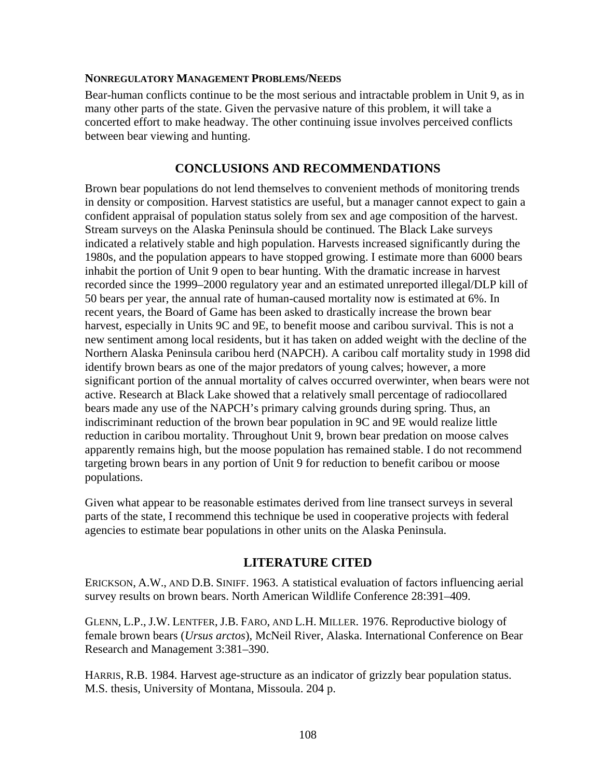#### **NONREGULATORY MANAGEMENT PROBLEMS/NEEDS**

Bear-human conflicts continue to be the most serious and intractable problem in Unit 9, as in many other parts of the state. Given the pervasive nature of this problem, it will take a concerted effort to make headway. The other continuing issue involves perceived conflicts between bear viewing and hunting.

# **CONCLUSIONS AND RECOMMENDATIONS**

Brown bear populations do not lend themselves to convenient methods of monitoring trends in density or composition. Harvest statistics are useful, but a manager cannot expect to gain a confident appraisal of population status solely from sex and age composition of the harvest. Stream surveys on the Alaska Peninsula should be continued. The Black Lake surveys indicated a relatively stable and high population. Harvests increased significantly during the 1980s, and the population appears to have stopped growing. I estimate more than 6000 bears inhabit the portion of Unit 9 open to bear hunting. With the dramatic increase in harvest recorded since the 1999–2000 regulatory year and an estimated unreported illegal/DLP kill of 50 bears per year, the annual rate of human-caused mortality now is estimated at 6%. In recent years, the Board of Game has been asked to drastically increase the brown bear harvest, especially in Units 9C and 9E, to benefit moose and caribou survival. This is not a new sentiment among local residents, but it has taken on added weight with the decline of the Northern Alaska Peninsula caribou herd (NAPCH). A caribou calf mortality study in 1998 did identify brown bears as one of the major predators of young calves; however, a more significant portion of the annual mortality of calves occurred overwinter, when bears were not active. Research at Black Lake showed that a relatively small percentage of radiocollared bears made any use of the NAPCH's primary calving grounds during spring. Thus, an indiscriminant reduction of the brown bear population in 9C and 9E would realize little reduction in caribou mortality. Throughout Unit 9, brown bear predation on moose calves apparently remains high, but the moose population has remained stable. I do not recommend targeting brown bears in any portion of Unit 9 for reduction to benefit caribou or moose populations.

Given what appear to be reasonable estimates derived from line transect surveys in several parts of the state, I recommend this technique be used in cooperative projects with federal agencies to estimate bear populations in other units on the Alaska Peninsula.

# **LITERATURE CITED**

ERICKSON, A.W., AND D.B. SINIFF. 1963. A statistical evaluation of factors influencing aerial survey results on brown bears. North American Wildlife Conference 28:391–409.

GLENN, L.P., J.W. LENTFER, J.B. FARO, AND L.H. MILLER. 1976. Reproductive biology of female brown bears (*Ursus arctos*), McNeil River, Alaska. International Conference on Bear Research and Management 3:381–390.

HARRIS, R.B. 1984. Harvest age-structure as an indicator of grizzly bear population status. M.S. thesis, University of Montana, Missoula. 204 p.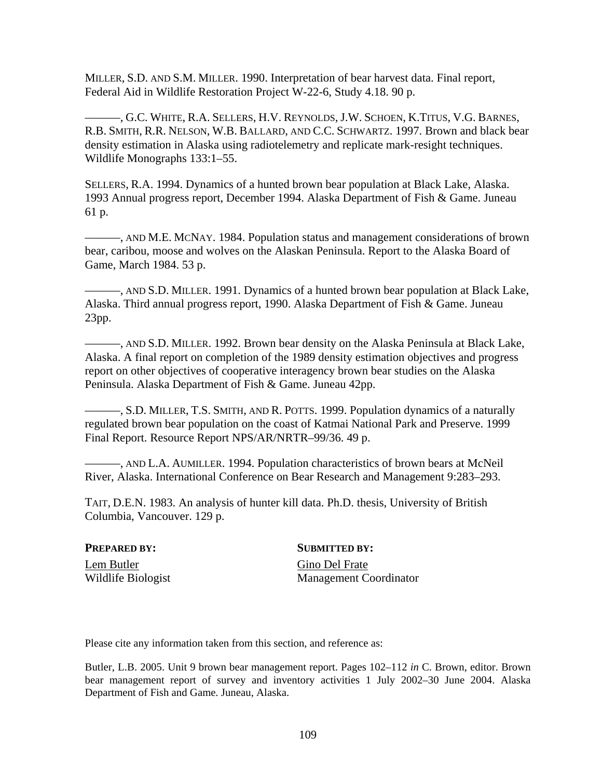MILLER, S.D. AND S.M. MILLER. 1990. Interpretation of bear harvest data. Final report, Federal Aid in Wildlife Restoration Project W-22-6, Study 4.18. 90 p.

———, G.C. WHITE, R.A. SELLERS, H.V. REYNOLDS, J.W. SCHOEN, K.TITUS, V.G. BARNES, R.B. SMITH, R.R. NELSON, W.B. BALLARD, AND C.C. SCHWARTZ. 1997. Brown and black bear density estimation in Alaska using radiotelemetry and replicate mark-resight techniques. Wildlife Monographs 133:1–55.

SELLERS, R.A. 1994. Dynamics of a hunted brown bear population at Black Lake, Alaska. 1993 Annual progress report, December 1994. Alaska Department of Fish & Game. Juneau 61 p.

———, AND M.E. MCNAY. 1984. Population status and management considerations of brown bear, caribou, moose and wolves on the Alaskan Peninsula. Report to the Alaska Board of Game, March 1984. 53 p.

———, AND S.D. MILLER. 1991. Dynamics of a hunted brown bear population at Black Lake, Alaska. Third annual progress report, 1990. Alaska Department of Fish & Game. Juneau 23pp.

———, AND S.D. MILLER. 1992. Brown bear density on the Alaska Peninsula at Black Lake, Alaska. A final report on completion of the 1989 density estimation objectives and progress report on other objectives of cooperative interagency brown bear studies on the Alaska Peninsula. Alaska Department of Fish & Game. Juneau 42pp.

———, S.D. MILLER, T.S. SMITH, AND R. POTTS. 1999. Population dynamics of a naturally regulated brown bear population on the coast of Katmai National Park and Preserve. 1999 Final Report. Resource Report NPS/AR/NRTR–99/36. 49 p.

———, AND L.A. AUMILLER. 1994. Population characteristics of brown bears at McNeil River, Alaska. International Conference on Bear Research and Management 9:283–293.

TAIT, D.E.N. 1983. An analysis of hunter kill data. Ph.D. thesis, University of British Columbia, Vancouver. 129 p.

# Lem Butler Gino Del Frate

**PREPARED BY:** SUBMITTED BY:

Wildlife Biologist Management Coordinator

Please cite any information taken from this section, and reference as:

Butler, L.B. 2005. Unit 9 brown bear management report. Pages 102–112 *in* C. Brown, editor. Brown bear management report of survey and inventory activities 1 July 2002–30 June 2004. Alaska Department of Fish and Game. Juneau, Alaska.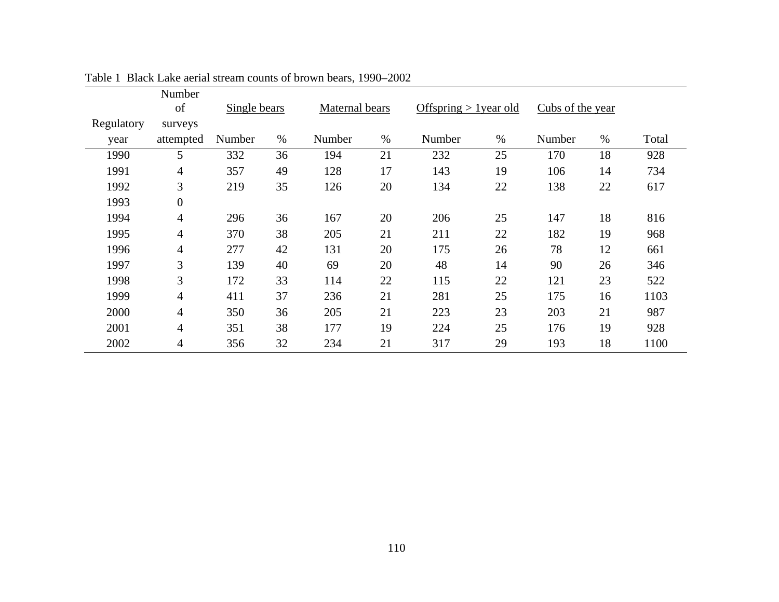|            | Number           |              |      |                |      |                          |      |                  |      |       |
|------------|------------------|--------------|------|----------------|------|--------------------------|------|------------------|------|-------|
|            | of               | Single bears |      | Maternal bears |      | Offspring $> 1$ year old |      | Cubs of the year |      |       |
| Regulatory | surveys          |              |      |                |      |                          |      |                  |      |       |
| year       | attempted        | Number       | $\%$ | Number         | $\%$ | Number                   | $\%$ | Number           | $\%$ | Total |
| 1990       | 5                | 332          | 36   | 194            | 21   | 232                      | 25   | 170              | 18   | 928   |
| 1991       | 4                | 357          | 49   | 128            | 17   | 143                      | 19   | 106              | 14   | 734   |
| 1992       | 3                | 219          | 35   | 126            | 20   | 134                      | 22   | 138              | 22   | 617   |
| 1993       | $\boldsymbol{0}$ |              |      |                |      |                          |      |                  |      |       |
| 1994       | $\overline{4}$   | 296          | 36   | 167            | 20   | 206                      | 25   | 147              | 18   | 816   |
| 1995       | $\overline{4}$   | 370          | 38   | 205            | 21   | 211                      | 22   | 182              | 19   | 968   |
| 1996       | $\overline{4}$   | 277          | 42   | 131            | 20   | 175                      | 26   | 78               | 12   | 661   |
| 1997       | 3                | 139          | 40   | 69             | 20   | 48                       | 14   | 90               | 26   | 346   |
| 1998       | $\overline{3}$   | 172          | 33   | 114            | 22   | 115                      | 22   | 121              | 23   | 522   |
| 1999       | $\overline{4}$   | 411          | 37   | 236            | 21   | 281                      | 25   | 175              | 16   | 1103  |
| 2000       | $\overline{4}$   | 350          | 36   | 205            | 21   | 223                      | 23   | 203              | 21   | 987   |
| 2001       | $\overline{4}$   | 351          | 38   | 177            | 19   | 224                      | 25   | 176              | 19   | 928   |
| 2002       | $\overline{4}$   | 356          | 32   | 234            | 21   | 317                      | 29   | 193              | 18   | 1100  |

Table 1 Black Lake aerial stream counts of brown bears, 1990–2002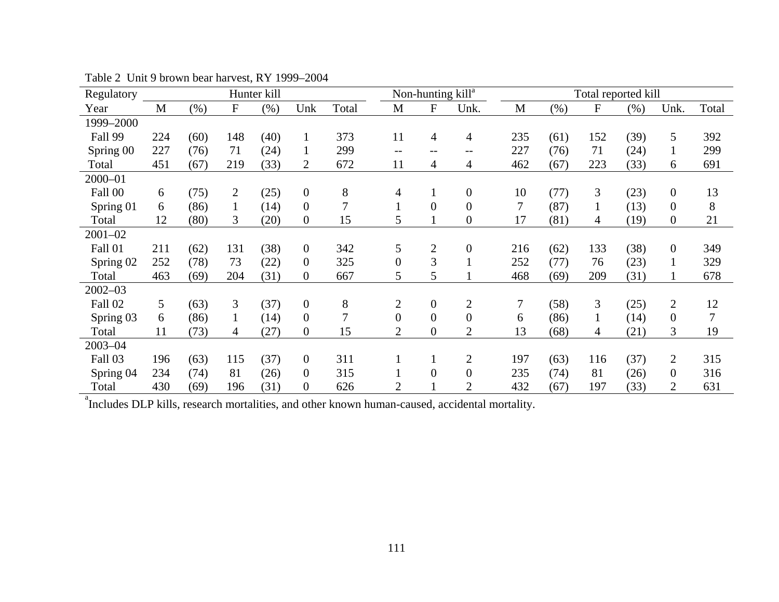| Regulatory     | Hunter kill |         |                |      | Non-hunting kill <sup>a</sup> |                | Total reported kill |                  |                  |              |        |           |      |                  |       |
|----------------|-------------|---------|----------------|------|-------------------------------|----------------|---------------------|------------------|------------------|--------------|--------|-----------|------|------------------|-------|
| Year           | M           | $(\% )$ | ${\bf F}$      | (% ) | Unk                           | Total          | M                   | ${\bf F}$        | Unk.             | $\mathbf{M}$ | $(\%)$ | ${\bf F}$ | (% ) | Unk.             | Total |
| 1999-2000      |             |         |                |      |                               |                |                     |                  |                  |              |        |           |      |                  |       |
| <b>Fall 99</b> | 224         | (60)    | 148            | (40) | $\mathbf{1}$                  | 373            | 11                  | $\overline{4}$   | $\overline{4}$   | 235          | (61)   | 152       | (39) | 5                | 392   |
| Spring 00      | 227         | (76)    | 71             | (24) | $\mathbf{1}$                  | 299            | $-$                 | $-$ -            | $- -$            | 227          | (76)   | 71        | (24) | $\mathbf{1}$     | 299   |
| Total          | 451         | (67)    | 219            | (33) | $\overline{2}$                | 672            | 11                  | 4                | 4                | 462          | (67)   | 223       | (33) | 6                | 691   |
| $2000 - 01$    |             |         |                |      |                               |                |                     |                  |                  |              |        |           |      |                  |       |
| Fall 00        | 6           | (75)    | $\overline{2}$ | (25) | $\overline{0}$                | 8              | $\overline{4}$      | 1                | $\boldsymbol{0}$ | 10           | (77)   | 3         | (23) | $\boldsymbol{0}$ | 13    |
| Spring 01      | 6           | (86)    |                | (14) | $\boldsymbol{0}$              | 7              |                     | $\overline{0}$   | $\boldsymbol{0}$ | 7            | (87)   |           | (13) | $\overline{0}$   | 8     |
| Total          | 12          | (80)    | 3              | (20) | $\overline{0}$                | 15             | 5                   |                  | $\boldsymbol{0}$ | 17           | (81)   | 4         | (19) | $\boldsymbol{0}$ | 21    |
| $2001 - 02$    |             |         |                |      |                               |                |                     |                  |                  |              |        |           |      |                  |       |
| <b>Fall 01</b> | 211         | (62)    | 131            | (38) | $\mathbf{0}$                  | 342            | 5                   | $\mathfrak{2}$   | $\boldsymbol{0}$ | 216          | (62)   | 133       | (38) | $\overline{0}$   | 349   |
| Spring 02      | 252         | (78)    | 73             | (22) | $\overline{0}$                | 325            | $\overline{0}$      | 3                | $\mathbf{1}$     | 252          | (77)   | 76        | (23) | $\mathbf{1}$     | 329   |
| Total          | 463         | (69)    | 204            | (31) | $\overline{0}$                | 667            | 5                   | 5                |                  | 468          | (69)   | 209       | (31) |                  | 678   |
| $2002 - 03$    |             |         |                |      |                               |                |                     |                  |                  |              |        |           |      |                  |       |
| Fall 02        | 5           | (63)    | 3              | (37) | $\mathbf{0}$                  | 8              | $\mathbf{2}$        | $\overline{0}$   | $\mathbf{2}$     | 7            | (58)   | 3         | (25) | $\overline{2}$   | 12    |
| Spring 03      | 6           | (86)    |                | (14) | $\overline{0}$                | $\overline{7}$ | $\overline{0}$      | $\overline{0}$   | $\overline{0}$   | 6            | (86)   |           | (14) | $\overline{0}$   | 7     |
| Total          | 11          | (73)    | 4              | (27) | $\mathbf{0}$                  | 15             | $\overline{2}$      | $\boldsymbol{0}$ | $\overline{2}$   | 13           | (68)   | 4         | (21) | 3                | 19    |
| $2003 - 04$    |             |         |                |      |                               |                |                     |                  |                  |              |        |           |      |                  |       |
| Fall 03        | 196         | (63)    | 115            | (37) | $\mathbf{0}$                  | 311            |                     | $\mathbf{1}$     | $\overline{2}$   | 197          | (63)   | 116       | (37) | $\overline{2}$   | 315   |
| Spring 04      | 234         | (74)    | 81             | (26) | $\overline{0}$                | 315            | $\bf{I}$            | $\overline{0}$   | $\overline{0}$   | 235          | (74)   | 81        | (26) | $\overline{0}$   | 316   |
| Total          | 430         | (69)    | 196            | (31) | $\overline{0}$                | 626            | $\overline{2}$      |                  | $\overline{2}$   | 432          | (67)   | 197       | (33) | 2                | 631   |

Table 2 Unit 9 brown bear harvest, RY 1999–2004

<sup>a</sup>Includes DLP kills, research mortalities, and other known human-caused, accidental mortality.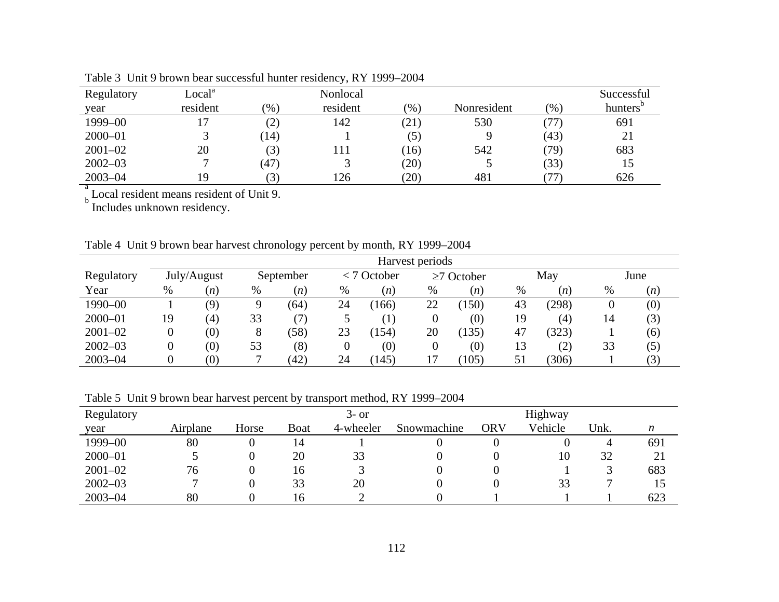| Regulatory  | $_{\text{Local}^a}$ |                   | Nonlocal |      |             |               | Successful           |
|-------------|---------------------|-------------------|----------|------|-------------|---------------|----------------------|
| year        | resident            | (% )              | resident | (% ) | Nonresident | $\frac{1}{2}$ | hunters <sup>'</sup> |
| 1999-00     |                     | $\left( 2\right)$ | 142      | (21) | 530         | 77            | 691                  |
| $2000 - 01$ |                     | (14)              |          | (5)  |             | (43)          | 21                   |
| $2001 - 02$ | 20                  | (3)               | !11      | (16) | 542         | (79)          | 683                  |
| $2002 - 03$ |                     | (47)              | لد       | (20) |             | (33)          |                      |
| $2003 - 04$ | 19                  |                   | 126      | (20) | 481         |               | 626                  |

Table 3 Unit 9 brown bear successful hunter residency, RY 1999–2004

 $b<sub>b</sub>$  Local resident means resident of Unit 9.<br>B Includes unknown residency.

|  |  |  |  | Table 4 Unit 9 brown bear harvest chronology percent by month, RY 1999–2004 |
|--|--|--|--|-----------------------------------------------------------------------------|
|  |  |  |  |                                                                             |

|             | Harvest periods |             |    |           |    |                  |    |                   |      |                   |      |      |  |
|-------------|-----------------|-------------|----|-----------|----|------------------|----|-------------------|------|-------------------|------|------|--|
| Regulatory  |                 | July/August |    | September |    | $<$ 7 October    |    | $\geq$ 7 October  |      | May               |      | June |  |
| Year        | $\%$            | (n)         | %  | (n)       | %  | (n)              | %  | (n)               | $\%$ | (n)               | $\%$ | (n)  |  |
| 1990-00     |                 | (9)         | Q  | (64)      | 24 | 166)             | 22 | (150)             | 43   | (298)             | 0    | (0)  |  |
| $2000 - 01$ | 19              | (4)         | 33 |           |    | $\left( \right)$ | 0  | $\left( 0\right)$ | 19   | $\left( 4\right)$ | 14   | (3)  |  |
| $2001 - 02$ | 0               | (0)         | 8  | (58)      | 23 | 154)             | 20 | (135)             | 47   | (323)             |      | (6)  |  |
| $2002 - 03$ | O               | (0)         | 53 | (8)       |    | (0)              | 0  | (0)               | 13   | (2)               | 33   | (5)  |  |
| $2003 - 04$ |                 | (0)         |    | (42)      | 24 | 145)             |    | 105)              | 51   | (306)             |      | (3)  |  |

Table 5 Unit 9 brown bear harvest percent by transport method, RY 1999–2004

| Regulatory  |          |       |      | $3-$ or   |             |     | Highway |      |     |
|-------------|----------|-------|------|-----------|-------------|-----|---------|------|-----|
| year        | Airplane | Horse | Boat | 4-wheeler | Snowmachine | ORV | Vehicle | Unk. |     |
| 1999-00     | 80       |       | 14   |           |             |     |         | 4    | 691 |
| $2000 - 01$ |          |       | 20   | 33        |             |     | 10      | 32   | 21  |
| $2001 - 02$ | 76       |       | 16   |           |             |     |         |      | 683 |
| $2002 - 03$ |          |       | 33   | 20        |             |     | 33      |      | 15  |
| $2003 - 04$ | 80       |       | 16   |           |             |     |         |      | 623 |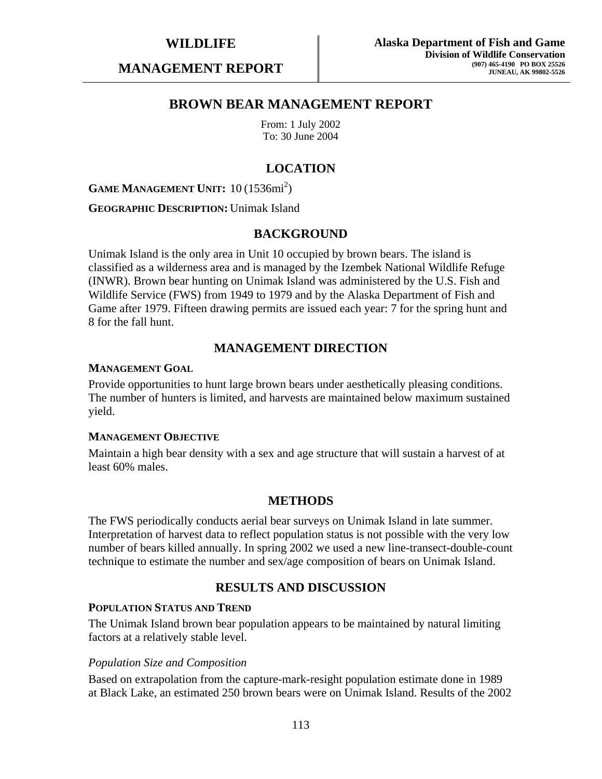**MANAGEMENT REPORT** 

# **BROWN BEAR MANAGEMENT REPORT**

From: 1 July 2002 To: 30 June 2004

# **LOCATION**

# **GAME MANAGEMENT UNIT:** 10 (1536mi<sup>2</sup>)

#### **GEOGRAPHIC DESCRIPTION:** Unimak Island

#### **BACKGROUND**

Unimak Island is the only area in Unit 10 occupied by brown bears. The island is classified as a wilderness area and is managed by the Izembek National Wildlife Refuge (INWR). Brown bear hunting on Unimak Island was administered by the U.S. Fish and Wildlife Service (FWS) from 1949 to 1979 and by the Alaska Department of Fish and Game after 1979. Fifteen drawing permits are issued each year: 7 for the spring hunt and 8 for the fall hunt.

# **MANAGEMENT DIRECTION**

#### **MANAGEMENT GOAL**

Provide opportunities to hunt large brown bears under aesthetically pleasing conditions. The number of hunters is limited, and harvests are maintained below maximum sustained yield.

#### **MANAGEMENT OBJECTIVE**

Maintain a high bear density with a sex and age structure that will sustain a harvest of at least 60% males.

### **METHODS**

The FWS periodically conducts aerial bear surveys on Unimak Island in late summer. Interpretation of harvest data to reflect population status is not possible with the very low number of bears killed annually. In spring 2002 we used a new line-transect-double-count technique to estimate the number and sex/age composition of bears on Unimak Island.

# **RESULTS AND DISCUSSION**

#### **POPULATION STATUS AND TREND**

The Unimak Island brown bear population appears to be maintained by natural limiting factors at a relatively stable level.

#### *Population Size and Composition*

Based on extrapolation from the capture-mark-resight population estimate done in 1989 at Black Lake, an estimated 250 brown bears were on Unimak Island. Results of the 2002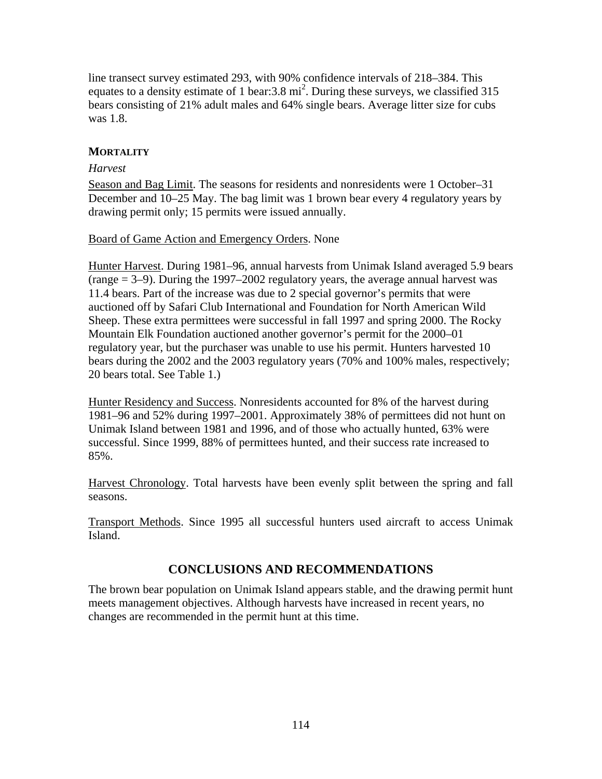line transect survey estimated 293, with 90% confidence intervals of 218–384. This equates to a density estimate of 1 bear:  $3.8 \text{ mi}^2$ . During these surveys, we classified 315 bears consisting of 21% adult males and 64% single bears. Average litter size for cubs was 1.8.

# **MORTALITY**

### *Harvest*

Season and Bag Limit. The seasons for residents and nonresidents were 1 October–31 December and 10–25 May. The bag limit was 1 brown bear every 4 regulatory years by drawing permit only; 15 permits were issued annually.

### Board of Game Action and Emergency Orders. None

Hunter Harvest. During 1981–96, annual harvests from Unimak Island averaged 5.9 bears (range = 3–9). During the 1997–2002 regulatory years, the average annual harvest was 11.4 bears. Part of the increase was due to 2 special governor's permits that were auctioned off by Safari Club International and Foundation for North American Wild Sheep. These extra permittees were successful in fall 1997 and spring 2000. The Rocky Mountain Elk Foundation auctioned another governor's permit for the 2000–01 regulatory year, but the purchaser was unable to use his permit. Hunters harvested 10 bears during the 2002 and the 2003 regulatory years (70% and 100% males, respectively; 20 bears total. See Table 1.)

Hunter Residency and Success. Nonresidents accounted for 8% of the harvest during 1981–96 and 52% during 1997–2001. Approximately 38% of permittees did not hunt on Unimak Island between 1981 and 1996, and of those who actually hunted, 63% were successful. Since 1999, 88% of permittees hunted, and their success rate increased to 85%.

Harvest Chronology. Total harvests have been evenly split between the spring and fall seasons.

Transport Methods. Since 1995 all successful hunters used aircraft to access Unimak Island.

# **CONCLUSIONS AND RECOMMENDATIONS**

The brown bear population on Unimak Island appears stable, and the drawing permit hunt meets management objectives. Although harvests have increased in recent years, no changes are recommended in the permit hunt at this time.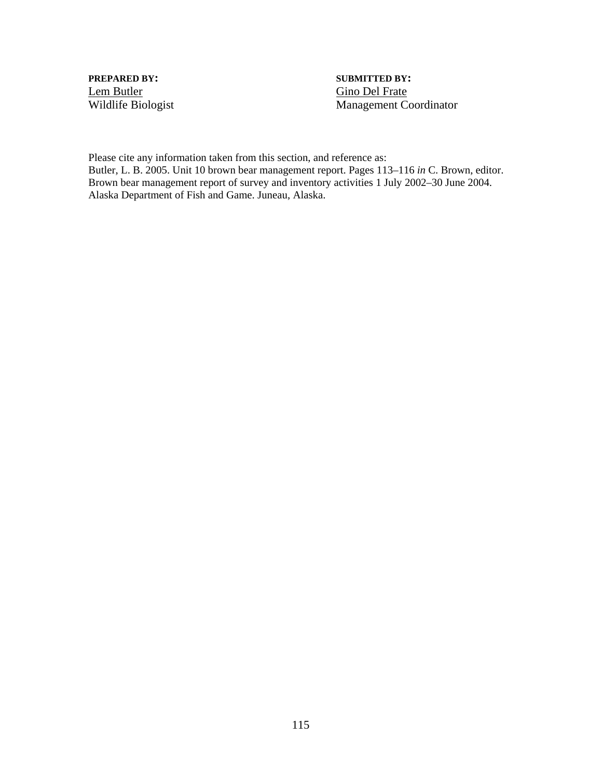**PREPARED BY:** SUBMITTED BY: Lem Butler<br>
Wildlife Biologist<br>
Management Co

Management Coordinator

Please cite any information taken from this section, and reference as: Butler, L. B. 2005. Unit 10 brown bear management report. Pages 113–116 *in* C. Brown, editor. Brown bear management report of survey and inventory activities 1 July 2002–30 June 2004. Alaska Department of Fish and Game. Juneau, Alaska.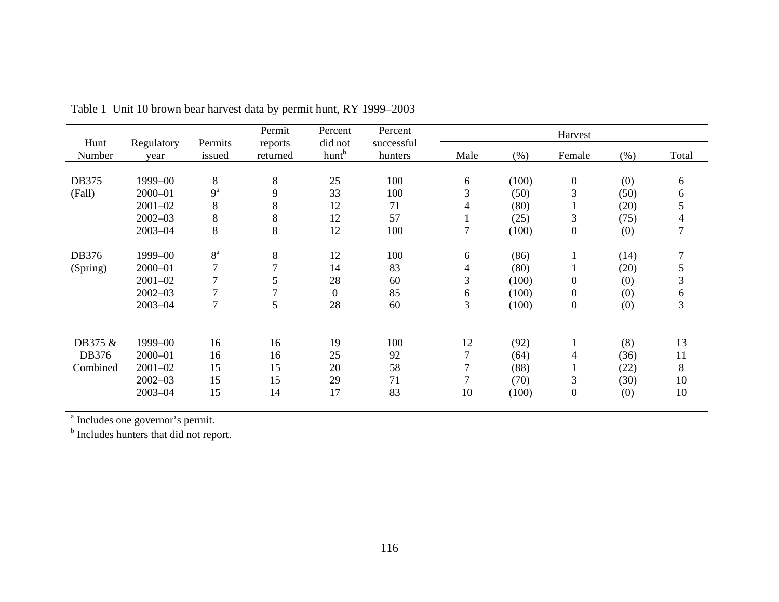| Hunt     | Regulatory  | Permits        | Permit              | Percent<br>did not | Percent<br>successful |                |       | Harvest          |      |       |
|----------|-------------|----------------|---------------------|--------------------|-----------------------|----------------|-------|------------------|------|-------|
| Number   | year        | issued         | reports<br>returned | hunt <sup>b</sup>  | hunters               | Male           | (% )  | Female           | (% ) | Total |
|          |             |                |                     |                    |                       |                |       |                  |      |       |
| DB375    | 1999-00     | $8\,$          | $\,8\,$             | 25                 | 100                   | 6              | (100) | $\boldsymbol{0}$ | (0)  | 6     |
| (Fall)   | $2000 - 01$ | $9^a$          | 9                   | 33                 | 100                   | 3              | (50)  | 3                | (50) | 6     |
|          | $2001 - 02$ | 8              | 8                   | 12                 | 71                    | 4              | (80)  |                  | (20) | 5     |
|          | $2002 - 03$ | $8\,$          | $8\,$               | 12                 | 57                    | 1              | (25)  | 3                | (75) | 4     |
|          | $2003 - 04$ | $8\,$          | $8\,$               | 12                 | 100                   | $\overline{7}$ | (100) | $\boldsymbol{0}$ | (0)  | 7     |
|          |             |                |                     |                    |                       |                |       |                  |      |       |
| DB376    | 1999-00     | 8 <sup>a</sup> | $\,8\,$             | 12                 | 100                   | 6              | (86)  |                  | (14) | 7     |
| (Spring) | 2000-01     | $\overline{7}$ | 7                   | 14                 | 83                    | $\overline{4}$ | (80)  |                  | (20) | 5     |
|          | $2001 - 02$ | $\overline{7}$ | 5                   | 28                 | 60                    | 3              | (100) | $\boldsymbol{0}$ | (0)  | 3     |
|          | $2002 - 03$ | $\overline{7}$ | 7                   | $\boldsymbol{0}$   | 85                    | 6              | (100) | $\boldsymbol{0}$ | (0)  | 6     |
|          | $2003 - 04$ | $\overline{7}$ | 5                   | 28                 | 60                    | 3              | (100) | $\boldsymbol{0}$ | (0)  | 3     |
|          |             |                |                     |                    |                       |                |       |                  |      |       |
| DB375 &  | 1999-00     | 16             | 16                  | 19                 | 100                   | 12             | (92)  |                  | (8)  | 13    |
| DB376    | $2000 - 01$ | 16             | 16                  | 25                 | 92                    | 7              | (64)  | 4                | (36) | 11    |
| Combined | $2001 - 02$ | 15             | 15                  | 20                 | 58                    | $\overline{7}$ | (88)  |                  | (22) | 8     |
|          | $2002 - 03$ | 15             | 15                  | 29                 | 71                    | 7              | (70)  | 3                | (30) | 10    |
|          | $2003 - 04$ | 15             | 14                  | 17                 | 83                    | 10             | (100) | $\boldsymbol{0}$ | (0)  | 10    |
|          |             |                |                     |                    |                       |                |       |                  |      |       |

Table 1 Unit 10 brown bear harvest data by permit hunt, RY 1999–2003

<sup>a</sup> Includes one governor's permit.

<sup>b</sup> Includes hunters that did not report.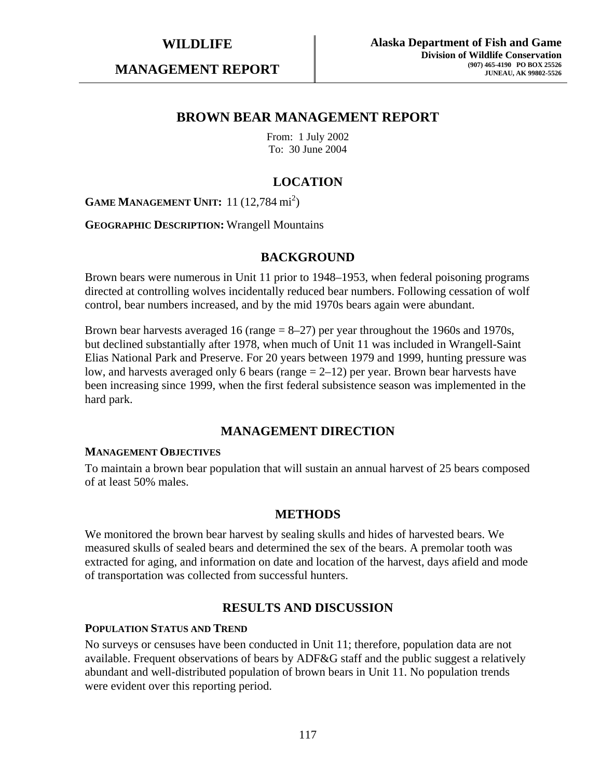**MANAGEMENT REPORT** 

# **BROWN BEAR MANAGEMENT REPORT**

From: 1 July 2002 To: 30 June 2004

# **LOCATION**

**GAME MANAGEMENT UNIT:** 11 (12,784 mi<sup>2</sup>)

**GEOGRAPHIC DESCRIPTION:** Wrangell Mountains

# **BACKGROUND**

Brown bears were numerous in Unit 11 prior to 1948–1953, when federal poisoning programs directed at controlling wolves incidentally reduced bear numbers. Following cessation of wolf control, bear numbers increased, and by the mid 1970s bears again were abundant.

Brown bear harvests averaged 16 (range  $= 8-27$ ) per year throughout the 1960s and 1970s, but declined substantially after 1978, when much of Unit 11 was included in Wrangell-Saint Elias National Park and Preserve. For 20 years between 1979 and 1999, hunting pressure was low, and harvests averaged only 6 bears (range = 2–12) per year. Brown bear harvests have been increasing since 1999, when the first federal subsistence season was implemented in the hard park.

# **MANAGEMENT DIRECTION**

#### **MANAGEMENT OBJECTIVES**

To maintain a brown bear population that will sustain an annual harvest of 25 bears composed of at least 50% males.

### **METHODS**

We monitored the brown bear harvest by sealing skulls and hides of harvested bears. We measured skulls of sealed bears and determined the sex of the bears. A premolar tooth was extracted for aging, and information on date and location of the harvest, days afield and mode of transportation was collected from successful hunters.

# **RESULTS AND DISCUSSION**

#### **POPULATION STATUS AND TREND**

No surveys or censuses have been conducted in Unit 11; therefore, population data are not available. Frequent observations of bears by ADF&G staff and the public suggest a relatively abundant and well-distributed population of brown bears in Unit 11. No population trends were evident over this reporting period.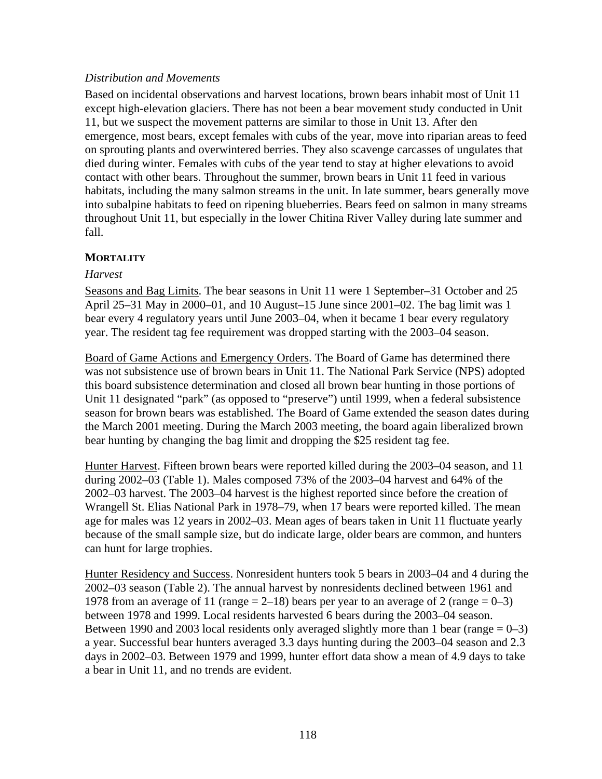# *Distribution and Movements*

Based on incidental observations and harvest locations, brown bears inhabit most of Unit 11 except high-elevation glaciers. There has not been a bear movement study conducted in Unit 11, but we suspect the movement patterns are similar to those in Unit 13. After den emergence, most bears, except females with cubs of the year, move into riparian areas to feed on sprouting plants and overwintered berries. They also scavenge carcasses of ungulates that died during winter. Females with cubs of the year tend to stay at higher elevations to avoid contact with other bears. Throughout the summer, brown bears in Unit 11 feed in various habitats, including the many salmon streams in the unit. In late summer, bears generally move into subalpine habitats to feed on ripening blueberries. Bears feed on salmon in many streams throughout Unit 11, but especially in the lower Chitina River Valley during late summer and fall.

# **MORTALITY**

### *Harvest*

Seasons and Bag Limits. The bear seasons in Unit 11 were 1 September–31 October and 25 April 25–31 May in 2000–01, and 10 August–15 June since 2001–02. The bag limit was 1 bear every 4 regulatory years until June 2003–04, when it became 1 bear every regulatory year. The resident tag fee requirement was dropped starting with the 2003–04 season.

Board of Game Actions and Emergency Orders. The Board of Game has determined there was not subsistence use of brown bears in Unit 11. The National Park Service (NPS) adopted this board subsistence determination and closed all brown bear hunting in those portions of Unit 11 designated "park" (as opposed to "preserve") until 1999, when a federal subsistence season for brown bears was established. The Board of Game extended the season dates during the March 2001 meeting. During the March 2003 meeting, the board again liberalized brown bear hunting by changing the bag limit and dropping the \$25 resident tag fee.

Hunter Harvest. Fifteen brown bears were reported killed during the 2003–04 season, and 11 during 2002–03 (Table 1). Males composed 73% of the 2003–04 harvest and 64% of the 2002–03 harvest. The 2003–04 harvest is the highest reported since before the creation of Wrangell St. Elias National Park in 1978–79, when 17 bears were reported killed. The mean age for males was 12 years in 2002–03. Mean ages of bears taken in Unit 11 fluctuate yearly because of the small sample size, but do indicate large, older bears are common, and hunters can hunt for large trophies.

Hunter Residency and Success. Nonresident hunters took 5 bears in 2003–04 and 4 during the 2002–03 season (Table 2). The annual harvest by nonresidents declined between 1961 and 1978 from an average of 11 (range  $= 2-18$ ) bears per year to an average of 2 (range  $= 0-3$ ) between 1978 and 1999. Local residents harvested 6 bears during the 2003–04 season. Between 1990 and 2003 local residents only averaged slightly more than 1 bear (range  $= 0-3$ ) a year. Successful bear hunters averaged 3.3 days hunting during the 2003–04 season and 2.3 days in 2002–03. Between 1979 and 1999, hunter effort data show a mean of 4.9 days to take a bear in Unit 11, and no trends are evident.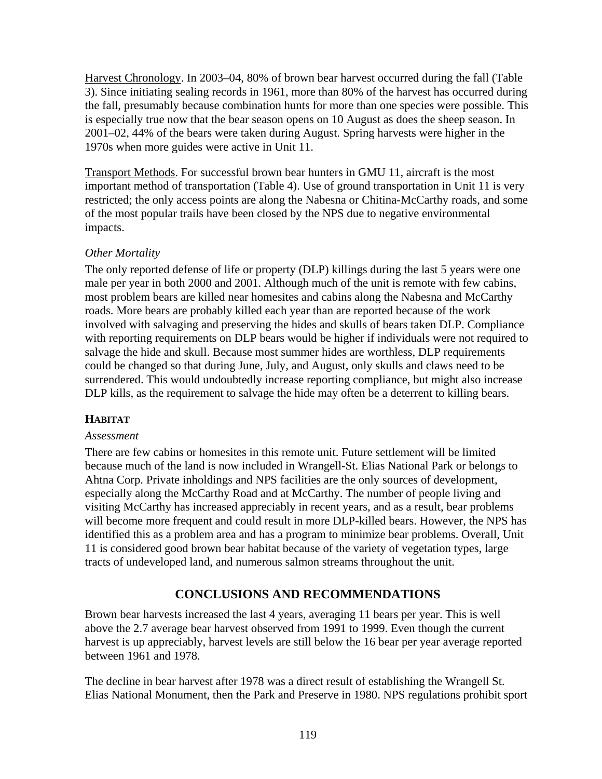Harvest Chronology. In 2003–04, 80% of brown bear harvest occurred during the fall (Table 3). Since initiating sealing records in 1961, more than 80% of the harvest has occurred during the fall, presumably because combination hunts for more than one species were possible. This is especially true now that the bear season opens on 10 August as does the sheep season. In 2001–02, 44% of the bears were taken during August. Spring harvests were higher in the 1970s when more guides were active in Unit 11.

Transport Methods. For successful brown bear hunters in GMU 11, aircraft is the most important method of transportation (Table 4). Use of ground transportation in Unit 11 is very restricted; the only access points are along the Nabesna or Chitina-McCarthy roads, and some of the most popular trails have been closed by the NPS due to negative environmental impacts.

# *Other Mortality*

The only reported defense of life or property (DLP) killings during the last 5 years were one male per year in both 2000 and 2001. Although much of the unit is remote with few cabins, most problem bears are killed near homesites and cabins along the Nabesna and McCarthy roads. More bears are probably killed each year than are reported because of the work involved with salvaging and preserving the hides and skulls of bears taken DLP. Compliance with reporting requirements on DLP bears would be higher if individuals were not required to salvage the hide and skull. Because most summer hides are worthless, DLP requirements could be changed so that during June, July, and August, only skulls and claws need to be surrendered. This would undoubtedly increase reporting compliance, but might also increase DLP kills, as the requirement to salvage the hide may often be a deterrent to killing bears.

# **HABITAT**

### *Assessment*

There are few cabins or homesites in this remote unit. Future settlement will be limited because much of the land is now included in Wrangell-St. Elias National Park or belongs to Ahtna Corp. Private inholdings and NPS facilities are the only sources of development, especially along the McCarthy Road and at McCarthy. The number of people living and visiting McCarthy has increased appreciably in recent years, and as a result, bear problems will become more frequent and could result in more DLP-killed bears. However, the NPS has identified this as a problem area and has a program to minimize bear problems. Overall, Unit 11 is considered good brown bear habitat because of the variety of vegetation types, large tracts of undeveloped land, and numerous salmon streams throughout the unit.

# **CONCLUSIONS AND RECOMMENDATIONS**

Brown bear harvests increased the last 4 years, averaging 11 bears per year. This is well above the 2.7 average bear harvest observed from 1991 to 1999. Even though the current harvest is up appreciably, harvest levels are still below the 16 bear per year average reported between 1961 and 1978.

The decline in bear harvest after 1978 was a direct result of establishing the Wrangell St. Elias National Monument, then the Park and Preserve in 1980. NPS regulations prohibit sport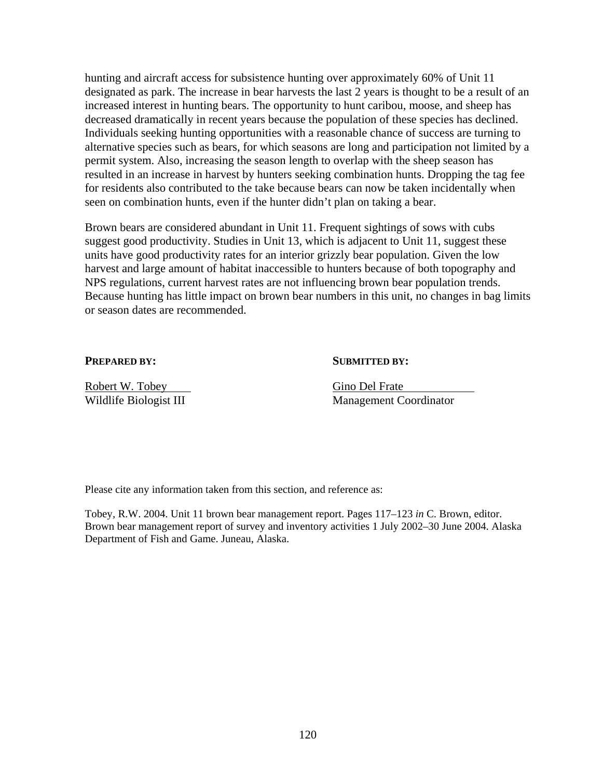hunting and aircraft access for subsistence hunting over approximately 60% of Unit 11 designated as park. The increase in bear harvests the last 2 years is thought to be a result of an increased interest in hunting bears. The opportunity to hunt caribou, moose, and sheep has decreased dramatically in recent years because the population of these species has declined. Individuals seeking hunting opportunities with a reasonable chance of success are turning to alternative species such as bears, for which seasons are long and participation not limited by a permit system. Also, increasing the season length to overlap with the sheep season has resulted in an increase in harvest by hunters seeking combination hunts. Dropping the tag fee for residents also contributed to the take because bears can now be taken incidentally when seen on combination hunts, even if the hunter didn't plan on taking a bear.

Brown bears are considered abundant in Unit 11. Frequent sightings of sows with cubs suggest good productivity. Studies in Unit 13, which is adjacent to Unit 11, suggest these units have good productivity rates for an interior grizzly bear population. Given the low harvest and large amount of habitat inaccessible to hunters because of both topography and NPS regulations, current harvest rates are not influencing brown bear population trends. Because hunting has little impact on brown bear numbers in this unit, no changes in bag limits or season dates are recommended.

### **PREPARED BY:** SUBMITTED BY:

Robert W. Tobey Gino Del Frate

Wildlife Biologist III Management Coordinator

Please cite any information taken from this section, and reference as:

Tobey, R.W. 2004. Unit 11 brown bear management report. Pages 117–123 *in* C. Brown, editor. Brown bear management report of survey and inventory activities 1 July 2002–30 June 2004. Alaska Department of Fish and Game. Juneau, Alaska.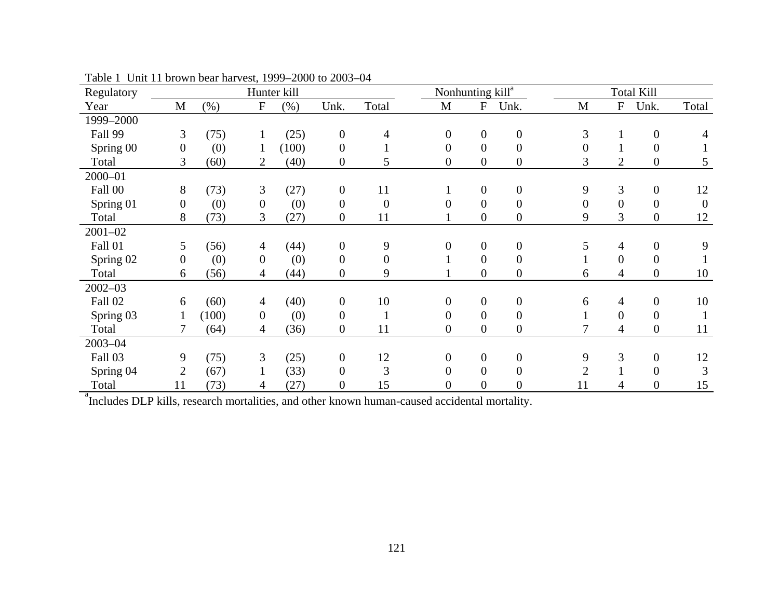| Regulatory  |                  |         | Hunter kill               |       |                  |                  |                  | Nonhunting kill <sup>a</sup> |                  |                |                | <b>Total Kill</b> |                |
|-------------|------------------|---------|---------------------------|-------|------------------|------------------|------------------|------------------------------|------------------|----------------|----------------|-------------------|----------------|
| Year        | M                | $(\% )$ | $\boldsymbol{\mathrm{F}}$ | (% )  | Unk.             | Total            | M                | ${\bf F}$                    | Unk.             | M              | ${\bf F}$      | Unk.              | Total          |
| 1999-2000   |                  |         |                           |       |                  |                  |                  |                              |                  |                |                |                   |                |
| Fall 99     | 3                | (75)    |                           | (25)  | $\boldsymbol{0}$ | 4                | $\boldsymbol{0}$ | $\boldsymbol{0}$             | $\boldsymbol{0}$ | 3              |                | $\boldsymbol{0}$  |                |
| Spring 00   | $\boldsymbol{0}$ | (0)     | 1                         | (100) | $\boldsymbol{0}$ |                  | $\boldsymbol{0}$ | $\overline{0}$               | $\boldsymbol{0}$ | 0              |                | $\boldsymbol{0}$  |                |
| Total       | $\overline{3}$   | (60)    | $\overline{2}$            | (40)  | $\boldsymbol{0}$ | 5                | $\overline{0}$   | $\overline{0}$               | $\boldsymbol{0}$ | 3              | $\overline{2}$ | $\boldsymbol{0}$  | 5              |
| $2000 - 01$ |                  |         |                           |       |                  |                  |                  |                              |                  |                |                |                   |                |
| Fall 00     | 8                | (73)    | 3                         | (27)  | $\boldsymbol{0}$ | 11               |                  | $\boldsymbol{0}$             | $\boldsymbol{0}$ | 9              | 3              | $\boldsymbol{0}$  | 12             |
| Spring 01   | $\boldsymbol{0}$ | (0)     | $\overline{0}$            | (0)   | $\overline{0}$   | $\boldsymbol{0}$ | $\theta$         | $\overline{0}$               | $\boldsymbol{0}$ | $\overline{0}$ | $\overline{0}$ | $\overline{0}$    | $\overline{0}$ |
| Total       | 8                | (73)    | 3                         | (27)  | $\overline{0}$   | 11               |                  | $\overline{0}$               | $\boldsymbol{0}$ | 9              | $\overline{3}$ | $\boldsymbol{0}$  | 12             |
| $2001 - 02$ |                  |         |                           |       |                  |                  |                  |                              |                  |                |                |                   |                |
| Fall 01     | 5                | (56)    | $\overline{4}$            | (44)  | $\boldsymbol{0}$ | 9                | $\overline{0}$   | $\boldsymbol{0}$             | $\boldsymbol{0}$ | 5              | 4              | $\boldsymbol{0}$  | 9              |
| Spring 02   | $\overline{0}$   | (0)     | $\overline{0}$            | (0)   | $\boldsymbol{0}$ | $\boldsymbol{0}$ |                  | $\boldsymbol{0}$             | $\boldsymbol{0}$ |                | $\overline{0}$ | $\overline{0}$    |                |
| Total       | 6                | (56)    | 4                         | (44)  | $\boldsymbol{0}$ | 9                |                  | $\boldsymbol{0}$             | $\boldsymbol{0}$ | 6              | 4              | $\mathbf{0}$      | 10             |
| $2002 - 03$ |                  |         |                           |       |                  |                  |                  |                              |                  |                |                |                   |                |
| Fall 02     | 6                | (60)    | 4                         | (40)  | $\overline{0}$   | 10               | $\overline{0}$   | $\overline{0}$               | $\boldsymbol{0}$ | 6              | 4              | $\boldsymbol{0}$  | 10             |
| Spring 03   | $\mathbf{1}$     | (100)   | $\overline{0}$            | (0)   | $\overline{0}$   |                  | $\overline{0}$   | $\overline{0}$               | $\boldsymbol{0}$ |                | $\mathbf{0}$   | $\overline{0}$    |                |
| Total       |                  | (64)    | 4                         | (36)  | $\boldsymbol{0}$ | 11               | $\boldsymbol{0}$ | $\overline{0}$               | $\boldsymbol{0}$ | 7              | 4              | $\boldsymbol{0}$  | 11             |
| $2003 - 04$ |                  |         |                           |       |                  |                  |                  |                              |                  |                |                |                   |                |
| Fall 03     | 9                | (75)    | 3                         | (25)  | $\boldsymbol{0}$ | 12               | $\overline{0}$   | $\boldsymbol{0}$             | $\boldsymbol{0}$ | 9              | 3              | $\boldsymbol{0}$  | 12             |
| Spring 04   | $\overline{2}$   | (67)    |                           | (33)  | $\boldsymbol{0}$ | 3                | $\overline{0}$   | $\overline{0}$               | $\boldsymbol{0}$ | $\overline{2}$ |                | $\boldsymbol{0}$  | 3              |
| Total       | 11               | (73)    | 4                         | (27)  | $\boldsymbol{0}$ | 15               | 0                | $\boldsymbol{0}$             | $\overline{0}$   | 11             | 4              | $\boldsymbol{0}$  | 15             |

Table 1 Unit 11 brown bear harvest, 1999–2000 to 2003–04

<sup>a</sup>Includes DLP kills, research mortalities, and other known human-caused accidental mortality.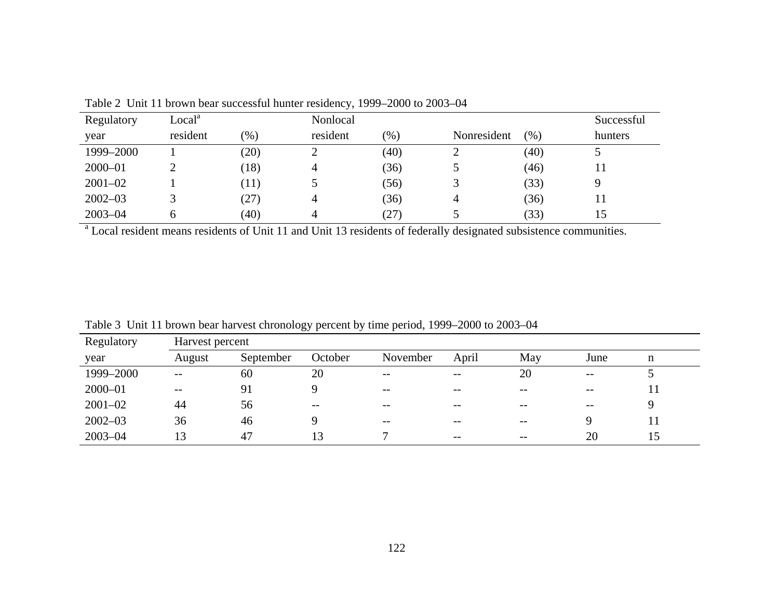| Regulatory  | Local <sup>a</sup> |         | Nonlocal |        |             |      | Successful |
|-------------|--------------------|---------|----------|--------|-------------|------|------------|
| year        | resident           | $(\% )$ | resident | $(\%)$ | Nonresident | (%)  | hunters    |
| 1999-2000   |                    | (20)    |          | (40)   | ∽           | (40) |            |
| $2000 - 01$ |                    | (18)    | 4        | (36)   |             | (46) |            |
| $2001 - 02$ |                    | (11)    |          | (56)   |             | (33) |            |
| $2002 - 03$ |                    | (27)    | 4        | (36)   | 4           | (36) |            |
| $2003 - 04$ | h                  | (40)    | 4        | (27)   |             | (33) |            |

Table 2 Unit 11 brown bear successful hunter residency, 1999–2000 to 2003–04

<sup>a</sup> Local resident means residents of Unit 11 and Unit 13 residents of federally designated subsistence communities.

| Regulatory  | Harvest percent |           |         |          |       |       |       |    |  |
|-------------|-----------------|-----------|---------|----------|-------|-------|-------|----|--|
| year        | August          | September | October | November | April | May   | June  | n  |  |
| 1999-2000   | --              | 60        | 20      | $- -$    | $- -$ | 20    | $- -$ |    |  |
| $2000 - 01$ | $- -$           | 91        |         | $- -$    | $- -$ | $- -$ | $- -$ |    |  |
| $2001 - 02$ | 44              | 56        | $--$    | $- -$    | $- -$ | $- -$ | $- -$ |    |  |
| $2002 - 03$ | 36              | 46        |         | $- -$    | $- -$ | $- -$ |       |    |  |
| $2003 - 04$ | 13              | 47        | 13      |          | $- -$ | $- -$ | 20    | 15 |  |
|             |                 |           |         |          |       |       |       |    |  |

Table 3 Unit 11 brown bear harvest chronology percent by time period, 1999–2000 to 2003–04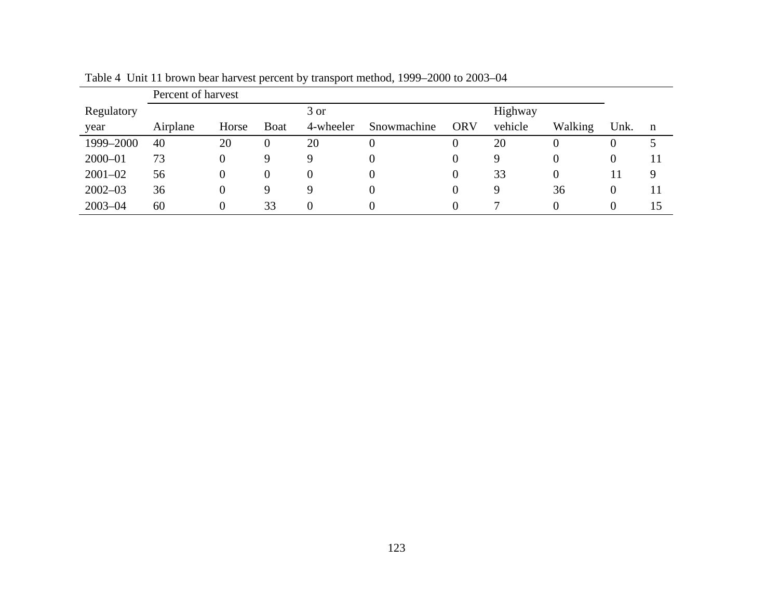|             | Percent of harvest |       |                |           |             |            |         |          |          |             |
|-------------|--------------------|-------|----------------|-----------|-------------|------------|---------|----------|----------|-------------|
| Regulatory  |                    |       |                | 3 or      |             |            | Highway |          |          |             |
| year        | Airplane           | Horse | <b>B</b> oat   | 4-wheeler | Snowmachine | <b>ORV</b> | vehicle | Walking  | Unk.     | $\mathbf n$ |
| 1999-2000   | 40                 | 20    | $\overline{0}$ | 20        |             |            | 20      | 0        |          |             |
| $2000 - 01$ | 73                 | 0     | 9              | Q         |             |            | 9       | 0        |          | 11          |
| $2001 - 02$ | 56                 | 0     | $\theta$       | 0         |             |            | 33      | $\theta$ |          | 9           |
| $2002 - 03$ | 36                 | 0     | 9              | Q         |             |            | 9       | 36       | $\theta$ | 11          |
| $2003 - 04$ | 60                 | 0     | 33             | 0         |             |            | ⇁       | 0        |          | 15          |

Table 4 Unit 11 brown bear harvest percent by transport method, 1999–2000 to 2003–04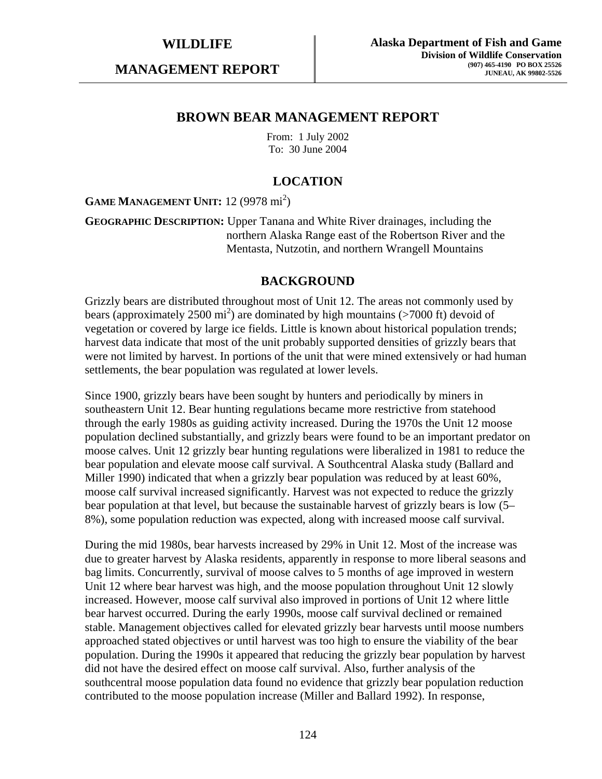**MANAGEMENT REPORT** 

# **BROWN BEAR MANAGEMENT REPORT**

From: 1 July 2002 To: 30 June 2004

# **LOCATION**

GAME MANAGEMENT UNIT: 12 (9978 mi<sup>2</sup>)

**GEOGRAPHIC DESCRIPTION:** Upper Tanana and White River drainages, including the northern Alaska Range east of the Robertson River and the Mentasta, Nutzotin, and northern Wrangell Mountains

# **BACKGROUND**

Grizzly bears are distributed throughout most of Unit 12. The areas not commonly used by bears (approximately 2500  $\text{mi}^2$ ) are dominated by high mountains (>7000 ft) devoid of vegetation or covered by large ice fields. Little is known about historical population trends; harvest data indicate that most of the unit probably supported densities of grizzly bears that were not limited by harvest. In portions of the unit that were mined extensively or had human settlements, the bear population was regulated at lower levels.

Since 1900, grizzly bears have been sought by hunters and periodically by miners in southeastern Unit 12. Bear hunting regulations became more restrictive from statehood through the early 1980s as guiding activity increased. During the 1970s the Unit 12 moose population declined substantially, and grizzly bears were found to be an important predator on moose calves. Unit 12 grizzly bear hunting regulations were liberalized in 1981 to reduce the bear population and elevate moose calf survival. A Southcentral Alaska study (Ballard and Miller 1990) indicated that when a grizzly bear population was reduced by at least 60%, moose calf survival increased significantly. Harvest was not expected to reduce the grizzly bear population at that level, but because the sustainable harvest of grizzly bears is low (5– 8%), some population reduction was expected, along with increased moose calf survival.

During the mid 1980s, bear harvests increased by 29% in Unit 12. Most of the increase was due to greater harvest by Alaska residents, apparently in response to more liberal seasons and bag limits. Concurrently, survival of moose calves to 5 months of age improved in western Unit 12 where bear harvest was high, and the moose population throughout Unit 12 slowly increased. However, moose calf survival also improved in portions of Unit 12 where little bear harvest occurred. During the early 1990s, moose calf survival declined or remained stable. Management objectives called for elevated grizzly bear harvests until moose numbers approached stated objectives or until harvest was too high to ensure the viability of the bear population. During the 1990s it appeared that reducing the grizzly bear population by harvest did not have the desired effect on moose calf survival. Also, further analysis of the southcentral moose population data found no evidence that grizzly bear population reduction contributed to the moose population increase (Miller and Ballard 1992). In response,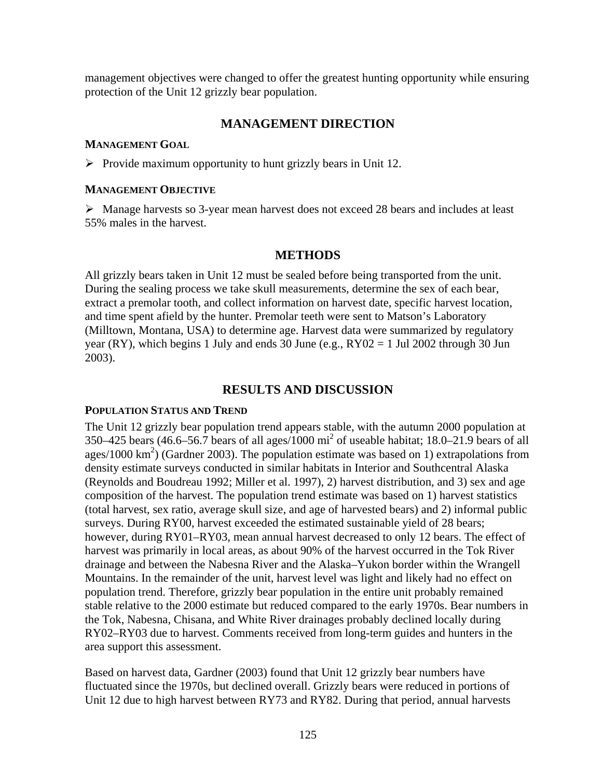management objectives were changed to offer the greatest hunting opportunity while ensuring protection of the Unit 12 grizzly bear population.

# **MANAGEMENT DIRECTION**

### **MANAGEMENT GOAL**

 $\triangleright$  Provide maximum opportunity to hunt grizzly bears in Unit 12.

#### **MANAGEMENT OBJECTIVE**

 $\triangleright$  Manage harvests so 3-year mean harvest does not exceed 28 bears and includes at least 55% males in the harvest.

# **METHODS**

All grizzly bears taken in Unit 12 must be sealed before being transported from the unit. During the sealing process we take skull measurements, determine the sex of each bear, extract a premolar tooth, and collect information on harvest date, specific harvest location, and time spent afield by the hunter. Premolar teeth were sent to Matson's Laboratory (Milltown, Montana, USA) to determine age. Harvest data were summarized by regulatory year (RY), which begins 1 July and ends 30 June (e.g.,  $RY02 = 1$  Jul 2002 through 30 Jun 2003).

# **RESULTS AND DISCUSSION**

### **POPULATION STATUS AND TREND**

The Unit 12 grizzly bear population trend appears stable, with the autumn 2000 population at 350–425 bears (46.6–56.7 bears of all ages/1000 mi<sup>2</sup> of useable habitat; 18.0–21.9 bears of all ages/1000 km<sup>2</sup>) (Gardner 2003). The population estimate was based on 1) extrapolations from density estimate surveys conducted in similar habitats in Interior and Southcentral Alaska (Reynolds and Boudreau 1992; Miller et al. 1997), 2) harvest distribution, and 3) sex and age composition of the harvest. The population trend estimate was based on 1) harvest statistics (total harvest, sex ratio, average skull size, and age of harvested bears) and 2) informal public surveys. During RY00, harvest exceeded the estimated sustainable yield of 28 bears; however, during RY01–RY03, mean annual harvest decreased to only 12 bears. The effect of harvest was primarily in local areas, as about 90% of the harvest occurred in the Tok River drainage and between the Nabesna River and the Alaska–Yukon border within the Wrangell Mountains. In the remainder of the unit, harvest level was light and likely had no effect on population trend. Therefore, grizzly bear population in the entire unit probably remained stable relative to the 2000 estimate but reduced compared to the early 1970s. Bear numbers in the Tok, Nabesna, Chisana, and White River drainages probably declined locally during RY02–RY03 due to harvest. Comments received from long-term guides and hunters in the area support this assessment.

Based on harvest data, Gardner (2003) found that Unit 12 grizzly bear numbers have fluctuated since the 1970s, but declined overall. Grizzly bears were reduced in portions of Unit 12 due to high harvest between RY73 and RY82. During that period, annual harvests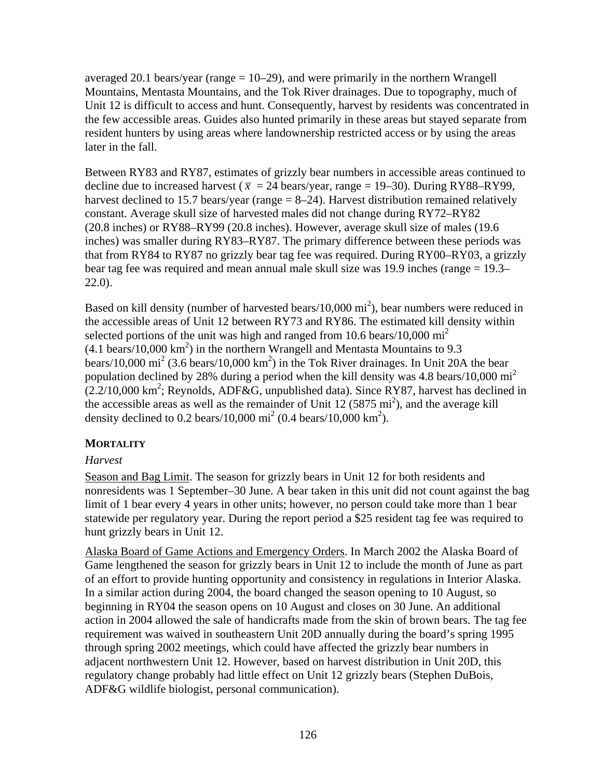averaged 20.1 bears/year (range  $= 10-29$ ), and were primarily in the northern Wrangell Mountains, Mentasta Mountains, and the Tok River drainages. Due to topography, much of Unit 12 is difficult to access and hunt. Consequently, harvest by residents was concentrated in the few accessible areas. Guides also hunted primarily in these areas but stayed separate from resident hunters by using areas where landownership restricted access or by using the areas later in the fall.

Between RY83 and RY87, estimates of grizzly bear numbers in accessible areas continued to decline due to increased harvest ( $\bar{x}$  = 24 bears/year, range = 19–30). During RY88–RY99, harvest declined to 15.7 bears/year (range  $= 8-24$ ). Harvest distribution remained relatively constant. Average skull size of harvested males did not change during RY72–RY82 (20.8 inches) or RY88–RY99 (20.8 inches). However, average skull size of males (19.6 inches) was smaller during RY83–RY87. The primary difference between these periods was that from RY84 to RY87 no grizzly bear tag fee was required. During RY00–RY03, a grizzly bear tag fee was required and mean annual male skull size was 19.9 inches (range = 19.3– 22.0).

Based on kill density (number of harvested bears/10,000 mi<sup>2</sup>), bear numbers were reduced in the accessible areas of Unit 12 between RY73 and RY86. The estimated kill density within selected portions of the unit was high and ranged from 10.6 bears/10,000  $\mathrm{mi}^2$  $(4.1 \text{ bears}/10,000 \text{ km}^2)$  in the northern Wrangell and Mentasta Mountains to 9.3 bears/10,000 mi<sup>2</sup> (3.6 bears/10,000 km<sup>2</sup>) in the Tok River drainages. In Unit 20A the bear population declined by 28% during a period when the kill density was 4.8 bears/10,000  $\text{mi}^2$  $(2.2/10,000 \text{ km}^2)$ ; Reynolds, ADF&G, unpublished data). Since RY87, harvest has declined in the accessible areas as well as the remainder of Unit  $12 (5875 \text{ mi}^2)$ , and the average kill density declined to 0.2 bears/10,000 mi<sup>2</sup> (0.4 bears/10,000 km<sup>2</sup>).

# **MORTALITY**

# *Harvest*

Season and Bag Limit. The season for grizzly bears in Unit 12 for both residents and nonresidents was 1 September–30 June. A bear taken in this unit did not count against the bag limit of 1 bear every 4 years in other units; however, no person could take more than 1 bear statewide per regulatory year. During the report period a \$25 resident tag fee was required to hunt grizzly bears in Unit 12.

Alaska Board of Game Actions and Emergency Orders. In March 2002 the Alaska Board of Game lengthened the season for grizzly bears in Unit 12 to include the month of June as part of an effort to provide hunting opportunity and consistency in regulations in Interior Alaska. In a similar action during 2004, the board changed the season opening to 10 August, so beginning in RY04 the season opens on 10 August and closes on 30 June. An additional action in 2004 allowed the sale of handicrafts made from the skin of brown bears. The tag fee requirement was waived in southeastern Unit 20D annually during the board's spring 1995 through spring 2002 meetings, which could have affected the grizzly bear numbers in adjacent northwestern Unit 12. However, based on harvest distribution in Unit 20D, this regulatory change probably had little effect on Unit 12 grizzly bears (Stephen DuBois, ADF&G wildlife biologist, personal communication).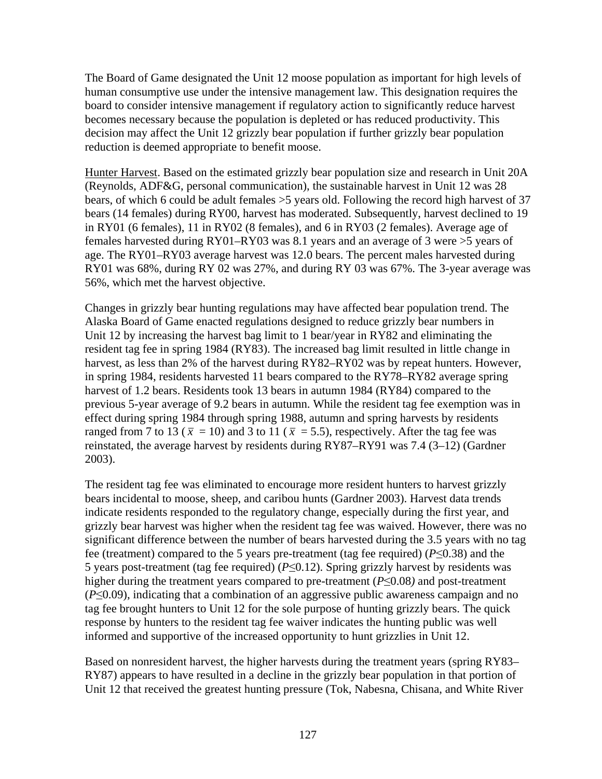The Board of Game designated the Unit 12 moose population as important for high levels of human consumptive use under the intensive management law. This designation requires the board to consider intensive management if regulatory action to significantly reduce harvest becomes necessary because the population is depleted or has reduced productivity. This decision may affect the Unit 12 grizzly bear population if further grizzly bear population reduction is deemed appropriate to benefit moose.

Hunter Harvest. Based on the estimated grizzly bear population size and research in Unit 20A (Reynolds, ADF&G, personal communication), the sustainable harvest in Unit 12 was 28 bears, of which 6 could be adult females >5 years old. Following the record high harvest of 37 bears (14 females) during RY00, harvest has moderated. Subsequently, harvest declined to 19 in RY01 (6 females), 11 in RY02 (8 females), and 6 in RY03 (2 females). Average age of females harvested during RY01–RY03 was 8.1 years and an average of 3 were >5 years of age. The RY01–RY03 average harvest was 12.0 bears. The percent males harvested during RY01 was 68%, during RY 02 was 27%, and during RY 03 was 67%. The 3-year average was 56%, which met the harvest objective.

Changes in grizzly bear hunting regulations may have affected bear population trend. The Alaska Board of Game enacted regulations designed to reduce grizzly bear numbers in Unit 12 by increasing the harvest bag limit to 1 bear/year in RY82 and eliminating the resident tag fee in spring 1984 (RY83). The increased bag limit resulted in little change in harvest, as less than 2% of the harvest during RY82–RY02 was by repeat hunters. However, in spring 1984, residents harvested 11 bears compared to the RY78–RY82 average spring harvest of 1.2 bears. Residents took 13 bears in autumn 1984 (RY84) compared to the previous 5-year average of 9.2 bears in autumn. While the resident tag fee exemption was in effect during spring 1984 through spring 1988, autumn and spring harvests by residents ranged from 7 to 13 ( $\bar{x}$  = 10) and 3 to 11 ( $\bar{x}$  = 5.5), respectively. After the tag fee was reinstated, the average harvest by residents during RY87–RY91 was 7.4 (3–12) (Gardner 2003).

The resident tag fee was eliminated to encourage more resident hunters to harvest grizzly bears incidental to moose, sheep, and caribou hunts (Gardner 2003). Harvest data trends indicate residents responded to the regulatory change, especially during the first year, and grizzly bear harvest was higher when the resident tag fee was waived. However, there was no significant difference between the number of bears harvested during the 3.5 years with no tag fee (treatment) compared to the 5 years pre-treatment (tag fee required) (*P*≤0.38) and the 5 years post-treatment (tag fee required) (*P*≤0.12). Spring grizzly harvest by residents was higher during the treatment years compared to pre-treatment (*P*≤0.08*)* and post-treatment (*P*≤0.09), indicating that a combination of an aggressive public awareness campaign and no tag fee brought hunters to Unit 12 for the sole purpose of hunting grizzly bears. The quick response by hunters to the resident tag fee waiver indicates the hunting public was well informed and supportive of the increased opportunity to hunt grizzlies in Unit 12.

Based on nonresident harvest, the higher harvests during the treatment years (spring RY83– RY87) appears to have resulted in a decline in the grizzly bear population in that portion of Unit 12 that received the greatest hunting pressure (Tok, Nabesna, Chisana, and White River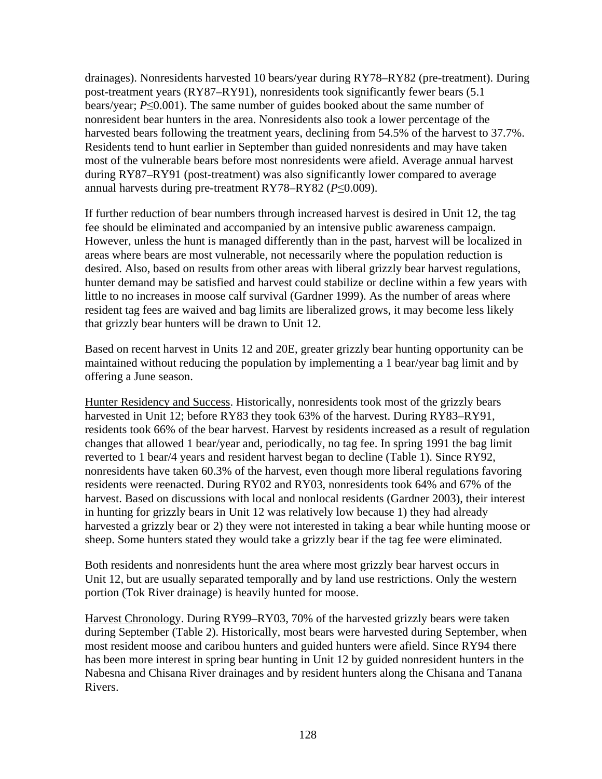drainages). Nonresidents harvested 10 bears/year during RY78–RY82 (pre-treatment). During post-treatment years (RY87–RY91), nonresidents took significantly fewer bears (5.1 bears/year; *P*≤0.001). The same number of guides booked about the same number of nonresident bear hunters in the area. Nonresidents also took a lower percentage of the harvested bears following the treatment years, declining from 54.5% of the harvest to 37.7%. Residents tend to hunt earlier in September than guided nonresidents and may have taken most of the vulnerable bears before most nonresidents were afield. Average annual harvest during RY87–RY91 (post-treatment) was also significantly lower compared to average annual harvests during pre-treatment RY78–RY82 (*P*≤0.009).

If further reduction of bear numbers through increased harvest is desired in Unit 12, the tag fee should be eliminated and accompanied by an intensive public awareness campaign. However, unless the hunt is managed differently than in the past, harvest will be localized in areas where bears are most vulnerable, not necessarily where the population reduction is desired. Also, based on results from other areas with liberal grizzly bear harvest regulations, hunter demand may be satisfied and harvest could stabilize or decline within a few years with little to no increases in moose calf survival (Gardner 1999). As the number of areas where resident tag fees are waived and bag limits are liberalized grows, it may become less likely that grizzly bear hunters will be drawn to Unit 12.

Based on recent harvest in Units 12 and 20E, greater grizzly bear hunting opportunity can be maintained without reducing the population by implementing a 1 bear/year bag limit and by offering a June season.

Hunter Residency and Success. Historically, nonresidents took most of the grizzly bears harvested in Unit 12; before RY83 they took 63% of the harvest. During RY83–RY91, residents took 66% of the bear harvest. Harvest by residents increased as a result of regulation changes that allowed 1 bear/year and, periodically, no tag fee. In spring 1991 the bag limit reverted to 1 bear/4 years and resident harvest began to decline (Table 1). Since RY92, nonresidents have taken 60.3% of the harvest, even though more liberal regulations favoring residents were reenacted. During RY02 and RY03, nonresidents took 64% and 67% of the harvest. Based on discussions with local and nonlocal residents (Gardner 2003), their interest in hunting for grizzly bears in Unit 12 was relatively low because 1) they had already harvested a grizzly bear or 2) they were not interested in taking a bear while hunting moose or sheep. Some hunters stated they would take a grizzly bear if the tag fee were eliminated.

Both residents and nonresidents hunt the area where most grizzly bear harvest occurs in Unit 12, but are usually separated temporally and by land use restrictions. Only the western portion (Tok River drainage) is heavily hunted for moose.

Harvest Chronology. During RY99–RY03, 70% of the harvested grizzly bears were taken during September (Table 2). Historically, most bears were harvested during September, when most resident moose and caribou hunters and guided hunters were afield. Since RY94 there has been more interest in spring bear hunting in Unit 12 by guided nonresident hunters in the Nabesna and Chisana River drainages and by resident hunters along the Chisana and Tanana Rivers.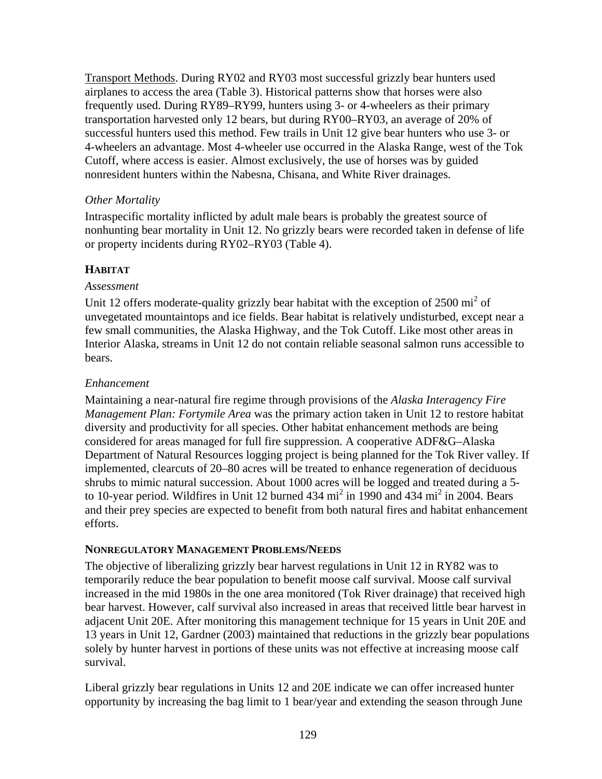Transport Methods. During RY02 and RY03 most successful grizzly bear hunters used airplanes to access the area (Table 3). Historical patterns show that horses were also frequently used. During RY89–RY99, hunters using 3- or 4-wheelers as their primary transportation harvested only 12 bears, but during RY00–RY03, an average of 20% of successful hunters used this method. Few trails in Unit 12 give bear hunters who use 3- or 4-wheelers an advantage. Most 4-wheeler use occurred in the Alaska Range, west of the Tok Cutoff, where access is easier. Almost exclusively, the use of horses was by guided nonresident hunters within the Nabesna, Chisana, and White River drainages.

# *Other Mortality*

Intraspecific mortality inflicted by adult male bears is probably the greatest source of nonhunting bear mortality in Unit 12. No grizzly bears were recorded taken in defense of life or property incidents during RY02–RY03 (Table 4).

# **HABITAT**

# *Assessment*

Unit 12 offers moderate-quality grizzly bear habitat with the exception of  $2500 \text{ mi}^2$  of unvegetated mountaintops and ice fields. Bear habitat is relatively undisturbed, except near a few small communities, the Alaska Highway, and the Tok Cutoff. Like most other areas in Interior Alaska, streams in Unit 12 do not contain reliable seasonal salmon runs accessible to bears.

# *Enhancement*

Maintaining a near-natural fire regime through provisions of the *Alaska Interagency Fire Management Plan: Fortymile Area* was the primary action taken in Unit 12 to restore habitat diversity and productivity for all species. Other habitat enhancement methods are being considered for areas managed for full fire suppression. A cooperative ADF&G–Alaska Department of Natural Resources logging project is being planned for the Tok River valley. If implemented, clearcuts of 20–80 acres will be treated to enhance regeneration of deciduous shrubs to mimic natural succession. About 1000 acres will be logged and treated during a 5 to 10-year period. Wildfires in Unit 12 burned 434 mi<sup>2</sup> in 1990 and 434 mi<sup>2</sup> in 2004. Bears and their prey species are expected to benefit from both natural fires and habitat enhancement efforts.

# **NONREGULATORY MANAGEMENT PROBLEMS/NEEDS**

The objective of liberalizing grizzly bear harvest regulations in Unit 12 in RY82 was to temporarily reduce the bear population to benefit moose calf survival. Moose calf survival increased in the mid 1980s in the one area monitored (Tok River drainage) that received high bear harvest. However, calf survival also increased in areas that received little bear harvest in adjacent Unit 20E. After monitoring this management technique for 15 years in Unit 20E and 13 years in Unit 12, Gardner (2003) maintained that reductions in the grizzly bear populations solely by hunter harvest in portions of these units was not effective at increasing moose calf survival.

Liberal grizzly bear regulations in Units 12 and 20E indicate we can offer increased hunter opportunity by increasing the bag limit to 1 bear/year and extending the season through June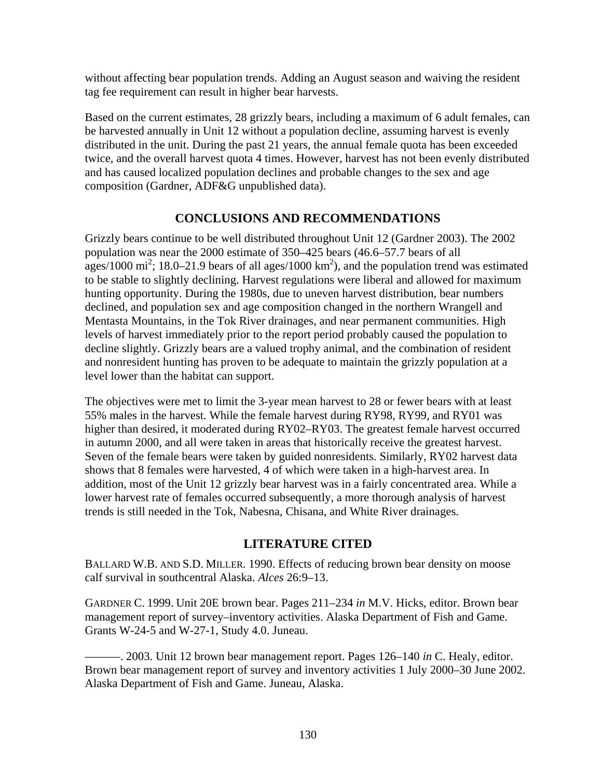without affecting bear population trends. Adding an August season and waiving the resident tag fee requirement can result in higher bear harvests.

Based on the current estimates, 28 grizzly bears, including a maximum of 6 adult females, can be harvested annually in Unit 12 without a population decline, assuming harvest is evenly distributed in the unit. During the past 21 years, the annual female quota has been exceeded twice, and the overall harvest quota 4 times. However, harvest has not been evenly distributed and has caused localized population declines and probable changes to the sex and age composition (Gardner, ADF&G unpublished data).

# **CONCLUSIONS AND RECOMMENDATIONS**

Grizzly bears continue to be well distributed throughout Unit 12 (Gardner 2003). The 2002 population was near the 2000 estimate of 350–425 bears (46.6–57.7 bears of all ages/1000 mi<sup>2</sup>; 18.0–21.9 bears of all ages/1000 km<sup>2</sup>), and the population trend was estimated to be stable to slightly declining. Harvest regulations were liberal and allowed for maximum hunting opportunity. During the 1980s, due to uneven harvest distribution, bear numbers declined, and population sex and age composition changed in the northern Wrangell and Mentasta Mountains, in the Tok River drainages, and near permanent communities. High levels of harvest immediately prior to the report period probably caused the population to decline slightly. Grizzly bears are a valued trophy animal, and the combination of resident and nonresident hunting has proven to be adequate to maintain the grizzly population at a level lower than the habitat can support.

The objectives were met to limit the 3-year mean harvest to 28 or fewer bears with at least 55% males in the harvest. While the female harvest during RY98, RY99, and RY01 was higher than desired, it moderated during RY02–RY03. The greatest female harvest occurred in autumn 2000, and all were taken in areas that historically receive the greatest harvest. Seven of the female bears were taken by guided nonresidents. Similarly, RY02 harvest data shows that 8 females were harvested, 4 of which were taken in a high-harvest area. In addition, most of the Unit 12 grizzly bear harvest was in a fairly concentrated area. While a lower harvest rate of females occurred subsequently, a more thorough analysis of harvest trends is still needed in the Tok, Nabesna, Chisana, and White River drainages.

# **LITERATURE CITED**

BALLARD W.B. AND S.D. MILLER. 1990. Effects of reducing brown bear density on moose calf survival in southcentral Alaska. *Alces* 26:9–13.

GARDNER C. 1999. Unit 20E brown bear. Pages 211–234 *in* M.V. Hicks, editor. Brown bear management report of survey–inventory activities. Alaska Department of Fish and Game. Grants W-24-5 and W-27-1, Study 4.0. Juneau.

———. 2003. Unit 12 brown bear management report. Pages 126–140 *in* C. Healy, editor. Brown bear management report of survey and inventory activities 1 July 2000–30 June 2002. Alaska Department of Fish and Game. Juneau, Alaska.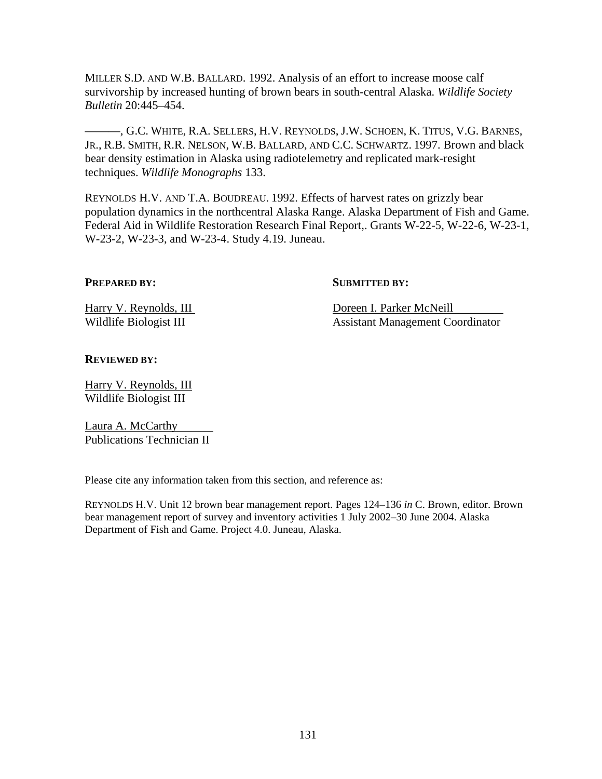MILLER S.D. AND W.B. BALLARD. 1992. Analysis of an effort to increase moose calf survivorship by increased hunting of brown bears in south-central Alaska. *Wildlife Society Bulletin* 20:445–454.

———, G.C. WHITE, R.A. SELLERS, H.V. REYNOLDS, J.W. SCHOEN, K. TITUS, V.G. BARNES, JR., R.B. SMITH, R.R. NELSON, W.B. BALLARD, AND C.C. SCHWARTZ. 1997. Brown and black bear density estimation in Alaska using radiotelemetry and replicated mark-resight techniques. *Wildlife Monographs* 133.

REYNOLDS H.V. AND T.A. BOUDREAU. 1992. Effects of harvest rates on grizzly bear population dynamics in the northcentral Alaska Range. Alaska Department of Fish and Game. Federal Aid in Wildlife Restoration Research Final Report,. Grants W-22-5, W-22-6, W-23-1, W-23-2, W-23-3, and W-23-4. Study 4.19. Juneau.

#### **PREPARED BY:** SUBMITTED BY:

Harry V. Reynolds, III Doreen I. Parker McNeill Wildlife Biologist III Assistant Management Coordinator

#### **REVIEWED BY:**

Harry V. Reynolds, III Wildlife Biologist III

Laura A. McCarthy Publications Technician II

Please cite any information taken from this section, and reference as:

REYNOLDS H.V. Unit 12 brown bear management report. Pages 124–136 *in* C. Brown, editor. Brown bear management report of survey and inventory activities 1 July 2002–30 June 2004. Alaska Department of Fish and Game. Project 4.0. Juneau, Alaska.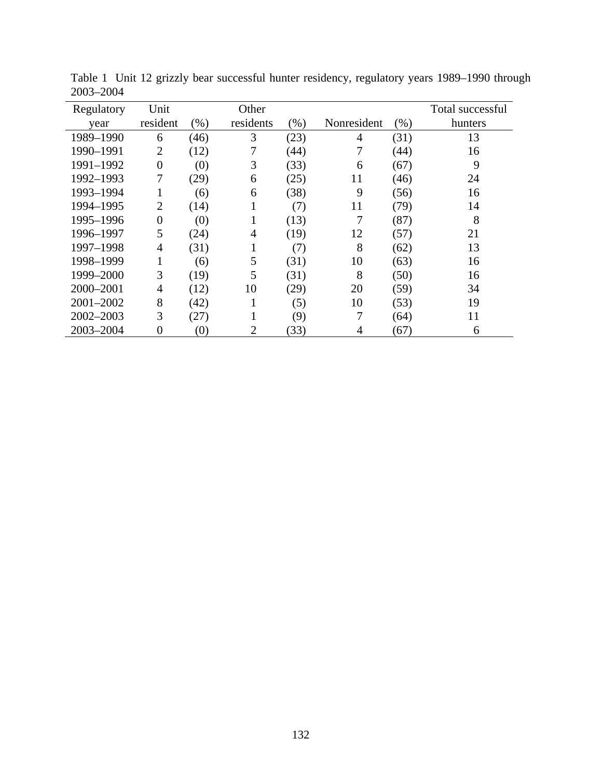| Regulatory    | Unit           |      | Other     |         |             |      | Total successful |
|---------------|----------------|------|-----------|---------|-------------|------|------------------|
| year          | resident       | (% ) | residents | $(\% )$ | Nonresident | (% ) | hunters          |
| 1989-1990     | 6              | (46) | 3         | (23)    | 4           | (31) | 13               |
| 1990-1991     | $\overline{2}$ | (12) | 7         | (44)    |             | (44) | 16               |
| 1991-1992     | $\overline{0}$ | (0)  | 3         | (33)    | 6           | (67) | 9                |
| 1992-1993     | 7              | (29) | 6         | (25)    | 11          | (46) | 24               |
| 1993-1994     | 1              | (6)  | 6         | (38)    | 9           | (56) | 16               |
| 1994-1995     | $\overline{2}$ | (14) |           | (7)     | 11          | (79) | 14               |
| 1995-1996     | 0              | (0)  |           | (13)    |             | (87) | 8                |
| 1996-1997     | 5              | (24) | 4         | (19)    | 12          | (57) | 21               |
| 1997-1998     | 4              | (31) |           | (7)     | 8           | (62) | 13               |
| 1998-1999     | 1              | (6)  | 5         | (31)    | 10          | (63) | 16               |
| 1999-2000     | 3              | (19) | 5         | (31)    | 8           | (50) | 16               |
| 2000-2001     | 4              | (12) | 10        | (29)    | 20          | (59) | 34               |
| $2001 - 2002$ | 8              | (42) |           | (5)     | 10          | (53) | 19               |
| $2002 - 2003$ | 3              | (27) |           | (9)     |             | (64) | 11               |
| 2003-2004     | 0              | (0)  | 2         | (33)    | 4           | (67) | 6                |

Table 1 Unit 12 grizzly bear successful hunter residency, regulatory years 1989–1990 through 2003–2004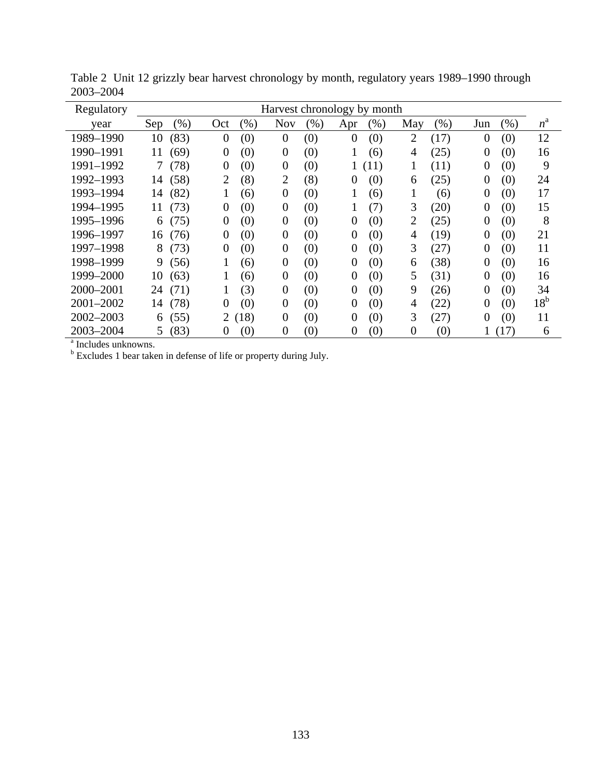| Regulatory<br>Harvest chronology by month                                                                                                               |              |
|---------------------------------------------------------------------------------------------------------------------------------------------------------|--------------|
| <b>Nov</b><br>(%)<br>(%)<br>(% )<br>$(\%)$<br>(%)<br>(%)<br>Sep<br>May<br>Jun<br>Oct<br>Apr<br>year                                                     | $n^{\rm a}$  |
| (83)<br>$\overline{2}$<br>1989-1990<br>10<br>$\boldsymbol{0}$<br>(0)<br>$\overline{0}$<br>(17)<br>$\overline{0}$<br>(0)<br>(0)<br>$\overline{0}$<br>(0) | 12           |
| 1990-1991<br>(69)<br>(0)<br>(0)<br>(25)<br>11<br>$\overline{0}$<br>$\boldsymbol{0}$<br>4<br>0<br>(0)<br>(6)                                             | 16           |
| 1991-1992<br>(78)<br>(0)<br>(0)<br>$\tau$<br>$\boldsymbol{0}$<br>(0)<br>(11)<br>1<br>(11)<br>0<br>$\boldsymbol{0}$                                      | 9            |
| $\overline{2}$<br>(8)<br>1992-1993<br>(58)<br>$\overline{2}$<br>(8)<br>(25)<br>$\overline{0}$<br>(0)<br>14<br>0<br>(0)<br>6                             | 24           |
| 1993-1994<br>(82)<br>(0)<br>1<br>$\overline{0}$<br>14<br>1<br>(6)<br>$\boldsymbol{0}$<br>(0)<br>(6)<br>(6)                                              | 17           |
| 3<br>1994-1995<br>(73)<br>(0)<br>(20)<br>$\overline{0}$<br>11<br>$\theta$<br>(0)<br>(7)<br>(0)<br>$\boldsymbol{0}$                                      | 15           |
| $\overline{2}$<br>(0)<br>(0)<br>(25)<br>(0)<br>1995-1996<br>(75)<br>$\overline{0}$<br>(0)<br>0<br>$\boldsymbol{0}$<br>0<br>6                            | 8            |
| 1996-1997<br>(0)<br>(0)<br>(0)<br>(19)<br>$\overline{0}$<br>(76)<br>$\overline{0}$<br>$\boldsymbol{0}$<br>0<br>4<br>(0)<br>16                           | 21           |
| 3<br>(27)<br>1997-1998<br>8<br>(73)<br>(0)<br>(0)<br>(0)<br>$\overline{0}$<br>$\boldsymbol{0}$<br>0<br>(0)<br>0                                         | 11           |
| (0)<br>(38)<br>1998-1999<br>9<br>(56)<br>1<br>$\boldsymbol{0}$<br>$\overline{0}$<br>(0)<br>0<br>(0)<br>(6)<br>6                                         | 16           |
| 1999-2000<br>(31)<br>10<br>(63)<br>(0)<br>(0)<br>5<br>(0)<br>1<br>$\overline{0}$<br>$\overline{0}$<br>0<br>(6)                                          | 16           |
| 2000-2001<br>(71)<br>(3)<br>(0)<br>9<br>(26)<br>(0)<br>$\overline{0}$<br>0<br>(0)<br>0<br>24<br>1                                                       | 34           |
| 2001-2002<br>(78)<br>(0)<br>(0)<br>(0)<br>(22)<br>$\overline{0}$<br>0<br>(0)<br>14<br>0<br>4<br>0                                                       | $18^{\rm b}$ |
| 3<br>(18)<br>2002-2003<br>(0)<br>(27)<br>(0)<br>(55)<br>2<br>0<br>(0)<br>$\Omega$<br>0<br>6                                                             | 11           |
| (83)<br>2003-2004<br>(0)<br>(0)<br>(0)<br>$\theta$<br>(0)<br>(17)<br>$\overline{0}$<br>0<br>5.<br>0                                                     | 6            |
| <sup>a</sup> Includes unknowns.                                                                                                                         |              |
| <sup>b</sup> Excludes 1 bear taken in defense of life or property during July.                                                                          |              |

Table 2 Unit 12 grizzly bear harvest chronology by month, regulatory years 1989–1990 through 2003–2004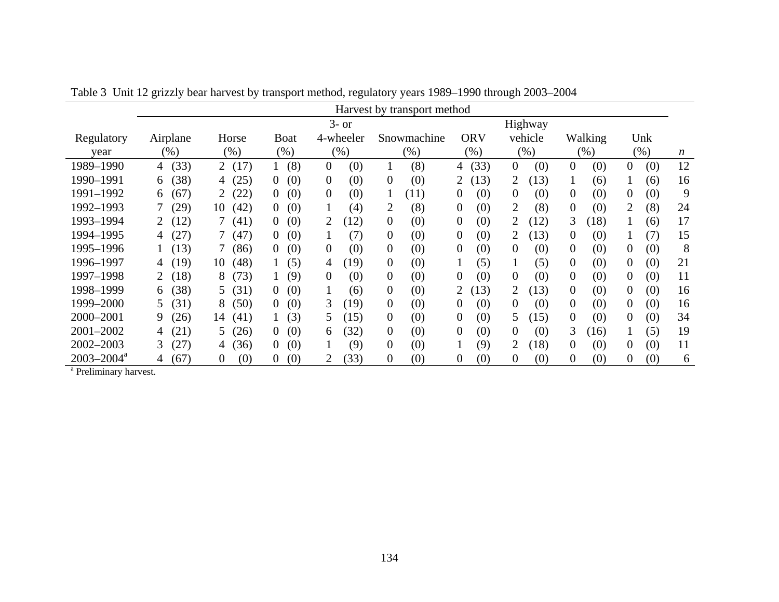|                            | Harvest by transport method |                 |                          |                       |                         |                         |                        |                         |                       |                  |  |  |  |
|----------------------------|-----------------------------|-----------------|--------------------------|-----------------------|-------------------------|-------------------------|------------------------|-------------------------|-----------------------|------------------|--|--|--|
|                            |                             |                 |                          | $3-$ or               |                         | Highway                 |                        |                         |                       |                  |  |  |  |
| Regulatory                 | Airplane                    | Horse           | <b>Boat</b><br>4-wheeler |                       | Snowmachine             | <b>ORV</b>              | vehicle                | Walking                 | Unk                   |                  |  |  |  |
| vear                       | $(\%)$                      | (%)             | $(\%)$                   | (% )                  | $(\%)$                  | $(\%)$                  | $(\% )$                | $(\%)$                  | $(\%)$                | $\boldsymbol{n}$ |  |  |  |
| 1989-1990                  | (33)<br>4                   | 2(17)           | (8)                      | (0)<br>$\overline{0}$ | (8)<br>$\bf{1}$         | (33)<br>4               | $\overline{0}$<br>(0)  | $\overline{0}$<br>(0)   | $\overline{0}$<br>(0) | 12               |  |  |  |
| 1990-1991                  | (38)<br>6                   | (25)<br>4       | (0)<br>$\theta$          | $\theta$<br>(0)       | (0)<br>$\theta$         | (13)<br>$\overline{2}$  | (13)<br>2              | $\mathbf{1}$<br>(6)     | 1<br>(6)              | 16               |  |  |  |
| 1991-1992                  | (67)<br>6                   | (22)            | (0)<br>$\overline{0}$    | (0)<br>$\theta$       | (11)<br>$\mathbf{1}$    | (0)<br>0                | (0)<br>$\theta$        | $\overline{0}$<br>(0)   | (0)<br>$\theta$       | 9                |  |  |  |
| 1992-1993                  | (29)                        | (42)<br>10      | (0)<br>$\theta$          | (4)<br>1              | (8)<br>2                | $\overline{0}$<br>(0)   | (8)<br>2               | $\overline{0}$<br>(0)   | (8)<br>2              | 24               |  |  |  |
| 1993-1994                  | (12)                        | (41)            | (0)<br>$\theta$          | (12)                  | (0)<br>$\theta$         | (0)<br>$\overline{0}$   | (12)                   | 3<br>(18)               | 1<br>(6)              | 17               |  |  |  |
| 1994-1995                  | (27)<br>4                   | (47)            | (0)<br>$\theta$          | (7)<br>1              | (0)<br>$\overline{0}$   | (0)<br>0                | (13)                   | $\overline{0}$<br>(0)   | (7)                   | 15               |  |  |  |
| 1995-1996                  | (13)                        | (86)            | (0)<br>$\Omega$          | (0)<br>$\theta$       | $\boldsymbol{0}$<br>(0) | (0)<br>$\boldsymbol{0}$ | (0)<br>$\theta$        | $\boldsymbol{0}$<br>(0) | $\overline{0}$<br>(0) | 8                |  |  |  |
| 1996–1997                  | (19)<br>4                   | (48)<br>10      | (5)                      | (19)<br>4             | $\overline{0}$<br>(0)   | (5)<br>$\mathbf{I}$     | (5)<br>1               | $\overline{0}$<br>(0)   | $\theta$<br>(0)       | 21               |  |  |  |
| 1997-1998                  | $\overline{2}$<br>(18)      | (73)<br>8       | (9)                      | $\theta$<br>(0)       | $\overline{0}$<br>(0)   | $\boldsymbol{0}$<br>(0) | (0)<br>$\overline{0}$  | $\overline{0}$<br>(0)   | $\overline{0}$<br>(0) | 11               |  |  |  |
| 1998–1999                  | (38)<br>6                   | (31)<br>5.      | (0)<br>$\overline{0}$    | 1<br>(6)              | $\overline{0}$<br>(0)   | (13)<br>2               | (13)<br>$\overline{2}$ | $\overline{0}$<br>(0)   | $\overline{0}$<br>(0) | 16               |  |  |  |
| 1999-2000                  | 5<br>(31)                   | 8<br>(50)       | (0)<br>$\Omega$          | 3<br>(19)             | $\overline{0}$<br>(0)   | $\theta$<br>(0)         | (0)<br>$\Omega$        | $\overline{0}$<br>(0)   | $\overline{0}$<br>(0) | 16               |  |  |  |
| 2000-2001                  | 9<br>(26)                   | (41)<br>14      | (3)                      | (15)<br>5             | $\theta$<br>(0)         | (0)<br>$\overline{0}$   | (15)<br>5              | $\overline{0}$<br>(0)   | $\theta$<br>(0)       | 34               |  |  |  |
| 2001-2002                  | (21)<br>4                   | (26)<br>5.      | (0)<br>$\overline{0}$    | (32)<br>6             | $\overline{0}$<br>(0)   | $\boldsymbol{0}$<br>(0) | (0)<br>0               | 3<br>(16)               | (5)                   | 19               |  |  |  |
| $2002 - 2003$              | (27)<br>3                   | (36)<br>4       | (0)<br>$\theta$          | (9)                   | $\overline{0}$<br>(0)   | (9)                     | $\overline{2}$<br>(18) | 0<br>(0)                | (0)<br>$\theta$       | 11               |  |  |  |
| $2003 - 2004$ <sup>a</sup> | (67)<br>4                   | (0)<br>$\theta$ | (0)<br>$\theta$          | (33)<br>2             | $\boldsymbol{0}$<br>(0) | (0)<br>0                | (0)<br>$\Omega$        | $\boldsymbol{0}$<br>(0) | (0)<br>$\bf{0}$       | 6                |  |  |  |

Table 3 Unit 12 grizzly bear harvest by transport method, regulatory years 1989–1990 through 2003–2004

<sup>a</sup> Preliminary harvest.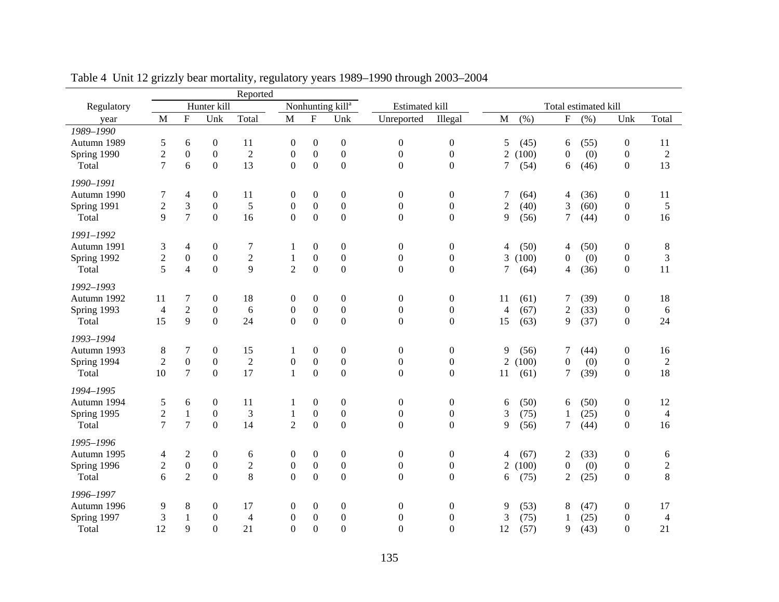|             |                |                  |                  | Reported       |                              |                  |                  |                       |                  |                      |       |                |      |                  |                                                              |
|-------------|----------------|------------------|------------------|----------------|------------------------------|------------------|------------------|-----------------------|------------------|----------------------|-------|----------------|------|------------------|--------------------------------------------------------------|
| Regulatory  |                |                  | Hunter kill      |                | Nonhunting kill <sup>a</sup> |                  |                  | <b>Estimated kill</b> |                  | Total estimated kill |       |                |      |                  |                                                              |
| year        | $\mathbf{M}$   | $\overline{F}$   | Unk              | Total          | M                            | ${\bf F}$        | Unk              | Unreported            | Illegal          | $\mathbf{M}$         | (% )  | ${\bf F}$      | (% ) | Unk              | Total                                                        |
| 1989-1990   |                |                  |                  |                |                              |                  |                  |                       |                  |                      |       |                |      |                  |                                                              |
| Autumn 1989 | 5              | 6                | $\boldsymbol{0}$ | 11             | $\boldsymbol{0}$             | $\boldsymbol{0}$ | $\boldsymbol{0}$ | $\boldsymbol{0}$      | $\boldsymbol{0}$ | 5                    | (45)  | 6              | (55) | $\boldsymbol{0}$ | 11                                                           |
| Spring 1990 | $\overline{c}$ | $\boldsymbol{0}$ | $\boldsymbol{0}$ | $\overline{c}$ | $\boldsymbol{0}$             | $\boldsymbol{0}$ | $\boldsymbol{0}$ | $\boldsymbol{0}$      | $\boldsymbol{0}$ | 2                    | (100) | $\theta$       | (0)  | $\boldsymbol{0}$ | $\mathfrak{2}% =\mathfrak{2}\left( \mathfrak{2}\right) ^{2}$ |
| Total       | 7              | 6                | $\boldsymbol{0}$ | 13             | $\boldsymbol{0}$             | $\boldsymbol{0}$ | $\boldsymbol{0}$ | $\overline{0}$        | $\boldsymbol{0}$ | 7                    | (54)  | 6              | (46) | $\boldsymbol{0}$ | 13                                                           |
| 1990-1991   |                |                  |                  |                |                              |                  |                  |                       |                  |                      |       |                |      |                  |                                                              |
| Autumn 1990 | 7              | $\overline{4}$   | $\boldsymbol{0}$ | 11             | $\overline{0}$               | $\boldsymbol{0}$ | $\boldsymbol{0}$ | $\boldsymbol{0}$      | $\boldsymbol{0}$ | 7                    | (64)  | 4              | (36) | $\boldsymbol{0}$ | 11                                                           |
| Spring 1991 | $\overline{2}$ | 3                | $\boldsymbol{0}$ | 5              | $\boldsymbol{0}$             | $\boldsymbol{0}$ | $\boldsymbol{0}$ | $\boldsymbol{0}$      | $\boldsymbol{0}$ | $\overline{c}$       | (40)  | 3              | (60) | $\boldsymbol{0}$ | $\sqrt{5}$                                                   |
| Total       | 9              | $\overline{7}$   | $\mathbf{0}$     | 16             | $\Omega$                     | $\boldsymbol{0}$ | $\overline{0}$   | $\boldsymbol{0}$      | $\boldsymbol{0}$ | 9                    | (56)  | 7              | (44) | $\boldsymbol{0}$ | 16                                                           |
| 1991-1992   |                |                  |                  |                |                              |                  |                  |                       |                  |                      |       |                |      |                  |                                                              |
| Autumn 1991 | 3              | 4                | $\boldsymbol{0}$ | 7              | 1                            | $\boldsymbol{0}$ | $\boldsymbol{0}$ | $\boldsymbol{0}$      | $\boldsymbol{0}$ | 4                    | (50)  | 4              | (50) | $\boldsymbol{0}$ | 8                                                            |
| Spring 1992 | $\overline{c}$ | $\boldsymbol{0}$ | $\boldsymbol{0}$ | $\sqrt{2}$     | $\,1$                        | $\boldsymbol{0}$ | $\boldsymbol{0}$ | $\boldsymbol{0}$      | $\boldsymbol{0}$ | 3                    | (100) | 0              | (0)  | $\boldsymbol{0}$ | $\mathfrak{Z}$                                               |
| Total       | 5              | $\overline{4}$   | $\boldsymbol{0}$ | 9              | $\overline{2}$               | $\boldsymbol{0}$ | $\boldsymbol{0}$ | $\boldsymbol{0}$      | $\boldsymbol{0}$ | 7                    | (64)  | 4              | (36) | $\boldsymbol{0}$ | 11                                                           |
| 1992-1993   |                |                  |                  |                |                              |                  |                  |                       |                  |                      |       |                |      |                  |                                                              |
| Autumn 1992 | 11             | 7                | $\boldsymbol{0}$ | 18             | $\boldsymbol{0}$             | $\boldsymbol{0}$ | $\boldsymbol{0}$ | $\boldsymbol{0}$      | $\boldsymbol{0}$ | 11                   | (61)  | 7              | (39) | $\boldsymbol{0}$ | 18                                                           |
| Spring 1993 | $\overline{4}$ | $\overline{2}$   | $\boldsymbol{0}$ | 6              | $\boldsymbol{0}$             | $\boldsymbol{0}$ | $\boldsymbol{0}$ | $\boldsymbol{0}$      | $\boldsymbol{0}$ | 4                    | (67)  | $\overline{c}$ | (33) | $\boldsymbol{0}$ | 6                                                            |
| Total       | 15             | 9                | $\boldsymbol{0}$ | 24             | $\boldsymbol{0}$             | $\boldsymbol{0}$ | $\mathbf{0}$     | $\mathbf{0}$          | $\boldsymbol{0}$ | 15                   | (63)  | 9              | (37) | 0                | 24                                                           |
| 1993-1994   |                |                  |                  |                |                              |                  |                  |                       |                  |                      |       |                |      |                  |                                                              |
| Autumn 1993 | 8              | 7                | $\boldsymbol{0}$ | 15             | 1                            | $\boldsymbol{0}$ | $\boldsymbol{0}$ | $\boldsymbol{0}$      | $\boldsymbol{0}$ | 9                    | (56)  | 7              | (44) | $\boldsymbol{0}$ | 16                                                           |
| Spring 1994 | $\overline{2}$ | $\boldsymbol{0}$ | $\boldsymbol{0}$ | $\overline{2}$ | $\boldsymbol{0}$             | $\boldsymbol{0}$ | $\boldsymbol{0}$ | $\boldsymbol{0}$      | $\boldsymbol{0}$ | $\overline{2}$       | (100) | $\overline{0}$ | (0)  | $\boldsymbol{0}$ | $\overline{2}$                                               |
| Total       | 10             | $\tau$           | $\boldsymbol{0}$ | 17             | $\mathbf{1}$                 | $\boldsymbol{0}$ | $\boldsymbol{0}$ | $\boldsymbol{0}$      | $\boldsymbol{0}$ | 11                   | (61)  | 7              | (39) | $\boldsymbol{0}$ | 18                                                           |
| 1994-1995   |                |                  |                  |                |                              |                  |                  |                       |                  |                      |       |                |      |                  |                                                              |
| Autumn 1994 | 5              | 6                | $\boldsymbol{0}$ | 11             | 1                            | $\boldsymbol{0}$ | $\boldsymbol{0}$ | $\boldsymbol{0}$      | $\boldsymbol{0}$ | 6                    | (50)  | 6              | (50) | $\boldsymbol{0}$ | 12                                                           |
| Spring 1995 | $\overline{c}$ | $\mathbf{1}$     | $\boldsymbol{0}$ | 3              | $\mathbf{1}$                 | $\boldsymbol{0}$ | $\boldsymbol{0}$ | $\boldsymbol{0}$      | $\boldsymbol{0}$ | 3                    | (75)  | 1              | (25) | $\boldsymbol{0}$ | $\overline{4}$                                               |
| Total       | $\overline{7}$ | $\boldsymbol{7}$ | $\boldsymbol{0}$ | 14             | $\overline{2}$               | $\boldsymbol{0}$ | $\overline{0}$   | $\overline{0}$        | $\boldsymbol{0}$ | 9                    | (56)  | $\tau$         | (44) | $\boldsymbol{0}$ | 16                                                           |
|             |                |                  |                  |                |                              |                  |                  |                       |                  |                      |       |                |      |                  |                                                              |
| 1995-1996   |                |                  |                  |                |                              |                  |                  |                       |                  |                      |       |                |      |                  |                                                              |
| Autumn 1995 | 4              | $\mathbf{2}$     | $\boldsymbol{0}$ | 6              | $\boldsymbol{0}$             | $\boldsymbol{0}$ | $\boldsymbol{0}$ | $\boldsymbol{0}$      | $\boldsymbol{0}$ | 4                    | (67)  | 2              | (33) | $\boldsymbol{0}$ | 6                                                            |
| Spring 1996 | $\overline{2}$ | $\boldsymbol{0}$ | $\boldsymbol{0}$ | $\sqrt{2}$     | $\boldsymbol{0}$             | $\boldsymbol{0}$ | $\boldsymbol{0}$ | $\boldsymbol{0}$      | $\boldsymbol{0}$ | 2                    | (100) | $\overline{0}$ | (0)  | $\boldsymbol{0}$ | $\overline{2}$                                               |
| Total       | 6              | $\overline{2}$   | $\boldsymbol{0}$ | $\,8\,$        | $\overline{0}$               | $\boldsymbol{0}$ | $\boldsymbol{0}$ | $\boldsymbol{0}$      | $\boldsymbol{0}$ | 6                    | (75)  | $\overline{c}$ | (25) | $\boldsymbol{0}$ | 8                                                            |
| 1996-1997   |                |                  |                  |                |                              |                  |                  |                       |                  |                      |       |                |      |                  |                                                              |
| Autumn 1996 | 9              | 8                | $\boldsymbol{0}$ | 17             | $\boldsymbol{0}$             | $\boldsymbol{0}$ | $\boldsymbol{0}$ | $\boldsymbol{0}$      | $\boldsymbol{0}$ | 9                    | (53)  | 8              | (47) | $\boldsymbol{0}$ | 17                                                           |
| Spring 1997 | 3              | $\,1\,$          | $\boldsymbol{0}$ | $\overline{4}$ | $\boldsymbol{0}$             | $\boldsymbol{0}$ | $\boldsymbol{0}$ | $\boldsymbol{0}$      | $\boldsymbol{0}$ | 3                    | (75)  |                | (25) | $\boldsymbol{0}$ | $\overline{4}$                                               |
| Total       | 12             | 9                | $\Omega$         | 21             | $\Omega$                     | $\boldsymbol{0}$ | $\overline{0}$   | $\mathbf{0}$          | $\mathbf{0}$     | 12                   | (57)  | 9              | (43) | $\boldsymbol{0}$ | 21                                                           |

Table 4 Unit 12 grizzly bear mortality, regulatory years 1989–1990 through 2003–2004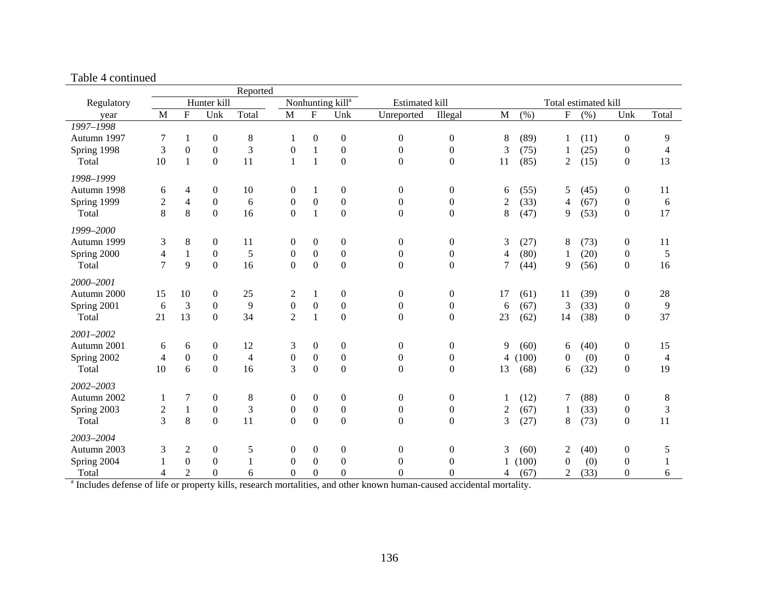| Reported    |                         |                  |                              |                |                       |                  |                      |                  |                  |                |       |                |      |                  |                |
|-------------|-------------------------|------------------|------------------------------|----------------|-----------------------|------------------|----------------------|------------------|------------------|----------------|-------|----------------|------|------------------|----------------|
| Regulatory  | Hunter kill             |                  | Nonhunting kill <sup>a</sup> |                | <b>Estimated kill</b> |                  | Total estimated kill |                  |                  |                |       |                |      |                  |                |
| year        | M                       | ${\bf F}$        | Unk                          | Total          | M                     | ${\bf F}$        | Unk                  | Unreported       | Illegal          | $\mathbf{M}$   | (% )  | ${\bf F}$      | (% ) | Unk              | Total          |
| 1997-1998   |                         |                  |                              |                |                       |                  |                      |                  |                  |                |       |                |      |                  |                |
| Autumn 1997 | 7                       | 1                | $\boldsymbol{0}$             | 8              | 1                     | $\boldsymbol{0}$ | $\boldsymbol{0}$     | $\boldsymbol{0}$ | $\boldsymbol{0}$ | $\,$ 8 $\,$    | (89)  | 1              | (11) | $\boldsymbol{0}$ | 9              |
| Spring 1998 | 3                       | $\boldsymbol{0}$ | $\boldsymbol{0}$             | 3              | $\boldsymbol{0}$      | $\mathbf{1}$     | $\boldsymbol{0}$     | $\overline{0}$   | $\overline{0}$   | 3              | (75)  |                | (25) | $\boldsymbol{0}$ | 4              |
| Total       | 10                      | $\mathbf{1}$     | $\overline{0}$               | 11             | $\mathbf{1}$          | $\mathbf{1}$     | $\boldsymbol{0}$     | $\overline{0}$   | $\boldsymbol{0}$ | 11             | (85)  | 2              | (15) | $\boldsymbol{0}$ | 13             |
| 1998-1999   |                         |                  |                              |                |                       |                  |                      |                  |                  |                |       |                |      |                  |                |
| Autumn 1998 | 6                       | 4                | $\boldsymbol{0}$             | 10             | $\boldsymbol{0}$      | 1                | $\boldsymbol{0}$     | $\boldsymbol{0}$ | $\boldsymbol{0}$ | 6              | (55)  | 5              | (45) | $\boldsymbol{0}$ | 11             |
| Spring 1999 | $\overline{c}$          | $\overline{4}$   | $\boldsymbol{0}$             | 6              | $\boldsymbol{0}$      | $\boldsymbol{0}$ | $\boldsymbol{0}$     | $\boldsymbol{0}$ | $\boldsymbol{0}$ | $\overline{2}$ | (33)  | 4              | (67) | $\boldsymbol{0}$ | 6              |
| Total       | 8                       | 8                | $\mathbf{0}$                 | 16             | $\overline{0}$        | $\mathbf{1}$     | $\overline{0}$       | $\mathbf{0}$     | $\boldsymbol{0}$ | 8              | (47)  | 9              | (53) | $\boldsymbol{0}$ | 17             |
| 1999-2000   |                         |                  |                              |                |                       |                  |                      |                  |                  |                |       |                |      |                  |                |
| Autumn 1999 | 3                       | $\,8\,$          | $\boldsymbol{0}$             | 11             | $\boldsymbol{0}$      | $\boldsymbol{0}$ | $\boldsymbol{0}$     | $\boldsymbol{0}$ | $\boldsymbol{0}$ | 3              | (27)  | 8              | (73) | $\boldsymbol{0}$ | 11             |
| Spring 2000 | $\overline{\mathbf{4}}$ | $\mathbf{1}$     | $\boldsymbol{0}$             | 5              | $\boldsymbol{0}$      | $\boldsymbol{0}$ | $\boldsymbol{0}$     | $\theta$         | $\boldsymbol{0}$ | 4              | (80)  |                | (20) | $\boldsymbol{0}$ | $\mathfrak s$  |
| Total       | $\overline{7}$          | $\mathbf{Q}$     | $\overline{0}$               | 16             | $\overline{0}$        | $\boldsymbol{0}$ | $\boldsymbol{0}$     | $\overline{0}$   | $\mathbf{0}$     | 7              | (44)  | 9              | (56) | $\boldsymbol{0}$ | 16             |
| 2000-2001   |                         |                  |                              |                |                       |                  |                      |                  |                  |                |       |                |      |                  |                |
| Autumn 2000 | 15                      | 10               | $\overline{0}$               | 25             | $\overline{c}$        | $\mathbf{1}$     | $\boldsymbol{0}$     | $\boldsymbol{0}$ | $\boldsymbol{0}$ | 17             | (61)  | 11             | (39) | $\boldsymbol{0}$ | 28             |
| Spring 2001 | 6                       | 3                | $\overline{0}$               | 9              | $\boldsymbol{0}$      | $\boldsymbol{0}$ | $\boldsymbol{0}$     | $\boldsymbol{0}$ | $\boldsymbol{0}$ | 6              | (67)  | 3              | (33) | $\boldsymbol{0}$ | 9              |
| Total       | 21                      | 13               | $\Omega$                     | 34             | $\overline{2}$        | $\mathbf{1}$     | $\boldsymbol{0}$     | $\theta$         | $\theta$         | 23             | (62)  | 14             | (38) | $\boldsymbol{0}$ | 37             |
| 2001-2002   |                         |                  |                              |                |                       |                  |                      |                  |                  |                |       |                |      |                  |                |
| Autumn 2001 | 6                       | 6                | $\overline{0}$               | 12             | 3                     | $\boldsymbol{0}$ | $\boldsymbol{0}$     | $\boldsymbol{0}$ | $\boldsymbol{0}$ | 9              | (60)  | 6              | (40) | $\boldsymbol{0}$ | 15             |
| Spring 2002 | $\overline{4}$          | $\boldsymbol{0}$ | $\boldsymbol{0}$             | $\overline{4}$ | $\boldsymbol{0}$      | $\boldsymbol{0}$ | $\boldsymbol{0}$     | $\boldsymbol{0}$ | $\boldsymbol{0}$ | 4              | (100) | $\mathbf{0}$   | (0)  | $\boldsymbol{0}$ | 4              |
| Total       | 10                      | 6                | $\overline{0}$               | 16             | $\overline{3}$        | $\mathbf{0}$     | $\boldsymbol{0}$     | $\boldsymbol{0}$ | $\boldsymbol{0}$ | 13             | (68)  | 6              | (32) | $\boldsymbol{0}$ | 19             |
| 2002-2003   |                         |                  |                              |                |                       |                  |                      |                  |                  |                |       |                |      |                  |                |
| Autumn 2002 | 1                       | 7                | $\boldsymbol{0}$             | 8              | $\boldsymbol{0}$      | $\boldsymbol{0}$ | $\boldsymbol{0}$     | $\boldsymbol{0}$ | $\overline{0}$   |                | (12)  | 7              | (88) | $\boldsymbol{0}$ | 8              |
| Spring 2003 | $\boldsymbol{2}$        | $\mathbf{1}$     | $\boldsymbol{0}$             | $\mathfrak{Z}$ | $\boldsymbol{0}$      | $\boldsymbol{0}$ | $\boldsymbol{0}$     | $\boldsymbol{0}$ | $\boldsymbol{0}$ | $\overline{2}$ | (67)  | 1              | (33) | $\boldsymbol{0}$ | $\mathfrak{Z}$ |
| Total       | 3                       | $\,8\,$          | $\mathbf{0}$                 | 11             | $\boldsymbol{0}$      | $\boldsymbol{0}$ | $\boldsymbol{0}$     | $\boldsymbol{0}$ | $\boldsymbol{0}$ | 3              | (27)  | 8              | (73) | $\boldsymbol{0}$ | 11             |
| 2003-2004   |                         |                  |                              |                |                       |                  |                      |                  |                  |                |       |                |      |                  |                |
| Autumn 2003 | 3                       | 2                | $\boldsymbol{0}$             | 5              | $\theta$              | $\boldsymbol{0}$ | $\boldsymbol{0}$     | $\theta$         | $\overline{0}$   | 3              | (60)  | 2              | (40) | $\boldsymbol{0}$ | 5              |
| Spring 2004 |                         | $\boldsymbol{0}$ | $\boldsymbol{0}$             | $\mathbf{1}$   | $\boldsymbol{0}$      | $\boldsymbol{0}$ | $\boldsymbol{0}$     | $\boldsymbol{0}$ | $\theta$         |                | (100) | $\mathbf{0}$   | (0)  | $\boldsymbol{0}$ |                |
| Total       | 4                       | $\overline{2}$   | $\Omega$                     | 6              | $\theta$              | $\boldsymbol{0}$ | $\theta$             | $\theta$         | $\theta$         | 4              | (67)  | $\overline{2}$ | (33) | $\mathbf{0}$     | 6              |

#### Table 4 continued

<sup>a</sup> Includes defense of life or property kills, research mortalities, and other known human-caused accidental mortality.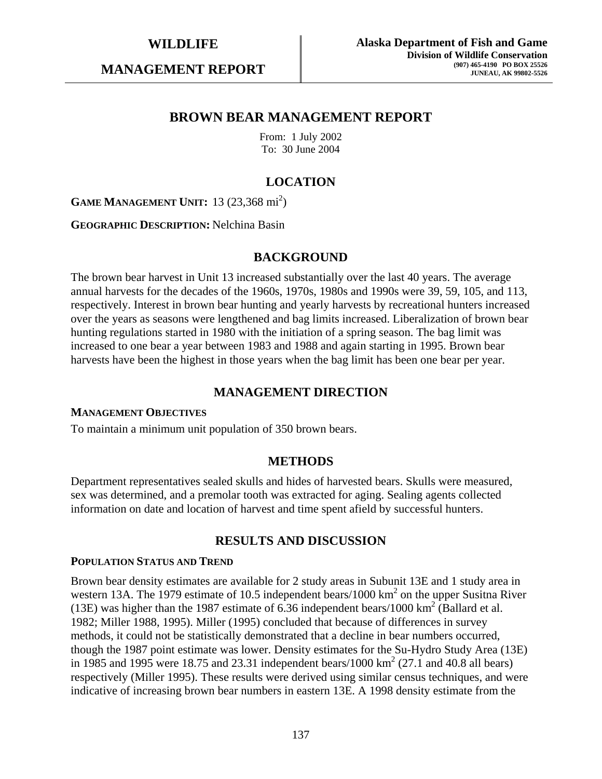**MANAGEMENT REPORT** 

# **BROWN BEAR MANAGEMENT REPORT**

From: 1 July 2002 To: 30 June 2004

# **LOCATION**

**GAME MANAGEMENT UNIT:** 13 (23,368 mi<sup>2</sup>)

**GEOGRAPHIC DESCRIPTION:** Nelchina Basin

### **BACKGROUND**

The brown bear harvest in Unit 13 increased substantially over the last 40 years. The average annual harvests for the decades of the 1960s, 1970s, 1980s and 1990s were 39, 59, 105, and 113, respectively. Interest in brown bear hunting and yearly harvests by recreational hunters increased over the years as seasons were lengthened and bag limits increased. Liberalization of brown bear hunting regulations started in 1980 with the initiation of a spring season. The bag limit was increased to one bear a year between 1983 and 1988 and again starting in 1995. Brown bear harvests have been the highest in those years when the bag limit has been one bear per year.

# **MANAGEMENT DIRECTION**

#### **MANAGEMENT OBJECTIVES**

To maintain a minimum unit population of 350 brown bears.

### **METHODS**

Department representatives sealed skulls and hides of harvested bears. Skulls were measured, sex was determined, and a premolar tooth was extracted for aging. Sealing agents collected information on date and location of harvest and time spent afield by successful hunters.

# **RESULTS AND DISCUSSION**

#### **POPULATION STATUS AND TREND**

Brown bear density estimates are available for 2 study areas in Subunit 13E and 1 study area in western 13A. The 1979 estimate of 10.5 independent bears/1000  $\text{km}^2$  on the upper Susitna River (13E) was higher than the 1987 estimate of  $6.36$  independent bears/1000 km<sup>2</sup> (Ballard et al. 1982; Miller 1988, 1995). Miller (1995) concluded that because of differences in survey methods, it could not be statistically demonstrated that a decline in bear numbers occurred, though the 1987 point estimate was lower. Density estimates for the Su-Hydro Study Area (13E) in 1985 and 1995 were 18.75 and 23.31 independent bears/1000 km<sup>2</sup> (27.1 and 40.8 all bears) respectively (Miller 1995). These results were derived using similar census techniques, and were indicative of increasing brown bear numbers in eastern 13E. A 1998 density estimate from the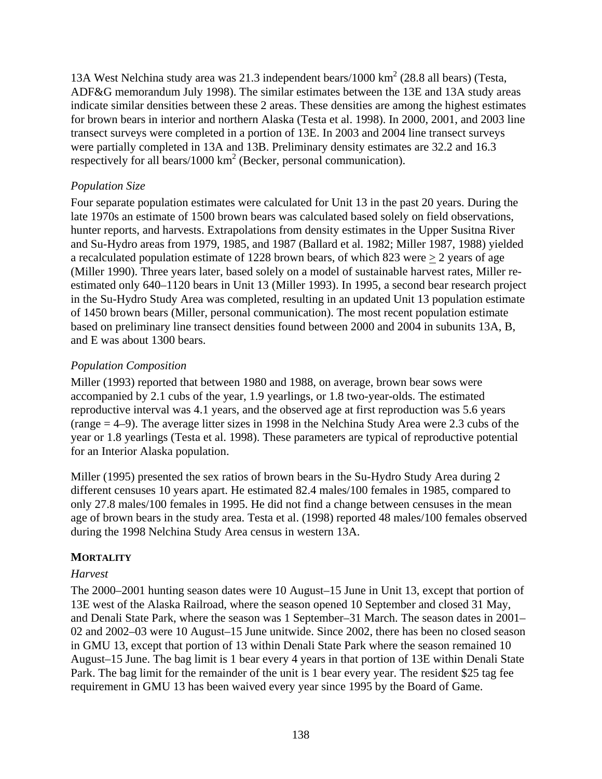13A West Nelchina study area was 21.3 independent bears/1000 km<sup>2</sup> (28.8 all bears) (Testa, ADF&G memorandum July 1998). The similar estimates between the 13E and 13A study areas indicate similar densities between these 2 areas. These densities are among the highest estimates for brown bears in interior and northern Alaska (Testa et al. 1998). In 2000, 2001, and 2003 line transect surveys were completed in a portion of 13E. In 2003 and 2004 line transect surveys were partially completed in 13A and 13B. Preliminary density estimates are 32.2 and 16.3 respectively for all bears/1000  $\text{km}^2$  (Becker, personal communication).

# *Population Size*

Four separate population estimates were calculated for Unit 13 in the past 20 years. During the late 1970s an estimate of 1500 brown bears was calculated based solely on field observations, hunter reports, and harvests. Extrapolations from density estimates in the Upper Susitna River and Su-Hydro areas from 1979, 1985, and 1987 (Ballard et al. 1982; Miller 1987, 1988) yielded a recalculated population estimate of 1228 brown bears, of which 823 were > 2 years of age (Miller 1990). Three years later, based solely on a model of sustainable harvest rates, Miller reestimated only 640–1120 bears in Unit 13 (Miller 1993). In 1995, a second bear research project in the Su-Hydro Study Area was completed, resulting in an updated Unit 13 population estimate of 1450 brown bears (Miller, personal communication). The most recent population estimate based on preliminary line transect densities found between 2000 and 2004 in subunits 13A, B, and E was about 1300 bears.

# *Population Composition*

Miller (1993) reported that between 1980 and 1988, on average, brown bear sows were accompanied by 2.1 cubs of the year, 1.9 yearlings, or 1.8 two-year-olds. The estimated reproductive interval was 4.1 years, and the observed age at first reproduction was 5.6 years (range = 4–9). The average litter sizes in 1998 in the Nelchina Study Area were 2.3 cubs of the year or 1.8 yearlings (Testa et al. 1998). These parameters are typical of reproductive potential for an Interior Alaska population.

Miller (1995) presented the sex ratios of brown bears in the Su-Hydro Study Area during 2 different censuses 10 years apart. He estimated 82.4 males/100 females in 1985, compared to only 27.8 males/100 females in 1995. He did not find a change between censuses in the mean age of brown bears in the study area. Testa et al. (1998) reported 48 males/100 females observed during the 1998 Nelchina Study Area census in western 13A.

# **MORTALITY**

# *Harvest*

The 2000–2001 hunting season dates were 10 August–15 June in Unit 13, except that portion of 13E west of the Alaska Railroad, where the season opened 10 September and closed 31 May, and Denali State Park, where the season was 1 September–31 March. The season dates in 2001– 02 and 2002–03 were 10 August–15 June unitwide. Since 2002, there has been no closed season in GMU 13, except that portion of 13 within Denali State Park where the season remained 10 August–15 June. The bag limit is 1 bear every 4 years in that portion of 13E within Denali State Park. The bag limit for the remainder of the unit is 1 bear every year. The resident \$25 tag fee requirement in GMU 13 has been waived every year since 1995 by the Board of Game.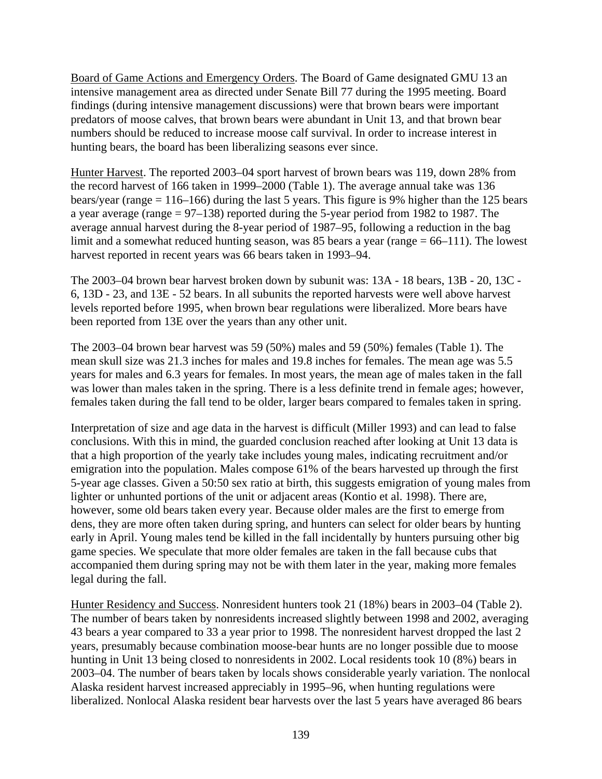Board of Game Actions and Emergency Orders. The Board of Game designated GMU 13 an intensive management area as directed under Senate Bill 77 during the 1995 meeting. Board findings (during intensive management discussions) were that brown bears were important predators of moose calves, that brown bears were abundant in Unit 13, and that brown bear numbers should be reduced to increase moose calf survival. In order to increase interest in hunting bears, the board has been liberalizing seasons ever since.

Hunter Harvest. The reported 2003–04 sport harvest of brown bears was 119, down 28% from the record harvest of 166 taken in 1999–2000 (Table 1). The average annual take was 136 bears/year (range = 116–166) during the last 5 years. This figure is 9% higher than the 125 bears a year average (range = 97–138) reported during the 5-year period from 1982 to 1987. The average annual harvest during the 8-year period of 1987–95, following a reduction in the bag limit and a somewhat reduced hunting season, was 85 bears a year (range  $= 66-111$ ). The lowest harvest reported in recent years was 66 bears taken in 1993–94.

The 2003–04 brown bear harvest broken down by subunit was: 13A - 18 bears, 13B - 20, 13C - 6, 13D - 23, and 13E - 52 bears. In all subunits the reported harvests were well above harvest levels reported before 1995, when brown bear regulations were liberalized. More bears have been reported from 13E over the years than any other unit.

The 2003–04 brown bear harvest was 59 (50%) males and 59 (50%) females (Table 1). The mean skull size was 21.3 inches for males and 19.8 inches for females. The mean age was 5.5 years for males and 6.3 years for females. In most years, the mean age of males taken in the fall was lower than males taken in the spring. There is a less definite trend in female ages; however, females taken during the fall tend to be older, larger bears compared to females taken in spring.

Interpretation of size and age data in the harvest is difficult (Miller 1993) and can lead to false conclusions. With this in mind, the guarded conclusion reached after looking at Unit 13 data is that a high proportion of the yearly take includes young males, indicating recruitment and/or emigration into the population. Males compose 61% of the bears harvested up through the first 5-year age classes. Given a 50:50 sex ratio at birth, this suggests emigration of young males from lighter or unhunted portions of the unit or adjacent areas (Kontio et al. 1998). There are, however, some old bears taken every year. Because older males are the first to emerge from dens, they are more often taken during spring, and hunters can select for older bears by hunting early in April. Young males tend be killed in the fall incidentally by hunters pursuing other big game species. We speculate that more older females are taken in the fall because cubs that accompanied them during spring may not be with them later in the year, making more females legal during the fall.

Hunter Residency and Success. Nonresident hunters took 21 (18%) bears in 2003–04 (Table 2). The number of bears taken by nonresidents increased slightly between 1998 and 2002, averaging 43 bears a year compared to 33 a year prior to 1998. The nonresident harvest dropped the last 2 years, presumably because combination moose-bear hunts are no longer possible due to moose hunting in Unit 13 being closed to nonresidents in 2002. Local residents took 10 (8%) bears in 2003–04. The number of bears taken by locals shows considerable yearly variation. The nonlocal Alaska resident harvest increased appreciably in 1995–96, when hunting regulations were liberalized. Nonlocal Alaska resident bear harvests over the last 5 years have averaged 86 bears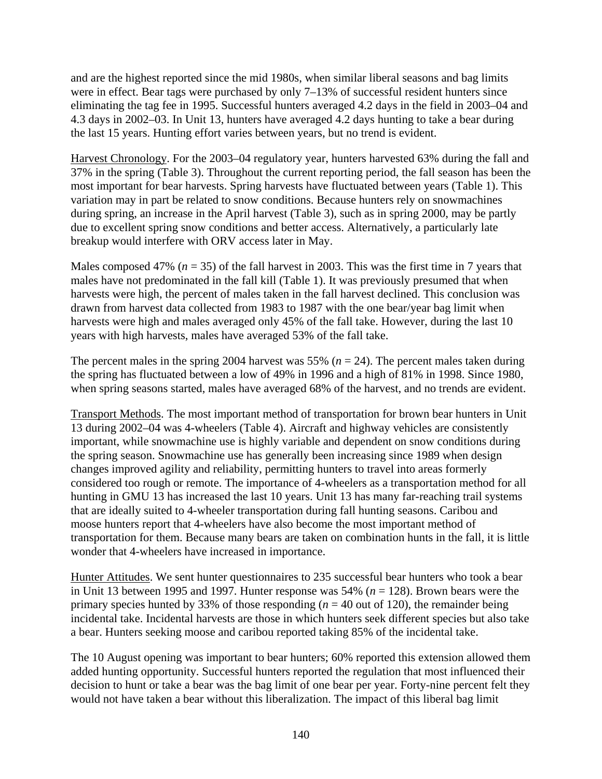and are the highest reported since the mid 1980s, when similar liberal seasons and bag limits were in effect. Bear tags were purchased by only 7–13% of successful resident hunters since eliminating the tag fee in 1995. Successful hunters averaged 4.2 days in the field in 2003–04 and 4.3 days in 2002–03. In Unit 13, hunters have averaged 4.2 days hunting to take a bear during the last 15 years. Hunting effort varies between years, but no trend is evident.

Harvest Chronology. For the 2003–04 regulatory year, hunters harvested 63% during the fall and 37% in the spring (Table 3). Throughout the current reporting period, the fall season has been the most important for bear harvests. Spring harvests have fluctuated between years (Table 1). This variation may in part be related to snow conditions. Because hunters rely on snowmachines during spring, an increase in the April harvest (Table 3), such as in spring 2000, may be partly due to excellent spring snow conditions and better access. Alternatively, a particularly late breakup would interfere with ORV access later in May.

Males composed 47% ( $n = 35$ ) of the fall harvest in 2003. This was the first time in 7 years that males have not predominated in the fall kill (Table 1). It was previously presumed that when harvests were high, the percent of males taken in the fall harvest declined. This conclusion was drawn from harvest data collected from 1983 to 1987 with the one bear/year bag limit when harvests were high and males averaged only 45% of the fall take. However, during the last 10 years with high harvests, males have averaged 53% of the fall take.

The percent males in the spring 2004 harvest was 55% ( $n = 24$ ). The percent males taken during the spring has fluctuated between a low of 49% in 1996 and a high of 81% in 1998. Since 1980, when spring seasons started, males have averaged 68% of the harvest, and no trends are evident.

Transport Methods. The most important method of transportation for brown bear hunters in Unit 13 during 2002–04 was 4-wheelers (Table 4). Aircraft and highway vehicles are consistently important, while snowmachine use is highly variable and dependent on snow conditions during the spring season. Snowmachine use has generally been increasing since 1989 when design changes improved agility and reliability, permitting hunters to travel into areas formerly considered too rough or remote. The importance of 4-wheelers as a transportation method for all hunting in GMU 13 has increased the last 10 years. Unit 13 has many far-reaching trail systems that are ideally suited to 4-wheeler transportation during fall hunting seasons. Caribou and moose hunters report that 4-wheelers have also become the most important method of transportation for them. Because many bears are taken on combination hunts in the fall, it is little wonder that 4-wheelers have increased in importance.

Hunter Attitudes. We sent hunter questionnaires to 235 successful bear hunters who took a bear in Unit 13 between 1995 and 1997. Hunter response was 54% (*n* = 128). Brown bears were the primary species hunted by 33% of those responding  $(n = 40)$  out of 120), the remainder being incidental take. Incidental harvests are those in which hunters seek different species but also take a bear. Hunters seeking moose and caribou reported taking 85% of the incidental take.

The 10 August opening was important to bear hunters; 60% reported this extension allowed them added hunting opportunity. Successful hunters reported the regulation that most influenced their decision to hunt or take a bear was the bag limit of one bear per year. Forty-nine percent felt they would not have taken a bear without this liberalization. The impact of this liberal bag limit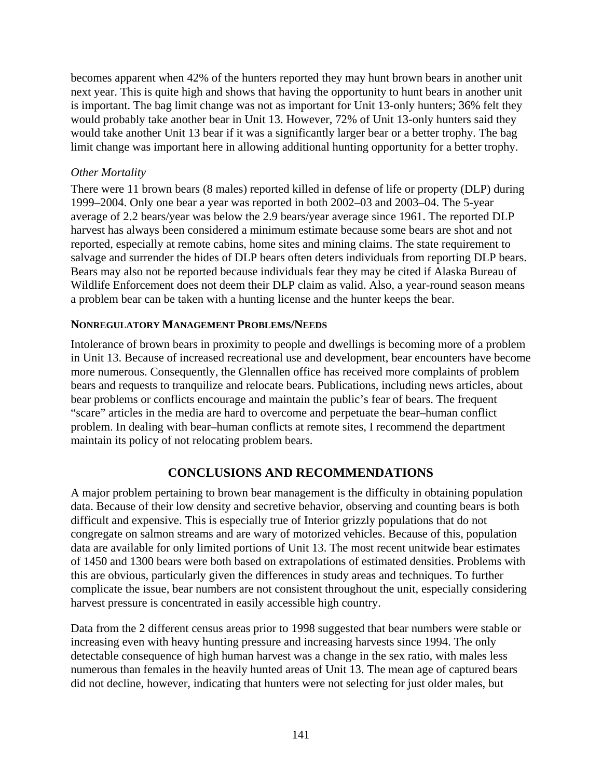becomes apparent when 42% of the hunters reported they may hunt brown bears in another unit next year. This is quite high and shows that having the opportunity to hunt bears in another unit is important. The bag limit change was not as important for Unit 13-only hunters; 36% felt they would probably take another bear in Unit 13. However, 72% of Unit 13-only hunters said they would take another Unit 13 bear if it was a significantly larger bear or a better trophy. The bag limit change was important here in allowing additional hunting opportunity for a better trophy.

### *Other Mortality*

There were 11 brown bears (8 males) reported killed in defense of life or property (DLP) during 1999–2004. Only one bear a year was reported in both 2002–03 and 2003–04. The 5-year average of 2.2 bears/year was below the 2.9 bears/year average since 1961. The reported DLP harvest has always been considered a minimum estimate because some bears are shot and not reported, especially at remote cabins, home sites and mining claims. The state requirement to salvage and surrender the hides of DLP bears often deters individuals from reporting DLP bears. Bears may also not be reported because individuals fear they may be cited if Alaska Bureau of Wildlife Enforcement does not deem their DLP claim as valid. Also, a year-round season means a problem bear can be taken with a hunting license and the hunter keeps the bear.

### **NONREGULATORY MANAGEMENT PROBLEMS/NEEDS**

Intolerance of brown bears in proximity to people and dwellings is becoming more of a problem in Unit 13. Because of increased recreational use and development, bear encounters have become more numerous. Consequently, the Glennallen office has received more complaints of problem bears and requests to tranquilize and relocate bears. Publications, including news articles, about bear problems or conflicts encourage and maintain the public's fear of bears. The frequent "scare" articles in the media are hard to overcome and perpetuate the bear–human conflict problem. In dealing with bear–human conflicts at remote sites, I recommend the department maintain its policy of not relocating problem bears.

# **CONCLUSIONS AND RECOMMENDATIONS**

A major problem pertaining to brown bear management is the difficulty in obtaining population data. Because of their low density and secretive behavior, observing and counting bears is both difficult and expensive. This is especially true of Interior grizzly populations that do not congregate on salmon streams and are wary of motorized vehicles. Because of this, population data are available for only limited portions of Unit 13. The most recent unitwide bear estimates of 1450 and 1300 bears were both based on extrapolations of estimated densities. Problems with this are obvious, particularly given the differences in study areas and techniques. To further complicate the issue, bear numbers are not consistent throughout the unit, especially considering harvest pressure is concentrated in easily accessible high country.

Data from the 2 different census areas prior to 1998 suggested that bear numbers were stable or increasing even with heavy hunting pressure and increasing harvests since 1994. The only detectable consequence of high human harvest was a change in the sex ratio, with males less numerous than females in the heavily hunted areas of Unit 13. The mean age of captured bears did not decline, however, indicating that hunters were not selecting for just older males, but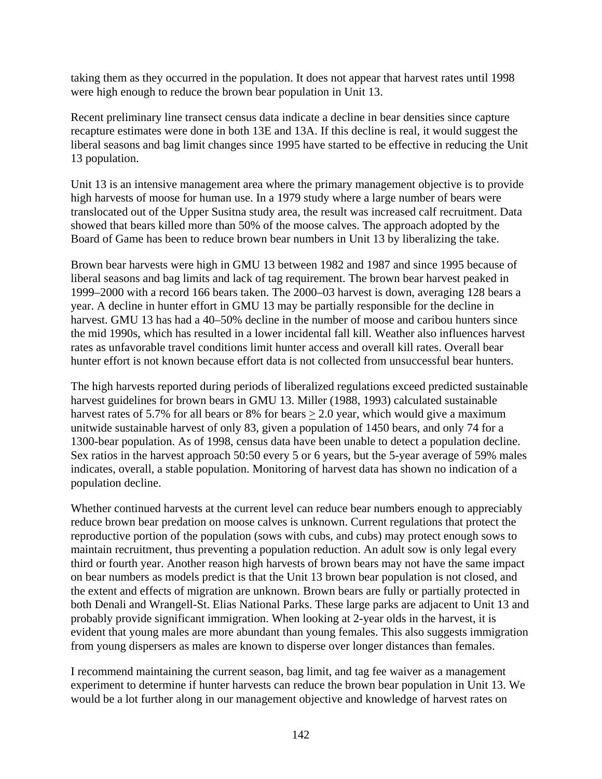taking them as they occurred in the population. It does not appear that harvest rates until 1998 were high enough to reduce the brown bear population in Unit 13.

Recent preliminary line transect census data indicate a decline in bear densities since capture recapture estimates were done in both 13E and 13A. If this decline is real, it would suggest the liberal seasons and bag limit changes since 1995 have started to be effective in reducing the Unit 13 population.

Unit 13 is an intensive management area where the primary management objective is to provide high harvests of moose for human use. In a 1979 study where a large number of bears were translocated out of the Upper Susitna study area, the result was increased calf recruitment. Data showed that bears killed more than 50% of the moose calves. The approach adopted by the Board of Game has been to reduce brown bear numbers in Unit 13 by liberalizing the take.

Brown bear harvests were high in GMU 13 between 1982 and 1987 and since 1995 because of liberal seasons and bag limits and lack of tag requirement. The brown bear harvest peaked in 1999–2000 with a record 166 bears taken. The 2000–03 harvest is down, averaging 128 bears a year. A decline in hunter effort in GMU 13 may be partially responsible for the decline in harvest. GMU 13 has had a 40–50% decline in the number of moose and caribou hunters since the mid 1990s, which has resulted in a lower incidental fall kill. Weather also influences harvest rates as unfavorable travel conditions limit hunter access and overall kill rates. Overall bear hunter effort is not known because effort data is not collected from unsuccessful bear hunters.

The high harvests reported during periods of liberalized regulations exceed predicted sustainable harvest guidelines for brown bears in GMU 13. Miller (1988, 1993) calculated sustainable harvest rates of 5.7% for all bears or 8% for bears  $> 2.0$  year, which would give a maximum unitwide sustainable harvest of only 83, given a population of 1450 bears, and only 74 for a 1300-bear population. As of 1998, census data have been unable to detect a population decline. Sex ratios in the harvest approach 50:50 every 5 or 6 years, but the 5-year average of 59% males indicates, overall, a stable population. Monitoring of harvest data has shown no indication of a population decline.

Whether continued harvests at the current level can reduce bear numbers enough to appreciably reduce brown bear predation on moose calves is unknown. Current regulations that protect the reproductive portion of the population (sows with cubs, and cubs) may protect enough sows to maintain recruitment, thus preventing a population reduction. An adult sow is only legal every third or fourth year. Another reason high harvests of brown bears may not have the same impact on bear numbers as models predict is that the Unit 13 brown bear population is not closed, and the extent and effects of migration are unknown. Brown bears are fully or partially protected in both Denali and Wrangell-St. Elias National Parks. These large parks are adjacent to Unit 13 and probably provide significant immigration. When looking at 2-year olds in the harvest, it is evident that young males are more abundant than young females. This also suggests immigration from young dispersers as males are known to disperse over longer distances than females.

I recommend maintaining the current season, bag limit, and tag fee waiver as a management experiment to determine if hunter harvests can reduce the brown bear population in Unit 13. We would be a lot further along in our management objective and knowledge of harvest rates on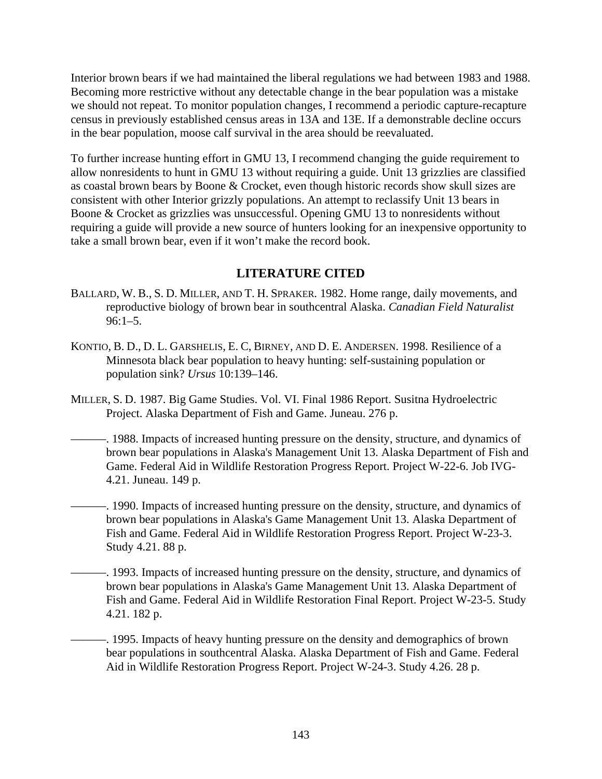Interior brown bears if we had maintained the liberal regulations we had between 1983 and 1988. Becoming more restrictive without any detectable change in the bear population was a mistake we should not repeat. To monitor population changes, I recommend a periodic capture-recapture census in previously established census areas in 13A and 13E. If a demonstrable decline occurs in the bear population, moose calf survival in the area should be reevaluated.

To further increase hunting effort in GMU 13, I recommend changing the guide requirement to allow nonresidents to hunt in GMU 13 without requiring a guide. Unit 13 grizzlies are classified as coastal brown bears by Boone & Crocket, even though historic records show skull sizes are consistent with other Interior grizzly populations. An attempt to reclassify Unit 13 bears in Boone & Crocket as grizzlies was unsuccessful. Opening GMU 13 to nonresidents without requiring a guide will provide a new source of hunters looking for an inexpensive opportunity to take a small brown bear, even if it won't make the record book.

# **LITERATURE CITED**

- BALLARD, W. B., S. D. MILLER, AND T. H. SPRAKER. 1982. Home range, daily movements, and reproductive biology of brown bear in southcentral Alaska. *Canadian Field Naturalist*  $96:1-5.$
- KONTIO, B. D., D. L. GARSHELIS, E. C, BIRNEY, AND D. E. ANDERSEN. 1998. Resilience of a Minnesota black bear population to heavy hunting: self-sustaining population or population sink? *Ursus* 10:139–146.
- MILLER, S. D. 1987. Big Game Studies. Vol. VI. Final 1986 Report. Susitna Hydroelectric Project. Alaska Department of Fish and Game. Juneau. 276 p.
- ———. 1988. Impacts of increased hunting pressure on the density, structure, and dynamics of brown bear populations in Alaska's Management Unit 13. Alaska Department of Fish and Game. Federal Aid in Wildlife Restoration Progress Report. Project W-22-6. Job IVG-4.21. Juneau. 149 p.
	- ———. 1990. Impacts of increased hunting pressure on the density, structure, and dynamics of brown bear populations in Alaska's Game Management Unit 13. Alaska Department of Fish and Game. Federal Aid in Wildlife Restoration Progress Report. Project W-23-3. Study 4.21. 88 p.
	- ———. 1993. Impacts of increased hunting pressure on the density, structure, and dynamics of brown bear populations in Alaska's Game Management Unit 13. Alaska Department of Fish and Game. Federal Aid in Wildlife Restoration Final Report. Project W-23-5. Study 4.21. 182 p.
		- ———. 1995. Impacts of heavy hunting pressure on the density and demographics of brown bear populations in southcentral Alaska. Alaska Department of Fish and Game. Federal Aid in Wildlife Restoration Progress Report. Project W-24-3. Study 4.26. 28 p.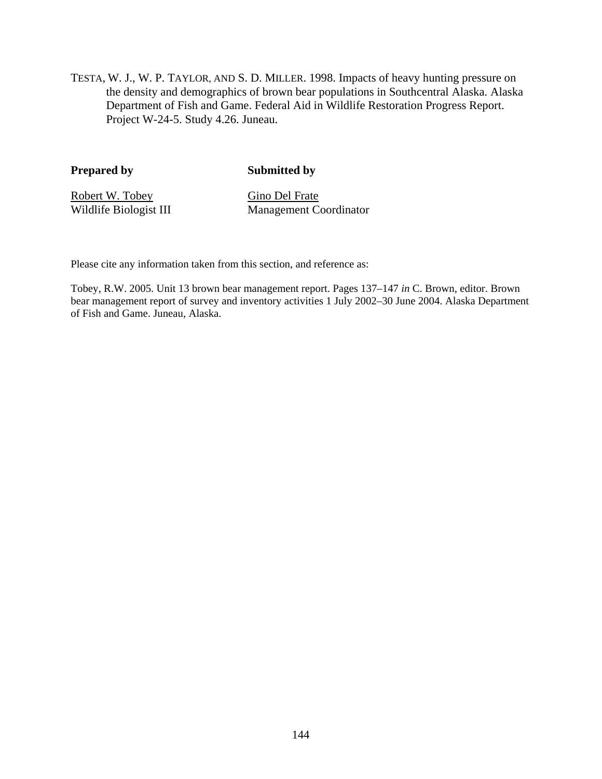TESTA, W. J., W. P. TAYLOR, AND S. D. MILLER. 1998. Impacts of heavy hunting pressure on the density and demographics of brown bear populations in Southcentral Alaska. Alaska Department of Fish and Game. Federal Aid in Wildlife Restoration Progress Report. Project W-24-5. Study 4.26. Juneau.

**Prepared by Submitted by** 

Robert W. Tobey Gino Del Frate

Wildlife Biologist III Management Coordinator

Please cite any information taken from this section, and reference as:

Tobey, R.W. 2005. Unit 13 brown bear management report. Pages 137–147 *in* C. Brown, editor. Brown bear management report of survey and inventory activities 1 July 2002–30 June 2004. Alaska Department of Fish and Game. Juneau, Alaska.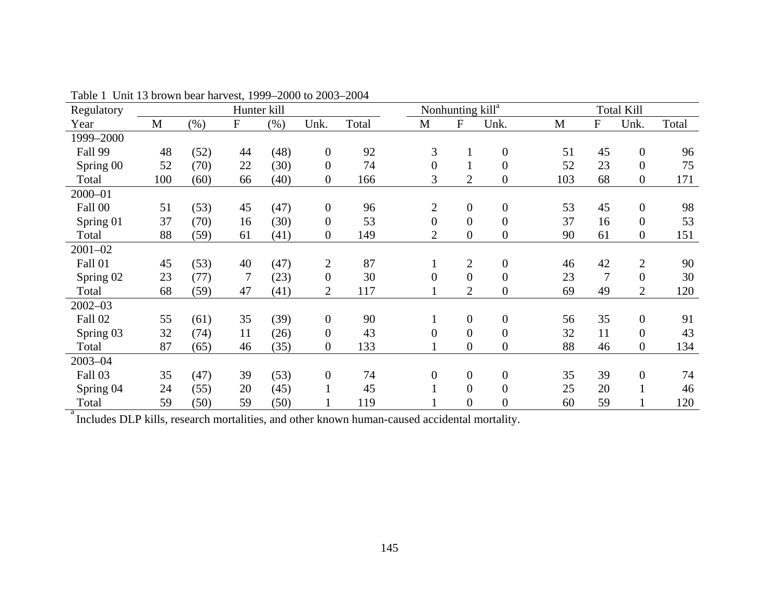| Regulatory                                                                                   |             |         |           | Hunter kill |                  |       |                  | Nonhunting kill <sup>a</sup> |                  |     |                | <b>Total Kill</b> |       |
|----------------------------------------------------------------------------------------------|-------------|---------|-----------|-------------|------------------|-------|------------------|------------------------------|------------------|-----|----------------|-------------------|-------|
| Year                                                                                         | $\mathbf M$ | $(\% )$ | ${\bf F}$ | (% )        | Unk.             | Total | $\mathbf M$      | ${\bf F}$                    | Unk.             | M   | ${\bf F}$      | Unk.              | Total |
| 1999-2000                                                                                    |             |         |           |             |                  |       |                  |                              |                  |     |                |                   |       |
| Fall 99                                                                                      | 48          | (52)    | 44        | (48)        | $\boldsymbol{0}$ | 92    | 3                | $\mathbf{1}$                 | $\boldsymbol{0}$ | 51  | 45             | $\overline{0}$    | 96    |
| Spring 00                                                                                    | 52          | (70)    | 22        | (30)        | $\boldsymbol{0}$ | 74    | $\theta$         | $\mathbf{1}$                 | $\overline{0}$   | 52  | 23             | $\mathbf{0}$      | 75    |
| Total                                                                                        | 100         | (60)    | 66        | (40)        | $\boldsymbol{0}$ | 166   | 3                | $\overline{2}$               | $\boldsymbol{0}$ | 103 | 68             | $\boldsymbol{0}$  | 171   |
| 2000-01                                                                                      |             |         |           |             |                  |       |                  |                              |                  |     |                |                   |       |
| Fall 00                                                                                      | 51          | (53)    | 45        | (47)        | $\mathbf{0}$     | 96    | $\overline{2}$   | $\boldsymbol{0}$             | $\boldsymbol{0}$ | 53  | 45             | $\mathbf{0}$      | 98    |
| Spring 01                                                                                    | 37          | (70)    | 16        | (30)        | $\boldsymbol{0}$ | 53    | $\overline{0}$   | $\theta$                     | $\boldsymbol{0}$ | 37  | 16             | $\mathbf{0}$      | 53    |
| Total                                                                                        | 88          | (59)    | 61        | (41)        | $\boldsymbol{0}$ | 149   | $\overline{2}$   | $\overline{0}$               | $\boldsymbol{0}$ | 90  | 61             | $\boldsymbol{0}$  | 151   |
| $2001 - 02$                                                                                  |             |         |           |             |                  |       |                  |                              |                  |     |                |                   |       |
| Fall 01                                                                                      | 45          | (53)    | 40        | (47)        | $\overline{2}$   | 87    | 1                | $\overline{2}$               | $\boldsymbol{0}$ | 46  | 42             | $\overline{2}$    | 90    |
| Spring 02                                                                                    | 23          | (77)    | 7         | (23)        | $\boldsymbol{0}$ | 30    | $\theta$         | $\overline{0}$               | $\overline{0}$   | 23  | $\overline{7}$ | $\mathbf{0}$      | 30    |
| Total                                                                                        | 68          | (59)    | 47        | (41)        | $\overline{c}$   | 117   |                  | $\overline{2}$               | $\boldsymbol{0}$ | 69  | 49             | 2                 | 120   |
| $2002 - 03$                                                                                  |             |         |           |             |                  |       |                  |                              |                  |     |                |                   |       |
| Fall 02                                                                                      | 55          | (61)    | 35        | (39)        | $\overline{0}$   | 90    | $\mathbf{1}$     | $\boldsymbol{0}$             | $\boldsymbol{0}$ | 56  | 35             | $\overline{0}$    | 91    |
| Spring 03                                                                                    | 32          | (74)    | 11        | (26)        | $\boldsymbol{0}$ | 43    | $\boldsymbol{0}$ | $\boldsymbol{0}$             | $\boldsymbol{0}$ | 32  | 11             | $\overline{0}$    | 43    |
| Total                                                                                        | 87          | (65)    | 46        | (35)        | $\overline{0}$   | 133   |                  | $\boldsymbol{0}$             | $\boldsymbol{0}$ | 88  | 46             | $\boldsymbol{0}$  | 134   |
| $2003 - 04$                                                                                  |             |         |           |             |                  |       |                  |                              |                  |     |                |                   |       |
| Fall 03                                                                                      | 35          | (47)    | 39        | (53)        | $\overline{0}$   | 74    | $\boldsymbol{0}$ | $\boldsymbol{0}$             | $\boldsymbol{0}$ | 35  | 39             | $\boldsymbol{0}$  | 74    |
| Spring 04                                                                                    | 24          | (55)    | 20        | (45)        | $\mathbf{1}$     | 45    |                  | $\overline{0}$               | $\boldsymbol{0}$ | 25  | 20             |                   | 46    |
| Total                                                                                        | 59          | (50)    | 59        | (50)        |                  | 119   |                  | $\boldsymbol{0}$             | $\boldsymbol{0}$ | 60  | 59             | 1                 | 120   |
| Includes DLP kills, research mortalities, and other known human-caused accidental mortality. |             |         |           |             |                  |       |                  |                              |                  |     |                |                   |       |

Table 1 Unit 13 brown bear harvest, 1999–2000 to 2003–2004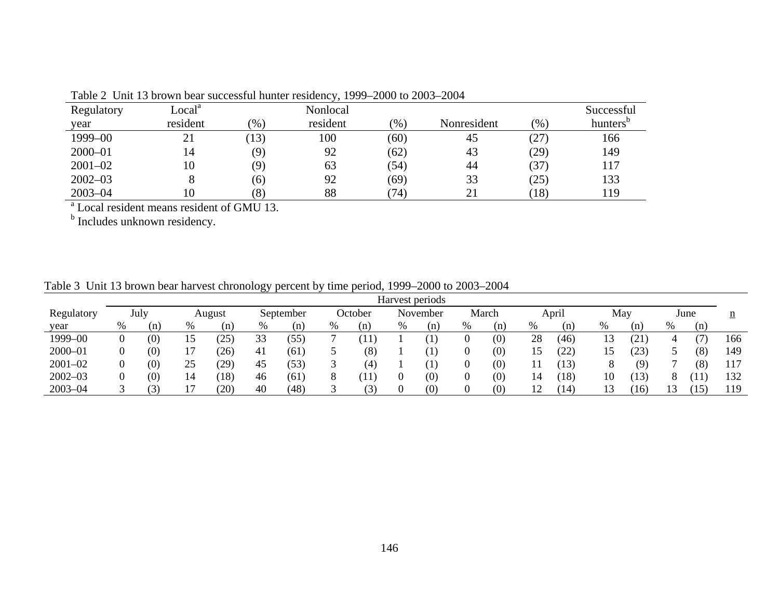|             |                    |      | THE LABORAL DRIVING DUAL SUCCESSION NUMERIC INSIGATION, 1999 ZOOO TO 2009 ZOOT |      |             |       |                      |
|-------------|--------------------|------|--------------------------------------------------------------------------------|------|-------------|-------|----------------------|
| Regulatory  | Local <sup>a</sup> |      | Nonlocal                                                                       |      |             |       | Successful           |
| year        | resident           | (% ) | resident                                                                       | (96) | Nonresident | (0/0) | hunters <sup>t</sup> |
| $1999 - 00$ |                    | (13) | 100                                                                            | (60) | 45          | (27)  | 166                  |
| $2000 - 01$ | $\overline{4}$     | (9)  | 92                                                                             | (62) | 43          | (29)  | 149                  |
| $2001 - 02$ | l0                 | (9)  | 63                                                                             | (54) | 44          | (37)  | 117                  |
| $2002 - 03$ |                    | (6)  | 92                                                                             | (69) | 33          | (25)  | 133                  |
| $2003 - 04$ |                    | (8)  | 88                                                                             | (74) | 21          | (18)  | 119                  |
|             |                    |      |                                                                                |      |             |       |                      |

Table 2 Unit 13 brown bear successful hunter residency, 1999–2000 to 2003–2004

<sup>a</sup> Local resident means resident of GMU 13.<br><sup>b</sup> Includes unknown residency.

|  | Table 3 Unit 13 brown bear harvest chronology percent by time period, 1999–2000 to 2003–2004 |  |  |  |
|--|----------------------------------------------------------------------------------------------|--|--|--|
|  |                                                                                              |  |  |  |

|             |      |                   |    |                   |    |                   |   |                          |   | Harvest periods   |   |       |                 |              |              |                         |   |            |     |
|-------------|------|-------------------|----|-------------------|----|-------------------|---|--------------------------|---|-------------------|---|-------|-----------------|--------------|--------------|-------------------------|---|------------|-----|
| Regulatory  |      | July              |    | August            |    | September         |   | October                  |   | November          |   | March |                 | April        | May          |                         |   | June       | n   |
| year        | $\%$ | (n)               | %  | (n)               | %  | (n)               | % | (n)                      | % | (n)               | % | (n)   | %               | n)           | %            | (n)                     | % | (n)        |     |
| 1999-00     |      | $\left( 0\right)$ |    | 25                | 33 | $\left[55\right]$ |   | 11                       |   |                   |   | (0)   | 28              | (46)         | 1 ^<br>13    | $^{(21)}$               | 4 |            | 166 |
| $2000 - 01$ |      | (0)               |    | 26                | 41 | (61)              |   | (8)                      |   | $\ket{1}$         |   | (0)   | 15              | (22)         | 15           | (23)                    |   | (8)        | 149 |
| $2001 - 02$ |      | (0)               | 25 | $\left(29\right)$ | 45 | (53)              |   | (4                       |   | $\left(1\right)$  |   | (0)   |                 | 13)          |              | (9)                     |   | (8)        | 117 |
| $2002 - 03$ |      | $\left( 0\right)$ | 14 | (18)              | 46 | (61               |   | 11                       |   | (0)               |   | (0)   | $\overline{14}$ | (18)         | 10           | (13)                    |   | Ί1         | 132 |
| $2003 - 04$ |      |                   |    | $20^{\circ}$      | 40 | (48)              |   | $\overline{\phantom{a}}$ |   | $\left( 0\right)$ |   | (0)   | ⊥ ∠             | $14^{\circ}$ | $\sim$<br>13 | $\left 16\right\rangle$ |   | $15^\circ$ | 119 |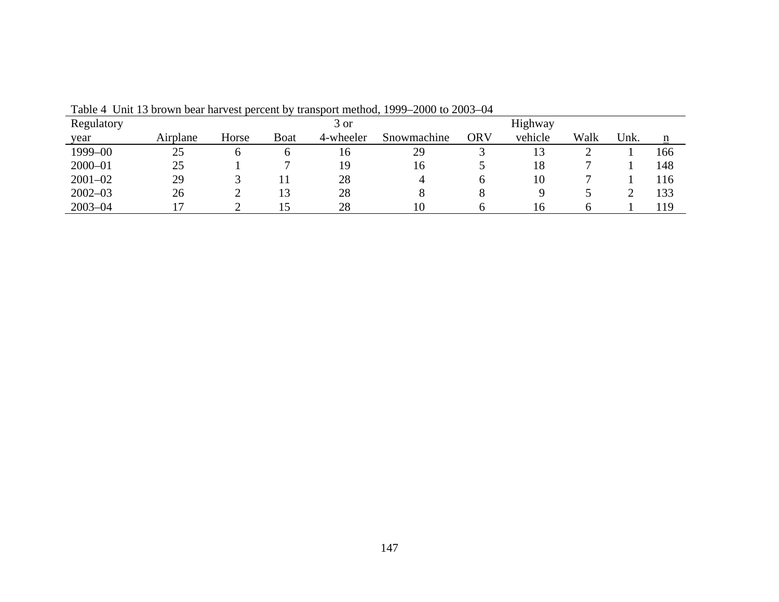|             |          |       |             | ------    | ----        |            |         |      |      |                 |
|-------------|----------|-------|-------------|-----------|-------------|------------|---------|------|------|-----------------|
| Regulatory  |          |       |             | 3 or      |             |            | Highway |      |      |                 |
| year        | Airplane | Horse | <b>Boat</b> | 4-wheeler | Snowmachine | <b>ORV</b> | vehicle | Walk | Unk. | $\underline{n}$ |
| 1999-00     | 25       |       |             | 16        | 29          |            | 13      |      |      | 166             |
| $2000 - 01$ | 25       |       |             | 19        | 16          |            | 18      |      |      | 148             |
| $2001 - 02$ | 29       |       |             | 28        | $\Delta$    | O          | 10      |      |      | 116             |
| $2002 - 03$ | 26       |       | 13          | 28        |             |            |         |      |      | 133             |
| $2003 - 04$ |          |       |             | 28        | 10          |            | 16      |      |      | 119             |

Table 4 Unit 13 brown bear harvest percent by transport method, 1999–2000 to 2003–04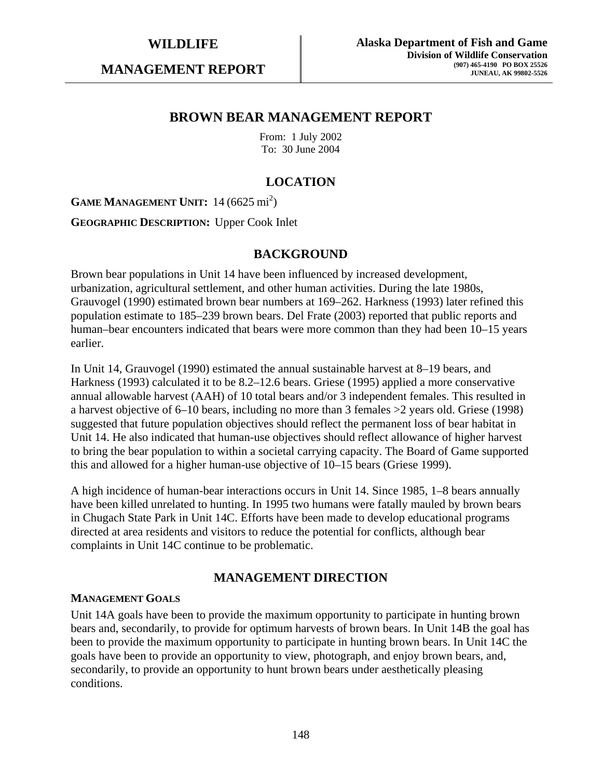**MANAGEMENT REPORT** 

# **BROWN BEAR MANAGEMENT REPORT**

From: 1 July 2002 To: 30 June 2004

# **LOCATION**

**GAME MANAGEMENT UNIT:** 14 (6625 mi<sup>2</sup>)

**GEOGRAPHIC DESCRIPTION:** Upper Cook Inlet

# **BACKGROUND**

Brown bear populations in Unit 14 have been influenced by increased development, urbanization, agricultural settlement, and other human activities. During the late 1980s, Grauvogel (1990) estimated brown bear numbers at 169–262. Harkness (1993) later refined this population estimate to 185–239 brown bears. Del Frate (2003) reported that public reports and human–bear encounters indicated that bears were more common than they had been 10–15 years earlier.

In Unit 14, Grauvogel (1990) estimated the annual sustainable harvest at 8–19 bears, and Harkness (1993) calculated it to be 8.2–12.6 bears. Griese (1995) applied a more conservative annual allowable harvest (AAH) of 10 total bears and/or 3 independent females. This resulted in a harvest objective of 6–10 bears, including no more than 3 females >2 years old. Griese (1998) suggested that future population objectives should reflect the permanent loss of bear habitat in Unit 14. He also indicated that human-use objectives should reflect allowance of higher harvest to bring the bear population to within a societal carrying capacity. The Board of Game supported this and allowed for a higher human-use objective of 10–15 bears (Griese 1999).

A high incidence of human-bear interactions occurs in Unit 14. Since 1985, 1–8 bears annually have been killed unrelated to hunting. In 1995 two humans were fatally mauled by brown bears in Chugach State Park in Unit 14C. Efforts have been made to develop educational programs directed at area residents and visitors to reduce the potential for conflicts, although bear complaints in Unit 14C continue to be problematic.

# **MANAGEMENT DIRECTION**

#### **MANAGEMENT GOALS**

Unit 14A goals have been to provide the maximum opportunity to participate in hunting brown bears and, secondarily, to provide for optimum harvests of brown bears. In Unit 14B the goal has been to provide the maximum opportunity to participate in hunting brown bears. In Unit 14C the goals have been to provide an opportunity to view, photograph, and enjoy brown bears, and, secondarily, to provide an opportunity to hunt brown bears under aesthetically pleasing conditions.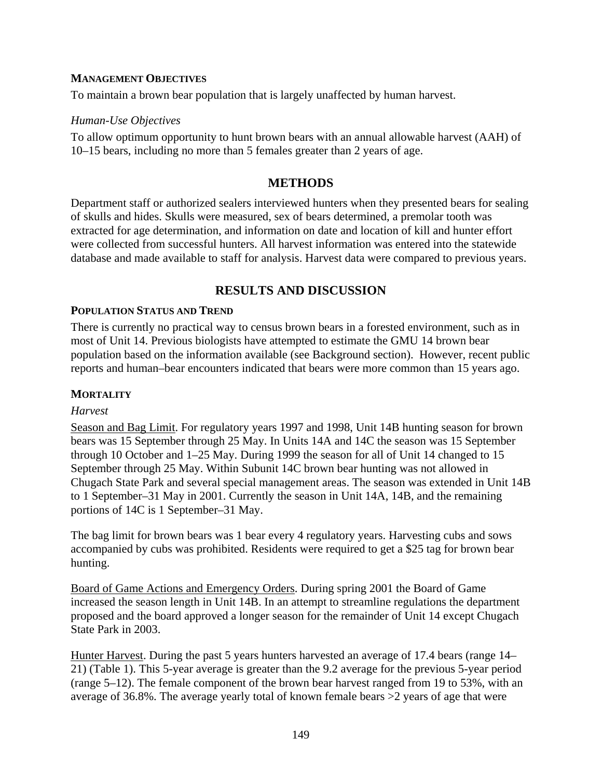### **MANAGEMENT OBJECTIVES**

To maintain a brown bear population that is largely unaffected by human harvest.

### *Human-Use Objectives*

To allow optimum opportunity to hunt brown bears with an annual allowable harvest (AAH) of 10–15 bears, including no more than 5 females greater than 2 years of age.

# **METHODS**

Department staff or authorized sealers interviewed hunters when they presented bears for sealing of skulls and hides. Skulls were measured, sex of bears determined, a premolar tooth was extracted for age determination, and information on date and location of kill and hunter effort were collected from successful hunters. All harvest information was entered into the statewide database and made available to staff for analysis. Harvest data were compared to previous years.

# **RESULTS AND DISCUSSION**

#### **POPULATION STATUS AND TREND**

There is currently no practical way to census brown bears in a forested environment, such as in most of Unit 14. Previous biologists have attempted to estimate the GMU 14 brown bear population based on the information available (see Background section). However, recent public reports and human–bear encounters indicated that bears were more common than 15 years ago.

#### **MORTALITY**

#### *Harvest*

Season and Bag Limit. For regulatory years 1997 and 1998, Unit 14B hunting season for brown bears was 15 September through 25 May. In Units 14A and 14C the season was 15 September through 10 October and 1–25 May. During 1999 the season for all of Unit 14 changed to 15 September through 25 May. Within Subunit 14C brown bear hunting was not allowed in Chugach State Park and several special management areas. The season was extended in Unit 14B to 1 September–31 May in 2001. Currently the season in Unit 14A, 14B, and the remaining portions of 14C is 1 September–31 May.

The bag limit for brown bears was 1 bear every 4 regulatory years. Harvesting cubs and sows accompanied by cubs was prohibited. Residents were required to get a \$25 tag for brown bear hunting.

Board of Game Actions and Emergency Orders. During spring 2001 the Board of Game increased the season length in Unit 14B. In an attempt to streamline regulations the department proposed and the board approved a longer season for the remainder of Unit 14 except Chugach State Park in 2003.

Hunter Harvest. During the past 5 years hunters harvested an average of 17.4 bears (range 14– 21) (Table 1). This 5-year average is greater than the 9.2 average for the previous 5-year period (range 5–12). The female component of the brown bear harvest ranged from 19 to 53%, with an average of 36.8%. The average yearly total of known female bears >2 years of age that were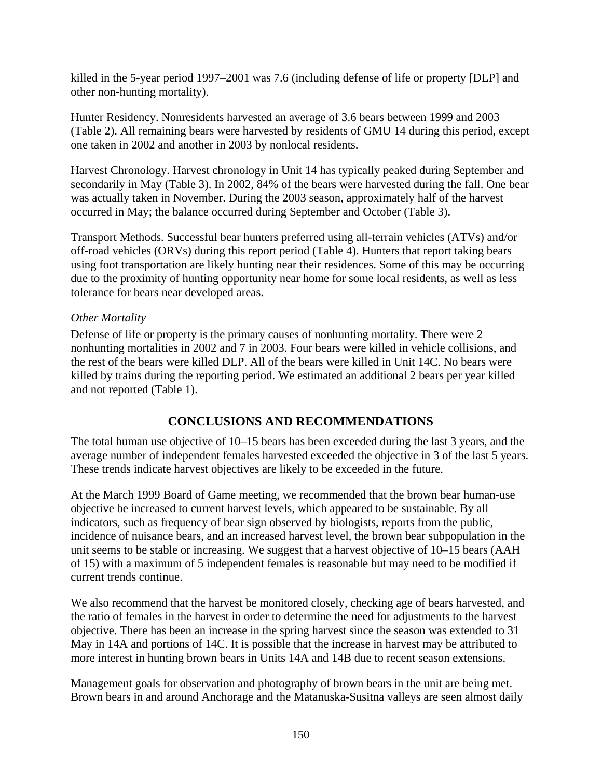killed in the 5-year period 1997–2001 was 7.6 (including defense of life or property [DLP] and other non-hunting mortality).

Hunter Residency. Nonresidents harvested an average of 3.6 bears between 1999 and 2003 (Table 2). All remaining bears were harvested by residents of GMU 14 during this period, except one taken in 2002 and another in 2003 by nonlocal residents.

Harvest Chronology. Harvest chronology in Unit 14 has typically peaked during September and secondarily in May (Table 3). In 2002, 84% of the bears were harvested during the fall. One bear was actually taken in November. During the 2003 season, approximately half of the harvest occurred in May; the balance occurred during September and October (Table 3).

Transport Methods. Successful bear hunters preferred using all-terrain vehicles (ATVs) and/or off-road vehicles (ORVs) during this report period (Table 4). Hunters that report taking bears using foot transportation are likely hunting near their residences. Some of this may be occurring due to the proximity of hunting opportunity near home for some local residents, as well as less tolerance for bears near developed areas.

# *Other Mortality*

Defense of life or property is the primary causes of nonhunting mortality. There were 2 nonhunting mortalities in 2002 and 7 in 2003. Four bears were killed in vehicle collisions, and the rest of the bears were killed DLP. All of the bears were killed in Unit 14C. No bears were killed by trains during the reporting period. We estimated an additional 2 bears per year killed and not reported (Table 1).

# **CONCLUSIONS AND RECOMMENDATIONS**

The total human use objective of 10–15 bears has been exceeded during the last 3 years, and the average number of independent females harvested exceeded the objective in 3 of the last 5 years. These trends indicate harvest objectives are likely to be exceeded in the future.

At the March 1999 Board of Game meeting, we recommended that the brown bear human-use objective be increased to current harvest levels, which appeared to be sustainable. By all indicators, such as frequency of bear sign observed by biologists, reports from the public, incidence of nuisance bears, and an increased harvest level, the brown bear subpopulation in the unit seems to be stable or increasing. We suggest that a harvest objective of 10–15 bears (AAH of 15) with a maximum of 5 independent females is reasonable but may need to be modified if current trends continue.

We also recommend that the harvest be monitored closely, checking age of bears harvested, and the ratio of females in the harvest in order to determine the need for adjustments to the harvest objective. There has been an increase in the spring harvest since the season was extended to 31 May in 14A and portions of 14C. It is possible that the increase in harvest may be attributed to more interest in hunting brown bears in Units 14A and 14B due to recent season extensions.

Management goals for observation and photography of brown bears in the unit are being met. Brown bears in and around Anchorage and the Matanuska-Susitna valleys are seen almost daily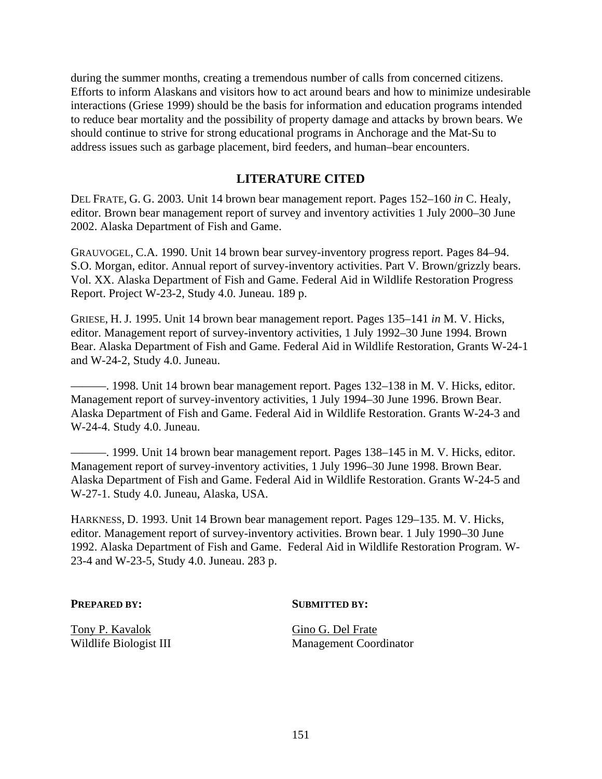during the summer months, creating a tremendous number of calls from concerned citizens. Efforts to inform Alaskans and visitors how to act around bears and how to minimize undesirable interactions (Griese 1999) should be the basis for information and education programs intended to reduce bear mortality and the possibility of property damage and attacks by brown bears. We should continue to strive for strong educational programs in Anchorage and the Mat-Su to address issues such as garbage placement, bird feeders, and human–bear encounters.

# **LITERATURE CITED**

DEL FRATE, G. G. 2003. Unit 14 brown bear management report. Pages 152–160 *in* C. Healy, editor. Brown bear management report of survey and inventory activities 1 July 2000–30 June 2002. Alaska Department of Fish and Game.

GRAUVOGEL, C.A. 1990. Unit 14 brown bear survey-inventory progress report. Pages 84–94. S.O. Morgan, editor. Annual report of survey-inventory activities. Part V. Brown/grizzly bears. Vol. XX. Alaska Department of Fish and Game. Federal Aid in Wildlife Restoration Progress Report. Project W-23-2, Study 4.0. Juneau. 189 p.

GRIESE, H. J. 1995. Unit 14 brown bear management report. Pages 135–141 *in* M. V. Hicks, editor. Management report of survey-inventory activities, 1 July 1992–30 June 1994. Brown Bear. Alaska Department of Fish and Game. Federal Aid in Wildlife Restoration, Grants W-24-1 and W-24-2, Study 4.0. Juneau.

———. 1998. Unit 14 brown bear management report. Pages 132–138 in M. V. Hicks, editor. Management report of survey-inventory activities, 1 July 1994–30 June 1996. Brown Bear. Alaska Department of Fish and Game. Federal Aid in Wildlife Restoration. Grants W-24-3 and W-24-4. Study 4.0. Juneau.

———. 1999. Unit 14 brown bear management report. Pages 138–145 in M. V. Hicks, editor. Management report of survey-inventory activities, 1 July 1996–30 June 1998. Brown Bear. Alaska Department of Fish and Game. Federal Aid in Wildlife Restoration. Grants W-24-5 and W-27-1. Study 4.0. Juneau, Alaska, USA.

HARKNESS, D. 1993. Unit 14 Brown bear management report. Pages 129–135. M. V. Hicks, editor. Management report of survey-inventory activities. Brown bear. 1 July 1990–30 June 1992. Alaska Department of Fish and Game. Federal Aid in Wildlife Restoration Program. W-23-4 and W-23-5, Study 4.0. Juneau. 283 p.

#### **PREPARED BY:** SUBMITTED BY:

Tony P. Kavalok Gino G. Del Frate

Wildlife Biologist III Management Coordinator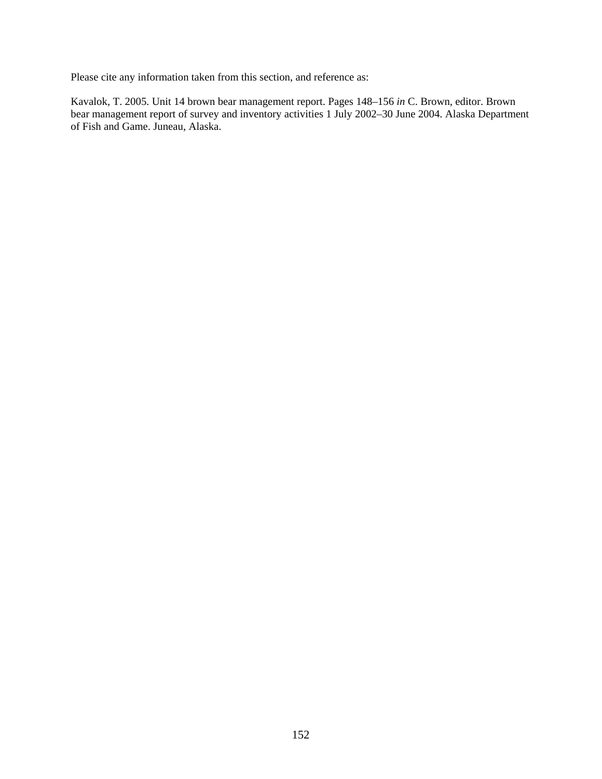Please cite any information taken from this section, and reference as:

Kavalok, T. 2005. Unit 14 brown bear management report. Pages 148–156 *in* C. Brown, editor. Brown bear management report of survey and inventory activities 1 July 2002–30 June 2004. Alaska Department of Fish and Game. Juneau, Alaska.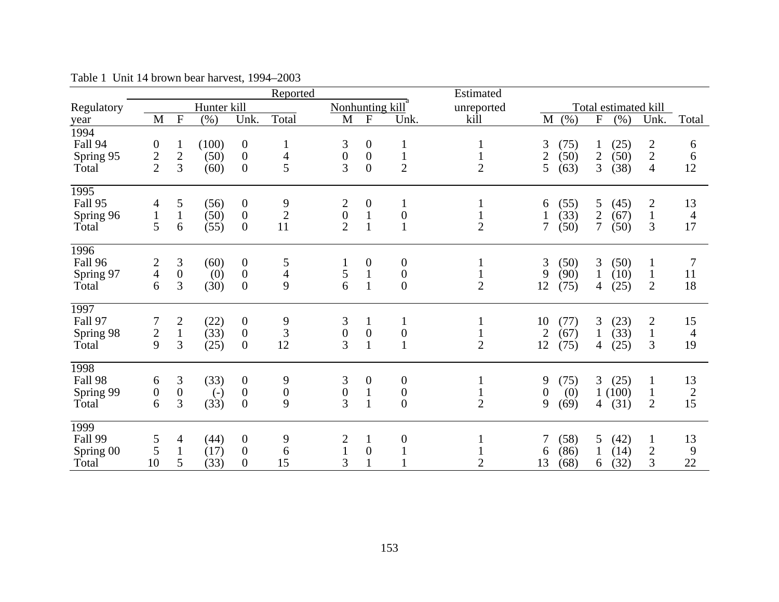|                   |                  |                  |                   |                  | Reported         |                                              |                  |                  | Estimated      |                  |      |                |                      |                |                |
|-------------------|------------------|------------------|-------------------|------------------|------------------|----------------------------------------------|------------------|------------------|----------------|------------------|------|----------------|----------------------|----------------|----------------|
| Regulatory        |                  |                  | Hunter kill       |                  |                  | Nonhunting kill                              |                  |                  | unreported     |                  |      |                | Total estimated kill |                |                |
| year              | M                | $\overline{F}$   | $(\% )$           | Unk.             | Total            | M                                            | $\mathbf{F}$     | Unk.             | kill           | M                | (% ) | ${\bf F}$      | (% )                 | Unk.           | Total          |
| 1994              |                  |                  |                   |                  |                  |                                              |                  |                  |                |                  |      |                |                      |                |                |
| Fall 94           | $\boldsymbol{0}$ | $\mathbf{1}$     | (100)             | $\boldsymbol{0}$ | 1                | 3                                            | $\boldsymbol{0}$ | $\mathbf{1}$     | $\mathbf{1}$   | 3                | (75) | $\mathbf{1}$   | (25)                 |                | 6              |
| Spring 95         | $\frac{2}{2}$    | $rac{2}{3}$      | (50)              | $\boldsymbol{0}$ | $\overline{4}$   | $\overline{0}$                               | $\boldsymbol{0}$ | $\mathbf{1}$     |                | $\overline{2}$   | (50) | $\sqrt{2}$     | (50)                 | $\frac{2}{4}$  | 6              |
| Total             |                  |                  | (60)              | $\overline{0}$   | 5                | 3                                            | $\overline{0}$   | $\overline{2}$   | $\overline{2}$ | 5                | (63) | 3              | (38)                 |                | 12             |
| 1995              |                  |                  |                   |                  |                  |                                              |                  |                  |                |                  |      |                |                      |                |                |
| Fall 95           | 4                | 5                | (56)              | $\boldsymbol{0}$ | 9                | $\begin{smallmatrix} 2\\0 \end{smallmatrix}$ | $\boldsymbol{0}$ | $\mathbf{1}$     |                | 6                | (55) | 5              | (45)                 | $\overline{2}$ | 13             |
| Spring 96         | $\mathbf 1$      | $\mathbf{1}$     | (50)              | $\boldsymbol{0}$ | $\overline{2}$   |                                              | $\mathbf{1}$     | $\boldsymbol{0}$ |                |                  | (33) | $\overline{2}$ | (67)                 | $\mathbf{1}$   | $\overline{4}$ |
| Total             | 5                | 6                | (55)              | $\overline{0}$   | 11               | $\overline{2}$                               | $\mathbf{1}$     | $\mathbf{1}$     | $\overline{2}$ | $\overline{7}$   | (50) | 7              | (50)                 | 3              | 17             |
| 1996              |                  |                  |                   |                  |                  |                                              |                  |                  |                |                  |      |                |                      |                |                |
| Fall 96           | $\frac{2}{4}$    | $\mathfrak{Z}$   | (60)              | $\boldsymbol{0}$ | 5                |                                              | $\boldsymbol{0}$ | $\boldsymbol{0}$ |                | 3                | (50) | 3              | (50)                 | $\mathbf{1}$   | 7              |
| Spring 97         |                  | $\boldsymbol{0}$ | (0)               | $\boldsymbol{0}$ | $\overline{4}$   | 5                                            | $\mathbf{1}$     | $\boldsymbol{0}$ |                | 9                | (90) | $\mathbf{1}$   | (10)                 | $\mathbf{1}$   | 11             |
| Total             | 6                | 3                | (30)              | $\boldsymbol{0}$ | 9                | 6                                            | $\mathbf{1}$     | $\boldsymbol{0}$ | $\overline{2}$ | 12               | (75) | 4              | (25)                 | $\overline{2}$ | 18             |
| 1997              |                  |                  |                   |                  |                  |                                              |                  |                  |                |                  |      |                |                      |                |                |
| Fall 97           | 7                | $\mathbf{2}$     | (22)              | $\boldsymbol{0}$ | 9                | 3                                            | $\mathbf{1}$     | $\mathbf{1}$     | $\mathbf{1}$   | 10               | (77) | 3              | (23)                 | $\overline{c}$ | 15             |
| Spring 98         | $\frac{2}{9}$    | $\mathbf{1}$     | (33)              | $\boldsymbol{0}$ | 3                | $\boldsymbol{0}$                             | $\boldsymbol{0}$ | $\boldsymbol{0}$ |                | $\mathbf{2}$     | (67) | $\mathbf{1}$   | (33)                 | $\mathbf{1}$   | $\overline{4}$ |
| Total             |                  | 3                | (25)              | $\boldsymbol{0}$ | 12               | 3                                            | $\mathbf{1}$     | $\mathbf{1}$     | $\overline{2}$ | 12               | (75) | $\overline{4}$ | (25)                 | 3              | 19             |
| $\overline{1998}$ |                  |                  |                   |                  |                  |                                              |                  |                  |                |                  |      |                |                      |                |                |
| Fall 98           | 6                | 3                | (33)              | $\boldsymbol{0}$ | 9                | 3                                            | $\boldsymbol{0}$ | $\boldsymbol{0}$ |                | 9                | (75) | 3              | (25)                 | 1              | 13             |
| Spring 99         | $\boldsymbol{0}$ | $\boldsymbol{0}$ | $\left( -\right)$ | $\boldsymbol{0}$ | $\boldsymbol{0}$ | $\boldsymbol{0}$                             | $\mathbf{1}$     | $\boldsymbol{0}$ |                | $\boldsymbol{0}$ | (0)  | $\mathbf{1}$   | (100)                | $\mathbf{1}$   | $\frac{2}{15}$ |
| Total             | 6                | 3                | (33)              | $\overline{0}$   | 9                | 3                                            | $\mathbf{1}$     | $\overline{0}$   | $\overline{2}$ | 9                | (69) | 4              | (31)                 | $\overline{2}$ |                |
| 1999              |                  |                  |                   |                  |                  |                                              |                  |                  |                |                  |      |                |                      |                |                |
| Fall 99           | 5                | 4                | (44)              | $\boldsymbol{0}$ | 9                | $\overline{c}$                               |                  | $\boldsymbol{0}$ |                | $\overline{7}$   | (58) | 5              | (42)                 | $\mathbf{1}$   | 13             |
| Spring 00         | 5                | $\mathbf{1}$     | (17)              | $\boldsymbol{0}$ | 6                |                                              | $\mathbf{0}$     | $\mathbf{1}$     |                | 6                | (86) | $\mathbf{1}$   | (14)                 | $\overline{c}$ | 9              |
| Total             | 10               | 5                | (33)              | $\boldsymbol{0}$ | 15               | 3                                            | $\mathbf{1}$     |                  | $\overline{2}$ | 13               | (68) | 6              | (32)                 | 3              | 22             |

Table 1 Unit 14 brown bear harvest, 1994–2003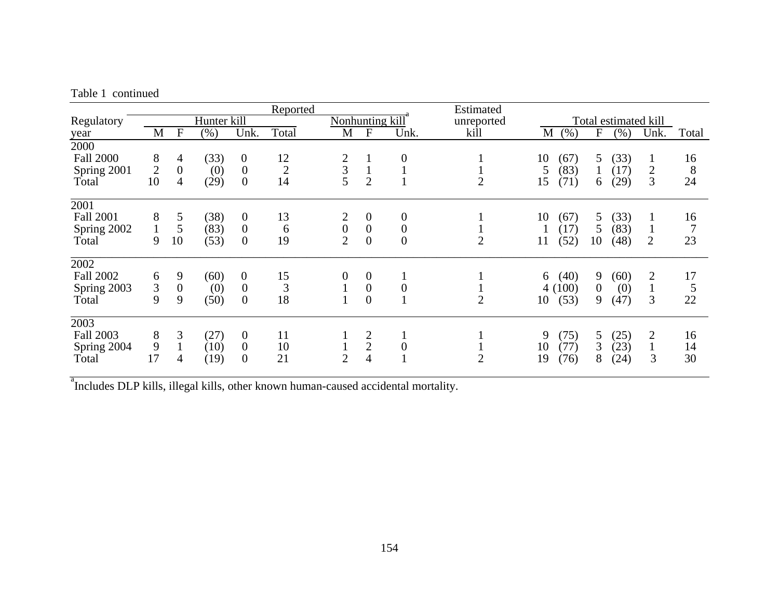| Table 1 continued |
|-------------------|
|                   |

|                  |                |                  |             |                  | Reported       |                  |                  |                | Estimated      |    |        |              |                      |                |       |
|------------------|----------------|------------------|-------------|------------------|----------------|------------------|------------------|----------------|----------------|----|--------|--------------|----------------------|----------------|-------|
| Regulatory       |                |                  | Hunter kill |                  |                | Nonhunting kill  |                  |                | unreported     |    |        |              | Total estimated kill |                |       |
| year             | M              | $\mathbf F$      | $(\% )$     | Unk.             | Total          | M                | $\boldsymbol{F}$ | Unk.           | kill           | M  | (% )   | $\mathbf F$  | $(\%)$               | Unk.           | Total |
| 2000             |                |                  |             |                  |                |                  |                  |                |                |    |        |              |                      |                |       |
| <b>Fall 2000</b> | 8              | 4                | (33)        | $\boldsymbol{0}$ | 12             | $\overline{c}$   |                  | $\overline{0}$ |                | 10 | (67)   | 5            | (33)                 | $\bf{l}$       | 16    |
| Spring 2001      | $\overline{2}$ | $\boldsymbol{0}$ | (0)         | $\boldsymbol{0}$ | $\mathbf{2}$   | $rac{3}{5}$      |                  |                |                | 5  | (83)   |              | (17)                 | 2              | 8     |
| Total            | 10             | 4                | (29)        | $\overline{0}$   | 14             |                  | $\overline{2}$   |                | $\overline{2}$ | 15 | (71)   | 6            | (29)                 | 3              | 24    |
| 2001             |                |                  |             |                  |                |                  |                  |                |                |    |        |              |                      |                |       |
| <b>Fall 2001</b> | 8              | 5                | (38)        | $\overline{0}$   | 13             |                  | $\boldsymbol{0}$ | 0              |                | 10 | (67)   | 5            | (33)                 |                | 16    |
| Spring 2002      |                | 5                | (83)        | $\boldsymbol{0}$ | 6              | $\boldsymbol{0}$ | $\overline{0}$   | $\overline{0}$ |                |    | (17)   | 5            | (83)                 | $\mathbf{I}$   | 7     |
| Total            | 9              | 10               | (53)        | $\boldsymbol{0}$ | 19             | $\overline{2}$   | $\overline{0}$   | $\overline{0}$ | $\overline{2}$ | 11 | (52)   | 10           | (48)                 | $\overline{2}$ | 23    |
| 2002             |                |                  |             |                  |                |                  |                  |                |                |    |        |              |                      |                |       |
| <b>Fall 2002</b> | 6              | 9                | (60)        | $\overline{0}$   | 15             | 0                | $\overline{0}$   |                |                | 6  | (40)   | 9            | (60)                 | $\overline{2}$ | 17    |
| Spring 2003      | $\overline{3}$ | $\boldsymbol{0}$ | (0)         | $\boldsymbol{0}$ | $\mathfrak{Z}$ |                  | $\overline{0}$   | $\overline{0}$ |                |    | 4(100) | $\mathbf{0}$ | (0)                  | $\mathbf{1}$   | 5     |
| Total            | 9              | 9                | (50)        | $\overline{0}$   | 18             |                  | $\overline{0}$   |                | $\overline{2}$ | 10 | (53)   | 9            | (47)                 | 3              | 22    |
| 2003             |                |                  |             |                  |                |                  |                  |                |                |    |        |              |                      |                |       |
| Fall 2003        | 8              | 3                | (27)        | $\boldsymbol{0}$ | 11             |                  | $\overline{c}$   |                |                | 9  | (75)   | 5            | (25)                 | 2              | 16    |
| Spring 2004      | 9              |                  | (10)        | $\boldsymbol{0}$ | 10             |                  | $\overline{2}$   | $\overline{0}$ |                | 10 | (77)   | 3            | (23)                 | $\mathbf{1}$   | 14    |
| Total            | 17             | 4                | (19)        | $\boldsymbol{0}$ | 21             | $\overline{2}$   | $\overline{4}$   |                | $\overline{2}$ | 19 | (76)   | 8            | (24)                 | 3              | 30    |

<sup>a</sup>Includes DLP kills, illegal kills, other known human-caused accidental mortality.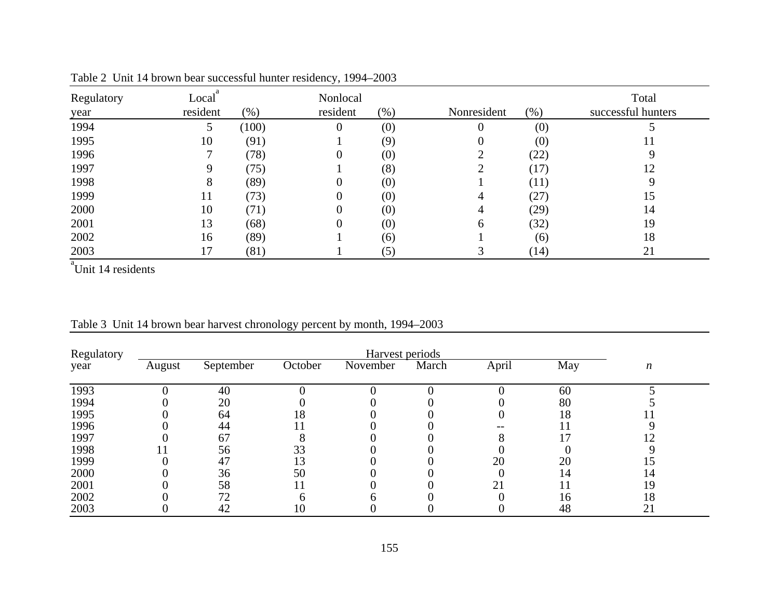| Regulatory<br>year | Local<br>resident | $(\% )$ | Nonlocal<br>resident | (% ) | Nonresident | $(\% )$ | Total<br>successful hunters |
|--------------------|-------------------|---------|----------------------|------|-------------|---------|-----------------------------|
| 1994               |                   | (100)   |                      | (0)  | O           | (0)     |                             |
| 1995               | 10                | (91)    |                      | (9)  | O           | (0)     | 11                          |
| 1996               |                   | (78)    | $\theta$             | (0)  |             | (22)    |                             |
| 1997               |                   | (75)    |                      | (8)  |             | (17)    | 12                          |
| 1998               | 8                 | (89)    | O                    | (0)  |             | (11)    |                             |
| 1999               | 11                | (73)    |                      | (0)  |             | (27)    | 15                          |
| 2000               | 10                | (71)    |                      | (0)  | 4           | (29)    | 14                          |
| 2001               | 13                | (68)    |                      | (0)  | 6           | (32)    | 19                          |
| 2002               | 16                | (89)    |                      | (6)  |             | (6)     | 18                          |
| 2003               | 17                | (81)    |                      | (5)  |             | (14)    | 21                          |

Table 2 Unit 14 brown bear successful hunter residency, 1994–2003

<sup>a</sup>Unit 14 residents

| Regulatory |        |           |         | Harvest periods |       |       |     |    |
|------------|--------|-----------|---------|-----------------|-------|-------|-----|----|
| year       | August | September | October | November        | March | April | May | n  |
| 1993       |        | 40        |         |                 |       |       | 60  |    |
| 1994       |        | 20        |         |                 |       |       | 80  |    |
| 1995       |        | 64        | 18      |                 |       |       | 18  |    |
| 1996       |        | 44        |         |                 |       |       |     |    |
| 1997       |        | 67        |         |                 |       |       |     |    |
| 1998       |        | 56        | 33      |                 |       |       |     |    |
| 1999       |        | 47        |         |                 |       | 20    | 20  |    |
| 2000       |        | 36        | 50      |                 |       |       | 14  | 14 |
| 2001       |        | 58        |         |                 |       |       |     | 19 |
| 2002       |        | 72        |         |                 |       |       | 16  | 18 |
| 2003       |        | 42        | 10      |                 |       |       | 48  | 21 |

Table 3 Unit 14 brown bear harvest chronology percent by month, 1994–2003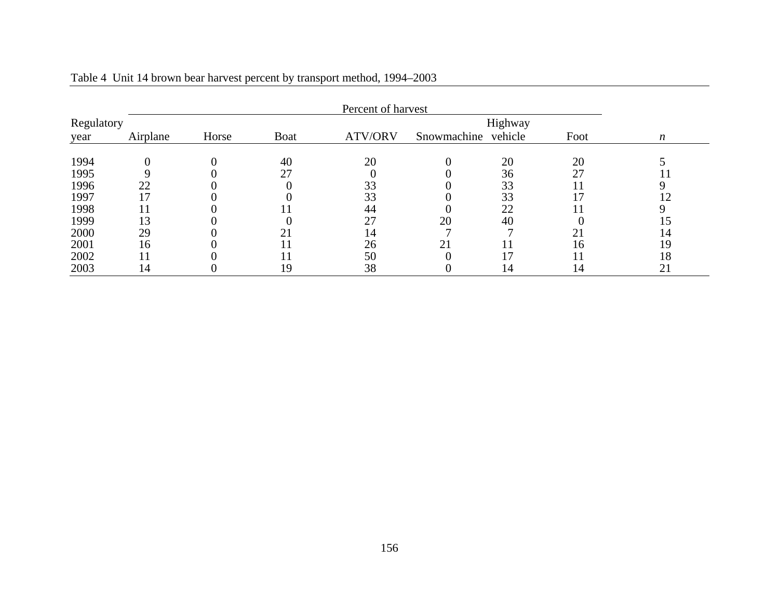|            |          |       |      | Percent of harvest |                     |         |      |                  |
|------------|----------|-------|------|--------------------|---------------------|---------|------|------------------|
| Regulatory |          |       |      |                    |                     | Highway |      |                  |
| year       | Airplane | Horse | Boat | <b>ATV/ORV</b>     | Snowmachine vehicle |         | Foot | $\boldsymbol{n}$ |
| 1994       |          |       | 40   | 20                 |                     | 20      | 20   |                  |
| 1995       |          |       | 27   |                    |                     | 36      | 27   | $\bf{11}$        |
| 1996       | 22       |       |      | 33                 |                     | 33      |      |                  |
| 1997       |          |       |      | 33                 |                     | 33      | 17   | 12               |
| 1998       |          |       |      | 44                 |                     | 22      |      |                  |
| 1999       | 13       |       |      | 27                 | 20                  | 40      |      | l5               |
| 2000       | 29       |       |      | 14                 |                     |         | 21   | 14               |
| 2001       | 16       |       |      | 26                 | 21                  |         | 16   | 19               |
| 2002       |          |       |      | 50                 |                     |         |      | 18               |
| 2003       | 14       |       | 19   | 38                 |                     | 14      | 14   | 21               |

Table 4 Unit 14 brown bear harvest percent by transport method, 1994–2003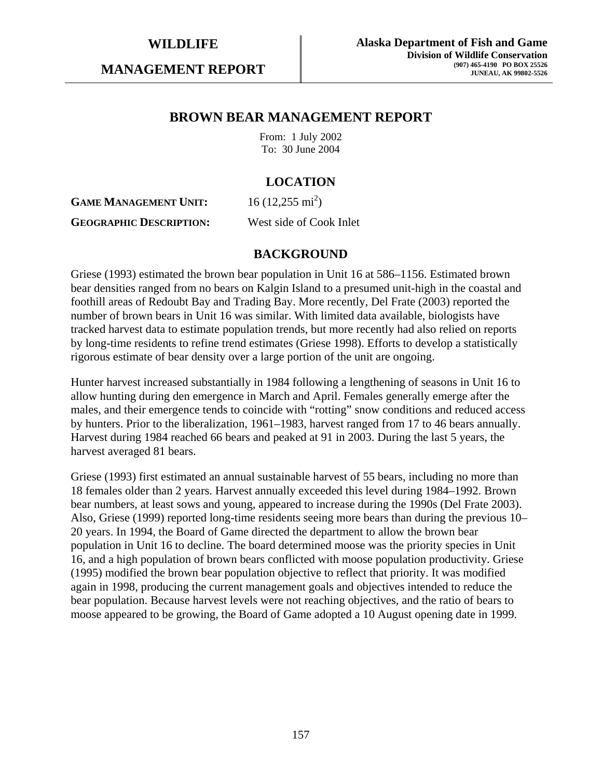**MANAGEMENT REPORT** 

# **BROWN BEAR MANAGEMENT REPORT**

From: 1 July 2002 To: 30 June 2004

# **LOCATION**

**GAME MANAGEMENT UNIT:**  $16(12,255 \text{ mi}^2)$ 

**GEOGRAPHIC DESCRIPTION:** West side of Cook Inlet

# **BACKGROUND**

Griese (1993) estimated the brown bear population in Unit 16 at 586–1156. Estimated brown bear densities ranged from no bears on Kalgin Island to a presumed unit-high in the coastal and foothill areas of Redoubt Bay and Trading Bay. More recently, Del Frate (2003) reported the number of brown bears in Unit 16 was similar. With limited data available, biologists have tracked harvest data to estimate population trends, but more recently had also relied on reports by long-time residents to refine trend estimates (Griese 1998). Efforts to develop a statistically rigorous estimate of bear density over a large portion of the unit are ongoing.

Hunter harvest increased substantially in 1984 following a lengthening of seasons in Unit 16 to allow hunting during den emergence in March and April. Females generally emerge after the males, and their emergence tends to coincide with "rotting" snow conditions and reduced access by hunters. Prior to the liberalization, 1961–1983, harvest ranged from 17 to 46 bears annually. Harvest during 1984 reached 66 bears and peaked at 91 in 2003. During the last 5 years, the harvest averaged 81 bears.

Griese (1993) first estimated an annual sustainable harvest of 55 bears, including no more than 18 females older than 2 years. Harvest annually exceeded this level during 1984–1992. Brown bear numbers, at least sows and young, appeared to increase during the 1990s (Del Frate 2003). Also, Griese (1999) reported long-time residents seeing more bears than during the previous 10– 20 years. In 1994, the Board of Game directed the department to allow the brown bear population in Unit 16 to decline. The board determined moose was the priority species in Unit 16, and a high population of brown bears conflicted with moose population productivity. Griese (1995) modified the brown bear population objective to reflect that priority. It was modified again in 1998, producing the current management goals and objectives intended to reduce the bear population. Because harvest levels were not reaching objectives, and the ratio of bears to moose appeared to be growing, the Board of Game adopted a 10 August opening date in 1999.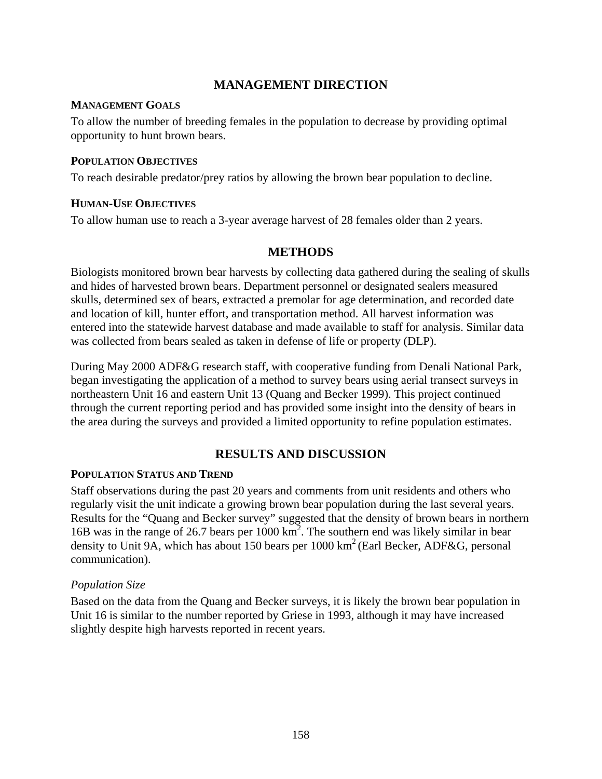# **MANAGEMENT DIRECTION**

#### **MANAGEMENT GOALS**

To allow the number of breeding females in the population to decrease by providing optimal opportunity to hunt brown bears.

### **POPULATION OBJECTIVES**

To reach desirable predator/prey ratios by allowing the brown bear population to decline.

#### **HUMAN-USE OBJECTIVES**

To allow human use to reach a 3-year average harvest of 28 females older than 2 years.

# **METHODS**

Biologists monitored brown bear harvests by collecting data gathered during the sealing of skulls and hides of harvested brown bears. Department personnel or designated sealers measured skulls, determined sex of bears, extracted a premolar for age determination, and recorded date and location of kill, hunter effort, and transportation method. All harvest information was entered into the statewide harvest database and made available to staff for analysis. Similar data was collected from bears sealed as taken in defense of life or property (DLP).

During May 2000 ADF&G research staff, with cooperative funding from Denali National Park, began investigating the application of a method to survey bears using aerial transect surveys in northeastern Unit 16 and eastern Unit 13 (Quang and Becker 1999). This project continued through the current reporting period and has provided some insight into the density of bears in the area during the surveys and provided a limited opportunity to refine population estimates.

# **RESULTS AND DISCUSSION**

# **POPULATION STATUS AND TREND**

Staff observations during the past 20 years and comments from unit residents and others who regularly visit the unit indicate a growing brown bear population during the last several years. Results for the "Quang and Becker survey" suggested that the density of brown bears in northern 16B was in the range of 26.7 bears per 1000 km2 . The southern end was likely similar in bear density to Unit 9A, which has about 150 bears per  $1000 \text{ km}^2$  (Earl Becker, ADF&G, personal communication).

# *Population Size*

Based on the data from the Quang and Becker surveys, it is likely the brown bear population in Unit 16 is similar to the number reported by Griese in 1993, although it may have increased slightly despite high harvests reported in recent years.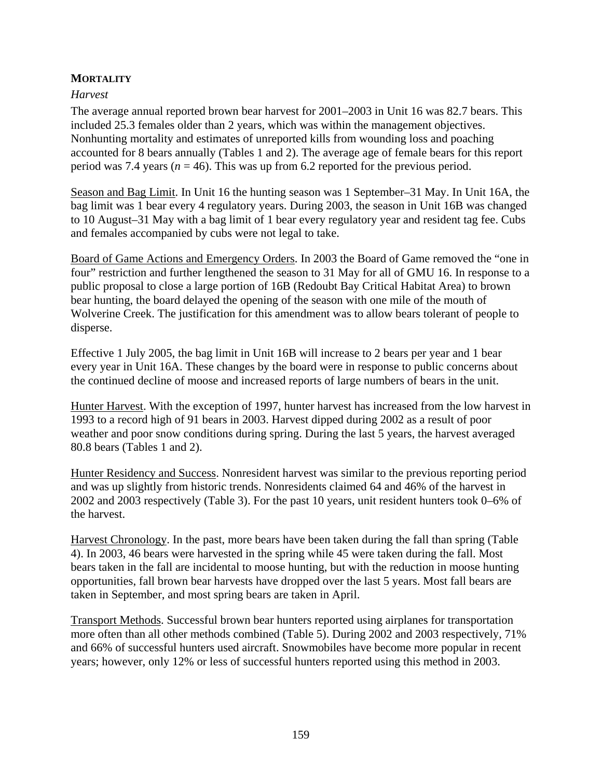### **MORTALITY**

#### *Harvest*

The average annual reported brown bear harvest for 2001–2003 in Unit 16 was 82.7 bears. This included 25.3 females older than 2 years, which was within the management objectives. Nonhunting mortality and estimates of unreported kills from wounding loss and poaching accounted for 8 bears annually (Tables 1 and 2). The average age of female bears for this report period was 7.4 years ( $n = 46$ ). This was up from 6.2 reported for the previous period.

Season and Bag Limit. In Unit 16 the hunting season was 1 September–31 May. In Unit 16A, the bag limit was 1 bear every 4 regulatory years. During 2003, the season in Unit 16B was changed to 10 August–31 May with a bag limit of 1 bear every regulatory year and resident tag fee. Cubs and females accompanied by cubs were not legal to take.

Board of Game Actions and Emergency Orders. In 2003 the Board of Game removed the "one in four" restriction and further lengthened the season to 31 May for all of GMU 16. In response to a public proposal to close a large portion of 16B (Redoubt Bay Critical Habitat Area) to brown bear hunting, the board delayed the opening of the season with one mile of the mouth of Wolverine Creek. The justification for this amendment was to allow bears tolerant of people to disperse.

Effective 1 July 2005, the bag limit in Unit 16B will increase to 2 bears per year and 1 bear every year in Unit 16A. These changes by the board were in response to public concerns about the continued decline of moose and increased reports of large numbers of bears in the unit.

Hunter Harvest. With the exception of 1997, hunter harvest has increased from the low harvest in 1993 to a record high of 91 bears in 2003. Harvest dipped during 2002 as a result of poor weather and poor snow conditions during spring. During the last 5 years, the harvest averaged 80.8 bears (Tables 1 and 2).

Hunter Residency and Success. Nonresident harvest was similar to the previous reporting period and was up slightly from historic trends. Nonresidents claimed 64 and 46% of the harvest in 2002 and 2003 respectively (Table 3). For the past 10 years, unit resident hunters took 0–6% of the harvest.

Harvest Chronology. In the past, more bears have been taken during the fall than spring (Table 4). In 2003, 46 bears were harvested in the spring while 45 were taken during the fall. Most bears taken in the fall are incidental to moose hunting, but with the reduction in moose hunting opportunities, fall brown bear harvests have dropped over the last 5 years. Most fall bears are taken in September, and most spring bears are taken in April.

Transport Methods. Successful brown bear hunters reported using airplanes for transportation more often than all other methods combined (Table 5). During 2002 and 2003 respectively, 71% and 66% of successful hunters used aircraft. Snowmobiles have become more popular in recent years; however, only 12% or less of successful hunters reported using this method in 2003.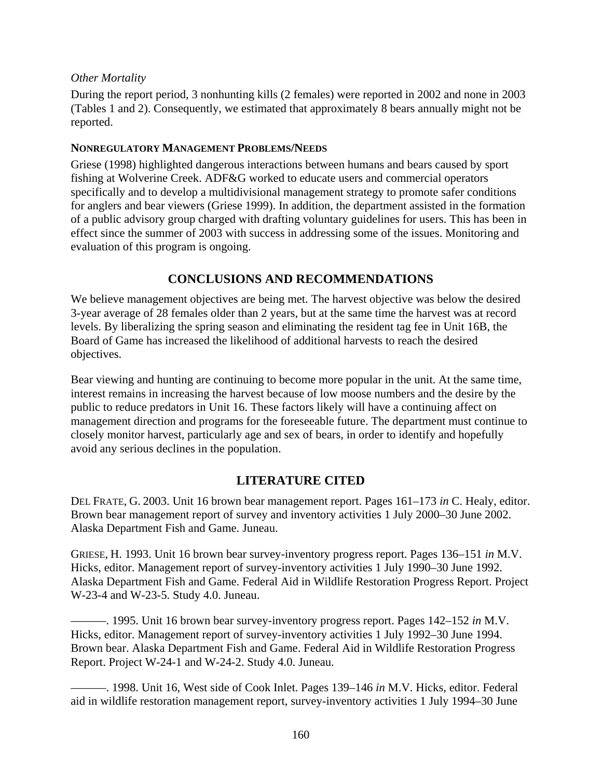### *Other Mortality*

During the report period, 3 nonhunting kills (2 females) were reported in 2002 and none in 2003 (Tables 1 and 2). Consequently, we estimated that approximately 8 bears annually might not be reported.

### **NONREGULATORY MANAGEMENT PROBLEMS/NEEDS**

Griese (1998) highlighted dangerous interactions between humans and bears caused by sport fishing at Wolverine Creek. ADF&G worked to educate users and commercial operators specifically and to develop a multidivisional management strategy to promote safer conditions for anglers and bear viewers (Griese 1999). In addition, the department assisted in the formation of a public advisory group charged with drafting voluntary guidelines for users. This has been in effect since the summer of 2003 with success in addressing some of the issues. Monitoring and evaluation of this program is ongoing.

# **CONCLUSIONS AND RECOMMENDATIONS**

We believe management objectives are being met. The harvest objective was below the desired 3-year average of 28 females older than 2 years, but at the same time the harvest was at record levels. By liberalizing the spring season and eliminating the resident tag fee in Unit 16B, the Board of Game has increased the likelihood of additional harvests to reach the desired objectives.

Bear viewing and hunting are continuing to become more popular in the unit. At the same time, interest remains in increasing the harvest because of low moose numbers and the desire by the public to reduce predators in Unit 16. These factors likely will have a continuing affect on management direction and programs for the foreseeable future. The department must continue to closely monitor harvest, particularly age and sex of bears, in order to identify and hopefully avoid any serious declines in the population.

# **LITERATURE CITED**

DEL FRATE, G. 2003. Unit 16 brown bear management report. Pages 161–173 *in* C. Healy, editor. Brown bear management report of survey and inventory activities 1 July 2000–30 June 2002. Alaska Department Fish and Game. Juneau.

GRIESE, H. 1993. Unit 16 brown bear survey-inventory progress report. Pages 136–151 *in* M.V. Hicks, editor. Management report of survey-inventory activities 1 July 1990–30 June 1992. Alaska Department Fish and Game. Federal Aid in Wildlife Restoration Progress Report. Project W-23-4 and W-23-5. Study 4.0. Juneau.

———. 1995. Unit 16 brown bear survey-inventory progress report. Pages 142–152 *in* M.V. Hicks, editor. Management report of survey-inventory activities 1 July 1992–30 June 1994. Brown bear. Alaska Department Fish and Game. Federal Aid in Wildlife Restoration Progress Report. Project W-24-1 and W-24-2. Study 4.0. Juneau.

———. 1998. Unit 16, West side of Cook Inlet. Pages 139–146 *in* M.V. Hicks, editor. Federal aid in wildlife restoration management report, survey-inventory activities 1 July 1994–30 June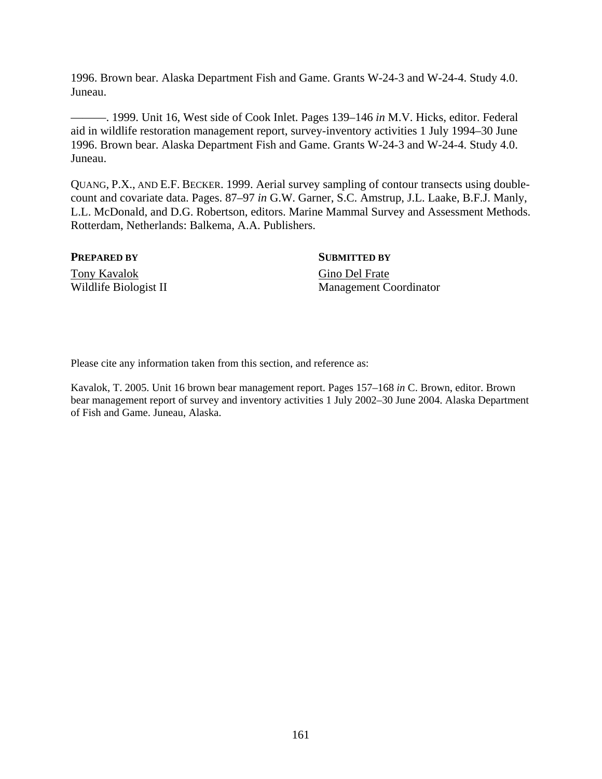1996. Brown bear. Alaska Department Fish and Game. Grants W-24-3 and W-24-4. Study 4.0. Juneau.

———. 1999. Unit 16, West side of Cook Inlet. Pages 139–146 *in* M.V. Hicks, editor. Federal aid in wildlife restoration management report, survey-inventory activities 1 July 1994–30 June 1996. Brown bear. Alaska Department Fish and Game. Grants W-24-3 and W-24-4. Study 4.0. Juneau.

QUANG, P.X., AND E.F. BECKER. 1999. Aerial survey sampling of contour transects using doublecount and covariate data. Pages. 87–97 *in* G.W. Garner, S.C. Amstrup, J.L. Laake, B.F.J. Manly, L.L. McDonald, and D.G. Robertson, editors. Marine Mammal Survey and Assessment Methods. Rotterdam, Netherlands: Balkema, A.A. Publishers.

#### **PREPARED BY** SUBMITTED BY

Tony Kavalok Gino Del Frate

Wildlife Biologist II Management Coordinator

Please cite any information taken from this section, and reference as:

Kavalok, T. 2005. Unit 16 brown bear management report. Pages 157–168 *in* C. Brown, editor. Brown bear management report of survey and inventory activities 1 July 2002–30 June 2004. Alaska Department of Fish and Game. Juneau, Alaska.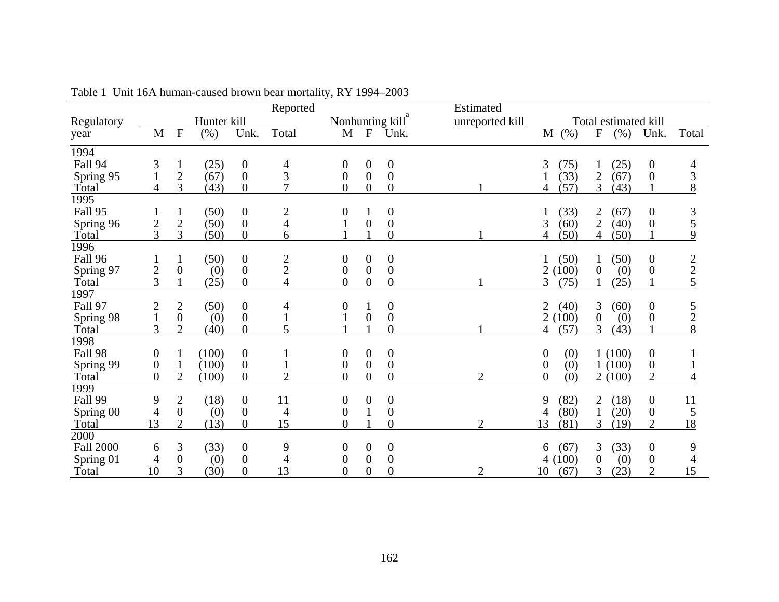|                   |                  |                  |             |                  | Reported       |                  |                  |                  | Estimated       |                         |                                 |                  |                |
|-------------------|------------------|------------------|-------------|------------------|----------------|------------------|------------------|------------------|-----------------|-------------------------|---------------------------------|------------------|----------------|
| Regulatory        |                  |                  | Hunter kill |                  |                |                  |                  | Nonhunting kill  | unreported kill |                         | Total estimated kill            |                  |                |
| year              | M                | $\mathbf{F}$     | (% )        | Unk.             | Total          | M                | $\mathbf{F}$     | Unk.             |                 | M(%)                    | ${\bf F}$<br>(% )               | Unk.             | Total          |
| 1994              |                  |                  |             |                  |                |                  |                  |                  |                 |                         |                                 |                  |                |
| Fall 94           | 3                | 1                | (25)        | $\boldsymbol{0}$ | 4              | 0                | $\overline{0}$   | $\boldsymbol{0}$ |                 | (75)<br>3               | (25)                            | 0                | 4              |
| Spring 95         | $\mathbf{1}$     | $\overline{2}$   | (67)        | $\boldsymbol{0}$ | 3              | 0                | $\overline{0}$   | $\boldsymbol{0}$ |                 | (33)                    | $\mathbf{2}$<br>(67)            | $\boldsymbol{0}$ | 3              |
| Total             | 4                | 3                | (43)        | $\boldsymbol{0}$ | $\overline{7}$ | $\overline{0}$   | $\overline{0}$   | $\theta$         |                 | (57)<br>4               | 3<br>(43)                       |                  | 8              |
| $\overline{1995}$ |                  |                  |             |                  |                |                  |                  |                  |                 |                         |                                 |                  |                |
| Fall 95           |                  |                  | (50)        | $\boldsymbol{0}$ | $\overline{c}$ | 0                |                  | $\boldsymbol{0}$ |                 | (33)                    | (67)<br>$\overline{\mathbf{c}}$ | 0                | $rac{3}{5}$    |
| Spring 96         | $\frac{2}{3}$    | $\mathbf{2}$     | (50)        | $\boldsymbol{0}$ | $\overline{4}$ |                  | $\overline{0}$   | $\boldsymbol{0}$ |                 | (60)<br>3               | $\overline{2}$<br>(40)          | $\boldsymbol{0}$ |                |
| Total             |                  | 3                | (50)        | $\boldsymbol{0}$ | 6              |                  |                  | $\overline{0}$   |                 | (50)                    | (50)<br>4                       |                  | 9              |
| 1996              |                  |                  |             |                  |                |                  |                  |                  |                 |                         |                                 |                  |                |
| Fall 96           |                  | $\mathbf{1}$     | (50)        | $\boldsymbol{0}$ | $\frac{2}{2}$  | $\theta$         | 0                | $\boldsymbol{0}$ |                 | (50)                    | (50)<br>1                       | $\boldsymbol{0}$ | 2              |
| Spring 97         | $\overline{c}$   | $\boldsymbol{0}$ | (0)         | $\boldsymbol{0}$ |                | $\boldsymbol{0}$ | $\overline{0}$   | $\boldsymbol{0}$ |                 | 2(100)                  | (0)<br>$\theta$                 | $\boldsymbol{0}$ | $\overline{2}$ |
| Total             | 3                |                  | (25)        | $\overline{0}$   | $\overline{4}$ | $\overline{0}$   | $\overline{0}$   | $\overline{0}$   |                 | 3<br>(75)               | (25)                            |                  | 5              |
| 1997              |                  |                  |             |                  |                |                  |                  |                  |                 |                         |                                 |                  |                |
| Fall 97           | $\overline{c}$   | $\overline{c}$   | (50)        | $\boldsymbol{0}$ | 4              | 0                |                  | $\boldsymbol{0}$ |                 | (40)<br>2               | 3<br>(60)                       | 0                | 5              |
| Spring 98         | $\mathbf{1}$     | $\boldsymbol{0}$ | (0)         | $\boldsymbol{0}$ |                |                  | $\boldsymbol{0}$ | $\boldsymbol{0}$ |                 | (100)<br>2              | $\boldsymbol{0}$<br>(0)         | 0                | $\sqrt{2}$     |
| Total             | 3                | $\overline{2}$   | (40)        | $\boldsymbol{0}$ | 5              |                  |                  | $\overline{0}$   |                 | (57)<br>4               | 3<br>(43)                       |                  | 8              |
| 1998              |                  |                  |             |                  |                |                  |                  |                  |                 |                         |                                 |                  |                |
| Fall 98           | $\boldsymbol{0}$ | 1                | (100)       | $\boldsymbol{0}$ |                | 0                | $\boldsymbol{0}$ | $\boldsymbol{0}$ |                 | $\boldsymbol{0}$<br>(0) | 1(100)                          | $\boldsymbol{0}$ |                |
| Spring 99         | $\boldsymbol{0}$ |                  | (100)       | $\boldsymbol{0}$ |                | 0                | $\mathbf{0}$     | $\overline{0}$   |                 | (0)<br>$\theta$         | 1(100)                          | $\boldsymbol{0}$ |                |
| Total             | $\overline{0}$   | $\overline{2}$   | (100)       | $\overline{0}$   | $\overline{2}$ | $\overline{0}$   | $\overline{0}$   | $\overline{0}$   | $\overline{2}$  | $\theta$<br>(0)         | 2(100)                          | $\overline{2}$   | 4              |
| 1999              |                  |                  |             |                  |                |                  |                  |                  |                 |                         |                                 |                  |                |
| Fall 99           | 9                | $\overline{2}$   | (18)        | $\boldsymbol{0}$ | 11             | 0                | 0                | $\boldsymbol{0}$ |                 | (82)<br>9               | 2<br>(18)                       | 0                | 11             |
| Spring 00         | 4                | $\boldsymbol{0}$ | (0)         | $\boldsymbol{0}$ | 4              | $\boldsymbol{0}$ |                  | $\boldsymbol{0}$ |                 | (80)<br>4               | (20)                            | $\boldsymbol{0}$ | 5              |
| Total             | 13               | $\overline{2}$   | (13)        | $\overline{0}$   | 15             | $\overline{0}$   |                  | $\overline{0}$   | 2               | 13<br>(81)              | 3<br>(19)                       | $\overline{2}$   | 18             |
| 2000              |                  |                  |             |                  |                |                  |                  |                  |                 |                         |                                 |                  |                |
| <b>Fall 2000</b>  | 6                | 3                | (33)        | $\boldsymbol{0}$ | 9              | 0                | $\overline{0}$   | $\boldsymbol{0}$ |                 | (67)<br>6               | (33)<br>3                       | $\boldsymbol{0}$ | 9              |
| Spring 01         | 4                | $\boldsymbol{0}$ | (0)         | $\boldsymbol{0}$ | 4              | 0                | $\theta$         | $\boldsymbol{0}$ |                 | (100)                   | $\boldsymbol{0}$<br>(0)         | $\boldsymbol{0}$ | 4              |
| Total             | 10               | 3                | (30)        | $\boldsymbol{0}$ | 13             | $\overline{0}$   | $\boldsymbol{0}$ | $\overline{0}$   | 2               | 10<br>(67)              | 3<br>(23)                       | $\overline{2}$   | 15             |

| Table 1 Unit 16A human-caused brown bear mortality, RY 1994–2003 |
|------------------------------------------------------------------|
|------------------------------------------------------------------|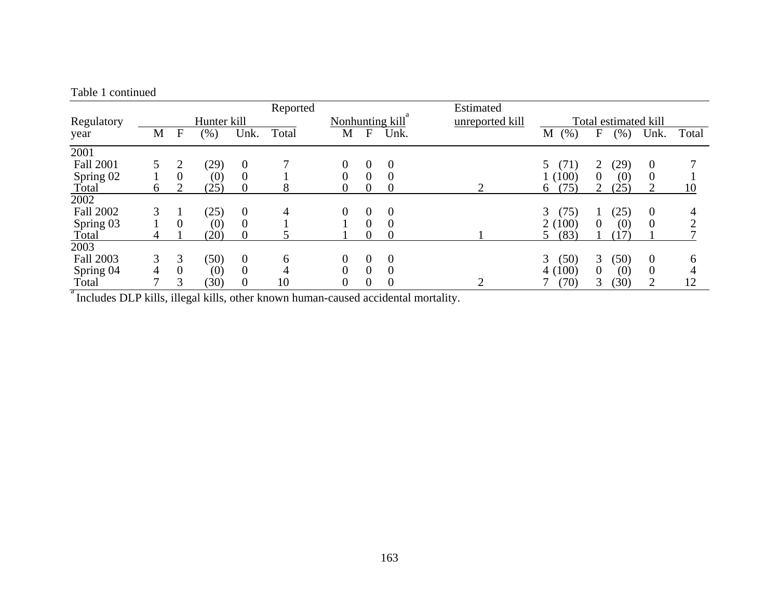|                                                                                   |   |             |             |                  | Reported |                 |                |                | Estimated       |                      |                |        |                  |                |
|-----------------------------------------------------------------------------------|---|-------------|-------------|------------------|----------|-----------------|----------------|----------------|-----------------|----------------------|----------------|--------|------------------|----------------|
| Regulatory                                                                        |   |             | Hunter kill |                  |          | Nonhunting kill |                |                | unreported kill | Total estimated kill |                |        |                  |                |
| year                                                                              | M | $\mathbf F$ | (% )        | Unk.             | Total    | M               | $\mathbf{F}$   | Unk.           |                 | (% )<br>M            | $\mathbf F$    | $(\%)$ | Unk.             | Total          |
| 2001                                                                              |   |             |             |                  |          |                 |                |                |                 |                      |                |        |                  |                |
| <b>Fall 2001</b>                                                                  |   |             | (29)        | $\overline{0}$   |          | 0               | $\overline{0}$ | $\theta$       |                 | (71)<br>5            | 2              | (29)   | $\overline{0}$   |                |
| Spring 02                                                                         |   | $\Omega$    | (0)         | $\Omega$         |          |                 | $\Omega$       | $\Omega$       |                 | 1(100)               | $\theta$       | (0)    | $\boldsymbol{0}$ |                |
| Total                                                                             | 6 |             | (25)        | $\theta$         | 8        | 0               | 0              | $\theta$       |                 | (75)<br>6            |                | (25)   | 2                | 10             |
| 2002                                                                              |   |             |             |                  |          |                 |                |                |                 |                      |                |        |                  |                |
| <b>Fall 2002</b>                                                                  | 3 |             | (25)        | $\boldsymbol{0}$ | 4        | 0               | $\theta$       | $\theta$       |                 | 3<br>(75)            |                | (25)   | $\boldsymbol{0}$ | $\overline{4}$ |
| Spring 03                                                                         |   | 0           | (0)         | $\overline{0}$   |          |                 | $\Omega$       | $\theta$       |                 | 2(100)               | $\overline{0}$ | (0)    | $\overline{0}$   |                |
| Total                                                                             |   |             | (20)        | $\Omega$         |          |                 | $\Omega$       | $\theta$       |                 | (83)                 |                | 17     |                  |                |
| 2003                                                                              |   |             |             |                  |          |                 |                |                |                 |                      |                |        |                  |                |
| <b>Fall 2003</b>                                                                  | 3 | 3           | (50)        | $\overline{0}$   | 6        | 0               | $\overline{0}$ | $\theta$       |                 | (50)<br>3            | 3              | (50)   | $\overline{0}$   | 6              |
| Spring 04                                                                         | 4 |             | (0)         | $\theta$         |          | 0               | $\Omega$       | $\overline{0}$ |                 | 4(100)               | $\overline{0}$ | (0)    | $\theta$         | 4              |
| Total                                                                             |   | 3           | (30)        | $\theta$         | 10       | 0               | $\overline{0}$ | $\overline{0}$ | ∍               | (70)                 | 3              | (30)   | $\overline{2}$   | 12             |
| Includes DLP kills, illegal kills, other known human-caused accidental mortality. |   |             |             |                  |          |                 |                |                |                 |                      |                |        |                  |                |

#### Table 1 continued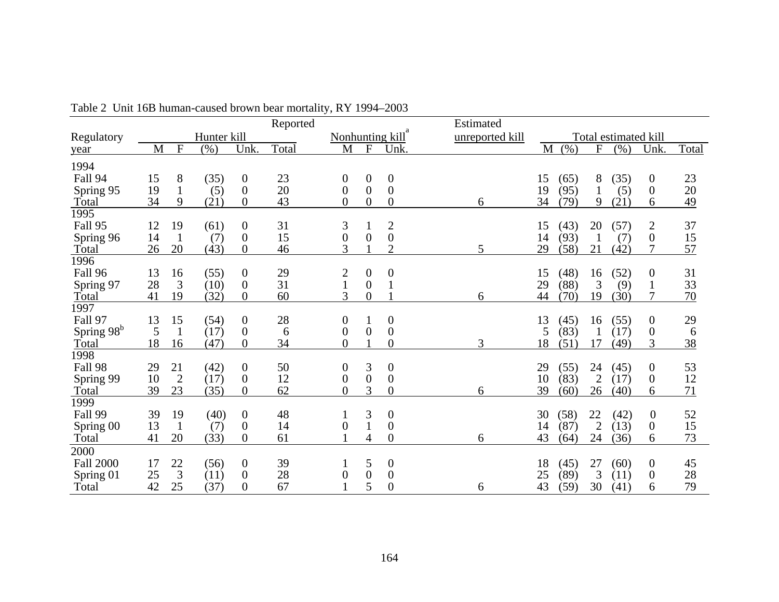|                        |          |                    |             |                                    | Reported |                  |                     |                                      | Estimated       |          |              |                      |                      |                       |          |
|------------------------|----------|--------------------|-------------|------------------------------------|----------|------------------|---------------------|--------------------------------------|-----------------|----------|--------------|----------------------|----------------------|-----------------------|----------|
| Regulatory             |          |                    | Hunter kill |                                    |          | Nonhunting kill  |                     |                                      | unreported kill |          |              |                      | Total estimated kill |                       |          |
| year                   | M        | $\mathbf F$        | $(\% )$     | Unk.                               | Total    | M                | $\mathbf{F}$        | Unk.                                 |                 | M        | (% )         | $\mathbf{F}$         | (% )                 | Unk.                  | Total    |
| 1994                   |          |                    |             |                                    |          |                  |                     |                                      |                 |          |              |                      |                      |                       |          |
| Fall 94                | 15       | 8                  | (35)        | $\boldsymbol{0}$                   | 23       | $\boldsymbol{0}$ | $\theta$            | $\overline{0}$                       |                 | 15       | (65)         | 8                    | (35)                 | $\mathbf{0}$          | 23       |
| Spring 95              | 19       | $\mathbf{1}$       | (5)         | $\overline{0}$                     | 20       | $\overline{0}$   | $\overline{0}$      | $\overline{0}$                       |                 | 19       | (95)         |                      | (5)                  | $\boldsymbol{0}$      | 20       |
| Total                  | 34       | 9                  | (21)        | $\theta$                           | 43       | $\overline{0}$   | $\overline{0}$      | $\theta$                             | 6               | 34       | (79)         | 9                    | (21)                 | 6                     | 49       |
| 1995                   |          |                    |             |                                    |          |                  |                     |                                      |                 |          |              |                      |                      |                       |          |
| Fall 95                | 12       | 19                 | (61)        | $\boldsymbol{0}$                   | 31       | 3                |                     |                                      |                 | 15       | (43)         | 20                   | (57)                 | $\overline{c}$        | 37       |
| Spring 96              | 14       | $\mathbf{1}$       | (7)         | $\boldsymbol{0}$                   | 15       | $\overline{0}$   | $\overline{0}$      | $\begin{matrix} 2 \\ 0 \end{matrix}$ |                 | 14       | (93)         |                      | (7)                  | $\boldsymbol{0}$      | 15       |
| Total                  | 26       | 20                 | (43)        | $\boldsymbol{0}$                   | 46       | 3                |                     | $\overline{2}$                       | 5               | 29       | (58)         | 21                   | (42)                 | 7                     | 57       |
| 1996                   |          |                    |             |                                    |          |                  |                     |                                      |                 |          |              |                      |                      |                       |          |
| Fall 96                | 13       | 16                 | (55)        | $\boldsymbol{0}$                   | 29       | 2                | $\overline{0}$      | $\boldsymbol{0}$                     |                 | 15       | (48)         | 16                   | (52)                 | $\boldsymbol{0}$      | 31       |
| Spring 97              | 28       | 3                  | (10)        | $\boldsymbol{0}$                   | 31       | $\mathbf{1}$     | $\overline{0}$      | 1                                    |                 | 29       | (88)         | 3                    | (9)                  | $\mathbf{1}$          | 33       |
| Total                  | 41       | 19                 | (32)        | $\overline{0}$                     | 60       | 3                | $\overline{0}$      |                                      | 6               | 44       | (70)         | 19                   | (30)                 | 7                     | 70       |
| 1997                   |          |                    |             |                                    |          |                  |                     |                                      |                 |          |              |                      |                      |                       |          |
| Fall 97                | 13       | 15                 | (54)        | $\boldsymbol{0}$                   | 28       | $\boldsymbol{0}$ |                     | $\overline{0}$                       |                 | 13       | (45)         | 16                   | (55)                 | $\boldsymbol{0}$      | 29       |
| Spring 98 <sup>b</sup> | 5        |                    | (17)        | $\boldsymbol{0}$                   | 6        | $\boldsymbol{0}$ | $\theta$            | $\boldsymbol{0}$                     |                 | 5        | (83)         |                      | (17)                 | $\boldsymbol{0}$      | 6        |
| Total                  | 18       | 16                 | (47)        | $\boldsymbol{0}$                   | 34       | $\overline{0}$   |                     | $\boldsymbol{0}$                     | 3               | 18       | (51)         | 17                   | (49)                 | 3                     | 38       |
| 1998                   |          |                    |             |                                    |          |                  |                     |                                      |                 |          |              |                      |                      |                       |          |
| Fall 98                | 29       | 21                 | (42)        | $\boldsymbol{0}$                   | 50       | 0                | 3                   | $\boldsymbol{0}$                     |                 | 29       | (55)         | 24                   | (45)                 | $\boldsymbol{0}$      | 53       |
| Spring 99              | 10       | $\overline{2}$     | (17)        | $\boldsymbol{0}$                   | 12       | $\boldsymbol{0}$ | $\overline{0}$      | $\overline{0}$                       |                 | 10       | (83)         | $\overline{2}$       | (17)                 | $\boldsymbol{0}$      | 12       |
| Total                  | 39       | 23                 | (35)        | $\boldsymbol{0}$                   | 62       | $\overline{0}$   | 3                   | $\overline{0}$                       | 6               | 39       | (60)         | 26                   | (40)                 | 6                     | 71       |
| 1999                   |          |                    |             |                                    |          |                  |                     |                                      |                 |          |              |                      |                      |                       |          |
| Fall 99                | 39<br>13 | 19                 | (40)        | $\overline{0}$                     | 48       |                  | 3                   | $\boldsymbol{0}$                     |                 | 30       | (58)         | 22                   | (42)                 | $\boldsymbol{0}$      | 52       |
| Spring 00              | 41       | $\mathbf{1}$<br>20 | (7)<br>(33) | $\boldsymbol{0}$<br>$\overline{0}$ | 14<br>61 | $\overline{0}$   | 4                   | $\boldsymbol{0}$<br>$\theta$         |                 | 14<br>43 | (87)<br>(64) | $\overline{2}$<br>24 | (13)                 | $\boldsymbol{0}$<br>6 | 15<br>73 |
| Total                  |          |                    |             |                                    |          |                  |                     |                                      | 6               |          |              |                      | (36)                 |                       |          |
| 2000                   |          |                    |             |                                    |          |                  |                     |                                      |                 |          |              |                      |                      |                       |          |
| <b>Fall 2000</b>       | 17       | 22                 | (56)        | $\mathbf{0}$                       | 39       |                  | 5                   | $\overline{0}$                       |                 | 18       | (45)         | 27                   | (60)                 | $\boldsymbol{0}$      | 45       |
| Spring 01              | 25<br>42 | 3<br>25            | (11)        | $\theta$<br>$\theta$               | 28<br>67 | 0                | $\overline{0}$<br>5 | $\boldsymbol{0}$<br>$\overline{0}$   |                 | 25<br>43 | (89)         | 3<br>30              | (11)                 | $\boldsymbol{0}$<br>6 | 28<br>79 |
| Total                  |          |                    | (37)        |                                    |          |                  |                     |                                      | 6               |          | (59)         |                      | (41)                 |                       |          |

Table 2 Unit 16B human-caused brown bear mortality, RY 1994–2003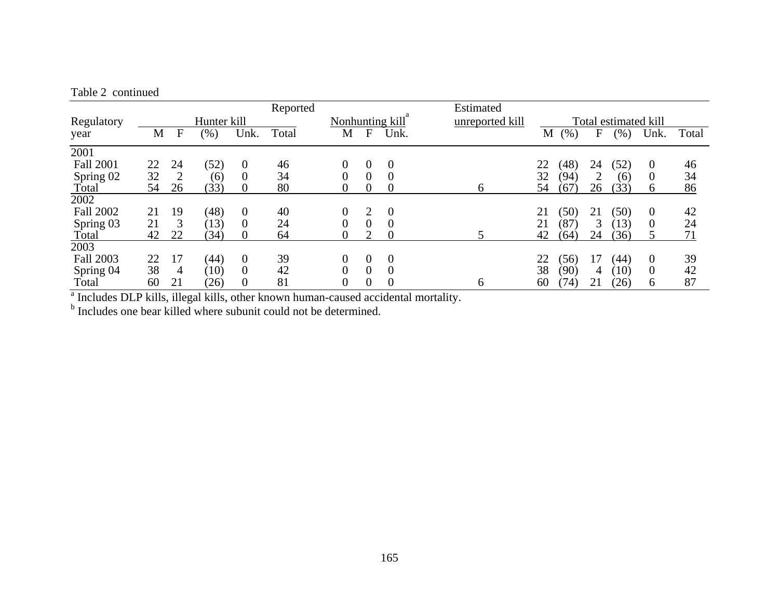#### Table 2 continued

|                  |             |              |      |                  | Reported |   |                 |                      | Estimated |    |      |    |        |                  |       |
|------------------|-------------|--------------|------|------------------|----------|---|-----------------|----------------------|-----------|----|------|----|--------|------------------|-------|
| Regulatory       | Hunter kill |              |      | Nonhunting kill  |          |   | unreported kill | Total estimated kill |           |    |      |    |        |                  |       |
| year             | M           | $\mathbf{F}$ | (% ) | Unk.             | Total    | M | F               | Unk.                 |           | M  | (% ) | F  | $(\%)$ | Unk.             | Total |
| 2001             |             |              |      |                  |          |   |                 |                      |           |    |      |    |        |                  |       |
| <b>Fall 2001</b> | 22          | 24           | (52) | $\overline{0}$   | 46       | 0 | $\theta$        | $\theta$             |           | 22 | (48) | 24 | (52)   | $\boldsymbol{0}$ | 46    |
| Spring 02        | 32          |              | (6)  | $\Omega$         | 34       | 0 | 0               | $\Omega$             |           | 32 | (94) | 2  | (6)    | $\Omega$         | 34    |
| Total            | 54          | 26           | (33) | $\boldsymbol{0}$ | 80       | 0 | 0               | 0                    | 6         | 54 | (67) | 26 | (33)   | 6                | 86    |
| 2002             |             |              |      |                  |          |   |                 |                      |           |    |      |    |        |                  |       |
| <b>Fall 2002</b> | 21          | 19           | (48) | $\overline{0}$   | 40       | 0 | 2               | $\overline{0}$       |           | 21 | (50) | 21 | (50)   | $\boldsymbol{0}$ | 42    |
| Spring 03        | 21          | 3            | (13) | $\overline{0}$   | 24       | 0 | 0               | $\overline{0}$       |           | 21 | (87) | 3  | (13)   | $\theta$         | 24    |
| Total            | 42          | 22           | (34) | $\theta$         | 64       | 0 |                 | $\theta$             |           | 42 | (64) | 24 | (36)   | 5                | 71    |
| 2003             |             |              |      |                  |          |   |                 |                      |           |    |      |    |        |                  |       |
| <b>Fall 2003</b> | 22          | 17           | (44) | $\theta$         | 39       | 0 | $\theta$        | $\theta$             |           | 22 | (56) | 17 | (44)   | $\overline{0}$   | 39    |
| Spring 04        | 38          | 4            | (10) | $\boldsymbol{0}$ | 42       | 0 | $\overline{0}$  | $\overline{0}$       |           | 38 | (90) | 4  | (10)   | $\theta$         | 42    |
| Total            | 60          | 21           | (26) | $\boldsymbol{0}$ | 81       | 0 | $_{0}$          | 0                    | 6         | 60 | (74) | 21 | (26)   | 6                | 87    |

<sup>a</sup> Includes DLP kills, illegal kills, other known human-caused accidental mortality.

<sup>b</sup> Includes one bear killed where subunit could not be determined.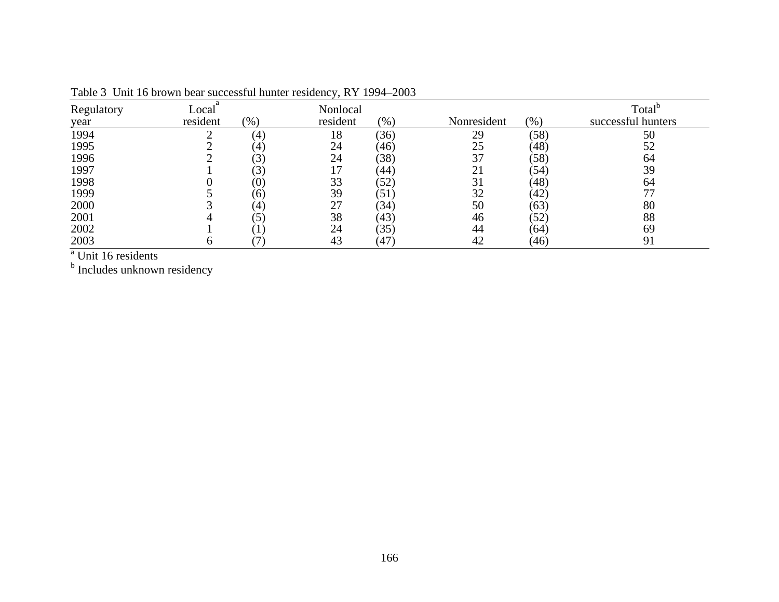| Regulatory         | Local    |                   | Nonlocal |      |             |      | Total <sup>o</sup> |
|--------------------|----------|-------------------|----------|------|-------------|------|--------------------|
| year               | resident | (96)              | resident | (% ) | Nonresident | (% ) | successful hunters |
| 1994               |          | $\left( 4\right)$ | 18       | (36) | 29          | (58) | 50                 |
| 1995               |          | $\left( 4\right)$ | 24       | (46) | 25          | (48) | 52                 |
| 1996               |          | (3)               | 24       | (38) | 37          | (58) | 64                 |
| 1997               |          | (3)               |          | (44) | 21          | (54) | 39                 |
| 1998               |          | $\left( 0\right)$ | 33       | (52) | 31          | (48) | 64                 |
| 1999               |          | (6)               | 39       | (51) | 32          | (42) |                    |
| 2000               |          | $\left( 4\right)$ | 27       | (34) | 50          | (63) | 80                 |
| 2001               |          | (5)               | 38       | (43) | 46          | (52) | 88                 |
| 2002               |          |                   | 24       | (35) | 44          | (64) | 69                 |
| 2003<br>$9 -    -$ | O        |                   | 43       | (47) | 42          | (46) | 91                 |

Table 3 Unit 16 brown bear successful hunter residency, RY 1994–2003

<sup>a</sup> Unit 16 residents<br><sup>b</sup> Includes unknown residency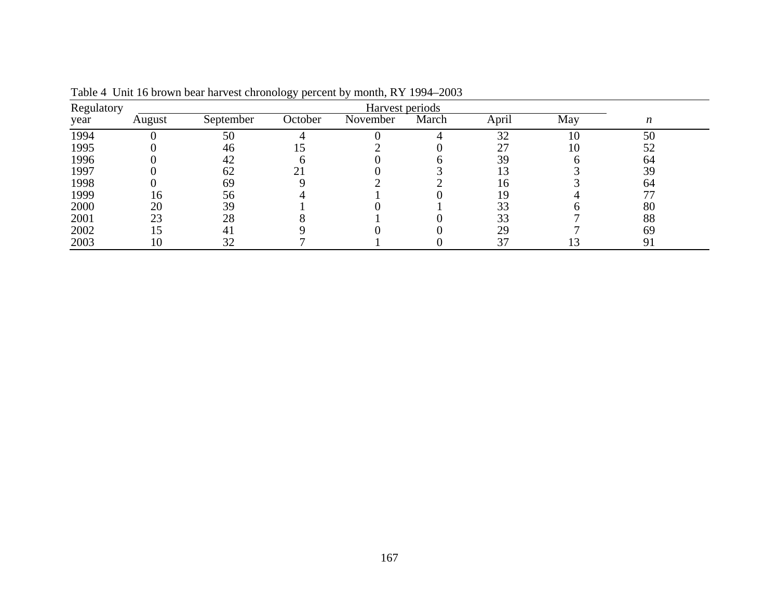|      | Harvest periods<br>Regulatory |                |         |          |       |       |     |    |  |  |  |  |
|------|-------------------------------|----------------|---------|----------|-------|-------|-----|----|--|--|--|--|
| year | August                        | September      | October | November | March | April | May | n  |  |  |  |  |
| 1994 |                               | 50             |         |          |       | 32    | 10  | 50 |  |  |  |  |
| 1995 |                               | 46             |         |          |       |       | 10  | 52 |  |  |  |  |
| 1996 |                               | 42             |         |          |       | 39    |     | 64 |  |  |  |  |
| 1997 |                               | 62             |         |          |       |       |     | 39 |  |  |  |  |
| 1998 |                               | 69             |         |          |       | 16    |     | 64 |  |  |  |  |
| 1999 | 16                            | 56             |         |          |       |       |     |    |  |  |  |  |
| 2000 | 20                            | 39             |         |          |       | 33    |     | 80 |  |  |  |  |
| 2001 | 23                            | 28             |         |          |       | 33    |     | 88 |  |  |  |  |
| 2002 | 15                            | 4 <sub>1</sub> |         |          |       | 29    |     | 69 |  |  |  |  |
| 2003 | 10                            | 32             |         |          |       | 37    |     | 91 |  |  |  |  |

Table 4 Unit 16 brown bear harvest chronology percent by month, RY 1994–2003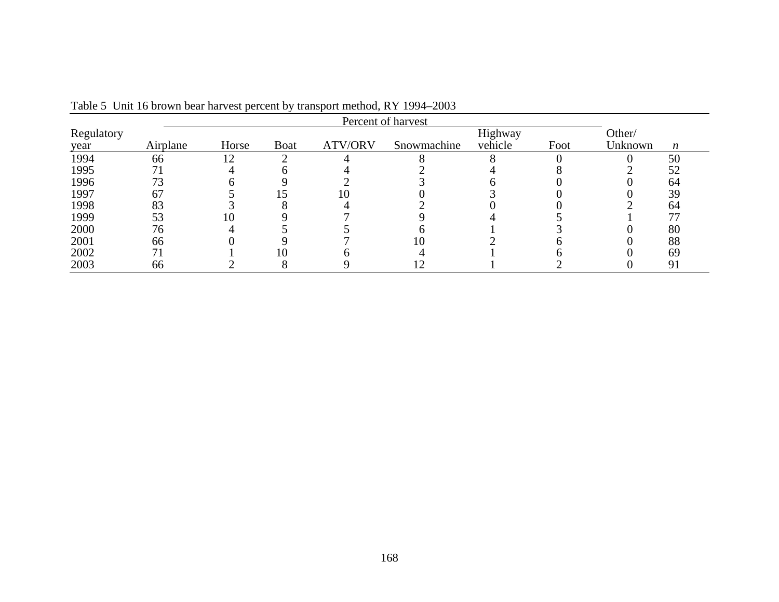| Regulatory |          |       |      |         |             | Highway |      | Other/  |                  |
|------------|----------|-------|------|---------|-------------|---------|------|---------|------------------|
| year       | Airplane | Horse | Boat | ATV/ORV | Snowmachine | vehicle | Foot | Unknown | $\boldsymbol{n}$ |
| 1994       | 66       | 12    |      |         |             |         |      |         | 50               |
| 1995       |          |       |      |         |             |         |      |         | 52               |
| 1996       | 73       |       |      |         |             |         |      |         | 64               |
| 1997       | 67       |       |      | 0       |             |         |      |         | 39               |
| 1998       | 83       |       |      |         |             |         |      |         | 64               |
| 1999       | 53       |       |      |         |             |         |      |         |                  |
| 2000       | 76       |       |      |         |             |         |      |         | 80               |
| 2001       | 66       |       |      |         | 10          |         |      |         | 88               |
| 2002       | 71       |       |      |         |             |         |      |         | 69               |
| 2003       | 66       |       |      |         |             |         |      |         | 91               |

Table 5 Unit 16 brown bear harvest percent by transport method, RY 1994–2003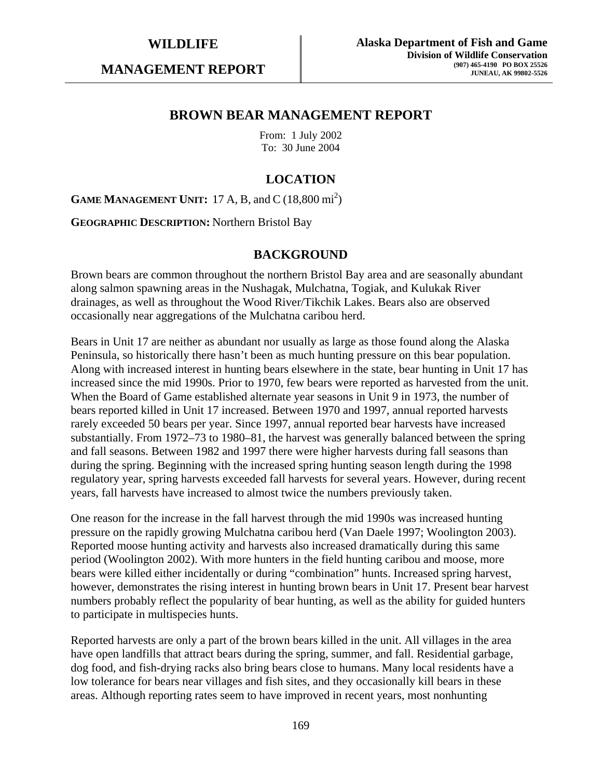**MANAGEMENT REPORT** 

# **BROWN BEAR MANAGEMENT REPORT**

From: 1 July 2002 To: 30 June 2004

# **LOCATION**

**GAME MANAGEMENT UNIT:** 17 A, B, and C  $(18,800 \text{ mi}^2)$ 

**GEOGRAPHIC DESCRIPTION:** Northern Bristol Bay

### **BACKGROUND**

Brown bears are common throughout the northern Bristol Bay area and are seasonally abundant along salmon spawning areas in the Nushagak, Mulchatna, Togiak, and Kulukak River drainages, as well as throughout the Wood River/Tikchik Lakes. Bears also are observed occasionally near aggregations of the Mulchatna caribou herd.

Bears in Unit 17 are neither as abundant nor usually as large as those found along the Alaska Peninsula, so historically there hasn't been as much hunting pressure on this bear population. Along with increased interest in hunting bears elsewhere in the state, bear hunting in Unit 17 has increased since the mid 1990s. Prior to 1970, few bears were reported as harvested from the unit. When the Board of Game established alternate year seasons in Unit 9 in 1973, the number of bears reported killed in Unit 17 increased. Between 1970 and 1997, annual reported harvests rarely exceeded 50 bears per year. Since 1997, annual reported bear harvests have increased substantially. From 1972–73 to 1980–81, the harvest was generally balanced between the spring and fall seasons. Between 1982 and 1997 there were higher harvests during fall seasons than during the spring. Beginning with the increased spring hunting season length during the 1998 regulatory year, spring harvests exceeded fall harvests for several years. However, during recent years, fall harvests have increased to almost twice the numbers previously taken.

One reason for the increase in the fall harvest through the mid 1990s was increased hunting pressure on the rapidly growing Mulchatna caribou herd (Van Daele 1997; Woolington 2003). Reported moose hunting activity and harvests also increased dramatically during this same period (Woolington 2002). With more hunters in the field hunting caribou and moose, more bears were killed either incidentally or during "combination" hunts. Increased spring harvest, however, demonstrates the rising interest in hunting brown bears in Unit 17. Present bear harvest numbers probably reflect the popularity of bear hunting, as well as the ability for guided hunters to participate in multispecies hunts.

Reported harvests are only a part of the brown bears killed in the unit. All villages in the area have open landfills that attract bears during the spring, summer, and fall. Residential garbage, dog food, and fish-drying racks also bring bears close to humans. Many local residents have a low tolerance for bears near villages and fish sites, and they occasionally kill bears in these areas. Although reporting rates seem to have improved in recent years, most nonhunting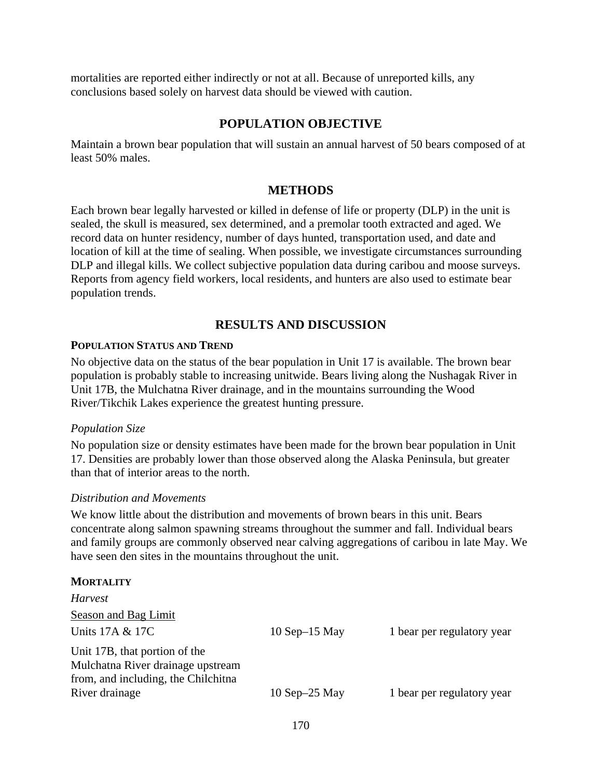mortalities are reported either indirectly or not at all. Because of unreported kills, any conclusions based solely on harvest data should be viewed with caution.

# **POPULATION OBJECTIVE**

Maintain a brown bear population that will sustain an annual harvest of 50 bears composed of at least 50% males.

# **METHODS**

Each brown bear legally harvested or killed in defense of life or property (DLP) in the unit is sealed, the skull is measured, sex determined, and a premolar tooth extracted and aged. We record data on hunter residency, number of days hunted, transportation used, and date and location of kill at the time of sealing. When possible, we investigate circumstances surrounding DLP and illegal kills. We collect subjective population data during caribou and moose surveys. Reports from agency field workers, local residents, and hunters are also used to estimate bear population trends.

# **RESULTS AND DISCUSSION**

#### **POPULATION STATUS AND TREND**

No objective data on the status of the bear population in Unit 17 is available. The brown bear population is probably stable to increasing unitwide. Bears living along the Nushagak River in Unit 17B, the Mulchatna River drainage, and in the mountains surrounding the Wood River/Tikchik Lakes experience the greatest hunting pressure.

#### *Population Size*

No population size or density estimates have been made for the brown bear population in Unit 17. Densities are probably lower than those observed along the Alaska Peninsula, but greater than that of interior areas to the north.

#### *Distribution and Movements*

We know little about the distribution and movements of brown bears in this unit. Bears concentrate along salmon spawning streams throughout the summer and fall. Individual bears and family groups are commonly observed near calving aggregations of caribou in late May. We have seen den sites in the mountains throughout the unit.

#### **MORTALITY**

| <b>Harvest</b>                                                                                            |                    |                            |
|-----------------------------------------------------------------------------------------------------------|--------------------|----------------------------|
| <b>Season and Bag Limit</b>                                                                               |                    |                            |
| Units 17A & 17C                                                                                           | $10$ Sep $-15$ May | 1 bear per regulatory year |
| Unit 17B, that portion of the<br>Mulchatna River drainage upstream<br>from, and including, the Chilchitna |                    |                            |
| River drainage                                                                                            | $10$ Sep $-25$ May | 1 bear per regulatory year |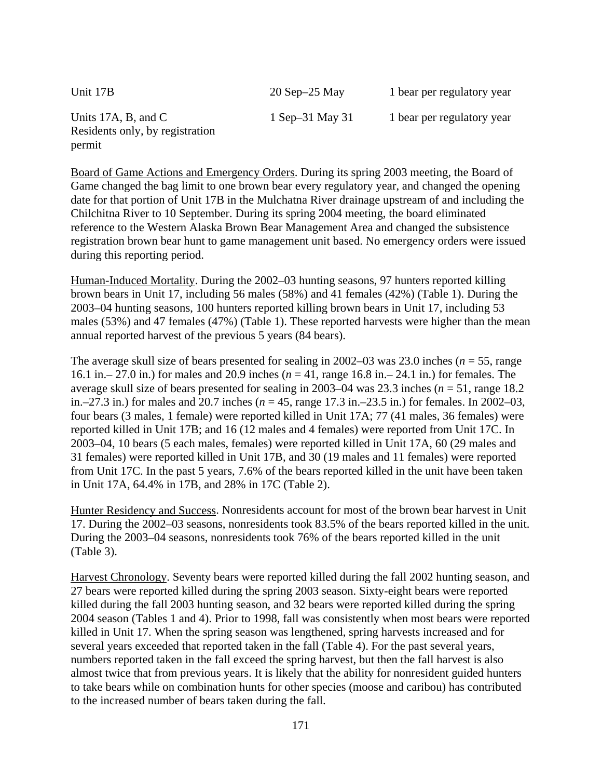Unit 17B 20 Sep–25 May 1 bear per regulatory year Units 17A, B, and C 1 Sep–31 May 31 1 bear per regulatory year Residents only, by registration permit

Board of Game Actions and Emergency Orders. During its spring 2003 meeting, the Board of Game changed the bag limit to one brown bear every regulatory year, and changed the opening date for that portion of Unit 17B in the Mulchatna River drainage upstream of and including the Chilchitna River to 10 September. During its spring 2004 meeting, the board eliminated reference to the Western Alaska Brown Bear Management Area and changed the subsistence registration brown bear hunt to game management unit based. No emergency orders were issued during this reporting period.

Human-Induced Mortality. During the 2002–03 hunting seasons, 97 hunters reported killing brown bears in Unit 17, including 56 males (58%) and 41 females (42%) (Table 1). During the 2003–04 hunting seasons, 100 hunters reported killing brown bears in Unit 17, including 53 males (53%) and 47 females (47%) (Table 1). These reported harvests were higher than the mean annual reported harvest of the previous 5 years (84 bears).

The average skull size of bears presented for sealing in 2002–03 was 23.0 inches (*n* = 55, range 16.1 in.– 27.0 in.) for males and 20.9 inches (*n* = 41, range 16.8 in.– 24.1 in.) for females. The average skull size of bears presented for sealing in 2003–04 was 23.3 inches (*n* = 51, range 18.2 in.–27.3 in.) for males and 20.7 inches (*n* = 45, range 17.3 in.–23.5 in.) for females. In 2002–03, four bears (3 males, 1 female) were reported killed in Unit 17A; 77 (41 males, 36 females) were reported killed in Unit 17B; and 16 (12 males and 4 females) were reported from Unit 17C. In 2003–04, 10 bears (5 each males, females) were reported killed in Unit 17A, 60 (29 males and 31 females) were reported killed in Unit 17B, and 30 (19 males and 11 females) were reported from Unit 17C. In the past 5 years, 7.6% of the bears reported killed in the unit have been taken in Unit 17A, 64.4% in 17B, and 28% in 17C (Table 2).

Hunter Residency and Success. Nonresidents account for most of the brown bear harvest in Unit 17. During the 2002–03 seasons, nonresidents took 83.5% of the bears reported killed in the unit. During the 2003–04 seasons, nonresidents took 76% of the bears reported killed in the unit (Table 3).

Harvest Chronology. Seventy bears were reported killed during the fall 2002 hunting season, and 27 bears were reported killed during the spring 2003 season. Sixty-eight bears were reported killed during the fall 2003 hunting season, and 32 bears were reported killed during the spring 2004 season (Tables 1 and 4). Prior to 1998, fall was consistently when most bears were reported killed in Unit 17. When the spring season was lengthened, spring harvests increased and for several years exceeded that reported taken in the fall (Table 4). For the past several years, numbers reported taken in the fall exceed the spring harvest, but then the fall harvest is also almost twice that from previous years. It is likely that the ability for nonresident guided hunters to take bears while on combination hunts for other species (moose and caribou) has contributed to the increased number of bears taken during the fall.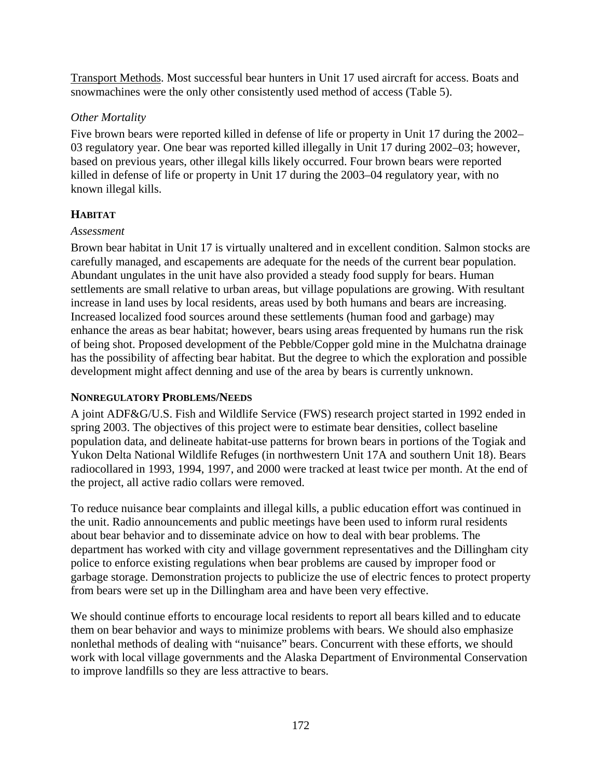Transport Methods. Most successful bear hunters in Unit 17 used aircraft for access. Boats and snowmachines were the only other consistently used method of access (Table 5).

# *Other Mortality*

Five brown bears were reported killed in defense of life or property in Unit 17 during the 2002– 03 regulatory year. One bear was reported killed illegally in Unit 17 during 2002–03; however, based on previous years, other illegal kills likely occurred. Four brown bears were reported killed in defense of life or property in Unit 17 during the 2003–04 regulatory year, with no known illegal kills.

# **HABITAT**

# *Assessment*

Brown bear habitat in Unit 17 is virtually unaltered and in excellent condition. Salmon stocks are carefully managed, and escapements are adequate for the needs of the current bear population. Abundant ungulates in the unit have also provided a steady food supply for bears. Human settlements are small relative to urban areas, but village populations are growing. With resultant increase in land uses by local residents, areas used by both humans and bears are increasing. Increased localized food sources around these settlements (human food and garbage) may enhance the areas as bear habitat; however, bears using areas frequented by humans run the risk of being shot. Proposed development of the Pebble/Copper gold mine in the Mulchatna drainage has the possibility of affecting bear habitat. But the degree to which the exploration and possible development might affect denning and use of the area by bears is currently unknown.

# **NONREGULATORY PROBLEMS/NEEDS**

A joint ADF&G/U.S. Fish and Wildlife Service (FWS) research project started in 1992 ended in spring 2003. The objectives of this project were to estimate bear densities, collect baseline population data, and delineate habitat-use patterns for brown bears in portions of the Togiak and Yukon Delta National Wildlife Refuges (in northwestern Unit 17A and southern Unit 18). Bears radiocollared in 1993, 1994, 1997, and 2000 were tracked at least twice per month. At the end of the project, all active radio collars were removed.

To reduce nuisance bear complaints and illegal kills, a public education effort was continued in the unit. Radio announcements and public meetings have been used to inform rural residents about bear behavior and to disseminate advice on how to deal with bear problems. The department has worked with city and village government representatives and the Dillingham city police to enforce existing regulations when bear problems are caused by improper food or garbage storage. Demonstration projects to publicize the use of electric fences to protect property from bears were set up in the Dillingham area and have been very effective.

We should continue efforts to encourage local residents to report all bears killed and to educate them on bear behavior and ways to minimize problems with bears. We should also emphasize nonlethal methods of dealing with "nuisance" bears. Concurrent with these efforts, we should work with local village governments and the Alaska Department of Environmental Conservation to improve landfills so they are less attractive to bears.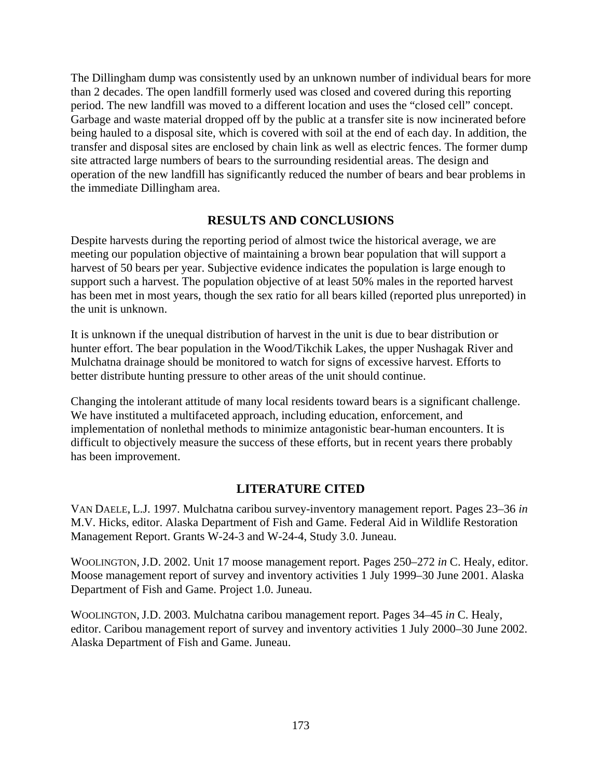The Dillingham dump was consistently used by an unknown number of individual bears for more than 2 decades. The open landfill formerly used was closed and covered during this reporting period. The new landfill was moved to a different location and uses the "closed cell" concept. Garbage and waste material dropped off by the public at a transfer site is now incinerated before being hauled to a disposal site, which is covered with soil at the end of each day. In addition, the transfer and disposal sites are enclosed by chain link as well as electric fences. The former dump site attracted large numbers of bears to the surrounding residential areas. The design and operation of the new landfill has significantly reduced the number of bears and bear problems in the immediate Dillingham area.

# **RESULTS AND CONCLUSIONS**

Despite harvests during the reporting period of almost twice the historical average, we are meeting our population objective of maintaining a brown bear population that will support a harvest of 50 bears per year. Subjective evidence indicates the population is large enough to support such a harvest. The population objective of at least 50% males in the reported harvest has been met in most years, though the sex ratio for all bears killed (reported plus unreported) in the unit is unknown.

It is unknown if the unequal distribution of harvest in the unit is due to bear distribution or hunter effort. The bear population in the Wood/Tikchik Lakes, the upper Nushagak River and Mulchatna drainage should be monitored to watch for signs of excessive harvest. Efforts to better distribute hunting pressure to other areas of the unit should continue.

Changing the intolerant attitude of many local residents toward bears is a significant challenge. We have instituted a multifaceted approach, including education, enforcement, and implementation of nonlethal methods to minimize antagonistic bear-human encounters. It is difficult to objectively measure the success of these efforts, but in recent years there probably has been improvement.

# **LITERATURE CITED**

VAN DAELE, L.J. 1997. Mulchatna caribou survey-inventory management report. Pages 23–36 *in*  M.V. Hicks, editor. Alaska Department of Fish and Game. Federal Aid in Wildlife Restoration Management Report. Grants W-24-3 and W-24-4, Study 3.0. Juneau.

WOOLINGTON, J.D. 2002. Unit 17 moose management report. Pages 250–272 *in* C. Healy, editor. Moose management report of survey and inventory activities 1 July 1999–30 June 2001. Alaska Department of Fish and Game. Project 1.0. Juneau.

WOOLINGTON, J.D. 2003. Mulchatna caribou management report. Pages 34–45 *in* C. Healy, editor. Caribou management report of survey and inventory activities 1 July 2000–30 June 2002. Alaska Department of Fish and Game. Juneau.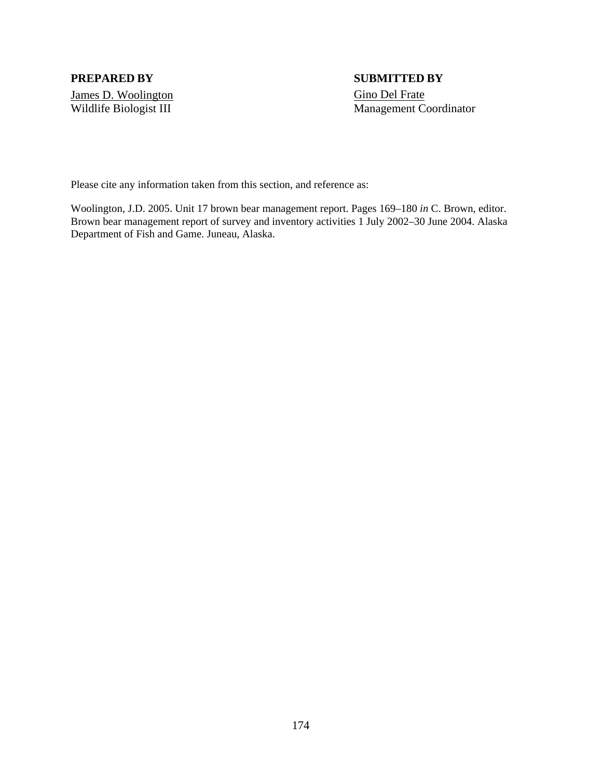James D. Woolington Gino Del Frate

# **PREPARED BY SUBMITTED BY**  Wildlife Biologist III Management Coordinator

Please cite any information taken from this section, and reference as:

Woolington, J.D. 2005. Unit 17 brown bear management report. Pages 169–180 *in* C. Brown, editor. Brown bear management report of survey and inventory activities 1 July 2002–30 June 2004. Alaska Department of Fish and Game. Juneau, Alaska.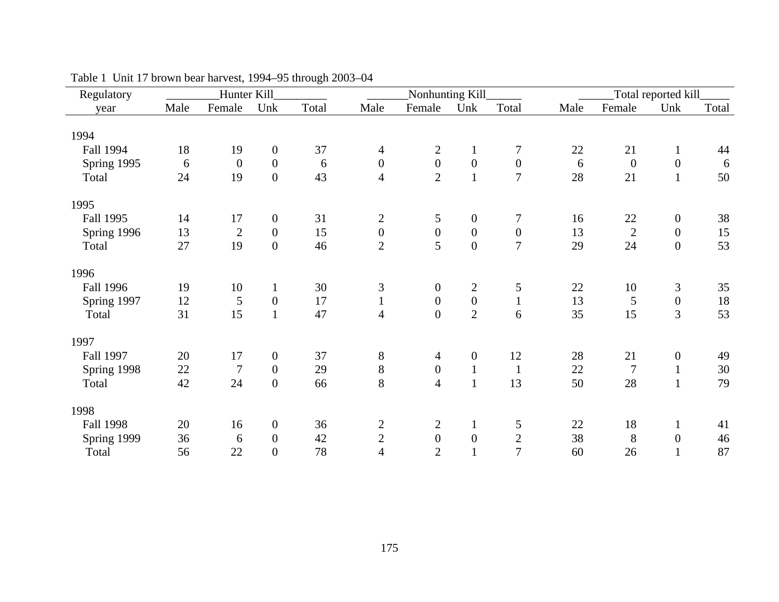| Regulatory       |      | Hunter Kill    |                  |       |                  | Nonhunting Kill  |                  |                  |      | Total reported kill |                  |       |  |  |
|------------------|------|----------------|------------------|-------|------------------|------------------|------------------|------------------|------|---------------------|------------------|-------|--|--|
| year             | Male | Female         | Unk              | Total | Male             | Female           | Unk              | Total            | Male | Female              | Unk              | Total |  |  |
| 1994             |      |                |                  |       |                  |                  |                  |                  |      |                     |                  |       |  |  |
| Fall 1994        | 18   | 19             | $\boldsymbol{0}$ | 37    | $\overline{4}$   | $\overline{c}$   | $\mathbf{1}$     | 7                | 22   | 21                  | $\mathbf{1}$     | 44    |  |  |
| Spring 1995      | 6    | $\mathbf{0}$   | $\overline{0}$   | 6     | $\overline{0}$   | $\boldsymbol{0}$ | $\boldsymbol{0}$ | $\boldsymbol{0}$ | 6    | $\overline{0}$      | $\boldsymbol{0}$ | 6     |  |  |
| Total            | 24   | 19             | $\boldsymbol{0}$ | 43    | $\overline{4}$   | $\overline{2}$   | $\mathbf{1}$     | $\overline{7}$   | 28   | 21                  | $\mathbf{1}$     | 50    |  |  |
|                  |      |                |                  |       |                  |                  |                  |                  |      |                     |                  |       |  |  |
| 1995             |      |                |                  |       |                  |                  |                  |                  |      |                     |                  |       |  |  |
| Fall 1995        | 14   | 17             | $\boldsymbol{0}$ | 31    | $\overline{2}$   | 5                | $\boldsymbol{0}$ | $\tau$           | 16   | 22                  | $\boldsymbol{0}$ | 38    |  |  |
| Spring 1996      | 13   | $\sqrt{2}$     | $\boldsymbol{0}$ | 15    | $\boldsymbol{0}$ | $\boldsymbol{0}$ | $\boldsymbol{0}$ | $\boldsymbol{0}$ | 13   | $\sqrt{2}$          | $\boldsymbol{0}$ | 15    |  |  |
| Total            | 27   | 19             | $\overline{0}$   | 46    | $\overline{2}$   | 5                | $\overline{0}$   | $\overline{7}$   | 29   | 24                  | $\boldsymbol{0}$ | 53    |  |  |
| 1996             |      |                |                  |       |                  |                  |                  |                  |      |                     |                  |       |  |  |
| <b>Fall 1996</b> | 19   | 10             | $\mathbf{1}$     | 30    | 3                | $\boldsymbol{0}$ | $\overline{c}$   | 5                | 22   | 10                  | $\mathfrak{Z}$   | 35    |  |  |
| Spring 1997      | 12   | 5              | $\boldsymbol{0}$ | 17    | $\mathbf{1}$     | $\boldsymbol{0}$ | $\boldsymbol{0}$ | $\mathbf{1}$     | 13   | 5                   | $\boldsymbol{0}$ | 18    |  |  |
| Total            | 31   | 15             | $\mathbf{1}$     | 47    | $\overline{4}$   | $\boldsymbol{0}$ | $\overline{2}$   | 6                | 35   | 15                  | $\overline{3}$   | 53    |  |  |
| 1997             |      |                |                  |       |                  |                  |                  |                  |      |                     |                  |       |  |  |
| Fall 1997        | 20   | 17             | $\boldsymbol{0}$ | 37    | $8\,$            | $\overline{4}$   | $\boldsymbol{0}$ | 12               | 28   | 21                  | $\boldsymbol{0}$ | 49    |  |  |
| Spring 1998      | 22   | $\overline{7}$ | $\overline{0}$   | 29    | $8\,$            | $\boldsymbol{0}$ | $\mathbf{1}$     | $\mathbf{1}$     | 22   | $\overline{7}$      | $\mathbf{1}$     | 30    |  |  |
| Total            | 42   | 24             | $\boldsymbol{0}$ | 66    | 8                | $\overline{4}$   | $\mathbf{1}$     | 13               | 50   | 28                  | $\mathbf{1}$     | 79    |  |  |
| 1998             |      |                |                  |       |                  |                  |                  |                  |      |                     |                  |       |  |  |
| <b>Fall 1998</b> | 20   | 16             | $\boldsymbol{0}$ | 36    | $\mathbf{2}$     | $\mathbf{2}$     | $\mathbf{1}$     | 5                | 22   | 18                  | $\mathbf{1}$     | 41    |  |  |
| Spring 1999      | 36   | 6              | $\boldsymbol{0}$ | 42    | $\mathbf{2}$     | $\boldsymbol{0}$ | $\boldsymbol{0}$ |                  | 38   | $8\,$               | $\boldsymbol{0}$ | 46    |  |  |
| Total            | 56   | 22             | $\overline{0}$   | 78    | $\overline{4}$   | $\overline{2}$   |                  | $\frac{2}{7}$    | 60   | 26                  | $\mathbf{1}$     | 87    |  |  |

Table 1 Unit 17 brown bear harvest, 1994–95 through 2003–04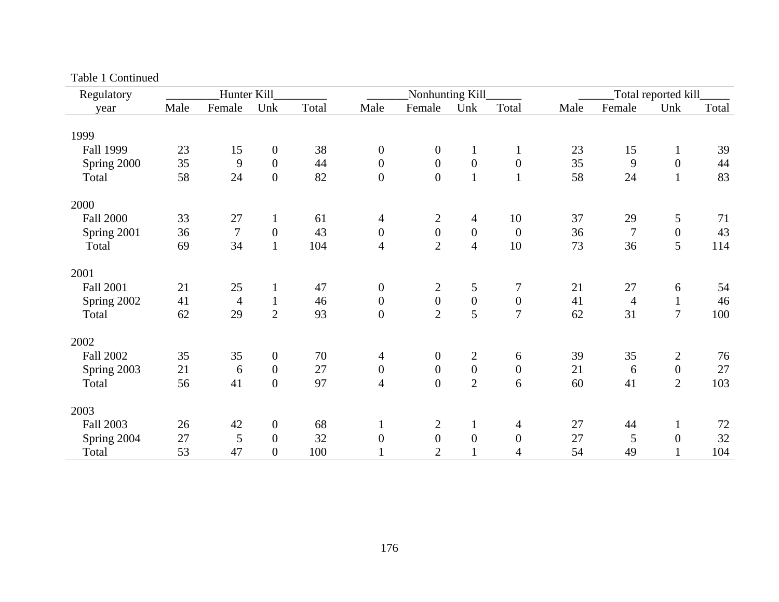| Regulatory       |      | Hunter Kill    |                  |       |                  | Nonhunting Kill  |                  |                  |      | Total reported kill |                  |       |  |
|------------------|------|----------------|------------------|-------|------------------|------------------|------------------|------------------|------|---------------------|------------------|-------|--|
| year             | Male | Female         | Unk              | Total | Male             | Female           | Unk              | Total            | Male | Female              | Unk              | Total |  |
| 1999             |      |                |                  |       |                  |                  |                  |                  |      |                     |                  |       |  |
| <b>Fall 1999</b> | 23   | 15             | $\boldsymbol{0}$ | 38    | $\boldsymbol{0}$ | $\boldsymbol{0}$ | $\mathbf{1}$     | $\mathbf{1}$     | 23   | 15                  | $\mathbf{1}$     | 39    |  |
| Spring 2000      | 35   | 9              | $\mathbf{0}$     | 44    | $\overline{0}$   | $\boldsymbol{0}$ | $\boldsymbol{0}$ | $\boldsymbol{0}$ | 35   | 9                   | $\boldsymbol{0}$ | 44    |  |
| Total            | 58   | 24             | $\boldsymbol{0}$ | 82    | $\boldsymbol{0}$ | $\boldsymbol{0}$ | $\mathbf{1}$     | $\mathbf{1}$     | 58   | 24                  | $\mathbf{1}$     | 83    |  |
| 2000             |      |                |                  |       |                  |                  |                  |                  |      |                     |                  |       |  |
| <b>Fall 2000</b> | 33   | 27             | $\mathbf{1}$     | 61    | $\overline{4}$   | $\overline{2}$   | $\overline{4}$   | 10               | 37   | 29                  | 5                | 71    |  |
| Spring 2001      | 36   | $\overline{7}$ | $\boldsymbol{0}$ | 43    | $\boldsymbol{0}$ | $\boldsymbol{0}$ | $\boldsymbol{0}$ | $\boldsymbol{0}$ | 36   | $\boldsymbol{7}$    | $\boldsymbol{0}$ | 43    |  |
| Total            | 69   | 34             | $\mathbf{1}$     | 104   | $\overline{4}$   | $\overline{2}$   | $\overline{4}$   | 10               | 73   | 36                  | 5                | 114   |  |
| 2001             |      |                |                  |       |                  |                  |                  |                  |      |                     |                  |       |  |
| <b>Fall 2001</b> | 21   | 25             | $\mathbf{1}$     | 47    | $\boldsymbol{0}$ | $\overline{c}$   | 5                | $\overline{7}$   | 21   | 27                  | 6                | 54    |  |
| Spring 2002      | 41   | $\overline{4}$ | $\mathbf{1}$     | 46    | $\boldsymbol{0}$ | $\boldsymbol{0}$ | $\boldsymbol{0}$ | $\boldsymbol{0}$ | 41   | $\overline{4}$      | $\mathbf{1}$     | 46    |  |
| Total            | 62   | 29             | $\overline{2}$   | 93    | $\overline{0}$   | $\overline{2}$   | 5                | $\overline{7}$   | 62   | 31                  | $\overline{7}$   | 100   |  |
| 2002             |      |                |                  |       |                  |                  |                  |                  |      |                     |                  |       |  |
| <b>Fall 2002</b> | 35   | 35             | $\mathbf{0}$     | 70    | $\overline{4}$   | $\boldsymbol{0}$ | $\mathbf{2}$     | 6                | 39   | 35                  | $\overline{2}$   | 76    |  |
| Spring 2003      | 21   | 6              | $\boldsymbol{0}$ | 27    | $\boldsymbol{0}$ | $\boldsymbol{0}$ | $\boldsymbol{0}$ | $\boldsymbol{0}$ | 21   | 6                   | $\boldsymbol{0}$ | 27    |  |
| Total            | 56   | 41             | $\overline{0}$   | 97    | $\overline{4}$   | $\boldsymbol{0}$ | $\overline{2}$   | 6                | 60   | 41                  | $\overline{2}$   | 103   |  |
| 2003             |      |                |                  |       |                  |                  |                  |                  |      |                     |                  |       |  |
| <b>Fall 2003</b> | 26   | 42             | $\mathbf{0}$     | 68    | $\mathbf{1}$     | $\mathbf{2}$     |                  | $\overline{4}$   | 27   | 44                  | $\mathbf{1}$     | 72    |  |
| Spring 2004      | 27   | 5              | $\overline{0}$   | 32    | $\boldsymbol{0}$ | $\boldsymbol{0}$ | $\boldsymbol{0}$ | $\boldsymbol{0}$ | 27   | 5                   | $\boldsymbol{0}$ | 32    |  |
| Total            | 53   | 47             | $\overline{0}$   | 100   |                  | $\overline{2}$   |                  | $\overline{4}$   | 54   | 49                  |                  | 104   |  |

Table 1 Continued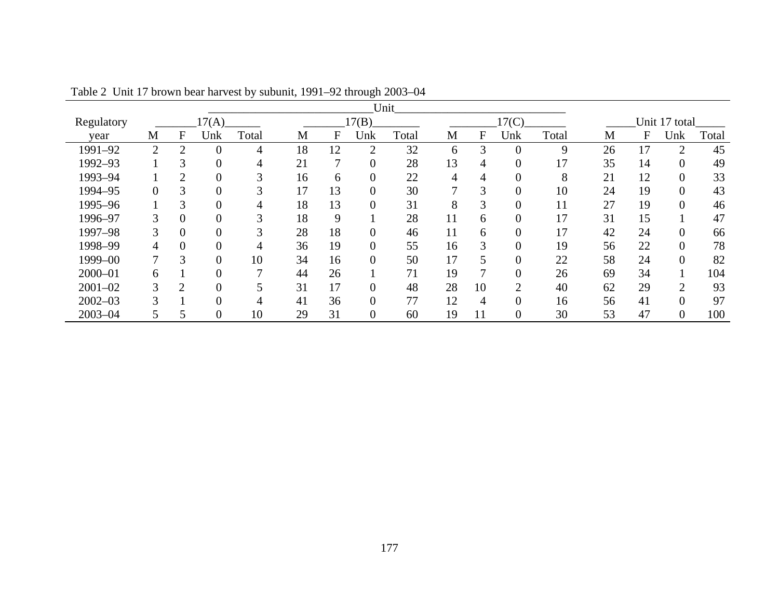| Unit        |                  |                             |                |       |       |    |                  |       |    |       |          |       |    |               |                |       |  |
|-------------|------------------|-----------------------------|----------------|-------|-------|----|------------------|-------|----|-------|----------|-------|----|---------------|----------------|-------|--|
| Regulatory  |                  |                             | 17(A)          |       | 17(B) |    |                  |       |    | 17(C) |          |       |    | Unit 17 total |                |       |  |
| vear        | М                | F                           | Unk            | Total | M     | F  | Unk              | Total | M  | F     | Unk      | Total | M  | F             | Unk            | Total |  |
| 1991-92     | $\overline{2}$   | $\overline{2}$              | $\overline{0}$ | 4     | 18    | 12 | $\overline{2}$   | 32    | 6  | 3     | 0        | 9     | 26 |               | $\mathcal{D}$  | 45    |  |
| 1992-93     |                  | 3                           | $\overline{0}$ | 4     | 21    | 7  | $\theta$         | 28    | 13 | 4     | $\Omega$ | 17    | 35 | 14            | $\Omega$       | 49    |  |
| 1993-94     |                  | $\mathcal{D}_{\mathcal{L}}$ | 0              | 3     | 16    | 6  | $\theta$         | 22    | 4  | 4     | 0        | 8     | 21 | 12            | 0              | 33    |  |
| 1994-95     | $\boldsymbol{0}$ | 3                           | $\overline{0}$ | 3     | 17    | 13 | $\boldsymbol{0}$ | 30    |    | ⌒     | 0        | 10    | 24 | 19            | $\theta$       | 43    |  |
| 1995-96     |                  | 3                           | $\overline{0}$ | 4     | 18    | 13 | $\overline{0}$   | 31    | 8  | ⌒     | 0        | 11    | 27 | 19            | $\Omega$       | 46    |  |
| 1996-97     | 3                | $\overline{0}$              | 0              | 3     | 18    | 9  |                  | 28    | 11 | 6     | $\Omega$ | 17    | 31 | 15            |                | 47    |  |
| 1997-98     | 3                | $\overline{0}$              | $\overline{0}$ | 3     | 28    | 18 | $\theta$         | 46    | 11 | 6     | 0        | 17    | 42 | 24            | $\theta$       | 66    |  |
| 1998–99     | 4                | $\theta$                    | 0              | 4     | 36    | 19 | $\overline{0}$   | 55    | 16 | 3     | 0        | 19    | 56 | 22            | $\Omega$       | 78    |  |
| 1999-00     | 7                | 3                           | $\overline{0}$ | 10    | 34    | 16 | $\overline{0}$   | 50    | 17 |       | 0        | 22    | 58 | 24            | $\overline{0}$ | 82    |  |
| $2000 - 01$ | 6                |                             | $\overline{0}$ | 7     | 44    | 26 |                  | 71    | 19 |       | $\Omega$ | 26    | 69 | 34            |                | 104   |  |
| $2001 - 02$ | 3                | $\mathcal{D}$               | $\theta$       |       | 31    | 17 | $\theta$         | 48    | 28 | 10    | C        | 40    | 62 | 29            | $\bigcirc$     | 93    |  |
| $2002 - 03$ | 3                |                             | 0              | 4     | 41    | 36 | $\theta$         | 77    | 12 | 4     | 0        | 16    | 56 | 41            | $\theta$       | 97    |  |
| $2003 - 04$ |                  | 5                           | $\theta$       | 10    | 29    | 31 | $\theta$         | 60    | 19 | 11    | $\Omega$ | 30    | 53 | 47            | $\theta$       | 100   |  |

Table 2 Unit 17 brown bear harvest by subunit, 1991–92 through 2003–04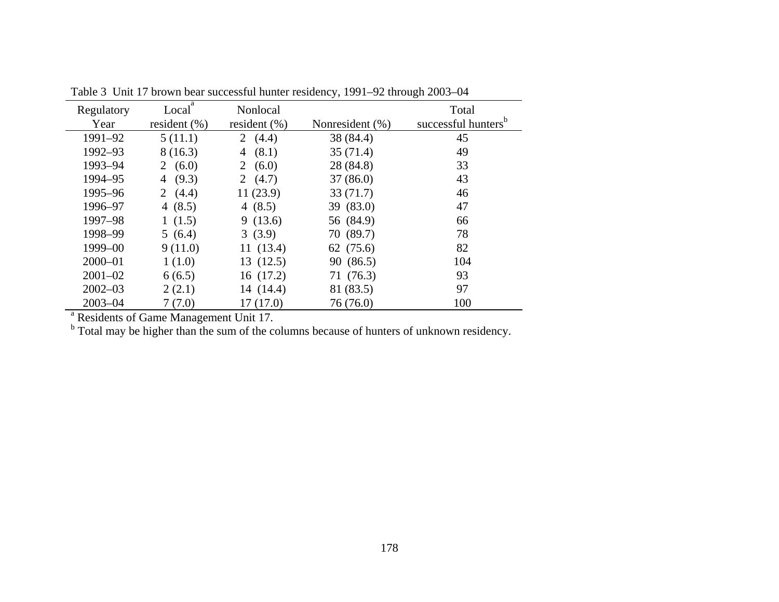| Regulatory  | Local <sup>a</sup> | Nonlocal         |                 | Total                           |
|-------------|--------------------|------------------|-----------------|---------------------------------|
| Year        | resident $(\%)$    | resident $(\% )$ | Nonresident (%) | successful hunters <sup>b</sup> |
| 1991-92     | 5(11.1)            | 2 $(4.4)$        | 38 (84.4)       | 45                              |
| 1992-93     | 8(16.3)            | (8.1)<br>4       | 35(71.4)        | 49                              |
| 1993-94     | 2 $(6.0)$          | 2 $(6.0)$        | 28 (84.8)       | 33                              |
| 1994-95     | (9.3)<br>4         | 2 $(4.7)$        | 37(86.0)        | 43                              |
| 1995-96     | 2 $(4.4)$          | 11(23.9)         | 33(71.7)        | 46                              |
| 1996-97     | 4 $(8.5)$          | 4 $(8.5)$        | 39 (83.0)       | 47                              |
| 1997-98     | 1(1.5)             | 9(13.6)          | 56 (84.9)       | 66                              |
| 1998-99     | 5(6.4)             | 3(3.9)           | 70 (89.7)       | 78                              |
| 1999-00     | 9(11.0)            | 11(13.4)         | 62 (75.6)       | 82                              |
| $2000 - 01$ | 1(1.0)             | 13(12.5)         | 90 (86.5)       | 104                             |
| $2001 - 02$ | 6(6.5)             | 16(17.2)         | 71 (76.3)       | 93                              |
| $2002 - 03$ | 2(2.1)             | 14 (14.4)        | 81 (83.5)       | 97                              |
| $2003 - 04$ | 7(7.0)             | 17(17.0)         | 76 (76.0)       | 100                             |

Table 3 Unit 17 brown bear successful hunter residency, 1991–92 through 2003–04

<sup>a</sup> Residents of Game Management Unit 17.

<sup>b</sup> Total may be higher than the sum of the columns because of hunters of unknown residency.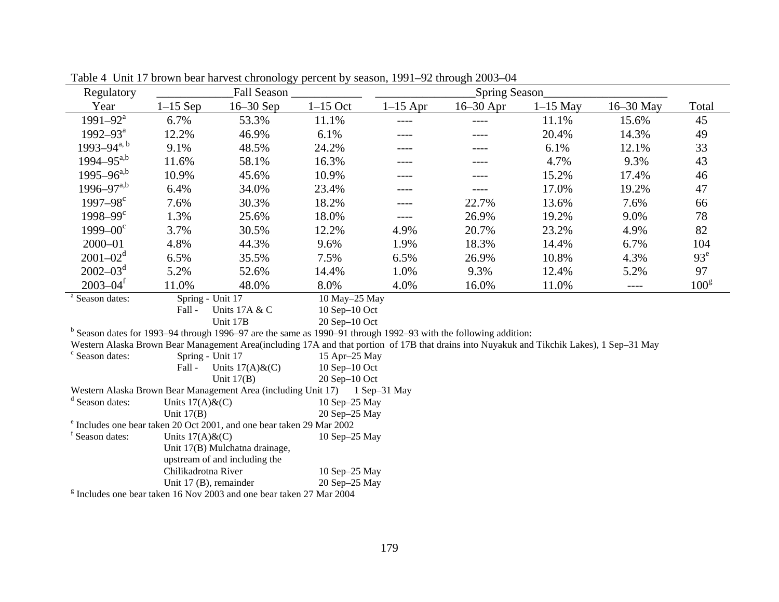|            | Fall Season _ |                                                                                                                                                                                                                                                                               |                                                                                                                                                                                                                                       |                                                                                                                                                                                                                        |            |                                                                                                                                    |                                                                                                                                           |
|------------|---------------|-------------------------------------------------------------------------------------------------------------------------------------------------------------------------------------------------------------------------------------------------------------------------------|---------------------------------------------------------------------------------------------------------------------------------------------------------------------------------------------------------------------------------------|------------------------------------------------------------------------------------------------------------------------------------------------------------------------------------------------------------------------|------------|------------------------------------------------------------------------------------------------------------------------------------|-------------------------------------------------------------------------------------------------------------------------------------------|
| $1-15$ Sep | $16-30$ Sep   | $1-15$ Oct                                                                                                                                                                                                                                                                    | $1-15$ Apr                                                                                                                                                                                                                            | $16-30$ Apr                                                                                                                                                                                                            | $1-15$ May | 16-30 May                                                                                                                          | Total                                                                                                                                     |
| 6.7%       | 53.3%         | 11.1%                                                                                                                                                                                                                                                                         | ----                                                                                                                                                                                                                                  | ----                                                                                                                                                                                                                   | 11.1%      | 15.6%                                                                                                                              | 45                                                                                                                                        |
| 12.2%      | 46.9%         | 6.1%                                                                                                                                                                                                                                                                          |                                                                                                                                                                                                                                       |                                                                                                                                                                                                                        | 20.4%      | 14.3%                                                                                                                              | 49                                                                                                                                        |
| 9.1%       | 48.5%         | 24.2%                                                                                                                                                                                                                                                                         |                                                                                                                                                                                                                                       |                                                                                                                                                                                                                        | 6.1%       | 12.1%                                                                                                                              | 33                                                                                                                                        |
| 11.6%      | 58.1%         | 16.3%                                                                                                                                                                                                                                                                         | ----                                                                                                                                                                                                                                  | ----                                                                                                                                                                                                                   | 4.7%       | 9.3%                                                                                                                               | 43                                                                                                                                        |
| 10.9%      | 45.6%         | 10.9%                                                                                                                                                                                                                                                                         |                                                                                                                                                                                                                                       |                                                                                                                                                                                                                        | 15.2%      | 17.4%                                                                                                                              | 46                                                                                                                                        |
| 6.4%       | 34.0%         | 23.4%                                                                                                                                                                                                                                                                         |                                                                                                                                                                                                                                       |                                                                                                                                                                                                                        | 17.0%      | 19.2%                                                                                                                              | 47                                                                                                                                        |
| 7.6%       | 30.3%         | 18.2%                                                                                                                                                                                                                                                                         | ----                                                                                                                                                                                                                                  | 22.7%                                                                                                                                                                                                                  | 13.6%      | 7.6%                                                                                                                               | 66                                                                                                                                        |
| 1.3%       | 25.6%         | 18.0%                                                                                                                                                                                                                                                                         | ----                                                                                                                                                                                                                                  | 26.9%                                                                                                                                                                                                                  | 19.2%      | 9.0%                                                                                                                               | 78                                                                                                                                        |
| 3.7%       | 30.5%         | 12.2%                                                                                                                                                                                                                                                                         | 4.9%                                                                                                                                                                                                                                  | 20.7%                                                                                                                                                                                                                  | 23.2%      | 4.9%                                                                                                                               | 82                                                                                                                                        |
| 4.8%       | 44.3%         | 9.6%                                                                                                                                                                                                                                                                          | 1.9%                                                                                                                                                                                                                                  | 18.3%                                                                                                                                                                                                                  | 14.4%      | 6.7%                                                                                                                               | 104                                                                                                                                       |
| 6.5%       | 35.5%         | 7.5%                                                                                                                                                                                                                                                                          | 6.5%                                                                                                                                                                                                                                  | 26.9%                                                                                                                                                                                                                  | 10.8%      | 4.3%                                                                                                                               | 93 <sup>e</sup>                                                                                                                           |
| 5.2%       | 52.6%         | 14.4%                                                                                                                                                                                                                                                                         | 1.0%                                                                                                                                                                                                                                  | 9.3%                                                                                                                                                                                                                   | 12.4%      | 5.2%                                                                                                                               | 97                                                                                                                                        |
| 11.0%      | 48.0%         | 8.0%                                                                                                                                                                                                                                                                          | 4.0%                                                                                                                                                                                                                                  | 16.0%                                                                                                                                                                                                                  | 11.0%      | $---$                                                                                                                              | 100 <sup>g</sup>                                                                                                                          |
|            |               |                                                                                                                                                                                                                                                                               |                                                                                                                                                                                                                                       |                                                                                                                                                                                                                        |            |                                                                                                                                    |                                                                                                                                           |
| Fall -     |               |                                                                                                                                                                                                                                                                               |                                                                                                                                                                                                                                       |                                                                                                                                                                                                                        |            |                                                                                                                                    |                                                                                                                                           |
|            |               |                                                                                                                                                                                                                                                                               |                                                                                                                                                                                                                                       |                                                                                                                                                                                                                        |            |                                                                                                                                    |                                                                                                                                           |
|            |               |                                                                                                                                                                                                                                                                               |                                                                                                                                                                                                                                       |                                                                                                                                                                                                                        |            |                                                                                                                                    |                                                                                                                                           |
|            |               |                                                                                                                                                                                                                                                                               |                                                                                                                                                                                                                                       |                                                                                                                                                                                                                        |            |                                                                                                                                    |                                                                                                                                           |
| Fall -     |               |                                                                                                                                                                                                                                                                               |                                                                                                                                                                                                                                       |                                                                                                                                                                                                                        |            |                                                                                                                                    |                                                                                                                                           |
|            |               |                                                                                                                                                                                                                                                                               |                                                                                                                                                                                                                                       |                                                                                                                                                                                                                        |            |                                                                                                                                    |                                                                                                                                           |
|            |               |                                                                                                                                                                                                                                                                               |                                                                                                                                                                                                                                       |                                                                                                                                                                                                                        |            |                                                                                                                                    |                                                                                                                                           |
|            |               |                                                                                                                                                                                                                                                                               |                                                                                                                                                                                                                                       |                                                                                                                                                                                                                        |            |                                                                                                                                    |                                                                                                                                           |
|            |               |                                                                                                                                                                                                                                                                               |                                                                                                                                                                                                                                       |                                                                                                                                                                                                                        |            |                                                                                                                                    |                                                                                                                                           |
|            |               |                                                                                                                                                                                                                                                                               |                                                                                                                                                                                                                                       |                                                                                                                                                                                                                        |            |                                                                                                                                    |                                                                                                                                           |
|            |               |                                                                                                                                                                                                                                                                               |                                                                                                                                                                                                                                       |                                                                                                                                                                                                                        |            |                                                                                                                                    |                                                                                                                                           |
|            |               |                                                                                                                                                                                                                                                                               |                                                                                                                                                                                                                                       |                                                                                                                                                                                                                        |            |                                                                                                                                    |                                                                                                                                           |
|            |               |                                                                                                                                                                                                                                                                               |                                                                                                                                                                                                                                       |                                                                                                                                                                                                                        |            |                                                                                                                                    |                                                                                                                                           |
|            |               |                                                                                                                                                                                                                                                                               |                                                                                                                                                                                                                                       |                                                                                                                                                                                                                        |            |                                                                                                                                    |                                                                                                                                           |
|            | Unit $17(B)$  | Spring - Unit 17<br>Units 17A & C<br>Unit 17B<br>Spring - Unit 17<br>Units $17(A)$ &(C)<br>Unit $17(B)$<br>Units $17(A)$ & $(C)$<br>Units $17(A)$ & $(C)$<br>Unit 17(B) Mulchatna drainage,<br>upstream of and including the<br>Chilikadrotna River<br>Unit 17 (B), remainder | Western Alaska Brown Bear Management Area (including Unit 17)<br><sup>e</sup> Includes one bear taken 20 Oct 2001, and one bear taken 29 Mar 2002<br>$\frac{g}{2}$ Includes one bear taken 16 Nov 2003 and one bear taken 27 Mar 2004 | 10 May-25 May<br>$10$ Sep- $10$ Oct<br>20 Sep-10 Oct<br>15 Apr-25 May<br>$10$ Sep- $10$ Oct<br>20 Sep-10 Oct<br>1 Sep-31 May<br>$10$ Sep $-25$ May<br>20 Sep-25 May<br>10 Sep-25 May<br>10 Sep-25 May<br>20 Sep-25 May |            | Spring Season<br>$b$ Season dates for 1993–94 through 1996–97 are the same as 1990–91 through 1992–93 with the following addition: | Western Alaska Brown Bear Management Area(including 17A and that portion of 17B that drains into Nuyakuk and Tikchik Lakes), 1 Sep-31 May |

Table 4 Unit 17 brown bear harvest chronology percent by season, 1991–92 through 2003–04

g Includes one bear taken 16 Nov 2003 and one bear taken 27 Mar 2004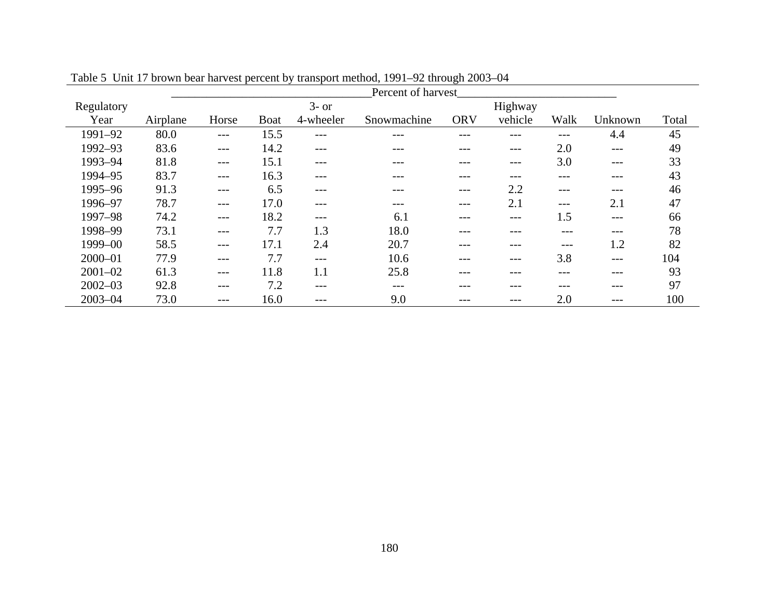|             | Percent of harvest |       |             |           |             |            |         |       |         |       |  |  |
|-------------|--------------------|-------|-------------|-----------|-------------|------------|---------|-------|---------|-------|--|--|
| Regulatory  |                    |       |             | $3-$ or   |             |            | Highway |       |         |       |  |  |
| Year        | Airplane           | Horse | <b>Boat</b> | 4-wheeler | Snowmachine | <b>ORV</b> | vehicle | Walk  | Unknown | Total |  |  |
| 1991-92     | 80.0               | $---$ | 15.5        | ---       | ---         |            |         | ---   | 4.4     | 45    |  |  |
| 1992-93     | 83.6               | ---   | 14.2        | ---       | ---         | ---        | ---     | 2.0   | $---$   | 49    |  |  |
| 1993-94     | 81.8               | $---$ | 15.1        | ---       | ---         |            | ---     | 3.0   | $---$   | 33    |  |  |
| 1994-95     | 83.7               | $---$ | 16.3        | ---       |             |            | ---     | ---   | $---$   | 43    |  |  |
| 1995-96     | 91.3               | $---$ | 6.5         | ---       | ---         | ---        | 2.2     | $---$ | $---$   | 46    |  |  |
| 1996-97     | 78.7               | $---$ | 17.0        | ---       | ---         |            | 2.1     | ---   | 2.1     | 47    |  |  |
| 1997-98     | 74.2               | $---$ | 18.2        | ---       | 6.1         | ---        | $---$   | 1.5   | $---$   | 66    |  |  |
| 1998-99     | 73.1               | ---   | 7.7         | 1.3       | 18.0        |            |         |       | $---$   | 78    |  |  |
| 1999-00     | 58.5               | $---$ | 17.1        | 2.4       | 20.7        | ---        | ---     | ---   | 1.2     | 82    |  |  |
| $2000 - 01$ | 77.9               | $---$ | 7.7         | $---$     | 10.6        |            | ---     | 3.8   | $---$   | 104   |  |  |
| $2001 - 02$ | 61.3               | $---$ | 11.8        | 1.1       | 25.8        | ---        | ---     | ---   | $---$   | 93    |  |  |
| $2002 - 03$ | 92.8               | $---$ | 7.2         | ---       | ---         |            | ---     |       | $---$   | 97    |  |  |
| $2003 - 04$ | 73.0               | ---   | 16.0        | ---       | 9.0         |            | ---     | 2.0   |         | 100   |  |  |

Table 5 Unit 17 brown bear harvest percent by transport method, 1991–92 through 2003–04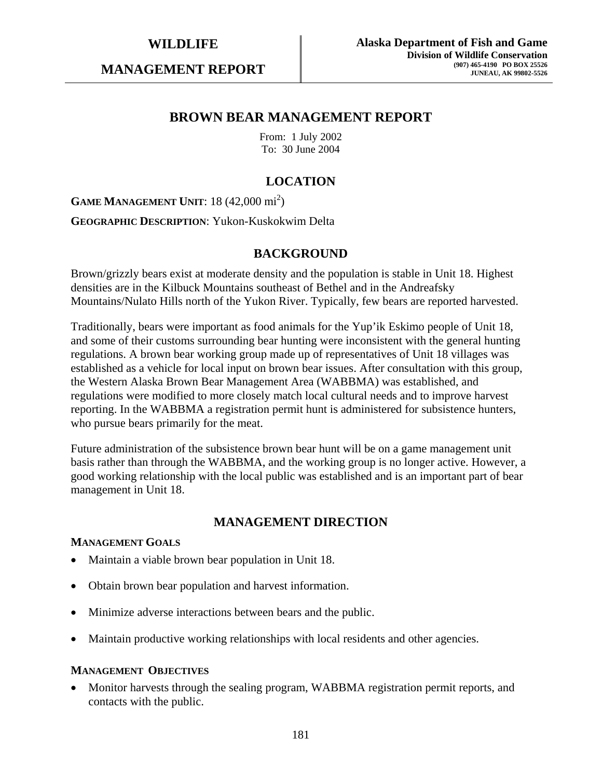**MANAGEMENT REPORT** 

## **BROWN BEAR MANAGEMENT REPORT**

From: 1 July 2002 To: 30 June 2004

# **LOCATION**

**GAME MANAGEMENT UNIT:** 18 (42,000 mi<sup>2</sup>)

**GEOGRAPHIC DESCRIPTION**: Yukon-Kuskokwim Delta

## **BACKGROUND**

Brown/grizzly bears exist at moderate density and the population is stable in Unit 18. Highest densities are in the Kilbuck Mountains southeast of Bethel and in the Andreafsky Mountains/Nulato Hills north of the Yukon River. Typically, few bears are reported harvested.

Traditionally, bears were important as food animals for the Yup'ik Eskimo people of Unit 18, and some of their customs surrounding bear hunting were inconsistent with the general hunting regulations. A brown bear working group made up of representatives of Unit 18 villages was established as a vehicle for local input on brown bear issues. After consultation with this group, the Western Alaska Brown Bear Management Area (WABBMA) was established, and regulations were modified to more closely match local cultural needs and to improve harvest reporting. In the WABBMA a registration permit hunt is administered for subsistence hunters, who pursue bears primarily for the meat.

Future administration of the subsistence brown bear hunt will be on a game management unit basis rather than through the WABBMA, and the working group is no longer active. However, a good working relationship with the local public was established and is an important part of bear management in Unit 18.

## **MANAGEMENT DIRECTION**

#### **MANAGEMENT GOALS**

- Maintain a viable brown bear population in Unit 18.
- Obtain brown bear population and harvest information.
- Minimize adverse interactions between bears and the public.
- Maintain productive working relationships with local residents and other agencies.

#### **MANAGEMENT OBJECTIVES**

• Monitor harvests through the sealing program, WABBMA registration permit reports, and contacts with the public.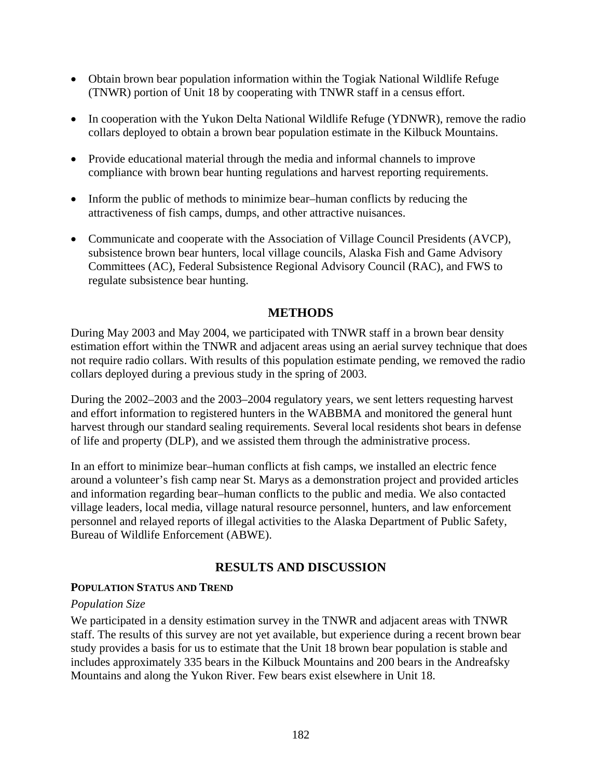- Obtain brown bear population information within the Togiak National Wildlife Refuge (TNWR) portion of Unit 18 by cooperating with TNWR staff in a census effort.
- In cooperation with the Yukon Delta National Wildlife Refuge (YDNWR), remove the radio collars deployed to obtain a brown bear population estimate in the Kilbuck Mountains.
- Provide educational material through the media and informal channels to improve compliance with brown bear hunting regulations and harvest reporting requirements.
- Inform the public of methods to minimize bear–human conflicts by reducing the attractiveness of fish camps, dumps, and other attractive nuisances.
- Communicate and cooperate with the Association of Village Council Presidents (AVCP), subsistence brown bear hunters, local village councils, Alaska Fish and Game Advisory Committees (AC), Federal Subsistence Regional Advisory Council (RAC), and FWS to regulate subsistence bear hunting.

# **METHODS**

During May 2003 and May 2004, we participated with TNWR staff in a brown bear density estimation effort within the TNWR and adjacent areas using an aerial survey technique that does not require radio collars. With results of this population estimate pending, we removed the radio collars deployed during a previous study in the spring of 2003.

During the 2002–2003 and the 2003–2004 regulatory years, we sent letters requesting harvest and effort information to registered hunters in the WABBMA and monitored the general hunt harvest through our standard sealing requirements. Several local residents shot bears in defense of life and property (DLP), and we assisted them through the administrative process.

In an effort to minimize bear–human conflicts at fish camps, we installed an electric fence around a volunteer's fish camp near St. Marys as a demonstration project and provided articles and information regarding bear–human conflicts to the public and media. We also contacted village leaders, local media, village natural resource personnel, hunters, and law enforcement personnel and relayed reports of illegal activities to the Alaska Department of Public Safety, Bureau of Wildlife Enforcement (ABWE).

## **RESULTS AND DISCUSSION**

## **POPULATION STATUS AND TREND**

## *Population Size*

We participated in a density estimation survey in the TNWR and adjacent areas with TNWR staff. The results of this survey are not yet available, but experience during a recent brown bear study provides a basis for us to estimate that the Unit 18 brown bear population is stable and includes approximately 335 bears in the Kilbuck Mountains and 200 bears in the Andreafsky Mountains and along the Yukon River. Few bears exist elsewhere in Unit 18.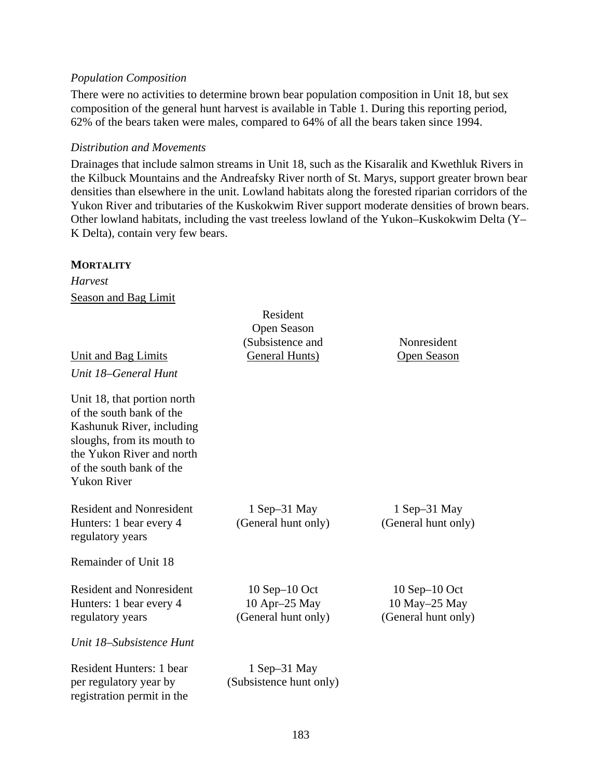#### *Population Composition*

There were no activities to determine brown bear population composition in Unit 18, but sex composition of the general hunt harvest is available in Table 1. During this reporting period, 62% of the bears taken were males, compared to 64% of all the bears taken since 1994.

#### *Distribution and Movements*

Drainages that include salmon streams in Unit 18, such as the Kisaralik and Kwethluk Rivers in the Kilbuck Mountains and the Andreafsky River north of St. Marys, support greater brown bear densities than elsewhere in the unit. Lowland habitats along the forested riparian corridors of the Yukon River and tributaries of the Kuskokwim River support moderate densities of brown bears. Other lowland habitats, including the vast treeless lowland of the Yukon–Kuskokwim Delta (Y– K Delta), contain very few bears.

#### **MORTALITY**

*Harvest*  Season and Bag Limit

|                                                                                                                                                                                                   | Resident                                                   |                                                            |
|---------------------------------------------------------------------------------------------------------------------------------------------------------------------------------------------------|------------------------------------------------------------|------------------------------------------------------------|
|                                                                                                                                                                                                   | Open Season                                                |                                                            |
|                                                                                                                                                                                                   | (Subsistence and                                           | Nonresident                                                |
| <b>Unit and Bag Limits</b>                                                                                                                                                                        | General Hunts)                                             | <b>Open Season</b>                                         |
| Unit 18–General Hunt                                                                                                                                                                              |                                                            |                                                            |
| Unit 18, that portion north<br>of the south bank of the<br>Kashunuk River, including<br>sloughs, from its mouth to<br>the Yukon River and north<br>of the south bank of the<br><b>Yukon River</b> |                                                            |                                                            |
| <b>Resident and Nonresident</b><br>Hunters: 1 bear every 4<br>regulatory years                                                                                                                    | $1$ Sep-31 May<br>(General hunt only)                      | 1 Sep–31 May<br>(General hunt only)                        |
| Remainder of Unit 18                                                                                                                                                                              |                                                            |                                                            |
| <b>Resident and Nonresident</b><br>Hunters: 1 bear every 4<br>regulatory years                                                                                                                    | $10$ Sep $-10$ Oct<br>10 Apr-25 May<br>(General hunt only) | $10$ Sep $-10$ Oct<br>10 May-25 May<br>(General hunt only) |
| Unit 18–Subsistence Hunt                                                                                                                                                                          |                                                            |                                                            |
| Resident Hunters: 1 bear<br>per regulatory year by<br>registration permit in the                                                                                                                  | $1$ Sep $-31$ May<br>(Subsistence hunt only)               |                                                            |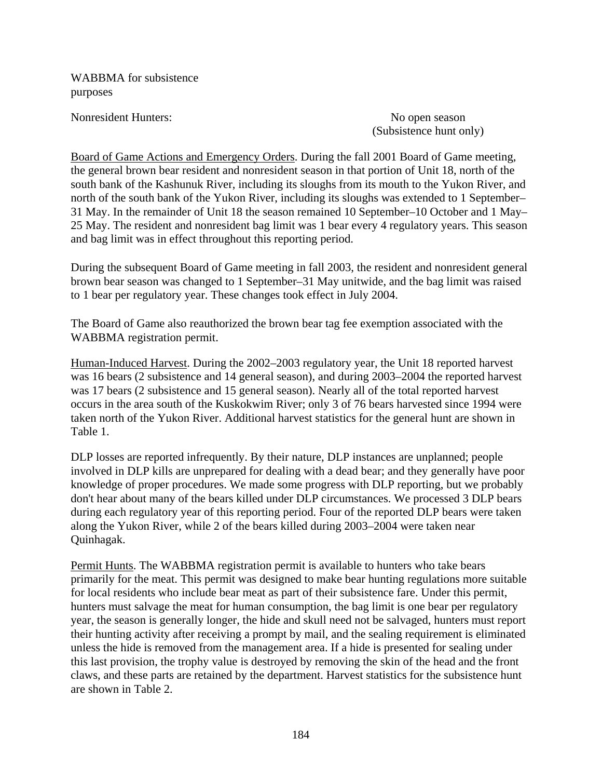WABBMA for subsistence purposes

Nonresident Hunters: No open season

(Subsistence hunt only)

Board of Game Actions and Emergency Orders. During the fall 2001 Board of Game meeting, the general brown bear resident and nonresident season in that portion of Unit 18, north of the south bank of the Kashunuk River, including its sloughs from its mouth to the Yukon River, and north of the south bank of the Yukon River, including its sloughs was extended to 1 September– 31 May. In the remainder of Unit 18 the season remained 10 September–10 October and 1 May– 25 May. The resident and nonresident bag limit was 1 bear every 4 regulatory years. This season and bag limit was in effect throughout this reporting period.

During the subsequent Board of Game meeting in fall 2003, the resident and nonresident general brown bear season was changed to 1 September–31 May unitwide, and the bag limit was raised to 1 bear per regulatory year. These changes took effect in July 2004.

The Board of Game also reauthorized the brown bear tag fee exemption associated with the WABBMA registration permit.

Human-Induced Harvest. During the 2002–2003 regulatory year, the Unit 18 reported harvest was 16 bears (2 subsistence and 14 general season), and during 2003–2004 the reported harvest was 17 bears (2 subsistence and 15 general season). Nearly all of the total reported harvest occurs in the area south of the Kuskokwim River; only 3 of 76 bears harvested since 1994 were taken north of the Yukon River. Additional harvest statistics for the general hunt are shown in Table 1.

DLP losses are reported infrequently. By their nature, DLP instances are unplanned; people involved in DLP kills are unprepared for dealing with a dead bear; and they generally have poor knowledge of proper procedures. We made some progress with DLP reporting, but we probably don't hear about many of the bears killed under DLP circumstances. We processed 3 DLP bears during each regulatory year of this reporting period. Four of the reported DLP bears were taken along the Yukon River, while 2 of the bears killed during 2003–2004 were taken near Quinhagak.

Permit Hunts. The WABBMA registration permit is available to hunters who take bears primarily for the meat. This permit was designed to make bear hunting regulations more suitable for local residents who include bear meat as part of their subsistence fare. Under this permit, hunters must salvage the meat for human consumption, the bag limit is one bear per regulatory year, the season is generally longer, the hide and skull need not be salvaged, hunters must report their hunting activity after receiving a prompt by mail, and the sealing requirement is eliminated unless the hide is removed from the management area. If a hide is presented for sealing under this last provision, the trophy value is destroyed by removing the skin of the head and the front claws, and these parts are retained by the department. Harvest statistics for the subsistence hunt are shown in Table 2.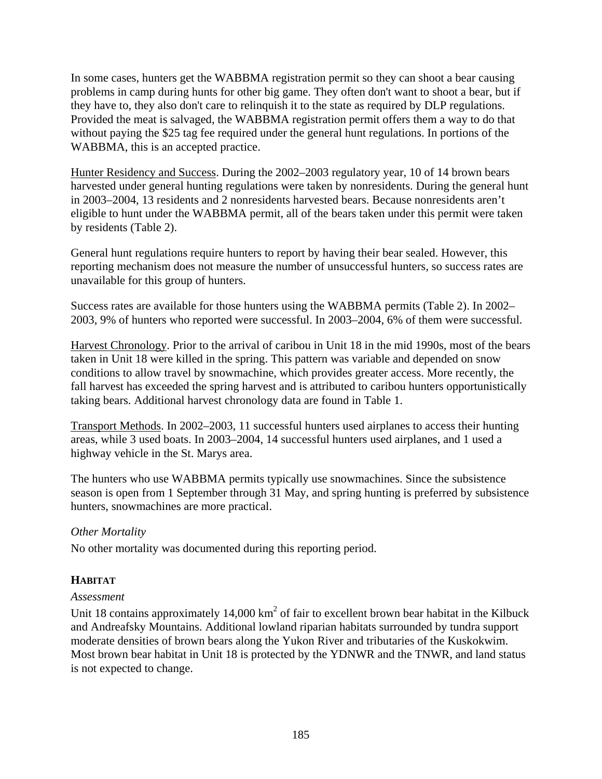In some cases, hunters get the WABBMA registration permit so they can shoot a bear causing problems in camp during hunts for other big game. They often don't want to shoot a bear, but if they have to, they also don't care to relinquish it to the state as required by DLP regulations. Provided the meat is salvaged, the WABBMA registration permit offers them a way to do that without paying the \$25 tag fee required under the general hunt regulations. In portions of the WABBMA, this is an accepted practice.

Hunter Residency and Success. During the 2002–2003 regulatory year, 10 of 14 brown bears harvested under general hunting regulations were taken by nonresidents. During the general hunt in 2003–2004, 13 residents and 2 nonresidents harvested bears. Because nonresidents aren't eligible to hunt under the WABBMA permit, all of the bears taken under this permit were taken by residents (Table 2).

General hunt regulations require hunters to report by having their bear sealed. However, this reporting mechanism does not measure the number of unsuccessful hunters, so success rates are unavailable for this group of hunters.

Success rates are available for those hunters using the WABBMA permits (Table 2). In 2002– 2003, 9% of hunters who reported were successful. In 2003–2004, 6% of them were successful.

Harvest Chronology. Prior to the arrival of caribou in Unit 18 in the mid 1990s, most of the bears taken in Unit 18 were killed in the spring. This pattern was variable and depended on snow conditions to allow travel by snowmachine, which provides greater access. More recently, the fall harvest has exceeded the spring harvest and is attributed to caribou hunters opportunistically taking bears. Additional harvest chronology data are found in Table 1.

Transport Methods. In 2002–2003, 11 successful hunters used airplanes to access their hunting areas, while 3 used boats. In 2003–2004, 14 successful hunters used airplanes, and 1 used a highway vehicle in the St. Marys area.

The hunters who use WABBMA permits typically use snowmachines. Since the subsistence season is open from 1 September through 31 May, and spring hunting is preferred by subsistence hunters, snowmachines are more practical.

## *Other Mortality*

No other mortality was documented during this reporting period.

# **HABITAT**

# *Assessment*

Unit 18 contains approximately 14,000  $km^2$  of fair to excellent brown bear habitat in the Kilbuck and Andreafsky Mountains. Additional lowland riparian habitats surrounded by tundra support moderate densities of brown bears along the Yukon River and tributaries of the Kuskokwim. Most brown bear habitat in Unit 18 is protected by the YDNWR and the TNWR, and land status is not expected to change.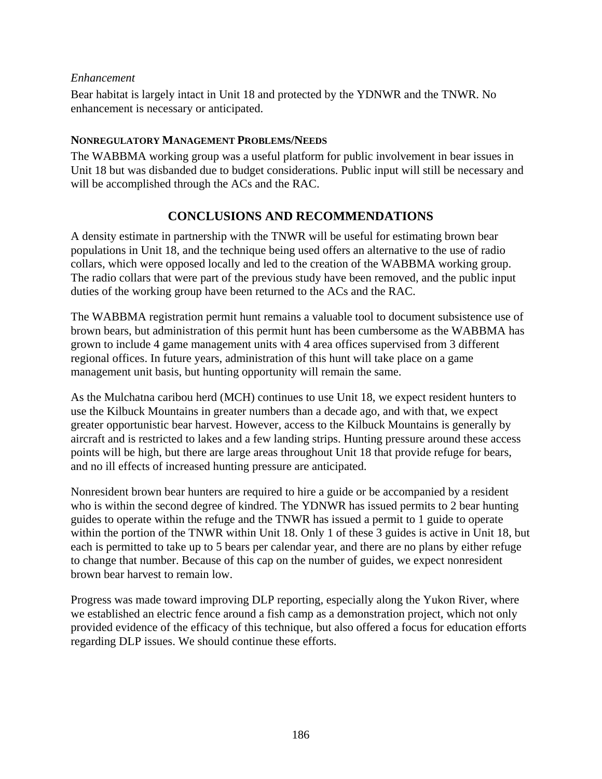## *Enhancement*

Bear habitat is largely intact in Unit 18 and protected by the YDNWR and the TNWR. No enhancement is necessary or anticipated.

## **NONREGULATORY MANAGEMENT PROBLEMS/NEEDS**

The WABBMA working group was a useful platform for public involvement in bear issues in Unit 18 but was disbanded due to budget considerations. Public input will still be necessary and will be accomplished through the ACs and the RAC.

# **CONCLUSIONS AND RECOMMENDATIONS**

A density estimate in partnership with the TNWR will be useful for estimating brown bear populations in Unit 18, and the technique being used offers an alternative to the use of radio collars, which were opposed locally and led to the creation of the WABBMA working group. The radio collars that were part of the previous study have been removed, and the public input duties of the working group have been returned to the ACs and the RAC.

The WABBMA registration permit hunt remains a valuable tool to document subsistence use of brown bears, but administration of this permit hunt has been cumbersome as the WABBMA has grown to include 4 game management units with 4 area offices supervised from 3 different regional offices. In future years, administration of this hunt will take place on a game management unit basis, but hunting opportunity will remain the same.

As the Mulchatna caribou herd (MCH) continues to use Unit 18, we expect resident hunters to use the Kilbuck Mountains in greater numbers than a decade ago, and with that, we expect greater opportunistic bear harvest. However, access to the Kilbuck Mountains is generally by aircraft and is restricted to lakes and a few landing strips. Hunting pressure around these access points will be high, but there are large areas throughout Unit 18 that provide refuge for bears, and no ill effects of increased hunting pressure are anticipated.

Nonresident brown bear hunters are required to hire a guide or be accompanied by a resident who is within the second degree of kindred. The YDNWR has issued permits to 2 bear hunting guides to operate within the refuge and the TNWR has issued a permit to 1 guide to operate within the portion of the TNWR within Unit 18. Only 1 of these 3 guides is active in Unit 18, but each is permitted to take up to 5 bears per calendar year, and there are no plans by either refuge to change that number. Because of this cap on the number of guides, we expect nonresident brown bear harvest to remain low.

Progress was made toward improving DLP reporting, especially along the Yukon River, where we established an electric fence around a fish camp as a demonstration project, which not only provided evidence of the efficacy of this technique, but also offered a focus for education efforts regarding DLP issues. We should continue these efforts.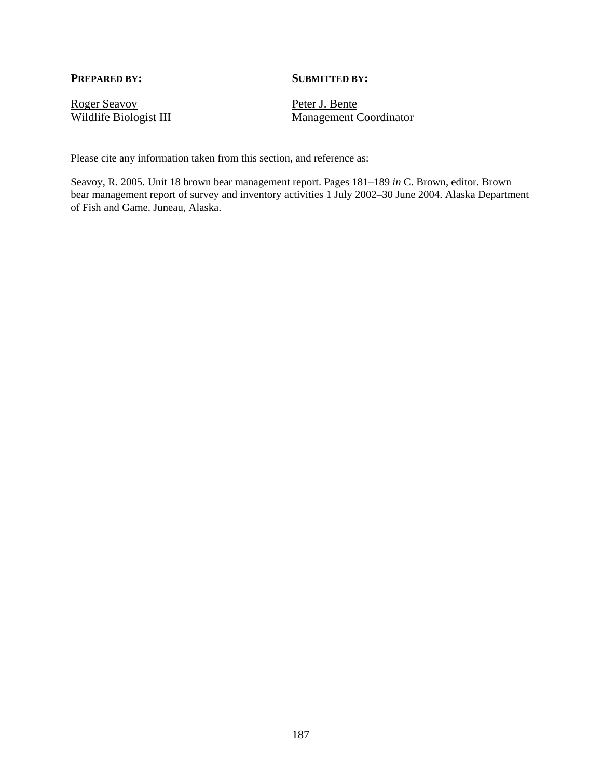#### **PREPARED BY:** SUBMITTED BY:

Roger Seavoy<br>Wildlife Biologist III Management C

Management Coordinator

Please cite any information taken from this section, and reference as:

Seavoy, R. 2005. Unit 18 brown bear management report. Pages 181–189 *in* C. Brown, editor. Brown bear management report of survey and inventory activities 1 July 2002–30 June 2004. Alaska Department of Fish and Game. Juneau, Alaska.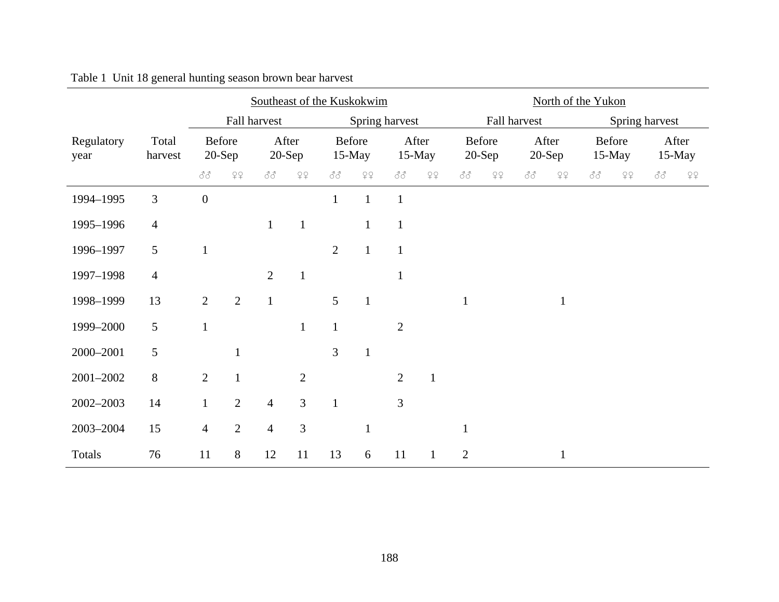|                    |                  |                    | Southeast of the Kuskokwim |                   |                                                                   |                     |                |                          |              | North of the Yukon       |                           |                   |                           |                          |                           |                 |    |
|--------------------|------------------|--------------------|----------------------------|-------------------|-------------------------------------------------------------------|---------------------|----------------|--------------------------|--------------|--------------------------|---------------------------|-------------------|---------------------------|--------------------------|---------------------------|-----------------|----|
|                    |                  |                    | Fall harvest               |                   |                                                                   |                     | Spring harvest |                          |              |                          | Fall harvest              |                   |                           |                          | Spring harvest            |                 |    |
| Regulatory<br>year | Total<br>harvest | Before<br>$20-Sep$ |                            | After<br>$20-Sep$ |                                                                   | Before<br>$15$ -May |                | After<br>15-May          |              | Before<br>$20-Sep$       |                           | After<br>$20-Sep$ |                           | Before                   | 15-May                    | After<br>15-May |    |
|                    |                  | 88                 | 79                         | 88                | $\begin{smallmatrix} \bigcirc \circ \circ \\ + \end{smallmatrix}$ | 88                  | 79             | $\mathcal{S}\mathcal{S}$ | $\varphi$    | $\mathcal{S}\mathcal{S}$ | $\mathcal{Q} \mathcal{Q}$ | 88                | $\mathcal{Q} \mathcal{Q}$ | $\mathcal{S}\mathcal{S}$ | $\mathcal{Q} \mathcal{Q}$ | 88              | 79 |
| 1994-1995          | 3                | $\boldsymbol{0}$   |                            |                   |                                                                   | $\mathbf{1}$        | $\mathbf{1}$   | $\mathbf{1}$             |              |                          |                           |                   |                           |                          |                           |                 |    |
| 1995-1996          | $\overline{4}$   |                    |                            | $\mathbf{1}$      | $\mathbf{1}$                                                      |                     | $\mathbf{1}$   | $\mathbf{1}$             |              |                          |                           |                   |                           |                          |                           |                 |    |
| 1996-1997          | 5                | $\mathbf{1}$       |                            |                   |                                                                   | $\overline{2}$      | $\mathbf{1}$   | $\mathbf{1}$             |              |                          |                           |                   |                           |                          |                           |                 |    |
| 1997-1998          | $\overline{4}$   |                    |                            | $\overline{2}$    | $\mathbf{1}$                                                      |                     |                | $\mathbf{1}$             |              |                          |                           |                   |                           |                          |                           |                 |    |
| 1998-1999          | 13               | $\overline{2}$     | $\overline{2}$             | $\mathbf{1}$      |                                                                   | 5                   | $\mathbf{1}$   |                          |              | $\mathbf{1}$             |                           |                   | $\mathbf{1}$              |                          |                           |                 |    |
| 1999-2000          | 5                | $\mathbf{1}$       |                            |                   | $\mathbf{1}$                                                      | $\mathbf{1}$        |                | $\overline{2}$           |              |                          |                           |                   |                           |                          |                           |                 |    |
| 2000-2001          | 5                |                    | $\mathbf{1}$               |                   |                                                                   | 3                   | $\mathbf{1}$   |                          |              |                          |                           |                   |                           |                          |                           |                 |    |
| 2001-2002          | $8\,$            | $\overline{2}$     | $\mathbf{1}$               |                   | $\overline{2}$                                                    |                     |                | $\overline{2}$           | $\mathbf{1}$ |                          |                           |                   |                           |                          |                           |                 |    |
| 2002-2003          | 14               | $\mathbf{1}$       | $\overline{2}$             | $\overline{4}$    | $\overline{3}$                                                    | $\mathbf{1}$        |                | 3                        |              |                          |                           |                   |                           |                          |                           |                 |    |
| 2003-2004          | 15               | $\overline{4}$     | $\overline{2}$             | $\overline{4}$    | 3                                                                 |                     |                |                          |              | $\mathbf{1}$             |                           |                   |                           |                          |                           |                 |    |
| Totals             | 76               | 11                 | $8\,$                      | 12                | 11                                                                | 13                  | 6              | 11                       | $\mathbf{1}$ | $\mathbf{2}$             |                           |                   | $\mathbf{1}$              |                          |                           |                 |    |

Table 1 Unit 18 general hunting season brown bear harvest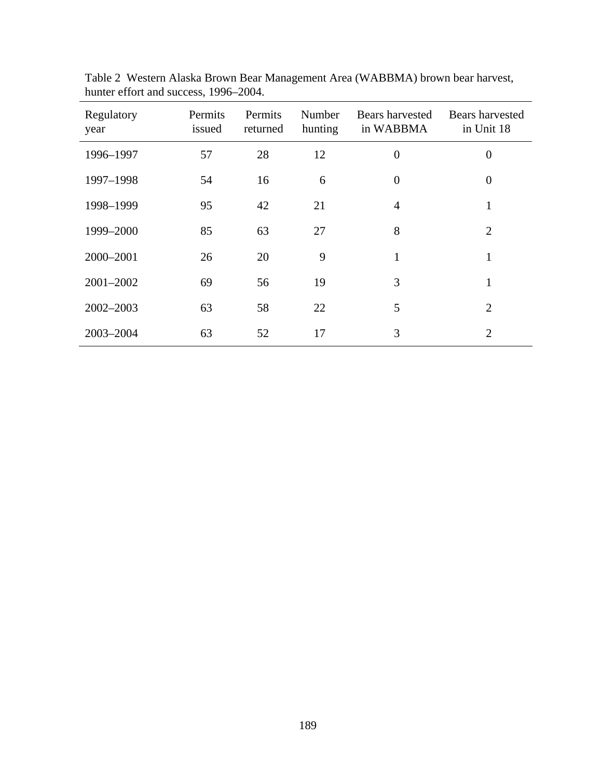| Regulatory<br>year | Permits<br>issued | Permits<br>returned | Number<br>hunting | Bears harvested<br>in WABBMA | Bears harvested<br>in Unit 18 |
|--------------------|-------------------|---------------------|-------------------|------------------------------|-------------------------------|
| 1996-1997          | 57                | 28                  | 12                | $\overline{0}$               | $\overline{0}$                |
| 1997-1998          | 54                | 16                  | 6                 | $\overline{0}$               | $\overline{0}$                |
| 1998-1999          | 95                | 42                  | 21                | $\overline{4}$               | 1                             |
| 1999-2000          | 85                | 63                  | 27                | 8                            | $\overline{2}$                |
| 2000-2001          | 26                | 20                  | 9                 | 1                            | $\mathbf{1}$                  |
| 2001-2002          | 69                | 56                  | 19                | 3                            | $\mathbf{1}$                  |
| 2002-2003          | 63                | 58                  | 22                | 5                            | $\overline{2}$                |
| 2003-2004          | 63                | 52                  | 17                | 3                            | $\overline{2}$                |

Table 2 Western Alaska Brown Bear Management Area (WABBMA) brown bear harvest, hunter effort and success, 1996–2004.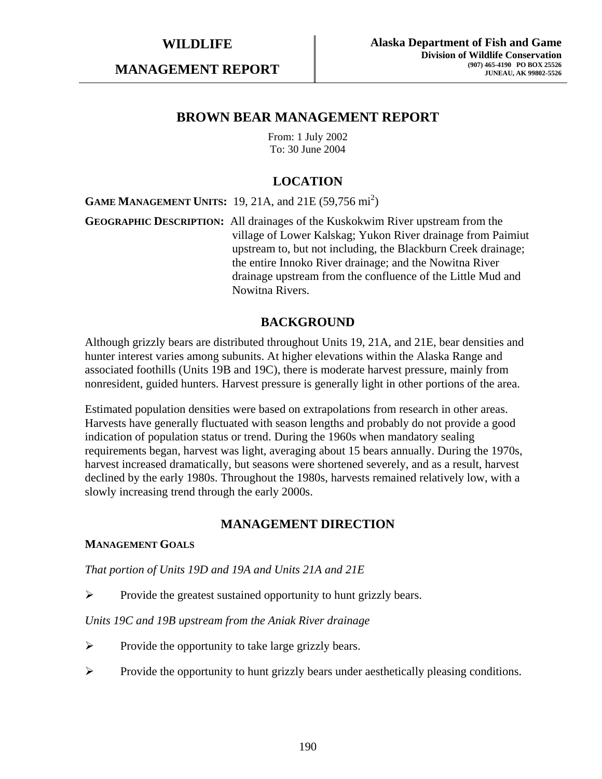**MANAGEMENT REPORT** 

## **BROWN BEAR MANAGEMENT REPORT**

From: 1 July 2002 To: 30 June 2004

# **LOCATION**

**GAME MANAGEMENT UNITS:** 19, 21A, and 21E (59,756 mi<sup>2</sup>)

**GEOGRAPHIC DESCRIPTION:** All drainages of the Kuskokwim River upstream from the village of Lower Kalskag; Yukon River drainage from Paimiut upstream to, but not including, the Blackburn Creek drainage; the entire Innoko River drainage; and the Nowitna River drainage upstream from the confluence of the Little Mud and Nowitna Rivers.

# **BACKGROUND**

Although grizzly bears are distributed throughout Units 19, 21A, and 21E, bear densities and hunter interest varies among subunits. At higher elevations within the Alaska Range and associated foothills (Units 19B and 19C), there is moderate harvest pressure, mainly from nonresident, guided hunters. Harvest pressure is generally light in other portions of the area.

Estimated population densities were based on extrapolations from research in other areas. Harvests have generally fluctuated with season lengths and probably do not provide a good indication of population status or trend. During the 1960s when mandatory sealing requirements began, harvest was light, averaging about 15 bears annually. During the 1970s, harvest increased dramatically, but seasons were shortened severely, and as a result, harvest declined by the early 1980s. Throughout the 1980s, harvests remained relatively low, with a slowly increasing trend through the early 2000s.

## **MANAGEMENT DIRECTION**

## **MANAGEMENT GOALS**

*That portion of Units 19D and 19A and Units 21A and 21E* 

¾ Provide the greatest sustained opportunity to hunt grizzly bears.

## *Units 19C and 19B upstream from the Aniak River drainage*

- $\triangleright$  Provide the opportunity to take large grizzly bears.
- ¾ Provide the opportunity to hunt grizzly bears under aesthetically pleasing conditions.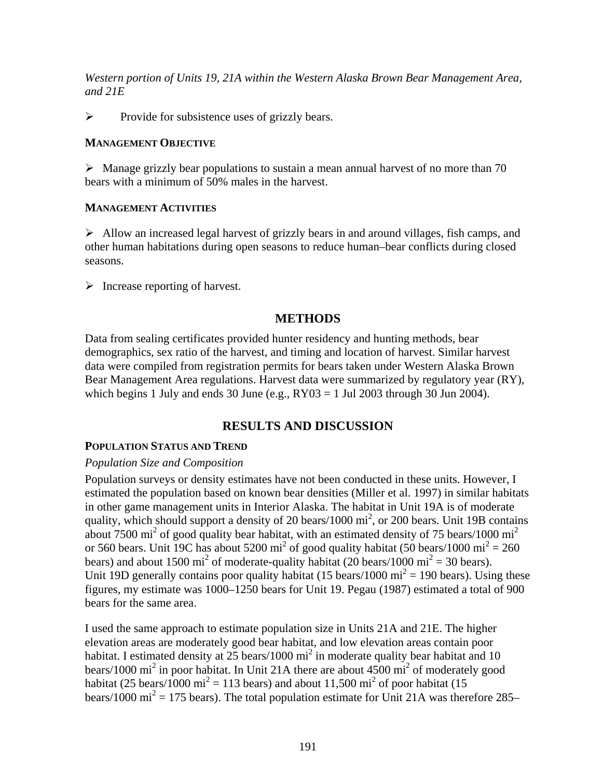*Western portion of Units 19, 21A within the Western Alaska Brown Bear Management Area, and 21E* 

 $\triangleright$  Provide for subsistence uses of grizzly bears.

## **MANAGEMENT OBJECTIVE**

 $\triangleright$  Manage grizzly bear populations to sustain a mean annual harvest of no more than 70 bears with a minimum of 50% males in the harvest.

## **MANAGEMENT ACTIVITIES**

 $\triangleright$  Allow an increased legal harvest of grizzly bears in and around villages, fish camps, and other human habitations during open seasons to reduce human–bear conflicts during closed seasons.

 $\triangleright$  Increase reporting of harvest.

# **METHODS**

Data from sealing certificates provided hunter residency and hunting methods, bear demographics, sex ratio of the harvest, and timing and location of harvest. Similar harvest data were compiled from registration permits for bears taken under Western Alaska Brown Bear Management Area regulations. Harvest data were summarized by regulatory year (RY), which begins 1 July and ends 30 June (e.g.,  $RY03 = 1$  Jul 2003 through 30 Jun 2004).

# **RESULTS AND DISCUSSION**

## **POPULATION STATUS AND TREND**

## *Population Size and Composition*

Population surveys or density estimates have not been conducted in these units. However, I estimated the population based on known bear densities (Miller et al. 1997) in similar habitats in other game management units in Interior Alaska. The habitat in Unit 19A is of moderate quality, which should support a density of 20 bears/1000  $\text{mi}^2$ , or 200 bears. Unit 19B contains about 7500 mi<sup>2</sup> of good quality bear habitat, with an estimated density of 75 bears/1000 mi<sup>2</sup> or 560 bears. Unit 19C has about 5200 mi<sup>2</sup> of good quality habitat (50 bears/1000 mi<sup>2</sup> = 260 bears) and about 1500 mi<sup>2</sup> of moderate-quality habitat (20 bears/1000 mi<sup>2</sup> = 30 bears). Unit 19D generally contains poor quality habitat (15 bears/1000  $\text{mi}^2 = 190$  bears). Using these figures, my estimate was 1000–1250 bears for Unit 19. Pegau (1987) estimated a total of 900 bears for the same area.

I used the same approach to estimate population size in Units 21A and 21E. The higher elevation areas are moderately good bear habitat, and low elevation areas contain poor habitat. I estimated density at  $25$  bears/1000 mi<sup>2</sup> in moderate quality bear habitat and 10 bears/1000 mi<sup>2</sup> in poor habitat. In Unit 21A there are about  $4500$  mi<sup>2</sup> of moderately good habitat (25 bears/1000 mi<sup>2</sup> = 113 bears) and about 11,500 mi<sup>2</sup> of poor habitat (15 bears/1000 mi<sup>2</sup> = 175 bears). The total population estimate for Unit 21A was therefore 285–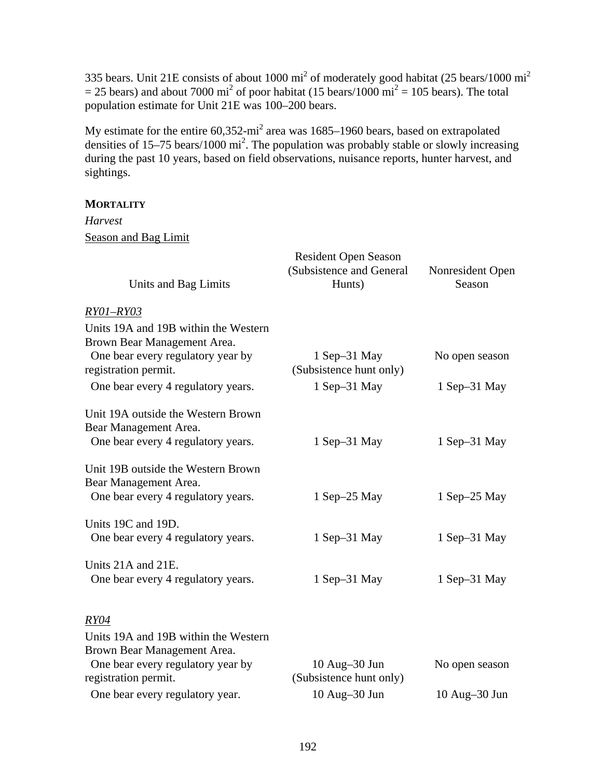335 bears. Unit 21E consists of about 1000  $\text{mi}^2$  of moderately good habitat (25 bears/1000  $\text{mi}^2$  $=$  25 bears) and about 7000 mi<sup>2</sup> of poor habitat (15 bears/1000 mi<sup>2</sup> = 105 bears). The total population estimate for Unit 21E was 100–200 bears.

My estimate for the entire  $60,352$ -mi<sup>2</sup> area was 1685–1960 bears, based on extrapolated densities of  $15-75$  bears/1000 mi<sup>2</sup>. The population was probably stable or slowly increasing during the past 10 years, based on field observations, nuisance reports, hunter harvest, and sightings.

## **MORTALITY**

# *Harvest*  Season and Bag Limit

|                                      | <b>Resident Open Season</b>        |                            |  |  |
|--------------------------------------|------------------------------------|----------------------------|--|--|
| Units and Bag Limits                 | (Subsistence and General<br>Hunts) | Nonresident Open<br>Season |  |  |
| RY01-RY03                            |                                    |                            |  |  |
| Units 19A and 19B within the Western |                                    |                            |  |  |
| Brown Bear Management Area.          |                                    |                            |  |  |
| One bear every regulatory year by    | $1$ Sep-31 May                     | No open season             |  |  |
| registration permit.                 | (Subsistence hunt only)            |                            |  |  |
| One bear every 4 regulatory years.   | 1 Sep-31 May                       | 1 Sep-31 May               |  |  |
| Unit 19A outside the Western Brown   |                                    |                            |  |  |
| Bear Management Area.                |                                    |                            |  |  |
| One bear every 4 regulatory years.   | $1$ Sep $-31$ May                  | $1$ Sep $-31$ May          |  |  |
| Unit 19B outside the Western Brown   |                                    |                            |  |  |
| Bear Management Area.                |                                    |                            |  |  |
| One bear every 4 regulatory years.   | 1 Sep $-25$ May                    | $1$ Sep $-25$ May          |  |  |
| Units 19C and 19D.                   |                                    |                            |  |  |
| One bear every 4 regulatory years.   | $1$ Sep $-31$ May                  | $1$ Sep $-31$ May          |  |  |
| Units 21A and 21E.                   |                                    |                            |  |  |
| One bear every 4 regulatory years.   | $1$ Sep-31 May                     | $1$ Sep-31 May             |  |  |
| <i>RY04</i>                          |                                    |                            |  |  |
| Units 19A and 19B within the Western |                                    |                            |  |  |
| Brown Bear Management Area.          |                                    |                            |  |  |
| One bear every regulatory year by    | $10$ Aug $-30$ Jun                 | No open season             |  |  |
| registration permit.                 | (Subsistence hunt only)            |                            |  |  |
| One bear every regulatory year.      | 10 Aug-30 Jun                      | 10 Aug-30 Jun              |  |  |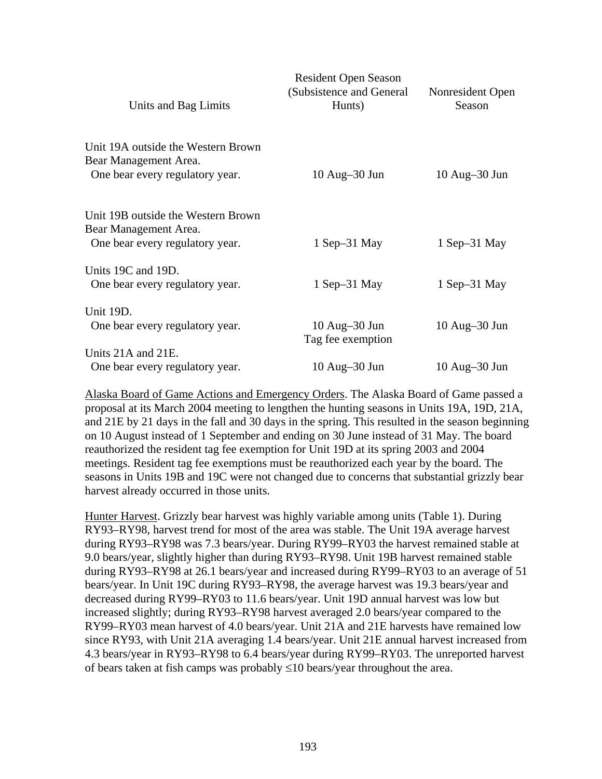| Units and Bag Limits                                                                           | <b>Resident Open Season</b><br>(Subsistence and General<br>Hunts) | Nonresident Open<br>Season |
|------------------------------------------------------------------------------------------------|-------------------------------------------------------------------|----------------------------|
| Unit 19A outside the Western Brown<br>Bear Management Area.<br>One bear every regulatory year. | $10$ Aug $-30$ Jun                                                | $10$ Aug $-30$ Jun         |
| Unit 19B outside the Western Brown<br>Bear Management Area.                                    |                                                                   |                            |
| One bear every regulatory year.                                                                | $1$ Sep $-31$ May                                                 | $1$ Sep $-31$ May          |
| Units 19C and 19D.<br>One bear every regulatory year.                                          | $1$ Sep $-31$ May                                                 | 1 Sep–31 May               |
| Unit 19D.                                                                                      |                                                                   |                            |
| One bear every regulatory year.                                                                | $10$ Aug $-30$ Jun<br>Tag fee exemption                           | $10$ Aug $-30$ Jun         |
| Units 21A and 21E.                                                                             |                                                                   |                            |
| One bear every regulatory year.                                                                | $10$ Aug $-30$ Jun                                                | 10 Aug–30 Jun              |

Alaska Board of Game Actions and Emergency Orders. The Alaska Board of Game passed a proposal at its March 2004 meeting to lengthen the hunting seasons in Units 19A, 19D, 21A, and 21E by 21 days in the fall and 30 days in the spring. This resulted in the season beginning on 10 August instead of 1 September and ending on 30 June instead of 31 May. The board reauthorized the resident tag fee exemption for Unit 19D at its spring 2003 and 2004 meetings. Resident tag fee exemptions must be reauthorized each year by the board. The seasons in Units 19B and 19C were not changed due to concerns that substantial grizzly bear harvest already occurred in those units.

Hunter Harvest. Grizzly bear harvest was highly variable among units (Table 1). During RY93–RY98, harvest trend for most of the area was stable. The Unit 19A average harvest during RY93–RY98 was 7.3 bears/year. During RY99–RY03 the harvest remained stable at 9.0 bears/year, slightly higher than during RY93–RY98. Unit 19B harvest remained stable during RY93–RY98 at 26.1 bears/year and increased during RY99–RY03 to an average of 51 bears/year. In Unit 19C during RY93–RY98, the average harvest was 19.3 bears/year and decreased during RY99–RY03 to 11.6 bears/year. Unit 19D annual harvest was low but increased slightly; during RY93–RY98 harvest averaged 2.0 bears/year compared to the RY99–RY03 mean harvest of 4.0 bears/year. Unit 21A and 21E harvests have remained low since RY93, with Unit 21A averaging 1.4 bears/year. Unit 21E annual harvest increased from 4.3 bears/year in RY93–RY98 to 6.4 bears/year during RY99–RY03. The unreported harvest of bears taken at fish camps was probably ≤10 bears/year throughout the area.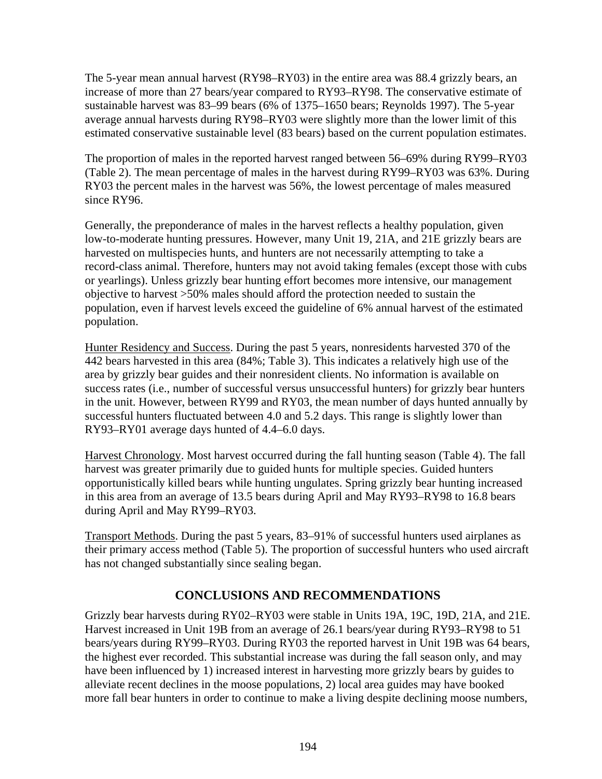The 5-year mean annual harvest (RY98–RY03) in the entire area was 88.4 grizzly bears, an increase of more than 27 bears/year compared to RY93–RY98. The conservative estimate of sustainable harvest was 83–99 bears (6% of 1375–1650 bears; Reynolds 1997). The 5-year average annual harvests during RY98–RY03 were slightly more than the lower limit of this estimated conservative sustainable level (83 bears) based on the current population estimates.

The proportion of males in the reported harvest ranged between 56–69% during RY99–RY03 (Table 2). The mean percentage of males in the harvest during RY99–RY03 was 63%. During RY03 the percent males in the harvest was 56%, the lowest percentage of males measured since RY96.

Generally, the preponderance of males in the harvest reflects a healthy population, given low-to-moderate hunting pressures. However, many Unit 19, 21A, and 21E grizzly bears are harvested on multispecies hunts, and hunters are not necessarily attempting to take a record-class animal. Therefore, hunters may not avoid taking females (except those with cubs or yearlings). Unless grizzly bear hunting effort becomes more intensive, our management objective to harvest >50% males should afford the protection needed to sustain the population, even if harvest levels exceed the guideline of 6% annual harvest of the estimated population.

Hunter Residency and Success. During the past 5 years, nonresidents harvested 370 of the 442 bears harvested in this area (84%; Table 3). This indicates a relatively high use of the area by grizzly bear guides and their nonresident clients. No information is available on success rates (i.e., number of successful versus unsuccessful hunters) for grizzly bear hunters in the unit. However, between RY99 and RY03, the mean number of days hunted annually by successful hunters fluctuated between 4.0 and 5.2 days. This range is slightly lower than RY93–RY01 average days hunted of 4.4–6.0 days.

Harvest Chronology. Most harvest occurred during the fall hunting season (Table 4). The fall harvest was greater primarily due to guided hunts for multiple species. Guided hunters opportunistically killed bears while hunting ungulates. Spring grizzly bear hunting increased in this area from an average of 13.5 bears during April and May RY93–RY98 to 16.8 bears during April and May RY99–RY03.

Transport Methods. During the past 5 years, 83–91% of successful hunters used airplanes as their primary access method (Table 5). The proportion of successful hunters who used aircraft has not changed substantially since sealing began.

# **CONCLUSIONS AND RECOMMENDATIONS**

Grizzly bear harvests during RY02–RY03 were stable in Units 19A, 19C, 19D, 21A, and 21E. Harvest increased in Unit 19B from an average of 26.1 bears/year during RY93–RY98 to 51 bears/years during RY99–RY03. During RY03 the reported harvest in Unit 19B was 64 bears, the highest ever recorded. This substantial increase was during the fall season only, and may have been influenced by 1) increased interest in harvesting more grizzly bears by guides to alleviate recent declines in the moose populations, 2) local area guides may have booked more fall bear hunters in order to continue to make a living despite declining moose numbers,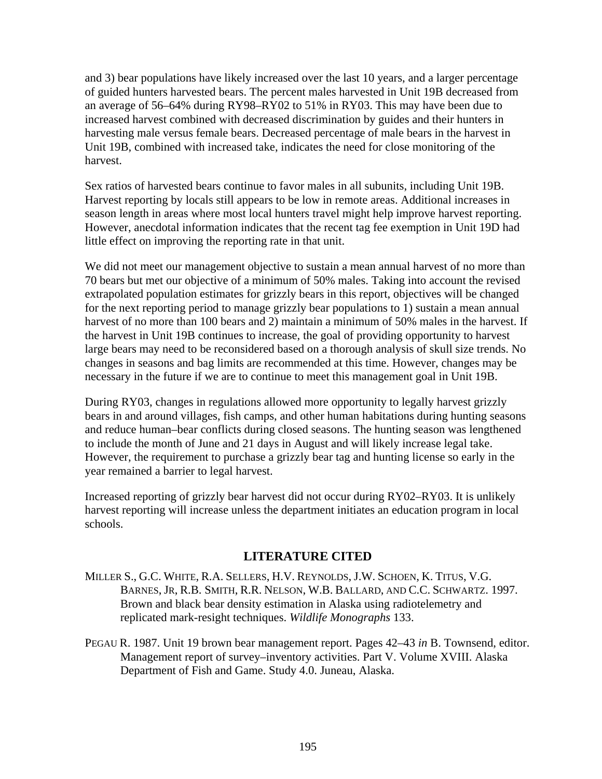and 3) bear populations have likely increased over the last 10 years, and a larger percentage of guided hunters harvested bears. The percent males harvested in Unit 19B decreased from an average of 56–64% during RY98–RY02 to 51% in RY03. This may have been due to increased harvest combined with decreased discrimination by guides and their hunters in harvesting male versus female bears. Decreased percentage of male bears in the harvest in Unit 19B, combined with increased take, indicates the need for close monitoring of the harvest.

Sex ratios of harvested bears continue to favor males in all subunits, including Unit 19B. Harvest reporting by locals still appears to be low in remote areas. Additional increases in season length in areas where most local hunters travel might help improve harvest reporting. However, anecdotal information indicates that the recent tag fee exemption in Unit 19D had little effect on improving the reporting rate in that unit.

We did not meet our management objective to sustain a mean annual harvest of no more than 70 bears but met our objective of a minimum of 50% males. Taking into account the revised extrapolated population estimates for grizzly bears in this report, objectives will be changed for the next reporting period to manage grizzly bear populations to 1) sustain a mean annual harvest of no more than 100 bears and 2) maintain a minimum of 50% males in the harvest. If the harvest in Unit 19B continues to increase, the goal of providing opportunity to harvest large bears may need to be reconsidered based on a thorough analysis of skull size trends. No changes in seasons and bag limits are recommended at this time. However, changes may be necessary in the future if we are to continue to meet this management goal in Unit 19B.

During RY03, changes in regulations allowed more opportunity to legally harvest grizzly bears in and around villages, fish camps, and other human habitations during hunting seasons and reduce human–bear conflicts during closed seasons. The hunting season was lengthened to include the month of June and 21 days in August and will likely increase legal take. However, the requirement to purchase a grizzly bear tag and hunting license so early in the year remained a barrier to legal harvest.

Increased reporting of grizzly bear harvest did not occur during RY02–RY03. It is unlikely harvest reporting will increase unless the department initiates an education program in local schools.

# **LITERATURE CITED**

- MILLER S., G.C. WHITE, R.A. SELLERS, H.V. REYNOLDS, J.W. SCHOEN, K. TITUS, V.G. BARNES, JR, R.B. SMITH, R.R. NELSON, W.B. BALLARD, AND C.C. SCHWARTZ. 1997. Brown and black bear density estimation in Alaska using radiotelemetry and replicated mark-resight techniques. *Wildlife Monographs* 133.
- PEGAU R. 1987. Unit 19 brown bear management report. Pages 42–43 *in* B. Townsend, editor. Management report of survey–inventory activities. Part V. Volume XVIII. Alaska Department of Fish and Game. Study 4.0. Juneau, Alaska.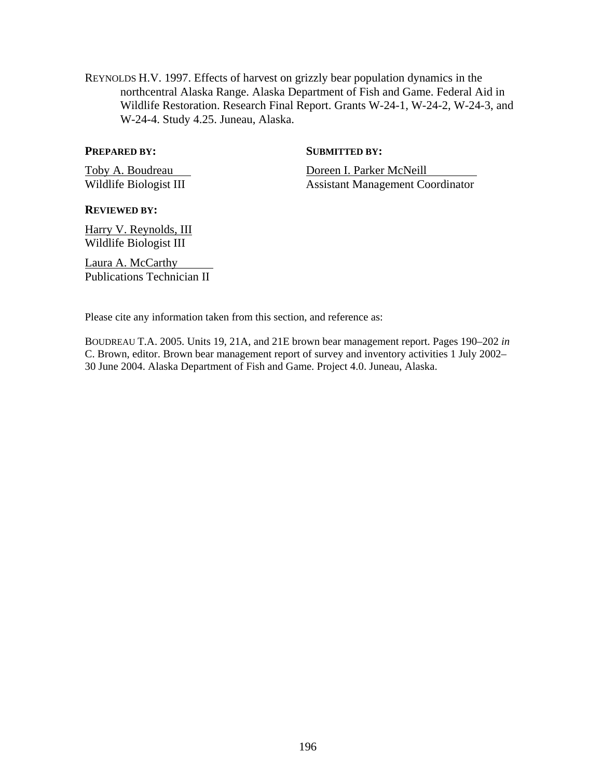REYNOLDS H.V. 1997. Effects of harvest on grizzly bear population dynamics in the northcentral Alaska Range. Alaska Department of Fish and Game. Federal Aid in Wildlife Restoration. Research Final Report. Grants W-24-1, W-24-2, W-24-3, and W-24-4. Study 4.25. Juneau, Alaska.

#### **PREPARED BY:** SUBMITTED BY:

Toby A. Boudreau Doreen I. Parker McNeill Wildlife Biologist III Assistant Management Coordinator

#### **REVIEWED BY:**

Harry V. Reynolds, III Wildlife Biologist III

Laura A. McCarthy Publications Technician II

Please cite any information taken from this section, and reference as:

BOUDREAU T.A. 2005. Units 19, 21A, and 21E brown bear management report. Pages 190–202 *in* C. Brown, editor. Brown bear management report of survey and inventory activities 1 July 2002– 30 June 2004. Alaska Department of Fish and Game. Project 4.0. Juneau, Alaska.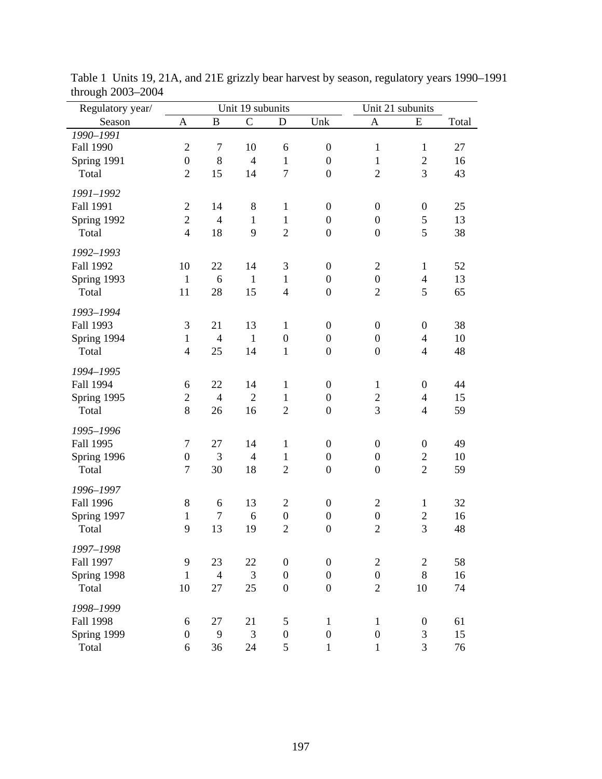| Regulatory year/     |                          |                | Unit 19 subunits |                  |                  | Unit 21 subunits |                          |       |  |
|----------------------|--------------------------|----------------|------------------|------------------|------------------|------------------|--------------------------|-------|--|
| Season               | A                        | $\overline{B}$ | $\mathsf{C}$     | D                | Unk              | A                | E                        | Total |  |
| 1990-1991            |                          |                |                  |                  |                  |                  |                          |       |  |
| Fall 1990            | $\overline{2}$           | $\tau$         | 10               | 6                | $\boldsymbol{0}$ | $\mathbf{1}$     | $\mathbf{1}$             | 27    |  |
| Spring 1991          | $\boldsymbol{0}$         | 8              | $\overline{4}$   | $\mathbf{1}$     | $\boldsymbol{0}$ | $\mathbf{1}$     | $\overline{2}$           | 16    |  |
| Total                | $\overline{2}$           | 15             | 14               | $\overline{7}$   | $\boldsymbol{0}$ | $\overline{2}$   | 3                        | 43    |  |
| 1991-1992            |                          |                |                  |                  |                  |                  |                          |       |  |
| Fall 1991            | $\overline{2}$           | 14             | $\,8\,$          | $\mathbf{1}$     | $\boldsymbol{0}$ | $\boldsymbol{0}$ | $\boldsymbol{0}$         | 25    |  |
|                      | $\overline{c}$           | $\overline{4}$ | $\mathbf{1}$     | $\mathbf{1}$     | $\boldsymbol{0}$ | $\boldsymbol{0}$ | 5                        | 13    |  |
| Spring 1992<br>Total | $\overline{\mathcal{L}}$ | 18             | 9                | $\overline{2}$   | $\boldsymbol{0}$ | $\mathbf{0}$     | 5                        | 38    |  |
|                      |                          |                |                  |                  |                  |                  |                          |       |  |
| 1992-1993            |                          |                |                  |                  |                  |                  |                          |       |  |
| <b>Fall 1992</b>     | 10                       | 22             | 14               | 3                | $\boldsymbol{0}$ | $\mathbf{2}$     | $\mathbf{1}$             | 52    |  |
| Spring 1993          | $\mathbf{1}$             | 6              | $\mathbf{1}$     | $\mathbf{1}$     | $\boldsymbol{0}$ | $\boldsymbol{0}$ | $\overline{4}$           | 13    |  |
| Total                | 11                       | 28             | 15               | $\overline{4}$   | $\boldsymbol{0}$ | $\overline{2}$   | 5                        | 65    |  |
| 1993-1994            |                          |                |                  |                  |                  |                  |                          |       |  |
|                      |                          |                |                  |                  |                  |                  |                          |       |  |
| Fall 1993            | 3                        | 21             | 13               | $\mathbf{1}$     | $\boldsymbol{0}$ | $\boldsymbol{0}$ | $\boldsymbol{0}$         | 38    |  |
| Spring 1994          | $\mathbf{1}$             | $\overline{4}$ | $\mathbf{1}$     | $\boldsymbol{0}$ | $\boldsymbol{0}$ | $\boldsymbol{0}$ | $\overline{4}$           | 10    |  |
| Total                | $\overline{4}$           | 25             | 14               | $\mathbf{1}$     | $\boldsymbol{0}$ | $\mathbf{0}$     | $\overline{4}$           | 48    |  |
| 1994-1995            |                          |                |                  |                  |                  |                  |                          |       |  |
| Fall 1994            | 6                        | 22             | 14               | $\mathbf{1}$     | $\boldsymbol{0}$ | $\mathbf{1}$     | $\boldsymbol{0}$         | 44    |  |
| Spring 1995          | $\overline{2}$           | $\overline{4}$ | $\overline{2}$   | $\mathbf{1}$     | $\boldsymbol{0}$ | $\overline{c}$   | $\overline{\mathcal{L}}$ | 15    |  |
| Total                | 8                        | 26             | 16               | $\overline{2}$   | $\boldsymbol{0}$ | 3                | $\overline{4}$           | 59    |  |
|                      |                          |                |                  |                  |                  |                  |                          |       |  |
| 1995-1996            |                          |                |                  |                  |                  |                  |                          |       |  |
| Fall 1995            | 7                        | 27             | 14               | $\mathbf{1}$     | $\boldsymbol{0}$ | $\boldsymbol{0}$ | $\boldsymbol{0}$         | 49    |  |
| Spring 1996          | $\boldsymbol{0}$         | 3              | $\overline{4}$   | $\mathbf{1}$     | $\boldsymbol{0}$ | $\boldsymbol{0}$ | $\mathbf{2}$             | 10    |  |
| Total                | 7                        | 30             | 18               | $\overline{2}$   | $\boldsymbol{0}$ | $\boldsymbol{0}$ | $\overline{2}$           | 59    |  |
| 1996-1997            |                          |                |                  |                  |                  |                  |                          |       |  |
| <b>Fall 1996</b>     | 8                        | 6              | 13               | $\mathfrak{2}$   | $\boldsymbol{0}$ | $\overline{2}$   | $\mathbf{1}$             | 32    |  |
| Spring 1997          | $\mathbf{1}$             | $\tau$         | 6                | $\boldsymbol{0}$ | $\boldsymbol{0}$ | $\boldsymbol{0}$ | $\sqrt{2}$               | 16    |  |
| Total                | 9                        | 13             | 19               | $\overline{2}$   | $\overline{0}$   | $\overline{2}$   | 3                        | 48    |  |
|                      |                          |                |                  |                  |                  |                  |                          |       |  |
| 1997-1998            |                          |                |                  |                  |                  |                  |                          |       |  |
| Fall 1997            | 9                        | 23             | 22               | $\boldsymbol{0}$ | $\boldsymbol{0}$ | $\overline{2}$   | $\overline{c}$           | 58    |  |
| Spring 1998          | $\mathbf{1}$             | $\overline{4}$ | 3                | $\overline{0}$   | $\boldsymbol{0}$ | $\boldsymbol{0}$ | 8                        | 16    |  |
| Total                | 10                       | 27             | 25               | $\boldsymbol{0}$ | $\boldsymbol{0}$ | $\overline{2}$   | 10                       | 74    |  |
| 1998-1999            |                          |                |                  |                  |                  |                  |                          |       |  |
| <b>Fall 1998</b>     | 6                        | 27             | 21               | 5                | $\mathbf{1}$     | $\mathbf{1}$     | $\boldsymbol{0}$         | 61    |  |
| Spring 1999          | $\boldsymbol{0}$         | 9              | 3                | $\boldsymbol{0}$ | $\boldsymbol{0}$ | $\boldsymbol{0}$ | 3                        | 15    |  |
| Total                | 6                        | 36             | 24               | 5                | $\mathbf 1$      | $\,1$            | 3                        | 76    |  |
|                      |                          |                |                  |                  |                  |                  |                          |       |  |

Table 1 Units 19, 21A, and 21E grizzly bear harvest by season, regulatory years 1990–1991 through 2003–2004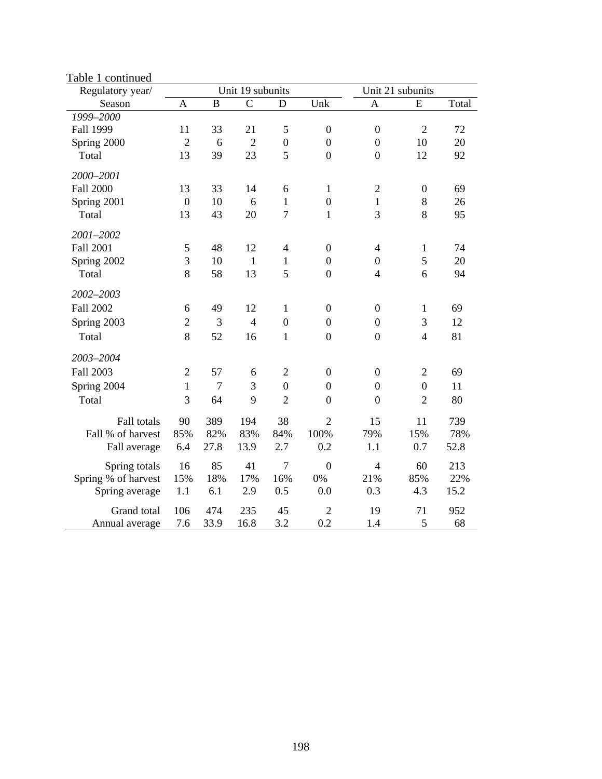| Regulatory year/    |                  |                | Unit 19 subunits |                  |                  | Unit 21 subunits         |                  |       |  |  |
|---------------------|------------------|----------------|------------------|------------------|------------------|--------------------------|------------------|-------|--|--|
| Season              | A                | $\overline{B}$ | $\overline{C}$   | D                | Unk              | $\mathbf{A}$             | E                | Total |  |  |
| 1999-2000           |                  |                |                  |                  |                  |                          |                  |       |  |  |
| Fall 1999           | 11               | 33             | 21               | $\mathfrak{S}$   | $\boldsymbol{0}$ | $\boldsymbol{0}$         | $\overline{2}$   | 72    |  |  |
| Spring 2000         | $\overline{2}$   | 6              | $\overline{2}$   | $\boldsymbol{0}$ | $\boldsymbol{0}$ | $\boldsymbol{0}$         | 10               | 20    |  |  |
| Total               | 13               | 39             | 23               | 5                | $\overline{0}$   | $\mathbf{0}$             | 12               | 92    |  |  |
| 2000-2001           |                  |                |                  |                  |                  |                          |                  |       |  |  |
| <b>Fall 2000</b>    | 13               | 33             | 14               | 6                | $\mathbf{1}$     | $\mathbf{2}$             | $\boldsymbol{0}$ | 69    |  |  |
| Spring 2001         | $\boldsymbol{0}$ | 10             | 6                | $\mathbf{1}$     | $\boldsymbol{0}$ | $\mathbf{1}$             | 8                | 26    |  |  |
| Total               | 13               | 43             | 20               | $\tau$           | $\mathbf{1}$     | 3                        | 8                | 95    |  |  |
| 2001-2002           |                  |                |                  |                  |                  |                          |                  |       |  |  |
| <b>Fall 2001</b>    | 5                | 48             | 12               | $\overline{4}$   | $\boldsymbol{0}$ | $\overline{\mathcal{A}}$ | $\mathbf{1}$     | 74    |  |  |
| Spring 2002         | 3                | 10             | $\mathbf{1}$     | 1                | $\boldsymbol{0}$ | $\boldsymbol{0}$         | 5                | 20    |  |  |
| Total               | 8                | 58             | 13               | 5                | $\boldsymbol{0}$ | $\overline{4}$           | 6                | 94    |  |  |
| 2002-2003           |                  |                |                  |                  |                  |                          |                  |       |  |  |
| <b>Fall 2002</b>    | 6                | 49             | 12               | $\mathbf{1}$     | $\boldsymbol{0}$ | $\boldsymbol{0}$         | 1                | 69    |  |  |
| Spring 2003         | $\overline{c}$   | 3              | $\overline{4}$   | $\boldsymbol{0}$ | $\boldsymbol{0}$ | $\boldsymbol{0}$         | 3                | 12    |  |  |
| Total               | 8                | 52             | 16               | $\mathbf{1}$     | $\boldsymbol{0}$ | $\overline{0}$           | $\overline{4}$   | 81    |  |  |
| 2003-2004           |                  |                |                  |                  |                  |                          |                  |       |  |  |
| Fall 2003           | $\mathbf{2}$     | 57             | 6                | $\mathbf{2}$     | $\boldsymbol{0}$ | $\boldsymbol{0}$         | $\overline{2}$   | 69    |  |  |
| Spring 2004         | $\mathbf{1}$     | $\overline{7}$ | 3                | $\boldsymbol{0}$ | $\boldsymbol{0}$ | $\mathbf{0}$             | $\mathbf{0}$     | 11    |  |  |
|                     |                  |                |                  |                  |                  |                          |                  |       |  |  |
| Total               | 3                | 64             | 9                | $\overline{2}$   | $\overline{0}$   | $\overline{0}$           | $\overline{2}$   | 80    |  |  |
| Fall totals         | 90               | 389            | 194              | 38               | $\overline{2}$   | 15                       | 11               | 739   |  |  |
| Fall % of harvest   | 85%              | 82%            | 83%              | 84%              | 100%             | 79%                      | 15%              | 78%   |  |  |
| Fall average        | 6.4              | 27.8           | 13.9             | 2.7              | 0.2              | 1.1                      | 0.7              | 52.8  |  |  |
| Spring totals       | 16               | 85             | 41               | $\overline{7}$   | $\mathbf{0}$     | 4                        | 60               | 213   |  |  |
| Spring % of harvest | 15%              | 18%            | 17%              | 16%              | 0%               | 21%                      | 85%              | 22%   |  |  |
| Spring average      | 1.1              | 6.1            | 2.9              | 0.5              | 0.0              | 0.3                      | 4.3              | 15.2  |  |  |
| Grand total         | 106              | 474            | 235              | 45               | $\overline{2}$   | 19                       | 71               | 952   |  |  |
| Annual average      | 7.6              | 33.9           | 16.8             | 3.2              | 0.2              | 1.4                      | 5                | 68    |  |  |

Table 1 continued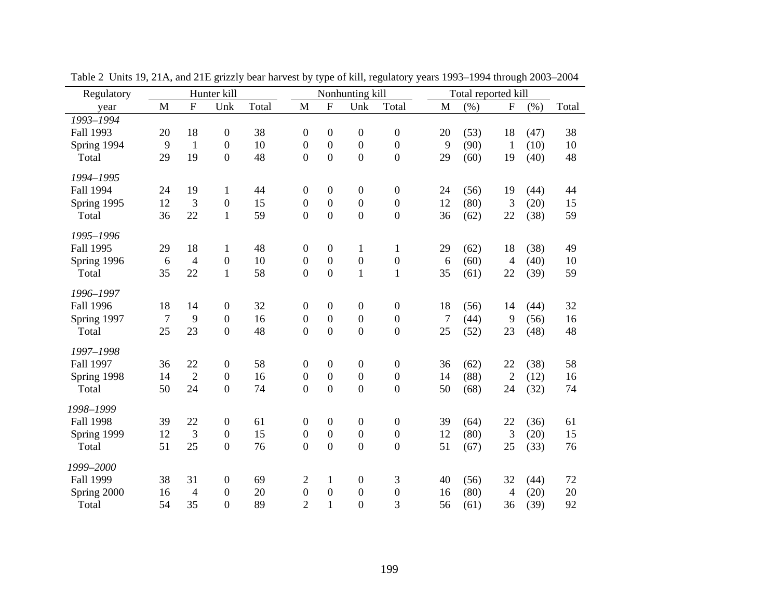| Regulatory       |                  |                           | Hunter kill      |       |                  |                  | Nonhunting kill  |                  |             | Total reported kill |                           |      |       |
|------------------|------------------|---------------------------|------------------|-------|------------------|------------------|------------------|------------------|-------------|---------------------|---------------------------|------|-------|
| year             | M                | $\boldsymbol{\mathrm{F}}$ | Unk              | Total | $\mathbf M$      | ${\bf F}$        | Unk              | Total            | $\mathbf M$ | (%)                 | $\boldsymbol{\mathrm{F}}$ | (% ) | Total |
| 1993-1994        |                  |                           |                  |       |                  |                  |                  |                  |             |                     |                           |      |       |
| Fall 1993        | 20               | 18                        | $\boldsymbol{0}$ | 38    | $\boldsymbol{0}$ | $\boldsymbol{0}$ | $\boldsymbol{0}$ | $\boldsymbol{0}$ | 20          | (53)                | 18                        | (47) | 38    |
| Spring 1994      | 9                | $\mathbf{1}$              | $\overline{0}$   | 10    | $\boldsymbol{0}$ | $\boldsymbol{0}$ | $\overline{0}$   | $\boldsymbol{0}$ | 9           | (90)                | $\mathbf{1}$              | (10) | 10    |
| Total            | 29               | 19                        | $\overline{0}$   | 48    | $\overline{0}$   | $\overline{0}$   | $\overline{0}$   | $\boldsymbol{0}$ | 29          | (60)                | 19                        | (40) | 48    |
| 1994-1995        |                  |                           |                  |       |                  |                  |                  |                  |             |                     |                           |      |       |
| Fall 1994        | 24               | 19                        | $\mathbf{1}$     | 44    | $\boldsymbol{0}$ | $\boldsymbol{0}$ | $\boldsymbol{0}$ | $\boldsymbol{0}$ | 24          | (56)                | 19                        | (44) | 44    |
| Spring 1995      | 12               | 3                         | $\mathbf{0}$     | 15    | $\boldsymbol{0}$ | $\boldsymbol{0}$ | $\boldsymbol{0}$ | $\boldsymbol{0}$ | 12          | (80)                | 3                         | (20) | 15    |
| Total            | 36               | 22                        | $\mathbf{1}$     | 59    | $\overline{0}$   | $\boldsymbol{0}$ | $\overline{0}$   | $\boldsymbol{0}$ | 36          | (62)                | 22                        | (38) | 59    |
| 1995-1996        |                  |                           |                  |       |                  |                  |                  |                  |             |                     |                           |      |       |
| Fall 1995        | 29               | 18                        | $\mathbf{1}$     | 48    | $\boldsymbol{0}$ | $\boldsymbol{0}$ | 1                | $\mathbf{1}$     | 29          | (62)                | 18                        | (38) | 49    |
| Spring 1996      | 6                | $\overline{4}$            | $\mathbf{0}$     | 10    | $\boldsymbol{0}$ | $\overline{0}$   | $\boldsymbol{0}$ | $\boldsymbol{0}$ | 6           | (60)                | $\overline{4}$            | (40) | 10    |
| Total            | 35               | 22                        | $\mathbf{1}$     | 58    | $\boldsymbol{0}$ | $\overline{0}$   | $\mathbf{1}$     | $\mathbf{1}$     | 35          | (61)                | 22                        | (39) | 59    |
| 1996-1997        |                  |                           |                  |       |                  |                  |                  |                  |             |                     |                           |      |       |
| <b>Fall 1996</b> | 18               | 14                        | $\boldsymbol{0}$ | 32    | $\boldsymbol{0}$ | $\boldsymbol{0}$ | $\boldsymbol{0}$ | $\boldsymbol{0}$ | 18          | (56)                | 14                        | (44) | 32    |
| Spring 1997      | $\boldsymbol{7}$ | 9                         | $\boldsymbol{0}$ | 16    | $\boldsymbol{0}$ | $\boldsymbol{0}$ | $\boldsymbol{0}$ | $\boldsymbol{0}$ | 7           | (44)                | 9                         | (56) | 16    |
| Total            | 25               | 23                        | $\overline{0}$   | 48    | $\overline{0}$   | $\overline{0}$   | $\overline{0}$   | $\boldsymbol{0}$ | 25          | (52)                | 23                        | (48) | 48    |
| 1997-1998        |                  |                           |                  |       |                  |                  |                  |                  |             |                     |                           |      |       |
| Fall 1997        | 36               | 22                        | $\boldsymbol{0}$ | 58    | $\boldsymbol{0}$ | $\boldsymbol{0}$ | $\boldsymbol{0}$ | $\boldsymbol{0}$ | 36          | (62)                | 22                        | (38) | 58    |
| Spring 1998      | 14               | $\overline{2}$            | $\overline{0}$   | 16    | $\boldsymbol{0}$ | $\boldsymbol{0}$ | $\mathbf{0}$     | $\boldsymbol{0}$ | 14          | (88)                | $\overline{2}$            | (12) | 16    |
| Total            | 50               | 24                        | $\boldsymbol{0}$ | 74    | $\overline{0}$   | $\boldsymbol{0}$ | $\overline{0}$   | $\boldsymbol{0}$ | 50          | (68)                | 24                        | (32) | 74    |
| 1998-1999        |                  |                           |                  |       |                  |                  |                  |                  |             |                     |                           |      |       |
| <b>Fall 1998</b> | 39               | 22                        | $\boldsymbol{0}$ | 61    | $\boldsymbol{0}$ | $\boldsymbol{0}$ | $\boldsymbol{0}$ | $\boldsymbol{0}$ | 39          | (64)                | 22                        | (36) | 61    |
| Spring 1999      | 12               | 3                         | $\boldsymbol{0}$ | 15    | $\boldsymbol{0}$ | $\boldsymbol{0}$ | $\boldsymbol{0}$ | $\boldsymbol{0}$ | 12          | (80)                | 3                         | (20) | 15    |
| Total            | 51               | 25                        | $\overline{0}$   | 76    | $\overline{0}$   | $\overline{0}$   | $\overline{0}$   | $\boldsymbol{0}$ | 51          | (67)                | 25                        | (33) | 76    |
| 1999-2000        |                  |                           |                  |       |                  |                  |                  |                  |             |                     |                           |      |       |
| Fall 1999        | 38               | 31                        | $\boldsymbol{0}$ | 69    | 2                | $\mathbf{1}$     | $\boldsymbol{0}$ | 3                | 40          | (56)                | 32                        | (44) | 72    |
| Spring 2000      | 16               | $\overline{4}$            | $\boldsymbol{0}$ | 20    | $\boldsymbol{0}$ | $\boldsymbol{0}$ | $\boldsymbol{0}$ | $\boldsymbol{0}$ | 16          | (80)                | $\overline{4}$            | (20) | 20    |
| Total            | 54               | 35                        | $\mathbf{0}$     | 89    | $\overline{2}$   | $\mathbf{1}$     | $\overline{0}$   | 3                | 56          | (61)                | 36                        | (39) | 92    |

Table 2 Units 19, 21A, and 21E grizzly bear harvest by type of kill, regulatory years 1993–1994 through 2003–2004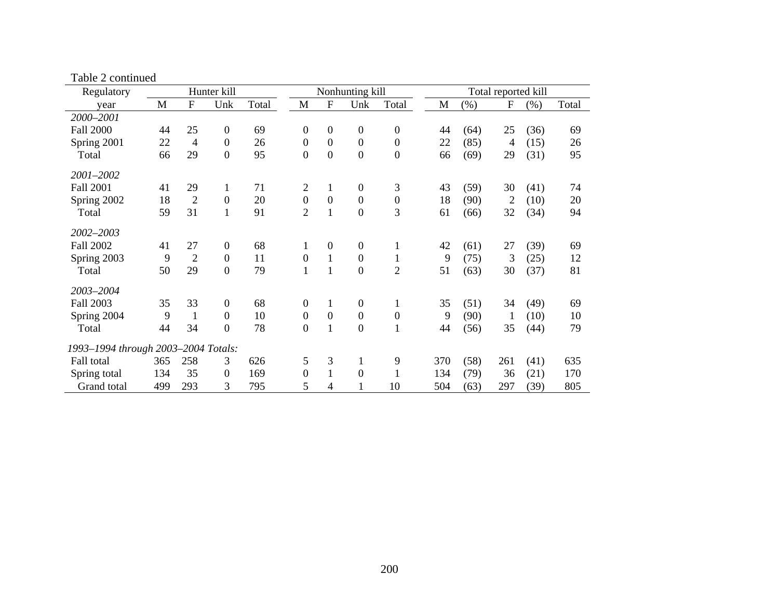| Regulatory                          |     |                           | Hunter kill      |       |                  |                           | Nonhunting kill  |                  |     |      | Total reported kill |      |       |
|-------------------------------------|-----|---------------------------|------------------|-------|------------------|---------------------------|------------------|------------------|-----|------|---------------------|------|-------|
| year                                | M   | $\boldsymbol{\mathrm{F}}$ | Unk              | Total | M                | $\boldsymbol{\mathrm{F}}$ | Unk              | Total            | M   | (% ) | $\mathbf F$         | (% ) | Total |
| 2000-2001                           |     |                           |                  |       |                  |                           |                  |                  |     |      |                     |      |       |
| <b>Fall 2000</b>                    | 44  | 25                        | $\boldsymbol{0}$ | 69    | $\boldsymbol{0}$ | $\boldsymbol{0}$          | $\overline{0}$   | $\boldsymbol{0}$ | 44  | (64) | 25                  | (36) | 69    |
| Spring 2001                         | 22  | $\overline{4}$            | $\mathbf{0}$     | 26    | $\boldsymbol{0}$ | $\overline{0}$            | $\overline{0}$   | $\mathbf{0}$     | 22  | (85) | 4                   | (15) | 26    |
| Total                               | 66  | 29                        | $\boldsymbol{0}$ | 95    | $\boldsymbol{0}$ | $\boldsymbol{0}$          | $\boldsymbol{0}$ | $\boldsymbol{0}$ | 66  | (69) | 29                  | (31) | 95    |
| 2001-2002                           |     |                           |                  |       |                  |                           |                  |                  |     |      |                     |      |       |
| <b>Fall 2001</b>                    | 41  | 29                        | $\mathbf{1}$     | 71    | $\overline{2}$   | $\mathbf{1}$              | $\overline{0}$   | 3                | 43  | (59) | 30                  | (41) | 74    |
| Spring 2002                         | 18  | $\overline{2}$            | $\mathbf{0}$     | 20    | $\boldsymbol{0}$ | $\boldsymbol{0}$          | $\boldsymbol{0}$ | $\boldsymbol{0}$ | 18  | (90) | $\overline{2}$      | (10) | 20    |
| Total                               | 59  | 31                        | $\mathbf{1}$     | 91    | $\overline{2}$   | $\mathbf{1}$              | $\boldsymbol{0}$ | 3                | 61  | (66) | 32                  | (34) | 94    |
| 2002-2003                           |     |                           |                  |       |                  |                           |                  |                  |     |      |                     |      |       |
| <b>Fall 2002</b>                    | 41  | 27                        | 0                | 68    | 1                | $\mathbf{0}$              | $\boldsymbol{0}$ |                  | 42  | (61) | 27                  | (39) | 69    |
| Spring 2003                         | 9   | $\overline{2}$            | $\boldsymbol{0}$ | 11    | $\boldsymbol{0}$ | $\mathbf{1}$              | $\overline{0}$   | $\mathbf{1}$     | 9   | (75) | 3                   | (25) | 12    |
| Total                               | 50  | 29                        | $\boldsymbol{0}$ | 79    | $\mathbf{1}$     | $\mathbf{1}$              | $\boldsymbol{0}$ | $\overline{2}$   | 51  | (63) | 30                  | (37) | 81    |
| 2003-2004                           |     |                           |                  |       |                  |                           |                  |                  |     |      |                     |      |       |
| <b>Fall 2003</b>                    | 35  | 33                        | $\boldsymbol{0}$ | 68    | 0                | 1                         | $\overline{0}$   | 1                | 35  | (51) | 34                  | (49) | 69    |
| Spring 2004                         | 9   | $\mathbf{1}$              | $\boldsymbol{0}$ | 10    | $\boldsymbol{0}$ | $\overline{0}$            | $\overline{0}$   | $\boldsymbol{0}$ | 9   | (90) | 1                   | (10) | 10    |
| Total                               | 44  | 34                        | $\boldsymbol{0}$ | 78    | $\boldsymbol{0}$ | $\mathbf{1}$              | $\boldsymbol{0}$ | $\mathbf{1}$     | 44  | (56) | 35                  | (44) | 79    |
| 1993-1994 through 2003-2004 Totals: |     |                           |                  |       |                  |                           |                  |                  |     |      |                     |      |       |
| Fall total                          | 365 | 258                       | 3                | 626   | 5                | 3                         | 1                | 9                | 370 | (58) | 261                 | (41) | 635   |
| Spring total                        | 134 | 35                        | $\boldsymbol{0}$ | 169   | $\boldsymbol{0}$ | 1                         | $\boldsymbol{0}$ | 1                | 134 | (79) | 36                  | (21) | 170   |
| Grand total                         | 499 | 293                       | 3                | 795   | 5                | 4                         |                  | 10               | 504 | (63) | 297                 | (39) | 805   |

Table 2 continued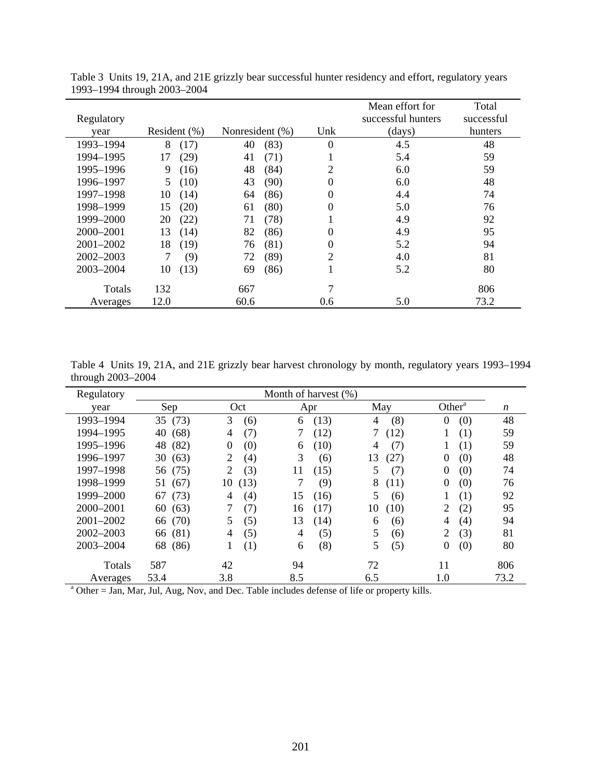|            |              |                 |          | Mean effort for    | Total      |
|------------|--------------|-----------------|----------|--------------------|------------|
| Regulatory |              |                 |          | successful hunters | successful |
| year       | Resident (%) | Nonresident (%) | Unk      | (days)             | hunters    |
| 1993-1994  | 8<br>(17)    | (83)<br>40      | $\theta$ | 4.5                | 48         |
| 1994-1995  | (29)<br>17   | (71)<br>41      |          | 5.4                | 59         |
| 1995-1996  | (16)<br>9    | 48<br>(84)      | 2        | 6.0                | 59         |
| 1996-1997  | (10)<br>5    | 43<br>(90)      | 0        | 6.0                | 48         |
| 1997-1998  | 10<br>(14)   | (86)<br>64      | 0        | 4.4                | 74         |
| 1998-1999  | (20)<br>15   | (80)<br>61      | 0        | 5.0                | 76         |
| 1999-2000  | 20<br>(22)   | 71<br>(78)      |          | 4.9                | 92         |
| 2000-2001  | 13<br>(14)   | 82<br>(86)      | 0        | 4.9                | 95         |
| 2001-2002  | 18<br>(19)   | (81)<br>76      | $\theta$ | 5.2                | 94         |
| 2002-2003  | (9)          | (89)<br>72      | 2        | 4.0                | 81         |
| 2003-2004  | (13)<br>10   | (86)<br>69      |          | 5.2                | 80         |
| Totals     | 132          | 667             | 7        |                    | 806        |
| Averages   | 12.0         | 60.6            | 0.6      | 5.0                | 73.2       |

Table 3 Units 19, 21A, and 21E grizzly bear successful hunter residency and effort, regulatory years 1993–1994 through 2003–2004

Table 4 Units 19, 21A, and 21E grizzly bear harvest chronology by month, regulatory years 1993–1994 through 2003–2004  $\overline{\phantom{0}}$ 

| Regulatory    | Month of harvest (%)                                                                                     |                       |            |            |                       |                  |  |  |  |  |  |
|---------------|----------------------------------------------------------------------------------------------------------|-----------------------|------------|------------|-----------------------|------------------|--|--|--|--|--|
| year          | Sep                                                                                                      | Oct                   | Apr        | May        | Other <sup>a</sup>    | $\boldsymbol{n}$ |  |  |  |  |  |
| 1993-1994     | 35 (73)                                                                                                  | 3<br>(6)              | (13)<br>6  | (8)<br>4   | (0)<br>$\overline{0}$ | 48               |  |  |  |  |  |
| 1994-1995     | (68)<br>40                                                                                               | (7)<br>4              | (12)       | (12)       | (1)                   | 59               |  |  |  |  |  |
| 1995-1996     | (82)<br>48                                                                                               | $\theta$<br>(0)       | (10)<br>6  | (7)<br>4   | (1)                   | 59               |  |  |  |  |  |
| 1996-1997     | (63)<br>30                                                                                               | 2<br>(4)              | 3<br>(6)   | 13<br>(27) | (0)<br>$\Omega$       | 48               |  |  |  |  |  |
| 1997-1998     | 56 (75)                                                                                                  | (3)<br>2              | 11<br>(15) | 5<br>(7)   | $\Omega$<br>(0)       | 74               |  |  |  |  |  |
| 1998-1999     | (67)<br>51                                                                                               | (13)<br>10            | (9)        | 8<br>(11)  | $\Omega$<br>(0)       | 76               |  |  |  |  |  |
| 1999-2000     | (73)<br>67                                                                                               | (4)<br>$\overline{4}$ | 15<br>(16) | 5<br>(6)   | (1)                   | 92               |  |  |  |  |  |
| 2000-2001     | (63)<br>60                                                                                               | 7<br>(7)              | (17)<br>16 | 10<br>(10) | 2<br>(2)              | 95               |  |  |  |  |  |
| $2001 - 2002$ | (70)<br>66                                                                                               | (5)<br>5              | 13<br>(14) | (6)<br>6   | (4)<br>4              | 94               |  |  |  |  |  |
| $2002 - 2003$ | (81)<br>66                                                                                               | (5)<br>4              | (5)<br>4   | 5<br>(6)   | 2<br>(3)              | 81               |  |  |  |  |  |
| 2003-2004     | (86)<br>68                                                                                               | (1)<br>1              | (8)<br>6   | 5<br>(5)   | 0<br>(0)              | 80               |  |  |  |  |  |
| Totals        | 587                                                                                                      | 42                    | 94         | 72         | 11                    | 806              |  |  |  |  |  |
| Averages      | 53.4                                                                                                     | 3.8                   | 8.5        | 6.5        | 1.0                   | 73.2             |  |  |  |  |  |
|               | <sup>a</sup> Other = Jan, Mar, Jul, Aug, Nov, and Dec. Table includes defense of life or property kills. |                       |            |            |                       |                  |  |  |  |  |  |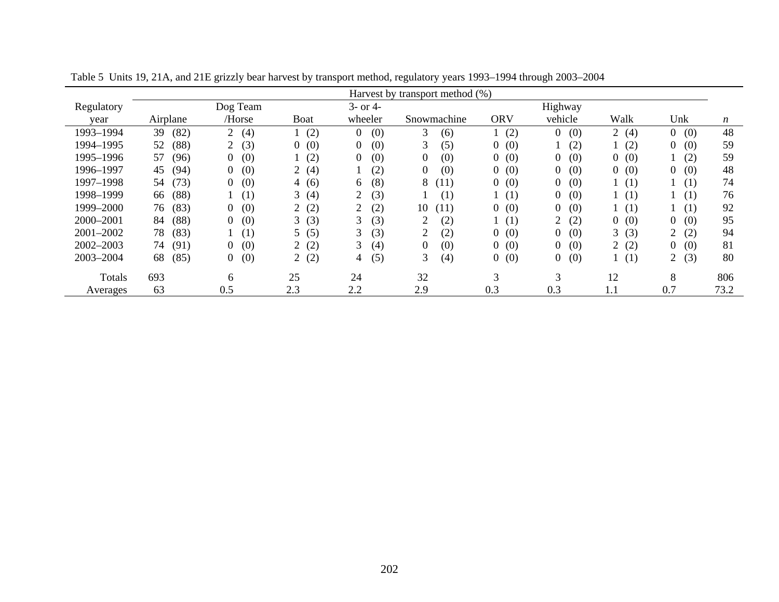|            | Harvest by transport method (%) |                       |                       |                       |                       |                       |                       |              |                       |                  |  |
|------------|---------------------------------|-----------------------|-----------------------|-----------------------|-----------------------|-----------------------|-----------------------|--------------|-----------------------|------------------|--|
| Regulatory |                                 | Dog Team              |                       | $3-$ or $4-$          |                       |                       | Highway               |              |                       |                  |  |
| year       | Airplane                        | /Horse                | <b>Boat</b>           | wheeler               | Snowmachine           | <b>ORV</b>            | vehicle               | Walk         | Unk                   | $\boldsymbol{n}$ |  |
| 1993-1994  | (82)<br>39                      | (4)<br>$\overline{2}$ | (2)                   | (0)<br>$\overline{0}$ | 3<br>(6)              | (2)                   | (0)<br>$\overline{0}$ | 2 $(4)$      | (0)<br>$\overline{0}$ | 48               |  |
| 1994-1995  | 52<br>(88)                      | (3)<br>$\overline{2}$ | (0)<br>$\overline{0}$ | (0)<br>0              | 3<br>(5)              | (0)<br>0              | (2)                   | (2)          | (0)<br>0              | 59               |  |
| 1995-1996  | 57<br>(96)                      | (0)<br>0              | (2)                   | (0)<br>0              | (0)<br>$\overline{0}$ | (0)<br>0              | (0)<br>$\overline{0}$ | (0)<br>0     | (2)                   | 59               |  |
| 1996-1997  | 45<br>(94)                      | (0)<br>0              | (4)<br>$\overline{2}$ | (2)                   | (0)<br>$\overline{0}$ | (0)<br>$\overline{0}$ | (0)<br>$\overline{0}$ | (0)<br>0     | (0)<br>0              | 48               |  |
| 1997-1998  | (73)<br>54                      | (0)<br>0              | (6)<br>4              | (8)<br>6              | 8<br>(11)             | (0)<br>0              | (0)<br>0              | (1)          | 1(1)                  | 74               |  |
| 1998-1999  | (88)<br>66                      | (1)                   | 3<br>(4)              | (3)<br>2              | (1)                   | (1)                   | (0)<br>$\overline{0}$ | (1)          | 1(1)                  | 76               |  |
| 1999-2000  | (83)<br>76                      | (0)<br>0              | (2)<br>2              | (2)<br>2              | 10<br>(11)            | (0)<br>0              | (0)<br>$\overline{0}$ | (1)          | 1(1)                  | 92               |  |
| 2000-2001  | 84<br>(88)                      | (0)<br>0              | 3(3)                  | (3)<br>3              | 2<br>(2)              | (1)                   | (2)<br>$\overline{2}$ | (0)<br>$0^-$ | (0)<br>$\Omega$       | 95               |  |
| 2001-2002  | (83)<br>78                      | (1)                   | (5)<br>5              | (3)<br>3              | (2)<br>2              | (0)<br>0              | (0)<br>$\overline{0}$ | 3(3)         | (2)                   | 94               |  |
| 2002-2003  | 74<br>(91)                      | (0)<br>0              | (2)<br>2              | 3<br>(4)              | (0)<br>$\overline{0}$ | (0)<br>0              | (0)<br>$\overline{0}$ | (2)          | (0)<br>$^{(1)}$       | 81               |  |
| 2003-2004  | 68<br>(85)                      | (0)<br>0              | (2)<br>$\overline{2}$ | (5)<br>4              | 3<br>(4)              | (0)<br>0              | (0)<br>$\overline{0}$ | (1)          | (3)<br>$\overline{2}$ | 80               |  |
| Totals     | 693                             | 6                     | 25                    | 24                    | 32                    | 3                     | 3                     | 12           | 8                     | 806              |  |
| Averages   | 63                              | 0.5                   | 2.3                   | 2.2                   | 2.9                   | 0.3                   | 0.3                   | $1.1\,$      | 0.7                   | 73.2             |  |

Table 5 Units 19, 21A, and 21E grizzly bear harvest by transport method, regulatory years 1993–1994 through 2003–2004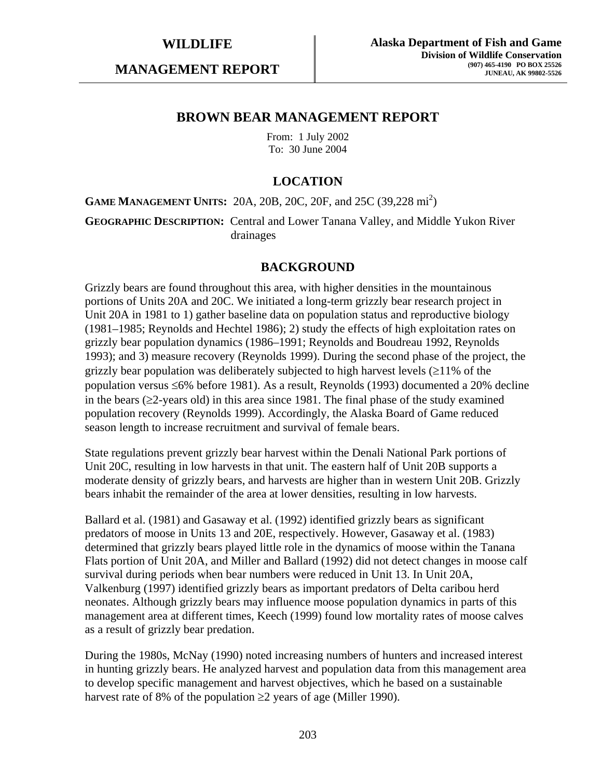**MANAGEMENT REPORT** 

## **BROWN BEAR MANAGEMENT REPORT**

From: 1 July 2002 To: 30 June 2004

# **LOCATION**

**GAME MANAGEMENT UNITS:** 20A, 20B, 20C, 20F, and 25C (39,228 mi<sup>2</sup>)

**GEOGRAPHIC DESCRIPTION:** Central and Lower Tanana Valley, and Middle Yukon River drainages

## **BACKGROUND**

Grizzly bears are found throughout this area, with higher densities in the mountainous portions of Units 20A and 20C. We initiated a long-term grizzly bear research project in Unit 20A in 1981 to 1) gather baseline data on population status and reproductive biology (1981–1985; Reynolds and Hechtel 1986); 2) study the effects of high exploitation rates on grizzly bear population dynamics (1986–1991; Reynolds and Boudreau 1992, Reynolds 1993); and 3) measure recovery (Reynolds 1999). During the second phase of the project, the grizzly bear population was deliberately subjected to high harvest levels  $(\geq 11\%$  of the population versus ≤6% before 1981). As a result, Reynolds (1993) documented a 20% decline in the bears (≥2-years old) in this area since 1981. The final phase of the study examined population recovery (Reynolds 1999). Accordingly, the Alaska Board of Game reduced season length to increase recruitment and survival of female bears.

State regulations prevent grizzly bear harvest within the Denali National Park portions of Unit 20C, resulting in low harvests in that unit. The eastern half of Unit 20B supports a moderate density of grizzly bears, and harvests are higher than in western Unit 20B. Grizzly bears inhabit the remainder of the area at lower densities, resulting in low harvests.

Ballard et al. (1981) and Gasaway et al. (1992) identified grizzly bears as significant predators of moose in Units 13 and 20E, respectively. However, Gasaway et al. (1983) determined that grizzly bears played little role in the dynamics of moose within the Tanana Flats portion of Unit 20A, and Miller and Ballard (1992) did not detect changes in moose calf survival during periods when bear numbers were reduced in Unit 13. In Unit 20A, Valkenburg (1997) identified grizzly bears as important predators of Delta caribou herd neonates. Although grizzly bears may influence moose population dynamics in parts of this management area at different times, Keech (1999) found low mortality rates of moose calves as a result of grizzly bear predation.

During the 1980s, McNay (1990) noted increasing numbers of hunters and increased interest in hunting grizzly bears. He analyzed harvest and population data from this management area to develop specific management and harvest objectives, which he based on a sustainable harvest rate of 8% of the population  $\geq$  years of age (Miller 1990).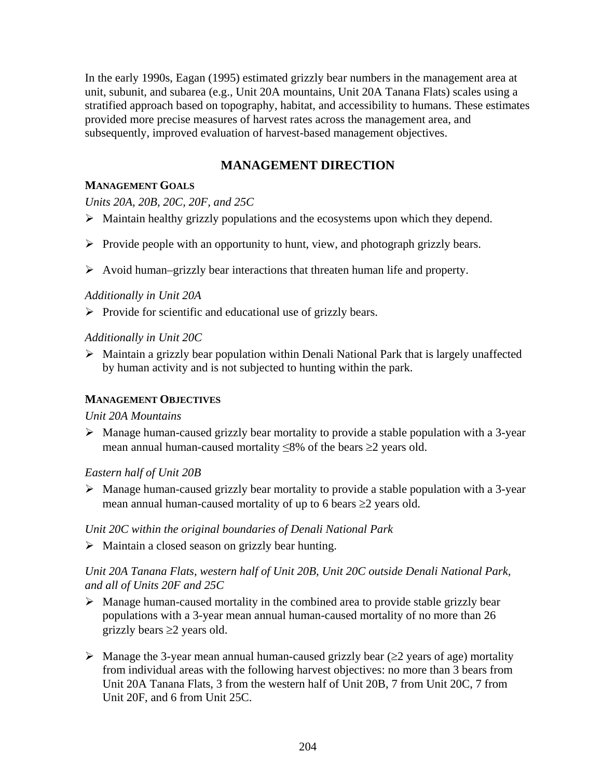In the early 1990s, Eagan (1995) estimated grizzly bear numbers in the management area at unit, subunit, and subarea (e.g., Unit 20A mountains, Unit 20A Tanana Flats) scales using a stratified approach based on topography, habitat, and accessibility to humans. These estimates provided more precise measures of harvest rates across the management area, and subsequently, improved evaluation of harvest-based management objectives.

# **MANAGEMENT DIRECTION**

## **MANAGEMENT GOALS**

*Units 20A, 20B, 20C, 20F, and 25C* 

- $\triangleright$  Maintain healthy grizzly populations and the ecosystems upon which they depend.
- $\triangleright$  Provide people with an opportunity to hunt, view, and photograph grizzly bears.
- $\triangleright$  Avoid human–grizzly bear interactions that threaten human life and property.

## *Additionally in Unit 20A*

 $\triangleright$  Provide for scientific and educational use of grizzly bears.

## *Additionally in Unit 20C*

 $\triangleright$  Maintain a grizzly bear population within Denali National Park that is largely unaffected by human activity and is not subjected to hunting within the park.

## **MANAGEMENT OBJECTIVES**

## *Unit 20A Mountains*

 $\triangleright$  Manage human-caused grizzly bear mortality to provide a stable population with a 3-year mean annual human-caused mortality ≤8% of the bears ≥2 years old.

## *Eastern half of Unit 20B*

 $\triangleright$  Manage human-caused grizzly bear mortality to provide a stable population with a 3-year mean annual human-caused mortality of up to 6 bears  $\geq 2$  years old.

## *Unit 20C within the original boundaries of Denali National Park*

 $\triangleright$  Maintain a closed season on grizzly bear hunting.

## *Unit 20A Tanana Flats, western half of Unit 20B, Unit 20C outside Denali National Park, and all of Units 20F and 25C*

- $\triangleright$  Manage human-caused mortality in the combined area to provide stable grizzly bear populations with a 3-year mean annual human-caused mortality of no more than 26 grizzly bears  $\geq 2$  years old.
- $\triangleright$  Manage the 3-year mean annual human-caused grizzly bear ( $\geq$ 2 years of age) mortality from individual areas with the following harvest objectives: no more than 3 bears from Unit 20A Tanana Flats, 3 from the western half of Unit 20B, 7 from Unit 20C, 7 from Unit 20F, and 6 from Unit 25C.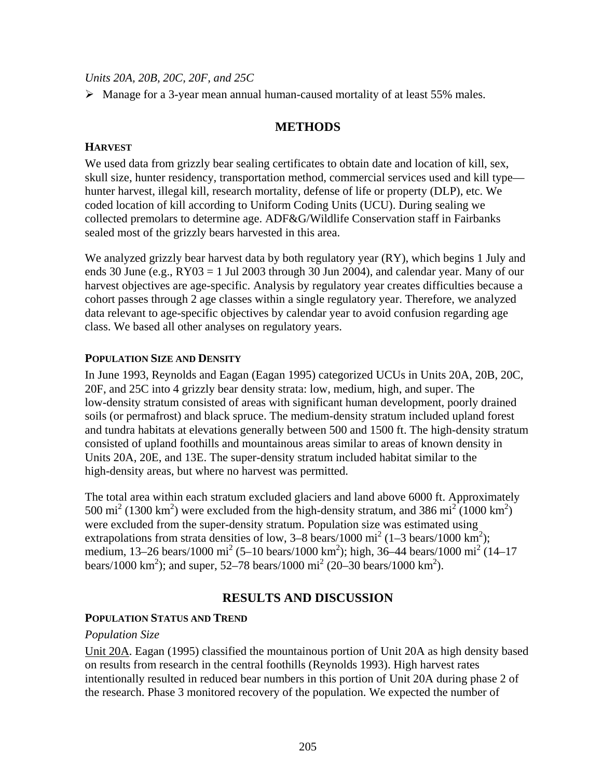*Units 20A, 20B, 20C, 20F, and 25C* 

 $\triangleright$  Manage for a 3-year mean annual human-caused mortality of at least 55% males.

## **METHODS**

## **HARVEST**

We used data from grizzly bear sealing certificates to obtain date and location of kill, sex, skull size, hunter residency, transportation method, commercial services used and kill type hunter harvest, illegal kill, research mortality, defense of life or property (DLP), etc. We coded location of kill according to Uniform Coding Units (UCU). During sealing we collected premolars to determine age. ADF&G/Wildlife Conservation staff in Fairbanks sealed most of the grizzly bears harvested in this area.

We analyzed grizzly bear harvest data by both regulatory year (RY), which begins 1 July and ends 30 June (e.g.,  $RY03 = 1$  Jul 2003 through 30 Jun 2004), and calendar year. Many of our harvest objectives are age-specific. Analysis by regulatory year creates difficulties because a cohort passes through 2 age classes within a single regulatory year. Therefore, we analyzed data relevant to age-specific objectives by calendar year to avoid confusion regarding age class. We based all other analyses on regulatory years.

#### **POPULATION SIZE AND DENSITY**

In June 1993, Reynolds and Eagan (Eagan 1995) categorized UCUs in Units 20A, 20B, 20C, 20F, and 25C into 4 grizzly bear density strata: low, medium, high, and super. The low-density stratum consisted of areas with significant human development, poorly drained soils (or permafrost) and black spruce. The medium-density stratum included upland forest and tundra habitats at elevations generally between 500 and 1500 ft. The high-density stratum consisted of upland foothills and mountainous areas similar to areas of known density in Units 20A, 20E, and 13E. The super-density stratum included habitat similar to the high-density areas, but where no harvest was permitted.

The total area within each stratum excluded glaciers and land above 6000 ft. Approximately 500 mi<sup>2</sup> (1300 km<sup>2</sup>) were excluded from the high-density stratum, and 386 mi<sup>2</sup> (1000 km<sup>2</sup>) were excluded from the super-density stratum. Population size was estimated using extrapolations from strata densities of low,  $3-8$  bears/1000 mi<sup>2</sup> (1–3 bears/1000 km<sup>2</sup>); medium, 13–26 bears/1000 mi<sup>2</sup> (5–10 bears/1000 km<sup>2</sup>); high, 36–44 bears/1000 mi<sup>2</sup> (14–17 bears/1000 km<sup>2</sup>); and super, 52–78 bears/1000 mi<sup>2</sup> (20–30 bears/1000 km<sup>2</sup>).

## **RESULTS AND DISCUSSION**

## **POPULATION STATUS AND TREND**

#### *Population Size*

Unit 20A. Eagan (1995) classified the mountainous portion of Unit 20A as high density based on results from research in the central foothills (Reynolds 1993). High harvest rates intentionally resulted in reduced bear numbers in this portion of Unit 20A during phase 2 of the research. Phase 3 monitored recovery of the population. We expected the number of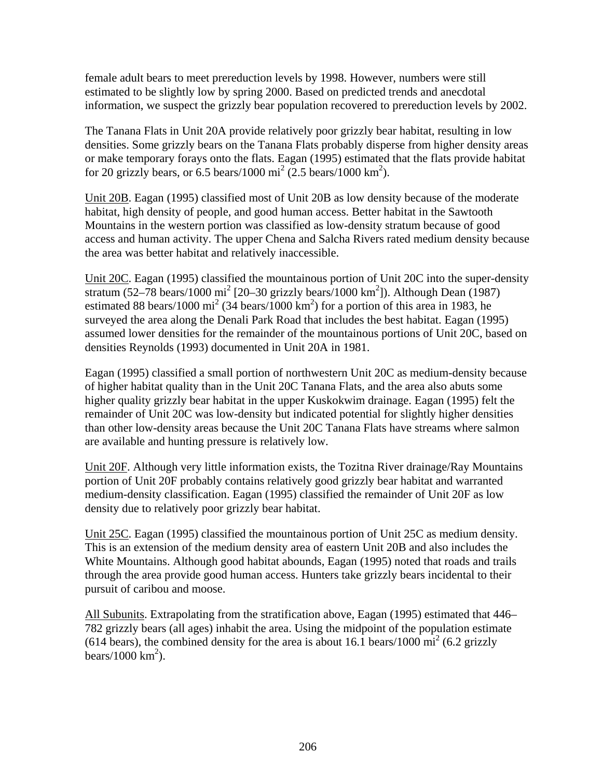female adult bears to meet prereduction levels by 1998. However, numbers were still estimated to be slightly low by spring 2000. Based on predicted trends and anecdotal information, we suspect the grizzly bear population recovered to prereduction levels by 2002.

The Tanana Flats in Unit 20A provide relatively poor grizzly bear habitat, resulting in low densities. Some grizzly bears on the Tanana Flats probably disperse from higher density areas or make temporary forays onto the flats. Eagan (1995) estimated that the flats provide habitat for 20 grizzly bears, or 6.5 bears/1000 mi<sup>2</sup> (2.5 bears/1000 km<sup>2</sup>).

Unit 20B. Eagan (1995) classified most of Unit 20B as low density because of the moderate habitat, high density of people, and good human access. Better habitat in the Sawtooth Mountains in the western portion was classified as low-density stratum because of good access and human activity. The upper Chena and Salcha Rivers rated medium density because the area was better habitat and relatively inaccessible.

Unit 20C. Eagan (1995) classified the mountainous portion of Unit 20C into the super-density stratum  $(52-78$  bears/1000 mi<sup>2</sup> [20-30 grizzly bears/1000 km<sup>2</sup>]). Although Dean (1987) estimated 88 bears/1000 mi<sup>2</sup> (34 bears/1000 km<sup>2</sup>) for a portion of this area in 1983, he surveyed the area along the Denali Park Road that includes the best habitat. Eagan (1995) assumed lower densities for the remainder of the mountainous portions of Unit 20C, based on densities Reynolds (1993) documented in Unit 20A in 1981.

Eagan (1995) classified a small portion of northwestern Unit 20C as medium-density because of higher habitat quality than in the Unit 20C Tanana Flats, and the area also abuts some higher quality grizzly bear habitat in the upper Kuskokwim drainage. Eagan (1995) felt the remainder of Unit 20C was low-density but indicated potential for slightly higher densities than other low-density areas because the Unit 20C Tanana Flats have streams where salmon are available and hunting pressure is relatively low.

Unit 20F. Although very little information exists, the Tozitna River drainage/Ray Mountains portion of Unit 20F probably contains relatively good grizzly bear habitat and warranted medium-density classification. Eagan (1995) classified the remainder of Unit 20F as low density due to relatively poor grizzly bear habitat.

Unit 25C. Eagan (1995) classified the mountainous portion of Unit 25C as medium density. This is an extension of the medium density area of eastern Unit 20B and also includes the White Mountains. Although good habitat abounds, Eagan (1995) noted that roads and trails through the area provide good human access. Hunters take grizzly bears incidental to their pursuit of caribou and moose.

All Subunits. Extrapolating from the stratification above, Eagan (1995) estimated that 446– 782 grizzly bears (all ages) inhabit the area. Using the midpoint of the population estimate (614 bears), the combined density for the area is about 16.1 bears/1000  $\text{mi}^2$  (6.2 grizzly bears/1000  $\text{km}^2$ ).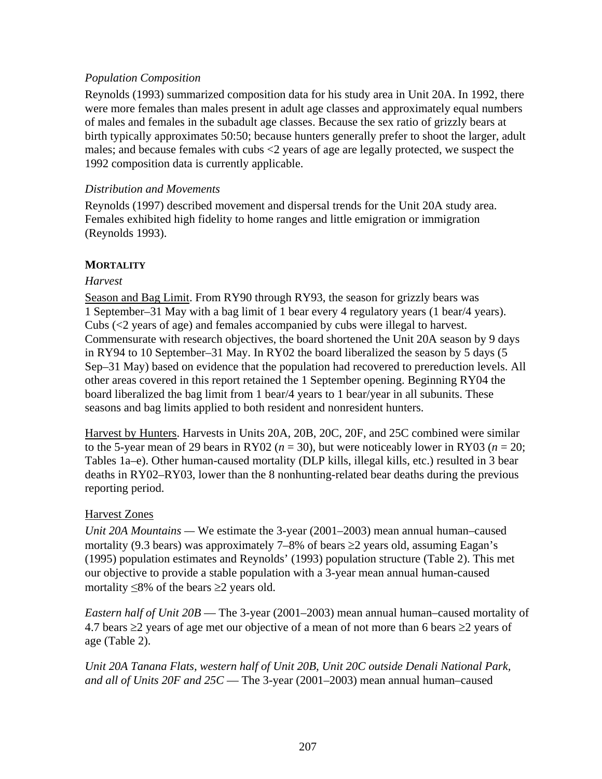## *Population Composition*

Reynolds (1993) summarized composition data for his study area in Unit 20A. In 1992, there were more females than males present in adult age classes and approximately equal numbers of males and females in the subadult age classes. Because the sex ratio of grizzly bears at birth typically approximates 50:50; because hunters generally prefer to shoot the larger, adult males; and because females with cubs <2 years of age are legally protected, we suspect the 1992 composition data is currently applicable.

## *Distribution and Movements*

Reynolds (1997) described movement and dispersal trends for the Unit 20A study area. Females exhibited high fidelity to home ranges and little emigration or immigration (Reynolds 1993).

## **MORTALITY**

## *Harvest*

Season and Bag Limit. From RY90 through RY93, the season for grizzly bears was 1 September–31 May with a bag limit of 1 bear every 4 regulatory years (1 bear/4 years). Cubs (<2 years of age) and females accompanied by cubs were illegal to harvest. Commensurate with research objectives, the board shortened the Unit 20A season by 9 days in RY94 to 10 September–31 May. In RY02 the board liberalized the season by 5 days (5 Sep–31 May) based on evidence that the population had recovered to prereduction levels. All other areas covered in this report retained the 1 September opening. Beginning RY04 the board liberalized the bag limit from 1 bear/4 years to 1 bear/year in all subunits. These seasons and bag limits applied to both resident and nonresident hunters.

Harvest by Hunters. Harvests in Units 20A, 20B, 20C, 20F, and 25C combined were similar to the 5-year mean of 29 bears in RY02 ( $n = 30$ ), but were noticeably lower in RY03 ( $n = 20$ ; Tables 1a–e). Other human-caused mortality (DLP kills, illegal kills, etc.) resulted in 3 bear deaths in RY02–RY03, lower than the 8 nonhunting-related bear deaths during the previous reporting period.

## Harvest Zones

*Unit 20A Mountains —* We estimate the 3-year (2001–2003) mean annual human–caused mortality (9.3 bears) was approximately 7–8% of bears  $\geq$ 2 years old, assuming Eagan's (1995) population estimates and Reynolds' (1993) population structure (Table 2). This met our objective to provide a stable population with a 3-year mean annual human-caused mortality  $\leq 8\%$  of the bears  $\geq 2$  years old.

*Eastern half of Unit 20B* — The 3-year (2001–2003) mean annual human–caused mortality of 4.7 bears  $\geq$ 2 years of age met our objective of a mean of not more than 6 bears  $\geq$ 2 years of age (Table 2).

*Unit 20A Tanana Flats, western half of Unit 20B, Unit 20C outside Denali National Park, and all of Units 20F and 25C* — The 3-year (2001–2003) mean annual human–caused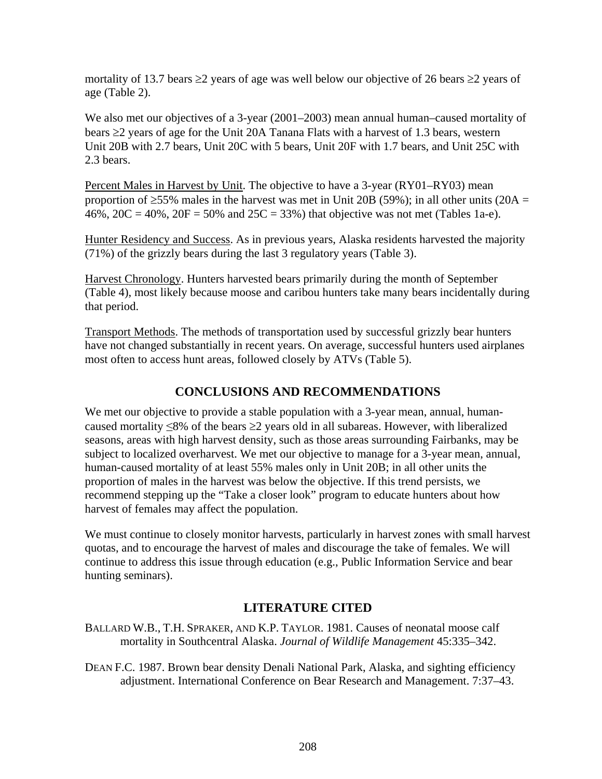mortality of 13.7 bears ≥2 years of age was well below our objective of 26 bears ≥2 years of age (Table 2).

We also met our objectives of a 3-year (2001–2003) mean annual human–caused mortality of bears ≥2 years of age for the Unit 20A Tanana Flats with a harvest of 1.3 bears, western Unit 20B with 2.7 bears, Unit 20C with 5 bears, Unit 20F with 1.7 bears, and Unit 25C with 2.3 bears.

Percent Males in Harvest by Unit. The objective to have a 3-year (RY01–RY03) mean proportion of  $\geq$ 55% males in the harvest was met in Unit 20B (59%); in all other units (20A = 46%,  $20C = 40%$ ,  $20F = 50%$  and  $25C = 33%$ ) that objective was not met (Tables 1a-e).

Hunter Residency and Success. As in previous years, Alaska residents harvested the majority (71%) of the grizzly bears during the last 3 regulatory years (Table 3).

Harvest Chronology. Hunters harvested bears primarily during the month of September (Table 4), most likely because moose and caribou hunters take many bears incidentally during that period.

Transport Methods. The methods of transportation used by successful grizzly bear hunters have not changed substantially in recent years. On average, successful hunters used airplanes most often to access hunt areas, followed closely by ATVs (Table 5).

## **CONCLUSIONS AND RECOMMENDATIONS**

We met our objective to provide a stable population with a 3-year mean, annual, humancaused mortality ≤8% of the bears ≥2 years old in all subareas. However, with liberalized seasons, areas with high harvest density, such as those areas surrounding Fairbanks, may be subject to localized overharvest. We met our objective to manage for a 3-year mean, annual, human-caused mortality of at least 55% males only in Unit 20B; in all other units the proportion of males in the harvest was below the objective. If this trend persists, we recommend stepping up the "Take a closer look" program to educate hunters about how harvest of females may affect the population.

We must continue to closely monitor harvests, particularly in harvest zones with small harvest quotas, and to encourage the harvest of males and discourage the take of females. We will continue to address this issue through education (e.g., Public Information Service and bear hunting seminars).

## **LITERATURE CITED**

BALLARD W.B., T.H. SPRAKER, AND K.P. TAYLOR. 1981. Causes of neonatal moose calf mortality in Southcentral Alaska. *Journal of Wildlife Management* 45:335–342.

DEAN F.C. 1987. Brown bear density Denali National Park, Alaska, and sighting efficiency adjustment. International Conference on Bear Research and Management. 7:37–43.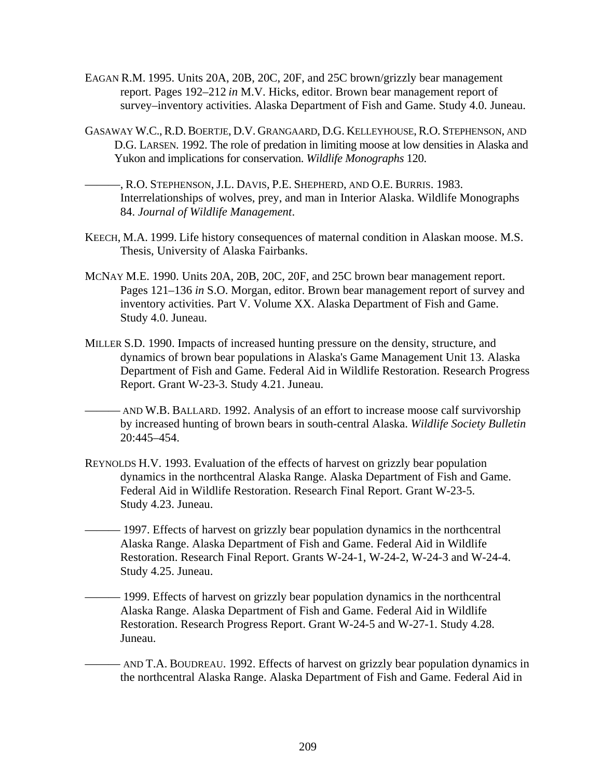- EAGAN R.M. 1995. Units 20A, 20B, 20C, 20F, and 25C brown/grizzly bear management report. Pages 192–212 *in* M.V. Hicks, editor. Brown bear management report of survey–inventory activities. Alaska Department of Fish and Game. Study 4.0. Juneau.
- GASAWAY W.C., R.D. BOERTJE, D.V. GRANGAARD, D.G. KELLEYHOUSE, R.O. STEPHENSON, AND D.G. LARSEN. 1992. The role of predation in limiting moose at low densities in Alaska and Yukon and implications for conservation. *Wildlife Monographs* 120.
- ———, R.O. STEPHENSON, J.L. DAVIS, P.E. SHEPHERD, AND O.E. BURRIS. 1983. Interrelationships of wolves, prey, and man in Interior Alaska. Wildlife Monographs 84. *Journal of Wildlife Management*.
- KEECH, M.A. 1999. Life history consequences of maternal condition in Alaskan moose. M.S. Thesis, University of Alaska Fairbanks.
- MCNAY M.E. 1990. Units 20A, 20B, 20C, 20F, and 25C brown bear management report. Pages 121–136 *in* S.O. Morgan, editor. Brown bear management report of survey and inventory activities. Part V. Volume XX. Alaska Department of Fish and Game. Study 4.0. Juneau.
- MILLER S.D. 1990. Impacts of increased hunting pressure on the density, structure, and dynamics of brown bear populations in Alaska's Game Management Unit 13. Alaska Department of Fish and Game. Federal Aid in Wildlife Restoration. Research Progress Report. Grant W-23-3. Study 4.21. Juneau.
- AND W.B. BALLARD. 1992. Analysis of an effort to increase moose calf survivorship by increased hunting of brown bears in south-central Alaska. *Wildlife Society Bulletin* 20:445–454.
- REYNOLDS H.V. 1993. Evaluation of the effects of harvest on grizzly bear population dynamics in the northcentral Alaska Range. Alaska Department of Fish and Game. Federal Aid in Wildlife Restoration. Research Final Report. Grant W-23-5. Study 4.23. Juneau.
- 1997. Effects of harvest on grizzly bear population dynamics in the northcentral Alaska Range. Alaska Department of Fish and Game. Federal Aid in Wildlife Restoration. Research Final Report. Grants W-24-1, W-24-2, W-24-3 and W-24-4. Study 4.25. Juneau.
	- 1999. Effects of harvest on grizzly bear population dynamics in the northcentral Alaska Range. Alaska Department of Fish and Game. Federal Aid in Wildlife Restoration. Research Progress Report. Grant W-24-5 and W-27-1. Study 4.28. Juneau.
		- AND T.A. BOUDREAU. 1992. Effects of harvest on grizzly bear population dynamics in the northcentral Alaska Range. Alaska Department of Fish and Game. Federal Aid in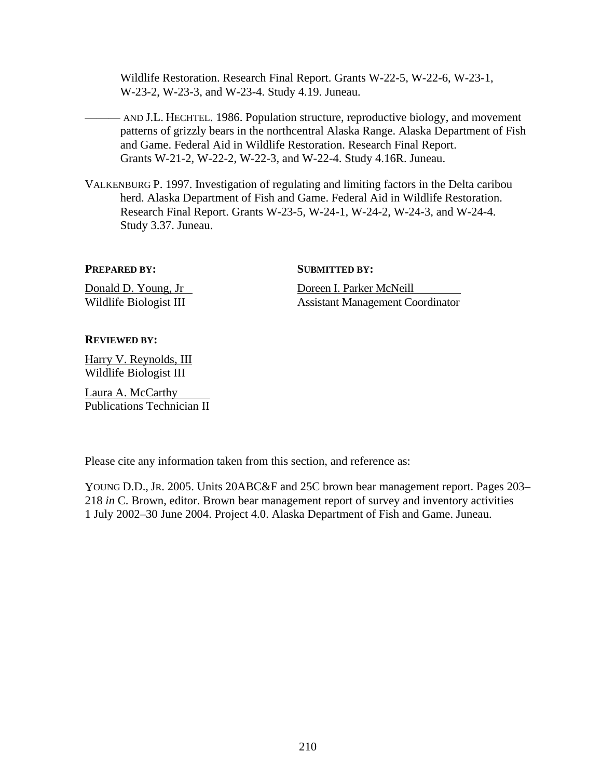Wildlife Restoration. Research Final Report. Grants W-22-5, W-22-6, W-23-1, W-23-2, W-23-3, and W-23-4. Study 4.19. Juneau.

- AND J.L. HECHTEL. 1986. Population structure, reproductive biology, and movement patterns of grizzly bears in the northcentral Alaska Range. Alaska Department of Fish and Game. Federal Aid in Wildlife Restoration. Research Final Report. Grants W-21-2, W-22-2, W-22-3, and W-22-4. Study 4.16R. Juneau.

VALKENBURG P. 1997. Investigation of regulating and limiting factors in the Delta caribou herd. Alaska Department of Fish and Game. Federal Aid in Wildlife Restoration. Research Final Report. Grants W-23-5, W-24-1, W-24-2, W-24-3, and W-24-4. Study 3.37. Juneau.

**PREPARED BY:** SUBMITTED BY:

Donald D. Young, Jr Doreen I. Parker McNeill Wildlife Biologist III Assistant Management Coordinator

#### **REVIEWED BY:**

Harry V. Reynolds, III Wildlife Biologist III

Laura A. McCarthy Publications Technician II

Please cite any information taken from this section, and reference as:

YOUNG D.D., JR. 2005. Units 20ABC&F and 25C brown bear management report. Pages 203– 218 *in* C. Brown, editor. Brown bear management report of survey and inventory activities 1 July 2002–30 June 2004. Project 4.0. Alaska Department of Fish and Game. Juneau.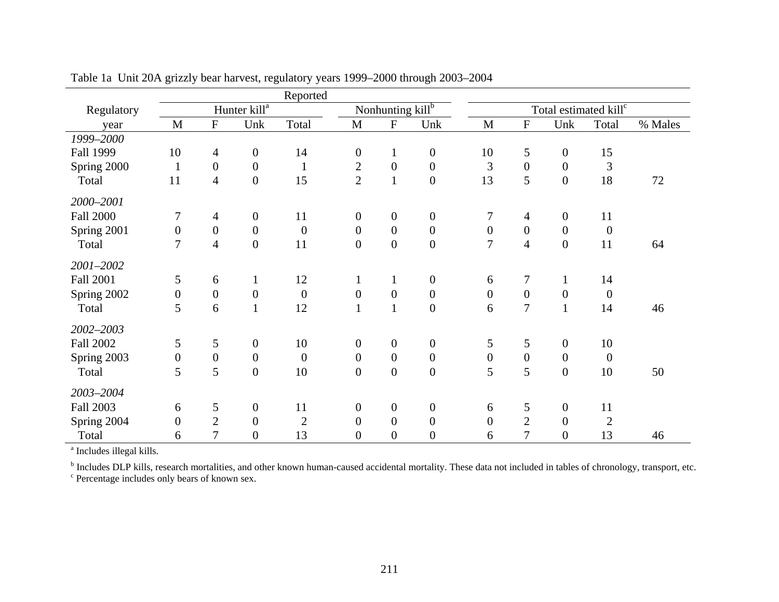|                  |                  |                  |                          | Reported         |                  |                  |                  |                                   |                  |                  |                |         |
|------------------|------------------|------------------|--------------------------|------------------|------------------|------------------|------------------|-----------------------------------|------------------|------------------|----------------|---------|
| Regulatory       |                  |                  | Hunter kill <sup>a</sup> |                  |                  | Nonhunting killb |                  | Total estimated kill <sup>c</sup> |                  |                  |                |         |
| year             | $\mathbf{M}$     | ${\bf F}$        | Unk                      | Total            | M                | ${\bf F}$        | Unk              | $\mathbf{M}$                      | ${\bf F}$        | Unk              | Total          | % Males |
| 1999-2000        |                  |                  |                          |                  |                  |                  |                  |                                   |                  |                  |                |         |
| Fall 1999        | 10               | 4                | $\boldsymbol{0}$         | 14               | $\overline{0}$   | $\mathbf{1}$     | $\boldsymbol{0}$ | 10                                | 5                | $\boldsymbol{0}$ | 15             |         |
| Spring 2000      | $\mathbf{1}$     | $\overline{0}$   | $\boldsymbol{0}$         | $\mathbf{1}$     | $\overline{2}$   | $\boldsymbol{0}$ | $\boldsymbol{0}$ | 3                                 | $\boldsymbol{0}$ | $\overline{0}$   | 3              |         |
| Total            | 11               | $\overline{4}$   | $\boldsymbol{0}$         | 15               | $\overline{2}$   | $\mathbf{1}$     | $\overline{0}$   | 13                                | 5                | $\boldsymbol{0}$ | 18             | 72      |
| 2000-2001        |                  |                  |                          |                  |                  |                  |                  |                                   |                  |                  |                |         |
| <b>Fall 2000</b> | 7                | 4                | $\boldsymbol{0}$         | 11               | $\boldsymbol{0}$ | $\mathbf{0}$     | $\boldsymbol{0}$ | 7                                 | 4                | $\boldsymbol{0}$ | 11             |         |
| Spring 2001      | $\boldsymbol{0}$ | $\boldsymbol{0}$ | $\boldsymbol{0}$         | $\boldsymbol{0}$ | $\boldsymbol{0}$ | $\boldsymbol{0}$ | $\boldsymbol{0}$ | $\overline{0}$                    | $\boldsymbol{0}$ | $\boldsymbol{0}$ | $\overline{0}$ |         |
| Total            | $\overline{7}$   | $\overline{4}$   | $\boldsymbol{0}$         | 11               | $\boldsymbol{0}$ | $\boldsymbol{0}$ | $\boldsymbol{0}$ | $\overline{7}$                    | $\overline{4}$   | $\boldsymbol{0}$ | 11             | 64      |
| 2001-2002        |                  |                  |                          |                  |                  |                  |                  |                                   |                  |                  |                |         |
| <b>Fall 2001</b> | 5                | 6                | $\mathbf{1}$             | 12               | 1                | $\mathbf{1}$     | $\boldsymbol{0}$ | 6                                 | $\boldsymbol{7}$ | $\mathbf{1}$     | 14             |         |
| Spring 2002      | $\boldsymbol{0}$ | $\boldsymbol{0}$ | $\boldsymbol{0}$         | $\boldsymbol{0}$ | $\boldsymbol{0}$ | $\boldsymbol{0}$ | $\boldsymbol{0}$ | $\boldsymbol{0}$                  | $\mathbf{0}$     | $\boldsymbol{0}$ | $\mathbf{0}$   |         |
| Total            | 5                | 6                | $\mathbf{1}$             | 12               | $\mathbf{1}$     | $\mathbf{1}$     | $\boldsymbol{0}$ | 6                                 | $\overline{7}$   | $\mathbf{1}$     | 14             | 46      |
| 2002-2003        |                  |                  |                          |                  |                  |                  |                  |                                   |                  |                  |                |         |
| <b>Fall 2002</b> | 5                | 5                | $\boldsymbol{0}$         | 10               | $\boldsymbol{0}$ | $\mathbf{0}$     | $\boldsymbol{0}$ | 5                                 | 5                | $\overline{0}$   | 10             |         |
| Spring 2003      | $\boldsymbol{0}$ | $\boldsymbol{0}$ | $\boldsymbol{0}$         | $\boldsymbol{0}$ | $\boldsymbol{0}$ | $\boldsymbol{0}$ | $\boldsymbol{0}$ | $\boldsymbol{0}$                  | $\boldsymbol{0}$ | $\boldsymbol{0}$ | $\overline{0}$ |         |
| Total            | 5                | 5                | $\boldsymbol{0}$         | 10               | $\boldsymbol{0}$ | $\boldsymbol{0}$ | $\boldsymbol{0}$ | 5                                 | 5                | $\boldsymbol{0}$ | 10             | 50      |
| 2003-2004        |                  |                  |                          |                  |                  |                  |                  |                                   |                  |                  |                |         |
| <b>Fall 2003</b> | 6                | 5                | $\boldsymbol{0}$         | 11               | $\mathbf{0}$     | $\mathbf{0}$     | $\boldsymbol{0}$ | 6                                 | 5                | $\boldsymbol{0}$ | 11             |         |
| Spring 2004      | $\overline{0}$   | $\overline{2}$   | $\boldsymbol{0}$         | $\mathbf{2}$     | $\overline{0}$   | $\overline{0}$   | $\overline{0}$   | $\overline{0}$                    | $\overline{2}$   | $\overline{0}$   | $\overline{2}$ |         |
| Total            | 6                | 7                | $\boldsymbol{0}$         | 13               | $\overline{0}$   | $\boldsymbol{0}$ | $\boldsymbol{0}$ | 6                                 | 7                | $\boldsymbol{0}$ | 13             | 46      |

Table 1a Unit 20A grizzly bear harvest, regulatory years 1999–2000 through 2003–2004

<sup>a</sup> Includes illegal kills.

<sup>b</sup> Includes DLP kills, research mortalities, and other known human-caused accidental mortality. These data not included in tables of chronology, transport, etc.

c Percentage includes only bears of known sex.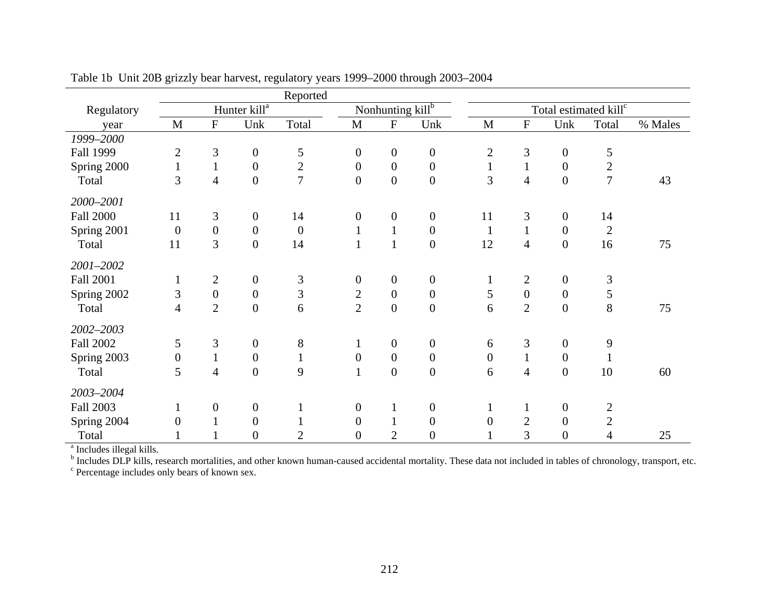| Regulatory                           |                  |                  |                          | Reported         |                  |                  |                  |                  |                  |                  |                                   |         |
|--------------------------------------|------------------|------------------|--------------------------|------------------|------------------|------------------|------------------|------------------|------------------|------------------|-----------------------------------|---------|
|                                      |                  |                  | Hunter kill <sup>a</sup> |                  |                  | Nonhunting killb |                  |                  |                  |                  | Total estimated kill <sup>c</sup> |         |
| year                                 | M                | ${\bf F}$        | Unk                      | Total            | M                | ${\bf F}$        | Unk              | M                | ${\bf F}$        | Unk              | Total                             | % Males |
| 1999-2000                            |                  |                  |                          |                  |                  |                  |                  |                  |                  |                  |                                   |         |
| Fall 1999                            | $\mathbf{2}$     | 3                | $\boldsymbol{0}$         | 5                | $\boldsymbol{0}$ | $\boldsymbol{0}$ | $\boldsymbol{0}$ | $\overline{2}$   | 3                | $\boldsymbol{0}$ | 5                                 |         |
| Spring 2000                          | $\mathbf{1}$     | $\mathbf{1}$     | $\boldsymbol{0}$         | $\overline{2}$   | $\overline{0}$   | $\boldsymbol{0}$ | $\boldsymbol{0}$ | $\mathbf{1}$     | $\mathbf{1}$     | $\boldsymbol{0}$ | $\boldsymbol{2}$                  |         |
| Total                                | 3                | $\overline{4}$   | $\boldsymbol{0}$         | $\overline{7}$   | $\overline{0}$   | $\boldsymbol{0}$ | $\boldsymbol{0}$ | 3                | $\overline{4}$   | $\boldsymbol{0}$ | $\overline{7}$                    | 43      |
| 2000-2001                            |                  |                  |                          |                  |                  |                  |                  |                  |                  |                  |                                   |         |
| <b>Fall 2000</b>                     | 11               | 3                | $\boldsymbol{0}$         | 14               | $\overline{0}$   | $\boldsymbol{0}$ | $\boldsymbol{0}$ | 11               | 3                | $\boldsymbol{0}$ | 14                                |         |
| Spring 2001                          | $\boldsymbol{0}$ | $\boldsymbol{0}$ | $\boldsymbol{0}$         | $\boldsymbol{0}$ | $\mathbf{1}$     | $\mathbf{1}$     | $\boldsymbol{0}$ | $\mathbf{1}$     | $\mathbf{1}$     | $\boldsymbol{0}$ | $\mathfrak{2}$                    |         |
| Total                                | 11               | 3                | $\boldsymbol{0}$         | 14               | $\mathbf{1}$     | $\mathbf{1}$     | $\boldsymbol{0}$ | 12               | $\overline{4}$   | $\boldsymbol{0}$ | 16                                | 75      |
| 2001-2002                            |                  |                  |                          |                  |                  |                  |                  |                  |                  |                  |                                   |         |
| <b>Fall 2001</b>                     | $\mathbf{1}$     | $\overline{2}$   | $\boldsymbol{0}$         | 3                | $\boldsymbol{0}$ | $\boldsymbol{0}$ | $\boldsymbol{0}$ | $\mathbf{1}$     | $\mathbf{2}$     | $\boldsymbol{0}$ | $\mathfrak{Z}$                    |         |
| Spring 2002                          | 3                | $\boldsymbol{0}$ | $\boldsymbol{0}$         | 3                | $\overline{2}$   | $\boldsymbol{0}$ | $\boldsymbol{0}$ | 5                | $\boldsymbol{0}$ | $\boldsymbol{0}$ | 5                                 |         |
| Total                                | $\overline{4}$   | $\overline{2}$   | $\boldsymbol{0}$         | 6                | $\overline{2}$   | $\boldsymbol{0}$ | $\boldsymbol{0}$ | 6                | $\overline{2}$   | $\boldsymbol{0}$ | 8                                 | 75      |
| 2002-2003                            |                  |                  |                          |                  |                  |                  |                  |                  |                  |                  |                                   |         |
| <b>Fall 2002</b>                     | 5                | 3                | $\boldsymbol{0}$         | 8                | $\mathbf{1}$     | $\boldsymbol{0}$ | $\boldsymbol{0}$ | 6                | 3                | $\overline{0}$   | 9                                 |         |
| Spring 2003                          | $\boldsymbol{0}$ | $\mathbf{1}$     | $\boldsymbol{0}$         | $\mathbf{1}$     | $\boldsymbol{0}$ | $\boldsymbol{0}$ | $\boldsymbol{0}$ | $\boldsymbol{0}$ | $\mathbf{1}$     | $\boldsymbol{0}$ | $\mathbf{1}$                      |         |
| Total                                | 5                | $\overline{4}$   | $\boldsymbol{0}$         | 9                | $\mathbf{1}$     | $\boldsymbol{0}$ | $\boldsymbol{0}$ | 6                | $\overline{4}$   | $\boldsymbol{0}$ | 10                                | 60      |
| 2003-2004                            |                  |                  |                          |                  |                  |                  |                  |                  |                  |                  |                                   |         |
| <b>Fall 2003</b>                     | $\mathbf{1}$     | $\boldsymbol{0}$ | $\boldsymbol{0}$         |                  | $\boldsymbol{0}$ | $\mathbf{1}$     | $\boldsymbol{0}$ | $\mathbf{1}$     | $\mathbf{1}$     | $\boldsymbol{0}$ | $\mathbf{2}$                      |         |
| Spring 2004                          | $\boldsymbol{0}$ |                  | $\boldsymbol{0}$         |                  | $\overline{0}$   | $\mathbf{1}$     | $\boldsymbol{0}$ | $\overline{0}$   | $\sqrt{2}$       | $\boldsymbol{0}$ | $\sqrt{2}$                        |         |
| Total                                |                  |                  | $\boldsymbol{0}$         | $\overline{2}$   | $\mathbf{0}$     | $\mathfrak{2}$   | $\boldsymbol{0}$ | $\mathbf{1}$     | 3                | $\boldsymbol{0}$ | 4                                 | 25      |
| <sup>a</sup> Includes illegal kills. |                  |                  |                          |                  |                  |                  |                  |                  |                  |                  |                                   |         |

Table 1b Unit 20B grizzly bear harvest, regulatory years 1999–2000 through 2003–2004

<sup>b</sup> Includes DLP kills, research mortalities, and other known human-caused accidental mortality. These data not included in tables of chronology, transport, etc.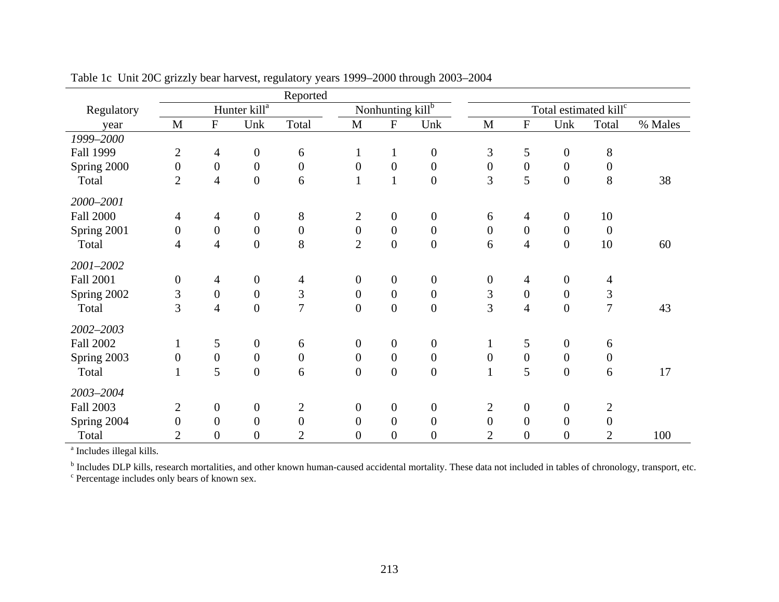|                  | Reported<br>Nonhunting killb                                 |                  |                  |                  |                  |                  |                  |                  |                  |                  |                                   |         |
|------------------|--------------------------------------------------------------|------------------|------------------|------------------|------------------|------------------|------------------|------------------|------------------|------------------|-----------------------------------|---------|
| Regulatory       | Hunter kill <sup>a</sup><br>${\bf F}$<br>$\mathbf{M}$<br>Unk |                  |                  |                  |                  |                  |                  |                  |                  |                  | Total estimated kill <sup>c</sup> |         |
| year             |                                                              |                  |                  | Total            | M                | ${\bf F}$        | Unk              | M                | ${\bf F}$        | Unk              | Total                             | % Males |
| 1999-2000        |                                                              |                  |                  |                  |                  |                  |                  |                  |                  |                  |                                   |         |
| Fall 1999        | $\overline{2}$                                               | $\overline{4}$   | $\boldsymbol{0}$ | 6                | $\mathbf{1}$     | $\mathbf{1}$     | $\boldsymbol{0}$ | 3                | 5                | $\boldsymbol{0}$ | 8                                 |         |
| Spring 2000      | $\boldsymbol{0}$                                             | $\boldsymbol{0}$ | $\boldsymbol{0}$ | $\boldsymbol{0}$ | $\mathbf{0}$     | $\boldsymbol{0}$ | $\boldsymbol{0}$ | $\overline{0}$   | $\boldsymbol{0}$ | $\boldsymbol{0}$ | $\boldsymbol{0}$                  |         |
| Total            | $\overline{2}$                                               | $\overline{4}$   | $\boldsymbol{0}$ | 6                | $\mathbf{1}$     | $\mathbf{1}$     | $\boldsymbol{0}$ | 3                | 5                | $\overline{0}$   | 8                                 | 38      |
| 2000-2001        |                                                              |                  |                  |                  |                  |                  |                  |                  |                  |                  |                                   |         |
| <b>Fall 2000</b> | 4                                                            | 4                | $\boldsymbol{0}$ | $8\,$            | $\overline{2}$   | $\boldsymbol{0}$ | $\boldsymbol{0}$ | 6                | 4                | $\boldsymbol{0}$ | 10                                |         |
| Spring 2001      | $\boldsymbol{0}$                                             | $\boldsymbol{0}$ | $\boldsymbol{0}$ | $\boldsymbol{0}$ | $\boldsymbol{0}$ | $\boldsymbol{0}$ | $\boldsymbol{0}$ | $\mathbf{0}$     | $\boldsymbol{0}$ | $\boldsymbol{0}$ | $\overline{0}$                    |         |
| Total            | $\overline{4}$                                               | 4                | $\boldsymbol{0}$ | 8                | $\overline{2}$   | $\overline{0}$   | $\boldsymbol{0}$ | 6                | $\overline{4}$   | $\boldsymbol{0}$ | 10                                | 60      |
| 2001-2002        |                                                              |                  |                  |                  |                  |                  |                  |                  |                  |                  |                                   |         |
| <b>Fall 2001</b> | $\boldsymbol{0}$                                             | 4                | $\boldsymbol{0}$ | $\overline{4}$   | $\overline{0}$   | $\boldsymbol{0}$ | $\boldsymbol{0}$ | $\mathbf{0}$     | $\overline{4}$   | $\mathbf{0}$     | 4                                 |         |
| Spring 2002      | 3                                                            | $\boldsymbol{0}$ | $\boldsymbol{0}$ | 3                | $\overline{0}$   | $\overline{0}$   | $\boldsymbol{0}$ | 3                | $\boldsymbol{0}$ | $\boldsymbol{0}$ | 3                                 |         |
| Total            | 3                                                            | 4                | $\boldsymbol{0}$ | $\overline{7}$   | $\overline{0}$   | $\boldsymbol{0}$ | $\boldsymbol{0}$ | 3                | $\overline{4}$   | $\boldsymbol{0}$ | $\overline{7}$                    | 43      |
| 2002-2003        |                                                              |                  |                  |                  |                  |                  |                  |                  |                  |                  |                                   |         |
| <b>Fall 2002</b> | $\mathbf{1}$                                                 | 5                | $\boldsymbol{0}$ | 6                | $\overline{0}$   | $\boldsymbol{0}$ | $\boldsymbol{0}$ | $\mathbf{1}$     | 5                | $\overline{0}$   | 6                                 |         |
| Spring 2003      | $\boldsymbol{0}$                                             | $\boldsymbol{0}$ | $\boldsymbol{0}$ | $\boldsymbol{0}$ | $\overline{0}$   | $\boldsymbol{0}$ | $\boldsymbol{0}$ | $\boldsymbol{0}$ | $\boldsymbol{0}$ | $\boldsymbol{0}$ | $\boldsymbol{0}$                  |         |
| Total            | $\mathbf{1}$                                                 | 5                | $\boldsymbol{0}$ | 6                | $\overline{0}$   | $\boldsymbol{0}$ | $\boldsymbol{0}$ | $\mathbf{1}$     | 5                | $\boldsymbol{0}$ | 6                                 | 17      |
| 2003-2004        |                                                              |                  |                  |                  |                  |                  |                  |                  |                  |                  |                                   |         |
| <b>Fall 2003</b> | $\overline{2}$                                               | $\boldsymbol{0}$ | $\boldsymbol{0}$ | $\overline{2}$   | $\overline{0}$   | $\boldsymbol{0}$ | $\boldsymbol{0}$ | $\overline{c}$   | $\mathbf{0}$     | $\boldsymbol{0}$ | $\mathbf{2}$                      |         |
| Spring 2004      | $\overline{0}$                                               | $\overline{0}$   | $\boldsymbol{0}$ | $\boldsymbol{0}$ | $\mathbf{0}$     | $\overline{0}$   | $\overline{0}$   | $\overline{0}$   | $\overline{0}$   | $\overline{0}$   | $\theta$                          |         |
| Total            | $\overline{2}$                                               | $\boldsymbol{0}$ | $\boldsymbol{0}$ | $\overline{2}$   | $\overline{0}$   | $\boldsymbol{0}$ | $\boldsymbol{0}$ | $\overline{2}$   | $\theta$         | $\theta$         | $\overline{2}$                    | 100     |

Table 1c Unit 20C grizzly bear harvest, regulatory years 1999–2000 through 2003–2004

<sup>a</sup> Includes illegal kills.

<sup>b</sup> Includes DLP kills, research mortalities, and other known human-caused accidental mortality. These data not included in tables of chronology, transport, etc.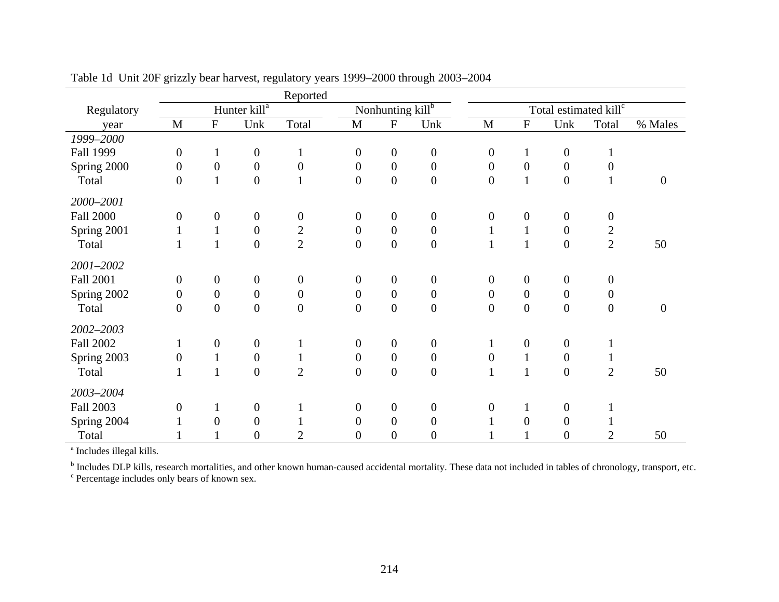|                  |                  |                  |                          | Reported         |                  |                                |                  |                  |                  |                                   |                  |                  |
|------------------|------------------|------------------|--------------------------|------------------|------------------|--------------------------------|------------------|------------------|------------------|-----------------------------------|------------------|------------------|
| Regulatory       |                  |                  | Hunter kill <sup>a</sup> |                  |                  | Nonhunting kill $\overline{b}$ |                  |                  |                  | Total estimated kill <sup>c</sup> |                  |                  |
| year             | $\mathbf{M}$     | ${\bf F}$        | Unk                      | Total            | $\mathbf M$      | ${\bf F}$                      | Unk              | M                | ${\bf F}$        | Unk                               | Total            | % Males          |
| 1999-2000        |                  |                  |                          |                  |                  |                                |                  |                  |                  |                                   |                  |                  |
| Fall 1999        | $\boldsymbol{0}$ | $\mathbf{1}$     | $\boldsymbol{0}$         | $\mathbf{1}$     | $\boldsymbol{0}$ | $\boldsymbol{0}$               | $\boldsymbol{0}$ | $\overline{0}$   | $\mathbf{1}$     | $\boldsymbol{0}$                  |                  |                  |
| Spring 2000      | $\boldsymbol{0}$ | $\boldsymbol{0}$ | $\boldsymbol{0}$         | $\boldsymbol{0}$ | $\boldsymbol{0}$ | $\boldsymbol{0}$               | $\boldsymbol{0}$ | $\mathbf{0}$     | $\boldsymbol{0}$ | $\boldsymbol{0}$                  | 0                |                  |
| Total            | $\overline{0}$   | $\mathbf{1}$     | $\boldsymbol{0}$         |                  | $\overline{0}$   | $\overline{0}$                 | $\boldsymbol{0}$ | $\boldsymbol{0}$ | $\mathbf{1}$     | $\boldsymbol{0}$                  |                  | $\boldsymbol{0}$ |
| 2000-2001        |                  |                  |                          |                  |                  |                                |                  |                  |                  |                                   |                  |                  |
| <b>Fall 2000</b> | $\boldsymbol{0}$ | $\boldsymbol{0}$ | $\boldsymbol{0}$         | $\boldsymbol{0}$ | $\boldsymbol{0}$ | $\boldsymbol{0}$               | $\boldsymbol{0}$ | $\boldsymbol{0}$ | $\boldsymbol{0}$ | $\boldsymbol{0}$                  | $\boldsymbol{0}$ |                  |
| Spring 2001      | 1                | $\mathbf{1}$     | $\boldsymbol{0}$         | $\overline{2}$   | $\boldsymbol{0}$ | $\boldsymbol{0}$               | $\boldsymbol{0}$ |                  | $\mathbf{1}$     | $\boldsymbol{0}$                  | 2                |                  |
| Total            | $\mathbf{1}$     |                  | $\boldsymbol{0}$         | $\overline{2}$   | $\boldsymbol{0}$ | $\boldsymbol{0}$               | $\boldsymbol{0}$ | $\mathbf{1}$     | $\mathbf{1}$     | $\boldsymbol{0}$                  | $\overline{2}$   | 50               |
| 2001-2002        |                  |                  |                          |                  |                  |                                |                  |                  |                  |                                   |                  |                  |
| <b>Fall 2001</b> | $\overline{0}$   | $\overline{0}$   | $\boldsymbol{0}$         | $\boldsymbol{0}$ | $\boldsymbol{0}$ | $\boldsymbol{0}$               | $\boldsymbol{0}$ | $\mathbf{0}$     | $\boldsymbol{0}$ | $\boldsymbol{0}$                  | $\boldsymbol{0}$ |                  |
| Spring 2002      | $\overline{0}$   | $\boldsymbol{0}$ | $\boldsymbol{0}$         | $\boldsymbol{0}$ | $\boldsymbol{0}$ | $\boldsymbol{0}$               | $\boldsymbol{0}$ | $\mathbf{0}$     | $\boldsymbol{0}$ | $\boldsymbol{0}$                  | $\boldsymbol{0}$ |                  |
| Total            | $\overline{0}$   | $\boldsymbol{0}$ | $\boldsymbol{0}$         | $\boldsymbol{0}$ | $\boldsymbol{0}$ | $\boldsymbol{0}$               | $\boldsymbol{0}$ | $\boldsymbol{0}$ | $\boldsymbol{0}$ | $\boldsymbol{0}$                  | $\boldsymbol{0}$ | $\boldsymbol{0}$ |
| 2002-2003        |                  |                  |                          |                  |                  |                                |                  |                  |                  |                                   |                  |                  |
| <b>Fall 2002</b> | 1                | $\boldsymbol{0}$ | $\boldsymbol{0}$         |                  | $\boldsymbol{0}$ | $\boldsymbol{0}$               | $\boldsymbol{0}$ | 1                | $\boldsymbol{0}$ | $\boldsymbol{0}$                  |                  |                  |
| Spring 2003      | $\boldsymbol{0}$ | $\mathbf{1}$     | $\boldsymbol{0}$         | $\mathbf{1}$     | $\boldsymbol{0}$ | $\boldsymbol{0}$               | $\boldsymbol{0}$ | $\boldsymbol{0}$ | $\mathbf{1}$     | $\boldsymbol{0}$                  |                  |                  |
| Total            |                  |                  | $\boldsymbol{0}$         | $\overline{2}$   | $\boldsymbol{0}$ | $\boldsymbol{0}$               | $\boldsymbol{0}$ | $\mathbf{1}$     | $\mathbf{1}$     | $\boldsymbol{0}$                  | $\overline{2}$   | 50               |
| 2003-2004        |                  |                  |                          |                  |                  |                                |                  |                  |                  |                                   |                  |                  |
| <b>Fall 2003</b> | $\overline{0}$   | $\mathbf{I}$     | $\boldsymbol{0}$         | -1               | $\boldsymbol{0}$ | $\boldsymbol{0}$               | $\boldsymbol{0}$ | $\overline{0}$   | $\mathbf{1}$     | $\boldsymbol{0}$                  |                  |                  |
| Spring 2004      |                  | $\overline{0}$   | $\boldsymbol{0}$         |                  | $\boldsymbol{0}$ | $\overline{0}$                 | $\boldsymbol{0}$ |                  | $\overline{0}$   | $\boldsymbol{0}$                  |                  |                  |
| Total            |                  |                  | $\boldsymbol{0}$         | $\overline{2}$   | 0                | $\overline{0}$                 | $\boldsymbol{0}$ |                  |                  | $\boldsymbol{0}$                  | $\overline{2}$   | 50               |

Table 1d Unit 20F grizzly bear harvest, regulatory years 1999–2000 through 2003–2004

<sup>a</sup> Includes illegal kills.

<sup>b</sup> Includes DLP kills, research mortalities, and other known human-caused accidental mortality. These data not included in tables of chronology, transport, etc.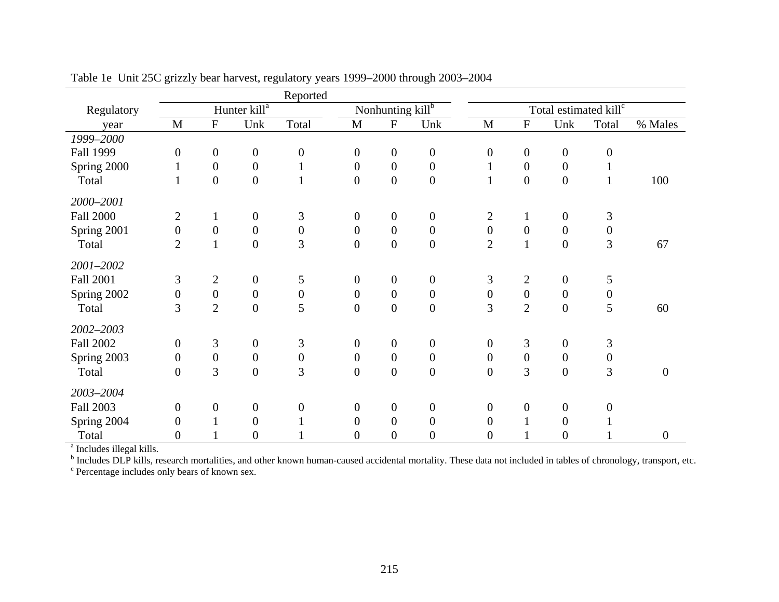|                  |                  |                           |                          | Reported         |                  |                                |                  |                  |                  |                                   |                  |                  |
|------------------|------------------|---------------------------|--------------------------|------------------|------------------|--------------------------------|------------------|------------------|------------------|-----------------------------------|------------------|------------------|
| Regulatory       |                  |                           | Hunter kill <sup>a</sup> |                  |                  | Nonhunting kill $\overline{b}$ |                  |                  |                  | Total estimated kill <sup>c</sup> |                  |                  |
| year             | $\mathbf{M}$     | $\boldsymbol{\mathrm{F}}$ | Unk                      | Total            | M                | ${\bf F}$                      | Unk              | M                | ${\bf F}$        | Unk                               | Total            | % Males          |
| 1999-2000        |                  |                           |                          |                  |                  |                                |                  |                  |                  |                                   |                  |                  |
| Fall 1999        | $\overline{0}$   | $\boldsymbol{0}$          | $\boldsymbol{0}$         | $\boldsymbol{0}$ | $\overline{0}$   | $\boldsymbol{0}$               | $\boldsymbol{0}$ | $\overline{0}$   | $\boldsymbol{0}$ | $\boldsymbol{0}$                  | $\boldsymbol{0}$ |                  |
| Spring 2000      |                  | $\boldsymbol{0}$          | $\boldsymbol{0}$         | $\mathbf{1}$     | $\boldsymbol{0}$ | $\overline{0}$                 | $\boldsymbol{0}$ |                  | $\boldsymbol{0}$ | $\boldsymbol{0}$                  |                  |                  |
| Total            | $\mathbf{1}$     | $\boldsymbol{0}$          | $\boldsymbol{0}$         | $\mathbf{1}$     | $\boldsymbol{0}$ | $\boldsymbol{0}$               | $\boldsymbol{0}$ |                  | $\boldsymbol{0}$ | $\boldsymbol{0}$                  | $\mathbf{1}$     | 100              |
| 2000-2001        |                  |                           |                          |                  |                  |                                |                  |                  |                  |                                   |                  |                  |
| <b>Fall 2000</b> | $\overline{2}$   | $\mathbf{1}$              | $\boldsymbol{0}$         | 3                | $\boldsymbol{0}$ | $\boldsymbol{0}$               | $\boldsymbol{0}$ | 2                | $\mathbf{1}$     | $\boldsymbol{0}$                  | 3                |                  |
| Spring 2001      | $\boldsymbol{0}$ | $\boldsymbol{0}$          | $\boldsymbol{0}$         | $\boldsymbol{0}$ | $\boldsymbol{0}$ | $\boldsymbol{0}$               | $\boldsymbol{0}$ | $\boldsymbol{0}$ | $\boldsymbol{0}$ | $\boldsymbol{0}$                  | $\boldsymbol{0}$ |                  |
| Total            | $\overline{2}$   | $\mathbf{1}$              | $\boldsymbol{0}$         | 3                | $\overline{0}$   | $\boldsymbol{0}$               | $\boldsymbol{0}$ | $\overline{2}$   | $\mathbf{1}$     | $\boldsymbol{0}$                  | 3                | 67               |
| 2001-2002        |                  |                           |                          |                  |                  |                                |                  |                  |                  |                                   |                  |                  |
| Fall 2001        | 3                | $\overline{2}$            | $\boldsymbol{0}$         | 5                | $\boldsymbol{0}$ | $\boldsymbol{0}$               | $\boldsymbol{0}$ | 3                | $\overline{2}$   | $\boldsymbol{0}$                  | 5                |                  |
| Spring 2002      | $\overline{0}$   | $\boldsymbol{0}$          | $\boldsymbol{0}$         | $\boldsymbol{0}$ | $\boldsymbol{0}$ | $\overline{0}$                 | $\boldsymbol{0}$ | $\overline{0}$   | $\overline{0}$   | $\boldsymbol{0}$                  | $\boldsymbol{0}$ |                  |
| Total            | 3                | $\overline{2}$            | $\boldsymbol{0}$         | 5                | $\overline{0}$   | $\overline{0}$                 | $\boldsymbol{0}$ | 3                | $\overline{2}$   | $\boldsymbol{0}$                  | 5                | 60               |
| 2002-2003        |                  |                           |                          |                  |                  |                                |                  |                  |                  |                                   |                  |                  |
| <b>Fall 2002</b> | $\boldsymbol{0}$ | 3                         | $\boldsymbol{0}$         | 3                | $\overline{0}$   | $\boldsymbol{0}$               | $\boldsymbol{0}$ | $\overline{0}$   | 3                | $\boldsymbol{0}$                  | 3                |                  |
| Spring 2003      | $\boldsymbol{0}$ | $\boldsymbol{0}$          | $\boldsymbol{0}$         | $\boldsymbol{0}$ | $\boldsymbol{0}$ | $\boldsymbol{0}$               | $\boldsymbol{0}$ | $\boldsymbol{0}$ | $\boldsymbol{0}$ | $\boldsymbol{0}$                  | $\boldsymbol{0}$ |                  |
| Total            | $\boldsymbol{0}$ | 3                         | $\boldsymbol{0}$         | 3                | $\overline{0}$   | $\boldsymbol{0}$               | $\boldsymbol{0}$ | $\overline{0}$   | 3                | $\boldsymbol{0}$                  | 3                | $\boldsymbol{0}$ |
| 2003-2004        |                  |                           |                          |                  |                  |                                |                  |                  |                  |                                   |                  |                  |
| <b>Fall 2003</b> | $\overline{0}$   | $\boldsymbol{0}$          | $\boldsymbol{0}$         | $\boldsymbol{0}$ | $\overline{0}$   | $\boldsymbol{0}$               | $\boldsymbol{0}$ | $\overline{0}$   | $\boldsymbol{0}$ | $\boldsymbol{0}$                  | $\overline{0}$   |                  |
| Spring 2004      | $\overline{0}$   |                           | $\boldsymbol{0}$         |                  | $\overline{0}$   | $\overline{0}$                 | $\boldsymbol{0}$ | 0                |                  | $\boldsymbol{0}$                  |                  |                  |
| Total            | $\overline{0}$   |                           | $\boldsymbol{0}$         |                  | $\boldsymbol{0}$ | $\overline{0}$                 | $\boldsymbol{0}$ | 0                |                  | $\overline{0}$                    |                  | $\boldsymbol{0}$ |

Table 1e Unit 25C grizzly bear harvest, regulatory years 1999–2000 through 2003–2004

<sup>a</sup> Includes illegal kills.

<sup>b</sup> Includes DLP kills, research mortalities, and other known human-caused accidental mortality. These data not included in tables of chronology, transport, etc.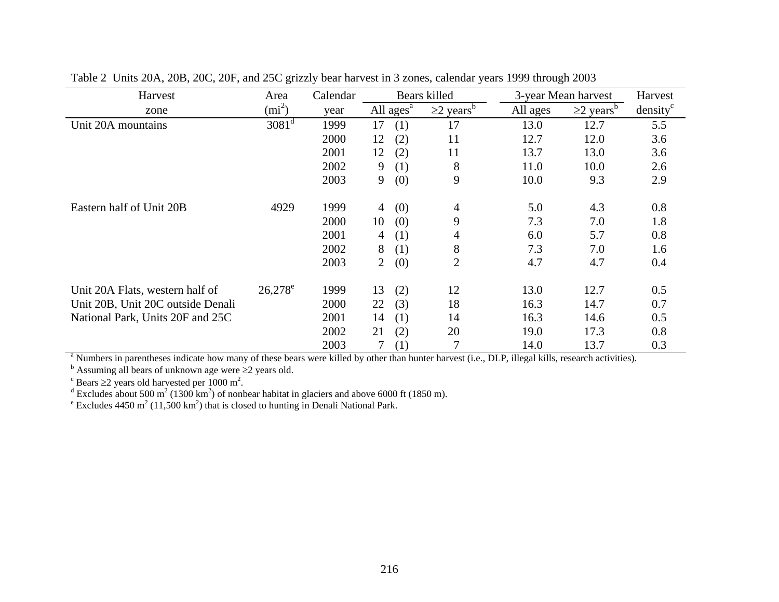| Harvest                           | Area       | Calendar |                |                       | Bears killed              |          | 3-year Mean harvest       | Harvest              |
|-----------------------------------|------------|----------|----------------|-----------------------|---------------------------|----------|---------------------------|----------------------|
| zone                              | $(mi^2)$   | year     |                | All ages <sup>a</sup> | $\geq$ years <sup>b</sup> | All ages | $\geq$ years <sup>b</sup> | density <sup>c</sup> |
| Unit 20A mountains                | $3081^d$   | 1999     | 17             | (1)                   | 17                        | 13.0     | 12.7                      | 5.5                  |
|                                   |            | 2000     | 12             | (2)                   | 11                        | 12.7     | 12.0                      | 3.6                  |
|                                   |            | 2001     | 12             | (2)                   | 11                        | 13.7     | 13.0                      | 3.6                  |
|                                   |            | 2002     | 9              | (1)                   | 8                         | 11.0     | 10.0                      | 2.6                  |
|                                   |            | 2003     | 9              | (0)                   | 9                         | 10.0     | 9.3                       | 2.9                  |
| Eastern half of Unit 20B          | 4929       | 1999     | 4              | (0)                   | 4                         | 5.0      | 4.3                       | $0.8\,$              |
|                                   |            | 2000     | 10             | (0)                   | 9                         | 7.3      | 7.0                       | 1.8                  |
|                                   |            | 2001     | 4              | (1)                   | 4                         | 6.0      | 5.7                       | 0.8                  |
|                                   |            | 2002     | 8              | (1)                   | 8                         | 7.3      | 7.0                       | 1.6                  |
|                                   |            | 2003     | $\overline{2}$ | (0)                   | $\overline{2}$            | 4.7      | 4.7                       | 0.4                  |
| Unit 20A Flats, western half of   | $26,278^e$ | 1999     | 13             | (2)                   | 12                        | 13.0     | 12.7                      | 0.5                  |
| Unit 20B, Unit 20C outside Denali |            | 2000     | 22             | (3)                   | 18                        | 16.3     | 14.7                      | 0.7                  |
| National Park, Units 20F and 25C  |            | 2001     | 14             | (1)                   | 14                        | 16.3     | 14.6                      | 0.5                  |
|                                   |            | 2002     | 21             | (2)                   | 20                        | 19.0     | 17.3                      | 0.8                  |
|                                   |            | 2003     |                | (1)                   |                           | 14.0     | 13.7                      | 0.3                  |

Table 2 Units 20A, 20B, 20C, 20F, and 25C grizzly bear harvest in 3 zones, calendar years 1999 through 2003

<sup>a</sup> Numbers in parentheses indicate how many of these bears were killed by other than hunter harvest (i.e., DLP, illegal kills, research activities).

 $\overrightarrow{b}$  Assuming all bears of unknown age were  $\geq 2$  years old.

 $\degree$  Bears  $\geq$ 2 years old harvested per 1000 m<sup>2</sup>.

<sup>d</sup> Excludes about 500 m<sup>2</sup> (1300 km<sup>2</sup>) of nonbear habitat in glaciers and above 6000 ft (1850 m).

<sup>e</sup> Excludes 4450 m<sup>2</sup> (11,500 km<sup>2</sup>) that is closed to hunting in Denali National Park.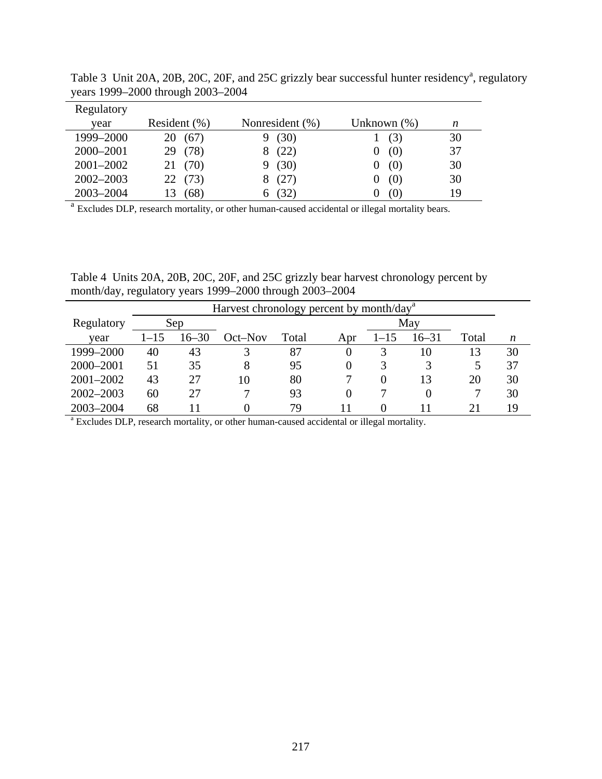| Regulatory    |                  |                 |                |    |
|---------------|------------------|-----------------|----------------|----|
| year          | Resident $(\% )$ | Nonresident (%) | Unknown $(\%)$ | n  |
| 1999-2000     | (67)<br>20       | (30)            | (3)            | 30 |
| 2000-2001     | 29 (78)          | (22)            | (0)            | 37 |
| 2001-2002     | 21 (70)          | (30)            | (0)            | 30 |
| $2002 - 2003$ | 22(73)           | (27)            | (0)            | 30 |
| 2003-2004     | (68)             | (32)            | (0)            | 19 |

Table 3 Unit 20A, 20B, 20C, 20F, and 25C grizzly bear successful hunter residency<sup>a</sup>, regulatory years 1999–2000 through 2003–2004

<sup>a</sup> Excludes DLP, research mortality, or other human-caused accidental or illegal mortality bears.

Table 4 Units 20A, 20B, 20C, 20F, and 25C grizzly bear harvest chronology percent by month/day, regulatory years 1999–2000 through 2003–2004

|                                                                                                       |                            |                      | Harvest chronology percent by month/day <sup>a</sup> |       |          |          |           |       |    |  |  |  |  |  |
|-------------------------------------------------------------------------------------------------------|----------------------------|----------------------|------------------------------------------------------|-------|----------|----------|-----------|-------|----|--|--|--|--|--|
| Regulatory                                                                                            |                            | Sep                  |                                                      |       |          |          | May       |       |    |  |  |  |  |  |
| year                                                                                                  | $1 - 15$                   | $16 - 30$            | $Oct$ -Nov                                           | Total | Apr      | $1 - 15$ | $16 - 31$ | Total | n  |  |  |  |  |  |
| 1999-2000                                                                                             | 40                         | 87<br>43<br>13<br>10 |                                                      |       |          |          |           |       |    |  |  |  |  |  |
| 2000-2001                                                                                             | 51                         | 35                   | 8                                                    | 95    | $\Omega$ |          |           |       | 37 |  |  |  |  |  |
| $2001 - 2002$                                                                                         | 43                         | 27                   | 10                                                   | 80    |          | $\theta$ | 13        | 20    | 30 |  |  |  |  |  |
| $2002 - 2003$                                                                                         | 60                         | 27                   |                                                      | 93    | $\Omega$ |          | 0         |       | 30 |  |  |  |  |  |
| 2003-2004                                                                                             | 79<br>68<br>19<br>21<br>11 |                      |                                                      |       |          |          |           |       |    |  |  |  |  |  |
| <sup>a</sup> Excludes DLP, research mortality, or other human-caused accidental or illegal mortality. |                            |                      |                                                      |       |          |          |           |       |    |  |  |  |  |  |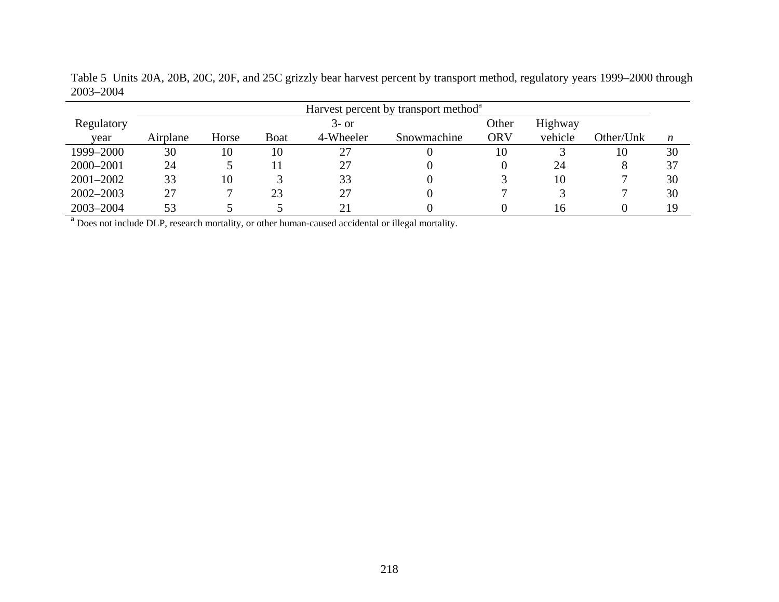|               | Harvest percent by transport method <sup>a</sup> |       |             |           |             |       |         |           |    |  |  |  |  |
|---------------|--------------------------------------------------|-------|-------------|-----------|-------------|-------|---------|-----------|----|--|--|--|--|
| Regulatory    |                                                  |       |             | $3-$ or   |             | Other | Highway |           |    |  |  |  |  |
| vear          | Airplane                                         | Horse | <b>Boat</b> | 4-Wheeler | Snowmachine | ORV   | vehicle | Other/Unk | n  |  |  |  |  |
| 1999-2000     | 30                                               | 10    | 10          | 27        |             | 10    |         | 10        | 30 |  |  |  |  |
| 2000-2001     | 24                                               |       |             | 27        |             |       | 24      | Ω         | 37 |  |  |  |  |
| $2001 - 2002$ | 33                                               | 10    |             | 33        |             |       | 10      |           | 30 |  |  |  |  |
| $2002 - 2003$ | 27                                               |       | 23          | 27        |             |       |         |           | 30 |  |  |  |  |
| 2003-2004     | 53                                               |       |             |           |             |       | Iб      |           | 19 |  |  |  |  |

Table 5 Units 20A, 20B, 20C, 20F, and 25C grizzly bear harvest percent by transport method, regulatory years 1999–2000 through 2003–2004

<sup>a</sup> Does not include DLP, research mortality, or other human-caused accidental or illegal mortality.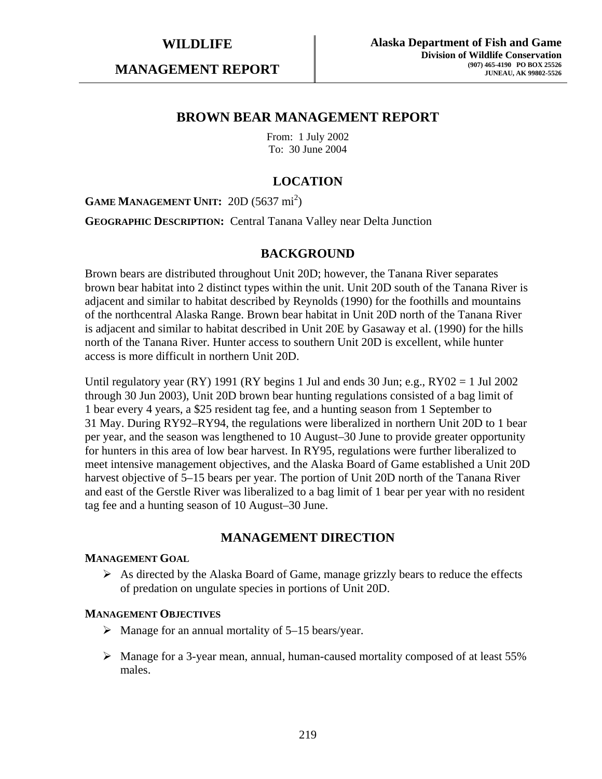**MANAGEMENT REPORT** 

## **BROWN BEAR MANAGEMENT REPORT**

From: 1 July 2002 To: 30 June 2004

## **LOCATION**

**GAME MANAGEMENT UNIT:** 20D (5637 mi<sup>2</sup>)

**GEOGRAPHIC DESCRIPTION:** Central Tanana Valley near Delta Junction

## **BACKGROUND**

Brown bears are distributed throughout Unit 20D; however, the Tanana River separates brown bear habitat into 2 distinct types within the unit. Unit 20D south of the Tanana River is adjacent and similar to habitat described by Reynolds (1990) for the foothills and mountains of the northcentral Alaska Range. Brown bear habitat in Unit 20D north of the Tanana River is adjacent and similar to habitat described in Unit 20E by Gasaway et al. (1990) for the hills north of the Tanana River. Hunter access to southern Unit 20D is excellent, while hunter access is more difficult in northern Unit 20D.

Until regulatory year (RY) 1991 (RY begins 1 Jul and ends 30 Jun; e.g.,  $RY02 = 1$  Jul 2002 through 30 Jun 2003), Unit 20D brown bear hunting regulations consisted of a bag limit of 1 bear every 4 years, a \$25 resident tag fee, and a hunting season from 1 September to 31 May. During RY92–RY94, the regulations were liberalized in northern Unit 20D to 1 bear per year, and the season was lengthened to 10 August–30 June to provide greater opportunity for hunters in this area of low bear harvest. In RY95, regulations were further liberalized to meet intensive management objectives, and the Alaska Board of Game established a Unit 20D harvest objective of 5–15 bears per year. The portion of Unit 20D north of the Tanana River and east of the Gerstle River was liberalized to a bag limit of 1 bear per year with no resident tag fee and a hunting season of 10 August–30 June.

## **MANAGEMENT DIRECTION**

#### **MANAGEMENT GOAL**

 $\triangleright$  As directed by the Alaska Board of Game, manage grizzly bears to reduce the effects of predation on ungulate species in portions of Unit 20D.

#### **MANAGEMENT OBJECTIVES**

- $\triangleright$  Manage for an annual mortality of 5–15 bears/year.
- ¾ Manage for a 3-year mean, annual, human-caused mortality composed of at least 55% males.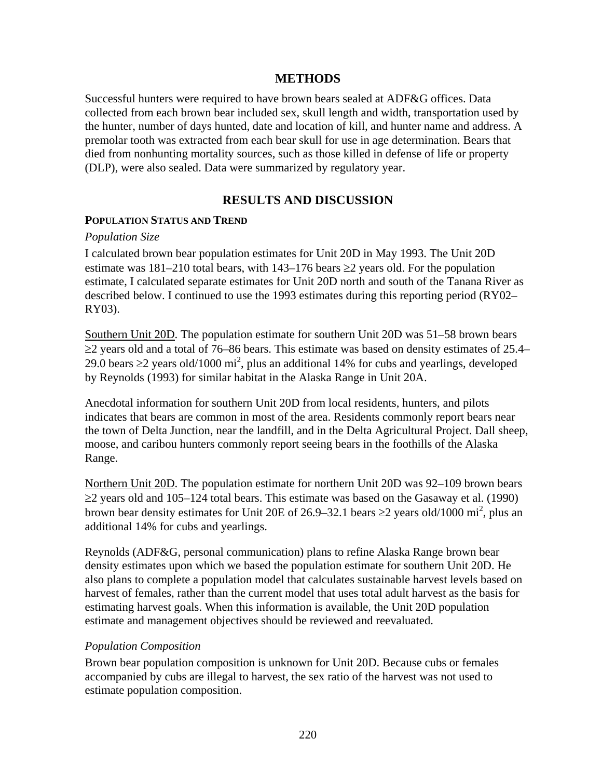## **METHODS**

Successful hunters were required to have brown bears sealed at ADF&G offices. Data collected from each brown bear included sex, skull length and width, transportation used by the hunter, number of days hunted, date and location of kill, and hunter name and address. A premolar tooth was extracted from each bear skull for use in age determination. Bears that died from nonhunting mortality sources, such as those killed in defense of life or property (DLP), were also sealed. Data were summarized by regulatory year.

## **RESULTS AND DISCUSSION**

#### **POPULATION STATUS AND TREND**

#### *Population Size*

I calculated brown bear population estimates for Unit 20D in May 1993. The Unit 20D estimate was 181–210 total bears, with 143–176 bears  $\geq$ 2 years old. For the population estimate, I calculated separate estimates for Unit 20D north and south of the Tanana River as described below. I continued to use the 1993 estimates during this reporting period (RY02– RY03).

Southern Unit 20D. The population estimate for southern Unit 20D was 51–58 brown bears  $\geq$ 2 years old and a total of 76–86 bears. This estimate was based on density estimates of 25.4– 29.0 bears ≥2 years old/1000 mi<sup>2</sup>, plus an additional 14% for cubs and yearlings, developed by Reynolds (1993) for similar habitat in the Alaska Range in Unit 20A.

Anecdotal information for southern Unit 20D from local residents, hunters, and pilots indicates that bears are common in most of the area. Residents commonly report bears near the town of Delta Junction, near the landfill, and in the Delta Agricultural Project. Dall sheep, moose, and caribou hunters commonly report seeing bears in the foothills of the Alaska Range.

Northern Unit 20D. The population estimate for northern Unit 20D was 92–109 brown bears  $\geq$ 2 years old and 105–124 total bears. This estimate was based on the Gasaway et al. (1990) brown bear density estimates for Unit 20E of 26.9–32.1 bears  $\geq$ 2 years old/1000 mi<sup>2</sup>, plus an additional 14% for cubs and yearlings.

Reynolds (ADF&G, personal communication) plans to refine Alaska Range brown bear density estimates upon which we based the population estimate for southern Unit 20D. He also plans to complete a population model that calculates sustainable harvest levels based on harvest of females, rather than the current model that uses total adult harvest as the basis for estimating harvest goals. When this information is available, the Unit 20D population estimate and management objectives should be reviewed and reevaluated.

#### *Population Composition*

Brown bear population composition is unknown for Unit 20D. Because cubs or females accompanied by cubs are illegal to harvest, the sex ratio of the harvest was not used to estimate population composition.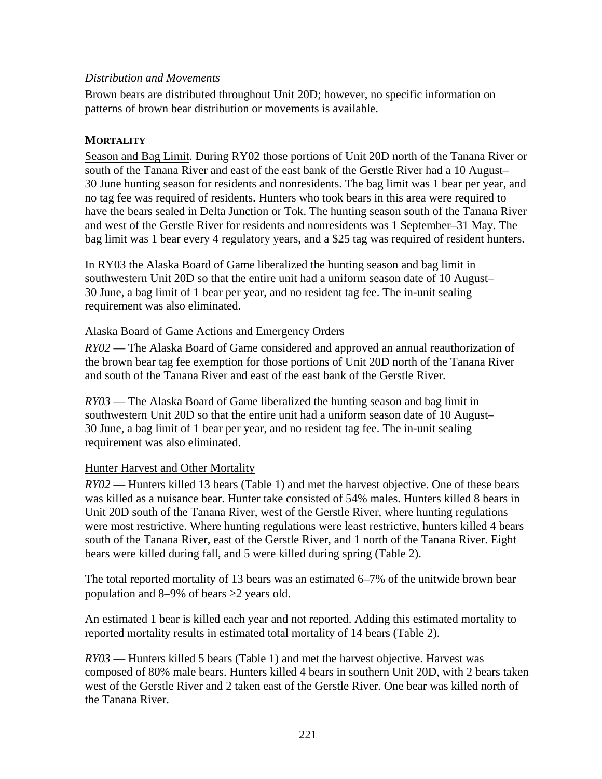## *Distribution and Movements*

Brown bears are distributed throughout Unit 20D; however, no specific information on patterns of brown bear distribution or movements is available.

## **MORTALITY**

Season and Bag Limit. During RY02 those portions of Unit 20D north of the Tanana River or south of the Tanana River and east of the east bank of the Gerstle River had a 10 August– 30 June hunting season for residents and nonresidents. The bag limit was 1 bear per year, and no tag fee was required of residents. Hunters who took bears in this area were required to have the bears sealed in Delta Junction or Tok. The hunting season south of the Tanana River and west of the Gerstle River for residents and nonresidents was 1 September–31 May. The bag limit was 1 bear every 4 regulatory years, and a \$25 tag was required of resident hunters.

In RY03 the Alaska Board of Game liberalized the hunting season and bag limit in southwestern Unit 20D so that the entire unit had a uniform season date of 10 August– 30 June, a bag limit of 1 bear per year, and no resident tag fee. The in-unit sealing requirement was also eliminated.

## Alaska Board of Game Actions and Emergency Orders

*RY02* — The Alaska Board of Game considered and approved an annual reauthorization of the brown bear tag fee exemption for those portions of Unit 20D north of the Tanana River and south of the Tanana River and east of the east bank of the Gerstle River.

*RY03* — The Alaska Board of Game liberalized the hunting season and bag limit in southwestern Unit 20D so that the entire unit had a uniform season date of 10 August– 30 June, a bag limit of 1 bear per year, and no resident tag fee. The in-unit sealing requirement was also eliminated.

## Hunter Harvest and Other Mortality

*RY02* — Hunters killed 13 bears (Table 1) and met the harvest objective. One of these bears was killed as a nuisance bear. Hunter take consisted of 54% males. Hunters killed 8 bears in Unit 20D south of the Tanana River, west of the Gerstle River, where hunting regulations were most restrictive. Where hunting regulations were least restrictive, hunters killed 4 bears south of the Tanana River, east of the Gerstle River, and 1 north of the Tanana River. Eight bears were killed during fall, and 5 were killed during spring (Table 2).

The total reported mortality of 13 bears was an estimated 6–7% of the unitwide brown bear population and 8–9% of bears ≥2 years old.

An estimated 1 bear is killed each year and not reported. Adding this estimated mortality to reported mortality results in estimated total mortality of 14 bears (Table 2).

*RY03* — Hunters killed 5 bears (Table 1) and met the harvest objective. Harvest was composed of 80% male bears. Hunters killed 4 bears in southern Unit 20D, with 2 bears taken west of the Gerstle River and 2 taken east of the Gerstle River. One bear was killed north of the Tanana River.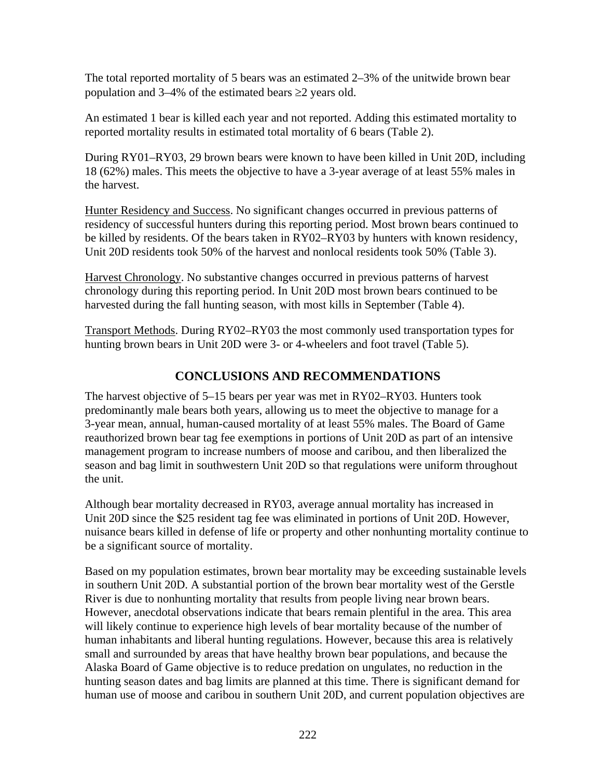The total reported mortality of 5 bears was an estimated 2–3% of the unitwide brown bear population and  $3-4\%$  of the estimated bears  $\geq 2$  years old.

An estimated 1 bear is killed each year and not reported. Adding this estimated mortality to reported mortality results in estimated total mortality of 6 bears (Table 2).

During RY01–RY03, 29 brown bears were known to have been killed in Unit 20D, including 18 (62%) males. This meets the objective to have a 3-year average of at least 55% males in the harvest.

Hunter Residency and Success. No significant changes occurred in previous patterns of residency of successful hunters during this reporting period. Most brown bears continued to be killed by residents. Of the bears taken in RY02–RY03 by hunters with known residency, Unit 20D residents took 50% of the harvest and nonlocal residents took 50% (Table 3).

Harvest Chronology. No substantive changes occurred in previous patterns of harvest chronology during this reporting period. In Unit 20D most brown bears continued to be harvested during the fall hunting season, with most kills in September (Table 4).

Transport Methods. During RY02–RY03 the most commonly used transportation types for hunting brown bears in Unit 20D were 3- or 4-wheelers and foot travel (Table 5).

## **CONCLUSIONS AND RECOMMENDATIONS**

The harvest objective of 5–15 bears per year was met in RY02–RY03. Hunters took predominantly male bears both years, allowing us to meet the objective to manage for a 3-year mean, annual, human-caused mortality of at least 55% males. The Board of Game reauthorized brown bear tag fee exemptions in portions of Unit 20D as part of an intensive management program to increase numbers of moose and caribou, and then liberalized the season and bag limit in southwestern Unit 20D so that regulations were uniform throughout the unit.

Although bear mortality decreased in RY03, average annual mortality has increased in Unit 20D since the \$25 resident tag fee was eliminated in portions of Unit 20D. However, nuisance bears killed in defense of life or property and other nonhunting mortality continue to be a significant source of mortality.

Based on my population estimates, brown bear mortality may be exceeding sustainable levels in southern Unit 20D. A substantial portion of the brown bear mortality west of the Gerstle River is due to nonhunting mortality that results from people living near brown bears. However, anecdotal observations indicate that bears remain plentiful in the area. This area will likely continue to experience high levels of bear mortality because of the number of human inhabitants and liberal hunting regulations. However, because this area is relatively small and surrounded by areas that have healthy brown bear populations, and because the Alaska Board of Game objective is to reduce predation on ungulates, no reduction in the hunting season dates and bag limits are planned at this time. There is significant demand for human use of moose and caribou in southern Unit 20D, and current population objectives are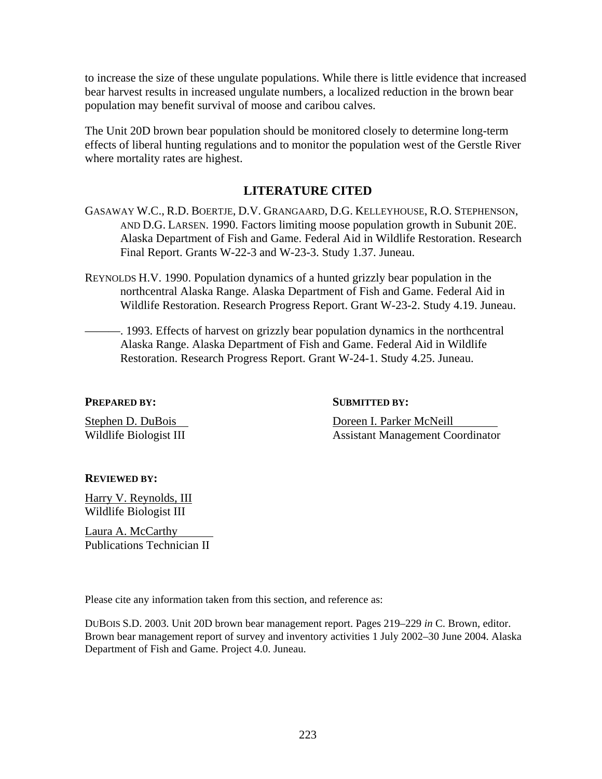to increase the size of these ungulate populations. While there is little evidence that increased bear harvest results in increased ungulate numbers, a localized reduction in the brown bear population may benefit survival of moose and caribou calves.

The Unit 20D brown bear population should be monitored closely to determine long-term effects of liberal hunting regulations and to monitor the population west of the Gerstle River where mortality rates are highest.

## **LITERATURE CITED**

- GASAWAY W.C., R.D. BOERTJE, D.V. GRANGAARD, D.G. KELLEYHOUSE, R.O. STEPHENSON, AND D.G. LARSEN. 1990. Factors limiting moose population growth in Subunit 20E. Alaska Department of Fish and Game. Federal Aid in Wildlife Restoration. Research Final Report. Grants W-22-3 and W-23-3. Study 1.37. Juneau.
- REYNOLDS H.V. 1990. Population dynamics of a hunted grizzly bear population in the northcentral Alaska Range. Alaska Department of Fish and Game. Federal Aid in Wildlife Restoration. Research Progress Report. Grant W-23-2. Study 4.19. Juneau.
	- ———. 1993. Effects of harvest on grizzly bear population dynamics in the northcentral Alaska Range. Alaska Department of Fish and Game. Federal Aid in Wildlife Restoration. Research Progress Report. Grant W-24-1. Study 4.25. Juneau.

**PREPARED BY:** SUBMITTED BY:

Stephen D. DuBois Doreen I. Parker McNeill Wildlife Biologist III **Assistant Management Coordinator** 

## **REVIEWED BY:**

Harry V. Reynolds, III Wildlife Biologist III

Laura A. McCarthy Publications Technician II

Please cite any information taken from this section, and reference as:

DUBOIS S.D. 2003. Unit 20D brown bear management report. Pages 219–229 *in* C. Brown, editor. Brown bear management report of survey and inventory activities 1 July 2002–30 June 2004. Alaska Department of Fish and Game. Project 4.0. Juneau.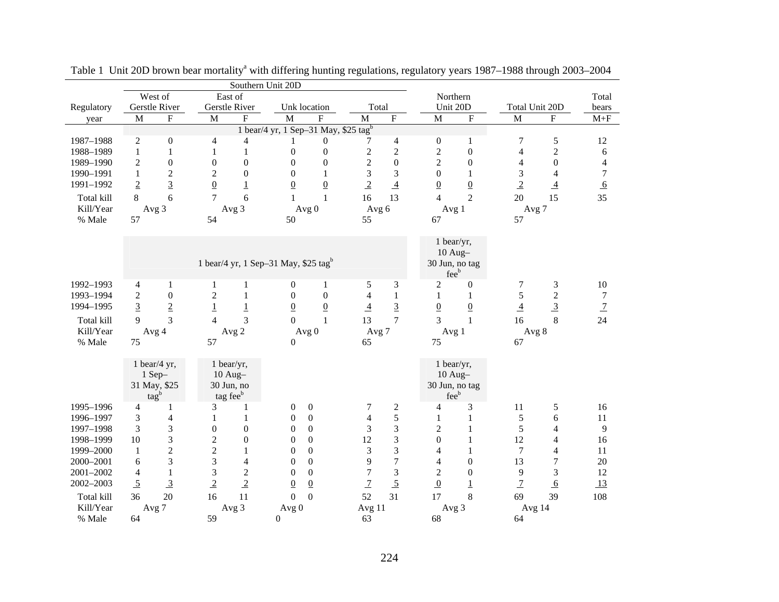| West of<br>East of<br>Northern<br>Total<br>Gerstle River<br>Gerstle River<br>Unit 20D<br>Regulatory<br>Unk location<br>Total<br>Total Unit 20D<br>bears<br>${\bf F}$<br>$\mathbf{F}$<br>$\mathbf M$<br>F<br>M<br>${\bf F}$<br>$\boldsymbol{\mathrm{F}}$<br>$\mathbf M$<br>$\boldsymbol{\mathrm{F}}$<br>$\mathbf M$<br>$\mathbf M$<br>$\mathbf M$<br>$M + F$<br>year<br>1 bear/4 yr, 1 Sep-31 May, \$25 tag <sup>b</sup><br>5<br>1987-1988<br>$\overline{c}$<br>$\boldsymbol{0}$<br>7<br>12<br>$\overline{4}$<br>$\theta$<br>4<br>$\boldsymbol{0}$<br>4<br>7<br>1<br>$\overline{c}$<br>$\sqrt{2}$<br>$\overline{c}$<br>$1\,$<br>$\boldsymbol{0}$<br>$\boldsymbol{0}$<br>$\mathbf{2}$<br>$\boldsymbol{0}$<br>1988-1989<br>$\mathbf{1}$<br>$\mathbf{1}$<br>$\overline{\mathbf{4}}$<br>$\mathbf{1}$<br>6<br>$\boldsymbol{0}$<br>$\overline{c}$<br>$\boldsymbol{0}$<br>1989-1990<br>$\overline{c}$<br>$\boldsymbol{0}$<br>$\boldsymbol{0}$<br>$\boldsymbol{0}$<br>$\boldsymbol{0}$<br>$\mathfrak{2}$<br>$\boldsymbol{0}$<br>$\boldsymbol{0}$<br>$\overline{\mathbf{4}}$<br>4<br>3<br>3<br>1990-1991<br>$\mathbf{1}$<br>$\boldsymbol{2}$<br>$\boldsymbol{2}$<br>$\boldsymbol{0}$<br>$\mathbf{0}$<br>3<br>$\boldsymbol{0}$<br>$\mathbf 1$<br>$\overline{7}$<br>$\mathbf{1}$<br>4 |           |                |                |                 |                | Southern Unit 20D |                 |                |                |                |                 |                |                |                 |
|---------------------------------------------------------------------------------------------------------------------------------------------------------------------------------------------------------------------------------------------------------------------------------------------------------------------------------------------------------------------------------------------------------------------------------------------------------------------------------------------------------------------------------------------------------------------------------------------------------------------------------------------------------------------------------------------------------------------------------------------------------------------------------------------------------------------------------------------------------------------------------------------------------------------------------------------------------------------------------------------------------------------------------------------------------------------------------------------------------------------------------------------------------------------------------------------------------------------------------------------------------------------------|-----------|----------------|----------------|-----------------|----------------|-------------------|-----------------|----------------|----------------|----------------|-----------------|----------------|----------------|-----------------|
|                                                                                                                                                                                                                                                                                                                                                                                                                                                                                                                                                                                                                                                                                                                                                                                                                                                                                                                                                                                                                                                                                                                                                                                                                                                                           |           |                |                |                 |                |                   |                 |                |                |                |                 |                |                |                 |
|                                                                                                                                                                                                                                                                                                                                                                                                                                                                                                                                                                                                                                                                                                                                                                                                                                                                                                                                                                                                                                                                                                                                                                                                                                                                           |           |                |                |                 |                |                   |                 |                |                |                |                 |                |                |                 |
|                                                                                                                                                                                                                                                                                                                                                                                                                                                                                                                                                                                                                                                                                                                                                                                                                                                                                                                                                                                                                                                                                                                                                                                                                                                                           |           |                |                |                 |                |                   |                 |                |                |                |                 |                |                |                 |
|                                                                                                                                                                                                                                                                                                                                                                                                                                                                                                                                                                                                                                                                                                                                                                                                                                                                                                                                                                                                                                                                                                                                                                                                                                                                           |           |                |                |                 |                |                   |                 |                |                |                |                 |                |                |                 |
|                                                                                                                                                                                                                                                                                                                                                                                                                                                                                                                                                                                                                                                                                                                                                                                                                                                                                                                                                                                                                                                                                                                                                                                                                                                                           |           |                |                |                 |                |                   |                 |                |                |                |                 |                |                |                 |
|                                                                                                                                                                                                                                                                                                                                                                                                                                                                                                                                                                                                                                                                                                                                                                                                                                                                                                                                                                                                                                                                                                                                                                                                                                                                           |           |                |                |                 |                |                   |                 |                |                |                |                 |                |                |                 |
|                                                                                                                                                                                                                                                                                                                                                                                                                                                                                                                                                                                                                                                                                                                                                                                                                                                                                                                                                                                                                                                                                                                                                                                                                                                                           |           |                |                |                 |                |                   |                 |                |                |                |                 |                |                |                 |
|                                                                                                                                                                                                                                                                                                                                                                                                                                                                                                                                                                                                                                                                                                                                                                                                                                                                                                                                                                                                                                                                                                                                                                                                                                                                           |           |                |                |                 |                |                   |                 |                |                |                |                 |                |                |                 |
|                                                                                                                                                                                                                                                                                                                                                                                                                                                                                                                                                                                                                                                                                                                                                                                                                                                                                                                                                                                                                                                                                                                                                                                                                                                                           | 1991-1992 | $\overline{2}$ | $\overline{3}$ | $\underline{0}$ | $\overline{1}$ | $\underline{0}$   | $\underline{0}$ | $\overline{2}$ | $\overline{4}$ | $\overline{0}$ | $\underline{0}$ | $\overline{2}$ | $\overline{4}$ | $6\overline{6}$ |
| 6<br>$\overline{2}$<br>35<br>6<br>$\overline{7}$<br>15<br>8<br>16<br>13<br>20<br>Total kill<br>$\mathbf{1}$<br>$\mathbf{1}$<br>$\overline{4}$                                                                                                                                                                                                                                                                                                                                                                                                                                                                                                                                                                                                                                                                                                                                                                                                                                                                                                                                                                                                                                                                                                                             |           |                |                |                 |                |                   |                 |                |                |                |                 |                |                |                 |
| Avg 3<br>Kill/Year<br>Avg 3<br>Avg 0<br>Avg 6<br>Avg 7<br>Avg 1                                                                                                                                                                                                                                                                                                                                                                                                                                                                                                                                                                                                                                                                                                                                                                                                                                                                                                                                                                                                                                                                                                                                                                                                           |           |                |                |                 |                |                   |                 |                |                |                |                 |                |                |                 |
| 55<br>% Male<br>57<br>54<br>50<br>67<br>57                                                                                                                                                                                                                                                                                                                                                                                                                                                                                                                                                                                                                                                                                                                                                                                                                                                                                                                                                                                                                                                                                                                                                                                                                                |           |                |                |                 |                |                   |                 |                |                |                |                 |                |                |                 |
|                                                                                                                                                                                                                                                                                                                                                                                                                                                                                                                                                                                                                                                                                                                                                                                                                                                                                                                                                                                                                                                                                                                                                                                                                                                                           |           |                |                |                 |                |                   |                 |                |                |                |                 |                |                |                 |
| 1 bear/yr,                                                                                                                                                                                                                                                                                                                                                                                                                                                                                                                                                                                                                                                                                                                                                                                                                                                                                                                                                                                                                                                                                                                                                                                                                                                                |           |                |                |                 |                |                   |                 |                |                |                |                 |                |                |                 |
| $10$ Aug-                                                                                                                                                                                                                                                                                                                                                                                                                                                                                                                                                                                                                                                                                                                                                                                                                                                                                                                                                                                                                                                                                                                                                                                                                                                                 |           |                |                |                 |                |                   |                 |                |                |                |                 |                |                |                 |
| 1 bear/4 yr, 1 Sep-31 May, \$25 tag <sup>b</sup><br>30 Jun, no tag                                                                                                                                                                                                                                                                                                                                                                                                                                                                                                                                                                                                                                                                                                                                                                                                                                                                                                                                                                                                                                                                                                                                                                                                        |           |                |                |                 |                |                   |                 |                |                |                |                 |                |                |                 |
| feeb                                                                                                                                                                                                                                                                                                                                                                                                                                                                                                                                                                                                                                                                                                                                                                                                                                                                                                                                                                                                                                                                                                                                                                                                                                                                      |           |                |                |                 |                |                   |                 |                |                |                |                 |                |                |                 |
| 1992-1993<br>3<br>$\overline{c}$<br>7<br>$\boldsymbol{0}$<br>5<br>$\boldsymbol{0}$<br>3<br>10<br>4<br>1<br>$\mathbf{1}$<br>1<br>1                                                                                                                                                                                                                                                                                                                                                                                                                                                                                                                                                                                                                                                                                                                                                                                                                                                                                                                                                                                                                                                                                                                                         |           |                |                |                 |                |                   |                 |                |                |                |                 |                |                |                 |
| 5<br>$\overline{c}$<br>$\overline{2}$<br>$\boldsymbol{0}$<br>$\mathbf{1}$<br>$\boldsymbol{0}$<br>$\mathbf{1}$<br>$\boldsymbol{7}$<br>1993-1994<br>$\overline{c}$<br>$\theta$<br>$\overline{4}$<br>$\mathbf{1}$<br>1                                                                                                                                                                                                                                                                                                                                                                                                                                                                                                                                                                                                                                                                                                                                                                                                                                                                                                                                                                                                                                                       |           |                |                |                 |                |                   |                 |                |                |                |                 |                |                |                 |
| $\overline{3}$<br>$\overline{3}$<br>$\overline{3}$<br>$\overline{2}$<br>$\overline{1}$<br>$\underline{1}$<br>$\underline{0}$<br>$\underline{\mathbf{4}}$<br>$\underline{0}$<br>1994-1995<br>$\overline{0}$<br>$\overline{0}$<br>$\underline{\mathbf{4}}$<br>$\overline{1}$                                                                                                                                                                                                                                                                                                                                                                                                                                                                                                                                                                                                                                                                                                                                                                                                                                                                                                                                                                                                |           |                |                |                 |                |                   |                 |                |                |                |                 |                |                |                 |
| 3<br>3<br>13<br>$\overline{7}$<br>8<br>24<br>9<br>$\overline{4}$<br>$\Omega$<br>3<br>$\mathbf{1}$<br>16<br>Total kill<br>$\mathbf{1}$                                                                                                                                                                                                                                                                                                                                                                                                                                                                                                                                                                                                                                                                                                                                                                                                                                                                                                                                                                                                                                                                                                                                     |           |                |                |                 |                |                   |                 |                |                |                |                 |                |                |                 |
| Kill/Year<br>Avg 8<br>Avg 2<br>Avg 0<br>Avg 7<br>Avg 4<br>Avg 1                                                                                                                                                                                                                                                                                                                                                                                                                                                                                                                                                                                                                                                                                                                                                                                                                                                                                                                                                                                                                                                                                                                                                                                                           |           |                |                |                 |                |                   |                 |                |                |                |                 |                |                |                 |
| % Male<br>75<br>57<br>65<br>75<br>$\overline{0}$<br>67                                                                                                                                                                                                                                                                                                                                                                                                                                                                                                                                                                                                                                                                                                                                                                                                                                                                                                                                                                                                                                                                                                                                                                                                                    |           |                |                |                 |                |                   |                 |                |                |                |                 |                |                |                 |
|                                                                                                                                                                                                                                                                                                                                                                                                                                                                                                                                                                                                                                                                                                                                                                                                                                                                                                                                                                                                                                                                                                                                                                                                                                                                           |           |                |                |                 |                |                   |                 |                |                |                |                 |                |                |                 |
| 1 bear/4 yr,<br>1 bear/yr,<br>1 bear/yr,                                                                                                                                                                                                                                                                                                                                                                                                                                                                                                                                                                                                                                                                                                                                                                                                                                                                                                                                                                                                                                                                                                                                                                                                                                  |           |                |                |                 |                |                   |                 |                |                |                |                 |                |                |                 |
| $1$ Sep-<br>$10$ Aug-<br>$10$ Aug-                                                                                                                                                                                                                                                                                                                                                                                                                                                                                                                                                                                                                                                                                                                                                                                                                                                                                                                                                                                                                                                                                                                                                                                                                                        |           |                |                |                 |                |                   |                 |                |                |                |                 |                |                |                 |
| 31 May, \$25<br>30 Jun, no<br>30 Jun, no tag<br>feeb                                                                                                                                                                                                                                                                                                                                                                                                                                                                                                                                                                                                                                                                                                                                                                                                                                                                                                                                                                                                                                                                                                                                                                                                                      |           |                |                |                 |                |                   |                 |                |                |                |                 |                |                |                 |
| tagb<br>tag fee <sup>b</sup><br>$\boldsymbol{0}$<br>1995-1996<br>$\boldsymbol{0}$<br>7<br>$\mathfrak{Z}$<br>11<br>3<br>16<br>1                                                                                                                                                                                                                                                                                                                                                                                                                                                                                                                                                                                                                                                                                                                                                                                                                                                                                                                                                                                                                                                                                                                                            |           |                |                |                 |                |                   |                 |                |                |                |                 |                |                |                 |
| $\boldsymbol{2}$<br>4<br>5<br>4<br>1<br>5<br>3<br>$\overline{\mathbf{4}}$<br>$\mathbf{0}$<br>$\overline{4}$<br>$\sqrt{5}$<br>$\mathbf{1}$<br>$\mathbf{1}$<br>$\boldsymbol{0}$<br>$\mathbf{1}$<br>$\mathbf{1}$<br>6<br>$11\,$<br>1996-1997                                                                                                                                                                                                                                                                                                                                                                                                                                                                                                                                                                                                                                                                                                                                                                                                                                                                                                                                                                                                                                 |           |                |                |                 |                |                   |                 |                |                |                |                 |                |                |                 |
| 3<br>3<br>$\mathfrak 3$<br>$\boldsymbol{0}$<br>$\Omega$<br>3<br>$\boldsymbol{2}$<br>5<br>1997-1998<br>$\boldsymbol{0}$<br>$\boldsymbol{0}$<br>$\mathbf{1}$<br>$\overline{\mathcal{L}}$<br>9                                                                                                                                                                                                                                                                                                                                                                                                                                                                                                                                                                                                                                                                                                                                                                                                                                                                                                                                                                                                                                                                               |           |                |                |                 |                |                   |                 |                |                |                |                 |                |                |                 |
| 3<br>3<br>$\overline{2}$<br>12<br>12<br>1998-1999<br>10<br>$\boldsymbol{0}$<br>$\mathbf{0}$<br>$\Omega$<br>$\mathbf{0}$<br>$\mathbf{1}$<br>$\overline{4}$<br>16                                                                                                                                                                                                                                                                                                                                                                                                                                                                                                                                                                                                                                                                                                                                                                                                                                                                                                                                                                                                                                                                                                           |           |                |                |                 |                |                   |                 |                |                |                |                 |                |                |                 |
| $\boldsymbol{2}$<br>$\overline{c}$<br>3<br>$\boldsymbol{0}$<br>$\overline{7}$<br>1999-2000<br>$\boldsymbol{0}$<br>3<br>4<br>$\overline{\mathcal{L}}$<br>$11\,$<br>$\mathbf{1}$<br>1<br>1                                                                                                                                                                                                                                                                                                                                                                                                                                                                                                                                                                                                                                                                                                                                                                                                                                                                                                                                                                                                                                                                                  |           |                |                |                 |                |                   |                 |                |                |                |                 |                |                |                 |
| 3<br>$\boldsymbol{7}$<br>3<br>$\overline{4}$<br>$\overline{0}$<br>9<br>$\boldsymbol{0}$<br>13<br>7<br>2000-2001<br>6<br>$\theta$<br>20<br>4                                                                                                                                                                                                                                                                                                                                                                                                                                                                                                                                                                                                                                                                                                                                                                                                                                                                                                                                                                                                                                                                                                                               |           |                |                |                 |                |                   |                 |                |                |                |                 |                |                |                 |
| 3<br>$\mathfrak{Z}$<br>$\overline{7}$<br>3<br>$\mathbf{1}$<br>$\boldsymbol{2}$<br>$\mathbf{0}$<br>$\overline{c}$<br>$\boldsymbol{0}$<br>9<br>12<br>2001-2002<br>4<br>$\boldsymbol{0}$                                                                                                                                                                                                                                                                                                                                                                                                                                                                                                                                                                                                                                                                                                                                                                                                                                                                                                                                                                                                                                                                                     |           |                |                |                 |                |                   |                 |                |                |                |                 |                |                |                 |
| $\overline{2}$<br>$\overline{5}$<br>$\overline{5}$<br>$\overline{3}$<br>$\overline{2}$<br>$\overline{0}$<br>$\overline{1}$<br>$\boldsymbol{0}$<br>2002-2003<br>$\underline{0}$<br>$\underline{1}$<br>$\overline{1}$<br>13<br>6                                                                                                                                                                                                                                                                                                                                                                                                                                                                                                                                                                                                                                                                                                                                                                                                                                                                                                                                                                                                                                            |           |                |                |                 |                |                   |                 |                |                |                |                 |                |                |                 |
| 8<br>20<br>11<br>$\overline{0}$<br>52<br>31<br>17<br>39<br>Total kill<br>36<br>16<br>$\Omega$<br>69<br>108                                                                                                                                                                                                                                                                                                                                                                                                                                                                                                                                                                                                                                                                                                                                                                                                                                                                                                                                                                                                                                                                                                                                                                |           |                |                |                 |                |                   |                 |                |                |                |                 |                |                |                 |
| Avg 3<br>Kill/Year<br>Avg 11<br>Avg 3<br>Avg 7<br>Avg 0<br>Avg 14                                                                                                                                                                                                                                                                                                                                                                                                                                                                                                                                                                                                                                                                                                                                                                                                                                                                                                                                                                                                                                                                                                                                                                                                         |           |                |                |                 |                |                   |                 |                |                |                |                 |                |                |                 |
| 59<br>68<br>64<br>% Male<br>64<br>$\mathbf{0}$<br>63                                                                                                                                                                                                                                                                                                                                                                                                                                                                                                                                                                                                                                                                                                                                                                                                                                                                                                                                                                                                                                                                                                                                                                                                                      |           |                |                |                 |                |                   |                 |                |                |                |                 |                |                |                 |

Table 1 Unit 20D brown bear mortality<sup>a</sup> with differing hunting regulations, regulatory years 1987-1988 through 2003-2004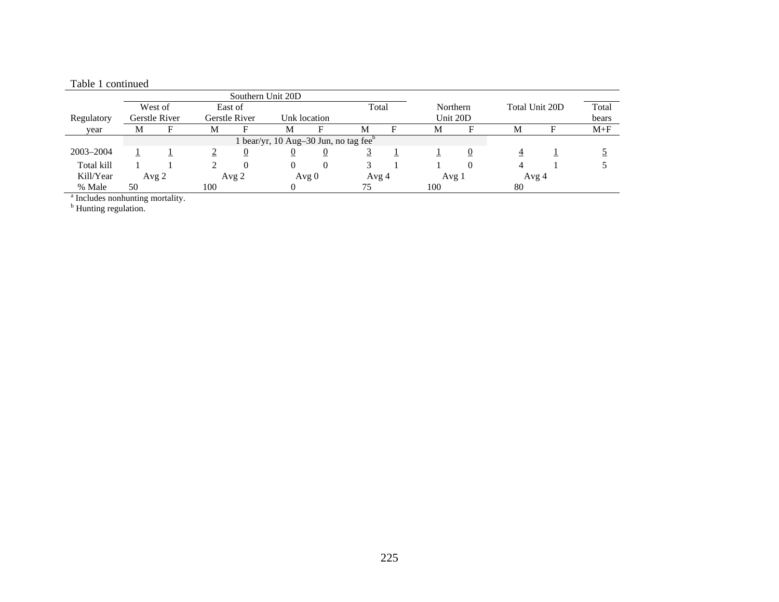| rabie i continueu |   |               |   |               |                                                   |              |       |          |                 |                |       |         |
|-------------------|---|---------------|---|---------------|---------------------------------------------------|--------------|-------|----------|-----------------|----------------|-------|---------|
|                   |   |               |   |               | Southern Unit 20D                                 |              |       |          |                 |                |       |         |
|                   |   | West of       |   | East of       |                                                   |              | Total |          | <b>Northern</b> | Total Unit 20D |       | Total   |
| Regulatory        |   | Gerstle River |   | Gerstle River |                                                   | Unk location |       | Unit 20D |                 |                | bears |         |
| vear              | М |               | М |               | M                                                 |              | M     | М        |                 | М              |       | $M + F$ |
|                   |   |               |   |               | l bear/yr, 10 Aug–30 Jun, no tag fee <sup>b</sup> |              |       |          |                 |                |       |         |
| 2003-2004         |   |               |   |               |                                                   |              |       |          |                 |                |       |         |
| Total kill        |   |               |   |               |                                                   |              |       |          |                 |                |       |         |

Kill/Year Avg 2 Avg 2 Avg 0 Avg 4 Avg 1 Avg 4 % Male 50 100 0 75 100 80

## Table 1 continued

<sup>a</sup> Includes nonhunting mortality.

<sup>b</sup> Hunting regulation.

Total bears

5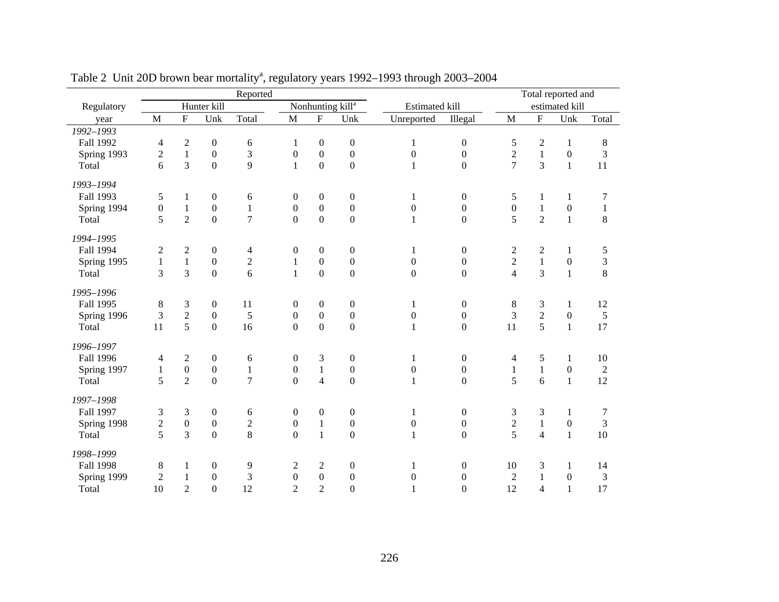|                  |                  |                         |                  | Reported       |                  |                  |                              |                       |                  |                  |                         | Total reported and |                |
|------------------|------------------|-------------------------|------------------|----------------|------------------|------------------|------------------------------|-----------------------|------------------|------------------|-------------------------|--------------------|----------------|
| Regulatory       |                  |                         | Hunter kill      |                |                  |                  | Nonhunting kill <sup>a</sup> | <b>Estimated kill</b> |                  |                  |                         | estimated kill     |                |
| year             | M                | $\overline{\mathrm{F}}$ | Unk              | Total          | $\mathbf M$      | ${\bf F}$        | Unk                          | Unreported            | Illegal          | M                | $\overline{\mathrm{F}}$ | Unk                | Total          |
| $1992 - 1993$    |                  |                         |                  |                |                  |                  |                              |                       |                  |                  |                         |                    |                |
| Fall 1992        | 4                | $\boldsymbol{2}$        | $\boldsymbol{0}$ | 6              | 1                | $\boldsymbol{0}$ | $\boldsymbol{0}$             | 1                     | $\boldsymbol{0}$ | 5                | $\overline{c}$          | $\mathbf{1}$       | 8              |
| Spring 1993      | $\overline{c}$   | $\mathbf{1}$            | $\boldsymbol{0}$ | 3              | $\boldsymbol{0}$ | $\boldsymbol{0}$ | $\boldsymbol{0}$             | $\boldsymbol{0}$      | $\boldsymbol{0}$ | $\sqrt{2}$       | $1\,$                   | $\boldsymbol{0}$   | 3              |
| Total            | 6                | 3                       | $\overline{0}$   | 9              | $\mathbf{1}$     | $\overline{0}$   | $\overline{0}$               | $\mathbf{1}$          | $\boldsymbol{0}$ | $\overline{7}$   | $\overline{3}$          | $\mathbf{1}$       | 11             |
| 1993-1994        |                  |                         |                  |                |                  |                  |                              |                       |                  |                  |                         |                    |                |
| Fall 1993        | 5                | $\mathbf{1}$            | $\boldsymbol{0}$ | 6              | $\boldsymbol{0}$ | $\boldsymbol{0}$ | $\boldsymbol{0}$             | $\mathbf{1}$          | $\boldsymbol{0}$ | 5                | $\mathbf{1}$            | $\mathbf{1}$       | 7              |
| Spring 1994      | $\boldsymbol{0}$ | $\,1\,$                 | $\boldsymbol{0}$ | $\,1\,$        | $\boldsymbol{0}$ | $\boldsymbol{0}$ | $\boldsymbol{0}$             | $\boldsymbol{0}$      | $\boldsymbol{0}$ | $\boldsymbol{0}$ | $\,1$                   | $\boldsymbol{0}$   | $\mathbf{1}$   |
| Total            | 5                | $\overline{2}$          | $\overline{0}$   | $\overline{7}$ | $\overline{0}$   | $\mathbf 0$      | $\overline{0}$               | $\mathbf{1}$          | $\boldsymbol{0}$ | 5                | $\overline{2}$          | $\mathbf{1}$       | 8              |
| 1994-1995        |                  |                         |                  |                |                  |                  |                              |                       |                  |                  |                         |                    |                |
| Fall 1994        | $\overline{c}$   | $\mathfrak{2}$          | $\boldsymbol{0}$ | 4              | $\boldsymbol{0}$ | $\boldsymbol{0}$ | $\boldsymbol{0}$             | $\mathbf{1}$          | $\boldsymbol{0}$ | $\boldsymbol{2}$ | $\overline{c}$          | $\mathbf{1}$       | $\mathfrak s$  |
| Spring 1995      | $\mathbf{1}$     | $\mathbf{1}$            | $\boldsymbol{0}$ | $\sqrt{2}$     | $\mathbf{1}$     | $\boldsymbol{0}$ | $\boldsymbol{0}$             | $\boldsymbol{0}$      | $\boldsymbol{0}$ | $\sqrt{2}$       | $\mathbf{1}$            | $\boldsymbol{0}$   | $\mathfrak{Z}$ |
| Total            | 3                | 3                       | $\boldsymbol{0}$ | $\overline{6}$ | $\mathbf{1}$     | $\boldsymbol{0}$ | $\boldsymbol{0}$             | $\boldsymbol{0}$      | $\boldsymbol{0}$ | $\overline{4}$   | $\overline{3}$          | $\mathbf{1}$       | 8              |
| 1995-1996        |                  |                         |                  |                |                  |                  |                              |                       |                  |                  |                         |                    |                |
| Fall 1995        | $\,8$            | $\mathfrak{Z}$          | $\boldsymbol{0}$ | 11             | $\boldsymbol{0}$ | $\boldsymbol{0}$ | $\boldsymbol{0}$             | $\mathbf{1}$          | $\boldsymbol{0}$ | $\,8\,$          | 3                       | $\mathbf{1}$       | 12             |
| Spring 1996      | 3                | $\overline{2}$          | $\boldsymbol{0}$ | 5              | $\boldsymbol{0}$ | $\boldsymbol{0}$ | $\boldsymbol{0}$             | $\boldsymbol{0}$      | $\boldsymbol{0}$ | 3                | $\sqrt{2}$              | $\boldsymbol{0}$   | 5              |
| Total            | 11               | 5                       | $\boldsymbol{0}$ | 16             | $\overline{0}$   | $\overline{0}$   | $\overline{0}$               | $\mathbf{1}$          | $\boldsymbol{0}$ | 11               | $\overline{5}$          | $\mathbf{1}$       | 17             |
| 1996-1997        |                  |                         |                  |                |                  |                  |                              |                       |                  |                  |                         |                    |                |
| Fall 1996        | 4                | $\mathfrak{2}$          | $\boldsymbol{0}$ | 6              | $\boldsymbol{0}$ | 3                | $\boldsymbol{0}$             | $\mathbf{1}$          | $\boldsymbol{0}$ | 4                | 5                       | $\mathbf{1}$       | 10             |
| Spring 1997      | $\,1\,$          | $\boldsymbol{0}$        | $\boldsymbol{0}$ | $\mathbf 1$    | $\boldsymbol{0}$ | $\mathbf{1}$     | $\boldsymbol{0}$             | $\boldsymbol{0}$      | $\boldsymbol{0}$ | $\mathbf{1}$     | $\mathbf{1}$            | $\boldsymbol{0}$   | $\overline{2}$ |
| Total            | 5                | $\overline{2}$          | $\boldsymbol{0}$ | $\overline{7}$ | $\boldsymbol{0}$ | $\overline{4}$   | $\boldsymbol{0}$             | $\mathbf{1}$          | $\boldsymbol{0}$ | 5                | 6                       | $\mathbf{1}$       | 12             |
| 1997-1998        |                  |                         |                  |                |                  |                  |                              |                       |                  |                  |                         |                    |                |
| Fall 1997        | 3                | 3                       | $\boldsymbol{0}$ | 6              | $\boldsymbol{0}$ | $\boldsymbol{0}$ | $\boldsymbol{0}$             | $\mathbf{1}$          | $\boldsymbol{0}$ | 3                | 3                       | $\mathbf{1}$       | 7              |
| Spring 1998      | $\boldsymbol{2}$ | $\boldsymbol{0}$        | $\boldsymbol{0}$ | $\overline{c}$ | $\boldsymbol{0}$ | $\,1\,$          | $\boldsymbol{0}$             | $\boldsymbol{0}$      | $\boldsymbol{0}$ | $\sqrt{2}$       | $1\,$                   | $\boldsymbol{0}$   | $\mathfrak{Z}$ |
| Total            | 5                | 3                       | $\overline{0}$   | 8              | $\overline{0}$   | $\mathbf{1}$     | $\overline{0}$               | $\mathbf{1}$          | $\overline{0}$   | 5                | $\overline{4}$          | $\mathbf{1}$       | 10             |
| 1998-1999        |                  |                         |                  |                |                  |                  |                              |                       |                  |                  |                         |                    |                |
| <b>Fall 1998</b> | 8                | $\mathbf{1}$            | $\boldsymbol{0}$ | 9              | $\overline{c}$   | $\boldsymbol{2}$ | $\boldsymbol{0}$             | $\mathbf{1}$          | $\boldsymbol{0}$ | 10               | 3                       | $\mathbf{1}$       | 14             |
| Spring 1999      | $\overline{c}$   | $\mathbf{1}$            | $\boldsymbol{0}$ | 3              | $\boldsymbol{0}$ | $\boldsymbol{0}$ | $\boldsymbol{0}$             | $\boldsymbol{0}$      | $\boldsymbol{0}$ | $\overline{2}$   | $\mathbf{1}$            | $\boldsymbol{0}$   | 3              |
| Total            | 10               | $\overline{2}$          | $\overline{0}$   | 12             | $\overline{2}$   | $\overline{2}$   | $\overline{0}$               | 1                     | $\overline{0}$   | 12               | $\overline{4}$          | 1                  | 17             |

Table 2 Unit 20D brown bear mortality<sup>a</sup>, regulatory years 1992–1993 through 2003–2004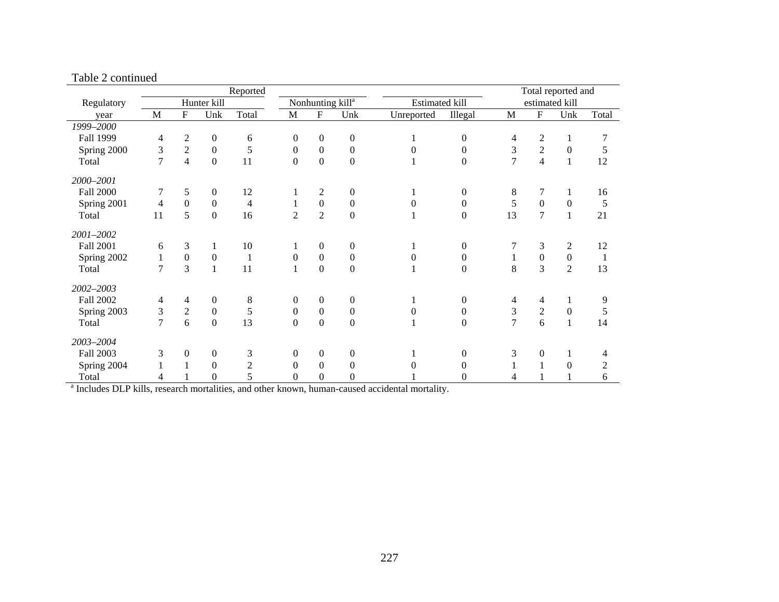|                  |                                                  |                  |                  | Reported                                                     |                              |                  |                       |                |                  | Total reported and |                         |                  |                |
|------------------|--------------------------------------------------|------------------|------------------|--------------------------------------------------------------|------------------------------|------------------|-----------------------|----------------|------------------|--------------------|-------------------------|------------------|----------------|
| Regulatory       | Hunter kill<br>$\mathbf{M}$<br>F<br>Total<br>Unk |                  |                  |                                                              | Nonhunting kill <sup>a</sup> |                  | <b>Estimated kill</b> |                |                  |                    | estimated kill          |                  |                |
| year             |                                                  |                  |                  |                                                              | $\mathbf M$                  | ${\bf F}$        | Unk                   | Unreported     | Illegal          | $\mathbf M$        | ${\bf F}$               | Unk              | Total          |
| 1999-2000        |                                                  |                  |                  |                                                              |                              |                  |                       |                |                  |                    |                         |                  |                |
| Fall 1999        | $\overline{4}$                                   | $\overline{2}$   | $\boldsymbol{0}$ | 6                                                            | $\theta$                     | $\boldsymbol{0}$ | $\boldsymbol{0}$      |                | $\overline{0}$   | 4                  | $\mathfrak{2}$          | $\mathbf{1}$     | 7              |
| Spring 2000      | 3                                                | $\sqrt{2}$       | $\boldsymbol{0}$ | $\mathfrak s$                                                | $\mathbf{0}$                 | $\boldsymbol{0}$ | $\boldsymbol{0}$      | $\overline{0}$ | $\boldsymbol{0}$ | 3                  | $\boldsymbol{2}$        | $\boldsymbol{0}$ | 5              |
| Total            | $\overline{7}$                                   | $\overline{4}$   | $\boldsymbol{0}$ | 11                                                           | $\boldsymbol{0}$             | $\boldsymbol{0}$ | $\boldsymbol{0}$      |                | $\overline{0}$   | $\overline{7}$     | $\overline{\mathbf{4}}$ | $\mathbf{1}$     | 12             |
| 2000-2001        |                                                  |                  |                  |                                                              |                              |                  |                       |                |                  |                    |                         |                  |                |
| <b>Fall 2000</b> | 7                                                | 5                | $\boldsymbol{0}$ | 12                                                           |                              | $\mathbf{2}$     | $\boldsymbol{0}$      |                | $\overline{0}$   | 8                  | $\overline{7}$          | 1                | 16             |
| Spring 2001      | 4                                                | $\boldsymbol{0}$ | $\boldsymbol{0}$ | 4                                                            | 1                            | $\boldsymbol{0}$ | $\boldsymbol{0}$      | $\Omega$       | $\overline{0}$   | 5                  | $\boldsymbol{0}$        | $\mathbf{0}$     | 5              |
| Total            | 11                                               | 5                | $\mathbf{0}$     | 16                                                           | $\overline{2}$               | $\overline{2}$   | $\boldsymbol{0}$      |                | $\Omega$         | 13                 | $\overline{7}$          | $\mathbf{1}$     | 21             |
| 2001-2002        |                                                  |                  |                  |                                                              |                              |                  |                       |                |                  |                    |                         |                  |                |
| <b>Fall 2001</b> | 6                                                | 3                | 1                | 10                                                           |                              | $\boldsymbol{0}$ | $\boldsymbol{0}$      |                | $\Omega$         |                    | 3                       | $\mathbf{2}$     | 12             |
| Spring 2002      | $\mathbf{1}$                                     | $\boldsymbol{0}$ | $\boldsymbol{0}$ | $\mathbf{1}$                                                 | $\boldsymbol{0}$             | $\boldsymbol{0}$ | $\boldsymbol{0}$      | $\theta$       | $\overline{0}$   | $\mathbf{1}$       | $\boldsymbol{0}$        | $\boldsymbol{0}$ | 1              |
| Total            | $\overline{7}$                                   | 3                | $\mathbf{1}$     | 11                                                           | $\mathbf{1}$                 | $\mathbf{0}$     | $\boldsymbol{0}$      |                | $\Omega$         | 8                  | 3                       | $\overline{2}$   | 13             |
| 2002-2003        |                                                  |                  |                  |                                                              |                              |                  |                       |                |                  |                    |                         |                  |                |
| <b>Fall 2002</b> | 4                                                | 4                | $\mathbf{0}$     | $\,8\,$                                                      | $\theta$                     | $\boldsymbol{0}$ | $\boldsymbol{0}$      |                | $\overline{0}$   | 4                  | 4                       | 1                | 9              |
| Spring 2003      | 3                                                | $\overline{2}$   | $\boldsymbol{0}$ | 5                                                            | $\boldsymbol{0}$             | $\boldsymbol{0}$ | $\boldsymbol{0}$      | $\theta$       | $\boldsymbol{0}$ | 3                  | $\overline{2}$          | $\boldsymbol{0}$ | 5              |
| Total            | $\overline{7}$                                   | 6                | $\boldsymbol{0}$ | 13                                                           | $\boldsymbol{0}$             | $\boldsymbol{0}$ | $\boldsymbol{0}$      |                | $\overline{0}$   | $\overline{7}$     | 6                       | 1                | 14             |
| 2003-2004        |                                                  |                  |                  |                                                              |                              |                  |                       |                |                  |                    |                         |                  |                |
| Fall 2003        | 3                                                | $\boldsymbol{0}$ | $\boldsymbol{0}$ | 3                                                            | $\mathbf{0}$                 | $\boldsymbol{0}$ | $\boldsymbol{0}$      |                | $\overline{0}$   | 3                  | $\boldsymbol{0}$        | 1                | 4              |
| Spring 2004      |                                                  | 1                | $\boldsymbol{0}$ | $\mathfrak{2}% =\mathfrak{2}\left( \mathfrak{2}\right) ^{2}$ | $\Omega$                     | $\boldsymbol{0}$ | $\boldsymbol{0}$      | $\Omega$       | $\Omega$         |                    | $\mathbf{1}$            | $\boldsymbol{0}$ | $\overline{c}$ |
| Total            | 4                                                |                  | $\mathbf{0}$     | 5                                                            | $\Omega$                     | $\boldsymbol{0}$ | $\boldsymbol{0}$      |                | $\Omega$         | 4                  | 1                       |                  | 6              |

#### Table 2 continued

<sup>a</sup> Includes DLP kills, research mortalities, and other known, human-caused accidental mortality.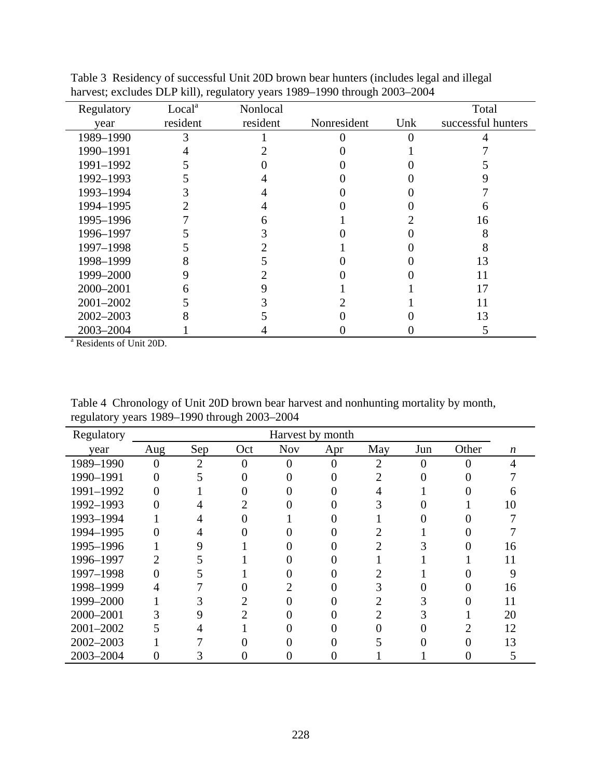| Regulatory    | Local <sup>a</sup> | Nonlocal |             |     | Total              |
|---------------|--------------------|----------|-------------|-----|--------------------|
| year          | resident           | resident | Nonresident | Unk | successful hunters |
| 1989-1990     | 3                  |          |             |     |                    |
| 1990-1991     |                    |          |             |     |                    |
| 1991-1992     |                    |          |             |     |                    |
| 1992-1993     |                    |          |             |     |                    |
| 1993-1994     |                    |          |             |     |                    |
| 1994-1995     |                    |          |             |     |                    |
| 1995-1996     |                    |          |             |     | 16                 |
| 1996-1997     |                    |          |             |     |                    |
| 1997-1998     |                    |          |             |     |                    |
| 1998-1999     |                    |          |             |     | 13                 |
| 1999-2000     |                    |          |             |     |                    |
| 2000-2001     | 6                  |          |             |     | 17                 |
| 2001-2002     |                    |          |             |     |                    |
| $2002 - 2003$ |                    |          |             |     | 13                 |
| 2003-2004     |                    |          |             |     |                    |

Table 3 Residency of successful Unit 20D brown bear hunters (includes legal and illegal harvest; excludes DLP kill), regulatory years 1989–1990 through 2003–2004

<sup>a</sup> Residents of Unit 20D.

Table 4 Chronology of Unit 20D brown bear harvest and nonhunting mortality by month, regulatory years 1989–1990 through 2003–2004

| Regulatory |     | Harvest by month |     |            |     |     |     |       |                  |  |  |  |
|------------|-----|------------------|-----|------------|-----|-----|-----|-------|------------------|--|--|--|
| year       | Aug | Sep              | Oct | <b>Nov</b> | Apr | May | Jun | Other | $\boldsymbol{n}$ |  |  |  |
| 1989-1990  |     | $\overline{2}$   | 0   |            |     | 2   |     |       |                  |  |  |  |
| 1990-1991  |     |                  |     |            |     |     |     |       |                  |  |  |  |
| 1991-1992  |     |                  |     |            |     |     |     |       |                  |  |  |  |
| 1992-1993  |     |                  |     |            |     |     |     |       | 10               |  |  |  |
| 1993-1994  |     |                  |     |            |     |     |     |       |                  |  |  |  |
| 1994-1995  |     |                  |     |            |     |     |     |       |                  |  |  |  |
| 1995-1996  |     | 9                |     |            |     |     |     |       | 16               |  |  |  |
| 1996-1997  |     |                  |     |            |     |     |     |       | 11               |  |  |  |
| 1997-1998  |     |                  |     |            |     |     |     |       | 9                |  |  |  |
| 1998-1999  |     |                  |     |            |     |     |     |       | 16               |  |  |  |
| 1999-2000  |     |                  |     |            |     |     |     |       |                  |  |  |  |
| 2000-2001  |     |                  |     |            |     |     |     |       | 20               |  |  |  |
| 2001-2002  |     |                  |     |            |     |     |     |       | 12               |  |  |  |
| 2002-2003  |     |                  |     |            |     |     |     |       | 13               |  |  |  |
| 2003-2004  |     |                  |     |            |     |     |     |       |                  |  |  |  |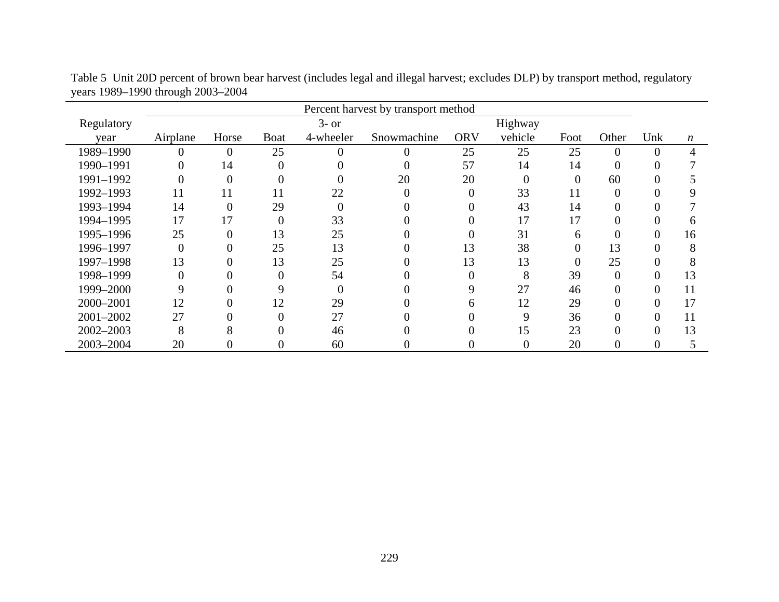|            |          | Percent harvest by transport method |             |           |             |            |                |          |                |          |                  |
|------------|----------|-------------------------------------|-------------|-----------|-------------|------------|----------------|----------|----------------|----------|------------------|
| Regulatory |          |                                     |             | $3-$ or   |             | Highway    |                |          |                |          |                  |
| year       | Airplane | Horse                               | <b>Boat</b> | 4-wheeler | Snowmachine | <b>ORV</b> | vehicle        | Foot     | Other          | Unk      | $\boldsymbol{n}$ |
| 1989-1990  | 0        | $\theta$                            | 25          | 0         | 0           | 25         | 25             | 25       | 0              | 0        |                  |
| 1990-1991  |          | 14                                  | $\Omega$    |           |             | 57         | 14             | 14       | $\theta$       | 0        |                  |
| 1991-1992  |          | $\Omega$                            | $\theta$    |           | 20          | 20         | $\theta$       | $\theta$ | 60             | 0        |                  |
| 1992-1993  | 11       | 11                                  | 11          | 22        | $\theta$    | $\theta$   | 33             | 11       | $\overline{0}$ |          |                  |
| 1993-1994  | 14       | $\Omega$                            | 29          | 0         |             |            | 43             | 14       | $\theta$       |          |                  |
| 1994-1995  | 17       | 17                                  | $\theta$    | 33        |             |            | 17             | 17       | 0              |          | h                |
| 1995-1996  | 25       | $\theta$                            | 13          | 25        |             |            | 31             | 6        | 0              | 0        | 16               |
| 1996-1997  | 0        |                                     | 25          | 13        |             | 13         | 38             |          | 13             |          | 8                |
| 1997-1998  | 13       |                                     | 13          | 25        |             | 13         | 13             |          | 25             |          | δ                |
| 1998-1999  | 0        |                                     | $\theta$    | 54        |             |            | 8              | 39       | $\overline{0}$ | 0        | 13               |
| 1999-2000  | 9        |                                     | 9           | 0         |             |            | 27             | 46       | $\overline{0}$ | 0        | 11               |
| 2000-2001  | 12       | $\theta$                            | 12          | 29        | 0           | 6          | 12             | 29       | $\overline{0}$ | $\theta$ | 17               |
| 2001-2002  | 27       |                                     | $\theta$    | 27        |             |            | 9              | 36       | $\overline{0}$ | 0        | 11               |
| 2002-2003  | 8        | 8                                   | 0           | 46        |             | 0          | 15             | 23       | $\overline{0}$ | 0        | 13               |
| 2003-2004  | 20       | $\Omega$                            | 0           | 60        | 0           | 0          | $\overline{0}$ | 20       | $\overline{0}$ | 0        |                  |

Table 5 Unit 20D percent of brown bear harvest (includes legal and illegal harvest; excludes DLP) by transport method, regulatory years 1989–1990 through 2003–2004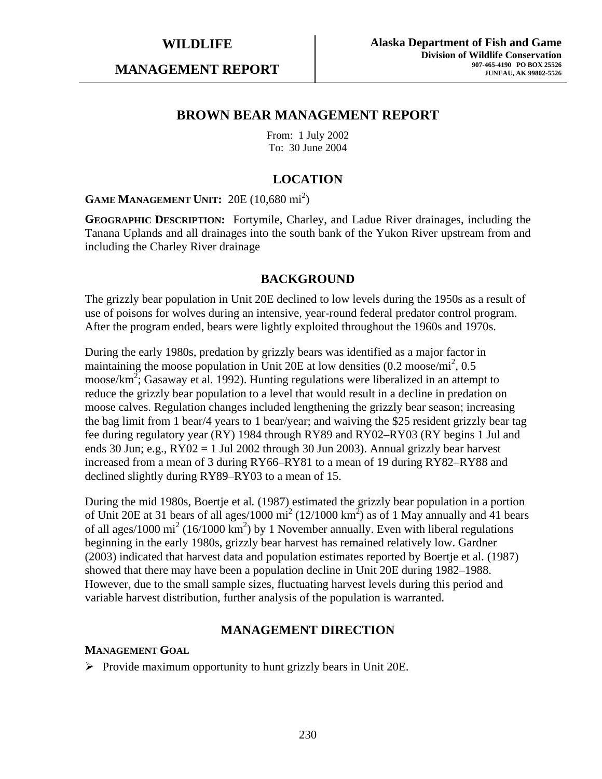**MANAGEMENT REPORT** 

## **BROWN BEAR MANAGEMENT REPORT**

From: 1 July 2002 To: 30 June 2004

## **LOCATION**

**GAME MANAGEMENT UNIT:** 20E (10,680 mi<sup>2</sup>)

**GEOGRAPHIC DESCRIPTION:** Fortymile, Charley, and Ladue River drainages, including the Tanana Uplands and all drainages into the south bank of the Yukon River upstream from and including the Charley River drainage

## **BACKGROUND**

The grizzly bear population in Unit 20E declined to low levels during the 1950s as a result of use of poisons for wolves during an intensive, year-round federal predator control program. After the program ended, bears were lightly exploited throughout the 1960s and 1970s.

During the early 1980s, predation by grizzly bears was identified as a major factor in maintaining the moose population in Unit 20E at low densities  $(0.2 \text{ moose/mi}^2, 0.5)$ moose/km<sup>2</sup>; Gasaway et al. 1992). Hunting regulations were liberalized in an attempt to reduce the grizzly bear population to a level that would result in a decline in predation on moose calves. Regulation changes included lengthening the grizzly bear season; increasing the bag limit from 1 bear/4 years to 1 bear/year; and waiving the \$25 resident grizzly bear tag fee during regulatory year (RY) 1984 through RY89 and RY02–RY03 (RY begins 1 Jul and ends 30 Jun; e.g., RY02 = 1 Jul 2002 through 30 Jun 2003). Annual grizzly bear harvest increased from a mean of 3 during RY66–RY81 to a mean of 19 during RY82–RY88 and declined slightly during RY89–RY03 to a mean of 15.

During the mid 1980s, Boertje et al*.* (1987) estimated the grizzly bear population in a portion of Unit 20E at 31 bears of all ages/1000 mi<sup>2</sup> (12/1000 km<sup>2</sup>) as of 1 May annually and 41 bears of all ages/1000 mi<sup>2</sup> (16/1000 km<sup>2</sup>) by 1 November annually. Even with liberal regulations beginning in the early 1980s, grizzly bear harvest has remained relatively low. Gardner (2003) indicated that harvest data and population estimates reported by Boertje et al. (1987) showed that there may have been a population decline in Unit 20E during 1982–1988. However, due to the small sample sizes, fluctuating harvest levels during this period and variable harvest distribution, further analysis of the population is warranted.

## **MANAGEMENT DIRECTION**

#### **MANAGEMENT GOAL**

 $\triangleright$  Provide maximum opportunity to hunt grizzly bears in Unit 20E.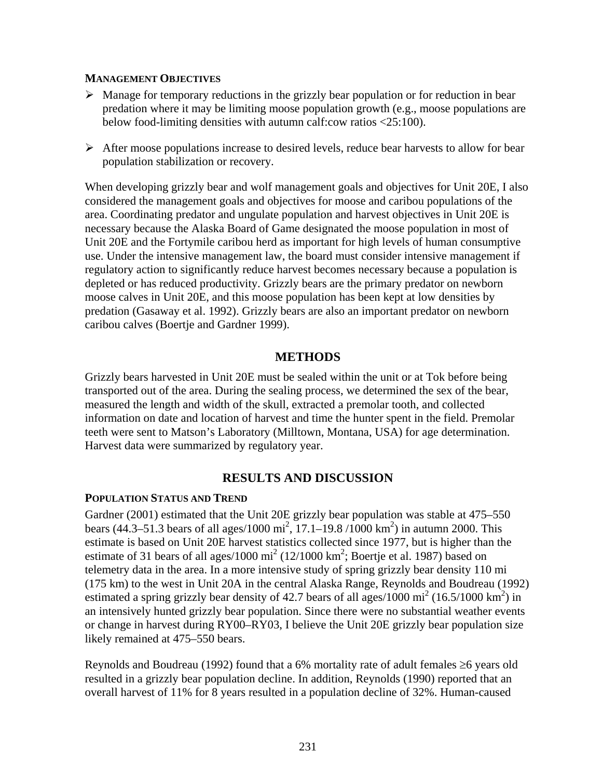#### **MANAGEMENT OBJECTIVES**

- $\triangleright$  Manage for temporary reductions in the grizzly bear population or for reduction in bear predation where it may be limiting moose population growth (e.g., moose populations are below food-limiting densities with autumn calf:cow ratios <25:100).
- $\triangleright$  After moose populations increase to desired levels, reduce bear harvests to allow for bear population stabilization or recovery.

When developing grizzly bear and wolf management goals and objectives for Unit 20E, I also considered the management goals and objectives for moose and caribou populations of the area. Coordinating predator and ungulate population and harvest objectives in Unit 20E is necessary because the Alaska Board of Game designated the moose population in most of Unit 20E and the Fortymile caribou herd as important for high levels of human consumptive use. Under the intensive management law, the board must consider intensive management if regulatory action to significantly reduce harvest becomes necessary because a population is depleted or has reduced productivity. Grizzly bears are the primary predator on newborn moose calves in Unit 20E, and this moose population has been kept at low densities by predation (Gasaway et al. 1992). Grizzly bears are also an important predator on newborn caribou calves (Boertje and Gardner 1999).

## **METHODS**

Grizzly bears harvested in Unit 20E must be sealed within the unit or at Tok before being transported out of the area. During the sealing process, we determined the sex of the bear, measured the length and width of the skull, extracted a premolar tooth, and collected information on date and location of harvest and time the hunter spent in the field. Premolar teeth were sent to Matson's Laboratory (Milltown, Montana, USA) for age determination. Harvest data were summarized by regulatory year.

## **RESULTS AND DISCUSSION**

#### **POPULATION STATUS AND TREND**

Gardner (2001) estimated that the Unit 20E grizzly bear population was stable at 475–550 bears (44.3–51.3 bears of all ages/1000 mi<sup>2</sup>, 17.1–19.8/1000 km<sup>2</sup>) in autumn 2000. This estimate is based on Unit 20E harvest statistics collected since 1977, but is higher than the estimate of 31 bears of all ages/1000 mi<sup>2</sup> (12/1000 km<sup>2</sup>; Boertje et al. 1987) based on telemetry data in the area. In a more intensive study of spring grizzly bear density 110 mi (175 km) to the west in Unit 20A in the central Alaska Range, Reynolds and Boudreau (1992) estimated a spring grizzly bear density of 42.7 bears of all ages/1000 mi<sup>2</sup> (16.5/1000 km<sup>2</sup>) in an intensively hunted grizzly bear population. Since there were no substantial weather events or change in harvest during RY00–RY03, I believe the Unit 20E grizzly bear population size likely remained at 475–550 bears.

Reynolds and Boudreau (1992) found that a 6% mortality rate of adult females ≥6 years old resulted in a grizzly bear population decline. In addition, Reynolds (1990) reported that an overall harvest of 11% for 8 years resulted in a population decline of 32%. Human-caused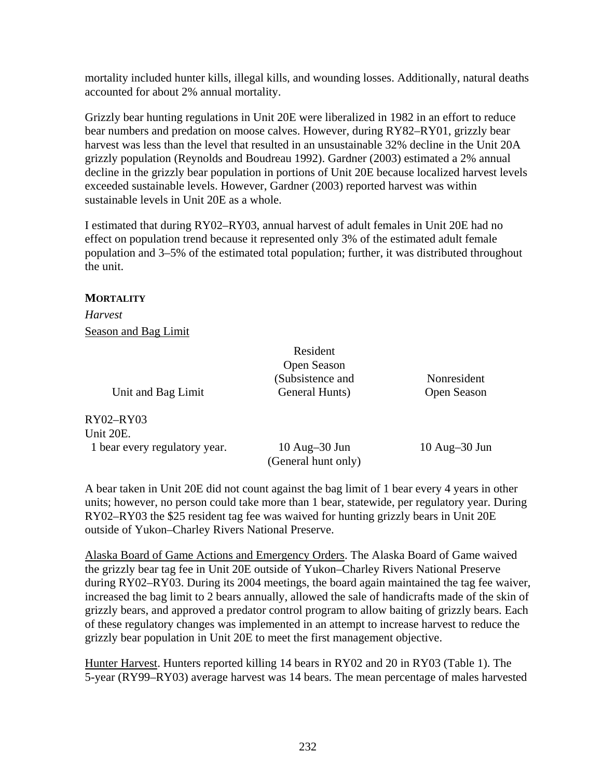mortality included hunter kills, illegal kills, and wounding losses. Additionally, natural deaths accounted for about 2% annual mortality.

Grizzly bear hunting regulations in Unit 20E were liberalized in 1982 in an effort to reduce bear numbers and predation on moose calves. However, during RY82–RY01, grizzly bear harvest was less than the level that resulted in an unsustainable 32% decline in the Unit 20A grizzly population (Reynolds and Boudreau 1992). Gardner (2003) estimated a 2% annual decline in the grizzly bear population in portions of Unit 20E because localized harvest levels exceeded sustainable levels. However, Gardner (2003) reported harvest was within sustainable levels in Unit 20E as a whole.

I estimated that during RY02–RY03, annual harvest of adult females in Unit 20E had no effect on population trend because it represented only 3% of the estimated adult female population and 3–5% of the estimated total population; further, it was distributed throughout the unit.

#### **MORTALITY**

*Harvest*  Season and Bag Limit

Unit and Bag Limit

RY02–RY03 Unit 20E. 1 bear every regulatory year.

10 Aug–30 Jun (General hunt only)

 Resident Open Season (Subsistence and General Hunts)

10 Aug–30 Jun

Nonresident Open Season

A bear taken in Unit 20E did not count against the bag limit of 1 bear every 4 years in other units; however, no person could take more than 1 bear, statewide, per regulatory year. During RY02–RY03 the \$25 resident tag fee was waived for hunting grizzly bears in Unit 20E outside of Yukon–Charley Rivers National Preserve.

Alaska Board of Game Actions and Emergency Orders. The Alaska Board of Game waived the grizzly bear tag fee in Unit 20E outside of Yukon–Charley Rivers National Preserve during RY02–RY03. During its 2004 meetings, the board again maintained the tag fee waiver, increased the bag limit to 2 bears annually, allowed the sale of handicrafts made of the skin of grizzly bears, and approved a predator control program to allow baiting of grizzly bears. Each of these regulatory changes was implemented in an attempt to increase harvest to reduce the grizzly bear population in Unit 20E to meet the first management objective.

Hunter Harvest. Hunters reported killing 14 bears in RY02 and 20 in RY03 (Table 1). The 5-year (RY99–RY03) average harvest was 14 bears. The mean percentage of males harvested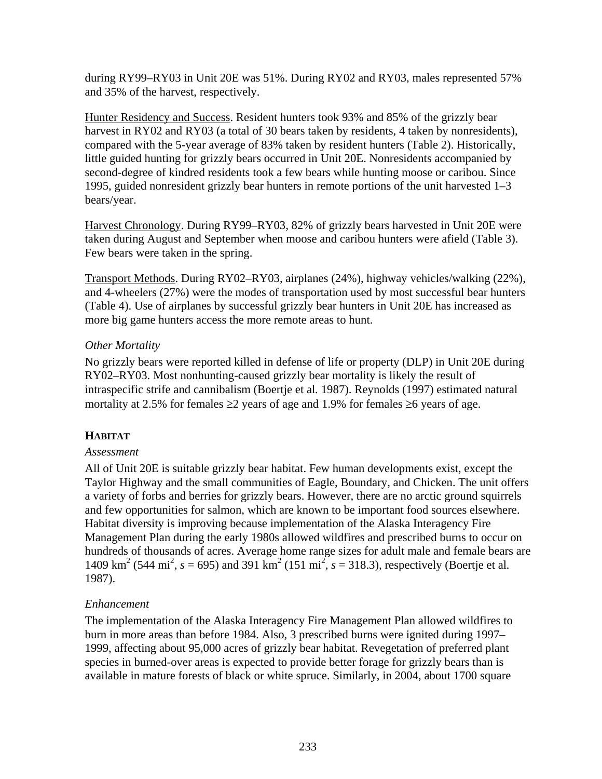during RY99–RY03 in Unit 20E was 51%. During RY02 and RY03, males represented 57% and 35% of the harvest, respectively.

Hunter Residency and Success. Resident hunters took 93% and 85% of the grizzly bear harvest in RY02 and RY03 (a total of 30 bears taken by residents, 4 taken by nonresidents), compared with the 5-year average of 83% taken by resident hunters (Table 2). Historically, little guided hunting for grizzly bears occurred in Unit 20E. Nonresidents accompanied by second-degree of kindred residents took a few bears while hunting moose or caribou. Since 1995, guided nonresident grizzly bear hunters in remote portions of the unit harvested 1–3 bears/year.

Harvest Chronology. During RY99–RY03, 82% of grizzly bears harvested in Unit 20E were taken during August and September when moose and caribou hunters were afield (Table 3). Few bears were taken in the spring.

Transport Methods. During RY02–RY03, airplanes (24%), highway vehicles/walking (22%), and 4-wheelers (27%) were the modes of transportation used by most successful bear hunters (Table 4). Use of airplanes by successful grizzly bear hunters in Unit 20E has increased as more big game hunters access the more remote areas to hunt.

## *Other Mortality*

No grizzly bears were reported killed in defense of life or property (DLP) in Unit 20E during RY02–RY03. Most nonhunting-caused grizzly bear mortality is likely the result of intraspecific strife and cannibalism (Boertje et al*.* 1987). Reynolds (1997) estimated natural mortality at 2.5% for females  $\geq$ 2 years of age and 1.9% for females  $\geq$ 6 years of age.

# **HABITAT**

## *Assessment*

All of Unit 20E is suitable grizzly bear habitat. Few human developments exist, except the Taylor Highway and the small communities of Eagle, Boundary, and Chicken. The unit offers a variety of forbs and berries for grizzly bears. However, there are no arctic ground squirrels and few opportunities for salmon, which are known to be important food sources elsewhere. Habitat diversity is improving because implementation of the Alaska Interagency Fire Management Plan during the early 1980s allowed wildfires and prescribed burns to occur on hundreds of thousands of acres. Average home range sizes for adult male and female bears are 1409 km<sup>2</sup> (544 mi<sup>2</sup>,  $s = 695$ ) and 391 km<sup>2</sup> (151 mi<sup>2</sup>,  $s = 318.3$ ), respectively (Boertje et al. 1987).

## *Enhancement*

The implementation of the Alaska Interagency Fire Management Plan allowed wildfires to burn in more areas than before 1984. Also, 3 prescribed burns were ignited during 1997– 1999, affecting about 95,000 acres of grizzly bear habitat. Revegetation of preferred plant species in burned-over areas is expected to provide better forage for grizzly bears than is available in mature forests of black or white spruce. Similarly, in 2004, about 1700 square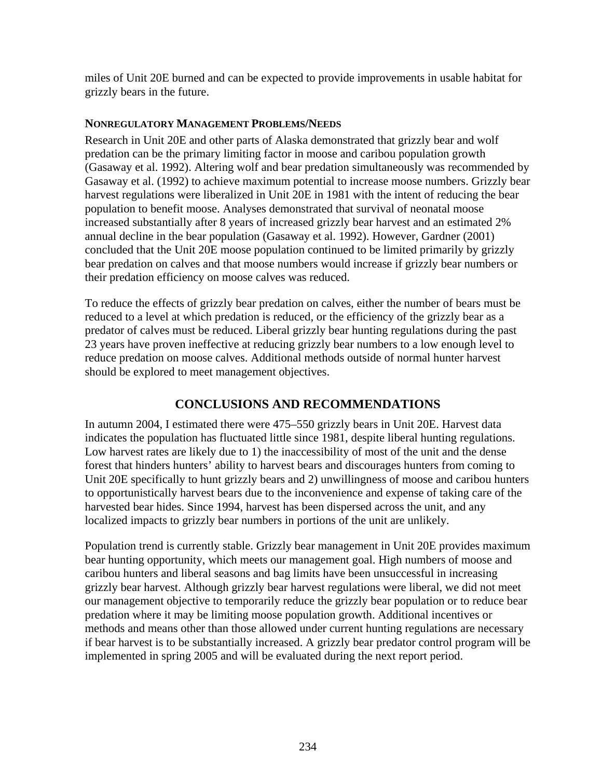miles of Unit 20E burned and can be expected to provide improvements in usable habitat for grizzly bears in the future.

## **NONREGULATORY MANAGEMENT PROBLEMS/NEEDS**

Research in Unit 20E and other parts of Alaska demonstrated that grizzly bear and wolf predation can be the primary limiting factor in moose and caribou population growth (Gasaway et al. 1992). Altering wolf and bear predation simultaneously was recommended by Gasaway et al. (1992) to achieve maximum potential to increase moose numbers. Grizzly bear harvest regulations were liberalized in Unit 20E in 1981 with the intent of reducing the bear population to benefit moose. Analyses demonstrated that survival of neonatal moose increased substantially after 8 years of increased grizzly bear harvest and an estimated 2% annual decline in the bear population (Gasaway et al. 1992). However, Gardner (2001) concluded that the Unit 20E moose population continued to be limited primarily by grizzly bear predation on calves and that moose numbers would increase if grizzly bear numbers or their predation efficiency on moose calves was reduced.

To reduce the effects of grizzly bear predation on calves, either the number of bears must be reduced to a level at which predation is reduced, or the efficiency of the grizzly bear as a predator of calves must be reduced. Liberal grizzly bear hunting regulations during the past 23 years have proven ineffective at reducing grizzly bear numbers to a low enough level to reduce predation on moose calves. Additional methods outside of normal hunter harvest should be explored to meet management objectives.

## **CONCLUSIONS AND RECOMMENDATIONS**

In autumn 2004, I estimated there were 475–550 grizzly bears in Unit 20E. Harvest data indicates the population has fluctuated little since 1981, despite liberal hunting regulations. Low harvest rates are likely due to 1) the inaccessibility of most of the unit and the dense forest that hinders hunters' ability to harvest bears and discourages hunters from coming to Unit 20E specifically to hunt grizzly bears and 2) unwillingness of moose and caribou hunters to opportunistically harvest bears due to the inconvenience and expense of taking care of the harvested bear hides. Since 1994, harvest has been dispersed across the unit, and any localized impacts to grizzly bear numbers in portions of the unit are unlikely.

Population trend is currently stable. Grizzly bear management in Unit 20E provides maximum bear hunting opportunity, which meets our management goal. High numbers of moose and caribou hunters and liberal seasons and bag limits have been unsuccessful in increasing grizzly bear harvest. Although grizzly bear harvest regulations were liberal, we did not meet our management objective to temporarily reduce the grizzly bear population or to reduce bear predation where it may be limiting moose population growth. Additional incentives or methods and means other than those allowed under current hunting regulations are necessary if bear harvest is to be substantially increased. A grizzly bear predator control program will be implemented in spring 2005 and will be evaluated during the next report period.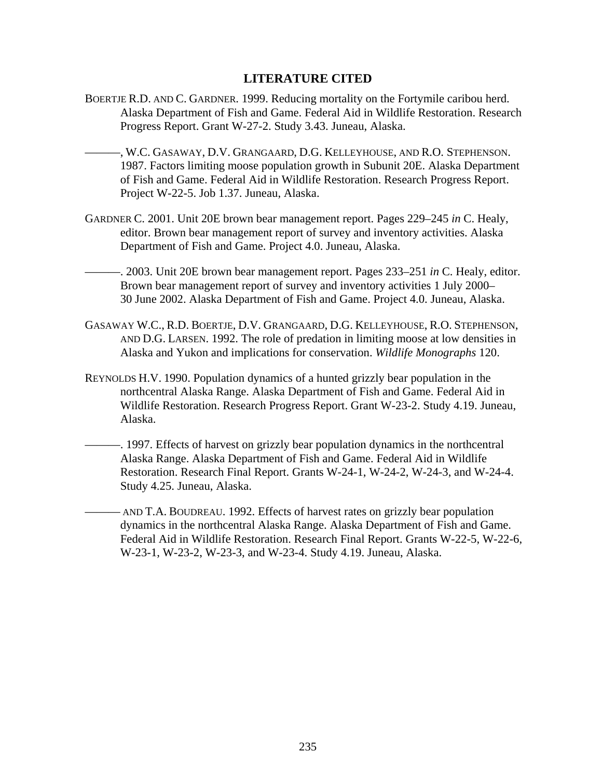## **LITERATURE CITED**

- BOERTJE R.D. AND C. GARDNER. 1999. Reducing mortality on the Fortymile caribou herd. Alaska Department of Fish and Game. Federal Aid in Wildlife Restoration. Research Progress Report. Grant W-27-2. Study 3.43. Juneau, Alaska.
	- ———, W.C. GASAWAY, D.V. GRANGAARD, D.G. KELLEYHOUSE, AND R.O. STEPHENSON. 1987. Factors limiting moose population growth in Subunit 20E. Alaska Department of Fish and Game. Federal Aid in Wildlife Restoration. Research Progress Report. Project W-22-5. Job 1.37. Juneau, Alaska.
- GARDNER C. 2001. Unit 20E brown bear management report. Pages 229–245 *in* C. Healy, editor. Brown bear management report of survey and inventory activities. Alaska Department of Fish and Game. Project 4.0. Juneau, Alaska.
- ———. 2003. Unit 20E brown bear management report. Pages 233–251 *in* C. Healy, editor. Brown bear management report of survey and inventory activities 1 July 2000– 30 June 2002. Alaska Department of Fish and Game. Project 4.0. Juneau, Alaska.
- GASAWAY W.C., R.D. BOERTJE, D.V. GRANGAARD, D.G. KELLEYHOUSE, R.O. STEPHENSON, AND D.G. LARSEN. 1992. The role of predation in limiting moose at low densities in Alaska and Yukon and implications for conservation. *Wildlife Monographs* 120.
- REYNOLDS H.V. 1990. Population dynamics of a hunted grizzly bear population in the northcentral Alaska Range. Alaska Department of Fish and Game. Federal Aid in Wildlife Restoration. Research Progress Report. Grant W-23-2. Study 4.19. Juneau, Alaska.
	- ———. 1997. Effects of harvest on grizzly bear population dynamics in the northcentral Alaska Range. Alaska Department of Fish and Game. Federal Aid in Wildlife Restoration. Research Final Report. Grants W-24-1, W-24-2, W-24-3, and W-24-4. Study 4.25. Juneau, Alaska.
	- ——— AND T.A. BOUDREAU. 1992. Effects of harvest rates on grizzly bear population dynamics in the northcentral Alaska Range. Alaska Department of Fish and Game. Federal Aid in Wildlife Restoration. Research Final Report. Grants W-22-5, W-22-6, W-23-1, W-23-2, W-23-3, and W-23-4. Study 4.19. Juneau, Alaska.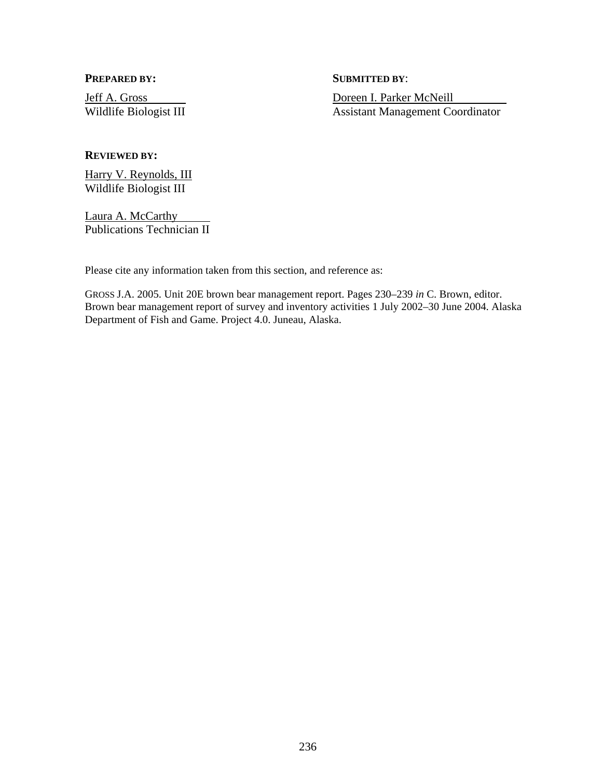**PREPARED BY:** SUBMITTED BY:

Jeff A. Gross Doreen I. Parker McNeill Wildlife Biologist III Assistant Management Coordinator

#### **REVIEWED BY:**

Harry V. Reynolds, III Wildlife Biologist III

Laura A. McCarthy Publications Technician II

Please cite any information taken from this section, and reference as:

GROSS J.A. 2005. Unit 20E brown bear management report. Pages 230–239 *in* C. Brown, editor. Brown bear management report of survey and inventory activities 1 July 2002–30 June 2004. Alaska Department of Fish and Game. Project 4.0. Juneau, Alaska.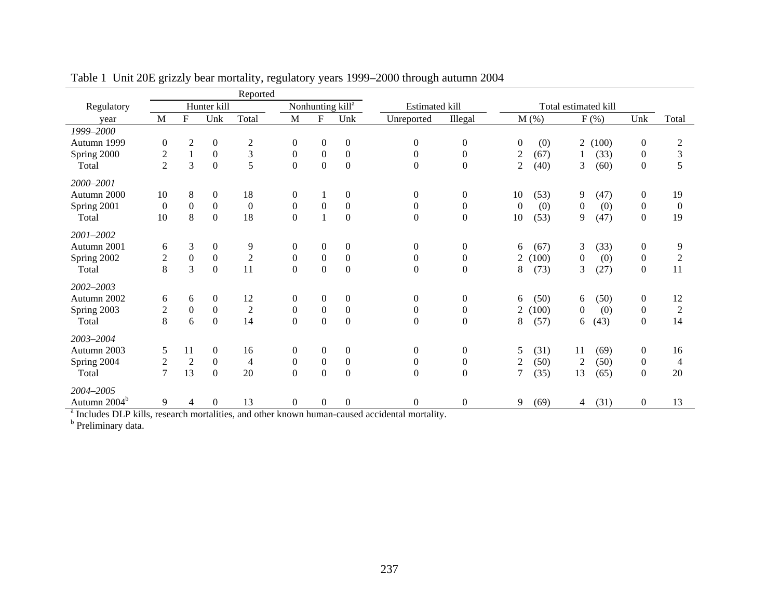|                          |                  |                |                  | Reported       |                  |                  |                              |                       |                  |                         |                        |                  |                |
|--------------------------|------------------|----------------|------------------|----------------|------------------|------------------|------------------------------|-----------------------|------------------|-------------------------|------------------------|------------------|----------------|
| Regulatory               |                  |                | Hunter kill      |                |                  |                  | Nonhunting kill <sup>a</sup> | <b>Estimated kill</b> |                  |                         | Total estimated kill   |                  |                |
| year                     | M                | $\mathbf F$    | Unk              | Total          | M                | $\mathbf F$      | Unk                          | Unreported            | Illegal          | $M$ (%)                 | $F$ $(\%)$             | Unk              | Total          |
| 1999-2000                |                  |                |                  |                |                  |                  |                              |                       |                  |                         |                        |                  |                |
| Autumn 1999              | $\boldsymbol{0}$ | $\overline{2}$ | $\boldsymbol{0}$ | $\overline{2}$ | $\boldsymbol{0}$ | $\boldsymbol{0}$ | $\boldsymbol{0}$             | $\Omega$              | $\boldsymbol{0}$ | (0)<br>$\theta$         | (100)<br>2             | $\boldsymbol{0}$ | $\sqrt{2}$     |
| Spring 2000              | $\overline{c}$   | $\mathbf{1}$   | $\boldsymbol{0}$ | 3              | $\mathbf{0}$     | $\boldsymbol{0}$ | $\boldsymbol{0}$             | $\boldsymbol{0}$      | $\boldsymbol{0}$ | $\mathfrak{2}$<br>(67)  | (33)<br>1              | $\boldsymbol{0}$ | 3              |
| Total                    | $\overline{2}$   | 3              | $\mathbf{0}$     | 5              | $\overline{0}$   | $\boldsymbol{0}$ | $\boldsymbol{0}$             | $\boldsymbol{0}$      | $\boldsymbol{0}$ | $\mathbf{2}$<br>(40)    | $\overline{3}$<br>(60) | $\boldsymbol{0}$ | 5              |
| 2000-2001                |                  |                |                  |                |                  |                  |                              |                       |                  |                         |                        |                  |                |
| Autumn 2000              | 10               | 8              | $\boldsymbol{0}$ | 18             | $\mathbf{0}$     |                  | $\boldsymbol{0}$             | $\overline{0}$        | $\boldsymbol{0}$ | 10<br>(53)              | 9<br>(47)              | $\boldsymbol{0}$ | 19             |
| Spring 2001              | $\overline{0}$   | $\Omega$       | $\mathbf{0}$     | $\mathbf{0}$   | $\overline{0}$   | $\boldsymbol{0}$ | $\boldsymbol{0}$             | $\boldsymbol{0}$      | $\boldsymbol{0}$ | (0)<br>$\overline{0}$   | $\mathbf{0}$<br>(0)    | $\boldsymbol{0}$ | $\overline{0}$ |
| Total                    | 10               | 8              | $\boldsymbol{0}$ | 18             | $\boldsymbol{0}$ | $\mathbf{1}$     | $\overline{0}$               | $\overline{0}$        | $\boldsymbol{0}$ | 10<br>(53)              | 9<br>(47)              | $\boldsymbol{0}$ | 19             |
| 2001-2002                |                  |                |                  |                |                  |                  |                              |                       |                  |                         |                        |                  |                |
| Autumn 2001              | 6                | 3              | $\boldsymbol{0}$ | 9              | $\overline{0}$   | $\boldsymbol{0}$ | $\boldsymbol{0}$             | $\Omega$              | $\boldsymbol{0}$ | (67)<br>6               | 3<br>(33)              | $\mathbf{0}$     | 9              |
| Spring 2002              | $\overline{c}$   | $\Omega$       | $\mathbf{0}$     | $\overline{2}$ | $\Omega$         | $\boldsymbol{0}$ | $\mathbf{0}$                 | $\Omega$              | $\boldsymbol{0}$ | (100)<br>$\overline{2}$ | $\Omega$<br>(0)        | $\boldsymbol{0}$ | $\sqrt{2}$     |
| Total                    | 8                | 3              | $\mathbf{0}$     | 11             | $\overline{0}$   | $\boldsymbol{0}$ | $\mathbf{0}$                 | $\boldsymbol{0}$      | $\boldsymbol{0}$ | 8<br>(73)               | 3<br>(27)              | $\boldsymbol{0}$ | 11             |
| 2002-2003                |                  |                |                  |                |                  |                  |                              |                       |                  |                         |                        |                  |                |
| Autumn 2002              | 6                | 6              | $\overline{0}$   | 12             | $\overline{0}$   | $\boldsymbol{0}$ | $\theta$                     | $\overline{0}$        | $\theta$         | (50)<br>6               | (50)<br>6              | $\overline{0}$   | 12             |
| Spring 2003              | $\overline{c}$   | $\overline{0}$ | $\mathbf{0}$     | $\mathfrak{2}$ | $\overline{0}$   | $\boldsymbol{0}$ | $\overline{0}$               | $\overline{0}$        | $\boldsymbol{0}$ | 100)<br>2               | (0)<br>$\Omega$        | $\boldsymbol{0}$ | $\overline{c}$ |
| Total                    | 8                | 6              | $\mathbf{0}$     | 14             | $\boldsymbol{0}$ | $\boldsymbol{0}$ | $\boldsymbol{0}$             | $\boldsymbol{0}$      | $\boldsymbol{0}$ | 8<br>(57)               | (43)<br>6              | $\boldsymbol{0}$ | 14             |
| 2003-2004                |                  |                |                  |                |                  |                  |                              |                       |                  |                         |                        |                  |                |
| Autumn 2003              | 5                | 11             | $\overline{0}$   | 16             | $\overline{0}$   | $\boldsymbol{0}$ | $\theta$                     | $\overline{0}$        | $\theta$         | 5<br>(31)               | 11<br>(69)             | $\boldsymbol{0}$ | 16             |
| Spring 2004              | $\overline{c}$   | $\overline{2}$ | $\mathbf{0}$     | 4              | $\boldsymbol{0}$ | $\boldsymbol{0}$ | $\boldsymbol{0}$             | 0                     | $\boldsymbol{0}$ | $\mathfrak{2}$<br>(50)  | (50)<br>2              | $\boldsymbol{0}$ | 4              |
| Total                    | $\tau$           | 13             | $\boldsymbol{0}$ | 20             | $\boldsymbol{0}$ | $\boldsymbol{0}$ | $\mathbf{0}$                 | $\boldsymbol{0}$      | $\boldsymbol{0}$ | $\overline{7}$<br>(35)  | 13<br>(65)             | $\boldsymbol{0}$ | 20             |
| 2004-2005                |                  |                |                  |                |                  |                  |                              |                       |                  |                         |                        |                  |                |
| Autumn 2004 <sup>b</sup> | 9                | 4              | $\overline{0}$   | 13             | $\mathbf{0}$     | $\mathbf{0}$     | $\mathbf{0}$                 | $\Omega$              | $\theta$         | 9<br>(69)               | (31)<br>4              | $\mathbf{0}$     | 13             |

Table 1 Unit 20E grizzly bear mortality, regulatory years 1999–2000 through autumn 2004

<sup>a</sup> Includes DLP kills, research mortalities, and other known human-caused accidental mortality.

<sup>b</sup> Preliminary data.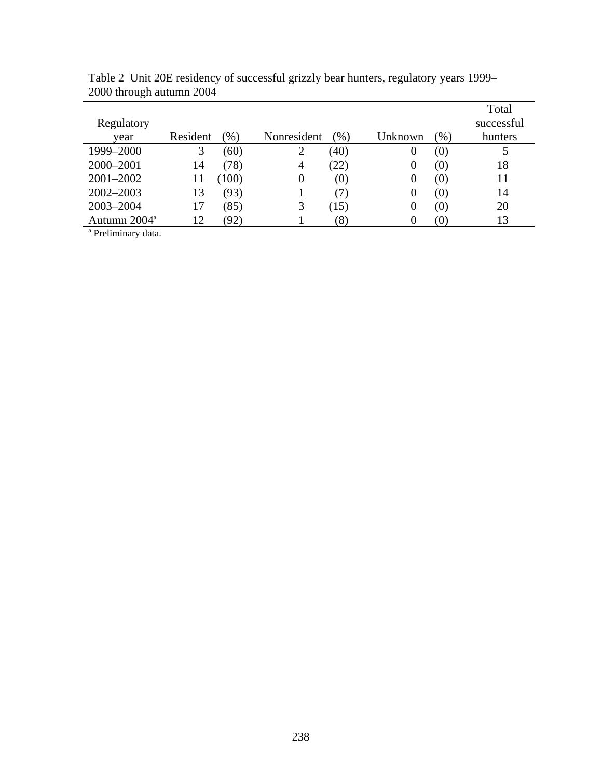|                          |          |        |             |      |          |                   | Total      |
|--------------------------|----------|--------|-------------|------|----------|-------------------|------------|
| Regulatory               |          |        |             |      |          |                   | successful |
| year                     | Resident | $(\%)$ | Nonresident | (96) | Unknown  | $(\%)$            | hunters    |
| 1999-2000                | 3        | (60)   | 2           | (40) | 0        | (0)               | 5          |
| 2000-2001                | 14       | (78)   | 4           | (22) | 0        | (0)               | 18         |
| $2001 - 2002$            | 11       | (100)  | 0           | (0)  | 0        | (0)               | 11         |
| 2002-2003                | 13       | (93)   |             | (7)  | 0        | (0)               | 14         |
| 2003-2004                | 17       | (85)   | 3           | (15) | 0        | (0)               | 20         |
| Autumn 2004 <sup>a</sup> | 12       | (92)   |             | (8)  | $\Omega$ | $\left( 0\right)$ | 13         |
| $a_{\text{Dualimation}}$ |          |        |             |      |          |                   |            |

Table 2 Unit 20E residency of successful grizzly bear hunters, regulatory years 1999– 2000 through autumn 2004

<sup>a</sup> Preliminary data.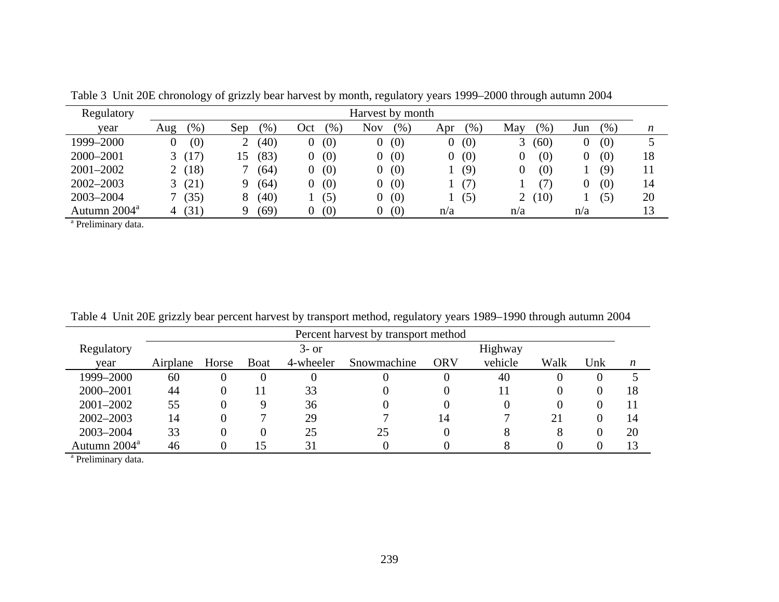| Regulatory               |               |                        |                      | Harvest by month  |            |                       |             |    |
|--------------------------|---------------|------------------------|----------------------|-------------------|------------|-----------------------|-------------|----|
| year                     | $(\%)$<br>Aug | $\mathcal{O}_0$<br>Sep | $\frac{1}{2}$<br>Oct | <b>Nov</b><br>(%) | (%)<br>Apr | (96)<br>May           | (% )<br>Jun | n  |
| 1999-2000                | (0)           | (40)<br>↑              | (0)                  | (0)<br>0          | (0)<br>O.  | (60)                  | (0)         |    |
| 2000-2001                | (17)          | (83)<br>15             | (0)                  | (0)<br>$\Omega$   | (0)        | (0)                   | (0)         | 18 |
| 2001-2002                | (18)          | (64)                   | (0)                  | (0)<br>$\Omega$   | (9)        | (0)                   | (9)         |    |
| $2002 - 2003$            | (21)          | (64)<br>Q              | (0)                  | (0)<br>$\Omega$   | (7)        | (7)                   | (0)         | 14 |
| 2003-2004                | (35)          | (40)<br>8              | (5)                  | (0)<br>0          | (5)        | (10)<br>$\mathcal{L}$ | (5)         | 20 |
| Autumn 2004 <sup>a</sup> | (31)          | (69)<br>Q              | (0)                  | (0)<br>O.         | n/a        | n/a                   | n/a         |    |

Table 3 Unit 20E chronology of grizzly bear harvest by month, regulatory years 1999–2000 through autumn 2004

<sup>a</sup> Preliminary data.

|  |  | Table 4 Unit 20E grizzly bear percent harvest by transport method, regulatory years 1989–1990 through autumn 2004 |
|--|--|-------------------------------------------------------------------------------------------------------------------|
|  |  |                                                                                                                   |

|                          |          | Percent harvest by transport method |             |           |             |            |          |          |     |                  |  |  |
|--------------------------|----------|-------------------------------------|-------------|-----------|-------------|------------|----------|----------|-----|------------------|--|--|
| Regulatory               |          |                                     |             | $3-$ or   |             |            | Highway  |          |     |                  |  |  |
| year                     | Airplane | Horse                               | <b>Boat</b> | 4-wheeler | Snowmachine | <b>ORV</b> | vehicle  | Walk     | Unk | $\boldsymbol{n}$ |  |  |
| 1999-2000                | 60       |                                     |             | 0         |             |            | 40       | 0        |     |                  |  |  |
| 2000-2001                | 44       |                                     |             | 33        |             |            | 11       | $\theta$ |     | 18               |  |  |
| 2001-2002                | 55       |                                     |             | 36        |             |            | $\Omega$ | 0        |     |                  |  |  |
| $2002 - 2003$            | 14       |                                     |             | 29        |             | 14         |          |          |     | 14               |  |  |
| 2003-2004                | 33       |                                     |             | 25        | 25          |            | 8        |          |     | 20               |  |  |
| Autumn 2004 <sup>a</sup> | 46       |                                     | .5          | 31        |             |            |          |          |     | 13               |  |  |

<sup>a</sup> Preliminary data.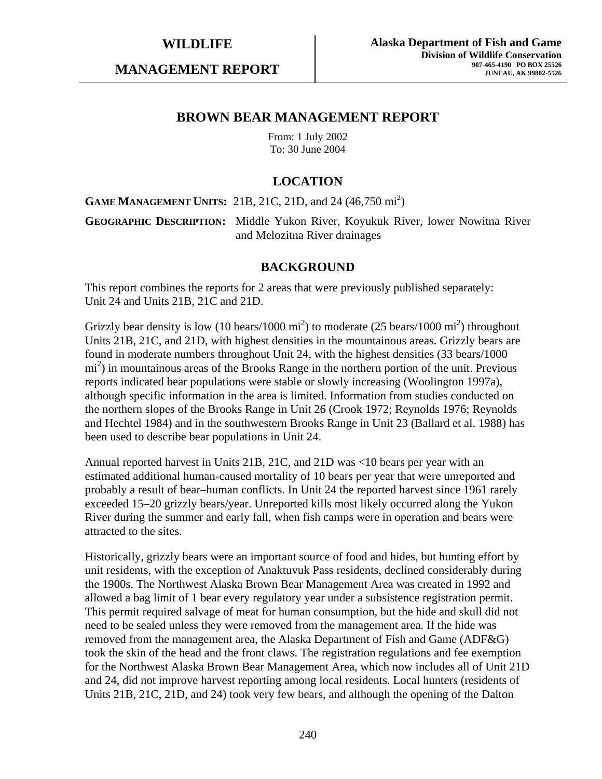**MANAGEMENT REPORT** 

## **BROWN BEAR MANAGEMENT REPORT**

From: 1 July 2002 To: 30 June 2004

## **LOCATION**

**GAME MANAGEMENT UNITS:** 21B, 21C, 21D, and 24 (46,750 mi<sup>2</sup>)

**GEOGRAPHIC DESCRIPTION:** Middle Yukon River, Koyukuk River, lower Nowitna River and Melozitna River drainages

#### **BACKGROUND**

This report combines the reports for 2 areas that were previously published separately: Unit 24 and Units 21B, 21C and 21D.

Grizzly bear density is low (10 bears/1000  $\text{mi}^2$ ) to moderate (25 bears/1000  $\text{mi}^2$ ) throughout Units 21B, 21C, and 21D, with highest densities in the mountainous areas. Grizzly bears are found in moderate numbers throughout Unit 24, with the highest densities (33 bears/1000 mi<sup>2</sup>) in mountainous areas of the Brooks Range in the northern portion of the unit. Previous reports indicated bear populations were stable or slowly increasing (Woolington 1997a), although specific information in the area is limited. Information from studies conducted on the northern slopes of the Brooks Range in Unit 26 (Crook 1972; Reynolds 1976; Reynolds and Hechtel 1984) and in the southwestern Brooks Range in Unit 23 (Ballard et al. 1988) has been used to describe bear populations in Unit 24.

Annual reported harvest in Units 21B, 21C, and 21D was <10 bears per year with an estimated additional human-caused mortality of 10 bears per year that were unreported and probably a result of bear–human conflicts. In Unit 24 the reported harvest since 1961 rarely exceeded 15–20 grizzly bears/year. Unreported kills most likely occurred along the Yukon River during the summer and early fall, when fish camps were in operation and bears were attracted to the sites.

Historically, grizzly bears were an important source of food and hides, but hunting effort by unit residents, with the exception of Anaktuvuk Pass residents, declined considerably during the 1900s. The Northwest Alaska Brown Bear Management Area was created in 1992 and allowed a bag limit of 1 bear every regulatory year under a subsistence registration permit. This permit required salvage of meat for human consumption, but the hide and skull did not need to be sealed unless they were removed from the management area. If the hide was removed from the management area, the Alaska Department of Fish and Game (ADF&G) took the skin of the head and the front claws. The registration regulations and fee exemption for the Northwest Alaska Brown Bear Management Area, which now includes all of Unit 21D and 24, did not improve harvest reporting among local residents. Local hunters (residents of Units 21B, 21C, 21D, and 24) took very few bears, and although the opening of the Dalton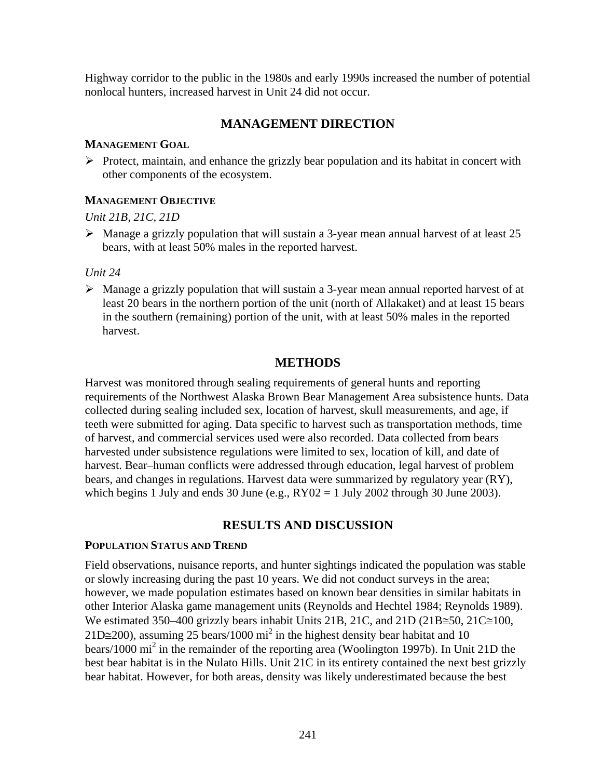Highway corridor to the public in the 1980s and early 1990s increased the number of potential nonlocal hunters, increased harvest in Unit 24 did not occur.

## **MANAGEMENT DIRECTION**

#### **MANAGEMENT GOAL**

 $\triangleright$  Protect, maintain, and enhance the grizzly bear population and its habitat in concert with other components of the ecosystem.

#### **MANAGEMENT OBJECTIVE**

## *Unit 21B, 21C, 21D*

 $\triangleright$  Manage a grizzly population that will sustain a 3-year mean annual harvest of at least 25 bears, with at least 50% males in the reported harvest.

#### *Unit 24*

 $\triangleright$  Manage a grizzly population that will sustain a 3-year mean annual reported harvest of at least 20 bears in the northern portion of the unit (north of Allakaket) and at least 15 bears in the southern (remaining) portion of the unit, with at least 50% males in the reported harvest.

## **METHODS**

Harvest was monitored through sealing requirements of general hunts and reporting requirements of the Northwest Alaska Brown Bear Management Area subsistence hunts. Data collected during sealing included sex, location of harvest, skull measurements, and age, if teeth were submitted for aging. Data specific to harvest such as transportation methods, time of harvest, and commercial services used were also recorded. Data collected from bears harvested under subsistence regulations were limited to sex, location of kill, and date of harvest. Bear–human conflicts were addressed through education, legal harvest of problem bears, and changes in regulations. Harvest data were summarized by regulatory year (RY), which begins 1 July and ends 30 June (e.g.,  $RY02 = 1$  July 2002 through 30 June 2003).

## **RESULTS AND DISCUSSION**

#### **POPULATION STATUS AND TREND**

Field observations, nuisance reports, and hunter sightings indicated the population was stable or slowly increasing during the past 10 years. We did not conduct surveys in the area; however, we made population estimates based on known bear densities in similar habitats in other Interior Alaska game management units (Reynolds and Hechtel 1984; Reynolds 1989). We estimated 350–400 grizzly bears inhabit Units 21B, 21C, and 21D (21B≅50, 21C≅100, 21D≅200), assuming 25 bears/1000 mi<sup>2</sup> in the highest density bear habitat and 10 bears/1000 mi<sup>2</sup> in the remainder of the reporting area (Woolington 1997b). In Unit 21D the best bear habitat is in the Nulato Hills. Unit 21C in its entirety contained the next best grizzly bear habitat. However, for both areas, density was likely underestimated because the best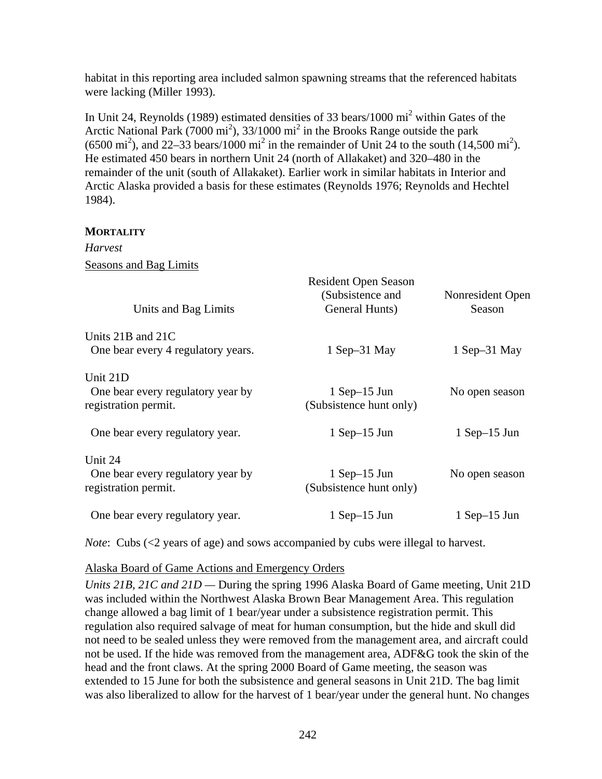habitat in this reporting area included salmon spawning streams that the referenced habitats were lacking (Miller 1993).

In Unit 24, Reynolds (1989) estimated densities of 33 bears/1000  $\text{mi}^2$  within Gates of the Arctic National Park (7000 mi<sup>2</sup>), 33/1000 mi<sup>2</sup> in the Brooks Range outside the park  $(6500 \text{ mi}^2)$ , and 22–33 bears/1000 mi<sup>2</sup> in the remainder of Unit 24 to the south  $(14,500 \text{ mi}^2)$ . He estimated 450 bears in northern Unit 24 (north of Allakaket) and 320–480 in the remainder of the unit (south of Allakaket). Earlier work in similar habitats in Interior and Arctic Alaska provided a basis for these estimates (Reynolds 1976; Reynolds and Hechtel 1984).

#### **MORTALITY**

*Harvest*  Seasons and Bag Limits

| Units and Bag Limits                                                  | Resident Open Season<br>(Subsistence and<br>General Hunts) | Nonresident Open<br>Season |
|-----------------------------------------------------------------------|------------------------------------------------------------|----------------------------|
| Units 21B and 21C<br>One bear every 4 regulatory years.               | $1$ Sep $-31$ May                                          | $1$ Sep $-31$ May          |
| Unit 21D<br>One bear every regulatory year by<br>registration permit. | $1$ Sep-15 Jun<br>(Subsistence hunt only)                  | No open season             |
| One bear every regulatory year.                                       | $1$ Sep-15 Jun                                             | $1$ Sep-15 Jun             |
| Unit 24<br>One bear every regulatory year by<br>registration permit.  | $1$ Sep-15 Jun<br>(Subsistence hunt only)                  | No open season             |
| One bear every regulatory year.                                       | $1$ Sep-15 Jun                                             | $1$ Sep $-15$ Jun          |

*Note*: Cubs (<2 years of age) and sows accompanied by cubs were illegal to harvest.

#### Alaska Board of Game Actions and Emergency Orders

*Units 21B, 21C and 21D —* During the spring 1996 Alaska Board of Game meeting, Unit 21D was included within the Northwest Alaska Brown Bear Management Area. This regulation change allowed a bag limit of 1 bear/year under a subsistence registration permit. This regulation also required salvage of meat for human consumption, but the hide and skull did not need to be sealed unless they were removed from the management area, and aircraft could not be used. If the hide was removed from the management area, ADF&G took the skin of the head and the front claws. At the spring 2000 Board of Game meeting, the season was extended to 15 June for both the subsistence and general seasons in Unit 21D. The bag limit was also liberalized to allow for the harvest of 1 bear/year under the general hunt. No changes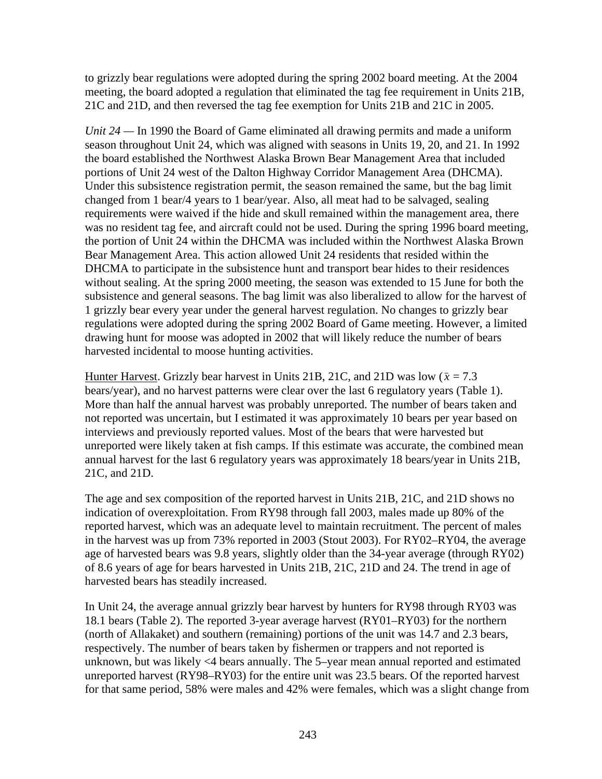to grizzly bear regulations were adopted during the spring 2002 board meeting. At the 2004 meeting, the board adopted a regulation that eliminated the tag fee requirement in Units 21B, 21C and 21D, and then reversed the tag fee exemption for Units 21B and 21C in 2005.

*Unit 24 —* In 1990 the Board of Game eliminated all drawing permits and made a uniform season throughout Unit 24, which was aligned with seasons in Units 19, 20, and 21. In 1992 the board established the Northwest Alaska Brown Bear Management Area that included portions of Unit 24 west of the Dalton Highway Corridor Management Area (DHCMA). Under this subsistence registration permit, the season remained the same, but the bag limit changed from 1 bear/4 years to 1 bear/year. Also, all meat had to be salvaged, sealing requirements were waived if the hide and skull remained within the management area, there was no resident tag fee, and aircraft could not be used. During the spring 1996 board meeting, the portion of Unit 24 within the DHCMA was included within the Northwest Alaska Brown Bear Management Area. This action allowed Unit 24 residents that resided within the DHCMA to participate in the subsistence hunt and transport bear hides to their residences without sealing. At the spring 2000 meeting, the season was extended to 15 June for both the subsistence and general seasons. The bag limit was also liberalized to allow for the harvest of 1 grizzly bear every year under the general harvest regulation. No changes to grizzly bear regulations were adopted during the spring 2002 Board of Game meeting. However, a limited drawing hunt for moose was adopted in 2002 that will likely reduce the number of bears harvested incidental to moose hunting activities.

Hunter Harvest. Grizzly bear harvest in Units 21B, 21C, and 21D was low ( $\bar{x}$  = 7.3 bears/year), and no harvest patterns were clear over the last 6 regulatory years (Table 1). More than half the annual harvest was probably unreported. The number of bears taken and not reported was uncertain, but I estimated it was approximately 10 bears per year based on interviews and previously reported values. Most of the bears that were harvested but unreported were likely taken at fish camps. If this estimate was accurate, the combined mean annual harvest for the last 6 regulatory years was approximately 18 bears/year in Units 21B, 21C, and 21D.

The age and sex composition of the reported harvest in Units 21B, 21C, and 21D shows no indication of overexploitation. From RY98 through fall 2003, males made up 80% of the reported harvest, which was an adequate level to maintain recruitment. The percent of males in the harvest was up from 73% reported in 2003 (Stout 2003). For RY02–RY04, the average age of harvested bears was 9.8 years, slightly older than the 34-year average (through RY02) of 8.6 years of age for bears harvested in Units 21B, 21C, 21D and 24. The trend in age of harvested bears has steadily increased.

In Unit 24, the average annual grizzly bear harvest by hunters for RY98 through RY03 was 18.1 bears (Table 2). The reported 3-year average harvest (RY01–RY03) for the northern (north of Allakaket) and southern (remaining) portions of the unit was 14.7 and 2.3 bears, respectively. The number of bears taken by fishermen or trappers and not reported is unknown, but was likely <4 bears annually. The 5–year mean annual reported and estimated unreported harvest (RY98–RY03) for the entire unit was 23.5 bears. Of the reported harvest for that same period, 58% were males and 42% were females, which was a slight change from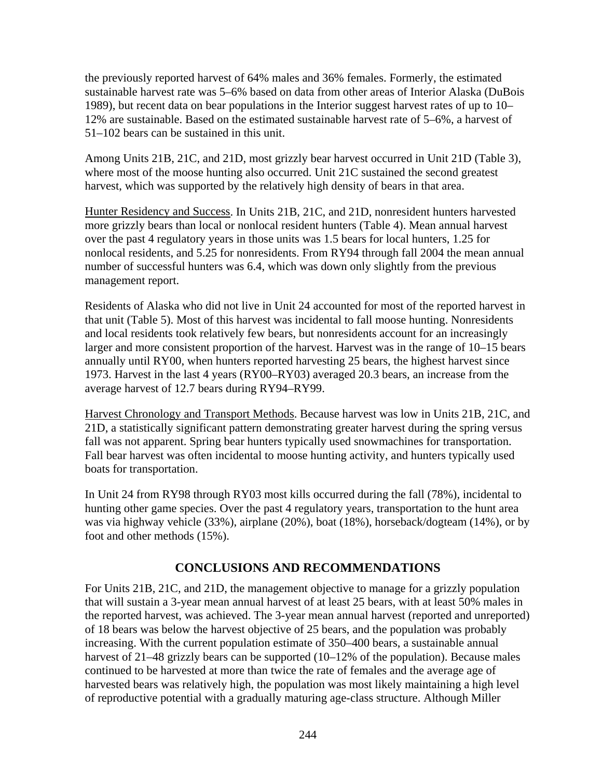the previously reported harvest of 64% males and 36% females. Formerly, the estimated sustainable harvest rate was 5–6% based on data from other areas of Interior Alaska (DuBois 1989), but recent data on bear populations in the Interior suggest harvest rates of up to 10– 12% are sustainable. Based on the estimated sustainable harvest rate of 5–6%, a harvest of 51–102 bears can be sustained in this unit.

Among Units 21B, 21C, and 21D, most grizzly bear harvest occurred in Unit 21D (Table 3), where most of the moose hunting also occurred. Unit 21C sustained the second greatest harvest, which was supported by the relatively high density of bears in that area.

Hunter Residency and Success. In Units 21B, 21C, and 21D, nonresident hunters harvested more grizzly bears than local or nonlocal resident hunters (Table 4). Mean annual harvest over the past 4 regulatory years in those units was 1.5 bears for local hunters, 1.25 for nonlocal residents, and 5.25 for nonresidents. From RY94 through fall 2004 the mean annual number of successful hunters was 6.4, which was down only slightly from the previous management report.

Residents of Alaska who did not live in Unit 24 accounted for most of the reported harvest in that unit (Table 5). Most of this harvest was incidental to fall moose hunting. Nonresidents and local residents took relatively few bears, but nonresidents account for an increasingly larger and more consistent proportion of the harvest. Harvest was in the range of 10–15 bears annually until RY00, when hunters reported harvesting 25 bears, the highest harvest since 1973. Harvest in the last 4 years (RY00–RY03) averaged 20.3 bears, an increase from the average harvest of 12.7 bears during RY94–RY99.

Harvest Chronology and Transport Methods. Because harvest was low in Units 21B, 21C, and 21D, a statistically significant pattern demonstrating greater harvest during the spring versus fall was not apparent. Spring bear hunters typically used snowmachines for transportation. Fall bear harvest was often incidental to moose hunting activity, and hunters typically used boats for transportation.

In Unit 24 from RY98 through RY03 most kills occurred during the fall (78%), incidental to hunting other game species. Over the past 4 regulatory years, transportation to the hunt area was via highway vehicle (33%), airplane (20%), boat (18%), horseback/dogteam (14%), or by foot and other methods (15%).

## **CONCLUSIONS AND RECOMMENDATIONS**

For Units 21B, 21C, and 21D, the management objective to manage for a grizzly population that will sustain a 3-year mean annual harvest of at least 25 bears, with at least 50% males in the reported harvest, was achieved. The 3-year mean annual harvest (reported and unreported) of 18 bears was below the harvest objective of 25 bears, and the population was probably increasing. With the current population estimate of 350–400 bears, a sustainable annual harvest of 21–48 grizzly bears can be supported (10–12% of the population). Because males continued to be harvested at more than twice the rate of females and the average age of harvested bears was relatively high, the population was most likely maintaining a high level of reproductive potential with a gradually maturing age-class structure. Although Miller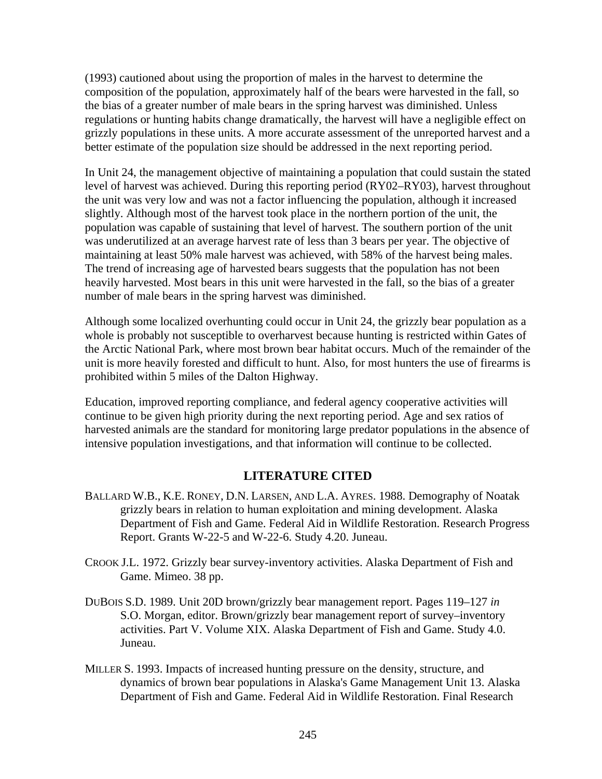(1993) cautioned about using the proportion of males in the harvest to determine the composition of the population, approximately half of the bears were harvested in the fall, so the bias of a greater number of male bears in the spring harvest was diminished. Unless regulations or hunting habits change dramatically, the harvest will have a negligible effect on grizzly populations in these units. A more accurate assessment of the unreported harvest and a better estimate of the population size should be addressed in the next reporting period.

In Unit 24, the management objective of maintaining a population that could sustain the stated level of harvest was achieved. During this reporting period (RY02–RY03), harvest throughout the unit was very low and was not a factor influencing the population, although it increased slightly. Although most of the harvest took place in the northern portion of the unit, the population was capable of sustaining that level of harvest. The southern portion of the unit was underutilized at an average harvest rate of less than 3 bears per year. The objective of maintaining at least 50% male harvest was achieved, with 58% of the harvest being males. The trend of increasing age of harvested bears suggests that the population has not been heavily harvested. Most bears in this unit were harvested in the fall, so the bias of a greater number of male bears in the spring harvest was diminished.

Although some localized overhunting could occur in Unit 24, the grizzly bear population as a whole is probably not susceptible to overharvest because hunting is restricted within Gates of the Arctic National Park, where most brown bear habitat occurs. Much of the remainder of the unit is more heavily forested and difficult to hunt. Also, for most hunters the use of firearms is prohibited within 5 miles of the Dalton Highway.

Education, improved reporting compliance, and federal agency cooperative activities will continue to be given high priority during the next reporting period. Age and sex ratios of harvested animals are the standard for monitoring large predator populations in the absence of intensive population investigations, and that information will continue to be collected.

## **LITERATURE CITED**

- BALLARD W.B., K.E. RONEY, D.N. LARSEN, AND L.A. AYRES. 1988. Demography of Noatak grizzly bears in relation to human exploitation and mining development. Alaska Department of Fish and Game. Federal Aid in Wildlife Restoration. Research Progress Report. Grants W-22-5 and W-22-6. Study 4.20. Juneau.
- CROOK J.L. 1972. Grizzly bear survey-inventory activities. Alaska Department of Fish and Game. Mimeo. 38 pp.
- DUBOIS S.D. 1989. Unit 20D brown/grizzly bear management report. Pages 119–127 *in* S.O. Morgan, editor. Brown/grizzly bear management report of survey–inventory activities. Part V. Volume XIX. Alaska Department of Fish and Game. Study 4.0. Juneau.
- MILLER S. 1993. Impacts of increased hunting pressure on the density, structure, and dynamics of brown bear populations in Alaska's Game Management Unit 13. Alaska Department of Fish and Game. Federal Aid in Wildlife Restoration. Final Research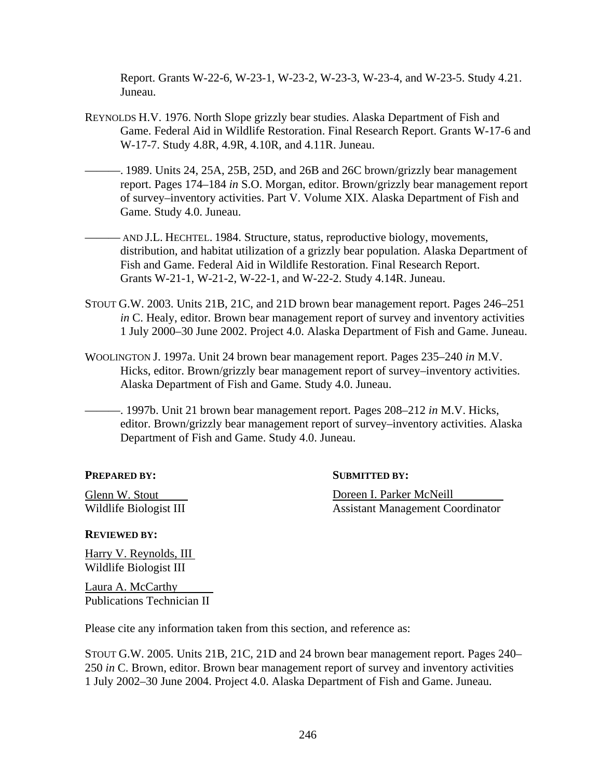Report. Grants W-22-6, W-23-1, W-23-2, W-23-3, W-23-4, and W-23-5. Study 4.21. Juneau.

- REYNOLDS H.V. 1976. North Slope grizzly bear studies. Alaska Department of Fish and Game. Federal Aid in Wildlife Restoration. Final Research Report. Grants W-17-6 and W-17-7. Study 4.8R, 4.9R, 4.10R, and 4.11R. Juneau.
- ———. 1989. Units 24, 25A, 25B, 25D, and 26B and 26C brown/grizzly bear management report. Pages 174–184 *in* S.O. Morgan, editor. Brown/grizzly bear management report of survey–inventory activities. Part V. Volume XIX. Alaska Department of Fish and Game. Study 4.0. Juneau.
- ——— AND J.L. HECHTEL. 1984. Structure, status, reproductive biology, movements, distribution, and habitat utilization of a grizzly bear population. Alaska Department of Fish and Game. Federal Aid in Wildlife Restoration. Final Research Report. Grants W-21-1, W-21-2, W-22-1, and W-22-2. Study 4.14R. Juneau.
- STOUT G.W. 2003. Units 21B, 21C, and 21D brown bear management report. Pages 246–251 *in* C. Healy, editor. Brown bear management report of survey and inventory activities 1 July 2000–30 June 2002. Project 4.0. Alaska Department of Fish and Game. Juneau.
- WOOLINGTON J. 1997a. Unit 24 brown bear management report. Pages 235–240 *in* M.V. Hicks, editor. Brown/grizzly bear management report of survey–inventory activities. Alaska Department of Fish and Game. Study 4.0. Juneau.
- ———. 1997b. Unit 21 brown bear management report. Pages 208–212 *in* M.V. Hicks, editor. Brown/grizzly bear management report of survey–inventory activities. Alaska Department of Fish and Game. Study 4.0. Juneau.

**PREPARED BY:** SUBMITTED BY:

Glenn W. Stout **Doreen I. Parker McNeill** Wildlife Biologist III Assistant Management Coordinator

**REVIEWED BY:**

Harry V. Reynolds, III Wildlife Biologist III

Laura A. McCarthy Publications Technician II

Please cite any information taken from this section, and reference as:

STOUT G.W. 2005. Units 21B, 21C, 21D and 24 brown bear management report. Pages 240– 250 *in* C. Brown, editor. Brown bear management report of survey and inventory activities 1 July 2002–30 June 2004. Project 4.0. Alaska Department of Fish and Game. Juneau.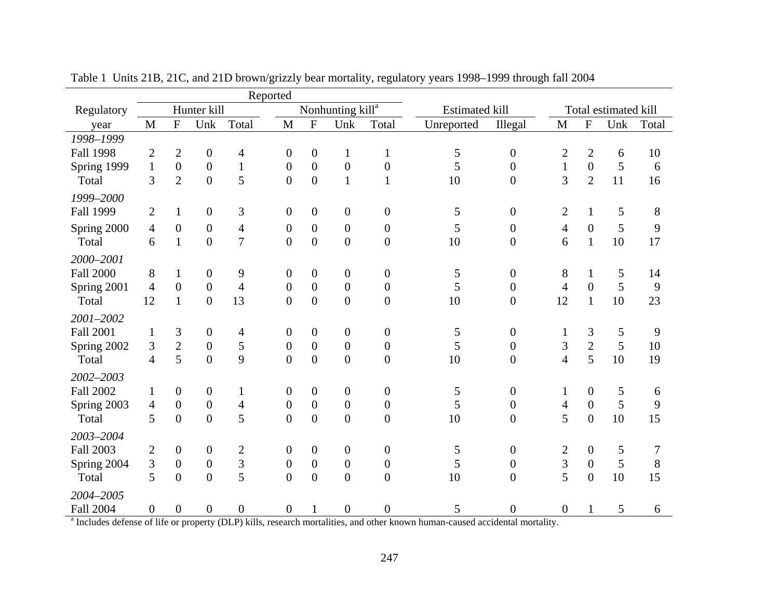|                                      | Reported                  |                  |                  |                                            |                  |                           |                              |                  |                       |                  |                         |                           |                      |       |
|--------------------------------------|---------------------------|------------------|------------------|--------------------------------------------|------------------|---------------------------|------------------------------|------------------|-----------------------|------------------|-------------------------|---------------------------|----------------------|-------|
| Regulatory                           |                           |                  | Hunter kill      |                                            |                  |                           | Nonhunting kill <sup>a</sup> |                  | <b>Estimated kill</b> |                  |                         |                           | Total estimated kill |       |
| year                                 | $\mathbf{M}$              | $\overline{F}$   | Unk              | Total                                      | $\mathbf{M}$     | $\boldsymbol{\mathrm{F}}$ | Unk                          | Total            | Unreported            | Illegal          | $\mathbf{M}$            | $\boldsymbol{\mathrm{F}}$ | Unk                  | Total |
| 1998-1999                            |                           |                  |                  |                                            |                  |                           |                              |                  |                       |                  |                         |                           |                      |       |
| <b>Fall 1998</b>                     | $\mathbf{2}$              | $\overline{2}$   | $\boldsymbol{0}$ | 4                                          | $\overline{0}$   | $\boldsymbol{0}$          | $\mathbf{1}$                 | $\mathbf{1}$     | 5                     | $\boldsymbol{0}$ | $\overline{c}$          | $\mathbf{2}$              | 6                    | 10    |
| Spring 1999                          | $\mathbf{1}$              | $\boldsymbol{0}$ | $\boldsymbol{0}$ | $\mathbf{1}$                               | $\boldsymbol{0}$ | $\boldsymbol{0}$          | $\boldsymbol{0}$             | $\boldsymbol{0}$ | 5                     | $\boldsymbol{0}$ | $\mathbf{1}$            | $\mathbf{0}$              | 5                    | 6     |
| Total                                | 3                         | $\overline{2}$   | $\overline{0}$   | 5                                          | $\overline{0}$   | $\boldsymbol{0}$          | $\mathbf{1}$                 | 1                | 10                    | $\overline{0}$   | 3                       | $\overline{2}$            | 11                   | 16    |
| 1999-2000                            |                           |                  |                  |                                            |                  |                           |                              |                  |                       |                  |                         |                           |                      |       |
| Fall 1999                            | $\overline{2}$            | $\mathbf{1}$     | $\boldsymbol{0}$ | 3                                          | $\boldsymbol{0}$ | $\boldsymbol{0}$          | $\boldsymbol{0}$             | $\boldsymbol{0}$ | 5                     | $\boldsymbol{0}$ | $\overline{2}$          | $\mathbf{1}$              | 5                    | 8     |
| Spring 2000                          | $\overline{4}$            | $\overline{0}$   | $\boldsymbol{0}$ | 4                                          | $\boldsymbol{0}$ | $\boldsymbol{0}$          | $\boldsymbol{0}$             | $\boldsymbol{0}$ | 5                     | $\boldsymbol{0}$ | 4                       | $\boldsymbol{0}$          | 5                    | 9     |
| Total                                | 6                         | $\mathbf{1}$     | $\overline{0}$   | $\overline{7}$                             | $\overline{0}$   | $\overline{0}$            | $\overline{0}$               | $\overline{0}$   | 10                    | $\overline{0}$   | 6                       | $\mathbf{1}$              | $10\,$               | 17    |
| 2000-2001                            |                           |                  |                  |                                            |                  |                           |                              |                  |                       |                  |                         |                           |                      |       |
| <b>Fall 2000</b>                     | 8                         | $\mathbf{1}$     | $\boldsymbol{0}$ | 9                                          | $\boldsymbol{0}$ | $\boldsymbol{0}$          | $\boldsymbol{0}$             | $\boldsymbol{0}$ | 5                     | $\boldsymbol{0}$ | 8                       | $\mathbf{1}$              | 5                    | 14    |
| Spring 2001                          | $\overline{4}$            | $\overline{0}$   | $\boldsymbol{0}$ | $\overline{4}$                             | $\boldsymbol{0}$ | $\boldsymbol{0}$          | $\boldsymbol{0}$             | $\boldsymbol{0}$ | 5                     | $\overline{0}$   | $\overline{4}$          | $\boldsymbol{0}$          | 5                    | 9     |
| Total                                | 12                        | $\mathbf{1}$     | $\overline{0}$   | 13                                         | $\overline{0}$   | $\boldsymbol{0}$          | $\boldsymbol{0}$             | $\overline{0}$   | 10                    | $\overline{0}$   | 12                      | $\mathbf{1}$              | 10                   | 23    |
| 2001-2002                            |                           |                  |                  |                                            |                  |                           |                              |                  |                       |                  |                         |                           |                      |       |
| <b>Fall 2001</b>                     | $\mathbf{1}$              | 3                | $\boldsymbol{0}$ | 4                                          | $\boldsymbol{0}$ | $\boldsymbol{0}$          | $\boldsymbol{0}$             | $\boldsymbol{0}$ | $\mathfrak s$         | $\boldsymbol{0}$ | 1                       | 3                         | $\mathfrak s$        | 9     |
| Spring 2002                          | 3                         | $\overline{2}$   | $\overline{0}$   | 5                                          | $\boldsymbol{0}$ | $\boldsymbol{0}$          | $\boldsymbol{0}$             | $\overline{0}$   | 5                     | $\boldsymbol{0}$ | 3                       | $\overline{2}$            | 5                    | 10    |
| Total                                | 4                         | 5                | $\overline{0}$   | 9                                          | $\overline{0}$   | $\overline{0}$            | $\boldsymbol{0}$             | $\overline{0}$   | 10                    | 0                | $\overline{4}$          | 5                         | 10                   | 19    |
| 2002-2003                            |                           |                  |                  |                                            |                  |                           |                              |                  |                       |                  |                         |                           |                      |       |
| <b>Fall 2002</b>                     | $\mathbf{1}$              | $\overline{0}$   | $\overline{0}$   | $\mathbf{1}$                               | $\mathbf{0}$     | $\boldsymbol{0}$          | $\boldsymbol{0}$             | $\boldsymbol{0}$ | 5                     | $\boldsymbol{0}$ | 1                       | $\overline{0}$            | 5                    | 6     |
| Spring 2003                          | $\overline{4}$            | $\boldsymbol{0}$ | $\boldsymbol{0}$ | 4                                          | $\boldsymbol{0}$ | $\boldsymbol{0}$          | $\boldsymbol{0}$             | $\boldsymbol{0}$ | 5                     | $\boldsymbol{0}$ | $\overline{4}$          | $\boldsymbol{0}$          | 5                    | 9     |
| Total                                | 5                         | $\overline{0}$   | $\overline{0}$   | 5                                          | $\overline{0}$   | $\overline{0}$            | $\overline{0}$               | $\overline{0}$   | 10                    | $\overline{0}$   | 5                       | $\overline{0}$            | 10                   | 15    |
| 2003-2004                            |                           |                  |                  |                                            |                  |                           |                              |                  |                       |                  |                         |                           |                      |       |
| <b>Fall 2003</b>                     | $\mathbf{2}$              | $\overline{0}$   | $\boldsymbol{0}$ | $\overline{c}$                             | $\overline{0}$   | $\boldsymbol{0}$          | $\boldsymbol{0}$             | $\boldsymbol{0}$ | 5                     | $\boldsymbol{0}$ | $\overline{2}$          | $\boldsymbol{0}$          | 5                    | 7     |
| Spring 2004                          | 3                         | $\boldsymbol{0}$ | $\boldsymbol{0}$ | 3                                          | $\boldsymbol{0}$ | $\boldsymbol{0}$          | $\boldsymbol{0}$             | $\boldsymbol{0}$ | 5                     | $\boldsymbol{0}$ | $\mathfrak{Z}$          | $\boldsymbol{0}$          | 5                    | 8     |
| Total                                | 5                         | $\overline{0}$   | $\overline{0}$   | 5                                          | $\overline{0}$   | $\boldsymbol{0}$          | $\boldsymbol{0}$             | $\overline{0}$   | 10                    | $\overline{0}$   | 5                       | $\boldsymbol{0}$          | 10                   | 15    |
| 2004-2005                            |                           |                  |                  |                                            |                  |                           |                              |                  |                       |                  |                         |                           |                      |       |
| <b>Fall 2004</b><br>3.711.<br>$-1.0$ | $\boldsymbol{0}$<br>0.12C | $\boldsymbol{0}$ | $\boldsymbol{0}$ | $\boldsymbol{0}$<br>$\overline{M}$ D) 1.11 | $\boldsymbol{0}$ | $\mathbf{1}$              | $\boldsymbol{0}$             | $\boldsymbol{0}$ | 5                     | $\boldsymbol{0}$ | $\boldsymbol{0}$<br>.11 |                           | 5                    | 6     |

Table 1 Units 21B, 21C, and 21D brown/grizzly bear mortality, regulatory years 1998–1999 through fall 2004

Includes defense of life or property (DLP) kills, research mortalities, and other known human-caused accidental mortality.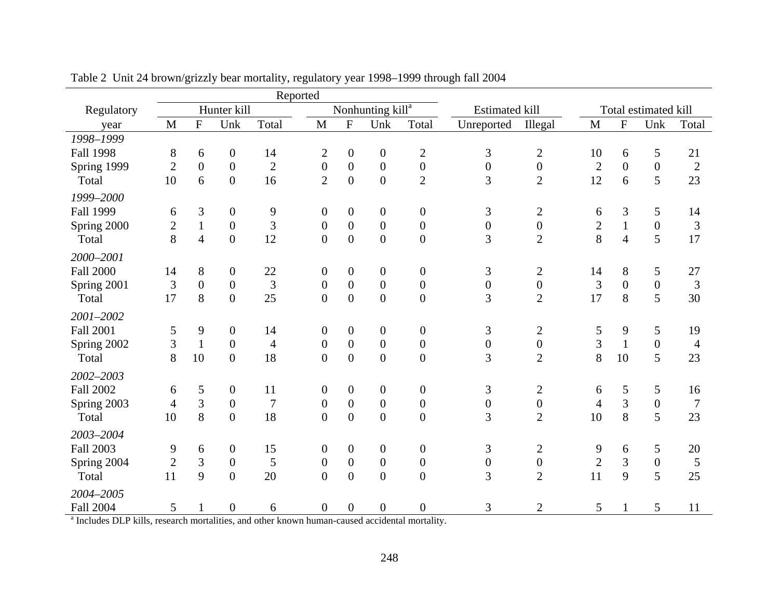|                                                               | Reported       |                                |                              |                                |                  |                  |                                                    |                  |                       |                  |                |                |                      |                |
|---------------------------------------------------------------|----------------|--------------------------------|------------------------------|--------------------------------|------------------|------------------|----------------------------------------------------|------------------|-----------------------|------------------|----------------|----------------|----------------------|----------------|
| Regulatory                                                    |                |                                | Hunter kill                  |                                |                  |                  | Nonhunting kill <sup>a</sup>                       |                  | <b>Estimated kill</b> |                  |                |                | Total estimated kill |                |
| year                                                          | $\mathbf M$    | $\mathbf F$                    | Unk                          | Total                          | M                | ${\bf F}$        | Unk                                                | Total            | Unreported            | Illegal          | $\mathbf M$    | $\overline{F}$ | Unk                  | Total          |
| 1998-1999                                                     |                |                                |                              |                                |                  |                  |                                                    |                  |                       |                  |                |                |                      |                |
| <b>Fall 1998</b>                                              | 8              | 6                              | $\boldsymbol{0}$             | 14                             | $\overline{2}$   | $\boldsymbol{0}$ | $\boldsymbol{0}$                                   | $\boldsymbol{2}$ | 3                     | $\mathbf{2}$     | 10             | 6              | 5                    | 21             |
| Spring 1999                                                   | $\overline{2}$ | $\overline{0}$                 | $\overline{0}$               | $\mathbf{2}$                   | $\overline{0}$   | $\overline{0}$   | $\boldsymbol{0}$                                   | $\boldsymbol{0}$ | $\overline{0}$        | $\boldsymbol{0}$ | $\overline{2}$ | $\overline{0}$ | $\boldsymbol{0}$     | $\overline{2}$ |
| Total                                                         | 10             | 6                              | $\overline{0}$               | 16                             | $\overline{2}$   | $\overline{0}$   | $\boldsymbol{0}$                                   | $\overline{2}$   | 3                     | $\overline{2}$   | 12             | 6              | 5                    | 23             |
| 1999-2000                                                     |                |                                |                              |                                |                  |                  |                                                    |                  |                       |                  |                |                |                      |                |
| <b>Fall 1999</b>                                              | 6              | 3                              | $\boldsymbol{0}$             | 9                              | $\overline{0}$   | $\overline{0}$   | $\boldsymbol{0}$                                   | $\overline{0}$   | 3                     | $\overline{2}$   | 6              | 3              | 5                    | 14             |
| Spring 2000                                                   | $\overline{2}$ | $\mathbf{1}$                   | $\boldsymbol{0}$             | 3                              | $\overline{0}$   | $\overline{0}$   | $\boldsymbol{0}$                                   | $\overline{0}$   | $\overline{0}$        | $\boldsymbol{0}$ | $\overline{2}$ | $\mathbf{1}$   | $\boldsymbol{0}$     | 3              |
| Total                                                         | 8              | $\overline{4}$                 | $\boldsymbol{0}$             | 12                             | $\boldsymbol{0}$ | $\boldsymbol{0}$ | $\boldsymbol{0}$                                   | $\boldsymbol{0}$ | 3                     | $\overline{2}$   | 8              | $\overline{4}$ | 5                    | 17             |
| 2000-2001                                                     |                |                                |                              |                                |                  |                  |                                                    |                  |                       |                  |                |                |                      |                |
| <b>Fall 2000</b>                                              | 14             | 8                              | $\boldsymbol{0}$             | 22                             | $\overline{0}$   | 0                | $\boldsymbol{0}$                                   | $\boldsymbol{0}$ | 3                     | $\overline{2}$   | 14             | 8              | 5                    | 27             |
| Spring 2001                                                   | 3              | $\boldsymbol{0}$               | $\boldsymbol{0}$             | $\overline{3}$                 | $\boldsymbol{0}$ | $\boldsymbol{0}$ | $\boldsymbol{0}$                                   | $\boldsymbol{0}$ | $\boldsymbol{0}$      | $\boldsymbol{0}$ | $\mathfrak{Z}$ | $\overline{0}$ | $\boldsymbol{0}$     | 3              |
| Total                                                         | 17             | 8                              | $\overline{0}$               | 25                             | $\overline{0}$   | $\overline{0}$   | $\boldsymbol{0}$                                   | $\boldsymbol{0}$ | 3                     | $\overline{2}$   | 17             | 8              | 5                    | 30             |
| 2001-2002                                                     |                |                                |                              |                                |                  |                  |                                                    |                  |                       |                  |                |                |                      |                |
| <b>Fall 2001</b>                                              | 5              | 9                              | $\boldsymbol{0}$             | 14                             | $\boldsymbol{0}$ | $\mathbf{0}$     | $\boldsymbol{0}$                                   | $\boldsymbol{0}$ | 3                     | $\overline{2}$   | 5              | 9              | 5                    | 19             |
| Spring 2002                                                   | 3              | $\mathbf{1}$                   | $\boldsymbol{0}$             | $\overline{4}$                 | $\mathbf{0}$     | $\boldsymbol{0}$ | $\boldsymbol{0}$                                   | $\boldsymbol{0}$ | $\overline{0}$        | $\boldsymbol{0}$ | 3              | $\mathbf{1}$   | $\boldsymbol{0}$     | $\overline{4}$ |
| Total                                                         | 8              | 10                             | $\overline{0}$               | 18                             | $\overline{0}$   | $\overline{0}$   | $\overline{0}$                                     | $\overline{0}$   | 3                     | $\overline{2}$   | 8              | 10             | 5                    | 23             |
| 2002-2003                                                     |                |                                |                              |                                |                  |                  |                                                    |                  |                       |                  |                |                |                      |                |
| <b>Fall 2002</b>                                              | 6              | 5                              | $\boldsymbol{0}$             | 11                             | $\overline{0}$   | $\boldsymbol{0}$ | $\boldsymbol{0}$                                   | $\overline{0}$   | 3                     | $\mathbf{2}$     | 6              | 5              | 5                    | 16             |
| Spring 2003                                                   | $\overline{4}$ | 3                              | $\mathbf{0}$                 | $\overline{7}$                 | $\mathbf{0}$     | $\overline{0}$   | $\boldsymbol{0}$                                   | $\boldsymbol{0}$ | $\boldsymbol{0}$      | $\boldsymbol{0}$ | $\overline{4}$ | $\overline{3}$ | $\boldsymbol{0}$     | 7              |
| Total                                                         | 10             | 8                              | $\overline{0}$               | 18                             | $\overline{0}$   | $\overline{0}$   | $\overline{0}$                                     | $\overline{0}$   | 3                     | $\overline{2}$   | 10             | 8              | 5                    | 23             |
| 2003-2004                                                     |                |                                |                              |                                |                  |                  |                                                    |                  |                       |                  |                |                |                      |                |
| <b>Fall 2003</b>                                              | 9              | 6                              | $\boldsymbol{0}$             | 15                             | $\overline{0}$   | $\boldsymbol{0}$ | $\boldsymbol{0}$                                   | $\boldsymbol{0}$ | 3                     | $\overline{2}$   | 9              | 6              | 5                    | 20             |
| Spring 2004                                                   | $\overline{2}$ | 3                              | $\boldsymbol{0}$             | 5                              | $\overline{0}$   | $\boldsymbol{0}$ | $\boldsymbol{0}$                                   | $\boldsymbol{0}$ | $\boldsymbol{0}$      | $\boldsymbol{0}$ | $\overline{2}$ | 3              | $\boldsymbol{0}$     | 5              |
| Total                                                         | 11             | 9                              | $\overline{0}$               | 20                             | $\overline{0}$   | $\overline{0}$   | $\boldsymbol{0}$                                   | $\boldsymbol{0}$ | 3                     | $\overline{2}$   | 11             | 9              | 5                    | 25             |
| 2004-2005                                                     |                |                                |                              |                                |                  |                  |                                                    |                  |                       |                  |                |                |                      |                |
| <b>Fall 2004</b><br>$31.1$ N <sub>1</sub> $n1$ <sup>.11</sup> | 5              | $\mathbf{1}$<br>$\blacksquare$ | $\boldsymbol{0}$<br>$-1.111$ | 6<br>$\mathbf{1}$ $\mathbf{1}$ | $\boldsymbol{0}$ | $\boldsymbol{0}$ | $\boldsymbol{0}$<br>$\mathbf{r}$<br>$\blacksquare$ | $\boldsymbol{0}$ | 3                     | $\overline{2}$   | 5              |                | 5                    | 11             |

Table 2 Unit 24 brown/grizzly bear mortality, regulatory year 1998–1999 through fall 2004

Includes DLP kills, research mortalities, and other known human-caused accidental mortality.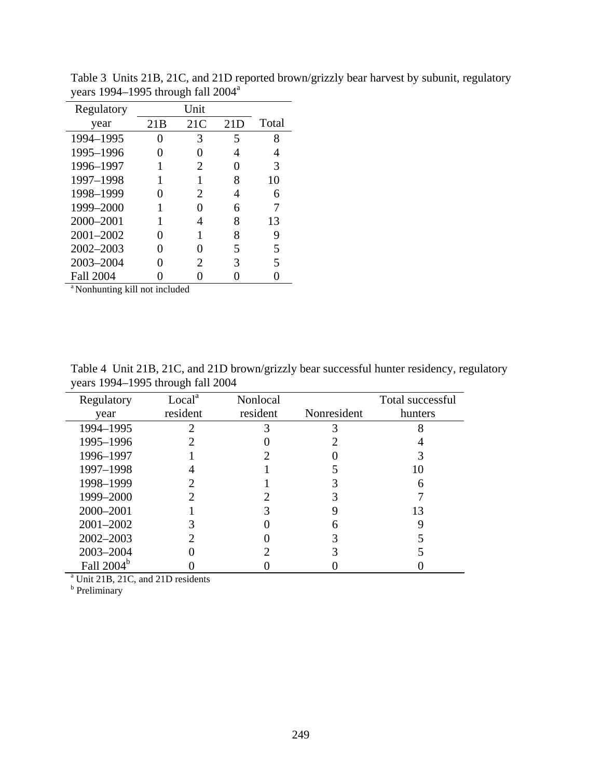| Regulatory       |     | Unit |     |       |
|------------------|-----|------|-----|-------|
| year             | 21B | 21C  | 21D | Total |
| 1994-1995        |     | 3    | 5   | 8     |
| 1995-1996        |     |      | 4   | 4     |
| 1996-1997        |     | 2    |     | 3     |
| 1997-1998        |     |      | 8   | 10    |
| 1998-1999        |     | 2    | 4   | 6     |
| 1999-2000        |     |      | 6   |       |
| 2000-2001        |     |      | 8   | 13    |
| 2001-2002        |     |      | 8   | 9     |
| 2002-2003        |     |      | 5   | 5     |
| 2003-2004        |     | 2    | 3   | 5     |
| <b>Fall 2004</b> |     |      |     |       |

Table 3 Units 21B, 21C, and 21D reported brown/grizzly bear harvest by subunit, regulatory years 1994–1995 through fall 2004a

<sup>a</sup> Nonhunting kill not included

Table 4 Unit 21B, 21C, and 21D brown/grizzly bear successful hunter residency, regulatory years 1994–1995 through fall 2004

| Regulatory                                    | Local <sup>a</sup> | Nonlocal |             | Total successful |
|-----------------------------------------------|--------------------|----------|-------------|------------------|
| year                                          | resident           | resident | Nonresident | hunters          |
| 1994-1995                                     |                    | 3        |             |                  |
| 1995-1996                                     |                    |          |             |                  |
| 1996-1997                                     |                    |          |             |                  |
| 1997-1998                                     |                    |          |             | 10               |
| 1998-1999                                     |                    |          |             | 6                |
| 1999-2000                                     |                    |          |             |                  |
| 2000-2001                                     |                    |          |             | 13               |
| 2001-2002                                     |                    |          | 6           |                  |
| $2002 - 2003$                                 |                    |          |             |                  |
| 2003-2004                                     |                    |          |             |                  |
| Fall 2004 <sup>b</sup>                        |                    |          |             |                  |
| <sup>a</sup> Unit 21B, 21C, and 21D residents |                    |          |             |                  |
| b<br>Preliminary                              |                    |          |             |                  |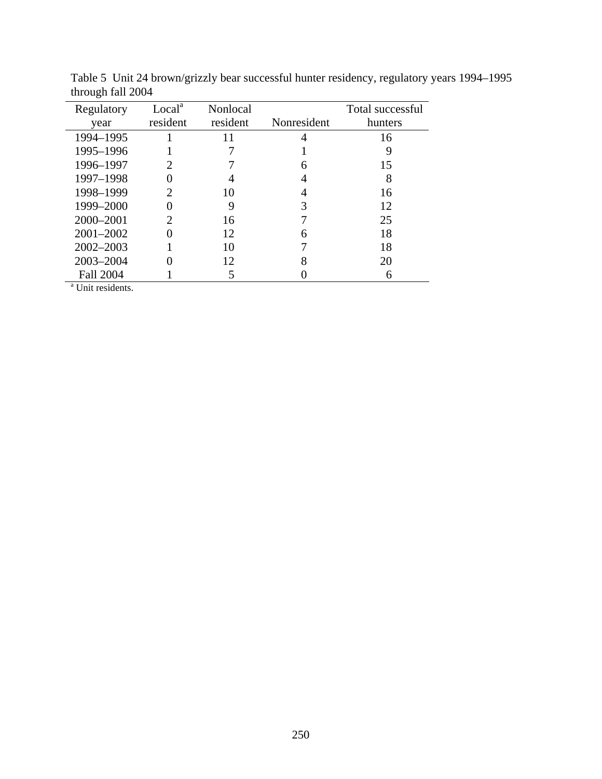| Regulatory                   | Local <sup>a</sup><br>resident | <b>Nonlocal</b><br>resident | Nonresident | Total successful<br>hunters |
|------------------------------|--------------------------------|-----------------------------|-------------|-----------------------------|
| year                         |                                |                             |             |                             |
| 1994-1995                    |                                |                             |             | 16                          |
| 1995-1996                    |                                |                             |             | 9                           |
| 1996-1997                    |                                |                             | 6           | 15                          |
| 1997-1998                    |                                |                             | 4           | 8                           |
| 1998-1999                    | 2                              | 10                          | 4           | 16                          |
| 1999-2000                    |                                |                             | 3           | 12                          |
| 2000-2001                    |                                | 16                          |             | 25                          |
| $2001 - 2002$                |                                | 12                          | 6           | 18                          |
| $2002 - 2003$                |                                | 10                          |             | 18                          |
| 2003-2004                    |                                | 12                          | 8           | 20                          |
| <b>Fall 2004</b>             |                                | 5                           |             | 6                           |
| <sup>a</sup> Unit residents. |                                |                             |             |                             |

Table 5 Unit 24 brown/grizzly bear successful hunter residency, regulatory years 1994–1995 through fall 2004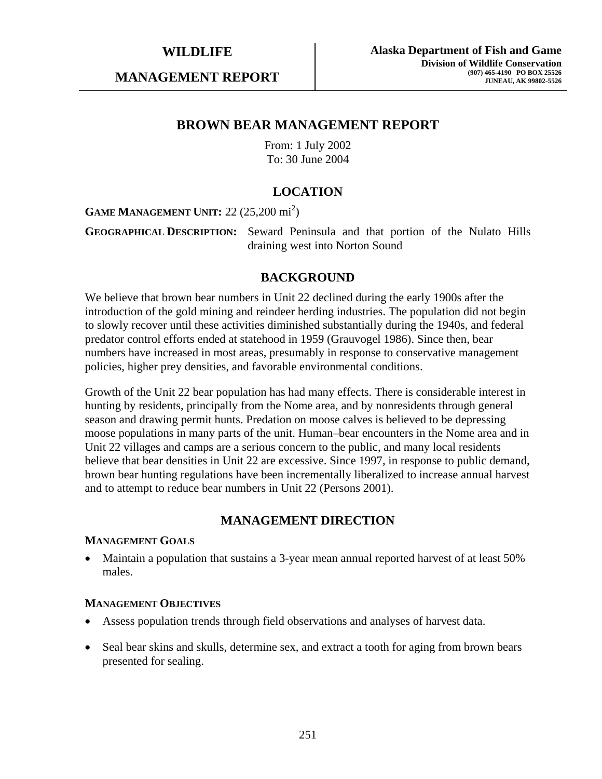## **MANAGEMENT REPORT**

# **BROWN BEAR MANAGEMENT REPORT**

From: 1 July 2002 To: 30 June 2004

# **LOCATION**

# **GAME MANAGEMENT UNIT:** 22 (25,200 mi<sup>2</sup>)

**GEOGRAPHICAL DESCRIPTION:** Seward Peninsula and that portion of the Nulato Hills draining west into Norton Sound

## **BACKGROUND**

We believe that brown bear numbers in Unit 22 declined during the early 1900s after the introduction of the gold mining and reindeer herding industries. The population did not begin to slowly recover until these activities diminished substantially during the 1940s, and federal predator control efforts ended at statehood in 1959 (Grauvogel 1986). Since then, bear numbers have increased in most areas, presumably in response to conservative management policies, higher prey densities, and favorable environmental conditions.

Growth of the Unit 22 bear population has had many effects. There is considerable interest in hunting by residents, principally from the Nome area, and by nonresidents through general season and drawing permit hunts. Predation on moose calves is believed to be depressing moose populations in many parts of the unit. Human–bear encounters in the Nome area and in Unit 22 villages and camps are a serious concern to the public, and many local residents believe that bear densities in Unit 22 are excessive. Since 1997, in response to public demand, brown bear hunting regulations have been incrementally liberalized to increase annual harvest and to attempt to reduce bear numbers in Unit 22 (Persons 2001).

## **MANAGEMENT DIRECTION**

### **MANAGEMENT GOALS**

• Maintain a population that sustains a 3-year mean annual reported harvest of at least 50% males.

### **MANAGEMENT OBJECTIVES**

- Assess population trends through field observations and analyses of harvest data.
- Seal bear skins and skulls, determine sex, and extract a tooth for aging from brown bears presented for sealing.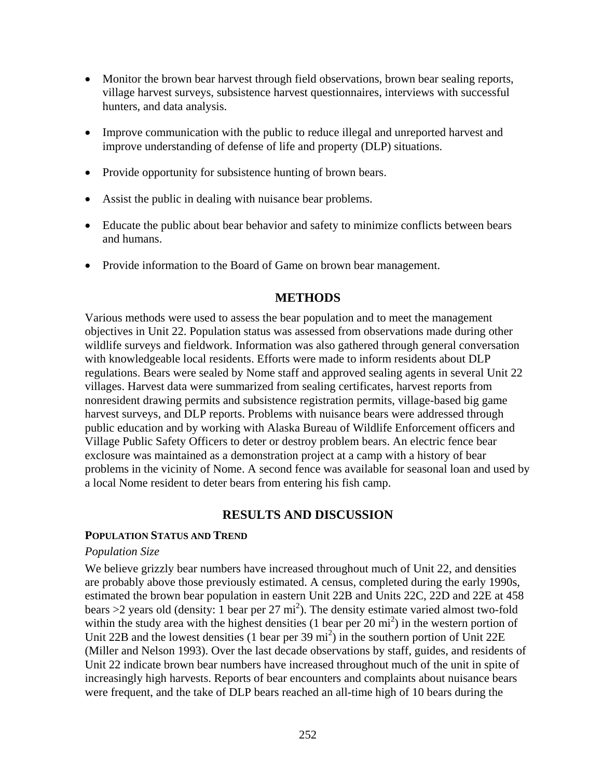- Monitor the brown bear harvest through field observations, brown bear sealing reports, village harvest surveys, subsistence harvest questionnaires, interviews with successful hunters, and data analysis.
- Improve communication with the public to reduce illegal and unreported harvest and improve understanding of defense of life and property (DLP) situations.
- Provide opportunity for subsistence hunting of brown bears.
- Assist the public in dealing with nuisance bear problems.
- Educate the public about bear behavior and safety to minimize conflicts between bears and humans.
- Provide information to the Board of Game on brown bear management.

## **METHODS**

Various methods were used to assess the bear population and to meet the management objectives in Unit 22. Population status was assessed from observations made during other wildlife surveys and fieldwork. Information was also gathered through general conversation with knowledgeable local residents. Efforts were made to inform residents about DLP regulations. Bears were sealed by Nome staff and approved sealing agents in several Unit 22 villages. Harvest data were summarized from sealing certificates, harvest reports from nonresident drawing permits and subsistence registration permits, village-based big game harvest surveys, and DLP reports. Problems with nuisance bears were addressed through public education and by working with Alaska Bureau of Wildlife Enforcement officers and Village Public Safety Officers to deter or destroy problem bears. An electric fence bear exclosure was maintained as a demonstration project at a camp with a history of bear problems in the vicinity of Nome. A second fence was available for seasonal loan and used by a local Nome resident to deter bears from entering his fish camp.

## **RESULTS AND DISCUSSION**

### **POPULATION STATUS AND TREND**

## *Population Size*

We believe grizzly bear numbers have increased throughout much of Unit 22, and densities are probably above those previously estimated. A census, completed during the early 1990s, estimated the brown bear population in eastern Unit 22B and Units 22C, 22D and 22E at 458 bears  $>$ 2 years old (density: 1 bear per 27 mi<sup>2</sup>). The density estimate varied almost two-fold within the study area with the highest densities  $(1 \text{ bear per } 20 \text{ mi}^2)$  in the western portion of Unit 22B and the lowest densities (1 bear per 39 mi<sup>2</sup>) in the southern portion of Unit 22E (Miller and Nelson 1993). Over the last decade observations by staff, guides, and residents of Unit 22 indicate brown bear numbers have increased throughout much of the unit in spite of increasingly high harvests. Reports of bear encounters and complaints about nuisance bears were frequent, and the take of DLP bears reached an all-time high of 10 bears during the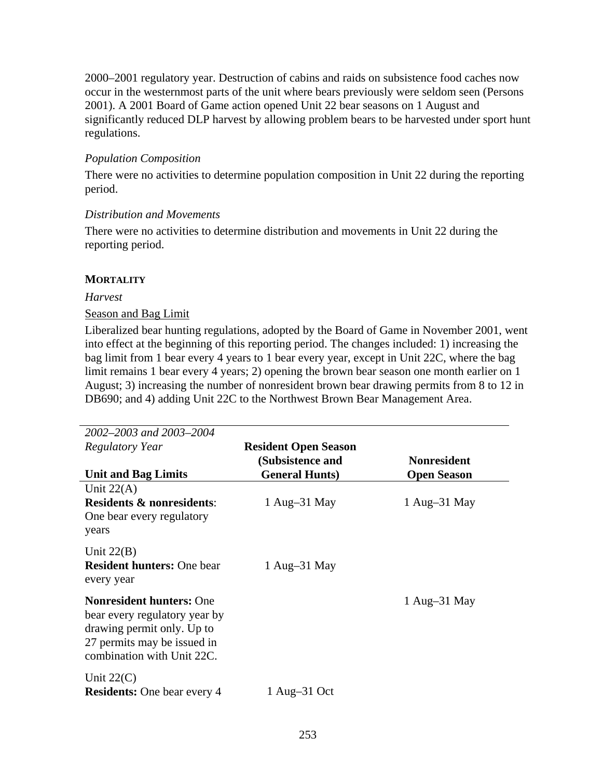2000–2001 regulatory year. Destruction of cabins and raids on subsistence food caches now occur in the westernmost parts of the unit where bears previously were seldom seen (Persons 2001). A 2001 Board of Game action opened Unit 22 bear seasons on 1 August and significantly reduced DLP harvest by allowing problem bears to be harvested under sport hunt regulations.

## *Population Composition*

There were no activities to determine population composition in Unit 22 during the reporting period.

## *Distribution and Movements*

There were no activities to determine distribution and movements in Unit 22 during the reporting period.

## **MORTALITY**

## *Harvest*

## Season and Bag Limit

Liberalized bear hunting regulations, adopted by the Board of Game in November 2001, went into effect at the beginning of this reporting period. The changes included: 1) increasing the bag limit from 1 bear every 4 years to 1 bear every year, except in Unit 22C, where the bag limit remains 1 bear every 4 years; 2) opening the brown bear season one month earlier on 1 August; 3) increasing the number of nonresident brown bear drawing permits from 8 to 12 in DB690; and 4) adding Unit 22C to the Northwest Brown Bear Management Area.

| 2002–2003 and 2003–2004                                                                                                                                     |                             |                    |
|-------------------------------------------------------------------------------------------------------------------------------------------------------------|-----------------------------|--------------------|
| <b>Regulatory Year</b>                                                                                                                                      | <b>Resident Open Season</b> |                    |
|                                                                                                                                                             | (Subsistence and            | <b>Nonresident</b> |
| <b>Unit and Bag Limits</b>                                                                                                                                  | <b>General Hunts</b> )      | <b>Open Season</b> |
| Unit $22(A)$                                                                                                                                                |                             |                    |
| <b>Residents &amp; nonresidents:</b><br>One bear every regulatory<br>years                                                                                  | 1 Aug $-31$ May             | 1 Aug–31 May       |
| Unit $22(B)$<br><b>Resident hunters: One bear</b><br>every year                                                                                             | 1 Aug $-31$ May             |                    |
| <b>Nonresident hunters: One</b><br>bear every regulatory year by<br>drawing permit only. Up to<br>27 permits may be issued in<br>combination with Unit 22C. |                             | 1 Aug $-31$ May    |
| Unit $22(C)$<br><b>Residents:</b> One bear every 4                                                                                                          | $1$ Aug-31 Oct              |                    |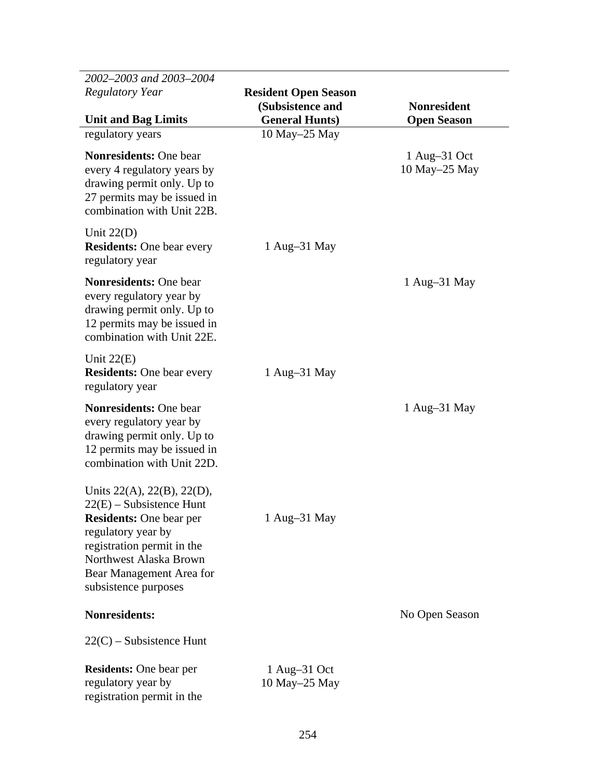| 2002-2003 and 2003-2004<br><b>Regulatory Year</b>                                                                                                                                                                                     | <b>Resident Open Season</b><br>(Subsistence and | <b>Nonresident</b>              |
|---------------------------------------------------------------------------------------------------------------------------------------------------------------------------------------------------------------------------------------|-------------------------------------------------|---------------------------------|
| <b>Unit and Bag Limits</b>                                                                                                                                                                                                            | <b>General Hunts)</b><br>10 May-25 May          | <b>Open Season</b>              |
| regulatory years<br><b>Nonresidents: One bear</b><br>every 4 regulatory years by<br>drawing permit only. Up to<br>27 permits may be issued in<br>combination with Unit 22B.                                                           |                                                 | $1$ Aug-31 Oct<br>10 May–25 May |
| Unit $22(D)$<br><b>Residents:</b> One bear every<br>regulatory year                                                                                                                                                                   | 1 Aug-31 May                                    |                                 |
| <b>Nonresidents: One bear</b><br>every regulatory year by<br>drawing permit only. Up to<br>12 permits may be issued in<br>combination with Unit 22E.                                                                                  |                                                 | 1 Aug-31 May                    |
| Unit $22(E)$<br><b>Residents:</b> One bear every<br>regulatory year                                                                                                                                                                   | 1 Aug $-31$ May                                 |                                 |
| <b>Nonresidents: One bear</b><br>every regulatory year by<br>drawing permit only. Up to<br>12 permits may be issued in<br>combination with Unit 22D.                                                                                  |                                                 | 1 Aug-31 May                    |
| Units $22(A)$ , $22(B)$ , $22(D)$ ,<br>$22(E)$ – Subsistence Hunt<br><b>Residents:</b> One bear per<br>regulatory year by<br>registration permit in the<br>Northwest Alaska Brown<br>Bear Management Area for<br>subsistence purposes | 1 Aug–31 May                                    |                                 |
| <b>Nonresidents:</b>                                                                                                                                                                                                                  |                                                 | No Open Season                  |
| $22(C)$ – Subsistence Hunt                                                                                                                                                                                                            |                                                 |                                 |
| <b>Residents:</b> One bear per<br>regulatory year by<br>registration permit in the                                                                                                                                                    | $1$ Aug-31 Oct<br>10 May–25 May                 |                                 |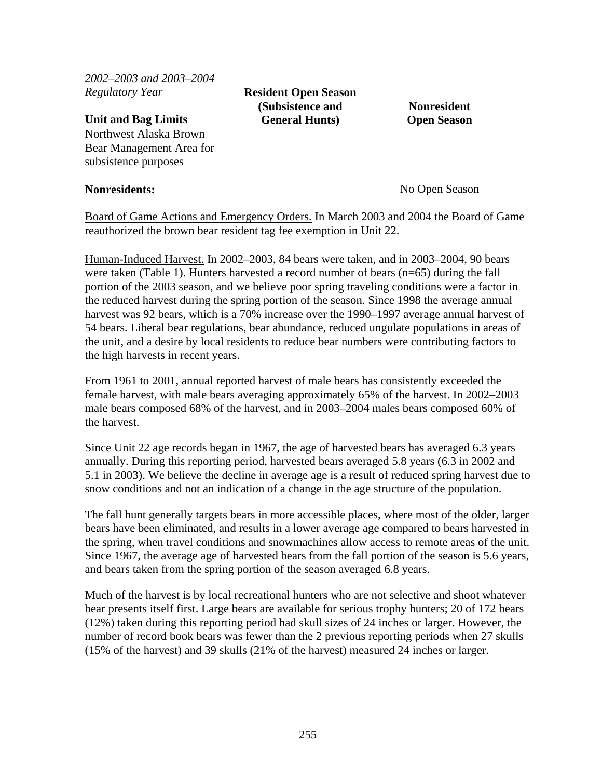*2002–2003 and 2003–2004 Regulatory Year* 

**Resident Open Season (Subsistence and General Hunts)** 

**Nonresident Open Season** 

#### **Unit and Bag Limits** Northwest Alaska Brown

Bear Management Area for subsistence purposes

**Nonresidents:** No Open Season

Board of Game Actions and Emergency Orders. In March 2003 and 2004 the Board of Game reauthorized the brown bear resident tag fee exemption in Unit 22.

Human-Induced Harvest. In 2002–2003, 84 bears were taken, and in 2003–2004, 90 bears were taken (Table 1). Hunters harvested a record number of bears (n=65) during the fall portion of the 2003 season, and we believe poor spring traveling conditions were a factor in the reduced harvest during the spring portion of the season. Since 1998 the average annual harvest was 92 bears, which is a 70% increase over the 1990–1997 average annual harvest of 54 bears. Liberal bear regulations, bear abundance, reduced ungulate populations in areas of the unit, and a desire by local residents to reduce bear numbers were contributing factors to the high harvests in recent years.

From 1961 to 2001, annual reported harvest of male bears has consistently exceeded the female harvest, with male bears averaging approximately 65% of the harvest. In 2002–2003 male bears composed 68% of the harvest, and in 2003–2004 males bears composed 60% of the harvest.

Since Unit 22 age records began in 1967, the age of harvested bears has averaged 6.3 years annually. During this reporting period, harvested bears averaged 5.8 years (6.3 in 2002 and 5.1 in 2003). We believe the decline in average age is a result of reduced spring harvest due to snow conditions and not an indication of a change in the age structure of the population.

The fall hunt generally targets bears in more accessible places, where most of the older, larger bears have been eliminated, and results in a lower average age compared to bears harvested in the spring, when travel conditions and snowmachines allow access to remote areas of the unit. Since 1967, the average age of harvested bears from the fall portion of the season is 5.6 years, and bears taken from the spring portion of the season averaged 6.8 years.

Much of the harvest is by local recreational hunters who are not selective and shoot whatever bear presents itself first. Large bears are available for serious trophy hunters; 20 of 172 bears (12%) taken during this reporting period had skull sizes of 24 inches or larger. However, the number of record book bears was fewer than the 2 previous reporting periods when 27 skulls (15% of the harvest) and 39 skulls (21% of the harvest) measured 24 inches or larger.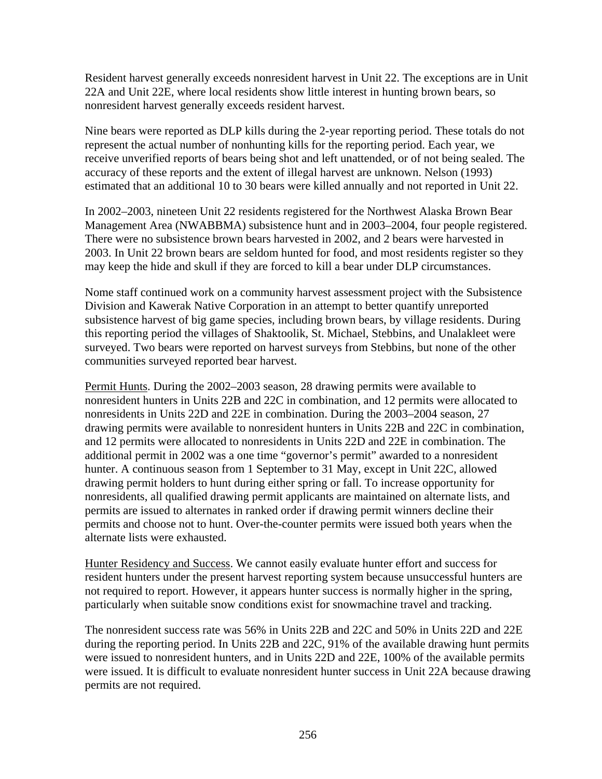Resident harvest generally exceeds nonresident harvest in Unit 22. The exceptions are in Unit 22A and Unit 22E, where local residents show little interest in hunting brown bears, so nonresident harvest generally exceeds resident harvest.

Nine bears were reported as DLP kills during the 2-year reporting period. These totals do not represent the actual number of nonhunting kills for the reporting period. Each year, we receive unverified reports of bears being shot and left unattended, or of not being sealed. The accuracy of these reports and the extent of illegal harvest are unknown. Nelson (1993) estimated that an additional 10 to 30 bears were killed annually and not reported in Unit 22.

In 2002–2003, nineteen Unit 22 residents registered for the Northwest Alaska Brown Bear Management Area (NWABBMA) subsistence hunt and in 2003–2004, four people registered. There were no subsistence brown bears harvested in 2002, and 2 bears were harvested in 2003. In Unit 22 brown bears are seldom hunted for food, and most residents register so they may keep the hide and skull if they are forced to kill a bear under DLP circumstances.

Nome staff continued work on a community harvest assessment project with the Subsistence Division and Kawerak Native Corporation in an attempt to better quantify unreported subsistence harvest of big game species, including brown bears, by village residents. During this reporting period the villages of Shaktoolik, St. Michael, Stebbins, and Unalakleet were surveyed. Two bears were reported on harvest surveys from Stebbins, but none of the other communities surveyed reported bear harvest.

Permit Hunts. During the 2002–2003 season, 28 drawing permits were available to nonresident hunters in Units 22B and 22C in combination, and 12 permits were allocated to nonresidents in Units 22D and 22E in combination. During the 2003–2004 season, 27 drawing permits were available to nonresident hunters in Units 22B and 22C in combination, and 12 permits were allocated to nonresidents in Units 22D and 22E in combination. The additional permit in 2002 was a one time "governor's permit" awarded to a nonresident hunter. A continuous season from 1 September to 31 May, except in Unit 22C, allowed drawing permit holders to hunt during either spring or fall. To increase opportunity for nonresidents, all qualified drawing permit applicants are maintained on alternate lists, and permits are issued to alternates in ranked order if drawing permit winners decline their permits and choose not to hunt. Over-the-counter permits were issued both years when the alternate lists were exhausted.

Hunter Residency and Success. We cannot easily evaluate hunter effort and success for resident hunters under the present harvest reporting system because unsuccessful hunters are not required to report. However, it appears hunter success is normally higher in the spring, particularly when suitable snow conditions exist for snowmachine travel and tracking.

The nonresident success rate was 56% in Units 22B and 22C and 50% in Units 22D and 22E during the reporting period. In Units 22B and 22C, 91% of the available drawing hunt permits were issued to nonresident hunters, and in Units 22D and 22E, 100% of the available permits were issued. It is difficult to evaluate nonresident hunter success in Unit 22A because drawing permits are not required.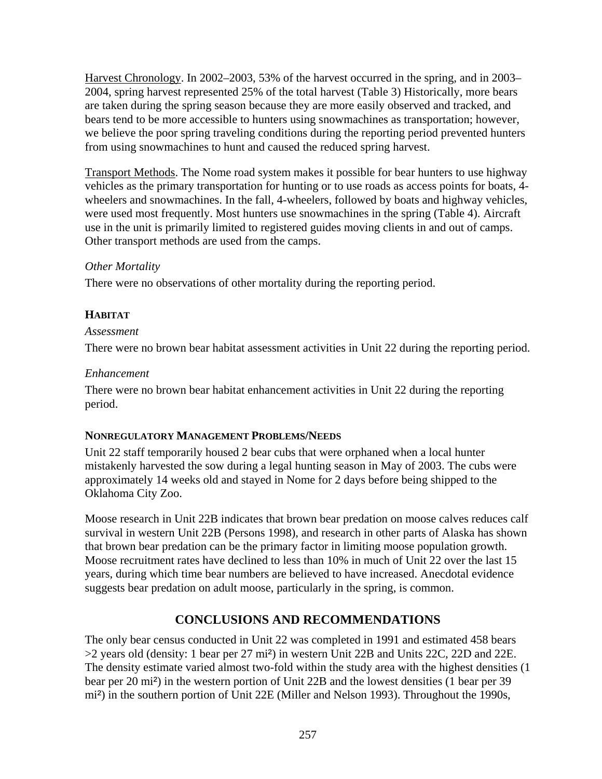Harvest Chronology. In 2002–2003, 53% of the harvest occurred in the spring, and in 2003– 2004, spring harvest represented 25% of the total harvest (Table 3) Historically, more bears are taken during the spring season because they are more easily observed and tracked, and bears tend to be more accessible to hunters using snowmachines as transportation; however, we believe the poor spring traveling conditions during the reporting period prevented hunters from using snowmachines to hunt and caused the reduced spring harvest.

Transport Methods. The Nome road system makes it possible for bear hunters to use highway vehicles as the primary transportation for hunting or to use roads as access points for boats, 4 wheelers and snowmachines. In the fall, 4-wheelers, followed by boats and highway vehicles, were used most frequently. Most hunters use snowmachines in the spring (Table 4). Aircraft use in the unit is primarily limited to registered guides moving clients in and out of camps. Other transport methods are used from the camps.

## *Other Mortality*

There were no observations of other mortality during the reporting period.

# **HABITAT**

## *Assessment*

There were no brown bear habitat assessment activities in Unit 22 during the reporting period.

## *Enhancement*

There were no brown bear habitat enhancement activities in Unit 22 during the reporting period.

## **NONREGULATORY MANAGEMENT PROBLEMS/NEEDS**

Unit 22 staff temporarily housed 2 bear cubs that were orphaned when a local hunter mistakenly harvested the sow during a legal hunting season in May of 2003. The cubs were approximately 14 weeks old and stayed in Nome for 2 days before being shipped to the Oklahoma City Zoo.

Moose research in Unit 22B indicates that brown bear predation on moose calves reduces calf survival in western Unit 22B (Persons 1998), and research in other parts of Alaska has shown that brown bear predation can be the primary factor in limiting moose population growth. Moose recruitment rates have declined to less than 10% in much of Unit 22 over the last 15 years, during which time bear numbers are believed to have increased. Anecdotal evidence suggests bear predation on adult moose, particularly in the spring, is common.

# **CONCLUSIONS AND RECOMMENDATIONS**

The only bear census conducted in Unit 22 was completed in 1991 and estimated 458 bears >2 years old (density: 1 bear per 27 mi²) in western Unit 22B and Units 22C, 22D and 22E. The density estimate varied almost two-fold within the study area with the highest densities (1 bear per 20 mi²) in the western portion of Unit 22B and the lowest densities (1 bear per 39 mi²) in the southern portion of Unit 22E (Miller and Nelson 1993). Throughout the 1990s,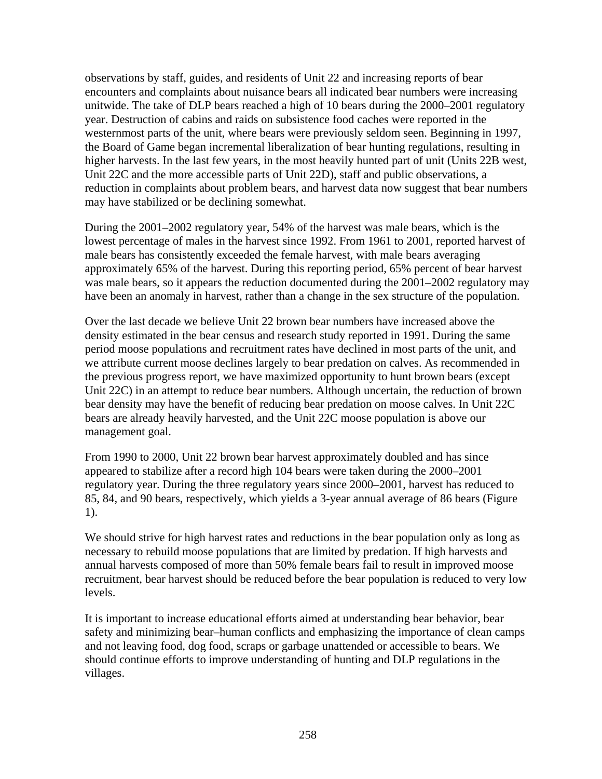observations by staff, guides, and residents of Unit 22 and increasing reports of bear encounters and complaints about nuisance bears all indicated bear numbers were increasing unitwide. The take of DLP bears reached a high of 10 bears during the 2000–2001 regulatory year. Destruction of cabins and raids on subsistence food caches were reported in the westernmost parts of the unit, where bears were previously seldom seen. Beginning in 1997, the Board of Game began incremental liberalization of bear hunting regulations, resulting in higher harvests. In the last few years, in the most heavily hunted part of unit (Units 22B west, Unit 22C and the more accessible parts of Unit 22D), staff and public observations, a reduction in complaints about problem bears, and harvest data now suggest that bear numbers may have stabilized or be declining somewhat.

During the 2001–2002 regulatory year, 54% of the harvest was male bears, which is the lowest percentage of males in the harvest since 1992. From 1961 to 2001, reported harvest of male bears has consistently exceeded the female harvest, with male bears averaging approximately 65% of the harvest. During this reporting period, 65% percent of bear harvest was male bears, so it appears the reduction documented during the 2001–2002 regulatory may have been an anomaly in harvest, rather than a change in the sex structure of the population.

Over the last decade we believe Unit 22 brown bear numbers have increased above the density estimated in the bear census and research study reported in 1991. During the same period moose populations and recruitment rates have declined in most parts of the unit, and we attribute current moose declines largely to bear predation on calves. As recommended in the previous progress report, we have maximized opportunity to hunt brown bears (except Unit 22C) in an attempt to reduce bear numbers. Although uncertain, the reduction of brown bear density may have the benefit of reducing bear predation on moose calves. In Unit 22C bears are already heavily harvested, and the Unit 22C moose population is above our management goal.

From 1990 to 2000, Unit 22 brown bear harvest approximately doubled and has since appeared to stabilize after a record high 104 bears were taken during the 2000–2001 regulatory year. During the three regulatory years since 2000–2001, harvest has reduced to 85, 84, and 90 bears, respectively, which yields a 3-year annual average of 86 bears (Figure 1).

We should strive for high harvest rates and reductions in the bear population only as long as necessary to rebuild moose populations that are limited by predation. If high harvests and annual harvests composed of more than 50% female bears fail to result in improved moose recruitment, bear harvest should be reduced before the bear population is reduced to very low levels.

It is important to increase educational efforts aimed at understanding bear behavior, bear safety and minimizing bear–human conflicts and emphasizing the importance of clean camps and not leaving food, dog food, scraps or garbage unattended or accessible to bears. We should continue efforts to improve understanding of hunting and DLP regulations in the villages.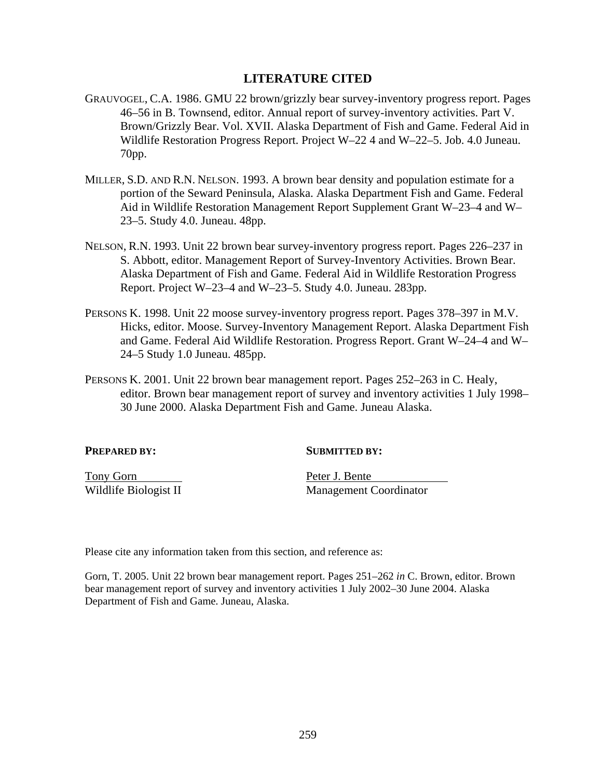## **LITERATURE CITED**

- GRAUVOGEL, C.A. 1986. GMU 22 brown/grizzly bear survey-inventory progress report. Pages 46–56 in B. Townsend, editor. Annual report of survey-inventory activities. Part V. Brown/Grizzly Bear. Vol. XVII. Alaska Department of Fish and Game. Federal Aid in Wildlife Restoration Progress Report. Project W–22 4 and W–22–5. Job. 4.0 Juneau. 70pp.
- MILLER, S.D. AND R.N. NELSON. 1993. A brown bear density and population estimate for a portion of the Seward Peninsula, Alaska. Alaska Department Fish and Game. Federal Aid in Wildlife Restoration Management Report Supplement Grant W–23–4 and W– 23–5. Study 4.0. Juneau. 48pp.
- NELSON, R.N. 1993. Unit 22 brown bear survey-inventory progress report. Pages 226–237 in S. Abbott, editor. Management Report of Survey-Inventory Activities. Brown Bear. Alaska Department of Fish and Game. Federal Aid in Wildlife Restoration Progress Report. Project W–23–4 and W–23–5. Study 4.0. Juneau. 283pp.
- PERSONS K. 1998. Unit 22 moose survey-inventory progress report. Pages 378–397 in M.V. Hicks, editor. Moose. Survey-Inventory Management Report. Alaska Department Fish and Game. Federal Aid Wildlife Restoration. Progress Report. Grant W–24–4 and W– 24–5 Study 1.0 Juneau. 485pp.
- PERSONS K. 2001. Unit 22 brown bear management report. Pages 252–263 in C. Healy, editor. Brown bear management report of survey and inventory activities 1 July 1998– 30 June 2000. Alaska Department Fish and Game. Juneau Alaska.

**PREPARED BY:** SUBMITTED BY:

Tony Gorn Peter J. Bente

Wildlife Biologist II Management Coordinator

Please cite any information taken from this section, and reference as:

Gorn, T. 2005. Unit 22 brown bear management report. Pages 251–262 *in* C. Brown, editor. Brown bear management report of survey and inventory activities 1 July 2002–30 June 2004. Alaska Department of Fish and Game. Juneau, Alaska.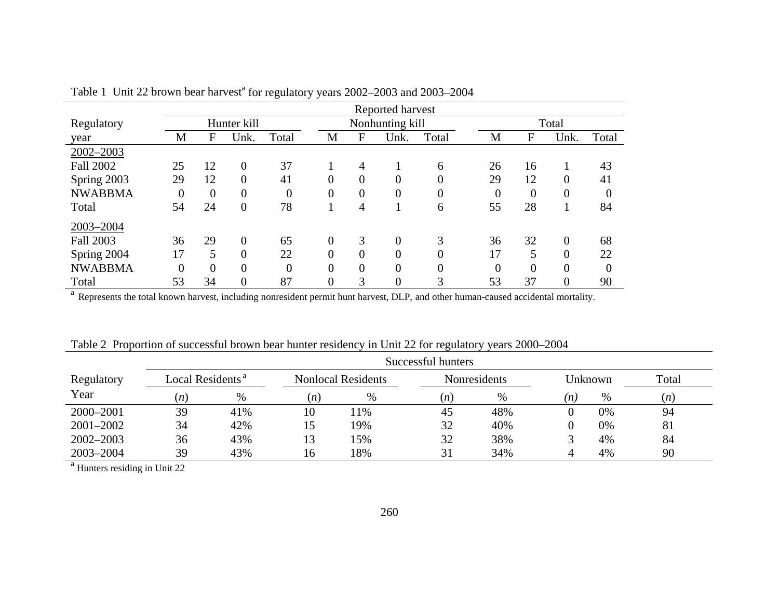|                  | Reported harvest |          |                  |                |                |                |                 |                  |                |                |                |                |  |
|------------------|------------------|----------|------------------|----------------|----------------|----------------|-----------------|------------------|----------------|----------------|----------------|----------------|--|
| Regulatory       |                  |          | Hunter kill      |                |                |                | Nonhunting kill |                  |                | Total          |                |                |  |
| year             | M                | F        | Unk.             | Total          | M              | F              | Unk.            | Total            | M              | F              | Unk.           | Total          |  |
| 2002-2003        |                  |          |                  |                |                |                |                 |                  |                |                |                |                |  |
| <b>Fall 2002</b> | 25               | 12       | $\overline{0}$   | 37             |                | 4              |                 | 6                | 26             | 16             |                | 43             |  |
| Spring 2003      | 29               | 12       | $\boldsymbol{0}$ | 41             | $\overline{0}$ | $\overline{0}$ | $\overline{0}$  | $\boldsymbol{0}$ | 29             | 12             | $\overline{0}$ | 41             |  |
| <b>NWABBMA</b>   | 0                | $\Omega$ | $\overline{0}$   | $\overline{0}$ | $\overline{0}$ | $\overline{0}$ | $\overline{0}$  | $\overline{0}$   | $\overline{0}$ | $\overline{0}$ | 0              | $\overline{0}$ |  |
| Total            | 54               | 24       | $\overline{0}$   | 78             |                | 4              |                 | 6                | 55             | 28             |                | 84             |  |
| 2003-2004        |                  |          |                  |                |                |                |                 |                  |                |                |                |                |  |
| <b>Fall 2003</b> | 36               | 29       | $\overline{0}$   | 65             | $\overline{0}$ | 3              | $\overline{0}$  | 3                | 36             | 32             | $\overline{0}$ | 68             |  |
| Spring 2004      | 17               | 5        | $\overline{0}$   | 22             | 0              | $\overline{0}$ | $\overline{0}$  | $\overline{0}$   | 17             | 5              | $\overline{0}$ | 22             |  |
| <b>NWABBMA</b>   | $\theta$         | $\Omega$ | $\overline{0}$   | $\theta$       | $\theta$       | $\theta$       | $\overline{0}$  | $\overline{0}$   | $\theta$       | $\overline{0}$ | $\theta$       | $\Omega$       |  |
| Total            | 53               | 34       | $\boldsymbol{0}$ | 87             | $\overline{0}$ | 3              | $\overline{0}$  | 3                | 53             | 37             | 0              | 90             |  |

Table 1 Unit 22 brown bear harvest<sup>a</sup> for regulatory years 2002–2003 and 2003–2004

<sup>a</sup> Represents the total known harvest, including nonresident permit hunt harvest, DLP, and other human-caused accidental mortality.

|            | Successful hunters           |     |     |                           |     |                     |     |         |       |  |  |  |  |  |
|------------|------------------------------|-----|-----|---------------------------|-----|---------------------|-----|---------|-------|--|--|--|--|--|
| Regulatory | Local Residents <sup>a</sup> |     |     | <b>Nonlocal Residents</b> |     | <b>Nonresidents</b> |     | Unknown | Total |  |  |  |  |  |
| Year       | (n)                          | %   | (n) | %                         | (n) | $\%$                | (n) | $\%$    | (n)   |  |  |  |  |  |
| 2000-2001  | 39                           | 41% | 10  | 11%                       | 45  | 48%                 |     | 0%      | 94    |  |  |  |  |  |
| 2001-2002  | 34                           | 42% | 15  | 19%                       | 32  | 40%                 |     | 0%      | 81    |  |  |  |  |  |
| 2002-2003  | 36                           | 43% | 13  | 15%                       | 32  | 38%                 |     | 4%      | 84    |  |  |  |  |  |
| 2003-2004  | 39                           | 43% | 16  | 18%                       |     | 34%                 |     | 4%      | 90    |  |  |  |  |  |

<sup>a</sup> Hunters residing in Unit 22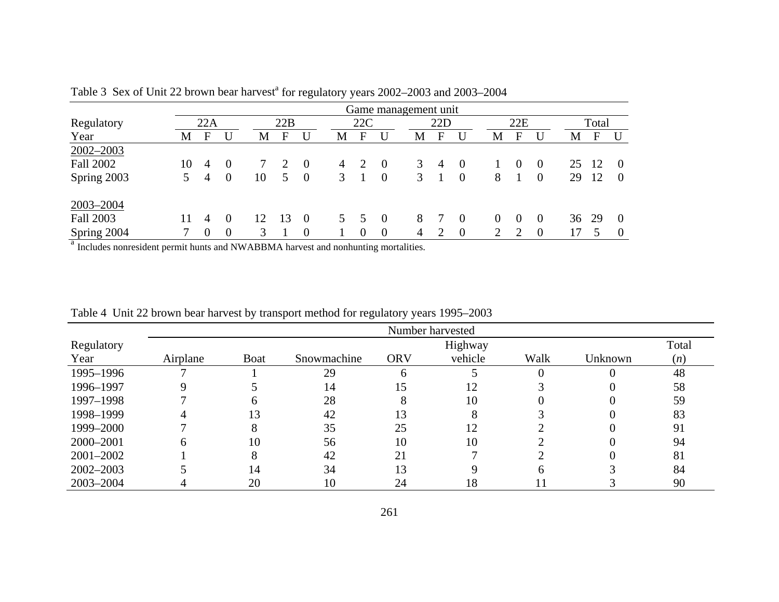|                  |    |                  |                  |    |     |                |   |          | Game management unit |   |                |                |          |          |          |    |       |          |
|------------------|----|------------------|------------------|----|-----|----------------|---|----------|----------------------|---|----------------|----------------|----------|----------|----------|----|-------|----------|
| Regulatory       |    | 22A              |                  |    | 22B |                |   | 22C      |                      |   | 22D            |                |          | 22E      |          |    | Total |          |
| Year             | M  | F                |                  | М  | E   | U              | М | F        | U                    | M | F              |                | M        | F        |          | М  | F     | U        |
| 2002-2003        |    |                  |                  |    |     |                |   |          |                      |   |                |                |          |          |          |    |       |          |
| <b>Fall 2002</b> | 10 | 4                | 0                |    |     | $\theta$       | 4 | 2        | - 0                  | 3 | $\overline{4}$ | $\overline{0}$ |          | $\theta$ | 0        | 25 | -12   | $\theta$ |
| Spring 2003      | 5. | 4                | $\theta$         | 10 | 5   | $\overline{0}$ | 3 |          | $\overline{0}$       | 3 |                | $\overline{0}$ | 8        |          | $\theta$ | 29 | 12    | $\Omega$ |
| 2003-2004        |    |                  |                  |    |     |                |   |          |                      |   |                |                |          |          |          |    |       |          |
| <b>Fall 2003</b> |    | 4                | $\Omega$         | 12 | 13  | $\theta$       |   |          | - 0                  | 8 |                | $\Omega$       | $\theta$ | $\theta$ | 0        | 36 | 29    | $\theta$ |
| Spring 2004      |    | $\boldsymbol{0}$ | $\boldsymbol{0}$ | 3  |     | $\overline{0}$ |   | $\theta$ | $\overline{0}$       | 4 |                | $\theta$       | ◠        |          | $\theta$ | 17 |       | $\theta$ |

Table 3 Sex of Unit 22 brown bear harvest<sup>a</sup> for regulatory years 2002–2003 and 2003–2004

<sup>a</sup> Includes nonresident permit hunts and NWABBMA harvest and nonhunting mortalities.

|               |          |             |             |             | Number harvested |          |         |       |
|---------------|----------|-------------|-------------|-------------|------------------|----------|---------|-------|
| Regulatory    |          |             |             |             | Highway          |          |         | Total |
| Year          | Airplane | <b>Boat</b> | Snowmachine | <b>ORV</b>  | vehicle          | Walk     | Unknown | (n)   |
| 1995-1996     |          |             | 29          | $\mathbf b$ |                  | $\Omega$ |         | 48    |
| 1996-1997     |          |             | 14          | 15          | 12               |          |         | 58    |
| 1997-1998     |          | h           | 28          | 8           | 10               |          |         | 59    |
| 1998-1999     |          | 13          | 42          | 13          |                  |          |         | 83    |
| 1999-2000     |          | 8           | 35          | 25          | 12               |          |         | 91    |
| 2000–2001     | n        | 10          | 56          | 10          | 10               |          |         | 94    |
| $2001 - 2002$ |          |             | 42          | 21          |                  |          |         | 81    |
| $2002 - 2003$ |          | 14          | 34          | 13          |                  | h        |         | 84    |
| 2003-2004     |          | 20          | 10          | 24          | 18               |          |         | 90    |

Table 4 Unit 22 brown bear harvest by transport method for regulatory years 1995–2003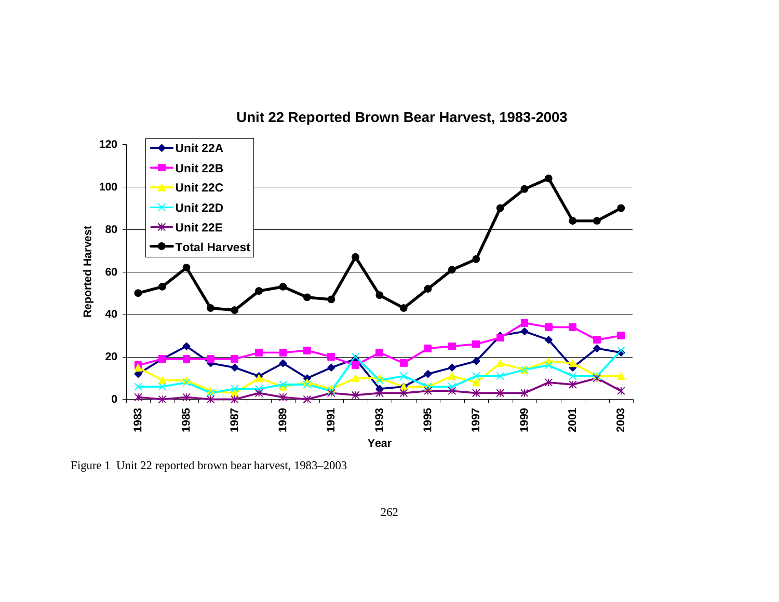

**Unit 22 Reported Brown Bear Harvest, 1983-2003**

Figure 1 Unit 22 reported brown bear harvest, 1983–2003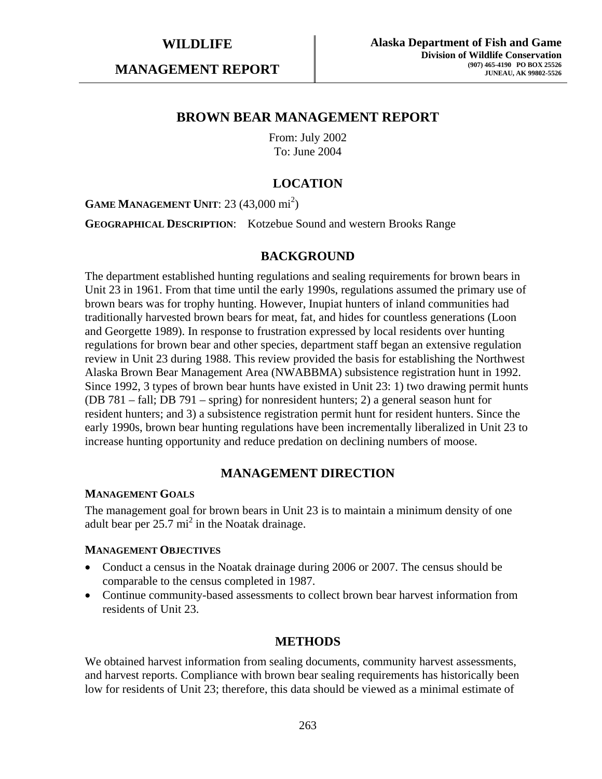**MANAGEMENT REPORT** 

## **BROWN BEAR MANAGEMENT REPORT**

From: July 2002 To: June 2004

# **LOCATION**

**GAME MANAGEMENT UNIT:** 23 (43,000 mi<sup>2</sup>)

**GEOGRAPHICAL DESCRIPTION**: Kotzebue Sound and western Brooks Range

## **BACKGROUND**

The department established hunting regulations and sealing requirements for brown bears in Unit 23 in 1961. From that time until the early 1990s, regulations assumed the primary use of brown bears was for trophy hunting. However, Inupiat hunters of inland communities had traditionally harvested brown bears for meat, fat, and hides for countless generations (Loon and Georgette 1989). In response to frustration expressed by local residents over hunting regulations for brown bear and other species, department staff began an extensive regulation review in Unit 23 during 1988. This review provided the basis for establishing the Northwest Alaska Brown Bear Management Area (NWABBMA) subsistence registration hunt in 1992. Since 1992, 3 types of brown bear hunts have existed in Unit 23: 1) two drawing permit hunts (DB 781 – fall; DB 791 – spring) for nonresident hunters; 2) a general season hunt for resident hunters; and 3) a subsistence registration permit hunt for resident hunters. Since the early 1990s, brown bear hunting regulations have been incrementally liberalized in Unit 23 to increase hunting opportunity and reduce predation on declining numbers of moose.

## **MANAGEMENT DIRECTION**

### **MANAGEMENT GOALS**

The management goal for brown bears in Unit 23 is to maintain a minimum density of one adult bear per  $25.7 \text{ mi}^2$  in the Noatak drainage.

### **MANAGEMENT OBJECTIVES**

- Conduct a census in the Noatak drainage during 2006 or 2007. The census should be comparable to the census completed in 1987.
- Continue community-based assessments to collect brown bear harvest information from residents of Unit 23.

## **METHODS**

We obtained harvest information from sealing documents, community harvest assessments, and harvest reports. Compliance with brown bear sealing requirements has historically been low for residents of Unit 23; therefore, this data should be viewed as a minimal estimate of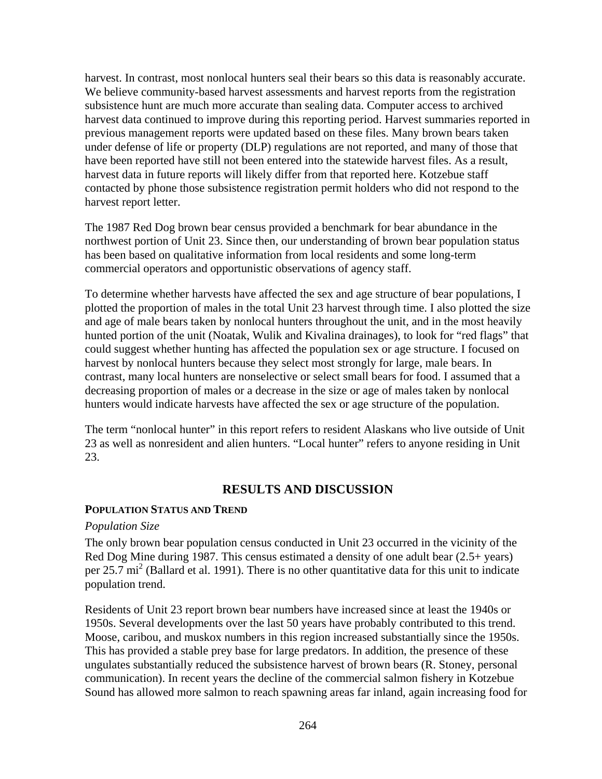harvest. In contrast, most nonlocal hunters seal their bears so this data is reasonably accurate. We believe community-based harvest assessments and harvest reports from the registration subsistence hunt are much more accurate than sealing data. Computer access to archived harvest data continued to improve during this reporting period. Harvest summaries reported in previous management reports were updated based on these files. Many brown bears taken under defense of life or property (DLP) regulations are not reported, and many of those that have been reported have still not been entered into the statewide harvest files. As a result, harvest data in future reports will likely differ from that reported here. Kotzebue staff contacted by phone those subsistence registration permit holders who did not respond to the harvest report letter.

The 1987 Red Dog brown bear census provided a benchmark for bear abundance in the northwest portion of Unit 23. Since then, our understanding of brown bear population status has been based on qualitative information from local residents and some long-term commercial operators and opportunistic observations of agency staff.

To determine whether harvests have affected the sex and age structure of bear populations, I plotted the proportion of males in the total Unit 23 harvest through time. I also plotted the size and age of male bears taken by nonlocal hunters throughout the unit, and in the most heavily hunted portion of the unit (Noatak, Wulik and Kivalina drainages), to look for "red flags" that could suggest whether hunting has affected the population sex or age structure. I focused on harvest by nonlocal hunters because they select most strongly for large, male bears. In contrast, many local hunters are nonselective or select small bears for food. I assumed that a decreasing proportion of males or a decrease in the size or age of males taken by nonlocal hunters would indicate harvests have affected the sex or age structure of the population.

The term "nonlocal hunter" in this report refers to resident Alaskans who live outside of Unit 23 as well as nonresident and alien hunters. "Local hunter" refers to anyone residing in Unit 23.

## **RESULTS AND DISCUSSION**

## **POPULATION STATUS AND TREND**

### *Population Size*

The only brown bear population census conducted in Unit 23 occurred in the vicinity of the Red Dog Mine during 1987. This census estimated a density of one adult bear (2.5+ years) per 25.7 mi<sup>2</sup> (Ballard et al. 1991). There is no other quantitative data for this unit to indicate population trend.

Residents of Unit 23 report brown bear numbers have increased since at least the 1940s or 1950s. Several developments over the last 50 years have probably contributed to this trend. Moose, caribou, and muskox numbers in this region increased substantially since the 1950s. This has provided a stable prey base for large predators. In addition, the presence of these ungulates substantially reduced the subsistence harvest of brown bears (R. Stoney, personal communication). In recent years the decline of the commercial salmon fishery in Kotzebue Sound has allowed more salmon to reach spawning areas far inland, again increasing food for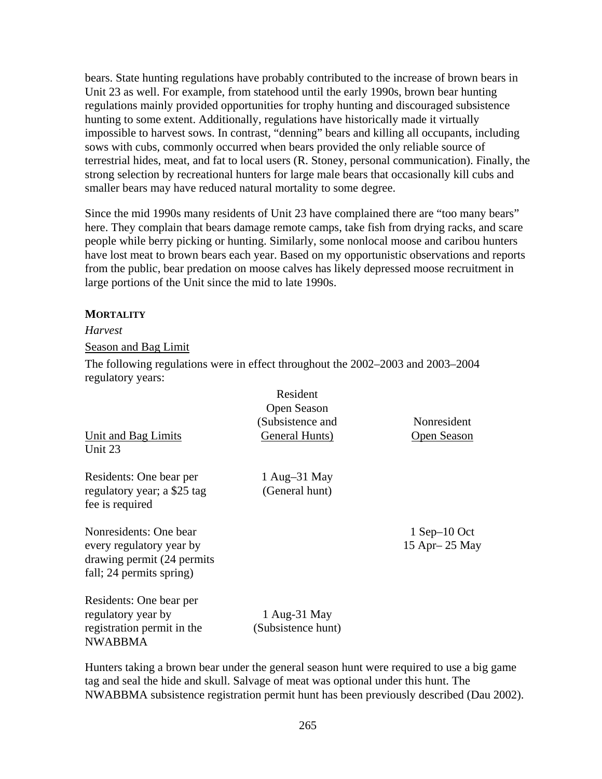bears. State hunting regulations have probably contributed to the increase of brown bears in Unit 23 as well. For example, from statehood until the early 1990s, brown bear hunting regulations mainly provided opportunities for trophy hunting and discouraged subsistence hunting to some extent. Additionally, regulations have historically made it virtually impossible to harvest sows. In contrast, "denning" bears and killing all occupants, including sows with cubs, commonly occurred when bears provided the only reliable source of terrestrial hides, meat, and fat to local users (R. Stoney, personal communication). Finally, the strong selection by recreational hunters for large male bears that occasionally kill cubs and smaller bears may have reduced natural mortality to some degree.

Since the mid 1990s many residents of Unit 23 have complained there are "too many bears" here. They complain that bears damage remote camps, take fish from drying racks, and scare people while berry picking or hunting. Similarly, some nonlocal moose and caribou hunters have lost meat to brown bears each year. Based on my opportunistic observations and reports from the public, bear predation on moose calves has likely depressed moose recruitment in large portions of the Unit since the mid to late 1990s.

## **MORTALITY**

## *Harvest*

Season and Bag Limit

The following regulations were in effect throughout the 2002–2003 and 2003–2004 regulatory years:

|                             | Resident           |                    |
|-----------------------------|--------------------|--------------------|
|                             | Open Season        |                    |
|                             | (Subsistence and   | Nonresident        |
| Unit and Bag Limits         | General Hunts)     | <b>Open Season</b> |
| Unit 23                     |                    |                    |
| Residents: One bear per     | 1 Aug $-31$ May    |                    |
| regulatory year; a \$25 tag | (General hunt)     |                    |
| fee is required             |                    |                    |
| Nonresidents: One bear      |                    | $1$ Sep-10 Oct     |
| every regulatory year by    |                    | 15 Apr - 25 May    |
| drawing permit (24 permits  |                    |                    |
| fall; 24 permits spring)    |                    |                    |
| Residents: One bear per     |                    |                    |
| regulatory year by          | 1 Aug-31 May       |                    |
| registration permit in the  | (Subsistence hunt) |                    |
| <b>NWABBMA</b>              |                    |                    |
|                             |                    |                    |

Hunters taking a brown bear under the general season hunt were required to use a big game tag and seal the hide and skull. Salvage of meat was optional under this hunt. The NWABBMA subsistence registration permit hunt has been previously described (Dau 2002).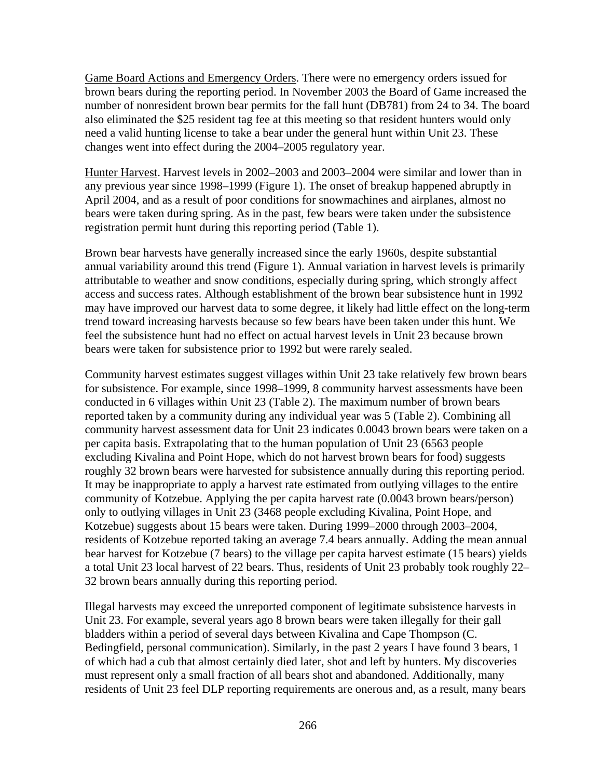Game Board Actions and Emergency Orders. There were no emergency orders issued for brown bears during the reporting period. In November 2003 the Board of Game increased the number of nonresident brown bear permits for the fall hunt (DB781) from 24 to 34. The board also eliminated the \$25 resident tag fee at this meeting so that resident hunters would only need a valid hunting license to take a bear under the general hunt within Unit 23. These changes went into effect during the 2004–2005 regulatory year.

Hunter Harvest. Harvest levels in 2002–2003 and 2003–2004 were similar and lower than in any previous year since 1998–1999 (Figure 1). The onset of breakup happened abruptly in April 2004, and as a result of poor conditions for snowmachines and airplanes, almost no bears were taken during spring. As in the past, few bears were taken under the subsistence registration permit hunt during this reporting period (Table 1).

Brown bear harvests have generally increased since the early 1960s, despite substantial annual variability around this trend (Figure 1). Annual variation in harvest levels is primarily attributable to weather and snow conditions, especially during spring, which strongly affect access and success rates. Although establishment of the brown bear subsistence hunt in 1992 may have improved our harvest data to some degree, it likely had little effect on the long-term trend toward increasing harvests because so few bears have been taken under this hunt. We feel the subsistence hunt had no effect on actual harvest levels in Unit 23 because brown bears were taken for subsistence prior to 1992 but were rarely sealed.

Community harvest estimates suggest villages within Unit 23 take relatively few brown bears for subsistence. For example, since 1998–1999, 8 community harvest assessments have been conducted in 6 villages within Unit 23 (Table 2). The maximum number of brown bears reported taken by a community during any individual year was 5 (Table 2). Combining all community harvest assessment data for Unit 23 indicates 0.0043 brown bears were taken on a per capita basis. Extrapolating that to the human population of Unit 23 (6563 people excluding Kivalina and Point Hope, which do not harvest brown bears for food) suggests roughly 32 brown bears were harvested for subsistence annually during this reporting period. It may be inappropriate to apply a harvest rate estimated from outlying villages to the entire community of Kotzebue. Applying the per capita harvest rate (0.0043 brown bears/person) only to outlying villages in Unit 23 (3468 people excluding Kivalina, Point Hope, and Kotzebue) suggests about 15 bears were taken. During 1999–2000 through 2003–2004, residents of Kotzebue reported taking an average 7.4 bears annually. Adding the mean annual bear harvest for Kotzebue (7 bears) to the village per capita harvest estimate (15 bears) yields a total Unit 23 local harvest of 22 bears. Thus, residents of Unit 23 probably took roughly 22– 32 brown bears annually during this reporting period.

Illegal harvests may exceed the unreported component of legitimate subsistence harvests in Unit 23. For example, several years ago 8 brown bears were taken illegally for their gall bladders within a period of several days between Kivalina and Cape Thompson (C. Bedingfield, personal communication). Similarly, in the past 2 years I have found 3 bears, 1 of which had a cub that almost certainly died later, shot and left by hunters. My discoveries must represent only a small fraction of all bears shot and abandoned. Additionally, many residents of Unit 23 feel DLP reporting requirements are onerous and, as a result, many bears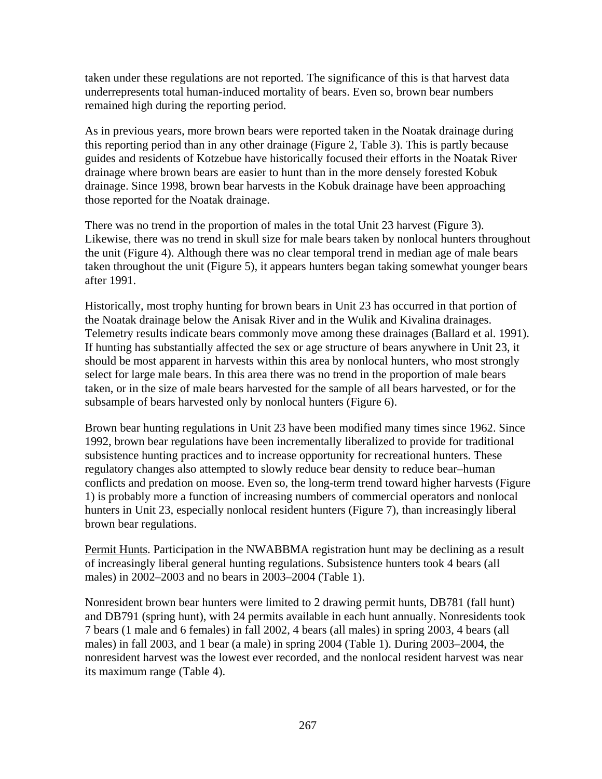taken under these regulations are not reported. The significance of this is that harvest data underrepresents total human-induced mortality of bears. Even so, brown bear numbers remained high during the reporting period.

As in previous years, more brown bears were reported taken in the Noatak drainage during this reporting period than in any other drainage (Figure 2, Table 3). This is partly because guides and residents of Kotzebue have historically focused their efforts in the Noatak River drainage where brown bears are easier to hunt than in the more densely forested Kobuk drainage. Since 1998, brown bear harvests in the Kobuk drainage have been approaching those reported for the Noatak drainage.

There was no trend in the proportion of males in the total Unit 23 harvest (Figure 3). Likewise, there was no trend in skull size for male bears taken by nonlocal hunters throughout the unit (Figure 4). Although there was no clear temporal trend in median age of male bears taken throughout the unit (Figure 5), it appears hunters began taking somewhat younger bears after 1991.

Historically, most trophy hunting for brown bears in Unit 23 has occurred in that portion of the Noatak drainage below the Anisak River and in the Wulik and Kivalina drainages. Telemetry results indicate bears commonly move among these drainages (Ballard et al. 1991). If hunting has substantially affected the sex or age structure of bears anywhere in Unit 23, it should be most apparent in harvests within this area by nonlocal hunters, who most strongly select for large male bears. In this area there was no trend in the proportion of male bears taken, or in the size of male bears harvested for the sample of all bears harvested, or for the subsample of bears harvested only by nonlocal hunters (Figure 6).

Brown bear hunting regulations in Unit 23 have been modified many times since 1962. Since 1992, brown bear regulations have been incrementally liberalized to provide for traditional subsistence hunting practices and to increase opportunity for recreational hunters. These regulatory changes also attempted to slowly reduce bear density to reduce bear–human conflicts and predation on moose. Even so, the long-term trend toward higher harvests (Figure 1) is probably more a function of increasing numbers of commercial operators and nonlocal hunters in Unit 23, especially nonlocal resident hunters (Figure 7), than increasingly liberal brown bear regulations.

Permit Hunts. Participation in the NWABBMA registration hunt may be declining as a result of increasingly liberal general hunting regulations. Subsistence hunters took 4 bears (all males) in 2002–2003 and no bears in 2003–2004 (Table 1).

Nonresident brown bear hunters were limited to 2 drawing permit hunts, DB781 (fall hunt) and DB791 (spring hunt), with 24 permits available in each hunt annually. Nonresidents took 7 bears (1 male and 6 females) in fall 2002, 4 bears (all males) in spring 2003, 4 bears (all males) in fall 2003, and 1 bear (a male) in spring 2004 (Table 1). During 2003–2004, the nonresident harvest was the lowest ever recorded, and the nonlocal resident harvest was near its maximum range (Table 4).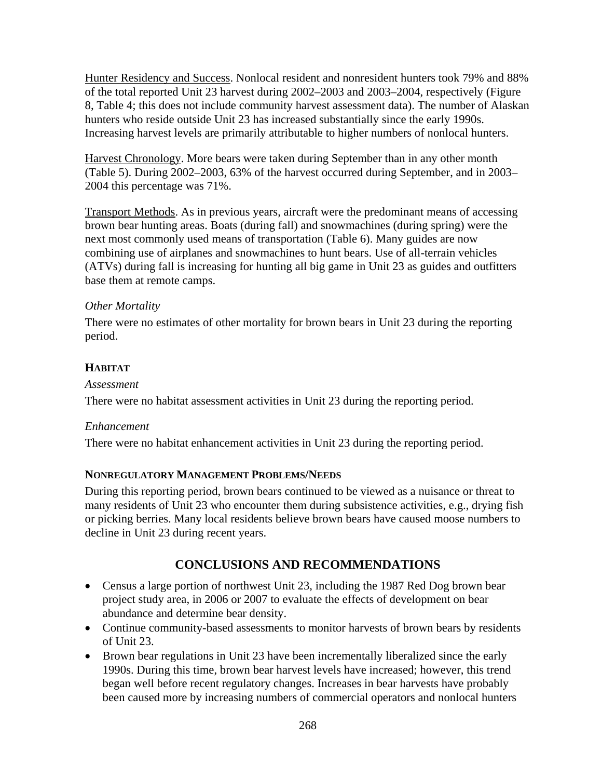Hunter Residency and Success. Nonlocal resident and nonresident hunters took 79% and 88% of the total reported Unit 23 harvest during 2002–2003 and 2003–2004, respectively (Figure 8, Table 4; this does not include community harvest assessment data). The number of Alaskan hunters who reside outside Unit 23 has increased substantially since the early 1990s. Increasing harvest levels are primarily attributable to higher numbers of nonlocal hunters.

Harvest Chronology. More bears were taken during September than in any other month (Table 5). During 2002–2003, 63% of the harvest occurred during September, and in 2003– 2004 this percentage was 71%.

Transport Methods. As in previous years, aircraft were the predominant means of accessing brown bear hunting areas. Boats (during fall) and snowmachines (during spring) were the next most commonly used means of transportation (Table 6). Many guides are now combining use of airplanes and snowmachines to hunt bears. Use of all-terrain vehicles (ATVs) during fall is increasing for hunting all big game in Unit 23 as guides and outfitters base them at remote camps.

## *Other Mortality*

There were no estimates of other mortality for brown bears in Unit 23 during the reporting period.

# **HABITAT**

## *Assessment*

There were no habitat assessment activities in Unit 23 during the reporting period.

# *Enhancement*

There were no habitat enhancement activities in Unit 23 during the reporting period.

# **NONREGULATORY MANAGEMENT PROBLEMS/NEEDS**

During this reporting period, brown bears continued to be viewed as a nuisance or threat to many residents of Unit 23 who encounter them during subsistence activities, e.g., drying fish or picking berries. Many local residents believe brown bears have caused moose numbers to decline in Unit 23 during recent years.

# **CONCLUSIONS AND RECOMMENDATIONS**

- Census a large portion of northwest Unit 23, including the 1987 Red Dog brown bear project study area, in 2006 or 2007 to evaluate the effects of development on bear abundance and determine bear density.
- Continue community-based assessments to monitor harvests of brown bears by residents of Unit 23.
- Brown bear regulations in Unit 23 have been incrementally liberalized since the early 1990s. During this time, brown bear harvest levels have increased; however, this trend began well before recent regulatory changes. Increases in bear harvests have probably been caused more by increasing numbers of commercial operators and nonlocal hunters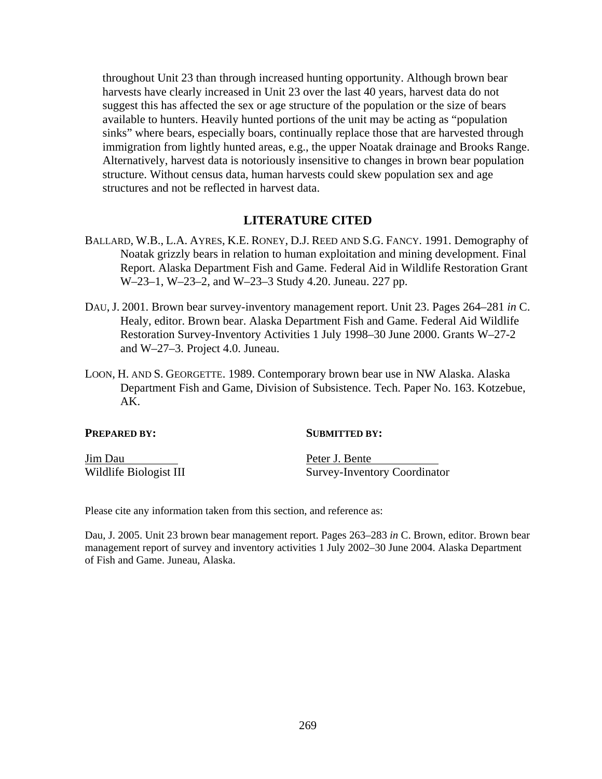throughout Unit 23 than through increased hunting opportunity. Although brown bear harvests have clearly increased in Unit 23 over the last 40 years, harvest data do not suggest this has affected the sex or age structure of the population or the size of bears available to hunters. Heavily hunted portions of the unit may be acting as "population sinks" where bears, especially boars, continually replace those that are harvested through immigration from lightly hunted areas, e.g., the upper Noatak drainage and Brooks Range. Alternatively, harvest data is notoriously insensitive to changes in brown bear population structure. Without census data, human harvests could skew population sex and age structures and not be reflected in harvest data.

## **LITERATURE CITED**

- BALLARD, W.B., L.A. AYRES, K.E. RONEY, D.J. REED AND S.G. FANCY. 1991. Demography of Noatak grizzly bears in relation to human exploitation and mining development. Final Report. Alaska Department Fish and Game. Federal Aid in Wildlife Restoration Grant W–23–1, W–23–2, and W–23–3 Study 4.20. Juneau. 227 pp.
- DAU, J. 2001. Brown bear survey-inventory management report. Unit 23. Pages 264–281 *in* C. Healy, editor. Brown bear. Alaska Department Fish and Game. Federal Aid Wildlife Restoration Survey-Inventory Activities 1 July 1998–30 June 2000. Grants W–27-2 and W–27–3. Project 4.0. Juneau.
- LOON, H. AND S. GEORGETTE. 1989. Contemporary brown bear use in NW Alaska. Alaska Department Fish and Game, Division of Subsistence. Tech. Paper No. 163. Kotzebue, AK.

| <b>PREPARED BY:</b>    | <b>SUBMITTED BY:</b>                |
|------------------------|-------------------------------------|
| Jim Dau                | Peter J. Bente                      |
| Wildlife Biologist III | <b>Survey-Inventory Coordinator</b> |

Please cite any information taken from this section, and reference as:

Dau, J. 2005. Unit 23 brown bear management report. Pages 263–283 *in* C. Brown, editor. Brown bear management report of survey and inventory activities 1 July 2002–30 June 2004. Alaska Department of Fish and Game. Juneau, Alaska.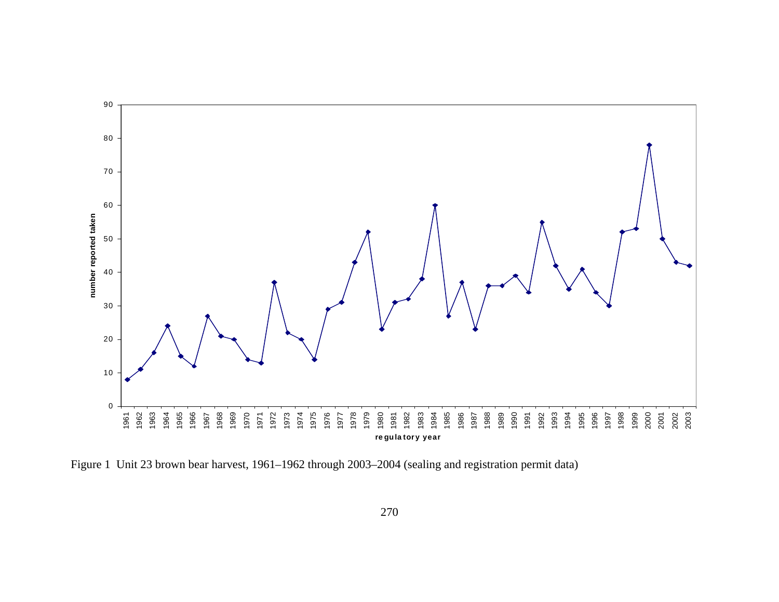

Figure 1 Unit 23 brown bear harvest, 1961–1962 through 2003–2004 (sealing and registration permit data)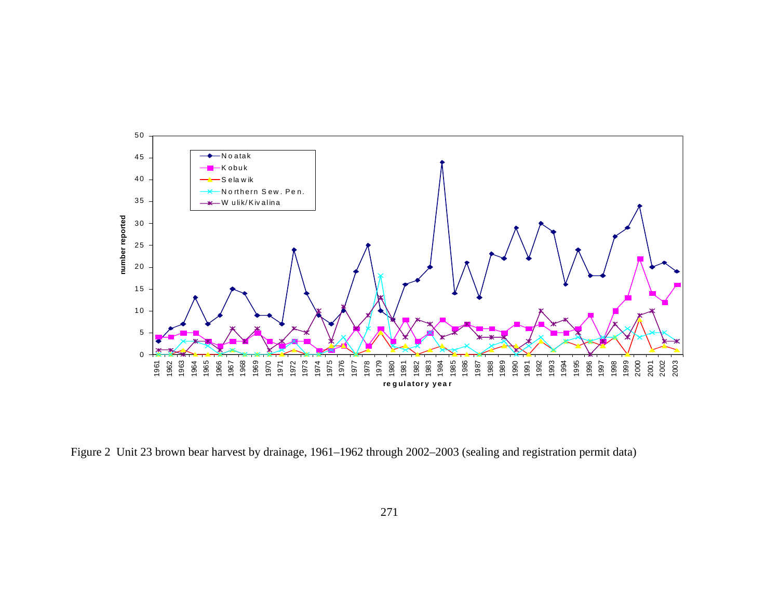

Figure 2 Unit 23 brown bear harvest by drainage, 1961–1962 through 2002–2003 (sealing and registration permit data)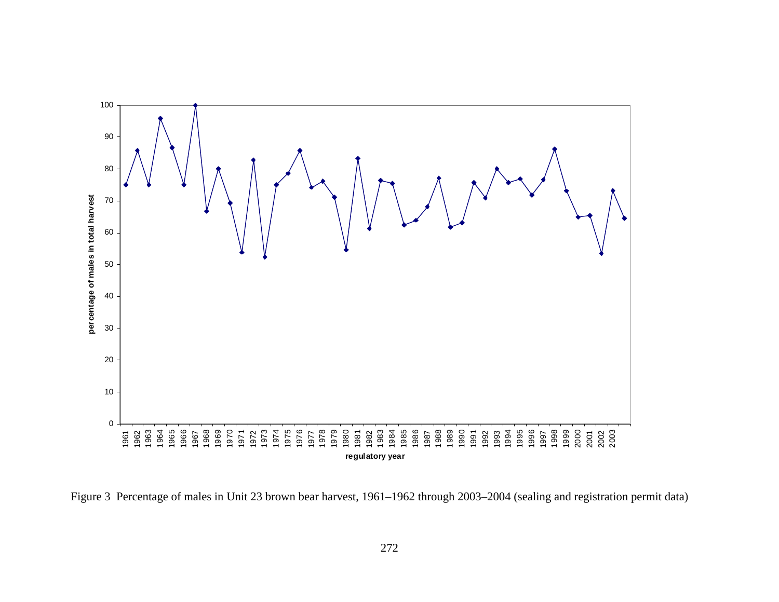

Figure 3 Percentage of males in Unit 23 brown bear harvest, 1961–1962 through 2003–2004 (sealing and registration permit data)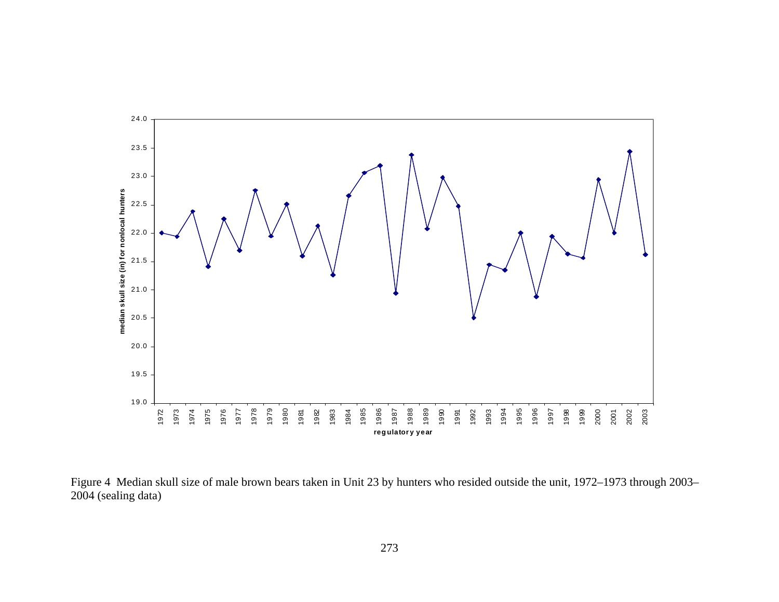

Figure 4 Median skull size of male brown bears taken in Unit 23 by hunters who resided outside the unit, 1972–1973 through 2003– 2004 (sealing data)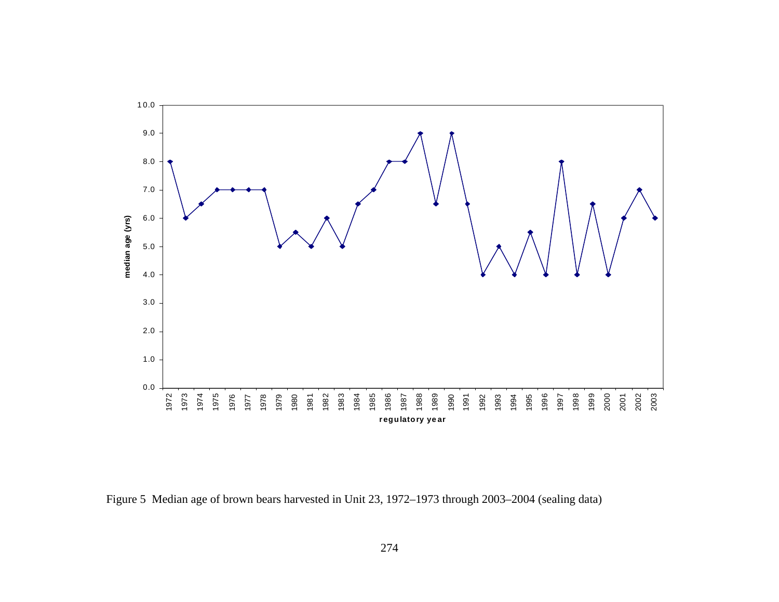

Figure 5 Median age of brown bears harvested in Unit 23, 1972–1973 through 2003–2004 (sealing data)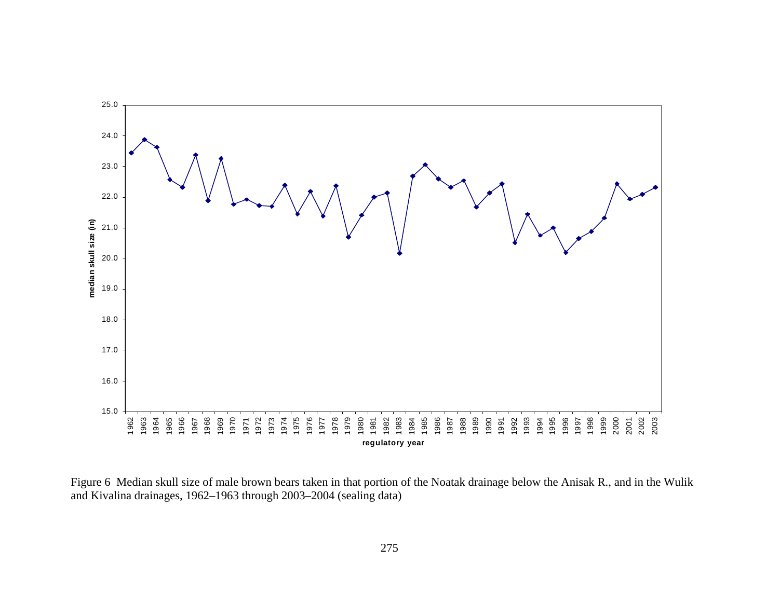

Figure 6 Median skull size of male brown bears taken in that portion of the Noatak drainage below the Anisak R., and in the Wulik and Kivalina drainages, 1962–1963 through 2003–2004 (sealing data)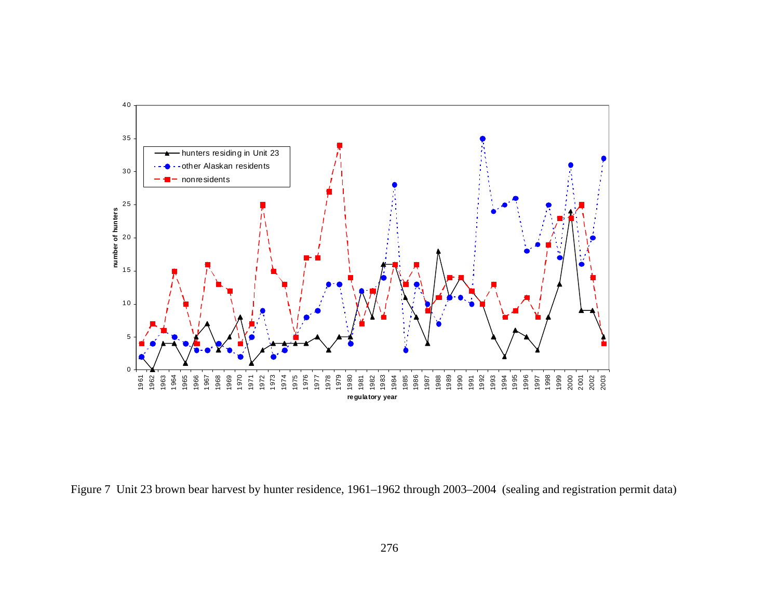

Figure 7 Unit 23 brown bear harvest by hunter residence, 1961–1962 through 2003–2004 (sealing and registration permit data)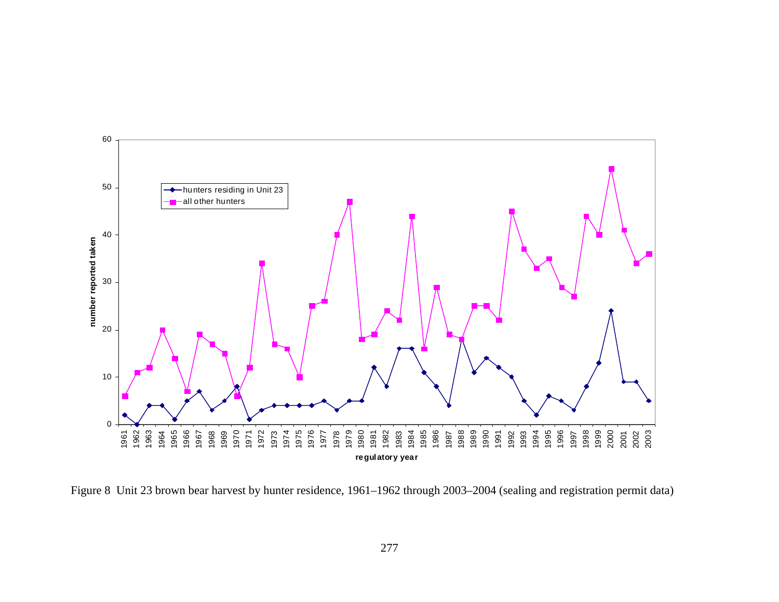

Figure 8 Unit 23 brown bear harvest by hunter residence, 1961–1962 through 2003–2004 (sealing and registration permit data)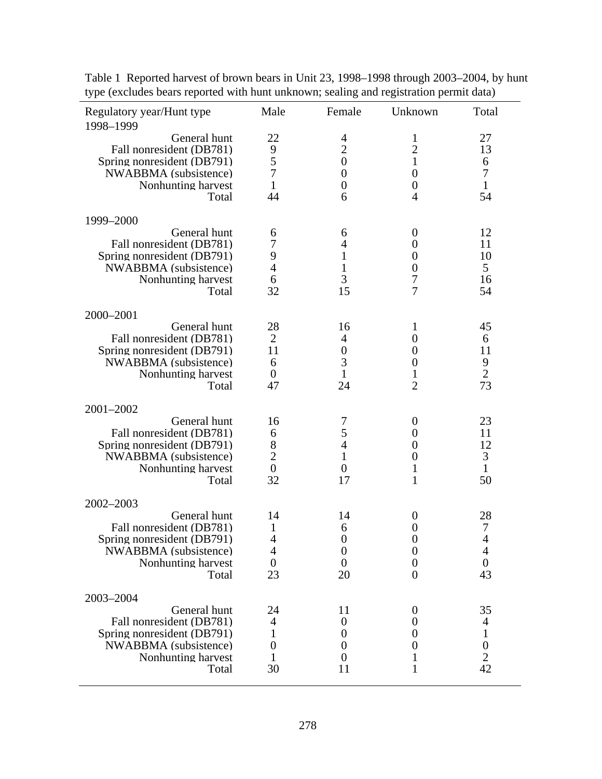| Regulatory year/Hunt type<br>1998-1999                                                                                         | Male                                             | Female                                                                               | Unknown                                                                                                          | Total                                                               |
|--------------------------------------------------------------------------------------------------------------------------------|--------------------------------------------------|--------------------------------------------------------------------------------------|------------------------------------------------------------------------------------------------------------------|---------------------------------------------------------------------|
| General hunt<br>Fall nonresident (DB781)<br>Spring nonresident (DB791)<br>NWABBMA (subsistence)<br>Nonhunting harvest<br>Total | 22<br>9<br>5<br>$\overline{7}$<br>1<br>44        | 4<br>$\overline{2}$<br>$\boldsymbol{0}$<br>$\boldsymbol{0}$<br>$\boldsymbol{0}$<br>6 | 1<br>$\overline{2}$<br>1<br>$\theta$<br>$\overline{0}$<br>$\overline{4}$                                         | 27<br>13<br>6<br>$\tau$<br>$\mathbf{1}$<br>54                       |
| 1999-2000                                                                                                                      |                                                  |                                                                                      |                                                                                                                  |                                                                     |
| General hunt<br>Fall nonresident (DB781)<br>Spring nonresident (DB791)<br>NWABBMA (subsistence)<br>Nonhunting harvest<br>Total | 6<br>7<br>9<br>4<br>6<br>32                      | 6<br>4<br>$\mathbf{1}$<br>$\mathbf{1}$<br>3<br>15                                    | $\theta$<br>$\boldsymbol{0}$<br>$\overline{0}$<br>$\theta$<br>7<br>7                                             | 12<br>11<br>10<br>5<br>16<br>54                                     |
| 2000-2001                                                                                                                      |                                                  |                                                                                      |                                                                                                                  |                                                                     |
| General hunt<br>Fall nonresident (DB781)<br>Spring nonresident (DB791)<br>NWABBMA (subsistence)<br>Nonhunting harvest<br>Total | 28<br>2<br>11<br>6<br>$\theta$<br>47             | 16<br>4<br>$\overline{0}$<br>3<br>1<br>24                                            | 1<br>$\boldsymbol{0}$<br>$\overline{0}$<br>$\overline{0}$<br>1<br>$\overline{2}$                                 | 45<br>6<br>11<br>9<br>$\overline{2}$<br>73                          |
| 2001-2002                                                                                                                      |                                                  |                                                                                      |                                                                                                                  |                                                                     |
| General hunt<br>Fall nonresident (DB781)<br>Spring nonresident (DB791)<br>NWABBMA (subsistence)<br>Nonhunting harvest<br>Total | 16<br>6<br>8<br>$\overline{2}$<br>$\theta$<br>32 | 7<br>5<br>4<br>$\mathbf{1}$<br>$\theta$<br>17                                        | $\theta$<br>$\boldsymbol{0}$<br>$\overline{0}$<br>$\theta$<br>1<br>1                                             | 23<br>11<br>12<br>3<br>$\mathbf{1}$<br>50                           |
| 2002-2003                                                                                                                      |                                                  |                                                                                      |                                                                                                                  |                                                                     |
| General hunt<br>Fall nonresident (DB781)<br>Spring nonresident (DB791)<br>NWABBMA (subsistence)<br>Nonhunting harvest<br>Total | 14<br>1<br>$\overline{4}$<br>4<br>$\theta$<br>23 | 14<br>6<br>$\boldsymbol{0}$<br>$\overline{0}$<br>$\overline{0}$<br>20                | $\overline{0}$<br>$\boldsymbol{0}$<br>$\boldsymbol{0}$<br>$\boldsymbol{0}$<br>$\boldsymbol{0}$<br>$\overline{0}$ | 28<br>7<br>4<br>$\overline{4}$<br>$\boldsymbol{0}$<br>43            |
| 2003-2004                                                                                                                      |                                                  |                                                                                      |                                                                                                                  |                                                                     |
| General hunt<br>Fall nonresident (DB781)<br>Spring nonresident (DB791)<br>NWABBMA (subsistence)<br>Nonhunting harvest<br>Total | 24<br>4<br>1<br>$\boldsymbol{0}$<br>1<br>30      | 11<br>0<br>0<br>0<br>0<br>11                                                         | $\theta$<br>$\boldsymbol{0}$<br>0<br>0<br>1                                                                      | 35<br>4<br>$\mathbf{1}$<br>$\boldsymbol{0}$<br>$\overline{2}$<br>42 |

Table 1 Reported harvest of brown bears in Unit 23, 1998–1998 through 2003–2004, by hunt type (excludes bears reported with hunt unknown; sealing and registration permit data)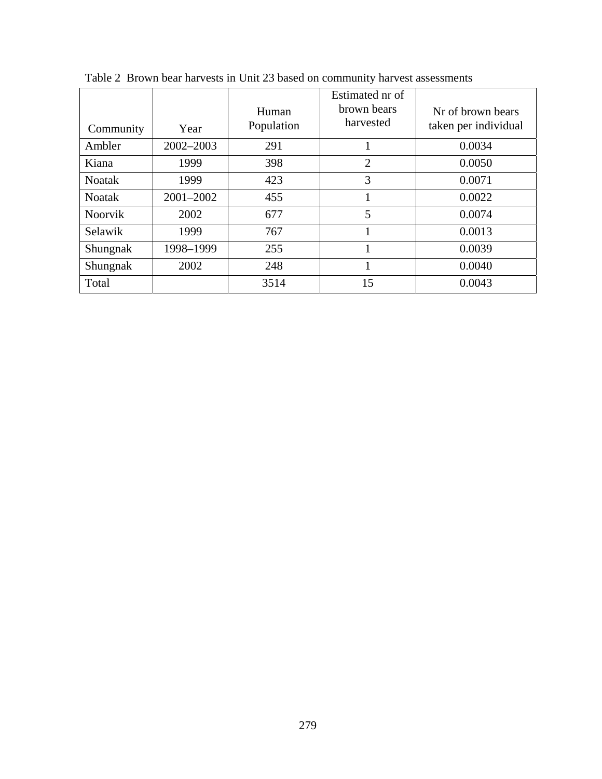| Community      | Year          | Human<br>Population | Estimated nr of<br>brown bears<br>harvested | Nr of brown bears<br>taken per individual |
|----------------|---------------|---------------------|---------------------------------------------|-------------------------------------------|
| Ambler         | $2002 - 2003$ | 291                 |                                             | 0.0034                                    |
| Kiana          | 1999          | 398                 | $\overline{2}$                              | 0.0050                                    |
| <b>Noatak</b>  | 1999          | 423                 | 3                                           | 0.0071                                    |
| <b>Noatak</b>  | 2001-2002     | 455                 |                                             | 0.0022                                    |
| <b>Noorvik</b> | 2002          | 677                 | 5                                           | 0.0074                                    |
| Selawik        | 1999          | 767                 |                                             | 0.0013                                    |
| Shungnak       | 1998-1999     | 255                 | 1                                           | 0.0039                                    |
| Shungnak       | 2002          | 248                 |                                             | 0.0040                                    |
| Total          |               | 3514                | 15                                          | 0.0043                                    |

Table 2 Brown bear harvests in Unit 23 based on community harvest assessments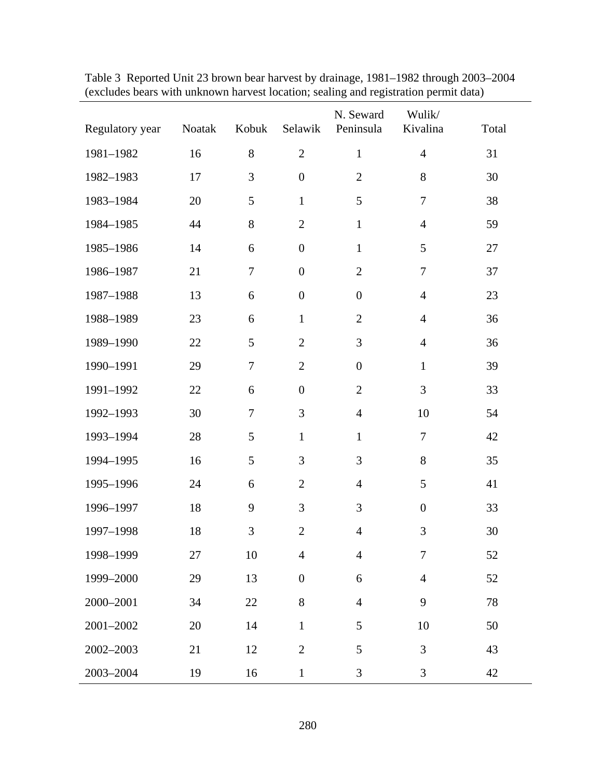| Regulatory year | Noatak | Kobuk            | Selawik          | N. Seward<br>Peninsula | Wulik/<br>Kivalina | Total |
|-----------------|--------|------------------|------------------|------------------------|--------------------|-------|
| 1981-1982       | 16     | $8\,$            | $\overline{2}$   | $\mathbf{1}$           | $\overline{4}$     | 31    |
| 1982-1983       | 17     | $\mathfrak{Z}$   | $\boldsymbol{0}$ | $\overline{2}$         | 8                  | 30    |
| 1983-1984       | 20     | 5                | $\mathbf{1}$     | 5                      | $\tau$             | 38    |
| 1984-1985       | 44     | $8\,$            | $\mathbf{2}$     | $\mathbf{1}$           | $\overline{4}$     | 59    |
| 1985-1986       | 14     | $\boldsymbol{6}$ | $\boldsymbol{0}$ | $\mathbf{1}$           | 5                  | 27    |
| 1986-1987       | 21     | $\tau$           | $\boldsymbol{0}$ | $\overline{2}$         | $\tau$             | 37    |
| 1987-1988       | 13     | $\boldsymbol{6}$ | $\boldsymbol{0}$ | $\boldsymbol{0}$       | $\overline{4}$     | 23    |
| 1988-1989       | 23     | $\boldsymbol{6}$ | $\mathbf{1}$     | $\mathbf{2}$           | $\overline{4}$     | 36    |
| 1989-1990       | 22     | 5                | $\mathbf{2}$     | 3                      | $\overline{4}$     | 36    |
| 1990-1991       | 29     | $\overline{7}$   | $\mathbf{2}$     | $\boldsymbol{0}$       | $\mathbf{1}$       | 39    |
| 1991-1992       | 22     | $\boldsymbol{6}$ | $\boldsymbol{0}$ | $\overline{2}$         | 3                  | 33    |
| 1992-1993       | 30     | $\tau$           | 3                | $\overline{4}$         | 10                 | 54    |
| 1993-1994       | 28     | 5                | $\mathbf{1}$     | $\mathbf{1}$           | $\tau$             | 42    |
| 1994-1995       | 16     | 5                | 3                | 3                      | $8\,$              | 35    |
| 1995-1996       | 24     | $\boldsymbol{6}$ | $\overline{2}$   | $\overline{4}$         | 5                  | 41    |
| 1996-1997       | 18     | $\overline{9}$   | 3                | 3                      | $\boldsymbol{0}$   | 33    |
| 1997-1998       | 18     | $\mathfrak{Z}$   | $\overline{2}$   | $\overline{4}$         | 3                  | 30    |
| 1998-1999       | 27     | 10               | $\overline{4}$   | $\overline{4}$         | 7                  | 52    |
| 1999-2000       | 29     | 13               | $\boldsymbol{0}$ | 6                      | $\overline{4}$     | 52    |
| 2000-2001       | 34     | 22               | 8                | $\overline{4}$         | 9                  | 78    |
| 2001-2002       | 20     | 14               | $\mathbf{1}$     | 5                      | 10                 | 50    |
| 2002-2003       | 21     | 12               | $\overline{2}$   | 5                      | 3                  | 43    |
| 2003-2004       | 19     | 16               | $\mathbf{1}$     | 3                      | 3                  | 42    |

Table 3 Reported Unit 23 brown bear harvest by drainage, 1981–1982 through 2003–2004 (excludes bears with unknown harvest location; sealing and registration permit data)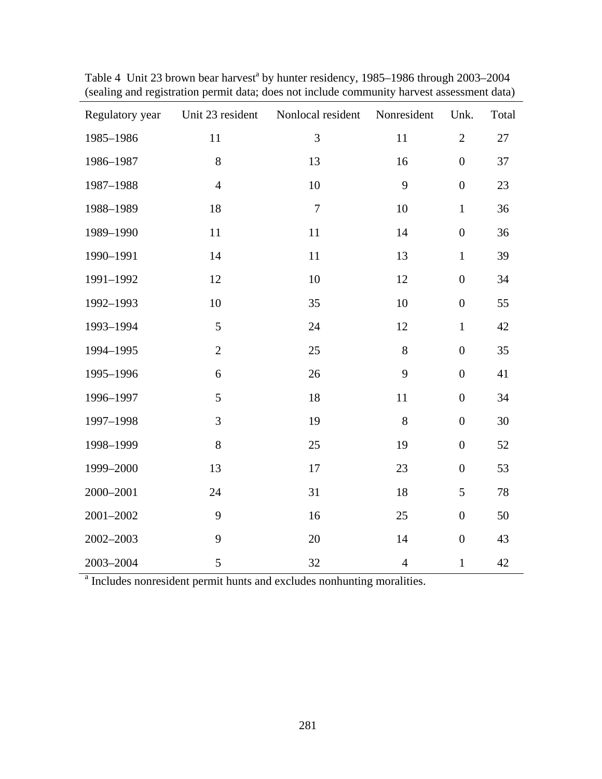| Regulatory year | Unit 23 resident | Nonlocal resident | Nonresident    | Unk.             | Total  |
|-----------------|------------------|-------------------|----------------|------------------|--------|
| 1985-1986       | 11               | 3                 | 11             | $\overline{2}$   | $27\,$ |
| 1986-1987       | $8\,$            | 13                | 16             | $\boldsymbol{0}$ | 37     |
| 1987-1988       | $\overline{4}$   | 10                | 9              | $\boldsymbol{0}$ | 23     |
| 1988-1989       | 18               | $\overline{7}$    | 10             | $\mathbf{1}$     | 36     |
| 1989-1990       | 11               | 11                | 14             | $\boldsymbol{0}$ | 36     |
| 1990-1991       | 14               | 11                | 13             | $\mathbf{1}$     | 39     |
| 1991-1992       | 12               | 10                | 12             | $\boldsymbol{0}$ | 34     |
| 1992-1993       | 10               | 35                | 10             | $\boldsymbol{0}$ | 55     |
| 1993-1994       | 5                | 24                | 12             | $\mathbf{1}$     | 42     |
| 1994-1995       | $\overline{2}$   | 25                | 8              | $\boldsymbol{0}$ | 35     |
| 1995-1996       | 6                | 26                | 9              | $\boldsymbol{0}$ | 41     |
| 1996-1997       | 5                | 18                | 11             | $\boldsymbol{0}$ | 34     |
| 1997-1998       | 3                | 19                | 8              | $\boldsymbol{0}$ | 30     |
| 1998-1999       | 8                | 25                | 19             | $\boldsymbol{0}$ | 52     |
| 1999-2000       | 13               | 17                | 23             | $\boldsymbol{0}$ | 53     |
| 2000-2001       | 24               | 31                | 18             | 5                | 78     |
| 2001-2002       | 9                | 16                | 25             | $\boldsymbol{0}$ | 50     |
| 2002-2003       | 9                | 20                | 14             | $\boldsymbol{0}$ | 43     |
| 2003-2004       | 5                | 32                | $\overline{4}$ | $\mathbf{1}$     | 42     |

Table 4 Unit 23 brown bear harvest<sup>a</sup> by hunter residency, 1985–1986 through 2003–2004 (sealing and registration permit data; does not include community harvest assessment data)

<sup>a</sup> Includes nonresident permit hunts and excludes nonhunting moralities.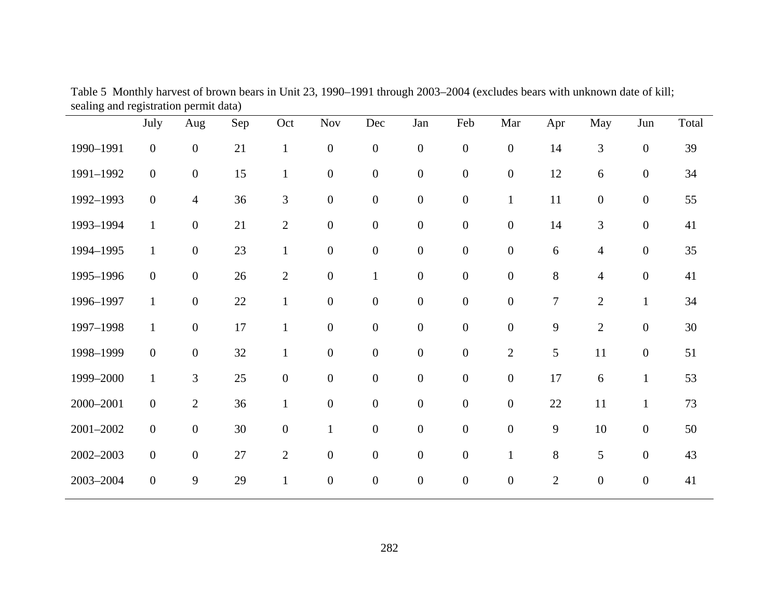|           | July             | Aug              | Sep | Oct              | <b>Nov</b>       | Dec              | Jan              | Feb              | Mar              | Apr            | May                      | Jun              | Total |
|-----------|------------------|------------------|-----|------------------|------------------|------------------|------------------|------------------|------------------|----------------|--------------------------|------------------|-------|
| 1990-1991 | $\boldsymbol{0}$ | $\boldsymbol{0}$ | 21  | $\mathbf{1}$     | $\boldsymbol{0}$ | $\boldsymbol{0}$ | $\overline{0}$   | $\boldsymbol{0}$ | $\boldsymbol{0}$ | 14             | 3                        | $\boldsymbol{0}$ | 39    |
| 1991-1992 | $\boldsymbol{0}$ | $\boldsymbol{0}$ | 15  | $\mathbf{1}$     | $\boldsymbol{0}$ | $\boldsymbol{0}$ | $\boldsymbol{0}$ | $\boldsymbol{0}$ | $\boldsymbol{0}$ | 12             | 6                        | $\boldsymbol{0}$ | 34    |
| 1992-1993 | $\boldsymbol{0}$ | $\overline{4}$   | 36  | 3                | $\boldsymbol{0}$ | $\boldsymbol{0}$ | $\boldsymbol{0}$ | $\boldsymbol{0}$ | $\mathbf{1}$     | 11             | $\boldsymbol{0}$         | $\boldsymbol{0}$ | 55    |
| 1993-1994 | $\mathbf{1}$     | $\boldsymbol{0}$ | 21  | $\mathbf{2}$     | $\boldsymbol{0}$ | $\boldsymbol{0}$ | $\boldsymbol{0}$ | $\boldsymbol{0}$ | $\boldsymbol{0}$ | 14             | $\mathfrak{Z}$           | $\boldsymbol{0}$ | 41    |
| 1994-1995 | $\mathbf{1}$     | $\boldsymbol{0}$ | 23  | $\mathbf{1}$     | $\boldsymbol{0}$ | $\boldsymbol{0}$ | $\boldsymbol{0}$ | $\boldsymbol{0}$ | $\boldsymbol{0}$ | 6              | $\overline{4}$           | $\boldsymbol{0}$ | 35    |
| 1995-1996 | $\mathbf{0}$     | $\boldsymbol{0}$ | 26  | $\overline{2}$   | $\boldsymbol{0}$ | $\mathbf{1}$     | $\boldsymbol{0}$ | $\boldsymbol{0}$ | $\boldsymbol{0}$ | 8              | $\overline{\mathcal{A}}$ | $\boldsymbol{0}$ | 41    |
| 1996-1997 | $\mathbf{1}$     | $\boldsymbol{0}$ | 22  | $\mathbf{1}$     | $\boldsymbol{0}$ | $\boldsymbol{0}$ | $\boldsymbol{0}$ | $\boldsymbol{0}$ | $\boldsymbol{0}$ | $\overline{7}$ | $\mathbf{2}$             | $\mathbf{1}$     | 34    |
| 1997-1998 | $\mathbf{1}$     | $\boldsymbol{0}$ | 17  | $\mathbf{1}$     | $\boldsymbol{0}$ | $\boldsymbol{0}$ | $\boldsymbol{0}$ | $\boldsymbol{0}$ | $\boldsymbol{0}$ | 9              | $\mathbf{2}$             | $\boldsymbol{0}$ | 30    |
| 1998-1999 | $\boldsymbol{0}$ | $\boldsymbol{0}$ | 32  | $\mathbf{1}$     | $\boldsymbol{0}$ | $\boldsymbol{0}$ | $\boldsymbol{0}$ | $\boldsymbol{0}$ | $\overline{2}$   | 5              | 11                       | $\boldsymbol{0}$ | 51    |
| 1999-2000 | $\mathbf{1}$     | $\mathfrak{Z}$   | 25  | $\boldsymbol{0}$ | $\boldsymbol{0}$ | $\boldsymbol{0}$ | $\boldsymbol{0}$ | $\boldsymbol{0}$ | $\boldsymbol{0}$ | 17             | 6                        | $\mathbf{1}$     | 53    |
| 2000-2001 | $\boldsymbol{0}$ | $\sqrt{2}$       | 36  | $\mathbf{1}$     | $\boldsymbol{0}$ | $\boldsymbol{0}$ | $\boldsymbol{0}$ | $\boldsymbol{0}$ | $\boldsymbol{0}$ | 22             | 11                       | $\mathbf{1}$     | 73    |
| 2001-2002 | $\boldsymbol{0}$ | $\boldsymbol{0}$ | 30  | $\boldsymbol{0}$ | $\mathbf{1}$     | $\boldsymbol{0}$ | $\overline{0}$   | $\boldsymbol{0}$ | $\boldsymbol{0}$ | 9              | 10                       | $\boldsymbol{0}$ | 50    |
| 2002-2003 | $\boldsymbol{0}$ | $\boldsymbol{0}$ | 27  | $\overline{2}$   | $\boldsymbol{0}$ | $\boldsymbol{0}$ | $\boldsymbol{0}$ | $\boldsymbol{0}$ | $\mathbf{1}$     | 8              | 5                        | $\boldsymbol{0}$ | 43    |
| 2003-2004 | $\boldsymbol{0}$ | 9                | 29  | $\mathbf{1}$     | $\boldsymbol{0}$ | $\boldsymbol{0}$ | $\boldsymbol{0}$ | $\boldsymbol{0}$ | $\boldsymbol{0}$ | $\mathbf{2}$   | $\boldsymbol{0}$         | $\boldsymbol{0}$ | 41    |

Table 5 Monthly harvest of brown bears in Unit 23, 1990–1991 through 2003–2004 (excludes bears with unknown date of kill; sealing and registration permit data)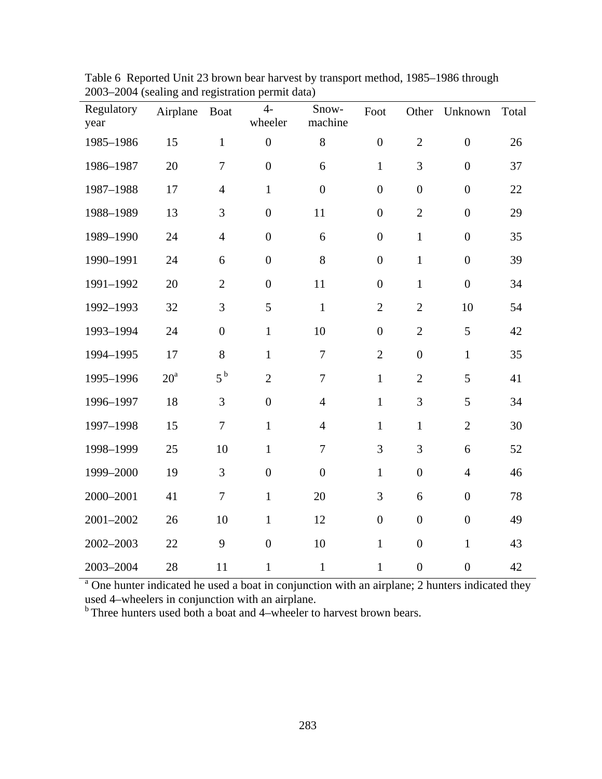| Regulatory<br>year | Airplane     | <b>Boat</b>      | $4-$<br>wheeler  | Snow-<br>machine | Foot             | Other            | Unknown          | Total |
|--------------------|--------------|------------------|------------------|------------------|------------------|------------------|------------------|-------|
| 1985-1986          | 15           | $\mathbf{1}$     | $\boldsymbol{0}$ | 8                | $\boldsymbol{0}$ | $\mathbf{2}$     | $\boldsymbol{0}$ | 26    |
| 1986-1987          | 20           | $\tau$           | $\boldsymbol{0}$ | 6                | $\mathbf{1}$     | 3                | $\boldsymbol{0}$ | 37    |
| 1987-1988          | 17           | $\overline{4}$   | $\mathbf{1}$     | $\overline{0}$   | $\overline{0}$   | $\overline{0}$   | $\overline{0}$   | 22    |
| 1988-1989          | 13           | 3                | $\boldsymbol{0}$ | 11               | $\overline{0}$   | $\overline{2}$   | $\overline{0}$   | 29    |
| 1989-1990          | 24           | $\overline{4}$   | $\boldsymbol{0}$ | 6                | $\overline{0}$   | $\mathbf{1}$     | $\boldsymbol{0}$ | 35    |
| 1990-1991          | 24           | 6                | $\boldsymbol{0}$ | 8                | $\overline{0}$   | $\mathbf{1}$     | $\boldsymbol{0}$ | 39    |
| 1991-1992          | 20           | $\overline{2}$   | $\boldsymbol{0}$ | 11               | $\overline{0}$   | $\mathbf{1}$     | $\boldsymbol{0}$ | 34    |
| 1992-1993          | 32           | 3                | 5                | $\mathbf{1}$     | $\overline{2}$   | $\overline{2}$   | 10               | 54    |
| 1993-1994          | 24           | $\boldsymbol{0}$ | $\mathbf{1}$     | 10               | $\boldsymbol{0}$ | $\overline{2}$   | 5                | 42    |
| 1994-1995          | 17           | 8                | $\mathbf{1}$     | $\tau$           | $\overline{2}$   | $\boldsymbol{0}$ | $\mathbf{1}$     | 35    |
| 1995-1996          | $20^{\rm a}$ | 5 <sup>b</sup>   | $\overline{2}$   | $\overline{7}$   | $\mathbf{1}$     | $\overline{2}$   | 5                | 41    |
| 1996-1997          | 18           | 3                | $\overline{0}$   | $\overline{4}$   | $\mathbf{1}$     | 3                | 5                | 34    |
| 1997-1998          | 15           | $\overline{7}$   | $\mathbf{1}$     | $\overline{4}$   | $\mathbf{1}$     | $\mathbf{1}$     | $\overline{2}$   | 30    |
| 1998-1999          | 25           | 10               | $\mathbf{1}$     | $\overline{7}$   | 3                | 3                | 6                | 52    |
| 1999-2000          | 19           | 3                | $\overline{0}$   | $\overline{0}$   | $\mathbf{1}$     | $\mathbf{0}$     | $\overline{4}$   | 46    |
| 2000-2001          | 41           | $\overline{7}$   | $\mathbf{1}$     | 20               | 3                | 6                | $\boldsymbol{0}$ | 78    |
| 2001-2002          | 26           | 10               | $\mathbf{1}$     | 12               | $\boldsymbol{0}$ | $\boldsymbol{0}$ | $\boldsymbol{0}$ | 49    |
| 2002-2003          | 22           | 9                | $\boldsymbol{0}$ | 10               | $\mathbf{1}$     | $\boldsymbol{0}$ | $\mathbf{1}$     | 43    |
| 2003-2004          | 28           | 11               | $\mathbf{1}$     | $\mathbf{1}$     | $\mathbf{1}$     | $\boldsymbol{0}$ | $\overline{0}$   | 42    |

Table 6 Reported Unit 23 brown bear harvest by transport method, 1985–1986 through 2003–2004 (sealing and registration permit data)

<sup>a</sup> One hunter indicated he used a boat in conjunction with an airplane; 2 hunters indicated they used 4–wheelers in conjunction with an airplane.

 $b$  Three hunters used both a boat and 4–wheeler to harvest brown bears.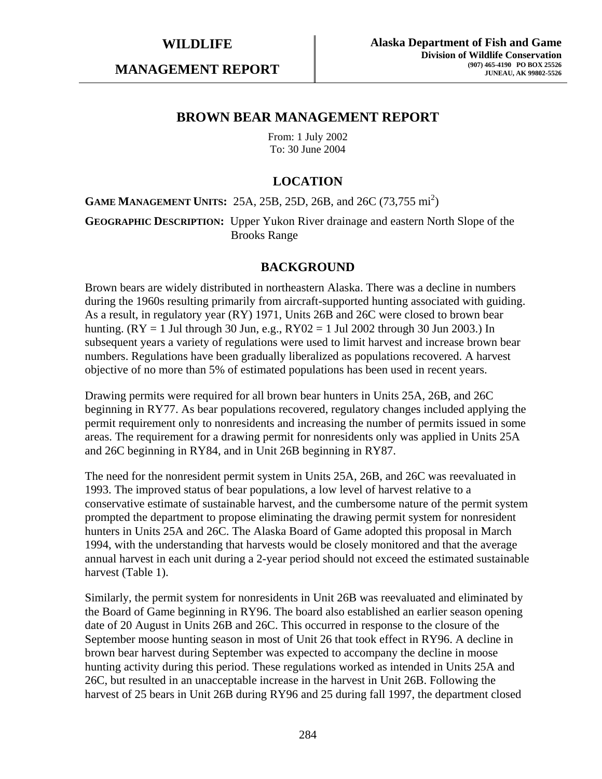**MANAGEMENT REPORT** 

## **BROWN BEAR MANAGEMENT REPORT**

From: 1 July 2002 To: 30 June 2004

# **LOCATION**

**GAME MANAGEMENT UNITS:** 25A, 25B, 25D, 26B, and 26C (73,755 mi<sup>2</sup>)

**GEOGRAPHIC DESCRIPTION:** Upper Yukon River drainage and eastern North Slope of the Brooks Range

## **BACKGROUND**

Brown bears are widely distributed in northeastern Alaska. There was a decline in numbers during the 1960s resulting primarily from aircraft-supported hunting associated with guiding. As a result, in regulatory year (RY) 1971, Units 26B and 26C were closed to brown bear hunting. ( $RY = 1$  Jul through 30 Jun, e.g.,  $RY02 = 1$  Jul 2002 through 30 Jun 2003.) In subsequent years a variety of regulations were used to limit harvest and increase brown bear numbers. Regulations have been gradually liberalized as populations recovered. A harvest objective of no more than 5% of estimated populations has been used in recent years.

Drawing permits were required for all brown bear hunters in Units 25A, 26B, and 26C beginning in RY77. As bear populations recovered, regulatory changes included applying the permit requirement only to nonresidents and increasing the number of permits issued in some areas. The requirement for a drawing permit for nonresidents only was applied in Units 25A and 26C beginning in RY84, and in Unit 26B beginning in RY87.

The need for the nonresident permit system in Units 25A, 26B, and 26C was reevaluated in 1993. The improved status of bear populations, a low level of harvest relative to a conservative estimate of sustainable harvest, and the cumbersome nature of the permit system prompted the department to propose eliminating the drawing permit system for nonresident hunters in Units 25A and 26C. The Alaska Board of Game adopted this proposal in March 1994, with the understanding that harvests would be closely monitored and that the average annual harvest in each unit during a 2-year period should not exceed the estimated sustainable harvest (Table 1).

Similarly, the permit system for nonresidents in Unit 26B was reevaluated and eliminated by the Board of Game beginning in RY96. The board also established an earlier season opening date of 20 August in Units 26B and 26C. This occurred in response to the closure of the September moose hunting season in most of Unit 26 that took effect in RY96. A decline in brown bear harvest during September was expected to accompany the decline in moose hunting activity during this period. These regulations worked as intended in Units 25A and 26C, but resulted in an unacceptable increase in the harvest in Unit 26B. Following the harvest of 25 bears in Unit 26B during RY96 and 25 during fall 1997, the department closed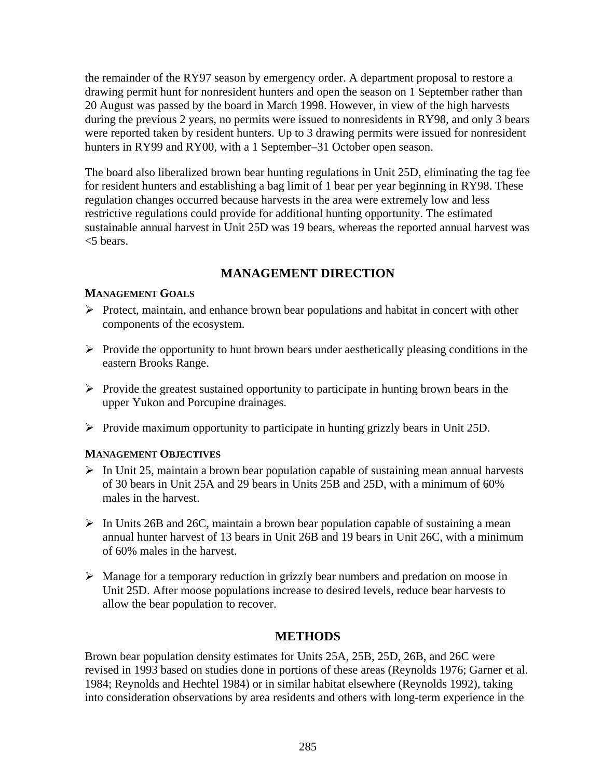the remainder of the RY97 season by emergency order. A department proposal to restore a drawing permit hunt for nonresident hunters and open the season on 1 September rather than 20 August was passed by the board in March 1998. However, in view of the high harvests during the previous 2 years, no permits were issued to nonresidents in RY98, and only 3 bears were reported taken by resident hunters. Up to 3 drawing permits were issued for nonresident hunters in RY99 and RY00, with a 1 September–31 October open season.

The board also liberalized brown bear hunting regulations in Unit 25D, eliminating the tag fee for resident hunters and establishing a bag limit of 1 bear per year beginning in RY98. These regulation changes occurred because harvests in the area were extremely low and less restrictive regulations could provide for additional hunting opportunity. The estimated sustainable annual harvest in Unit 25D was 19 bears, whereas the reported annual harvest was <5 bears.

# **MANAGEMENT DIRECTION**

# **MANAGEMENT GOALS**

- $\triangleright$  Protect, maintain, and enhance brown bear populations and habitat in concert with other components of the ecosystem.
- $\triangleright$  Provide the opportunity to hunt brown bears under aesthetically pleasing conditions in the eastern Brooks Range.
- $\triangleright$  Provide the greatest sustained opportunity to participate in hunting brown bears in the upper Yukon and Porcupine drainages.
- $\triangleright$  Provide maximum opportunity to participate in hunting grizzly bears in Unit 25D.

# **MANAGEMENT OBJECTIVES**

- $\triangleright$  In Unit 25, maintain a brown bear population capable of sustaining mean annual harvests of 30 bears in Unit 25A and 29 bears in Units 25B and 25D, with a minimum of 60% males in the harvest.
- $\triangleright$  In Units 26B and 26C, maintain a brown bear population capable of sustaining a mean annual hunter harvest of 13 bears in Unit 26B and 19 bears in Unit 26C, with a minimum of 60% males in the harvest.
- $\triangleright$  Manage for a temporary reduction in grizzly bear numbers and predation on moose in Unit 25D. After moose populations increase to desired levels, reduce bear harvests to allow the bear population to recover.

# **METHODS**

Brown bear population density estimates for Units 25A, 25B, 25D, 26B, and 26C were revised in 1993 based on studies done in portions of these areas (Reynolds 1976; Garner et al. 1984; Reynolds and Hechtel 1984) or in similar habitat elsewhere (Reynolds 1992), taking into consideration observations by area residents and others with long-term experience in the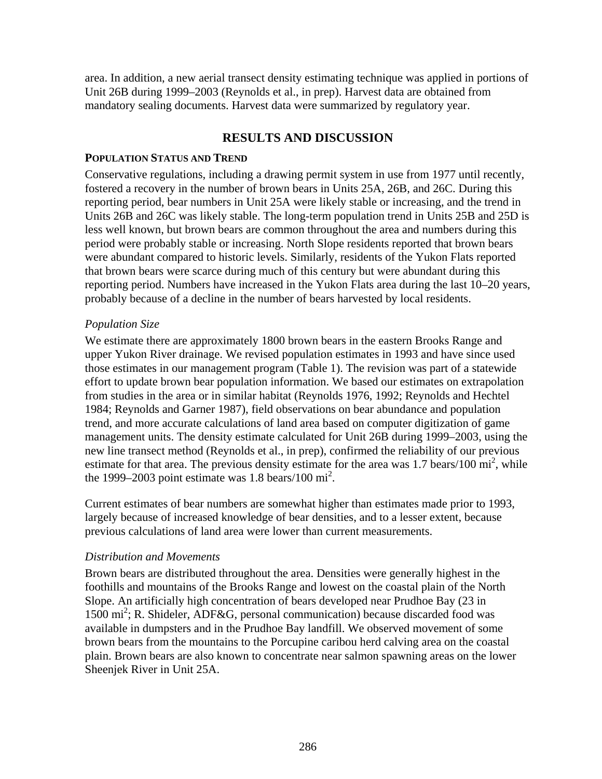area. In addition, a new aerial transect density estimating technique was applied in portions of Unit 26B during 1999–2003 (Reynolds et al., in prep). Harvest data are obtained from mandatory sealing documents. Harvest data were summarized by regulatory year.

# **RESULTS AND DISCUSSION**

## **POPULATION STATUS AND TREND**

Conservative regulations, including a drawing permit system in use from 1977 until recently, fostered a recovery in the number of brown bears in Units 25A, 26B, and 26C. During this reporting period, bear numbers in Unit 25A were likely stable or increasing, and the trend in Units 26B and 26C was likely stable. The long-term population trend in Units 25B and 25D is less well known, but brown bears are common throughout the area and numbers during this period were probably stable or increasing. North Slope residents reported that brown bears were abundant compared to historic levels. Similarly, residents of the Yukon Flats reported that brown bears were scarce during much of this century but were abundant during this reporting period. Numbers have increased in the Yukon Flats area during the last 10–20 years, probably because of a decline in the number of bears harvested by local residents.

## *Population Size*

We estimate there are approximately 1800 brown bears in the eastern Brooks Range and upper Yukon River drainage. We revised population estimates in 1993 and have since used those estimates in our management program (Table 1). The revision was part of a statewide effort to update brown bear population information. We based our estimates on extrapolation from studies in the area or in similar habitat (Reynolds 1976, 1992; Reynolds and Hechtel 1984; Reynolds and Garner 1987), field observations on bear abundance and population trend, and more accurate calculations of land area based on computer digitization of game management units. The density estimate calculated for Unit 26B during 1999–2003, using the new line transect method (Reynolds et al., in prep), confirmed the reliability of our previous estimate for that area. The previous density estimate for the area was  $1.7$  bears/ $100 \text{ mi}^2$ , while the 1999–2003 point estimate was 1.8 bears/100  $\text{mi}^2$ .

Current estimates of bear numbers are somewhat higher than estimates made prior to 1993, largely because of increased knowledge of bear densities, and to a lesser extent, because previous calculations of land area were lower than current measurements.

# *Distribution and Movements*

Brown bears are distributed throughout the area. Densities were generally highest in the foothills and mountains of the Brooks Range and lowest on the coastal plain of the North Slope. An artificially high concentration of bears developed near Prudhoe Bay (23 in 1500 mi<sup>2</sup>; R. Shideler, ADF&G, personal communication) because discarded food was available in dumpsters and in the Prudhoe Bay landfill. We observed movement of some brown bears from the mountains to the Porcupine caribou herd calving area on the coastal plain. Brown bears are also known to concentrate near salmon spawning areas on the lower Sheenjek River in Unit 25A.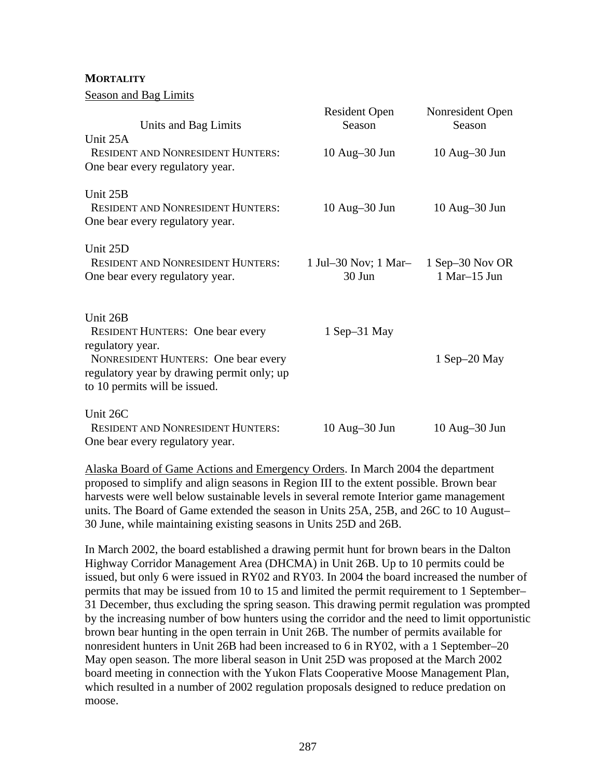**MORTALITY**

Season and Bag Limits

| Units and Bag Limits                                                                                                                                                                                 | <b>Resident Open</b><br>Season   | Nonresident Open<br>Season         |
|------------------------------------------------------------------------------------------------------------------------------------------------------------------------------------------------------|----------------------------------|------------------------------------|
| Unit 25A<br><b>RESIDENT AND NONRESIDENT HUNTERS:</b><br>One bear every regulatory year.                                                                                                              | 10 Aug-30 Jun                    | $10$ Aug $-30$ Jun                 |
| Unit 25B<br><b>RESIDENT AND NONRESIDENT HUNTERS:</b><br>One bear every regulatory year.                                                                                                              | $10$ Aug $-30$ Jun               | $10$ Aug $-30$ Jun                 |
| Unit 25D<br><b>RESIDENT AND NONRESIDENT HUNTERS:</b><br>One bear every regulatory year.                                                                                                              | 1 Jul–30 Nov; 1 Mar–<br>$30$ Jun | 1 Sep $-30$ Nov OR<br>1 Mar-15 Jun |
| Unit 26B<br><b>RESIDENT HUNTERS:</b> One bear every<br>regulatory year.<br><b>NONRESIDENT HUNTERS:</b> One bear every<br>regulatory year by drawing permit only; up<br>to 10 permits will be issued. | $1$ Sep $-31$ May                | $1$ Sep $-20$ May                  |
| Unit 26C<br><b>RESIDENT AND NONRESIDENT HUNTERS:</b><br>One bear every regulatory year.                                                                                                              | $10$ Aug $-30$ Jun               | $10$ Aug $-30$ Jun                 |

Alaska Board of Game Actions and Emergency Orders. In March 2004 the department proposed to simplify and align seasons in Region III to the extent possible. Brown bear harvests were well below sustainable levels in several remote Interior game management units. The Board of Game extended the season in Units 25A, 25B, and 26C to 10 August– 30 June, while maintaining existing seasons in Units 25D and 26B.

In March 2002, the board established a drawing permit hunt for brown bears in the Dalton Highway Corridor Management Area (DHCMA) in Unit 26B. Up to 10 permits could be issued, but only 6 were issued in RY02 and RY03. In 2004 the board increased the number of permits that may be issued from 10 to 15 and limited the permit requirement to 1 September– 31 December, thus excluding the spring season. This drawing permit regulation was prompted by the increasing number of bow hunters using the corridor and the need to limit opportunistic brown bear hunting in the open terrain in Unit 26B. The number of permits available for nonresident hunters in Unit 26B had been increased to 6 in RY02, with a 1 September–20 May open season. The more liberal season in Unit 25D was proposed at the March 2002 board meeting in connection with the Yukon Flats Cooperative Moose Management Plan, which resulted in a number of 2002 regulation proposals designed to reduce predation on moose.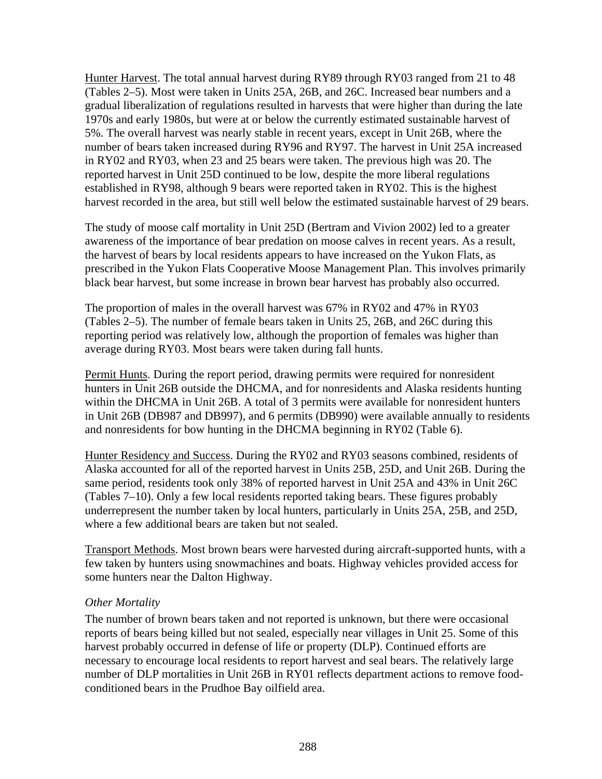Hunter Harvest. The total annual harvest during RY89 through RY03 ranged from 21 to 48 (Tables 2–5). Most were taken in Units 25A, 26B, and 26C. Increased bear numbers and a gradual liberalization of regulations resulted in harvests that were higher than during the late 1970s and early 1980s, but were at or below the currently estimated sustainable harvest of 5%. The overall harvest was nearly stable in recent years, except in Unit 26B, where the number of bears taken increased during RY96 and RY97. The harvest in Unit 25A increased in RY02 and RY03, when 23 and 25 bears were taken. The previous high was 20. The reported harvest in Unit 25D continued to be low, despite the more liberal regulations established in RY98, although 9 bears were reported taken in RY02. This is the highest harvest recorded in the area, but still well below the estimated sustainable harvest of 29 bears.

The study of moose calf mortality in Unit 25D (Bertram and Vivion 2002) led to a greater awareness of the importance of bear predation on moose calves in recent years. As a result, the harvest of bears by local residents appears to have increased on the Yukon Flats, as prescribed in the Yukon Flats Cooperative Moose Management Plan. This involves primarily black bear harvest, but some increase in brown bear harvest has probably also occurred.

The proportion of males in the overall harvest was 67% in RY02 and 47% in RY03 (Tables 2–5). The number of female bears taken in Units 25, 26B, and 26C during this reporting period was relatively low, although the proportion of females was higher than average during RY03. Most bears were taken during fall hunts.

Permit Hunts. During the report period, drawing permits were required for nonresident hunters in Unit 26B outside the DHCMA, and for nonresidents and Alaska residents hunting within the DHCMA in Unit 26B. A total of 3 permits were available for nonresident hunters in Unit 26B (DB987 and DB997), and 6 permits (DB990) were available annually to residents and nonresidents for bow hunting in the DHCMA beginning in RY02 (Table 6).

Hunter Residency and Success. During the RY02 and RY03 seasons combined, residents of Alaska accounted for all of the reported harvest in Units 25B, 25D, and Unit 26B. During the same period, residents took only 38% of reported harvest in Unit 25A and 43% in Unit 26C (Tables 7–10). Only a few local residents reported taking bears. These figures probably underrepresent the number taken by local hunters, particularly in Units 25A, 25B, and 25D, where a few additional bears are taken but not sealed.

Transport Methods. Most brown bears were harvested during aircraft-supported hunts, with a few taken by hunters using snowmachines and boats. Highway vehicles provided access for some hunters near the Dalton Highway.

## *Other Mortality*

The number of brown bears taken and not reported is unknown, but there were occasional reports of bears being killed but not sealed, especially near villages in Unit 25. Some of this harvest probably occurred in defense of life or property (DLP). Continued efforts are necessary to encourage local residents to report harvest and seal bears. The relatively large number of DLP mortalities in Unit 26B in RY01 reflects department actions to remove foodconditioned bears in the Prudhoe Bay oilfield area.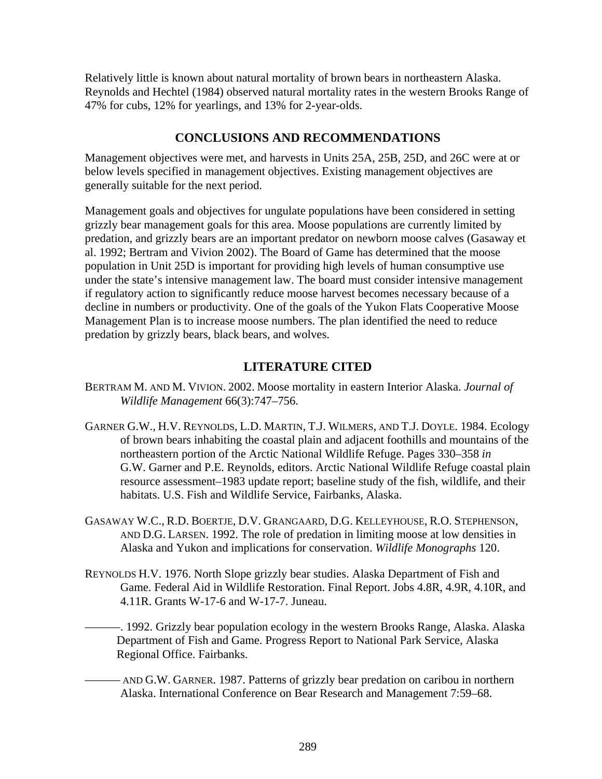Relatively little is known about natural mortality of brown bears in northeastern Alaska. Reynolds and Hechtel (1984) observed natural mortality rates in the western Brooks Range of 47% for cubs, 12% for yearlings, and 13% for 2-year-olds.

# **CONCLUSIONS AND RECOMMENDATIONS**

Management objectives were met, and harvests in Units 25A, 25B, 25D, and 26C were at or below levels specified in management objectives. Existing management objectives are generally suitable for the next period.

Management goals and objectives for ungulate populations have been considered in setting grizzly bear management goals for this area. Moose populations are currently limited by predation, and grizzly bears are an important predator on newborn moose calves (Gasaway et al. 1992; Bertram and Vivion 2002). The Board of Game has determined that the moose population in Unit 25D is important for providing high levels of human consumptive use under the state's intensive management law. The board must consider intensive management if regulatory action to significantly reduce moose harvest becomes necessary because of a decline in numbers or productivity. One of the goals of the Yukon Flats Cooperative Moose Management Plan is to increase moose numbers. The plan identified the need to reduce predation by grizzly bears, black bears, and wolves.

# **LITERATURE CITED**

- BERTRAM M. AND M. VIVION. 2002. Moose mortality in eastern Interior Alaska. *Journal of Wildlife Management* 66(3):747–756.
- GARNER G.W., H.V. REYNOLDS, L.D. MARTIN, T.J. WILMERS, AND T.J. DOYLE. 1984. Ecology of brown bears inhabiting the coastal plain and adjacent foothills and mountains of the northeastern portion of the Arctic National Wildlife Refuge. Pages 330–358 *in* G.W. Garner and P.E. Reynolds, editors. Arctic National Wildlife Refuge coastal plain resource assessment–1983 update report; baseline study of the fish, wildlife, and their habitats. U.S. Fish and Wildlife Service, Fairbanks, Alaska.
- GASAWAY W.C., R.D. BOERTJE, D.V. GRANGAARD, D.G. KELLEYHOUSE, R.O. STEPHENSON, AND D.G. LARSEN. 1992. The role of predation in limiting moose at low densities in Alaska and Yukon and implications for conservation. *Wildlife Monographs* 120.
- REYNOLDS H.V. 1976. North Slope grizzly bear studies. Alaska Department of Fish and Game. Federal Aid in Wildlife Restoration. Final Report. Jobs 4.8R, 4.9R, 4.10R, and 4.11R. Grants W-17-6 and W-17-7. Juneau.
	- ———. 1992. Grizzly bear population ecology in the western Brooks Range, Alaska. Alaska Department of Fish and Game. Progress Report to National Park Service, Alaska Regional Office. Fairbanks.
		- AND G.W. GARNER. 1987. Patterns of grizzly bear predation on caribou in northern Alaska. International Conference on Bear Research and Management 7:59–68.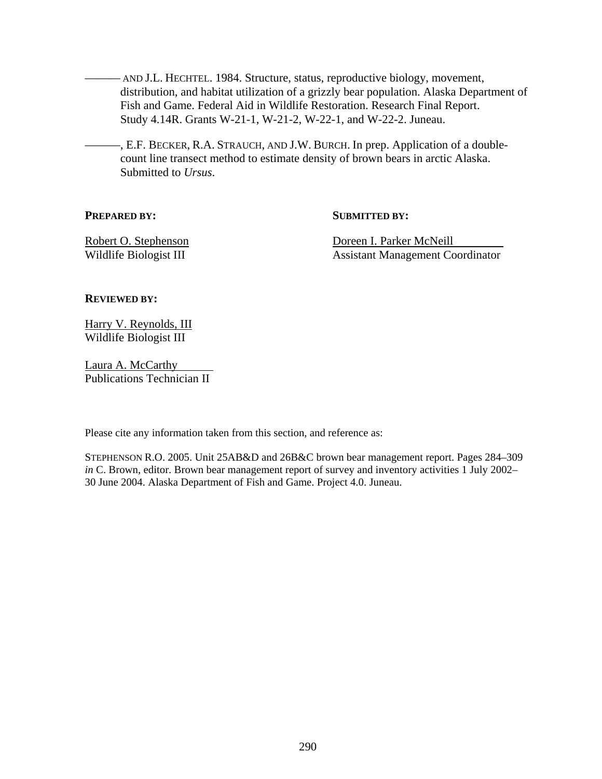- AND J.L. HECHTEL. 1984. Structure, status, reproductive biology, movement, distribution, and habitat utilization of a grizzly bear population. Alaska Department of Fish and Game. Federal Aid in Wildlife Restoration. Research Final Report. Study 4.14R. Grants W-21-1, W-21-2, W-22-1, and W-22-2. Juneau.

———, E.F. BECKER, R.A. STRAUCH, AND J.W. BURCH. In prep. Application of a doublecount line transect method to estimate density of brown bears in arctic Alaska. Submitted to *Ursus*.

#### **PREPARED BY:** SUBMITTED BY:

Robert O. Stephenson **Doreen I. Parker McNeill** Wildlife Biologist III Assistant Management Coordinator

#### **REVIEWED BY:**

Harry V. Reynolds, III Wildlife Biologist III

Laura A. McCarthy Publications Technician II

Please cite any information taken from this section, and reference as:

STEPHENSON R.O. 2005. Unit 25AB&D and 26B&C brown bear management report. Pages 284–309 *in* C. Brown, editor. Brown bear management report of survey and inventory activities 1 July 2002– 30 June 2004. Alaska Department of Fish and Game. Project 4.0. Juneau.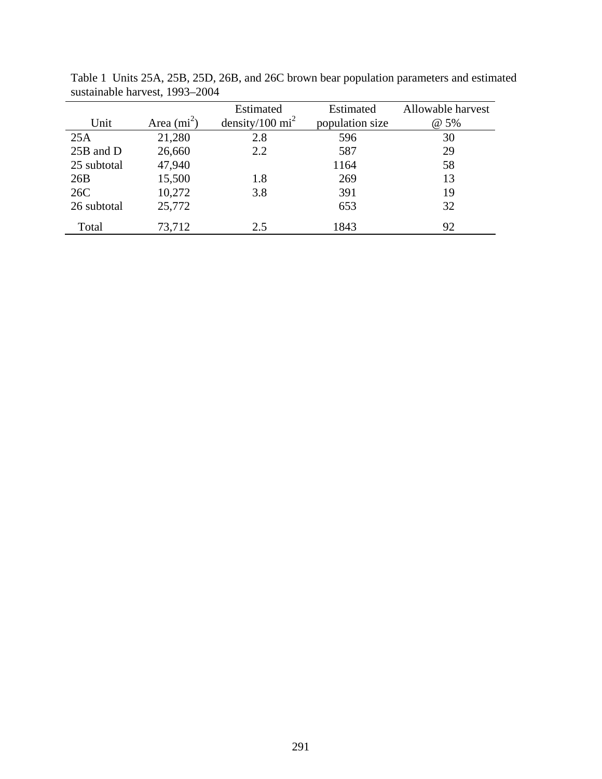|             |               | Estimated                 | Estimated       | Allowable harvest |
|-------------|---------------|---------------------------|-----------------|-------------------|
| Unit        | Area $(mi^2)$ | density/100 $\text{mi}^2$ | population size | @ 5%              |
| 25A         | 21,280        | 2.8                       | 596             | 30                |
| 25B and D   | 26,660        | 2.2                       | 587             | 29                |
| 25 subtotal | 47,940        |                           | 1164            | 58                |
| 26B         | 15,500        | 1.8                       | 269             | 13                |
| 26C         | 10,272        | 3.8                       | 391             | 19                |
| 26 subtotal | 25,772        |                           | 653             | 32                |
| Total       | 73,712        | 2.5                       | 1843            | 92                |

Table 1 Units 25A, 25B, 25D, 26B, and 26C brown bear population parameters and estimated sustainable harvest, 1993–2004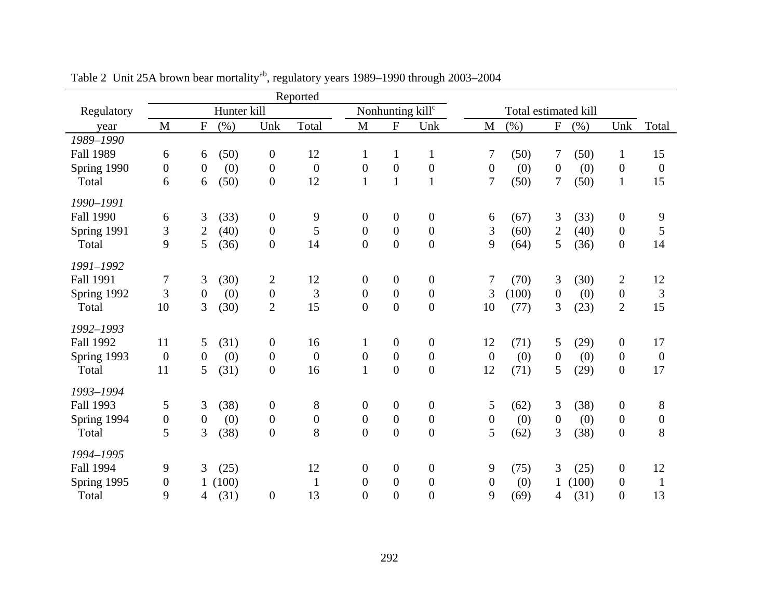|                  |                  |                  |             |                  | Reported         |                  |                              |                  |                  |                      |                           |       |                  |                  |
|------------------|------------------|------------------|-------------|------------------|------------------|------------------|------------------------------|------------------|------------------|----------------------|---------------------------|-------|------------------|------------------|
| Regulatory       |                  |                  | Hunter kill |                  |                  |                  | Nonhunting kill <sup>c</sup> |                  |                  | Total estimated kill |                           |       |                  |                  |
| year             | M                | ${\bf F}$        | (%)         | Unk              | Total            | M                | ${\bf F}$                    | Unk              | M                | $(\%)$               | $\boldsymbol{\mathrm{F}}$ | (%)   | Unk              | Total            |
| 1989-1990        |                  |                  |             |                  |                  |                  |                              |                  |                  |                      |                           |       |                  |                  |
| <b>Fall 1989</b> | 6                | 6                | (50)        | $\mathbf{0}$     | 12               | $\mathbf{1}$     | $\mathbf{1}$                 | $\mathbf{1}$     | 7                | (50)                 | $\tau$                    | (50)  | $\mathbf{1}$     | 15               |
| Spring 1990      | $\boldsymbol{0}$ | $\boldsymbol{0}$ | (0)         | $\theta$         | $\overline{0}$   | $\boldsymbol{0}$ | $\boldsymbol{0}$             | $\boldsymbol{0}$ | $\boldsymbol{0}$ | (0)                  | $\boldsymbol{0}$          | (0)   | $\boldsymbol{0}$ | $\boldsymbol{0}$ |
| Total            | 6                | 6                | (50)        | $\mathbf{0}$     | 12               | $\mathbf{1}$     | $\mathbf{1}$                 | $\mathbf{1}$     | $\overline{7}$   | (50)                 | 7                         | (50)  | $\mathbf{1}$     | 15               |
| 1990-1991        |                  |                  |             |                  |                  |                  |                              |                  |                  |                      |                           |       |                  |                  |
| <b>Fall 1990</b> | 6                | 3                | (33)        | $\overline{0}$   | 9                | $\boldsymbol{0}$ | $\boldsymbol{0}$             | $\boldsymbol{0}$ | 6                | (67)                 | 3                         | (33)  | $\mathbf{0}$     | 9                |
| Spring 1991      | 3                | $\overline{2}$   | (40)        | $\boldsymbol{0}$ | 5                | $\overline{0}$   | $\overline{0}$               | $\overline{0}$   | 3                | (60)                 | $\overline{2}$            | (40)  | $\overline{0}$   | 5                |
| Total            | 9                | 5                | (36)        | $\boldsymbol{0}$ | 14               | $\boldsymbol{0}$ | $\boldsymbol{0}$             | $\boldsymbol{0}$ | 9                | (64)                 | 5                         | (36)  | $\boldsymbol{0}$ | 14               |
| 1991-1992        |                  |                  |             |                  |                  |                  |                              |                  |                  |                      |                           |       |                  |                  |
| Fall 1991        | $\boldsymbol{7}$ | 3                | (30)        | $\mathbf{2}$     | 12               | $\boldsymbol{0}$ | $\boldsymbol{0}$             | $\boldsymbol{0}$ | $\overline{7}$   | (70)                 | 3                         | (30)  | $\mathbf{2}$     | 12               |
| Spring 1992      | 3                | $\boldsymbol{0}$ | (0)         | $\boldsymbol{0}$ | 3                | $\boldsymbol{0}$ | $\boldsymbol{0}$             | $\boldsymbol{0}$ | 3                | (100)                | $\boldsymbol{0}$          | (0)   | $\boldsymbol{0}$ | $\mathfrak{Z}$   |
| Total            | 10               | 3                | (30)        | $\overline{2}$   | 15               | $\overline{0}$   | $\overline{0}$               | $\boldsymbol{0}$ | 10               | (77)                 | 3                         | (23)  | $\overline{2}$   | 15               |
| 1992-1993        |                  |                  |             |                  |                  |                  |                              |                  |                  |                      |                           |       |                  |                  |
| Fall 1992        | 11               | 5                | (31)        | $\boldsymbol{0}$ | 16               | $\mathbf 1$      | $\boldsymbol{0}$             | $\boldsymbol{0}$ | 12               | (71)                 | 5                         | (29)  | $\boldsymbol{0}$ | 17               |
| Spring 1993      | $\boldsymbol{0}$ | $\boldsymbol{0}$ | (0)         | $\boldsymbol{0}$ | $\boldsymbol{0}$ | $\boldsymbol{0}$ | $\boldsymbol{0}$             | $\boldsymbol{0}$ | $\boldsymbol{0}$ | (0)                  | $\boldsymbol{0}$          | (0)   | $\boldsymbol{0}$ | $\overline{0}$   |
| Total            | 11               | 5                | (31)        | $\overline{0}$   | 16               | $\mathbf{1}$     | $\overline{0}$               | $\overline{0}$   | 12               | (71)                 | 5                         | (29)  | $\boldsymbol{0}$ | 17               |
| 1993-1994        |                  |                  |             |                  |                  |                  |                              |                  |                  |                      |                           |       |                  |                  |
| Fall 1993        | 5                | 3                | (38)        | $\boldsymbol{0}$ | 8                | $\boldsymbol{0}$ | $\boldsymbol{0}$             | $\boldsymbol{0}$ | 5                | (62)                 | 3                         | (38)  | $\boldsymbol{0}$ | 8                |
| Spring 1994      | $\boldsymbol{0}$ | $\boldsymbol{0}$ | (0)         | $\boldsymbol{0}$ | $\boldsymbol{0}$ | $\boldsymbol{0}$ | $\boldsymbol{0}$             | $\boldsymbol{0}$ | $\boldsymbol{0}$ | (0)                  | $\boldsymbol{0}$          | (0)   | $\boldsymbol{0}$ | $\boldsymbol{0}$ |
| Total            | 5                | 3                | (38)        | $\overline{0}$   | 8                | $\overline{0}$   | $\boldsymbol{0}$             | $\overline{0}$   | 5                | (62)                 | 3                         | (38)  | $\boldsymbol{0}$ | 8                |
| 1994-1995        |                  |                  |             |                  |                  |                  |                              |                  |                  |                      |                           |       |                  |                  |
| Fall 1994        | 9                | 3                | (25)        |                  | 12               | $\overline{0}$   | $\boldsymbol{0}$             | $\boldsymbol{0}$ | 9                | (75)                 | 3                         | (25)  | $\mathbf{0}$     | 12               |
| Spring 1995      | $\boldsymbol{0}$ |                  | (100)       |                  | $\mathbf{1}$     | $\boldsymbol{0}$ | $\boldsymbol{0}$             | $\boldsymbol{0}$ | $\boldsymbol{0}$ | (0)                  | $\mathbf{1}$              | (100) | $\boldsymbol{0}$ | $\mathbf{1}$     |
| Total            | 9                | 4                | (31)        | $\boldsymbol{0}$ | 13               | $\overline{0}$   | $\overline{0}$               | $\overline{0}$   | 9                | (69)                 | 4                         | (31)  | $\overline{0}$   | 13               |

Table 2 Unit 25A brown bear mortality<sup>ab</sup>, regulatory years 1989–1990 through 2003–2004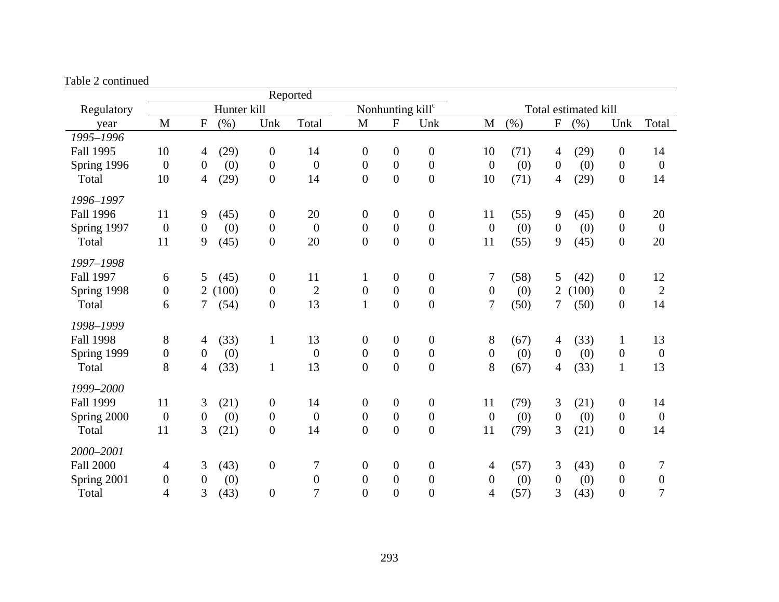|                  |                  |                  |             |                  | Reported         |                  |                  |                                  |                  |      |                           |                      |                  |                  |
|------------------|------------------|------------------|-------------|------------------|------------------|------------------|------------------|----------------------------------|------------------|------|---------------------------|----------------------|------------------|------------------|
| Regulatory       |                  |                  | Hunter kill |                  |                  |                  |                  | Nonhunting $kil\overline{l^{c}}$ |                  |      |                           | Total estimated kill |                  |                  |
| year             | M                | $\mathbf F$      | (% )        | Unk              | Total            | $\mathbf{M}$     | ${\bf F}$        | Unk                              | M                | (%)  | $\boldsymbol{\mathrm{F}}$ | (%)                  | Unk              | Total            |
| 1995-1996        |                  |                  |             |                  |                  |                  |                  |                                  |                  |      |                           |                      |                  |                  |
| Fall 1995        | 10               | 4                | (29)        | $\boldsymbol{0}$ | 14               | $\boldsymbol{0}$ | $\boldsymbol{0}$ | $\boldsymbol{0}$                 | 10               | (71) | $\overline{4}$            | (29)                 | $\boldsymbol{0}$ | 14               |
| Spring 1996      | $\boldsymbol{0}$ | $\boldsymbol{0}$ | (0)         | $\boldsymbol{0}$ | $\boldsymbol{0}$ | $\boldsymbol{0}$ | $\overline{0}$   | $\boldsymbol{0}$                 | $\overline{0}$   | (0)  | $\boldsymbol{0}$          | (0)                  | $\boldsymbol{0}$ | $\boldsymbol{0}$ |
| Total            | 10               | $\overline{4}$   | (29)        | $\boldsymbol{0}$ | 14               | $\boldsymbol{0}$ | $\overline{0}$   | $\boldsymbol{0}$                 | 10               | (71) | $\overline{4}$            | (29)                 | $\boldsymbol{0}$ | 14               |
| 1996-1997        |                  |                  |             |                  |                  |                  |                  |                                  |                  |      |                           |                      |                  |                  |
| <b>Fall 1996</b> | 11               | 9                | (45)        | $\boldsymbol{0}$ | 20               | $\mathbf{0}$     | $\boldsymbol{0}$ | $\boldsymbol{0}$                 | 11               | (55) | $\overline{9}$            | (45)                 | $\boldsymbol{0}$ | 20               |
| Spring 1997      | $\boldsymbol{0}$ | $\boldsymbol{0}$ | (0)         | $\boldsymbol{0}$ | $\boldsymbol{0}$ | $\boldsymbol{0}$ | $\overline{0}$   | $\boldsymbol{0}$                 | $\overline{0}$   | (0)  | $\boldsymbol{0}$          | (0)                  | $\boldsymbol{0}$ | $\boldsymbol{0}$ |
| Total            | 11               | 9                | (45)        | $\boldsymbol{0}$ | 20               | $\overline{0}$   | $\overline{0}$   | $\overline{0}$                   | 11               | (55) | 9                         | (45)                 | $\overline{0}$   | 20               |
| 1997-1998        |                  |                  |             |                  |                  |                  |                  |                                  |                  |      |                           |                      |                  |                  |
| Fall 1997        | 6                | 5                | (45)        | $\boldsymbol{0}$ | 11               | $\mathbf{1}$     | $\boldsymbol{0}$ | $\boldsymbol{0}$                 | 7                | (58) | 5                         | (42)                 | $\boldsymbol{0}$ | 12               |
| Spring 1998      | $\boldsymbol{0}$ | $\overline{2}$   | (100)       | $\boldsymbol{0}$ | $\overline{2}$   | $\boldsymbol{0}$ | $\overline{0}$   | $\boldsymbol{0}$                 | $\boldsymbol{0}$ | (0)  | $\overline{2}$            | (100)                | $\boldsymbol{0}$ | $\overline{2}$   |
| Total            | 6                | 7                | (54)        | $\boldsymbol{0}$ | 13               | $\mathbf{1}$     | $\boldsymbol{0}$ | $\boldsymbol{0}$                 | 7                | (50) | $7\overline{ }$           | (50)                 | $\boldsymbol{0}$ | 14               |
| 1998-1999        |                  |                  |             |                  |                  |                  |                  |                                  |                  |      |                           |                      |                  |                  |
| <b>Fall 1998</b> | 8                | 4                | (33)        | 1                | 13               | $\mathbf{0}$     | $\overline{0}$   | $\boldsymbol{0}$                 | 8                | (67) | $\overline{4}$            | (33)                 | $\mathbf{1}$     | 13               |
| Spring 1999      | $\boldsymbol{0}$ | $\theta$         | (0)         |                  | $\theta$         | $\mathbf{0}$     | $\overline{0}$   | $\boldsymbol{0}$                 | $\boldsymbol{0}$ | (0)  | $\boldsymbol{0}$          | (0)                  | $\theta$         | $\boldsymbol{0}$ |
| Total            | 8                | 4                | (33)        | $\mathbf{1}$     | 13               | $\overline{0}$   | $\overline{0}$   | $\boldsymbol{0}$                 | 8                | (67) | 4                         | (33)                 | $\mathbf{1}$     | 13               |
| 1999-2000        |                  |                  |             |                  |                  |                  |                  |                                  |                  |      |                           |                      |                  |                  |
| <b>Fall 1999</b> | 11               | 3                | (21)        | $\boldsymbol{0}$ | 14               | $\boldsymbol{0}$ | $\boldsymbol{0}$ | $\boldsymbol{0}$                 | 11               | (79) | 3                         | (21)                 | $\boldsymbol{0}$ | 14               |
| Spring 2000      | $\boldsymbol{0}$ | $\boldsymbol{0}$ | (0)         | $\boldsymbol{0}$ | $\boldsymbol{0}$ | $\boldsymbol{0}$ | $\boldsymbol{0}$ | $\boldsymbol{0}$                 | $\boldsymbol{0}$ | (0)  | $\boldsymbol{0}$          | (0)                  | $\overline{0}$   | $\boldsymbol{0}$ |
| Total            | 11               | 3                | (21)        | $\boldsymbol{0}$ | 14               | $\boldsymbol{0}$ | $\overline{0}$   | $\boldsymbol{0}$                 | 11               | (79) | 3                         | (21)                 | $\boldsymbol{0}$ | 14               |
| 2000-2001        |                  |                  |             |                  |                  |                  |                  |                                  |                  |      |                           |                      |                  |                  |
| <b>Fall 2000</b> | $\overline{4}$   | 3                | (43)        | $\boldsymbol{0}$ | 7                | $\overline{0}$   | $\boldsymbol{0}$ | $\boldsymbol{0}$                 | 4                | (57) | 3                         | (43)                 | $\boldsymbol{0}$ | 7                |
| Spring 2001      | $\boldsymbol{0}$ | $\overline{0}$   | (0)         |                  | $\theta$         | $\overline{0}$   | $\overline{0}$   | $\boldsymbol{0}$                 | $\overline{0}$   | (0)  | $\theta$                  | (0)                  | $\boldsymbol{0}$ | $\boldsymbol{0}$ |
| Total            | $\overline{4}$   | 3                | (43)        | $\boldsymbol{0}$ | 7                | $\overline{0}$   | $\overline{0}$   | $\overline{0}$                   | 4                | (57) | 3                         | (43)                 | $\boldsymbol{0}$ | $\overline{7}$   |

#### Table 2 continued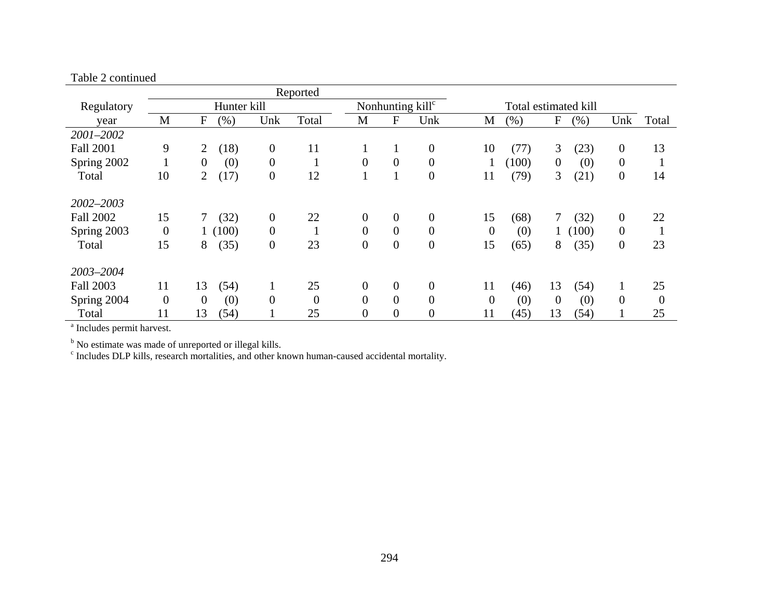| $1 \, \mu \nu \nu \simeq \nu \nu \mu \nu \mu \nu \nu$ |                |                         |                  |                  |                |                  |                              |                |       |                      |                  |          |
|-------------------------------------------------------|----------------|-------------------------|------------------|------------------|----------------|------------------|------------------------------|----------------|-------|----------------------|------------------|----------|
|                                                       |                |                         |                  | Reported         |                |                  |                              |                |       |                      |                  |          |
| Regulatory                                            |                | Hunter kill             |                  |                  |                |                  | Nonhunting kill <sup>c</sup> |                |       | Total estimated kill |                  |          |
| year                                                  | M              | $\mathbf{F}$<br>$(\% )$ | Unk              | Total            | M              | F                | Unk                          | М              | (% )  | F<br>$(\% )$         | Unk              | Total    |
| 2001-2002                                             |                |                         |                  |                  |                |                  |                              |                |       |                      |                  |          |
| <b>Fall 2001</b>                                      | 9              | (18)<br>$\overline{2}$  | $\overline{0}$   | 11               | $\mathbf{1}$   | 1                | $\boldsymbol{0}$             | 10             | (77)  | 3<br>(23)            | $\boldsymbol{0}$ | 13       |
| Spring 2002                                           |                | (0)<br>$\overline{0}$   | $\overline{0}$   |                  | $\overline{0}$ | $\boldsymbol{0}$ | $\overline{0}$               |                | (100) | (0)<br>$\mathbf{0}$  | $\overline{0}$   |          |
| Total                                                 | 10             | (17)<br>2               | $\boldsymbol{0}$ | 12               | $\mathbf{1}$   | 1                | $\boldsymbol{0}$             | 11             | (79)  | 3<br>(21)            | $\boldsymbol{0}$ | 14       |
| 2002-2003                                             |                |                         |                  |                  |                |                  |                              |                |       |                      |                  |          |
| <b>Fall 2002</b>                                      | 15             | (32)<br>7               | $\overline{0}$   | 22               | $\overline{0}$ | $\overline{0}$   | $\overline{0}$               | 15             | (68)  | (32)                 | $\overline{0}$   | 22       |
| Spring 2003                                           | $\overline{0}$ | 1(100)                  | $\theta$         |                  | $\overline{0}$ | $\overline{0}$   | $\overline{0}$               | $\overline{0}$ | (0)   | (100)                | $\boldsymbol{0}$ |          |
| Total                                                 | 15             | (35)<br>8               | $\boldsymbol{0}$ | 23               | $\overline{0}$ | $\boldsymbol{0}$ | $\boldsymbol{0}$             | 15             | (65)  | 8<br>(35)            | $\boldsymbol{0}$ | 23       |
| 2003-2004                                             |                |                         |                  |                  |                |                  |                              |                |       |                      |                  |          |
| <b>Fall 2003</b>                                      | 11             | 13<br>(54)              |                  | 25               | $\overline{0}$ | $\overline{0}$   | $\overline{0}$               | 11             | (46)  | 13<br>(54)           | 1                | 25       |
| Spring 2004                                           | $\overline{0}$ | (0)<br>$\overline{0}$   | $\theta$         | $\boldsymbol{0}$ | $\overline{0}$ | $\boldsymbol{0}$ | $\overline{0}$               | $\overline{0}$ | (0)   | (0)<br>$\mathbf{0}$  | $\theta$         | $\theta$ |
| Total                                                 | 11             | 13<br>(54)              |                  | 25               | $\overline{0}$ | $\overline{0}$   | $\boldsymbol{0}$             | 11             | (45)  | 13<br>(54)           |                  | 25       |

Table 2 continued

<sup>b</sup> No estimate was made of unreported or illegal kills.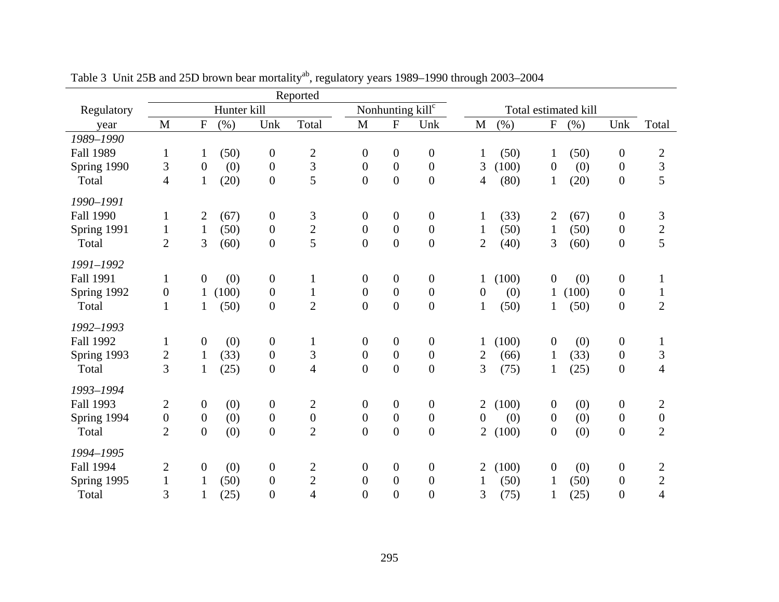|                               |                  |                  |             |                  | Reported                |                  |                  |                              |                  |       |                  |                      |                  |                  |
|-------------------------------|------------------|------------------|-------------|------------------|-------------------------|------------------|------------------|------------------------------|------------------|-------|------------------|----------------------|------------------|------------------|
| Regulatory                    |                  |                  | Hunter kill |                  |                         |                  |                  | Nonhunting kill <sup>c</sup> |                  |       |                  | Total estimated kill |                  |                  |
| year                          | $\mathbf{M}$     | ${\bf F}$        | (% )        | Unk              | Total                   | M                | $\rm F$          | Unk                          | $\mathbf M$      | (%)   | ${\bf F}$        | (%)                  | Unk              | Total            |
| 1989-1990                     |                  |                  |             |                  |                         |                  |                  |                              |                  |       |                  |                      |                  |                  |
| <b>Fall 1989</b>              | $\mathbf{1}$     | $\mathbf{1}$     | (50)        | $\boldsymbol{0}$ | $\boldsymbol{2}$        | $\overline{0}$   | $\boldsymbol{0}$ | $\boldsymbol{0}$             | $\mathbf{1}$     | (50)  | $\mathbf{1}$     | (50)                 | $\overline{0}$   | $\mathbf{2}$     |
| Spring 1990                   | 3                | $\boldsymbol{0}$ | (0)         | $\boldsymbol{0}$ | 3                       | $\overline{0}$   | $\boldsymbol{0}$ | $\boldsymbol{0}$             | 3                | (100) | $\boldsymbol{0}$ | (0)                  | $\boldsymbol{0}$ | $\mathfrak{Z}$   |
| Total                         | $\overline{4}$   | $\mathbf{1}$     | (20)        | $\overline{0}$   | 5                       | $\mathbf{0}$     | $\overline{0}$   | $\overline{0}$               | 4                | (80)  | $\mathbf{1}$     | (20)                 | $\boldsymbol{0}$ | 5                |
| 1990-1991                     |                  |                  |             |                  |                         |                  |                  |                              |                  |       |                  |                      |                  |                  |
| <b>Fall 1990</b>              | $\mathbf{1}$     | 2                | (67)        | $\boldsymbol{0}$ | 3                       | $\boldsymbol{0}$ | $\boldsymbol{0}$ | $\boldsymbol{0}$             | $\mathbf{1}$     | (33)  | $\overline{2}$   | (67)                 | $\boldsymbol{0}$ | 3                |
| Spring 1991                   | $\mathbf{1}$     | $\mathbf{1}$     | (50)        | $\boldsymbol{0}$ | $\overline{\mathbf{c}}$ | $\theta$         | $\boldsymbol{0}$ | $\boldsymbol{0}$             | $\mathbf{1}$     | (50)  | $\mathbf{1}$     | (50)                 | $\overline{0}$   | $\sqrt{2}$       |
| Total                         | $\mathbf{2}$     | 3                | (60)        | $\boldsymbol{0}$ | 5                       | $\mathbf{0}$     | $\mathbf{0}$     | $\overline{0}$               | $\overline{2}$   | (40)  | 3                | (60)                 | $\boldsymbol{0}$ | 5                |
|                               |                  |                  |             |                  |                         |                  |                  |                              |                  |       |                  |                      |                  |                  |
| 1991-1992<br><b>Fall 1991</b> |                  | $\boldsymbol{0}$ |             | $\boldsymbol{0}$ |                         |                  | $\boldsymbol{0}$ | $\boldsymbol{0}$             |                  |       | $\boldsymbol{0}$ |                      |                  |                  |
|                               | $\mathbf{1}$     |                  | (0)         |                  | $\mathbf{1}$            | $\overline{0}$   | $\boldsymbol{0}$ | $\boldsymbol{0}$             | $\mathbf 1$      | (100) |                  | (0)<br>(100)         | $\boldsymbol{0}$ | $\mathbf{1}$     |
| Spring 1992                   | $\boldsymbol{0}$ | $\mathbf{1}$     | (100)       | $\boldsymbol{0}$ | $\mathbf{1}$            | $\boldsymbol{0}$ |                  |                              | $\boldsymbol{0}$ | (0)   | $\mathbf{1}$     |                      | $\boldsymbol{0}$ | $\mathbf{1}$     |
| Total                         | $\mathbf{1}$     | $\mathbf{1}$     | (50)        | $\overline{0}$   | $\overline{2}$          | $\theta$         | $\overline{0}$   | $\overline{0}$               | $\mathbf{1}$     | (50)  | $\mathbf 1$      | (50)                 | $\boldsymbol{0}$ | $\overline{2}$   |
| 1992-1993                     |                  |                  |             |                  |                         |                  |                  |                              |                  |       |                  |                      |                  |                  |
| <b>Fall 1992</b>              | $\mathbf{1}$     | 0                | (0)         | $\boldsymbol{0}$ | $\mathbf{1}$            | $\boldsymbol{0}$ | $\boldsymbol{0}$ | $\boldsymbol{0}$             | 1                | (100) | $\boldsymbol{0}$ | (0)                  | $\boldsymbol{0}$ | 1                |
| Spring 1993                   |                  | $\mathbf{1}$     | (33)        | $\boldsymbol{0}$ | 3                       | $\boldsymbol{0}$ | $\boldsymbol{0}$ | $\boldsymbol{0}$             | $\overline{c}$   | (66)  | $\mathbf{1}$     | (33)                 | $\boldsymbol{0}$ | 3                |
| Total                         | $\frac{2}{3}$    | $\mathbf{1}$     | (25)        | $\boldsymbol{0}$ | $\overline{4}$          | $\overline{0}$   | $\overline{0}$   | $\overline{0}$               | 3                | (75)  | $\mathbf{1}$     | (25)                 | $\boldsymbol{0}$ | $\overline{4}$   |
| 1993-1994                     |                  |                  |             |                  |                         |                  |                  |                              |                  |       |                  |                      |                  |                  |
| <b>Fall 1993</b>              | $\overline{c}$   | $\boldsymbol{0}$ | (0)         | $\boldsymbol{0}$ | $\overline{c}$          | $\boldsymbol{0}$ | $\boldsymbol{0}$ | $\boldsymbol{0}$             | 2                | (100) | $\boldsymbol{0}$ | (0)                  | $\boldsymbol{0}$ | $\overline{2}$   |
| Spring 1994                   | $\boldsymbol{0}$ | $\boldsymbol{0}$ | (0)         | $\boldsymbol{0}$ | $\boldsymbol{0}$        | $\boldsymbol{0}$ | $\boldsymbol{0}$ | $\boldsymbol{0}$             | $\boldsymbol{0}$ | (0)   | $\boldsymbol{0}$ | (0)                  | $\boldsymbol{0}$ | $\boldsymbol{0}$ |
| Total                         | $\overline{2}$   | $\overline{0}$   | (0)         | $\overline{0}$   | $\overline{2}$          | $\overline{0}$   | $\overline{0}$   | $\overline{0}$               | $\overline{2}$   | (100) | $\overline{0}$   | (0)                  | $\boldsymbol{0}$ | $\overline{2}$   |
|                               |                  |                  |             |                  |                         |                  |                  |                              |                  |       |                  |                      |                  |                  |
| 1994-1995                     |                  |                  |             |                  |                         |                  |                  |                              |                  |       |                  |                      |                  |                  |
| <b>Fall 1994</b>              | 2                | $\boldsymbol{0}$ | (0)         | $\boldsymbol{0}$ | 2                       | $\boldsymbol{0}$ | $\boldsymbol{0}$ | $\boldsymbol{0}$             | 2                | (100) | $\overline{0}$   | (0)                  | $\boldsymbol{0}$ | 2                |
| Spring 1995                   | $\mathbf{1}$     |                  | (50)        | $\boldsymbol{0}$ | $\overline{c}$          | $\mathbf{0}$     | $\boldsymbol{0}$ | $\boldsymbol{0}$             |                  | (50)  | 1                | (50)                 | $\boldsymbol{0}$ | $\mathbf{2}$     |
| Total                         | 3                | $\mathbf{1}$     | (25)        | $\overline{0}$   | 4                       | $\overline{0}$   | $\overline{0}$   | $\overline{0}$               | 3                | (75)  | 1                | (25)                 | $\overline{0}$   | $\overline{4}$   |

Table 3 Unit 25B and 25D brown bear mortality<sup>ab</sup>, regulatory years 1989–1990 through 2003–2004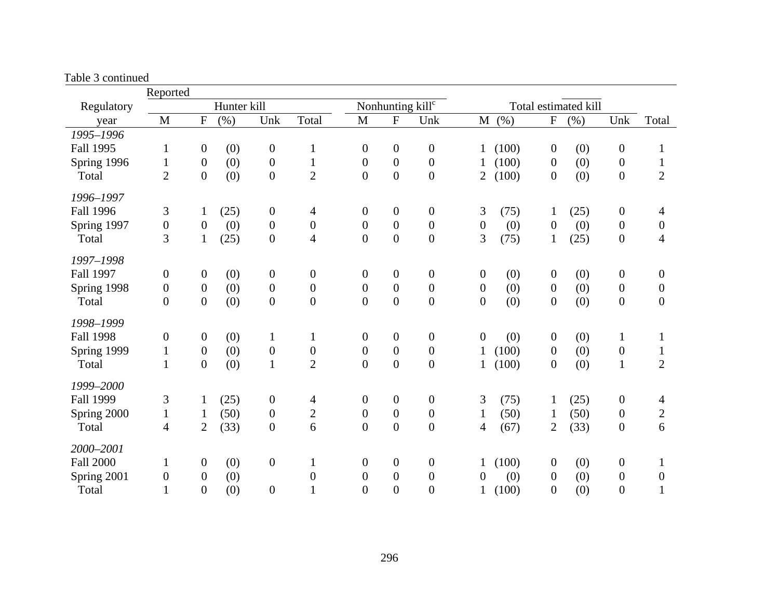Table 3 continued

|                  | Reported         |                  |             |                  |                  |                  |                  |                              |                  |       |                  |                      |                  |                  |
|------------------|------------------|------------------|-------------|------------------|------------------|------------------|------------------|------------------------------|------------------|-------|------------------|----------------------|------------------|------------------|
| Regulatory       |                  |                  | Hunter kill |                  |                  |                  |                  | Nonhunting kill <sup>c</sup> |                  |       |                  | Total estimated kill |                  |                  |
| year             | M                | ${\bf F}$        | (% )        | Unk              | Total            | $\mathbf{M}$     | ${\bf F}$        | Unk                          | $\mathbf M$      | (%)   | ${\bf F}$        | (% )                 | Unk              | Total            |
| 1995-1996        |                  |                  |             |                  |                  |                  |                  |                              |                  |       |                  |                      |                  |                  |
| <b>Fall 1995</b> | $\mathbf{1}$     | $\boldsymbol{0}$ | (0)         | $\boldsymbol{0}$ | $\mathbf{1}$     | $\boldsymbol{0}$ | $\boldsymbol{0}$ | $\boldsymbol{0}$             |                  | (100) | $\boldsymbol{0}$ | (0)                  | $\boldsymbol{0}$ | 1                |
| Spring 1996      | $\mathbf{1}$     | $\boldsymbol{0}$ | (0)         | $\boldsymbol{0}$ | $\mathbf{1}$     | $\boldsymbol{0}$ | $\boldsymbol{0}$ | $\boldsymbol{0}$             |                  | (100) | $\boldsymbol{0}$ | (0)                  | $\boldsymbol{0}$ | $\mathbf{1}$     |
| Total            | $\overline{2}$   | $\overline{0}$   | (0)         | $\overline{0}$   | $\overline{2}$   | $\overline{0}$   | $\boldsymbol{0}$ | $\overline{0}$               | 2                | (100) | $\boldsymbol{0}$ | (0)                  | $\boldsymbol{0}$ | $\overline{2}$   |
| 1996-1997        |                  |                  |             |                  |                  |                  |                  |                              |                  |       |                  |                      |                  |                  |
| <b>Fall 1996</b> | 3                | $\mathbf{1}$     | (25)        | $\boldsymbol{0}$ | 4                | $\boldsymbol{0}$ | $\boldsymbol{0}$ | $\mathbf{0}$                 | 3                | (75)  | $\mathbf{1}$     | (25)                 | $\boldsymbol{0}$ | 4                |
| Spring 1997      | $\boldsymbol{0}$ | $\overline{0}$   | (0)         | $\overline{0}$   | $\boldsymbol{0}$ | $\boldsymbol{0}$ | $\boldsymbol{0}$ | $\overline{0}$               | $\boldsymbol{0}$ | (0)   | $\theta$         | (0)                  | $\boldsymbol{0}$ | $\theta$         |
| Total            | 3                | $\mathbf{1}$     | (25)        | $\overline{0}$   | $\overline{4}$   | $\boldsymbol{0}$ | $\boldsymbol{0}$ | $\boldsymbol{0}$             | 3                | (75)  | $\mathbf{1}$     | (25)                 | $\boldsymbol{0}$ | 4                |
| 1997-1998        |                  |                  |             |                  |                  |                  |                  |                              |                  |       |                  |                      |                  |                  |
| <b>Fall 1997</b> | $\boldsymbol{0}$ | $\overline{0}$   | (0)         | $\boldsymbol{0}$ | $\boldsymbol{0}$ | $\boldsymbol{0}$ | $\boldsymbol{0}$ | $\boldsymbol{0}$             | $\boldsymbol{0}$ | (0)   | $\boldsymbol{0}$ | (0)                  | $\boldsymbol{0}$ | $\boldsymbol{0}$ |
| Spring 1998      | $\boldsymbol{0}$ | $\boldsymbol{0}$ | (0)         | $\boldsymbol{0}$ | $\boldsymbol{0}$ | $\boldsymbol{0}$ | $\boldsymbol{0}$ | $\boldsymbol{0}$             | $\boldsymbol{0}$ | (0)   | $\overline{0}$   | (0)                  | $\boldsymbol{0}$ | $\boldsymbol{0}$ |
| Total            | $\boldsymbol{0}$ | $\overline{0}$   | (0)         | $\overline{0}$   | $\boldsymbol{0}$ | $\boldsymbol{0}$ | $\overline{0}$   | $\overline{0}$               | $\boldsymbol{0}$ | (0)   | $\boldsymbol{0}$ | (0)                  | $\boldsymbol{0}$ | $\boldsymbol{0}$ |
| 1998-1999        |                  |                  |             |                  |                  |                  |                  |                              |                  |       |                  |                      |                  |                  |
| <b>Fall 1998</b> | $\boldsymbol{0}$ | $\boldsymbol{0}$ | (0)         | 1                | $\mathbf{1}$     | $\boldsymbol{0}$ | $\boldsymbol{0}$ | $\boldsymbol{0}$             | $\boldsymbol{0}$ | (0)   | $\boldsymbol{0}$ | (0)                  | $\mathbf{1}$     | $\mathbf 1$      |
| Spring 1999      | $\mathbf{1}$     | $\boldsymbol{0}$ | (0)         | $\boldsymbol{0}$ | $\boldsymbol{0}$ | $\boldsymbol{0}$ | $\boldsymbol{0}$ | $\boldsymbol{0}$             | $\mathbf{1}$     | (100) | $\boldsymbol{0}$ | (0)                  | $\boldsymbol{0}$ | $\mathbf{1}$     |
| Total            | $\mathbf{1}$     | $\boldsymbol{0}$ | (0)         | $\mathbf{1}$     | $\overline{2}$   | $\boldsymbol{0}$ | $\overline{0}$   | $\overline{0}$               | $\mathbf{1}$     | (100) | $\boldsymbol{0}$ | (0)                  | $\mathbf{1}$     | $\overline{2}$   |
| 1999-2000        |                  |                  |             |                  |                  |                  |                  |                              |                  |       |                  |                      |                  |                  |
| <b>Fall 1999</b> | 3                | $\mathbf{1}$     | (25)        | $\boldsymbol{0}$ | $\overline{4}$   | $\boldsymbol{0}$ | $\boldsymbol{0}$ | $\boldsymbol{0}$             | 3                | (75)  | $\mathbf{1}$     | (25)                 | $\boldsymbol{0}$ | 4                |
| Spring 2000      | $\mathbf{1}$     | $\mathbf{1}$     | (50)        | $\boldsymbol{0}$ | $\mathbf{2}$     | $\boldsymbol{0}$ | $\boldsymbol{0}$ | $\boldsymbol{0}$             | $\mathbf{1}$     | (50)  | $\mathbf{1}$     | (50)                 | $\boldsymbol{0}$ | $\overline{c}$   |
| Total            | $\overline{4}$   | $\overline{2}$   | (33)        | $\overline{0}$   | 6                | $\overline{0}$   | $\overline{0}$   | $\boldsymbol{0}$             | 4                | (67)  | $\overline{2}$   | (33)                 | $\boldsymbol{0}$ | 6                |
| 2000-2001        |                  |                  |             |                  |                  |                  |                  |                              |                  |       |                  |                      |                  |                  |
| <b>Fall 2000</b> | $\mathbf{1}$     | $\boldsymbol{0}$ | (0)         | $\boldsymbol{0}$ | $\mathbf{1}$     | $\boldsymbol{0}$ | $\boldsymbol{0}$ | $\mathbf{0}$                 | 1                | (100) | $\boldsymbol{0}$ | (0)                  | $\boldsymbol{0}$ | $\mathbf 1$      |
| Spring 2001      | $\boldsymbol{0}$ | $\overline{0}$   | (0)         |                  | $\boldsymbol{0}$ | $\boldsymbol{0}$ | $\boldsymbol{0}$ | $\mathbf{0}$                 | 0                | (0)   | $\overline{0}$   | (0)                  | $\boldsymbol{0}$ | $\boldsymbol{0}$ |
| Total            | $\mathbf{1}$     | $\overline{0}$   | (0)         | $\overline{0}$   | $\mathbf{1}$     | $\overline{0}$   | $\overline{0}$   | $\overline{0}$               | $\mathbf{1}$     | (100) | $\boldsymbol{0}$ | (0)                  | $\overline{0}$   | 1                |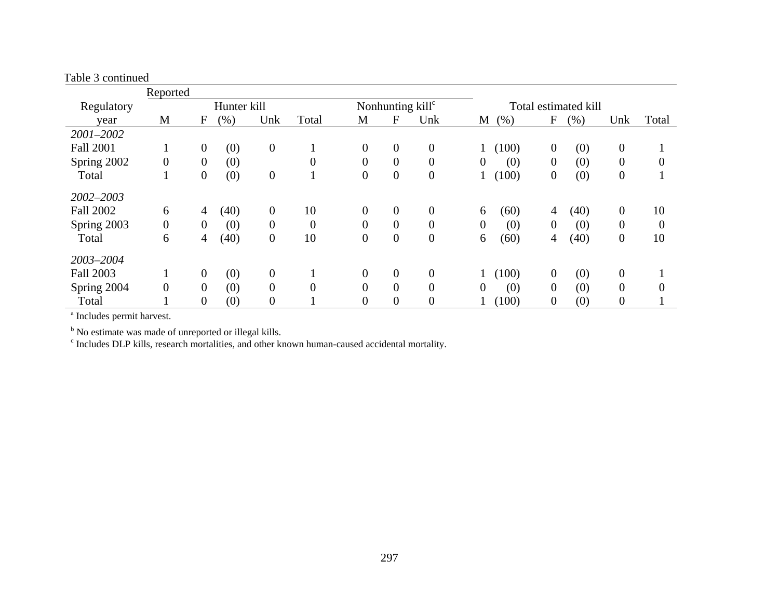Table 3 continued

|                  | Reported         |                  |             |                  |                |                  |                  |                              |          |       |                |                      |                  |                |
|------------------|------------------|------------------|-------------|------------------|----------------|------------------|------------------|------------------------------|----------|-------|----------------|----------------------|------------------|----------------|
| Regulatory       |                  |                  | Hunter kill |                  |                |                  |                  | Nonhunting kill <sup>c</sup> |          |       |                | Total estimated kill |                  |                |
| year             | M                | F                | (%)         | Unk              | Total          | M                | F                | Unk                          | M        | (% )  | F              | (% )                 | Unk              | Total          |
| 2001-2002        |                  |                  |             |                  |                |                  |                  |                              |          |       |                |                      |                  |                |
| <b>Fall 2001</b> |                  | $\mathbf{0}$     | (0)         | $\boldsymbol{0}$ |                | $\overline{0}$   | $\mathbf{0}$     | $\overline{0}$               |          | (100) | $\theta$       | (0)                  | $\boldsymbol{0}$ |                |
| Spring 2002      | $\boldsymbol{0}$ | $\overline{0}$   | (0)         |                  | $\overline{0}$ | $\boldsymbol{0}$ | $\boldsymbol{0}$ | $\overline{0}$               | $\theta$ | (0)   | $\theta$       | (0)                  | $\overline{0}$   | $\overline{0}$ |
| Total            |                  | $\overline{0}$   | (0)         | $\overline{0}$   |                | $\boldsymbol{0}$ | $\overline{0}$   | $\boldsymbol{0}$             |          | (100) | $\theta$       | (0)                  | $\overline{0}$   |                |
| 2002-2003        |                  |                  |             |                  |                |                  |                  |                              |          |       |                |                      |                  |                |
| <b>Fall 2002</b> | 6                | $\overline{4}$   | (40)        | $\theta$         | 10             | $\theta$         | $\overline{0}$   | $\overline{0}$               | 6        | (60)  | 4              | (40)                 | $\theta$         | 10             |
| Spring 2003      | $\mathbf{0}$     | $\overline{0}$   | (0)         | $\overline{0}$   | $\overline{0}$ | $\overline{0}$   | $\mathbf{0}$     | $\mathbf{0}$                 | $\Omega$ | (0)   | $\Omega$       | (0)                  | $\overline{0}$   | $\overline{0}$ |
| Total            | 6                | 4                | (40)        | $\overline{0}$   | 10             | $\boldsymbol{0}$ | $\boldsymbol{0}$ | $\boldsymbol{0}$             | 6        | (60)  | 4              | (40)                 | $\overline{0}$   | 10             |
| 2003-2004        |                  |                  |             |                  |                |                  |                  |                              |          |       |                |                      |                  |                |
| <b>Fall 2003</b> |                  | $\overline{0}$   | (0)         | $\overline{0}$   |                | $\boldsymbol{0}$ | $\overline{0}$   | $\boldsymbol{0}$             |          | (100) | $\theta$       | (0)                  | $\boldsymbol{0}$ |                |
| Spring 2004      | $\overline{0}$   | $\mathbf{0}$     | (0)         | $\overline{0}$   | $\overline{0}$ | $\overline{0}$   | $\overline{0}$   | $\overline{0}$               | $\theta$ | (0)   | $\overline{0}$ | (0)                  | $\overline{0}$   | $\theta$       |
| Total            |                  | $\boldsymbol{0}$ | (0)         | $\overline{0}$   |                | $\boldsymbol{0}$ | $\boldsymbol{0}$ | $\overline{0}$               |          | (100) | $\theta$       | (0)                  | $\overline{0}$   |                |

a Includes permit harvest.

<sup>b</sup> No estimate was made of unreported or illegal kills.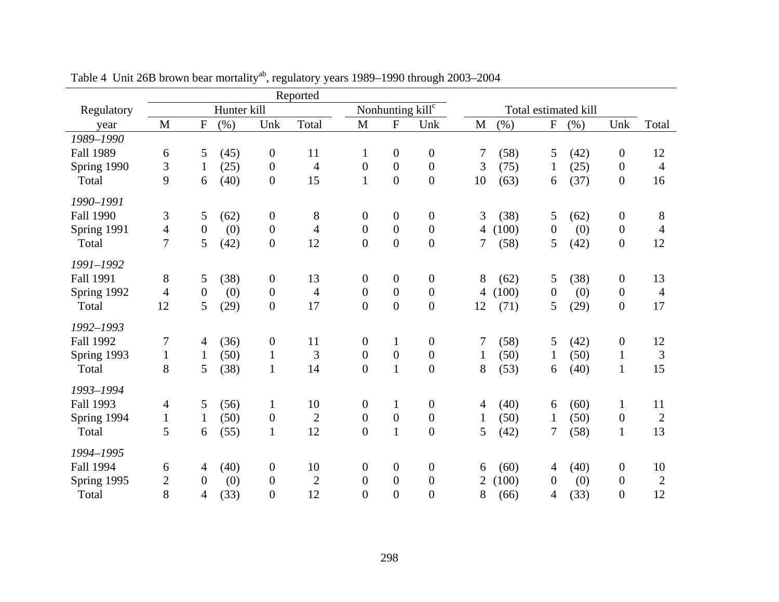|                               |                |                  |             |                  | Reported       |                  |                  |                              |                |       |                |                      |                  |                |
|-------------------------------|----------------|------------------|-------------|------------------|----------------|------------------|------------------|------------------------------|----------------|-------|----------------|----------------------|------------------|----------------|
| Regulatory                    |                |                  | Hunter kill |                  |                |                  |                  | Nonhunting kill <sup>c</sup> |                |       |                | Total estimated kill |                  |                |
| year                          | M              | ${\bf F}$        | (%)         | Unk              | Total          | M                | ${\bf F}$        | Unk                          | $\mathbf{M}$   | (%)   | ${\bf F}$      | (%)                  | Unk              | Total          |
| 1989-1990                     |                |                  |             |                  |                |                  |                  |                              |                |       |                |                      |                  |                |
| <b>Fall 1989</b>              | 6              | 5                | (45)        | $\boldsymbol{0}$ | 11             | $\mathbf{1}$     | $\boldsymbol{0}$ | $\boldsymbol{0}$             | 7              | (58)  | 5              | (42)                 | $\boldsymbol{0}$ | 12             |
| Spring 1990                   | $\mathfrak{Z}$ | $\mathbf{1}$     | (25)        | $\boldsymbol{0}$ | $\overline{4}$ | $\boldsymbol{0}$ | $\boldsymbol{0}$ | $\boldsymbol{0}$             | 3              | (75)  | $\mathbf{1}$   | (25)                 | $\boldsymbol{0}$ | $\overline{4}$ |
| Total                         | 9              | 6                | (40)        | $\boldsymbol{0}$ | 15             | $\mathbf{1}$     | $\boldsymbol{0}$ | $\boldsymbol{0}$             | 10             | (63)  | 6              | (37)                 | $\boldsymbol{0}$ | 16             |
| 1990-1991                     |                |                  |             |                  |                |                  |                  |                              |                |       |                |                      |                  |                |
| <b>Fall 1990</b>              | 3              | 5                | (62)        | $\overline{0}$   | 8              | $\boldsymbol{0}$ | $\boldsymbol{0}$ | $\boldsymbol{0}$             | 3              | (38)  | 5              | (62)                 | $\overline{0}$   | 8              |
| Spring 1991                   | $\overline{4}$ | $\overline{0}$   | (0)         | $\overline{0}$   | $\overline{4}$ | $\boldsymbol{0}$ | $\overline{0}$   | $\boldsymbol{0}$             | $\overline{4}$ | (100) | $\overline{0}$ | (0)                  | $\overline{0}$   | $\overline{4}$ |
| Total                         | $\tau$         | 5                | (42)        | $\mathbf{0}$     | 12             | $\boldsymbol{0}$ | $\boldsymbol{0}$ | $\boldsymbol{0}$             | 7              | (58)  | 5              | (42)                 | $\boldsymbol{0}$ | 12             |
|                               |                |                  |             |                  |                |                  |                  |                              |                |       |                |                      |                  |                |
| 1991-1992<br><b>Fall 1991</b> |                |                  |             |                  |                |                  |                  |                              |                |       |                |                      |                  |                |
|                               | 8              | 5                | (38)        | $\boldsymbol{0}$ | 13             | $\boldsymbol{0}$ | $\boldsymbol{0}$ | $\boldsymbol{0}$             | 8              | (62)  | 5              | (38)                 | $\boldsymbol{0}$ | 13             |
| Spring 1992                   | $\overline{4}$ | $\boldsymbol{0}$ | (0)         | $\overline{0}$   | $\overline{4}$ | $\boldsymbol{0}$ | $\boldsymbol{0}$ | $\mathbf{0}$                 | $\overline{4}$ | (100) | $\overline{0}$ | (0)                  | $\overline{0}$   | $\overline{4}$ |
| Total                         | 12             | 5                | (29)        | $\overline{0}$   | 17             | $\overline{0}$   | $\overline{0}$   | $\overline{0}$               | 12             | (71)  | 5              | (29)                 | $\boldsymbol{0}$ | 17             |
| 1992-1993                     |                |                  |             |                  |                |                  |                  |                              |                |       |                |                      |                  |                |
| <b>Fall 1992</b>              | 7              | 4                | (36)        | $\boldsymbol{0}$ | 11             | $\boldsymbol{0}$ | $\mathbf{1}$     | $\overline{0}$               | 7              | (58)  | 5              | (42)                 | $\boldsymbol{0}$ | 12             |
| Spring 1993                   | $\mathbf{1}$   | $\mathbf{1}$     | (50)        | $\mathbf{1}$     | 3              | $\boldsymbol{0}$ | $\boldsymbol{0}$ | $\boldsymbol{0}$             | $\mathbf{1}$   | (50)  | $\mathbf{1}$   | (50)                 | $\mathbf{1}$     | $\mathfrak{Z}$ |
| Total                         | 8              | 5                | (38)        | $\mathbf{1}$     | 14             | $\overline{0}$   | $\mathbf{1}$     | $\overline{0}$               | 8              | (53)  | 6              | (40)                 | $\mathbf{1}$     | 15             |
| 1993-1994                     |                |                  |             |                  |                |                  |                  |                              |                |       |                |                      |                  |                |
| <b>Fall 1993</b>              | $\overline{4}$ | 5                | (56)        | $\mathbf{1}$     | 10             | $\boldsymbol{0}$ | $\mathbf{1}$     | $\boldsymbol{0}$             | 4              | (40)  | 6              | (60)                 | $\mathbf{1}$     | 11             |
| Spring 1994                   | $\mathbf{1}$   | $\mathbf{1}$     | (50)        | $\boldsymbol{0}$ | $\overline{2}$ | $\boldsymbol{0}$ | $\boldsymbol{0}$ | $\boldsymbol{0}$             | $\mathbf{1}$   | (50)  | $\mathbf{1}$   | (50)                 | $\overline{0}$   | $\mathbf{2}$   |
| Total                         | 5              | 6                | (55)        | $\mathbf{1}$     | 12             | $\overline{0}$   | $\mathbf{1}$     | $\overline{0}$               | 5              | (42)  | 7              | (58)                 | $\mathbf{1}$     | 13             |
|                               |                |                  |             |                  |                |                  |                  |                              |                |       |                |                      |                  |                |
| 1994-1995                     |                |                  |             |                  |                |                  |                  |                              |                |       |                |                      |                  |                |
| <b>Fall 1994</b>              | 6              | 4                | (40)        | $\overline{0}$   | 10             | $\boldsymbol{0}$ | $\boldsymbol{0}$ | $\boldsymbol{0}$             | 6              | (60)  | 4              | (40)                 | $\boldsymbol{0}$ | 10             |
| Spring 1995                   | $\overline{c}$ | $\overline{0}$   | (0)         | $\boldsymbol{0}$ | $\overline{2}$ | $\boldsymbol{0}$ | $\boldsymbol{0}$ | $\overline{0}$               | 2              | (100) | $\overline{0}$ | (0)                  | $\boldsymbol{0}$ | $\overline{2}$ |
| Total                         | 8              | $\overline{4}$   | (33)        | $\overline{0}$   | 12             | $\overline{0}$   | $\overline{0}$   | $\overline{0}$               | 8              | (66)  | 4              | (33)                 | $\boldsymbol{0}$ | 12             |

Table 4 Unit 26B brown bear mortality<sup>ab</sup>, regulatory years 1989–1990 through 2003–2004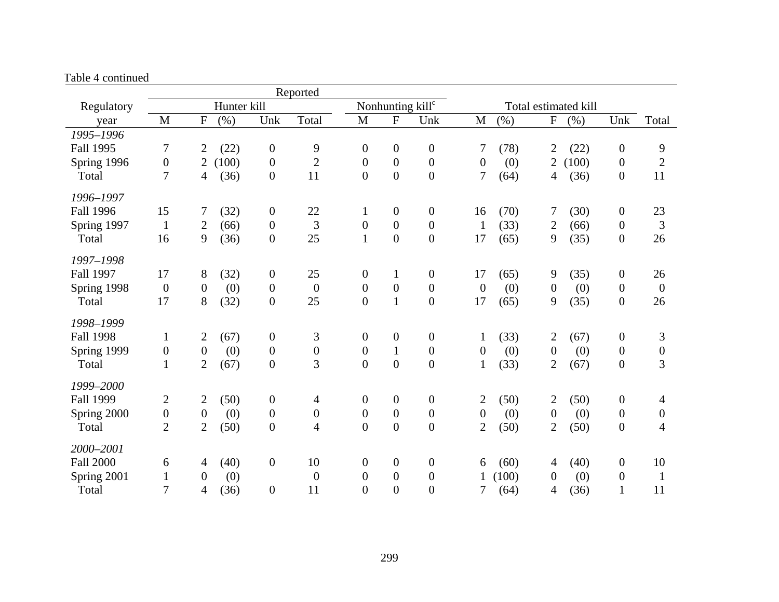|                  |                  |                  |             |                  | Reported                 |                  |                  |                              |                  |         |                  |                      |                  |                  |
|------------------|------------------|------------------|-------------|------------------|--------------------------|------------------|------------------|------------------------------|------------------|---------|------------------|----------------------|------------------|------------------|
| Regulatory       |                  |                  | Hunter kill |                  |                          |                  |                  | Nonhunting kill <sup>c</sup> |                  |         |                  | Total estimated kill |                  |                  |
| year             | M                | $\boldsymbol{F}$ | (% )        | Unk              | Total                    | M                | ${\bf F}$        | Unk                          | M                | $(\% )$ | ${\bf F}$        | (% )                 | Unk              | Total            |
| 1995-1996        |                  |                  |             |                  |                          |                  |                  |                              |                  |         |                  |                      |                  |                  |
| Fall 1995        | 7                | $\overline{2}$   | (22)        | $\overline{0}$   | 9                        | $\boldsymbol{0}$ | $\boldsymbol{0}$ | $\boldsymbol{0}$             | 7                | (78)    | $\overline{2}$   | (22)                 | $\boldsymbol{0}$ | 9                |
| Spring 1996      | $\boldsymbol{0}$ | $\overline{2}$   | (100)       | $\overline{0}$   | $\boldsymbol{2}$         | $\boldsymbol{0}$ | $\boldsymbol{0}$ | $\boldsymbol{0}$             | $\boldsymbol{0}$ | (0)     | $\overline{2}$   | (100)                | $\boldsymbol{0}$ | $\sqrt{2}$       |
| Total            | 7                | $\overline{4}$   | (36)        | $\overline{0}$   | 11                       | $\boldsymbol{0}$ | $\boldsymbol{0}$ | $\boldsymbol{0}$             | 7                | (64)    | 4                | (36)                 | $\boldsymbol{0}$ | 11               |
| 1996-1997        |                  |                  |             |                  |                          |                  |                  |                              |                  |         |                  |                      |                  |                  |
| <b>Fall 1996</b> | 15               | 7                | (32)        | $\mathbf{0}$     | 22                       | $\mathbf{1}$     | $\boldsymbol{0}$ | $\boldsymbol{0}$             | 16               | (70)    | 7                | (30)                 | $\boldsymbol{0}$ | 23               |
| Spring 1997      | $\mathbf{1}$     | $\overline{2}$   | (66)        | $\overline{0}$   | 3                        | $\boldsymbol{0}$ | $\boldsymbol{0}$ | $\boldsymbol{0}$             | $\mathbf{1}$     | (33)    | $\overline{2}$   | (66)                 | $\boldsymbol{0}$ | 3                |
| Total            | 16               | 9                | (36)        | $\overline{0}$   | 25                       | $\mathbf{1}$     | $\boldsymbol{0}$ | $\overline{0}$               | 17               | (65)    | 9                | (35)                 | $\boldsymbol{0}$ | 26               |
| 1997-1998        |                  |                  |             |                  |                          |                  |                  |                              |                  |         |                  |                      |                  |                  |
| Fall 1997        | 17               | $8\,$            | (32)        | $\boldsymbol{0}$ | 25                       | $\boldsymbol{0}$ | $\mathbf{1}$     | $\boldsymbol{0}$             | 17               | (65)    | 9                | (35)                 | $\boldsymbol{0}$ | 26               |
| Spring 1998      | $\boldsymbol{0}$ | $\boldsymbol{0}$ | (0)         | $\overline{0}$   | $\boldsymbol{0}$         | $\boldsymbol{0}$ | $\boldsymbol{0}$ | $\boldsymbol{0}$             | $\boldsymbol{0}$ | (0)     | $\boldsymbol{0}$ | (0)                  | $\boldsymbol{0}$ | $\boldsymbol{0}$ |
| Total            | 17               | 8                | (32)        | $\boldsymbol{0}$ | 25                       | $\boldsymbol{0}$ | $\mathbf 1$      | $\boldsymbol{0}$             | 17               | (65)    | 9                | (35)                 | $\boldsymbol{0}$ | 26               |
| 1998-1999        |                  |                  |             |                  |                          |                  |                  |                              |                  |         |                  |                      |                  |                  |
| <b>Fall 1998</b> | $\mathbf{1}$     | $\overline{2}$   | (67)        | $\overline{0}$   | 3                        | $\boldsymbol{0}$ | $\boldsymbol{0}$ | $\boldsymbol{0}$             | 1                | (33)    | $\overline{2}$   | (67)                 | $\boldsymbol{0}$ | 3                |
| Spring 1999      | $\boldsymbol{0}$ | $\boldsymbol{0}$ | (0)         | $\boldsymbol{0}$ | $\boldsymbol{0}$         | $\boldsymbol{0}$ | $\mathbf{1}$     | $\boldsymbol{0}$             | $\boldsymbol{0}$ | (0)     | $\overline{0}$   | (0)                  | $\boldsymbol{0}$ | $\boldsymbol{0}$ |
| Total            | $\mathbf{1}$     | $\overline{2}$   | (67)        | $\boldsymbol{0}$ | 3                        | $\overline{0}$   | $\overline{0}$   | $\overline{0}$               | $\mathbf{1}$     | (33)    | $\overline{2}$   | (67)                 | $\boldsymbol{0}$ | 3                |
| 1999-2000        |                  |                  |             |                  |                          |                  |                  |                              |                  |         |                  |                      |                  |                  |
| <b>Fall 1999</b> | $\overline{2}$   | $\overline{2}$   | (50)        | $\boldsymbol{0}$ | 4                        | $\boldsymbol{0}$ | $\boldsymbol{0}$ | $\boldsymbol{0}$             | $\overline{c}$   | (50)    | $\overline{2}$   | (50)                 | $\boldsymbol{0}$ | $\overline{4}$   |
| Spring 2000      | $\boldsymbol{0}$ | $\boldsymbol{0}$ | (0)         | $\boldsymbol{0}$ | $\boldsymbol{0}$         | $\boldsymbol{0}$ | $\boldsymbol{0}$ | $\boldsymbol{0}$             | $\boldsymbol{0}$ | (0)     | $\boldsymbol{0}$ | (0)                  | $\boldsymbol{0}$ | $\boldsymbol{0}$ |
| Total            | $\overline{2}$   | $\overline{2}$   | (50)        | $\boldsymbol{0}$ | $\overline{\mathcal{L}}$ | $\boldsymbol{0}$ | $\boldsymbol{0}$ | $\boldsymbol{0}$             | $\overline{2}$   | (50)    | $\overline{2}$   | (50)                 | $\boldsymbol{0}$ | $\overline{4}$   |
| 2000-2001        |                  |                  |             |                  |                          |                  |                  |                              |                  |         |                  |                      |                  |                  |
| <b>Fall 2000</b> | 6                | $\overline{4}$   | (40)        | $\mathbf{0}$     | 10                       | $\boldsymbol{0}$ | $\boldsymbol{0}$ | $\boldsymbol{0}$             | 6                | (60)    | $\overline{4}$   | (40)                 | $\boldsymbol{0}$ | 10               |
| Spring 2001      | $\mathbf{1}$     | $\boldsymbol{0}$ | (0)         |                  | $\boldsymbol{0}$         | $\boldsymbol{0}$ | $\boldsymbol{0}$ | $\boldsymbol{0}$             |                  | (100)   | $\overline{0}$   | (0)                  | $\boldsymbol{0}$ | $\mathbf{1}$     |
| Total            | 7                | $\overline{4}$   | (36)        | $\overline{0}$   | 11                       | $\overline{0}$   | $\overline{0}$   | $\boldsymbol{0}$             | 7                | (64)    | 4                | (36)                 | $\mathbf{1}$     | 11               |

Table 4 continued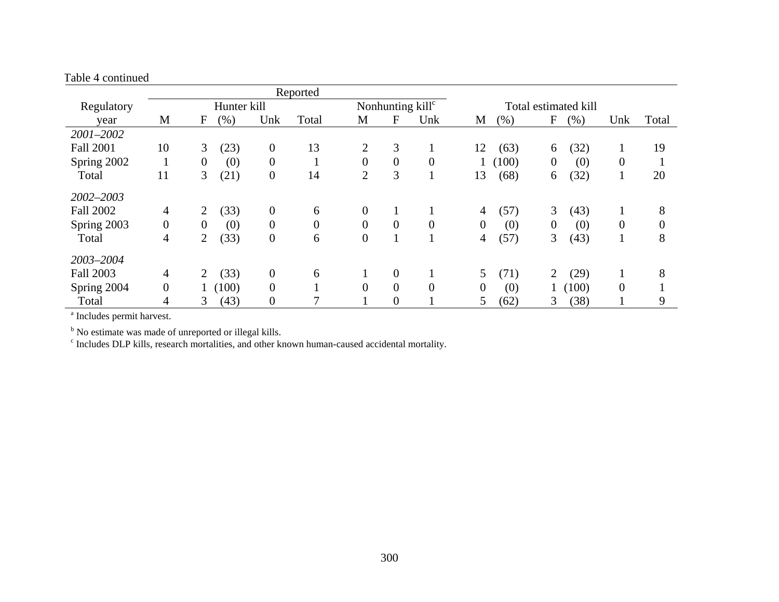| Table 4 continued |                  |                |             |                  |          |                |                  |                              |                |       |                |                      |              |          |
|-------------------|------------------|----------------|-------------|------------------|----------|----------------|------------------|------------------------------|----------------|-------|----------------|----------------------|--------------|----------|
|                   |                  |                |             |                  | Reported |                |                  |                              |                |       |                |                      |              |          |
| Regulatory        |                  |                | Hunter kill |                  |          |                |                  | Nonhunting kill <sup>c</sup> |                |       |                | Total estimated kill |              |          |
| year              | M                | F              | (% )        | Unk              | Total    | M              | F                | Unk                          | M              | (% )  | F              | (% )                 | Unk          | Total    |
| 2001-2002         |                  |                |             |                  |          |                |                  |                              |                |       |                |                      |              |          |
| <b>Fall 2001</b>  | 10               | 3              | (23)        | $\theta$         | 13       | $\overline{2}$ | 3                |                              | 12             | (63)  | 6              | (32)                 | $\mathbf{I}$ | 19       |
| Spring 2002       |                  | $\overline{0}$ | (0)         | $\overline{0}$   |          | $\overline{0}$ | $\boldsymbol{0}$ | $\theta$                     |                | (100) | $\overline{0}$ | (0)                  | $\theta$     | 1        |
| Total             | 11               | 3              | (21)        | $\overline{0}$   | 14       | $\overline{2}$ | 3                |                              | 13             | (68)  | 6              | (32)                 | $\mathbf{I}$ | 20       |
| 2002-2003         |                  |                |             |                  |          |                |                  |                              |                |       |                |                      |              |          |
| <b>Fall 2002</b>  | $\overline{4}$   | 2              | (33)        | $\boldsymbol{0}$ | 6        | $\mathbf{0}$   |                  |                              | 4              | (57)  | 3              | (43)                 |              | 8        |
| Spring 2003       | $\boldsymbol{0}$ | $\overline{0}$ | (0)         | $\theta$         | $\theta$ | $\overline{0}$ | $\overline{0}$   | $\mathbf{0}$                 | $\overline{0}$ | (0)   | $\overline{0}$ | (0)                  | $\theta$     | $\theta$ |
| Total             | $\overline{4}$   | $\overline{2}$ | (33)        | $\overline{0}$   | 6        | $\overline{0}$ |                  |                              | 4              | (57)  | 3              | (43)                 |              | 8        |
| 2003-2004         |                  |                |             |                  |          |                |                  |                              |                |       |                |                      |              |          |
| <b>Fall 2003</b>  | $\overline{4}$   | $\overline{2}$ | (33)        | $\overline{0}$   | 6        |                | $\theta$         |                              | 5 <sup>5</sup> | (71)  | $\overline{2}$ | (29)                 |              | 8        |
| Spring 2004       | $\overline{0}$   |                | (100)       | $\overline{0}$   |          | $\overline{0}$ | $\overline{0}$   | $\overline{0}$               | $\overline{0}$ | (0)   |                | (100)                | $\theta$     |          |
| Total             | 4                | 3              | (43)        | $\boldsymbol{0}$ |          |                | $\boldsymbol{0}$ |                              | 5              | (62)  | 3              | (38)                 |              | 9        |

a Includes permit harvest.

<sup>b</sup> No estimate was made of unreported or illegal kills.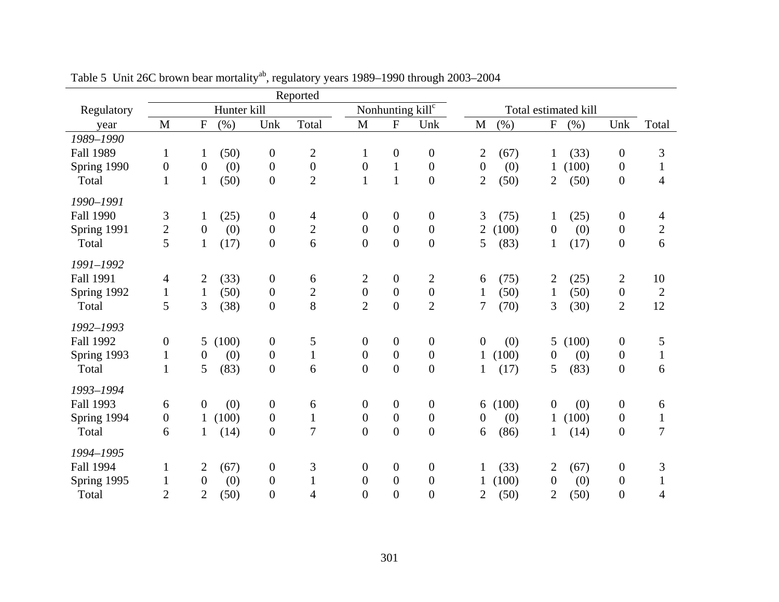|                  |                  |                  |             |                  | Reported         |                  |                  |                              |                  |       |                  |                      |                  |                |
|------------------|------------------|------------------|-------------|------------------|------------------|------------------|------------------|------------------------------|------------------|-------|------------------|----------------------|------------------|----------------|
| Regulatory       |                  |                  | Hunter kill |                  |                  |                  |                  | Nonhunting kill <sup>c</sup> |                  |       |                  | Total estimated kill |                  |                |
| year             | M                | ${\bf F}$        | (% )        | Unk              | Total            | M                | ${\bf F}$        | Unk                          | $\mathbf M$      | (%)   | ${\bf F}$        | (% )                 | Unk              | Total          |
| 1989-1990        |                  |                  |             |                  |                  |                  |                  |                              |                  |       |                  |                      |                  |                |
| <b>Fall 1989</b> | $\mathbf{1}$     | $\mathbf{1}$     | (50)        | $\boldsymbol{0}$ | $\overline{c}$   | $\mathbf{1}$     | $\boldsymbol{0}$ | $\boldsymbol{0}$             | $\overline{c}$   | (67)  | $\mathbf{1}$     | (33)                 | $\boldsymbol{0}$ | 3              |
| Spring 1990      | $\boldsymbol{0}$ | $\boldsymbol{0}$ | (0)         | $\boldsymbol{0}$ | $\boldsymbol{0}$ | $\boldsymbol{0}$ | $\mathbf{1}$     | $\mathbf{0}$                 | $\overline{0}$   | (0)   | 1                | (100)                | $\boldsymbol{0}$ | $\mathbf{1}$   |
| Total            | $\mathbf{1}$     | $\mathbf{1}$     | (50)        | $\overline{0}$   | $\overline{2}$   | $\mathbf{1}$     | $\mathbf{1}$     | $\boldsymbol{0}$             | $\overline{2}$   | (50)  | $\overline{2}$   | (50)                 | $\boldsymbol{0}$ | $\overline{4}$ |
| 1990-1991        |                  |                  |             |                  |                  |                  |                  |                              |                  |       |                  |                      |                  |                |
| <b>Fall 1990</b> | 3                | $\mathbf{1}$     | (25)        | $\overline{0}$   | 4                | $\boldsymbol{0}$ | $\boldsymbol{0}$ | $\boldsymbol{0}$             | 3                | (75)  | $\mathbf{1}$     | (25)                 | $\boldsymbol{0}$ | 4              |
| Spring 1991      | $\overline{c}$   | $\overline{0}$   | (0)         | $\boldsymbol{0}$ | $\overline{c}$   | $\boldsymbol{0}$ | $\boldsymbol{0}$ | $\boldsymbol{0}$             | $\overline{c}$   | (100) | $\overline{0}$   | (0)                  | $\boldsymbol{0}$ | $\overline{c}$ |
| Total            | 5                | $\mathbf{1}$     | (17)        | $\boldsymbol{0}$ | 6                | $\boldsymbol{0}$ | $\boldsymbol{0}$ | $\boldsymbol{0}$             | 5                | (83)  | $\mathbf{1}$     | (17)                 | $\boldsymbol{0}$ | 6              |
|                  |                  |                  |             |                  |                  |                  |                  |                              |                  |       |                  |                      |                  |                |
| 1991-1992        |                  |                  |             |                  |                  |                  |                  |                              |                  |       |                  |                      |                  |                |
| <b>Fall 1991</b> | $\overline{4}$   | $\overline{2}$   | (33)        | $\boldsymbol{0}$ | 6                | $\overline{2}$   | $\boldsymbol{0}$ | $\mathbf{2}$                 | 6                | (75)  | $\overline{2}$   | (25)                 | $\mathbf{2}$     | 10             |
| Spring 1992      | $\mathbf{1}$     | $\mathbf{1}$     | (50)        | $\boldsymbol{0}$ | $\overline{2}$   | $\boldsymbol{0}$ | $\boldsymbol{0}$ | $\boldsymbol{0}$             | $\mathbf{1}$     | (50)  | $\mathbf{1}$     | (50)                 | $\boldsymbol{0}$ | $\mathbf{2}$   |
| Total            | 5                | $\overline{3}$   | (38)        | $\overline{0}$   | 8                | $\overline{2}$   | $\overline{0}$   | $\overline{2}$               | 7                | (70)  | 3                | (30)                 | $\mathbf{2}$     | 12             |
| 1992-1993        |                  |                  |             |                  |                  |                  |                  |                              |                  |       |                  |                      |                  |                |
| <b>Fall 1992</b> | $\boldsymbol{0}$ | 5 <sup>5</sup>   | (100)       | $\boldsymbol{0}$ | 5                | $\boldsymbol{0}$ | $\boldsymbol{0}$ | $\boldsymbol{0}$             | $\boldsymbol{0}$ | (0)   | 5                | (100)                | $\boldsymbol{0}$ | 5              |
| Spring 1993      | $\mathbf{1}$     | $\theta$         | (0)         | $\overline{0}$   | $\mathbf{1}$     | $\boldsymbol{0}$ | $\boldsymbol{0}$ | $\boldsymbol{0}$             | $\mathbf{1}$     | (100) | $\boldsymbol{0}$ | (0)                  | $\overline{0}$   | $\mathbf{1}$   |
| Total            | $\mathbf{1}$     | 5                | (83)        | $\boldsymbol{0}$ | 6                | $\overline{0}$   | $\boldsymbol{0}$ | $\boldsymbol{0}$             | $\mathbf{1}$     | (17)  | 5                | (83)                 | $\boldsymbol{0}$ | 6              |
| 1993-1994        |                  |                  |             |                  |                  |                  |                  |                              |                  |       |                  |                      |                  |                |
| <b>Fall 1993</b> | 6                | $\boldsymbol{0}$ | (0)         | $\boldsymbol{0}$ | 6                | $\boldsymbol{0}$ | $\boldsymbol{0}$ | $\boldsymbol{0}$             | 6                | (100) | $\boldsymbol{0}$ | (0)                  | $\boldsymbol{0}$ | 6              |
| Spring 1994      | $\boldsymbol{0}$ | $\mathbf{1}$     | (100)       | $\overline{0}$   | $\mathbf{1}$     | $\boldsymbol{0}$ | $\boldsymbol{0}$ | $\boldsymbol{0}$             | $\boldsymbol{0}$ | (0)   | $\mathbf{1}$     | (100)                | $\boldsymbol{0}$ | $\mathbf{1}$   |
| Total            | 6                | 1                | (14)        | $\overline{0}$   | $\overline{7}$   | $\overline{0}$   | $\overline{0}$   | $\overline{0}$               | 6                | (86)  |                  | (14)                 | $\boldsymbol{0}$ | $\overline{7}$ |
|                  |                  |                  |             |                  |                  |                  |                  |                              |                  |       |                  |                      |                  |                |
| 1994-1995        |                  |                  |             |                  |                  |                  |                  |                              |                  |       |                  |                      |                  |                |
| <b>Fall 1994</b> | $\mathbf{1}$     | $\overline{2}$   | (67)        | $\overline{0}$   | 3                | $\boldsymbol{0}$ | $\boldsymbol{0}$ | $\boldsymbol{0}$             | 1                | (33)  | $\overline{2}$   | (67)                 | $\boldsymbol{0}$ | 3              |
| Spring 1995      | $\mathbf{1}$     | $\boldsymbol{0}$ | (0)         | $\boldsymbol{0}$ | $\mathbf{1}$     | $\boldsymbol{0}$ | $\boldsymbol{0}$ | $\boldsymbol{0}$             |                  | (100) | $\boldsymbol{0}$ | (0)                  | $\boldsymbol{0}$ | $\mathbf{1}$   |
| Total            | $\overline{2}$   | $\overline{2}$   | (50)        | $\overline{0}$   | 4                | $\overline{0}$   | $\overline{0}$   | $\overline{0}$               | $\overline{2}$   | (50)  | $\overline{2}$   | (50)                 | $\boldsymbol{0}$ | 4              |

Table 5 Unit 26C brown bear mortality<sup>ab</sup>, regulatory years 1989–1990 through 2003–2004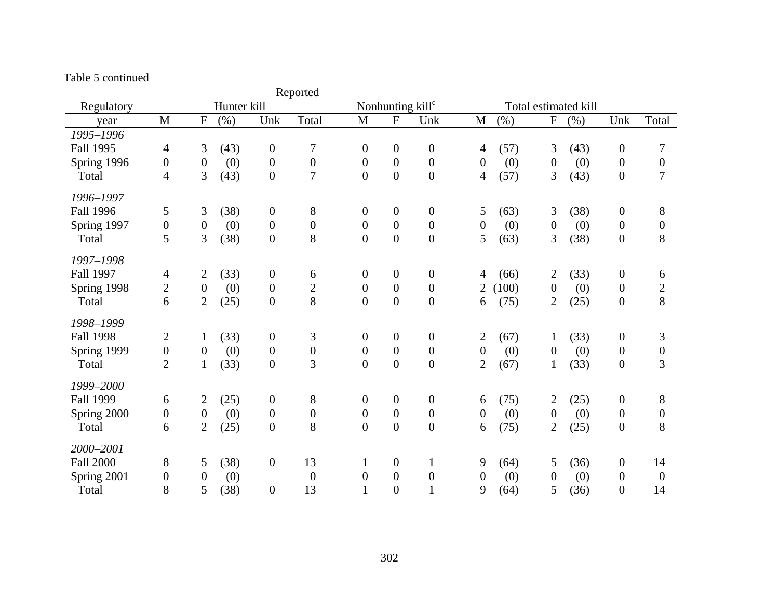| aoic o comunica  |                  |                  |             |                  | Reported         |                  |                  |                              |                  |         |                  |                      |                  |                  |
|------------------|------------------|------------------|-------------|------------------|------------------|------------------|------------------|------------------------------|------------------|---------|------------------|----------------------|------------------|------------------|
| Regulatory       |                  |                  | Hunter kill |                  |                  |                  |                  | Nonhunting kill <sup>c</sup> |                  |         |                  | Total estimated kill |                  |                  |
| year             | $\mathbf{M}$     | $\mathbf F$      | (% )        | Unk              | Total            | $\mathbf M$      | F                | Unk                          | $\mathbf{M}$     | $(\% )$ | ${\bf F}$        | (%)                  | Unk              | Total            |
| 1995-1996        |                  |                  |             |                  |                  |                  |                  |                              |                  |         |                  |                      |                  |                  |
| <b>Fall 1995</b> | 4                | 3                | (43)        | $\boldsymbol{0}$ | 7                | $\boldsymbol{0}$ | $\boldsymbol{0}$ | $\boldsymbol{0}$             | $\overline{4}$   | (57)    | 3                | (43)                 | $\boldsymbol{0}$ | 7                |
| Spring 1996      | $\boldsymbol{0}$ | $\boldsymbol{0}$ | (0)         | $\boldsymbol{0}$ | $\boldsymbol{0}$ | $\boldsymbol{0}$ | $\boldsymbol{0}$ | $\boldsymbol{0}$             | $\boldsymbol{0}$ | (0)     | $\boldsymbol{0}$ | (0)                  | $\boldsymbol{0}$ | $\boldsymbol{0}$ |
| Total            | $\overline{4}$   | 3                | (43)        | $\mathbf{0}$     | $\overline{7}$   | $\boldsymbol{0}$ | $\boldsymbol{0}$ | $\boldsymbol{0}$             | $\overline{4}$   | (57)    | 3                | (43)                 | $\boldsymbol{0}$ | $\overline{7}$   |
| 1996-1997        |                  |                  |             |                  |                  |                  |                  |                              |                  |         |                  |                      |                  |                  |
| <b>Fall 1996</b> | 5                | 3                | (38)        | $\boldsymbol{0}$ | 8                | $\boldsymbol{0}$ | $\boldsymbol{0}$ | $\boldsymbol{0}$             | 5                | (63)    | 3                | (38)                 | $\boldsymbol{0}$ | $8\phantom{1}$   |
| Spring 1997      | $\boldsymbol{0}$ | $\boldsymbol{0}$ | (0)         | $\overline{0}$   | $\boldsymbol{0}$ | $\overline{0}$   | $\overline{0}$   | $\boldsymbol{0}$             | $\boldsymbol{0}$ | (0)     | $\boldsymbol{0}$ | (0)                  | $\boldsymbol{0}$ | $\boldsymbol{0}$ |
| Total            | 5                | 3                | (38)        | $\overline{0}$   | 8                | $\overline{0}$   | $\boldsymbol{0}$ | $\boldsymbol{0}$             | 5                | (63)    | 3                | (38)                 | $\boldsymbol{0}$ | 8                |
| 1997-1998        |                  |                  |             |                  |                  |                  |                  |                              |                  |         |                  |                      |                  |                  |
| <b>Fall 1997</b> | $\overline{4}$   | $\mathbf{2}$     | (33)        | $\boldsymbol{0}$ | 6                | $\boldsymbol{0}$ | $\boldsymbol{0}$ | $\boldsymbol{0}$             | $\overline{4}$   | (66)    | $\overline{2}$   | (33)                 | $\boldsymbol{0}$ | 6                |
| Spring 1998      | $\overline{2}$   | $\boldsymbol{0}$ | (0)         | $\boldsymbol{0}$ | $\overline{c}$   | $\boldsymbol{0}$ | $\boldsymbol{0}$ | $\boldsymbol{0}$             | $\overline{2}$   | (100)   | $\overline{0}$   | (0)                  | $\boldsymbol{0}$ | $\overline{c}$   |
| Total            | 6                | $\overline{2}$   | (25)        | $\mathbf{0}$     | 8                | $\overline{0}$   | $\boldsymbol{0}$ | $\boldsymbol{0}$             | 6                | (75)    | $\overline{2}$   | (25)                 | $\boldsymbol{0}$ | 8                |
| 1998-1999        |                  |                  |             |                  |                  |                  |                  |                              |                  |         |                  |                      |                  |                  |
| <b>Fall 1998</b> | $\overline{2}$   | $\mathbf{1}$     | (33)        | $\boldsymbol{0}$ | 3                | $\boldsymbol{0}$ | $\boldsymbol{0}$ | $\boldsymbol{0}$             | $\mathbf{2}$     | (67)    | $\mathbf{1}$     | (33)                 | $\boldsymbol{0}$ | 3                |
| Spring 1999      | $\boldsymbol{0}$ | $\boldsymbol{0}$ | (0)         | $\boldsymbol{0}$ | $\boldsymbol{0}$ | $\boldsymbol{0}$ | $\boldsymbol{0}$ | $\boldsymbol{0}$             | $\boldsymbol{0}$ | (0)     | $\overline{0}$   | (0)                  | $\boldsymbol{0}$ | $\boldsymbol{0}$ |
| Total            | $\overline{2}$   | $\mathbf{1}$     | (33)        | $\overline{0}$   | 3                | $\boldsymbol{0}$ | $\boldsymbol{0}$ | $\overline{0}$               | $\overline{2}$   | (67)    | $\mathbf{1}$     | (33)                 | $\boldsymbol{0}$ | 3                |
| 1999-2000        |                  |                  |             |                  |                  |                  |                  |                              |                  |         |                  |                      |                  |                  |
| <b>Fall 1999</b> | 6                | $\overline{2}$   | (25)        | $\boldsymbol{0}$ | 8                | $\boldsymbol{0}$ | $\boldsymbol{0}$ | $\boldsymbol{0}$             | 6                | (75)    | $\overline{c}$   | (25)                 | $\boldsymbol{0}$ | $8\phantom{1}$   |
| Spring 2000      | $\boldsymbol{0}$ | $\boldsymbol{0}$ | (0)         | $\boldsymbol{0}$ | $\boldsymbol{0}$ | $\boldsymbol{0}$ | $\boldsymbol{0}$ | $\boldsymbol{0}$             | $\boldsymbol{0}$ | (0)     | $\boldsymbol{0}$ | (0)                  | $\boldsymbol{0}$ | $\boldsymbol{0}$ |
| Total            | 6                | $\overline{2}$   | (25)        | $\overline{0}$   | 8                | $\overline{0}$   | $\overline{0}$   | $\overline{0}$               | 6                | (75)    | $\overline{2}$   | (25)                 | $\boldsymbol{0}$ | 8                |
| 2000-2001        |                  |                  |             |                  |                  |                  |                  |                              |                  |         |                  |                      |                  |                  |
| <b>Fall 2000</b> | 8                | 5                | (38)        | $\boldsymbol{0}$ | 13               | $\mathbf{1}$     | $\boldsymbol{0}$ | $\mathbf{1}$                 | 9                | (64)    | 5                | (36)                 | $\boldsymbol{0}$ | 14               |
| Spring 2001      | $\boldsymbol{0}$ | $\boldsymbol{0}$ | (0)         |                  | $\overline{0}$   | $\boldsymbol{0}$ | $\boldsymbol{0}$ | $\boldsymbol{0}$             | $\overline{0}$   | (0)     | $\overline{0}$   | (0)                  | $\boldsymbol{0}$ | $\overline{0}$   |
| Total            | 8                | 5                | (38)        | $\boldsymbol{0}$ | 13               | $\mathbf{1}$     | $\overline{0}$   | $\mathbf{1}$                 | 9                | (64)    | 5                | (36)                 | $\overline{0}$   | 14               |

Table 5 continued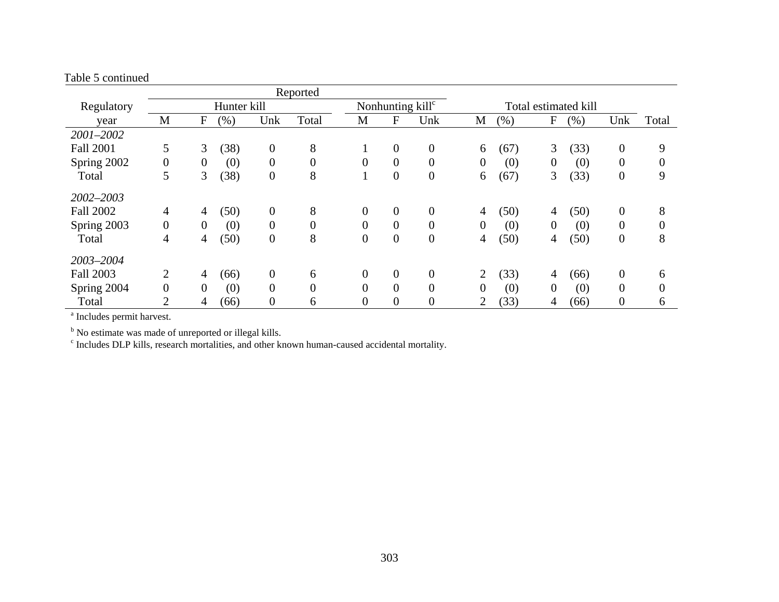|                  |                  |                |             |                | Reported         |                  |                  |                              |                |      |                |                      |                  |          |
|------------------|------------------|----------------|-------------|----------------|------------------|------------------|------------------|------------------------------|----------------|------|----------------|----------------------|------------------|----------|
| Regulatory       |                  |                | Hunter kill |                |                  |                  |                  | Nonhunting kill <sup>c</sup> |                |      |                | Total estimated kill |                  |          |
| year             | M                | F              | (% )        | Unk            | Total            | M                | $\mathbf{F}$     | Unk                          | М              | (% ) | F              | (% )                 | Unk              | Total    |
| 2001-2002        |                  |                |             |                |                  |                  |                  |                              |                |      |                |                      |                  |          |
| <b>Fall 2001</b> | 5                | 3              | (38)        | $\overline{0}$ | 8                |                  | $\overline{0}$   | $\overline{0}$               | 6              | (67) | 3              | (33)                 | $\boldsymbol{0}$ | 9        |
| Spring 2002      | $\boldsymbol{0}$ | $\overline{0}$ | (0)         | $\overline{0}$ | $\boldsymbol{0}$ | $\overline{0}$   | $\boldsymbol{0}$ | $\overline{0}$               | $\overline{0}$ | (0)  | $\mathbf{0}$   | (0)                  | $\overline{0}$   |          |
| Total            | 5                | 3              | (38)        | $\overline{0}$ | 8                |                  | $\overline{0}$   | $\boldsymbol{0}$             | 6              | (67) | 3              | (33)                 | $\overline{0}$   | 9        |
| 2002-2003        |                  |                |             |                |                  |                  |                  |                              |                |      |                |                      |                  |          |
| <b>Fall 2002</b> | $\overline{4}$   | 4              | (50)        | $\overline{0}$ | 8                | $\overline{0}$   | $\overline{0}$   | $\overline{0}$               | 4              | (50) | 4              | (50)                 | $\boldsymbol{0}$ | 8        |
| Spring 2003      | $\overline{0}$   | $\theta$       | (0)         | $\overline{0}$ | $\overline{0}$   | $\overline{0}$   | $\overline{0}$   | $\theta$                     | $\theta$       | (0)  | $\overline{0}$ | (0)                  | $\theta$         | 0        |
| Total            | 4                | 4              | (50)        | $\overline{0}$ | 8                | $\boldsymbol{0}$ | $\overline{0}$   | $\boldsymbol{0}$             | 4              | (50) | 4              | (50)                 | $\boldsymbol{0}$ | 8        |
| 2003-2004        |                  |                |             |                |                  |                  |                  |                              |                |      |                |                      |                  |          |
| <b>Fall 2003</b> | 2                | 4              | (66)        | $\overline{0}$ | 6                | $\overline{0}$   | $\overline{0}$   | $\mathbf{0}$                 | $\overline{2}$ | (33) | 4              | (66)                 | $\boldsymbol{0}$ | 6        |
| Spring 2004      | $\boldsymbol{0}$ | $\overline{0}$ | (0)         | $\overline{0}$ | $\overline{0}$   | $\overline{0}$   | $\theta$         | $\overline{0}$               | 0              | (0)  | 0              | (0)                  | $\boldsymbol{0}$ | $\theta$ |
| Total            | $\overline{2}$   | 4              | (66)        | $\overline{0}$ | 6                | $\overline{0}$   | $\overline{0}$   | $\overline{0}$               | $\overline{2}$ | (33) | 4              | (66)                 | $\boldsymbol{0}$ | 6        |

a Includes permit harvest.

<sup>b</sup> No estimate was made of unreported or illegal kills.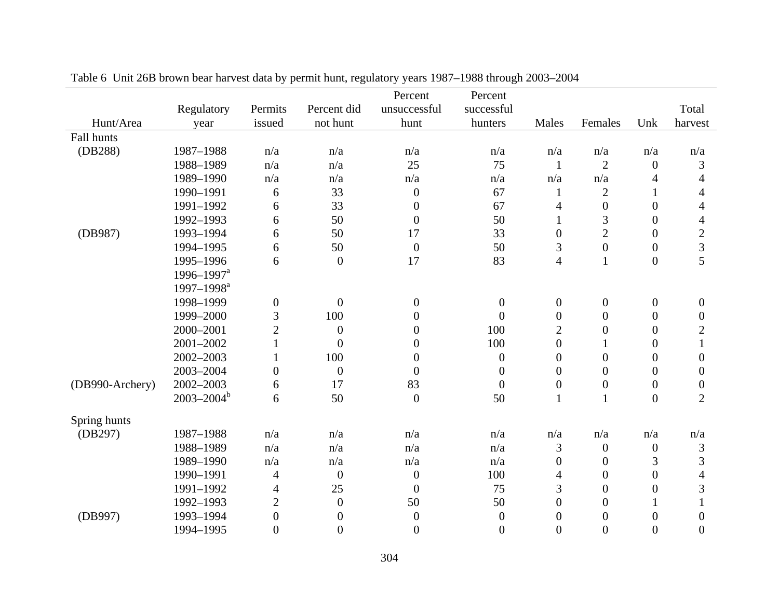|                 |                            |                  |                  | Percent          | Percent          |                  |                  |                  |                  |
|-----------------|----------------------------|------------------|------------------|------------------|------------------|------------------|------------------|------------------|------------------|
|                 | Regulatory                 | Permits          | Percent did      | unsuccessful     | successful       |                  |                  |                  | Total            |
| Hunt/Area       | year                       | issued           | not hunt         | hunt             | hunters          | Males            | Females          | Unk              | harvest          |
| Fall hunts      |                            |                  |                  |                  |                  |                  |                  |                  |                  |
| (DB288)         | 1987-1988                  | n/a              | n/a              | n/a              | n/a              | n/a              | n/a              | n/a              | n/a              |
|                 | 1988-1989                  | n/a              | n/a              | 25               | 75               | 1                | $\overline{2}$   | $\boldsymbol{0}$ | 3                |
|                 | 1989-1990                  | n/a              | n/a              | n/a              | n/a              | n/a              | n/a              | $\overline{4}$   | $\overline{4}$   |
|                 | 1990-1991                  | 6                | 33               | $\boldsymbol{0}$ | 67               | $\mathbf{1}$     | $\sqrt{2}$       | $\mathbf{1}$     | 4                |
|                 | 1991-1992                  | 6                | 33               | $\overline{0}$   | 67               | 4                | $\boldsymbol{0}$ | $\overline{0}$   | $\overline{4}$   |
|                 | 1992-1993                  | 6                | 50               | $\boldsymbol{0}$ | 50               | $\mathbf{1}$     | 3                | $\boldsymbol{0}$ | 4                |
| (DB987)         | 1993-1994                  | 6                | 50               | 17               | 33               | $\boldsymbol{0}$ | $\overline{2}$   | $\overline{0}$   | $\sqrt{2}$       |
|                 | 1994-1995                  | 6                | 50               | $\boldsymbol{0}$ | 50               | 3                | $\boldsymbol{0}$ | $\overline{0}$   | 3                |
|                 | 1995-1996                  | 6                | $\overline{0}$   | 17               | 83               | $\overline{4}$   | $\mathbf{1}$     | $\overline{0}$   | 5                |
|                 | $1996 - 1997$ <sup>a</sup> |                  |                  |                  |                  |                  |                  |                  |                  |
|                 | $1997 - 1998^a$            |                  |                  |                  |                  |                  |                  |                  |                  |
|                 | 1998-1999                  | $\boldsymbol{0}$ | $\boldsymbol{0}$ | $\boldsymbol{0}$ | $\mathbf{0}$     | $\overline{0}$   | $\boldsymbol{0}$ | $\boldsymbol{0}$ | $\overline{0}$   |
|                 | 1999-2000                  | 3                | 100              | $\boldsymbol{0}$ | $\overline{0}$   | $\boldsymbol{0}$ | $\overline{0}$   | $\boldsymbol{0}$ | $\boldsymbol{0}$ |
|                 | 2000-2001                  | $\overline{2}$   | $\boldsymbol{0}$ | $\boldsymbol{0}$ | 100              | $\overline{2}$   | $\boldsymbol{0}$ | $\overline{0}$   | $\overline{2}$   |
|                 | 2001-2002                  | $\mathbf{1}$     | $\overline{0}$   | $\boldsymbol{0}$ | 100              | $\boldsymbol{0}$ | $\mathbf{1}$     | $\boldsymbol{0}$ | $\mathbf{1}$     |
|                 | 2002-2003                  | $\mathbf{1}$     | 100              | $\boldsymbol{0}$ | $\boldsymbol{0}$ | $\overline{0}$   | $\overline{0}$   | $\theta$         | $\boldsymbol{0}$ |
|                 | 2003-2004                  | $\boldsymbol{0}$ | $\boldsymbol{0}$ | $\boldsymbol{0}$ | $\boldsymbol{0}$ | $\theta$         | $\overline{0}$   | $\boldsymbol{0}$ | $\boldsymbol{0}$ |
| (DB990-Archery) | 2002-2003                  | 6                | 17               | 83               | $\boldsymbol{0}$ | $\boldsymbol{0}$ | $\boldsymbol{0}$ | $\boldsymbol{0}$ | $\boldsymbol{0}$ |
|                 | $2003 - 2004^b$            | 6                | 50               | $\overline{0}$   | 50               | 1                | $\mathbf{1}$     | $\overline{0}$   | $\overline{2}$   |
| Spring hunts    |                            |                  |                  |                  |                  |                  |                  |                  |                  |
| (DB297)         | 1987-1988                  | n/a              | n/a              | n/a              | n/a              | n/a              | n/a              | n/a              | n/a              |
|                 | 1988-1989                  | n/a              | n/a              | n/a              | n/a              | 3                | $\boldsymbol{0}$ | $\boldsymbol{0}$ | $\mathfrak{Z}$   |
|                 | 1989-1990                  | n/a              | n/a              | n/a              | n/a              | $\boldsymbol{0}$ | $\boldsymbol{0}$ | 3                | 3                |
|                 | 1990-1991                  | $\overline{4}$   | $\boldsymbol{0}$ | $\boldsymbol{0}$ | 100              | 4                | $\boldsymbol{0}$ | $\overline{0}$   | 4                |
|                 | 1991-1992                  | 4                | 25               | $\boldsymbol{0}$ | 75               | 3                | $\overline{0}$   | $\overline{0}$   | 3                |
|                 | 1992-1993                  | $\overline{c}$   | $\overline{0}$   | 50               | 50               | $\boldsymbol{0}$ | $\theta$         |                  | 1                |
| (DB997)         | 1993-1994                  | $\boldsymbol{0}$ | $\boldsymbol{0}$ | $\boldsymbol{0}$ | $\boldsymbol{0}$ | $\boldsymbol{0}$ | $\boldsymbol{0}$ | $\boldsymbol{0}$ | $\overline{0}$   |
|                 | 1994-1995                  | $\theta$         | $\Omega$         | $\overline{0}$   | $\overline{0}$   | $\theta$         | $\Omega$         | $\theta$         | $\Omega$         |

Table 6 Unit 26B brown bear harvest data by permit hunt, regulatory years 1987–1988 through 2003–2004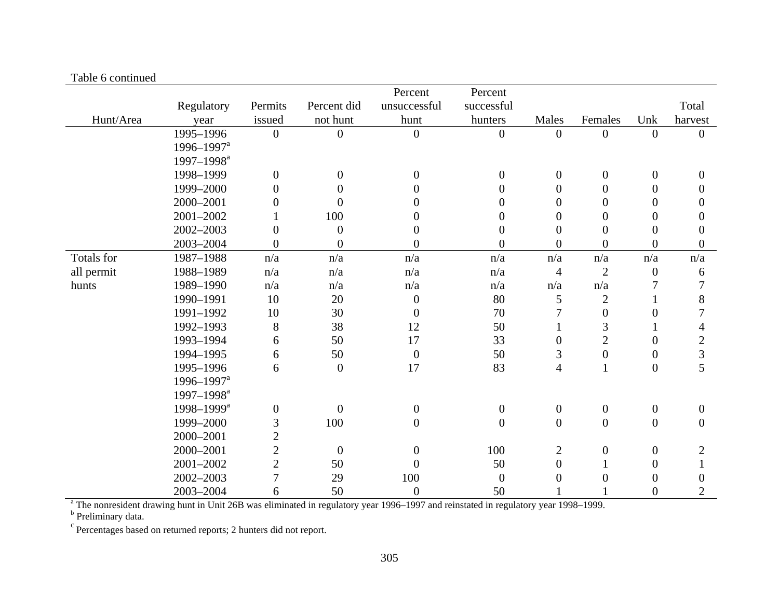| гаото о сопинаса |                            |                         |                  | Percent                 | Percent          |                         |                  |                  |                         |
|------------------|----------------------------|-------------------------|------------------|-------------------------|------------------|-------------------------|------------------|------------------|-------------------------|
|                  | Regulatory                 | Permits                 | Percent did      | unsuccessful            | successful       |                         |                  |                  | Total                   |
| Hunt/Area        | year                       | issued                  | not hunt         | hunt                    | hunters          | Males                   | Females          | Unk              | harvest                 |
|                  | 1995-1996                  | $\boldsymbol{0}$        | $\boldsymbol{0}$ | $\boldsymbol{0}$        | $\boldsymbol{0}$ | $\boldsymbol{0}$        | $\overline{0}$   | $\overline{0}$   | $\Omega$                |
|                  | $1996 - 1997$ <sup>a</sup> |                         |                  |                         |                  |                         |                  |                  |                         |
|                  | 1997-1998 <sup>a</sup>     |                         |                  |                         |                  |                         |                  |                  |                         |
|                  | 1998-1999                  | $\boldsymbol{0}$        | $\overline{0}$   | $\overline{0}$          | $\boldsymbol{0}$ | $\boldsymbol{0}$        | $\mathbf{0}$     | $\overline{0}$   | $\theta$                |
|                  | 1999-2000                  | $\boldsymbol{0}$        | $\Omega$         | 0                       | $\overline{0}$   | $\theta$                | $\Omega$         | $\overline{0}$   | $\overline{0}$          |
|                  | 2000-2001                  | $\boldsymbol{0}$        | $\theta$         | 0                       | $\boldsymbol{0}$ | $\overline{0}$          | $\overline{0}$   | $\overline{0}$   | $\boldsymbol{0}$        |
|                  | 2001-2002                  |                         | 100              | 0                       | $\overline{0}$   | $\overline{0}$          | $\Omega$         | $\theta$         | $\overline{0}$          |
|                  | 2002-2003                  | $\boldsymbol{0}$        | $\overline{0}$   | $\overline{0}$          | $\boldsymbol{0}$ | $\overline{0}$          | $\overline{0}$   | $\overline{0}$   | $\overline{0}$          |
|                  | 2003-2004                  | $\overline{0}$          | $\overline{0}$   | $\overline{0}$          | $\overline{0}$   | $\overline{0}$          | $\Omega$         | $\theta$         | $\Omega$                |
| Totals for       | 1987-1988                  | $\mathrm{n}/\mathrm{a}$ | n/a              | $\mathrm{n}/\mathrm{a}$ | n/a              | $\mathrm{n}/\mathrm{a}$ | n/a              | n/a              | $\mathrm{n}/\mathrm{a}$ |
| all permit       | 1988-1989                  | n/a                     | n/a              | n/a                     | n/a              | $\overline{4}$          | $\overline{2}$   | $\overline{0}$   | 6                       |
| hunts            | 1989-1990                  | n/a                     | n/a              | n/a                     | n/a              | n/a                     | n/a              | 7                | 7                       |
|                  | 1990-1991                  | 10                      | 20               | $\boldsymbol{0}$        | 80               | 5                       | $\overline{2}$   |                  | 8                       |
|                  | 1991-1992                  | 10                      | 30               | $\boldsymbol{0}$        | 70               | 7                       | $\boldsymbol{0}$ | $\theta$         | 7                       |
|                  | 1992-1993                  | $8\,$                   | 38               | 12                      | 50               |                         | 3                |                  | 4                       |
|                  | 1993-1994                  | 6                       | 50               | 17                      | 33               | $\theta$                | $\overline{2}$   | $\theta$         | $\overline{2}$          |
|                  | 1994-1995                  | 6                       | 50               | $\boldsymbol{0}$        | 50               | 3                       | $\boldsymbol{0}$ | $\overline{0}$   | 3                       |
|                  | 1995-1996                  | 6                       | $\overline{0}$   | 17                      | 83               | $\overline{4}$          | $\mathbf{1}$     | $\boldsymbol{0}$ | 5                       |
|                  | 1996-1997 <sup>a</sup>     |                         |                  |                         |                  |                         |                  |                  |                         |
|                  | 1997-1998 <sup>a</sup>     |                         |                  |                         |                  |                         |                  |                  |                         |
|                  | 1998-1999 <sup>a</sup>     | $\boldsymbol{0}$        | $\boldsymbol{0}$ | $\boldsymbol{0}$        | $\boldsymbol{0}$ | $\boldsymbol{0}$        | $\boldsymbol{0}$ | $\boldsymbol{0}$ | $\boldsymbol{0}$        |
|                  | 1999-2000                  | 3                       | 100              | $\overline{0}$          | $\overline{0}$   | $\boldsymbol{0}$        | $\overline{0}$   | $\mathbf{0}$     | $\overline{0}$          |
|                  | 2000-2001                  | $\overline{2}$          |                  |                         |                  |                         |                  |                  |                         |
|                  | 2000-2001                  | $\sqrt{2}$              | $\overline{0}$   | $\overline{0}$          | 100              | $\mathbf{2}$            | $\overline{0}$   | $\overline{0}$   | $\overline{2}$          |
|                  | 2001-2002                  | $\overline{2}$          | 50               | $\overline{0}$          | 50               | $\overline{0}$          |                  | $\overline{0}$   |                         |
|                  | 2002-2003                  | $\overline{7}$          | 29               | 100                     | $\overline{0}$   | $\overline{0}$          | $\Omega$         | $\overline{0}$   | $\theta$                |
|                  | 2003-2004                  | 6                       | 50               | $\boldsymbol{0}$        | 50               |                         |                  | $\overline{0}$   | $\overline{2}$          |

#### Table 6 continued

<sup>a</sup> The nonresident drawing hunt in Unit 26B was eliminated in regulatory year 1996–1997 and reinstated in regulatory year 1998–1999.

<sup>b</sup> Preliminary data.

c Percentages based on returned reports; 2 hunters did not report.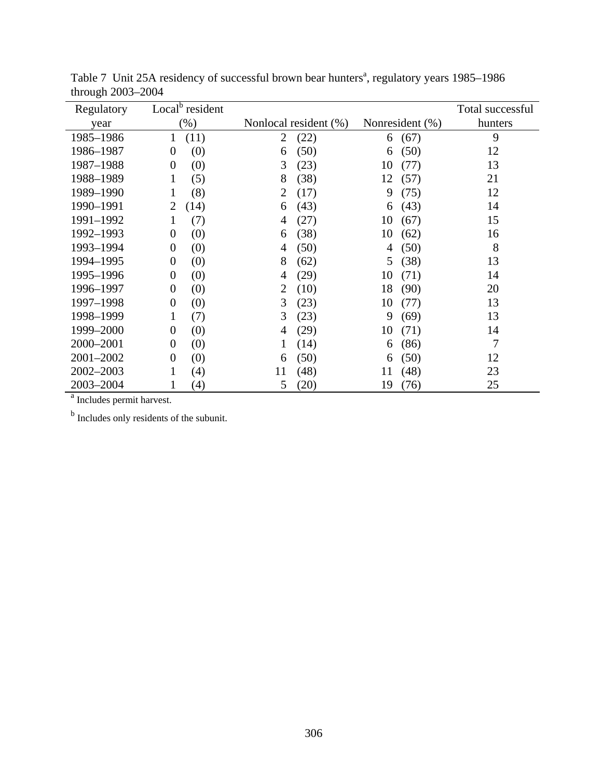| Regulatory | Local <sup>b</sup> resident |                        |                 | Total successful |
|------------|-----------------------------|------------------------|-----------------|------------------|
| year       | $(\% )$                     | Nonlocal resident (%)  | Nonresident (%) | hunters          |
| 1985-1986  | (11)<br>1                   | (22)<br>$\overline{2}$ | (67)<br>6       | 9                |
| 1986-1987  | (0)<br>$\overline{0}$       | (50)<br>6              | (50)<br>6       | 12               |
| 1987-1988  | (0)<br>$\overline{0}$       | 3<br>(23)              | (77)<br>10      | 13               |
| 1988-1989  | (5)<br>1                    | 8<br>(38)              | 12<br>(57)      | 21               |
| 1989-1990  | (8)<br>1                    | $\overline{2}$<br>(17) | (75)<br>9       | 12               |
| 1990-1991  | (14)<br>2                   | (43)<br>6              | (43)<br>6       | 14               |
| 1991-1992  | (7)<br>1                    | (27)<br>4              | 10<br>(67)      | 15               |
| 1992-1993  | (0)<br>$\theta$             | (38)<br>6              | 10<br>(62)      | 16               |
| 1993-1994  | (0)<br>$\overline{0}$       | (50)<br>$\overline{4}$ | (50)<br>4       | 8                |
| 1994-1995  | (0)<br>$\theta$             | 8<br>(62)              | (38)<br>5       | 13               |
| 1995-1996  | (0)<br>$\overline{0}$       | (29)<br>4              | 10<br>(71)      | 14               |
| 1996-1997  | (0)<br>$\theta$             | $\overline{2}$<br>(10) | (90)<br>18      | 20               |
| 1997-1998  | (0)<br>$\theta$             | 3<br>(23)              | 10<br>(77)      | 13               |
| 1998-1999  | (7)<br>1                    | 3<br>(23)              | 9<br>(69)       | 13               |
| 1999-2000  | (0)<br>$\theta$             | (29)<br>4              | (71)<br>10      | 14               |
| 2000-2001  | (0)<br>$\boldsymbol{0}$     | (14)<br>1              | (86)<br>6       | 7                |
| 2001-2002  | (0)<br>$\overline{0}$       | (50)<br>6              | (50)<br>6       | 12               |
| 2002-2003  | 1<br>(4)                    | 11<br>(48)             | (48)<br>11      | 23               |
| 2003-2004  | (4)                         | 5<br>(20)              | 19<br>(76)      | 25               |

Table 7 Unit 25A residency of successful brown bear hunters<sup>a</sup>, regulatory years 1985–1986 through 2003–2004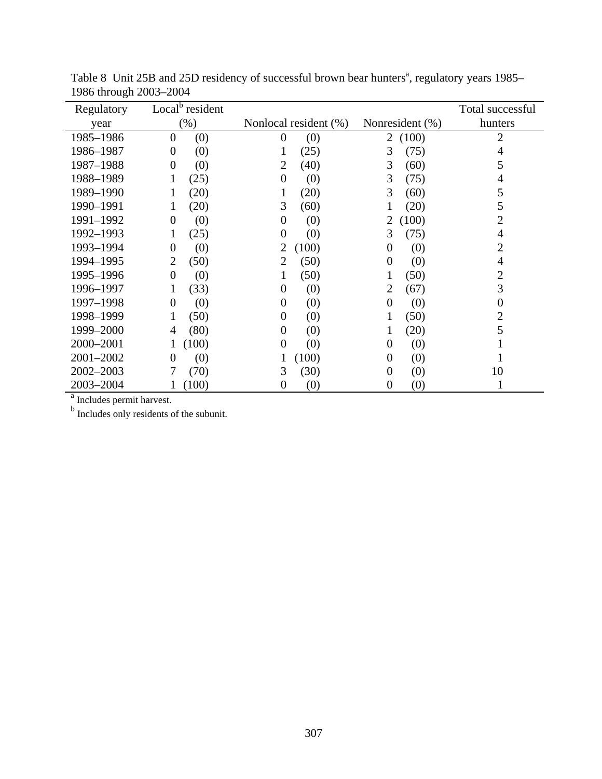| Regulatory | Local <sup>b</sup> resident |                         |                         | Total successful |
|------------|-----------------------------|-------------------------|-------------------------|------------------|
| year       | $(\% )$                     | Nonlocal resident (%)   | Nonresident (%)         | hunters          |
| 1985-1986  | (0)<br>$\theta$             | (0)<br>$\boldsymbol{0}$ | (100)<br>2              | 2                |
| 1986-1987  | (0)<br>$\Omega$             | (25)<br>1               | (75)<br>3               | 4                |
| 1987-1988  | (0)<br>$\theta$             | (40)<br>$\overline{2}$  | (60)<br>3               | 5                |
| 1988-1989  | (25)                        | (0)<br>$\overline{0}$   | (75)<br>3               | 4                |
| 1989-1990  | (20)                        | (20)<br>1               | (60)<br>3               | 5                |
| 1990-1991  | (20)                        | 3<br>(60)               | (20)                    | 5                |
| 1991-1992  | (0)<br>$\theta$             | (0)<br>$\overline{0}$   | (100)<br>2              | $\overline{2}$   |
| 1992-1993  | (25)                        | $\boldsymbol{0}$<br>(0) | (75)<br>3               | 4                |
| 1993-1994  | (0)<br>$\overline{0}$       | 2<br>(100)              | (0)<br>$\theta$         | $\overline{2}$   |
| 1994-1995  | (50)<br>2                   | (50)<br>2               | (0)<br>$\theta$         | 4                |
| 1995-1996  | (0)<br>$\overline{0}$       | (50)<br>1               | (50)                    | $\overline{2}$   |
| 1996-1997  | (33)<br>1                   | (0)<br>$\boldsymbol{0}$ | (67)<br>2               | 3                |
| 1997-1998  | (0)<br>$\Omega$             | (0)<br>0                | (0)<br>$\theta$         | $\boldsymbol{0}$ |
| 1998-1999  | (50)                        | (0)<br>$\overline{0}$   | (50)                    | $\overline{2}$   |
| 1999-2000  | (80)<br>4                   | (0)<br>$\overline{0}$   | (20)<br>1               | 5                |
| 2000-2001  | (100)                       | (0)<br>$\boldsymbol{0}$ | (0)<br>$\theta$         |                  |
| 2001-2002  | (0)<br>$\Omega$             | (100)<br>1              | (0)<br>$\boldsymbol{0}$ |                  |
| 2002-2003  | (70)                        | 3<br>(30)               | (0)<br>$\overline{0}$   | 10               |
| 2003-2004  | (100)                       | (0)<br>0                | (0)<br>0                |                  |

Table 8 Unit 25B and 25D residency of successful brown bear hunters<sup>a</sup>, regulatory years 1985– 1986 through 2003–2004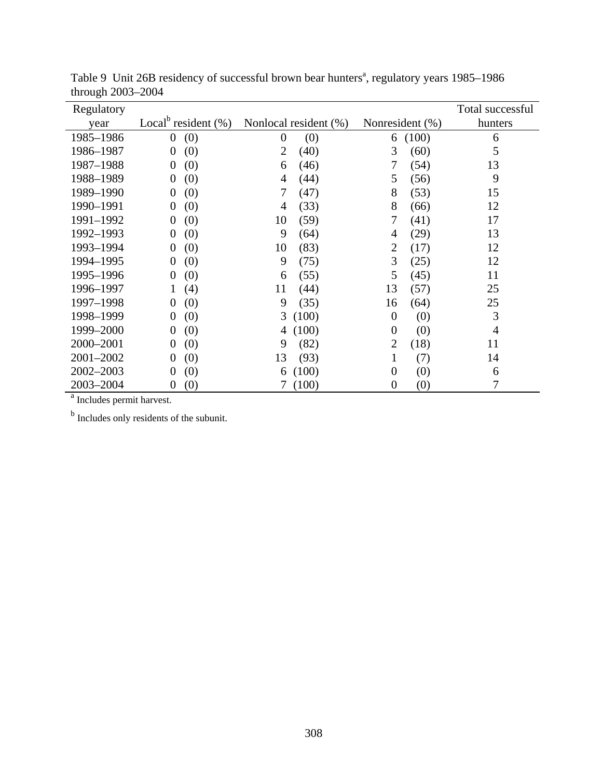| Regulatory |                                                  |                       |       |                 |       | Total successful |
|------------|--------------------------------------------------|-----------------------|-------|-----------------|-------|------------------|
| year       | Local <sup><math>\circ</math></sup> resident (%) | Nonlocal resident (%) |       | Nonresident (%) |       | hunters          |
| 1985-1986  | (0)<br>$\overline{0}$                            | $\theta$              | (0)   | 6               | (100) | 6                |
| 1986-1987  | (0)<br>$\boldsymbol{0}$                          | $\overline{2}$        | (40)  | 3               | (60)  | 5                |
| 1987-1988  | (0)<br>$\theta$                                  | 6                     | (46)  | 7               | (54)  | 13               |
| 1988-1989  | (0)<br>$\theta$                                  | 4                     | (44)  | 5               | (56)  | 9                |
| 1989-1990  | (0)<br>$\theta$                                  | 7                     | (47)  | 8               | (53)  | 15               |
| 1990-1991  | (0)<br>$\overline{0}$                            | 4                     | (33)  | 8               | (66)  | 12               |
| 1991-1992  | (0)<br>$\overline{0}$                            | 10                    | (59)  | 7               | (41)  | 17               |
| 1992-1993  | (0)<br>$\boldsymbol{0}$                          | 9                     | (64)  | 4               | (29)  | 13               |
| 1993-1994  | (0)<br>$\overline{0}$                            | 10                    | (83)  | $\overline{2}$  | (17)  | 12               |
| 1994-1995  | (0)<br>$\overline{0}$                            | 9                     | (75)  | 3               | (25)  | 12               |
| 1995-1996  | (0)<br>$\overline{0}$                            | 6                     | (55)  | 5               | (45)  | 11               |
| 1996-1997  | (4)<br>1                                         | 11                    | (44)  | 13              | (57)  | 25               |
| 1997-1998  | (0)<br>$\overline{0}$                            | 9                     | (35)  | 16              | (64)  | 25               |
| 1998-1999  | (0)<br>$\overline{0}$                            | 3                     | (100) | $\theta$        | (0)   | 3                |
| 1999-2000  | (0)<br>$\overline{0}$                            | 4                     | (100) | $\overline{0}$  | (0)   | $\overline{4}$   |
| 2000-2001  | (0)<br>$\boldsymbol{0}$                          | 9                     | (82)  | $\overline{2}$  | (18)  | 11               |
| 2001-2002  | (0)<br>$\boldsymbol{0}$                          | 13                    | (93)  | 1               | (7)   | 14               |
| 2002-2003  | (0)<br>$\Omega$                                  | 6                     | (100) | $\overline{0}$  | (0)   | 6                |
| 2003-2004  | (0)<br>$\theta$                                  | 7                     | (100) | $\theta$        | (0)   | 7                |

Table 9 Unit 26B residency of successful brown bear hunters<sup>a</sup>, regulatory years 1985–1986 through 2003–2004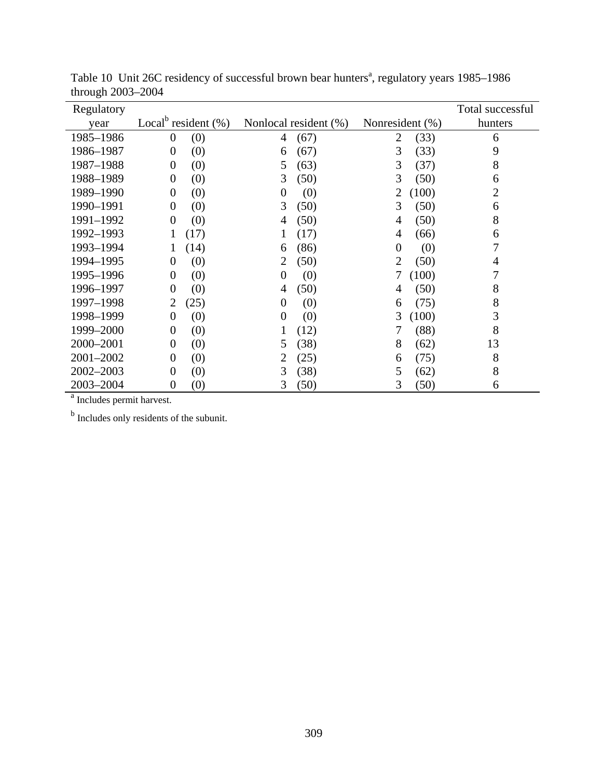| Regulatory     |                                     |                         |                         | Total successful |
|----------------|-------------------------------------|-------------------------|-------------------------|------------------|
| vear           | Local <sup>b</sup> resident $(\% )$ | Nonlocal resident (%)   | Nonresident (%)         | hunters          |
| 1985-1986      | (0)<br>$\theta$                     | (67)<br>4               | (33)<br>$\overline{2}$  | 6                |
| 1986-1987      | (0)<br>$\overline{0}$               | (67)<br>6               | 3<br>(33)               | 9                |
| 1987-1988      | (0)<br>$\boldsymbol{0}$             | 5<br>(63)               | 3<br>(37)               | 8                |
| 1988-1989      | (0)<br>$\theta$                     | 3<br>(50)               | 3<br>(50)               | 6                |
| 1989-1990      | (0)<br>$\theta$                     | (0)<br>$\boldsymbol{0}$ | $\overline{2}$<br>(100) | $\overline{2}$   |
| 1990-1991      | (0)<br>$\overline{0}$               | 3<br>(50)               | 3<br>(50)               | 6                |
| 1991-1992      | (0)<br>$\overline{0}$               | (50)<br>4               | (50)<br>4               | 8                |
| 1992-1993      | (17)                                | (17)<br>1               | (66)<br>4               | 6                |
| 1993-1994      | (14)<br>1                           | (86)<br>6               | $\overline{0}$<br>(0)   | 7                |
| 1994-1995      | (0)<br>$\overline{0}$               | (50)<br>2               | $\overline{2}$<br>(50)  | 4                |
| 1995-1996      | (0)<br>$\overline{0}$               | $\boldsymbol{0}$<br>(0) | 7<br>(100)              | 7                |
| 1996-1997      | (0)<br>$\Omega$                     | (50)<br>4               | (50)<br>4               | 8                |
| 1997-1998      | (25)<br>2                           | $\theta$<br>(0)         | (75)<br>6               | 8                |
| 1998-1999      | (0)<br>$\overline{0}$               | (0)<br>$\overline{0}$   | 3<br>(100)              | 3                |
| 1999-2000      | (0)<br>$\overline{0}$               | (12)<br>1               | (88)<br>7               | 8                |
| 2000-2001      | (0)<br>$\Omega$                     | (38)<br>5               | 8<br>(62)               | 13               |
| 2001-2002      | (0)<br>$\Omega$                     | 2<br>(25)               | (75)<br>6               | 8                |
| 2002-2003      | (0)<br>$\overline{0}$               | 3<br>(38)               | 5<br>(62)               | 8                |
| 2003-2004<br>а | (0)<br>$\Omega$                     | 3<br>(50)               | 3<br>(50)               | 6                |

Table 10 Unit 26C residency of successful brown bear hunters<sup>a</sup>, regulatory years 1985–1986 through 2003–2004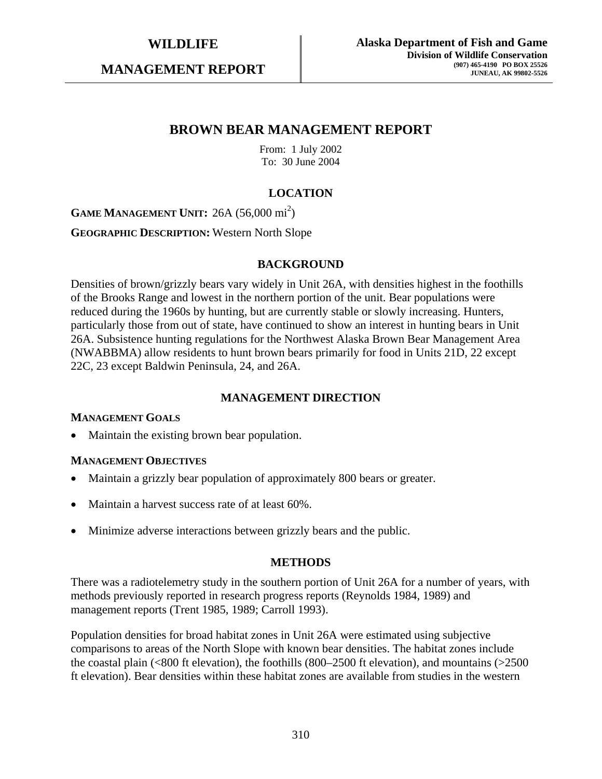**MANAGEMENT REPORT** 

# **BROWN BEAR MANAGEMENT REPORT**

From: 1 July 2002 To: 30 June 2004

# **LOCATION**

**GAME MANAGEMENT UNIT:** 26A (56,000 mi<sup>2</sup>)

**GEOGRAPHIC DESCRIPTION:** Western North Slope

### **BACKGROUND**

Densities of brown/grizzly bears vary widely in Unit 26A, with densities highest in the foothills of the Brooks Range and lowest in the northern portion of the unit. Bear populations were reduced during the 1960s by hunting, but are currently stable or slowly increasing. Hunters, particularly those from out of state, have continued to show an interest in hunting bears in Unit 26A. Subsistence hunting regulations for the Northwest Alaska Brown Bear Management Area (NWABBMA) allow residents to hunt brown bears primarily for food in Units 21D, 22 except 22C, 23 except Baldwin Peninsula, 24, and 26A.

# **MANAGEMENT DIRECTION**

#### **MANAGEMENT GOALS**

• Maintain the existing brown bear population.

#### **MANAGEMENT OBJECTIVES**

- Maintain a grizzly bear population of approximately 800 bears or greater.
- Maintain a harvest success rate of at least 60%.
- Minimize adverse interactions between grizzly bears and the public.

## **METHODS**

There was a radiotelemetry study in the southern portion of Unit 26A for a number of years, with methods previously reported in research progress reports (Reynolds 1984, 1989) and management reports (Trent 1985, 1989; Carroll 1993).

Population densities for broad habitat zones in Unit 26A were estimated using subjective comparisons to areas of the North Slope with known bear densities. The habitat zones include the coastal plain (<800 ft elevation), the foothills (800–2500 ft elevation), and mountains (>2500 ft elevation). Bear densities within these habitat zones are available from studies in the western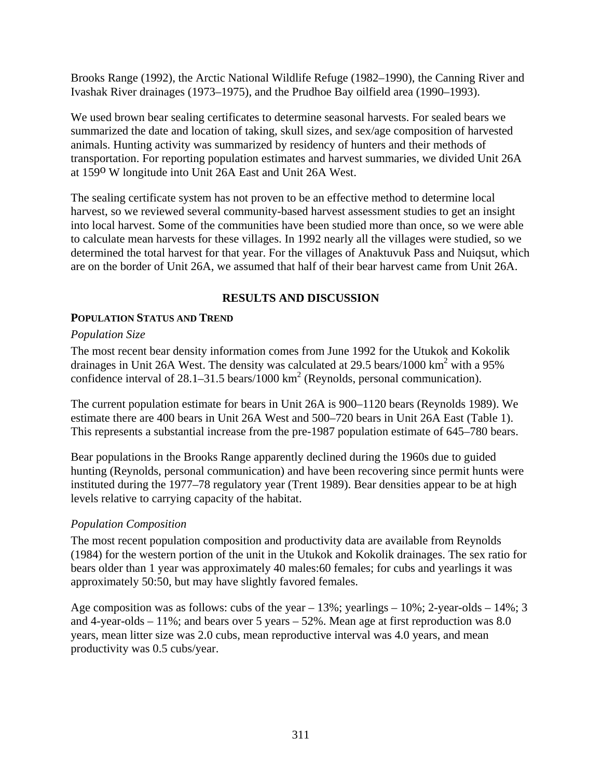Brooks Range (1992), the Arctic National Wildlife Refuge (1982–1990), the Canning River and Ivashak River drainages (1973–1975), and the Prudhoe Bay oilfield area (1990–1993).

We used brown bear sealing certificates to determine seasonal harvests. For sealed bears we summarized the date and location of taking, skull sizes, and sex/age composition of harvested animals. Hunting activity was summarized by residency of hunters and their methods of transportation. For reporting population estimates and harvest summaries, we divided Unit 26A at 159o W longitude into Unit 26A East and Unit 26A West.

The sealing certificate system has not proven to be an effective method to determine local harvest, so we reviewed several community-based harvest assessment studies to get an insight into local harvest. Some of the communities have been studied more than once, so we were able to calculate mean harvests for these villages. In 1992 nearly all the villages were studied, so we determined the total harvest for that year. For the villages of Anaktuvuk Pass and Nuiqsut, which are on the border of Unit 26A, we assumed that half of their bear harvest came from Unit 26A.

# **RESULTS AND DISCUSSION**

# **POPULATION STATUS AND TREND**

## *Population Size*

The most recent bear density information comes from June 1992 for the Utukok and Kokolik drainages in Unit 26A West. The density was calculated at 29.5 bears/1000  $\text{km}^2$  with a 95% confidence interval of 28.1–31.5 bears/1000 km<sup>2</sup> (Reynolds, personal communication).

The current population estimate for bears in Unit 26A is 900–1120 bears (Reynolds 1989). We estimate there are 400 bears in Unit 26A West and 500–720 bears in Unit 26A East (Table 1). This represents a substantial increase from the pre-1987 population estimate of 645–780 bears.

Bear populations in the Brooks Range apparently declined during the 1960s due to guided hunting (Reynolds, personal communication) and have been recovering since permit hunts were instituted during the 1977–78 regulatory year (Trent 1989). Bear densities appear to be at high levels relative to carrying capacity of the habitat.

# *Population Composition*

The most recent population composition and productivity data are available from Reynolds (1984) for the western portion of the unit in the Utukok and Kokolik drainages. The sex ratio for bears older than 1 year was approximately 40 males:60 females; for cubs and yearlings it was approximately 50:50, but may have slightly favored females.

Age composition was as follows: cubs of the year  $-13\%$ ; yearlings  $-10\%$ ; 2-year-olds  $-14\%$ ; 3 and 4-year-olds – 11%; and bears over 5 years – 52%. Mean age at first reproduction was 8.0 years, mean litter size was 2.0 cubs, mean reproductive interval was 4.0 years, and mean productivity was 0.5 cubs/year.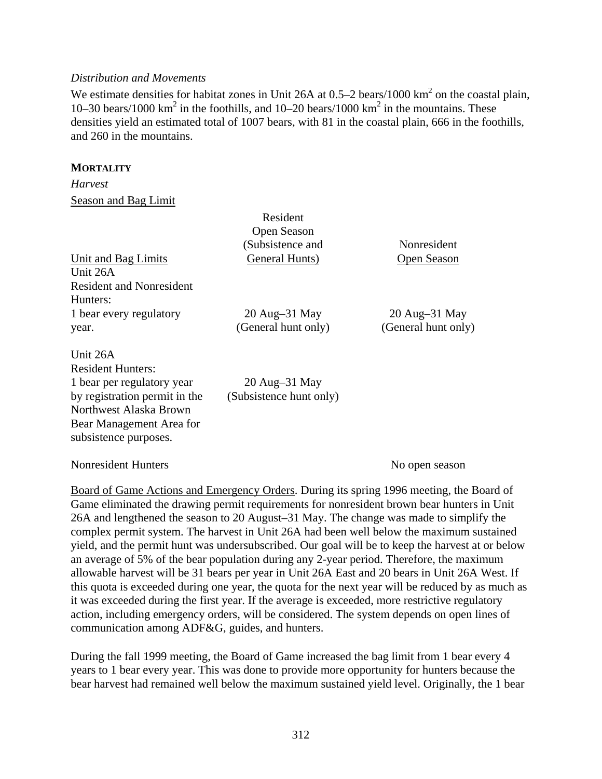### *Distribution and Movements*

We estimate densities for habitat zones in Unit 26A at  $0.5-2$  bears/1000 km<sup>2</sup> on the coastal plain, 10–30 bears/1000 km<sup>2</sup> in the foothills, and 10–20 bears/1000 km<sup>2</sup> in the mountains. These densities yield an estimated total of 1007 bears, with 81 in the coastal plain, 666 in the foothills, and 260 in the mountains.

### **MORTALITY**

*Harvest*  Season and Bag Limit

|                                                                                                                                                                                    | Resident                                      |                                        |
|------------------------------------------------------------------------------------------------------------------------------------------------------------------------------------|-----------------------------------------------|----------------------------------------|
|                                                                                                                                                                                    | Open Season<br>(Subsistence and               | Nonresident                            |
| Unit and Bag Limits<br>Unit 26A                                                                                                                                                    | General Hunts)                                | Open Season                            |
| <b>Resident and Nonresident</b><br>Hunters:                                                                                                                                        |                                               |                                        |
| 1 bear every regulatory<br>year.                                                                                                                                                   | $20$ Aug $-31$ May<br>(General hunt only)     | $20$ Aug-31 May<br>(General hunt only) |
| Unit 26A<br><b>Resident Hunters:</b><br>1 bear per regulatory year<br>by registration permit in the<br>Northwest Alaska Brown<br>Bear Management Area for<br>subsistence purposes. | $20$ Aug $-31$ May<br>(Subsistence hunt only) |                                        |

#### Nonresident Hunters No open season

Board of Game Actions and Emergency Orders. During its spring 1996 meeting, the Board of Game eliminated the drawing permit requirements for nonresident brown bear hunters in Unit 26A and lengthened the season to 20 August–31 May. The change was made to simplify the complex permit system. The harvest in Unit 26A had been well below the maximum sustained yield, and the permit hunt was undersubscribed. Our goal will be to keep the harvest at or below an average of 5% of the bear population during any 2-year period. Therefore, the maximum allowable harvest will be 31 bears per year in Unit 26A East and 20 bears in Unit 26A West. If this quota is exceeded during one year, the quota for the next year will be reduced by as much as it was exceeded during the first year. If the average is exceeded, more restrictive regulatory action, including emergency orders, will be considered. The system depends on open lines of communication among ADF&G, guides, and hunters.

During the fall 1999 meeting, the Board of Game increased the bag limit from 1 bear every 4 years to 1 bear every year. This was done to provide more opportunity for hunters because the bear harvest had remained well below the maximum sustained yield level. Originally, the 1 bear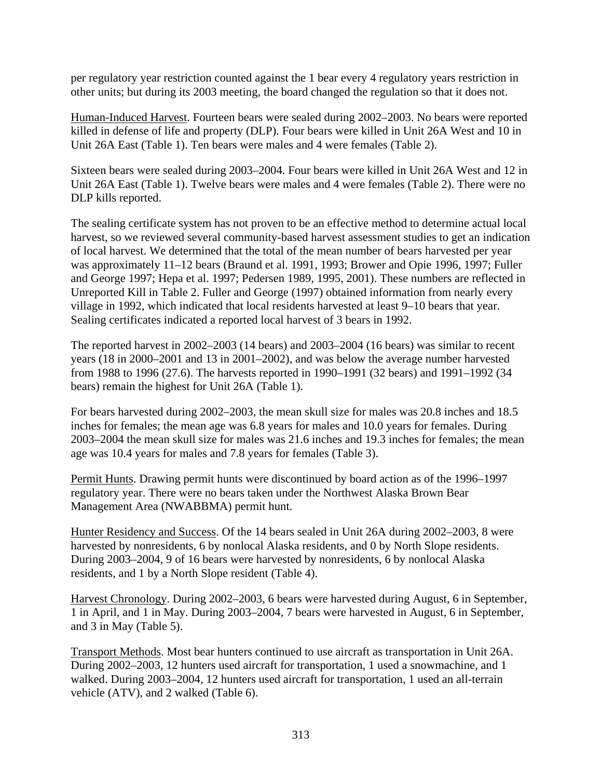per regulatory year restriction counted against the 1 bear every 4 regulatory years restriction in other units; but during its 2003 meeting, the board changed the regulation so that it does not.

Human-Induced Harvest. Fourteen bears were sealed during 2002–2003. No bears were reported killed in defense of life and property (DLP). Four bears were killed in Unit 26A West and 10 in Unit 26A East (Table 1). Ten bears were males and 4 were females (Table 2).

Sixteen bears were sealed during 2003–2004. Four bears were killed in Unit 26A West and 12 in Unit 26A East (Table 1). Twelve bears were males and 4 were females (Table 2). There were no DLP kills reported.

The sealing certificate system has not proven to be an effective method to determine actual local harvest, so we reviewed several community-based harvest assessment studies to get an indication of local harvest. We determined that the total of the mean number of bears harvested per year was approximately 11–12 bears (Braund et al. 1991, 1993; Brower and Opie 1996, 1997; Fuller and George 1997; Hepa et al. 1997; Pedersen 1989, 1995, 2001). These numbers are reflected in Unreported Kill in Table 2. Fuller and George (1997) obtained information from nearly every village in 1992, which indicated that local residents harvested at least 9–10 bears that year. Sealing certificates indicated a reported local harvest of 3 bears in 1992.

The reported harvest in 2002–2003 (14 bears) and 2003–2004 (16 bears) was similar to recent years (18 in 2000–2001 and 13 in 2001–2002), and was below the average number harvested from 1988 to 1996 (27.6). The harvests reported in 1990–1991 (32 bears) and 1991–1992 (34 bears) remain the highest for Unit 26A (Table 1).

For bears harvested during 2002–2003, the mean skull size for males was 20.8 inches and 18.5 inches for females; the mean age was 6.8 years for males and 10.0 years for females. During 2003–2004 the mean skull size for males was 21.6 inches and 19.3 inches for females; the mean age was 10.4 years for males and 7.8 years for females (Table 3).

Permit Hunts. Drawing permit hunts were discontinued by board action as of the 1996–1997 regulatory year. There were no bears taken under the Northwest Alaska Brown Bear Management Area (NWABBMA) permit hunt.

Hunter Residency and Success. Of the 14 bears sealed in Unit 26A during 2002–2003, 8 were harvested by nonresidents, 6 by nonlocal Alaska residents, and 0 by North Slope residents. During 2003–2004, 9 of 16 bears were harvested by nonresidents, 6 by nonlocal Alaska residents, and 1 by a North Slope resident (Table 4).

Harvest Chronology. During 2002–2003, 6 bears were harvested during August, 6 in September, 1 in April, and 1 in May. During 2003–2004, 7 bears were harvested in August, 6 in September, and 3 in May (Table 5).

Transport Methods. Most bear hunters continued to use aircraft as transportation in Unit 26A. During 2002–2003, 12 hunters used aircraft for transportation, 1 used a snowmachine, and 1 walked. During 2003–2004, 12 hunters used aircraft for transportation, 1 used an all-terrain vehicle (ATV), and 2 walked (Table 6).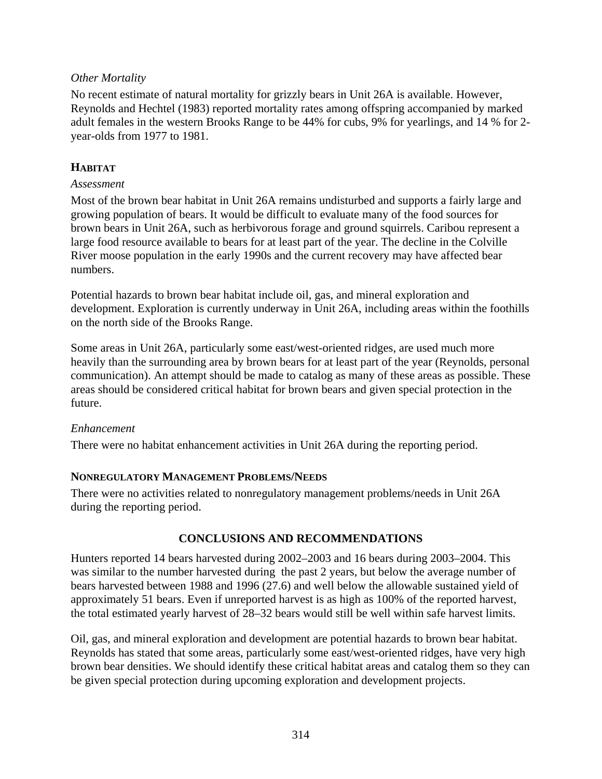# *Other Mortality*

No recent estimate of natural mortality for grizzly bears in Unit 26A is available. However, Reynolds and Hechtel (1983) reported mortality rates among offspring accompanied by marked adult females in the western Brooks Range to be 44% for cubs, 9% for yearlings, and 14 % for 2 year-olds from 1977 to 1981.

# **HABITAT**

## *Assessment*

Most of the brown bear habitat in Unit 26A remains undisturbed and supports a fairly large and growing population of bears. It would be difficult to evaluate many of the food sources for brown bears in Unit 26A, such as herbivorous forage and ground squirrels. Caribou represent a large food resource available to bears for at least part of the year. The decline in the Colville River moose population in the early 1990s and the current recovery may have affected bear numbers.

Potential hazards to brown bear habitat include oil, gas, and mineral exploration and development. Exploration is currently underway in Unit 26A, including areas within the foothills on the north side of the Brooks Range.

Some areas in Unit 26A, particularly some east/west-oriented ridges, are used much more heavily than the surrounding area by brown bears for at least part of the year (Reynolds, personal communication). An attempt should be made to catalog as many of these areas as possible. These areas should be considered critical habitat for brown bears and given special protection in the future.

# *Enhancement*

There were no habitat enhancement activities in Unit 26A during the reporting period.

# **NONREGULATORY MANAGEMENT PROBLEMS/NEEDS**

There were no activities related to nonregulatory management problems/needs in Unit 26A during the reporting period.

# **CONCLUSIONS AND RECOMMENDATIONS**

Hunters reported 14 bears harvested during 2002–2003 and 16 bears during 2003–2004. This was similar to the number harvested during the past 2 years, but below the average number of bears harvested between 1988 and 1996 (27.6) and well below the allowable sustained yield of approximately 51 bears. Even if unreported harvest is as high as 100% of the reported harvest, the total estimated yearly harvest of 28–32 bears would still be well within safe harvest limits.

Oil, gas, and mineral exploration and development are potential hazards to brown bear habitat. Reynolds has stated that some areas, particularly some east/west-oriented ridges, have very high brown bear densities. We should identify these critical habitat areas and catalog them so they can be given special protection during upcoming exploration and development projects.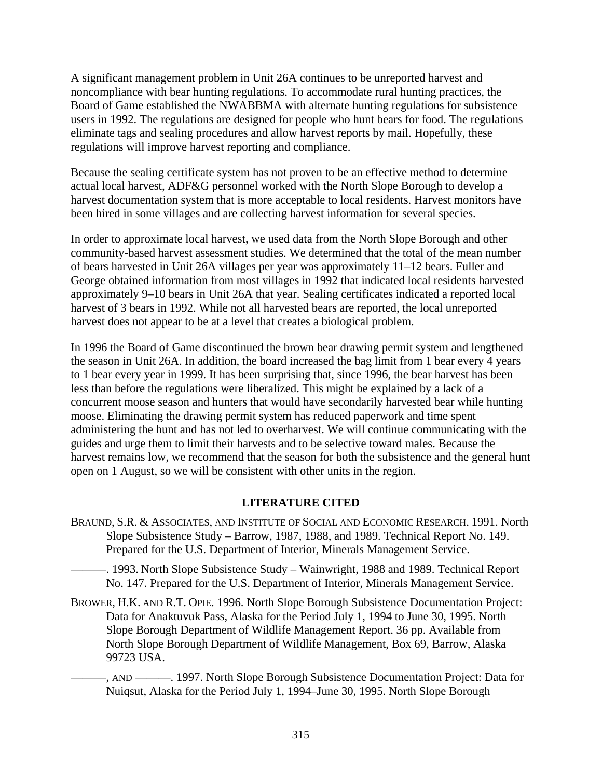A significant management problem in Unit 26A continues to be unreported harvest and noncompliance with bear hunting regulations. To accommodate rural hunting practices, the Board of Game established the NWABBMA with alternate hunting regulations for subsistence users in 1992. The regulations are designed for people who hunt bears for food. The regulations eliminate tags and sealing procedures and allow harvest reports by mail. Hopefully, these regulations will improve harvest reporting and compliance.

Because the sealing certificate system has not proven to be an effective method to determine actual local harvest, ADF&G personnel worked with the North Slope Borough to develop a harvest documentation system that is more acceptable to local residents. Harvest monitors have been hired in some villages and are collecting harvest information for several species.

In order to approximate local harvest, we used data from the North Slope Borough and other community-based harvest assessment studies. We determined that the total of the mean number of bears harvested in Unit 26A villages per year was approximately 11–12 bears. Fuller and George obtained information from most villages in 1992 that indicated local residents harvested approximately 9–10 bears in Unit 26A that year. Sealing certificates indicated a reported local harvest of 3 bears in 1992. While not all harvested bears are reported, the local unreported harvest does not appear to be at a level that creates a biological problem.

In 1996 the Board of Game discontinued the brown bear drawing permit system and lengthened the season in Unit 26A. In addition, the board increased the bag limit from 1 bear every 4 years to 1 bear every year in 1999. It has been surprising that, since 1996, the bear harvest has been less than before the regulations were liberalized. This might be explained by a lack of a concurrent moose season and hunters that would have secondarily harvested bear while hunting moose. Eliminating the drawing permit system has reduced paperwork and time spent administering the hunt and has not led to overharvest. We will continue communicating with the guides and urge them to limit their harvests and to be selective toward males. Because the harvest remains low, we recommend that the season for both the subsistence and the general hunt open on 1 August, so we will be consistent with other units in the region.

# **LITERATURE CITED**

BRAUND, S.R. & ASSOCIATES, AND INSTITUTE OF SOCIAL AND ECONOMIC RESEARCH. 1991. North Slope Subsistence Study – Barrow, 1987, 1988, and 1989. Technical Report No. 149. Prepared for the U.S. Department of Interior, Minerals Management Service.

———. 1993. North Slope Subsistence Study – Wainwright, 1988 and 1989. Technical Report No. 147. Prepared for the U.S. Department of Interior, Minerals Management Service.

BROWER, H.K. AND R.T. OPIE. 1996. North Slope Borough Subsistence Documentation Project: Data for Anaktuvuk Pass, Alaska for the Period July 1, 1994 to June 30, 1995. North Slope Borough Department of Wildlife Management Report. 36 pp. Available from North Slope Borough Department of Wildlife Management, Box 69, Barrow, Alaska 99723 USA.

———, AND ———. 1997. North Slope Borough Subsistence Documentation Project: Data for Nuiqsut, Alaska for the Period July 1, 1994–June 30, 1995. North Slope Borough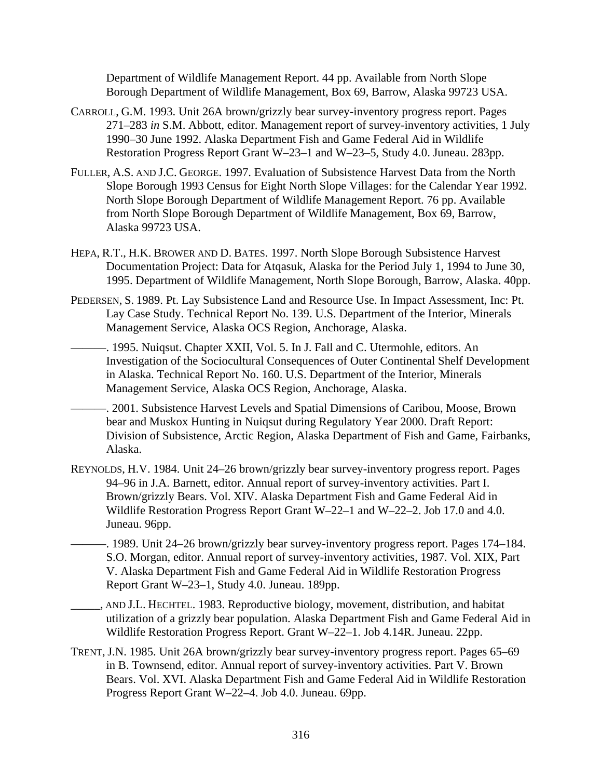Department of Wildlife Management Report. 44 pp. Available from North Slope Borough Department of Wildlife Management, Box 69, Barrow, Alaska 99723 USA.

- CARROLL, G.M. 1993. Unit 26A brown/grizzly bear survey-inventory progress report. Pages 271–283 *in* S.M. Abbott, editor. Management report of survey-inventory activities, 1 July 1990–30 June 1992. Alaska Department Fish and Game Federal Aid in Wildlife Restoration Progress Report Grant W–23–1 and W–23–5, Study 4.0. Juneau. 283pp.
- FULLER, A.S. AND J.C. GEORGE. 1997. Evaluation of Subsistence Harvest Data from the North Slope Borough 1993 Census for Eight North Slope Villages: for the Calendar Year 1992. North Slope Borough Department of Wildlife Management Report. 76 pp. Available from North Slope Borough Department of Wildlife Management, Box 69, Barrow, Alaska 99723 USA.
- HEPA, R.T., H.K. BROWER AND D. BATES. 1997. North Slope Borough Subsistence Harvest Documentation Project: Data for Atqasuk, Alaska for the Period July 1, 1994 to June 30, 1995. Department of Wildlife Management, North Slope Borough, Barrow, Alaska. 40pp.
- PEDERSEN, S. 1989. Pt. Lay Subsistence Land and Resource Use. In Impact Assessment, Inc: Pt. Lay Case Study. Technical Report No. 139. U.S. Department of the Interior, Minerals Management Service, Alaska OCS Region, Anchorage, Alaska.
	- ———. 1995. Nuiqsut. Chapter XXII, Vol. 5. In J. Fall and C. Utermohle, editors. An Investigation of the Sociocultural Consequences of Outer Continental Shelf Development in Alaska. Technical Report No. 160. U.S. Department of the Interior, Minerals Management Service, Alaska OCS Region, Anchorage, Alaska.
- ———. 2001. Subsistence Harvest Levels and Spatial Dimensions of Caribou, Moose, Brown bear and Muskox Hunting in Nuiqsut during Regulatory Year 2000. Draft Report: Division of Subsistence, Arctic Region, Alaska Department of Fish and Game, Fairbanks, Alaska.
- REYNOLDS, H.V. 1984. Unit 24–26 brown/grizzly bear survey-inventory progress report. Pages 94–96 in J.A. Barnett, editor. Annual report of survey-inventory activities. Part I. Brown/grizzly Bears. Vol. XIV. Alaska Department Fish and Game Federal Aid in Wildlife Restoration Progress Report Grant W–22–1 and W–22–2. Job 17.0 and 4.0. Juneau. 96pp.
- ———. 1989. Unit 24–26 brown/grizzly bear survey-inventory progress report. Pages 174–184. S.O. Morgan, editor. Annual report of survey-inventory activities, 1987. Vol. XIX, Part V. Alaska Department Fish and Game Federal Aid in Wildlife Restoration Progress Report Grant W–23–1, Study 4.0. Juneau. 189pp.
- \_\_\_\_\_, AND J.L. HECHTEL. 1983. Reproductive biology, movement, distribution, and habitat utilization of a grizzly bear population. Alaska Department Fish and Game Federal Aid in Wildlife Restoration Progress Report. Grant W–22–1. Job 4.14R. Juneau. 22pp.
- TRENT, J.N. 1985. Unit 26A brown/grizzly bear survey-inventory progress report. Pages 65–69 in B. Townsend, editor. Annual report of survey-inventory activities. Part V. Brown Bears. Vol. XVI. Alaska Department Fish and Game Federal Aid in Wildlife Restoration Progress Report Grant W–22–4. Job 4.0. Juneau. 69pp.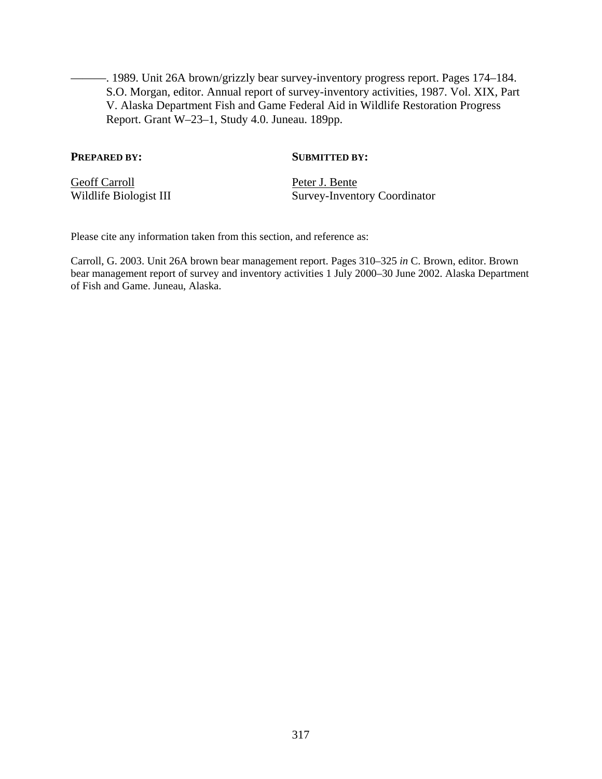———. 1989. Unit 26A brown/grizzly bear survey-inventory progress report. Pages 174–184. S.O. Morgan, editor. Annual report of survey-inventory activities, 1987. Vol. XIX, Part V. Alaska Department Fish and Game Federal Aid in Wildlife Restoration Progress Report. Grant W–23–1, Study 4.0. Juneau. 189pp.

### **PREPARED BY:** SUBMITTED BY:

Geoff Carroll<br>Wildlife Biologist III Peter J. Bente<br>Survey-Invent

Survey-Inventory Coordinator

Please cite any information taken from this section, and reference as:

Carroll, G. 2003. Unit 26A brown bear management report. Pages 310–325 *in* C. Brown, editor. Brown bear management report of survey and inventory activities 1 July 2000–30 June 2002. Alaska Department of Fish and Game. Juneau, Alaska.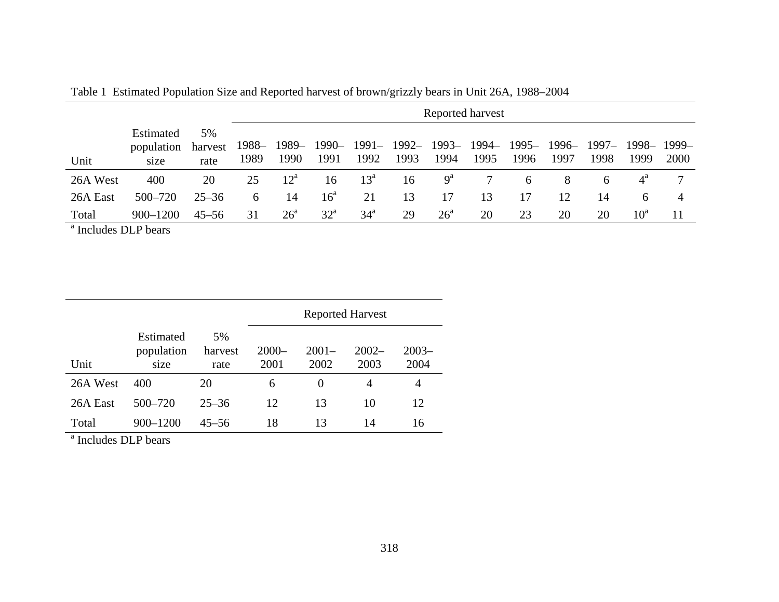|          |                                 |                       |               | Reported harvest |                    |                 |      |                           |               |                    |      |                         |              |      |
|----------|---------------------------------|-----------------------|---------------|------------------|--------------------|-----------------|------|---------------------------|---------------|--------------------|------|-------------------------|--------------|------|
| Unit     | Estimated<br>population<br>size | 5%<br>harvest<br>rate | 1988–<br>1989 | 1990             | 1989-1990-<br>1991 | 1992            | 1993 | 1991- 1992- 1993-<br>1994 | 1994–<br>1995 | 1995-1996-<br>1996 | 1997 | 1997-1998-1999-<br>1998 | 1999         | 2000 |
| 26A West | 400                             | 20                    | 25            | $12^{\rm a}$     | 16                 | $13^{\circ}$    | 16   | $9^a$                     |               | 6                  | 8    | 6                       | $4^{\circ}$  |      |
| 26A East | $500 - 720$                     | $25 - 36$             | 6             | 14               | $16^{\circ}$       | 21              | 13   | 17                        | 13            | 17                 | 12   | 14                      | 6            |      |
| Total    | $900 - 1200$                    | $45 - 56$             | 31            | $26^{\circ}$     | $32^{\circ}$       | 34 <sup>a</sup> | 29   | $26^{\circ}$              | 20            | 23                 | 20   | 20                      | $10^{\rm a}$ | 11   |

Table 1 Estimated Population Size and Reported harvest of brown/grizzly bears in Unit 26A, 1988–2004

<sup>a</sup> Includes DLP bears

|          |                                 |                       | <b>Reported Harvest</b> |                  |                  |                  |  |  |  |  |
|----------|---------------------------------|-----------------------|-------------------------|------------------|------------------|------------------|--|--|--|--|
| Unit     | Estimated<br>population<br>size | 5%<br>harvest<br>rate | $2000 -$<br>2001        | $2001 -$<br>2002 | $2002 -$<br>2003 | $2003 -$<br>2004 |  |  |  |  |
| 26A West | 400                             | 20                    | 6                       | $\theta$         | $\overline{4}$   | 4                |  |  |  |  |
| 26A East | $500 - 720$                     | $25 - 36$             | 12                      | 13               | 10               | 12               |  |  |  |  |
| Total    | 900-1200                        | $45 - 56$             | 18                      | 13               | 14               | 16               |  |  |  |  |

<sup>a</sup> Includes DLP bears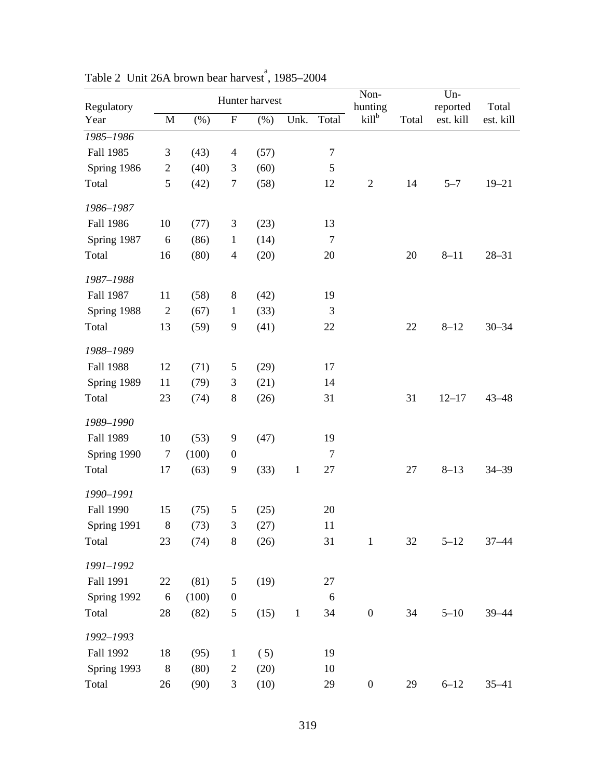| Regulatory<br>Year | Hunter harvest |         |                             |      |              |                  | Non-<br>hunting  |        | $Un-$<br>reported | Total     |
|--------------------|----------------|---------|-----------------------------|------|--------------|------------------|------------------|--------|-------------------|-----------|
|                    | $\mathbf M$    | $(\% )$ | $\boldsymbol{\mathrm{F}}$   | (% ) | Unk.         | Total            | $kill^b$         | Total  | est. kill         | est. kill |
| 1985-1986          |                |         |                             |      |              |                  |                  |        |                   |           |
| Fall 1985          | $\mathfrak{Z}$ | (43)    | $\overline{\mathcal{A}}$    | (57) |              | $\boldsymbol{7}$ |                  |        |                   |           |
| Spring 1986        | $\overline{c}$ | (40)    | 3                           | (60) |              | $\mathfrak s$    |                  |        |                   |           |
| Total              | $\mathfrak{S}$ | (42)    | $\tau$                      | (58) |              | 12               | $\mathfrak{2}$   | 14     | $5 - 7$           | $19 - 21$ |
| 1986-1987          |                |         |                             |      |              |                  |                  |        |                   |           |
| Fall 1986          | 10             | (77)    | 3                           | (23) |              | 13               |                  |        |                   |           |
| Spring 1987        | 6              | (86)    | $\mathbf{1}$                | (14) |              | $\boldsymbol{7}$ |                  |        |                   |           |
| Total              | 16             | (80)    | $\overline{4}$              | (20) |              | 20               |                  | 20     | $8 - 11$          | $28 - 31$ |
| 1987-1988          |                |         |                             |      |              |                  |                  |        |                   |           |
| Fall 1987          | 11             | (58)    | $8\,$                       | (42) |              | 19               |                  |        |                   |           |
| Spring 1988        | $\mathbf{2}$   | (67)    | $\mathbf{1}$                | (33) |              | $\mathfrak{Z}$   |                  |        |                   |           |
| Total              | 13             | (59)    | 9                           | (41) |              | 22               |                  | 22     | $8 - 12$          | $30 - 34$ |
| 1988-1989          |                |         |                             |      |              |                  |                  |        |                   |           |
| <b>Fall 1988</b>   | 12             | (71)    | 5                           | (29) |              | 17               |                  |        |                   |           |
| Spring 1989        | 11             | (79)    | 3                           | (21) |              | 14               |                  |        |                   |           |
| Total              | 23             | (74)    | $\,8\,$                     | (26) |              | 31               |                  | 31     | $12 - 17$         | $43 - 48$ |
| 1989-1990          |                |         |                             |      |              |                  |                  |        |                   |           |
| Fall 1989          | 10             | (53)    | 9                           | (47) |              | 19               |                  |        |                   |           |
| Spring 1990        | $\overline{7}$ | (100)   | $\boldsymbol{0}$            |      |              | $\boldsymbol{7}$ |                  |        |                   |           |
| Total              | 17             | (63)    | $\mathbf{9}$                | (33) | $\mathbf{1}$ | 27               |                  | $27\,$ | $8 - 13$          | $34 - 39$ |
| 1990-1991          |                |         |                             |      |              |                  |                  |        |                   |           |
| Fall 1990          | 15             | (75)    | 5                           | (25) |              | 20               |                  |        |                   |           |
| Spring 1991        | $\,8\,$        | (73)    | $\ensuremath{\mathfrak{Z}}$ | (27) |              | 11               |                  |        |                   |           |
| Total              | 23             | (74)    | $\,8\,$                     | (26) |              | 31               | $\mathbf{1}$     | 32     | $5 - 12$          | $37 - 44$ |
| 1991-1992          |                |         |                             |      |              |                  |                  |        |                   |           |
| Fall 1991          | $22\,$         | (81)    | 5                           | (19) |              | $27\,$           |                  |        |                   |           |
| Spring 1992        | 6              | (100)   | $\boldsymbol{0}$            |      |              | 6                |                  |        |                   |           |
| Total              | 28             | (82)    | $\mathfrak s$               | (15) | $\,1\,$      | 34               | $\boldsymbol{0}$ | 34     | $5 - 10$          | 39-44     |
| 1992-1993          |                |         |                             |      |              |                  |                  |        |                   |           |
| Fall 1992          | 18             | (95)    | $\mathbf{1}$                | (5)  |              | 19               |                  |        |                   |           |
| Spring 1993        | 8              | (80)    | $\overline{2}$              | (20) |              | 10               |                  |        |                   |           |
| Total              | 26             | (90)    | $\mathfrak{Z}$              | (10) |              | 29               | $\boldsymbol{0}$ | 29     | $6 - 12$          | $35 - 41$ |

Table 2 Unit 26A brown bear harvest,  $1985-2004$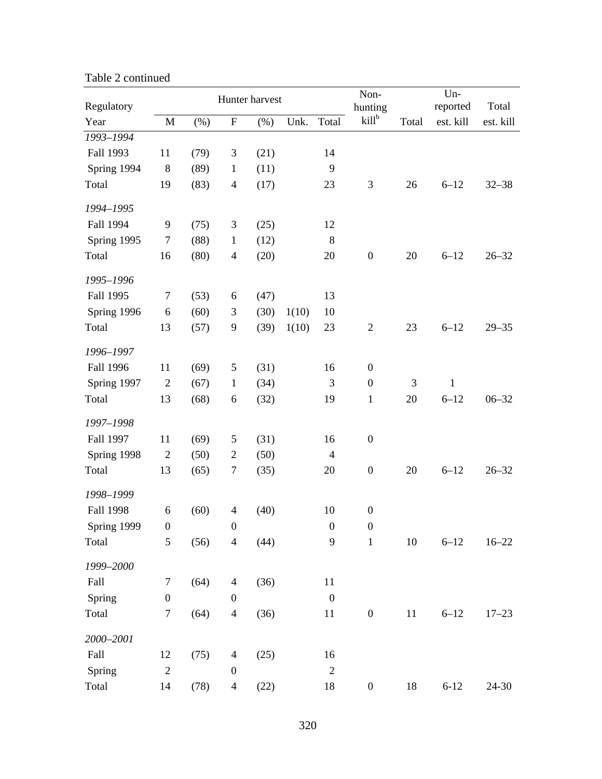| Regulatory  |                  |      |                  | Hunter harvest |       | Non-<br>hunting  |                  | $Un-$<br>reported | Total     |           |
|-------------|------------------|------|------------------|----------------|-------|------------------|------------------|-------------------|-----------|-----------|
| Year        | $\mathbf M$      | (%)  | ${\bf F}$        | $(\%)$         | Unk.  | Total            | $kill^b$         | Total             | est. kill | est. kill |
| 1993-1994   |                  |      |                  |                |       |                  |                  |                   |           |           |
| Fall 1993   | 11               | (79) | $\mathfrak{Z}$   | (21)           |       | 14               |                  |                   |           |           |
| Spring 1994 | $\,8\,$          | (89) | $\mathbf{1}$     | (11)           |       | $\mathbf{9}$     |                  |                   |           |           |
| Total       | 19               | (83) | $\overline{4}$   | (17)           |       | 23               | $\mathfrak{Z}$   | 26                | $6 - 12$  | $32 - 38$ |
| 1994-1995   |                  |      |                  |                |       |                  |                  |                   |           |           |
| Fall 1994   | 9                | (75) | $\mathfrak{Z}$   | (25)           |       | 12               |                  |                   |           |           |
| Spring 1995 | $\tau$           | (88) | $\mathbf{1}$     | (12)           |       | $8\,$            |                  |                   |           |           |
| Total       | 16               | (80) | $\overline{4}$   | (20)           |       | 20               | $\boldsymbol{0}$ | 20                | $6 - 12$  | $26 - 32$ |
| 1995-1996   |                  |      |                  |                |       |                  |                  |                   |           |           |
| Fall 1995   | 7                | (53) | 6                | (47)           |       | 13               |                  |                   |           |           |
| Spring 1996 | 6                | (60) | 3                | (30)           | 1(10) | 10               |                  |                   |           |           |
| Total       | 13               | (57) | $\overline{9}$   | (39)           | 1(10) | 23               | $\mathbf{2}$     | 23                | $6 - 12$  | $29 - 35$ |
| 1996-1997   |                  |      |                  |                |       |                  |                  |                   |           |           |
| Fall 1996   | 11               | (69) | 5                | (31)           |       | 16               | $\boldsymbol{0}$ |                   |           |           |
| Spring 1997 | $\mathbf{2}$     | (67) | $\mathbf{1}$     | (34)           |       | 3                | $\boldsymbol{0}$ | 3                 | 1         |           |
| Total       | 13               | (68) | 6                | (32)           |       | 19               | $\mathbf{1}$     | 20                | $6 - 12$  | $06 - 32$ |
| 1997-1998   |                  |      |                  |                |       |                  |                  |                   |           |           |
| Fall 1997   | 11               | (69) | 5                | (31)           |       | 16               | $\boldsymbol{0}$ |                   |           |           |
| Spring 1998 | $\mathfrak{2}$   | (50) | $\overline{2}$   | (50)           |       | $\overline{4}$   |                  |                   |           |           |
| Total       | 13               | (65) | 7                | (35)           |       | 20               | $\boldsymbol{0}$ | 20                | $6 - 12$  | $26 - 32$ |
| 1998-1999   |                  |      |                  |                |       |                  |                  |                   |           |           |
| Fall 1998   | 6                | (60) | $\overline{4}$   | (40)           |       | 10               | $\boldsymbol{0}$ |                   |           |           |
| Spring 1999 | $\boldsymbol{0}$ |      | $\boldsymbol{0}$ |                |       | $\boldsymbol{0}$ | $\boldsymbol{0}$ |                   |           |           |
| Total       | 5                | (56) | $\overline{4}$   | (44)           |       | 9                | $\mathbf 1$      | $10\,$            | $6 - 12$  | $16 - 22$ |
| 1999-2000   |                  |      |                  |                |       |                  |                  |                   |           |           |
| Fall        | $\boldsymbol{7}$ | (64) | $\overline{4}$   | (36)           |       | 11               |                  |                   |           |           |
| Spring      | $\boldsymbol{0}$ |      | $\boldsymbol{0}$ |                |       | $\boldsymbol{0}$ |                  |                   |           |           |
| Total       | $\sqrt{ }$       | (64) | $\overline{4}$   | (36)           |       | 11               | $\boldsymbol{0}$ | 11                | $6 - 12$  | $17 - 23$ |
| 2000-2001   |                  |      |                  |                |       |                  |                  |                   |           |           |
| Fall        | 12               | (75) | $\overline{4}$   | (25)           |       | 16               |                  |                   |           |           |
| Spring      | $\overline{c}$   |      | $\boldsymbol{0}$ |                |       | $\sqrt{2}$       |                  |                   |           |           |
| Total       | 14               | (78) | $\overline{4}$   | (22)           |       | 18               | $\boldsymbol{0}$ | 18                | $6 - 12$  | 24-30     |

Table 2 continued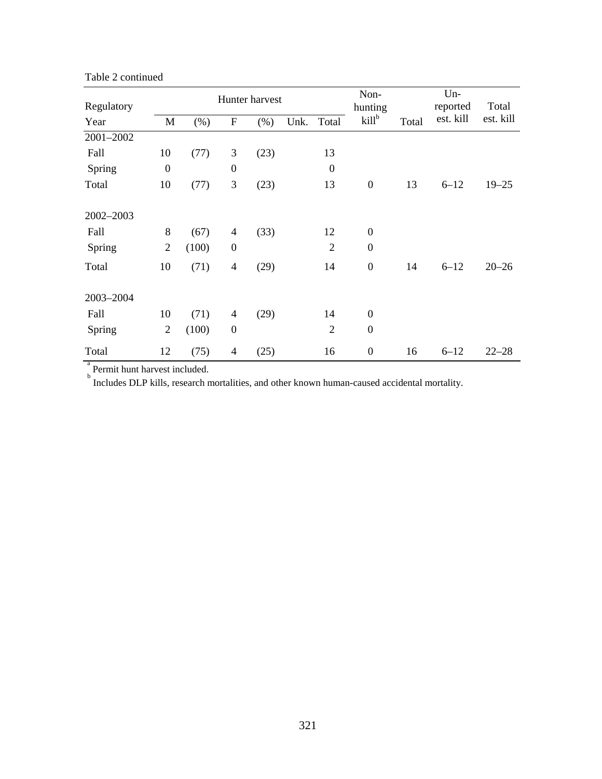| Regulatory |                  |        |                  | Hunter harvest |      | Non-<br>hunting  |                   | Un-<br>reported | Total     |           |
|------------|------------------|--------|------------------|----------------|------|------------------|-------------------|-----------------|-----------|-----------|
| Year       | M                | $(\%)$ | $\mathbf F$      | $(\% )$        | Unk. | Total            | kill <sup>b</sup> | Total           | est. kill | est. kill |
| 2001-2002  |                  |        |                  |                |      |                  |                   |                 |           |           |
| Fall       | 10               | (77)   | 3                | (23)           |      | 13               |                   |                 |           |           |
| Spring     | $\boldsymbol{0}$ |        | $\boldsymbol{0}$ |                |      | $\boldsymbol{0}$ |                   |                 |           |           |
| Total      | 10               | (77)   | 3                | (23)           |      | 13               | $\boldsymbol{0}$  | 13              | $6 - 12$  | $19 - 25$ |
| 2002-2003  |                  |        |                  |                |      |                  |                   |                 |           |           |
| Fall       | 8                | (67)   | $\overline{4}$   | (33)           |      | 12               | $\boldsymbol{0}$  |                 |           |           |
| Spring     | $\overline{2}$   | (100)  | $\boldsymbol{0}$ |                |      | $\overline{2}$   | $\boldsymbol{0}$  |                 |           |           |
| Total      | 10               | (71)   | $\overline{4}$   | (29)           |      | 14               | $\boldsymbol{0}$  | 14              | $6 - 12$  | $20 - 26$ |
| 2003-2004  |                  |        |                  |                |      |                  |                   |                 |           |           |
| Fall       | 10               | (71)   | 4                | (29)           |      | 14               | $\boldsymbol{0}$  |                 |           |           |
| Spring     | $\overline{2}$   | (100)  | $\boldsymbol{0}$ |                |      | $\overline{2}$   | $\boldsymbol{0}$  |                 |           |           |
| Total      | 12               | (75)   | 4                | (25)           |      | 16               | $\boldsymbol{0}$  | 16              | $6 - 12$  | $22 - 28$ |

Table 2 continued

a<br>b Includes DLP kills, research mortalities, and other known human-caused accidental mortality.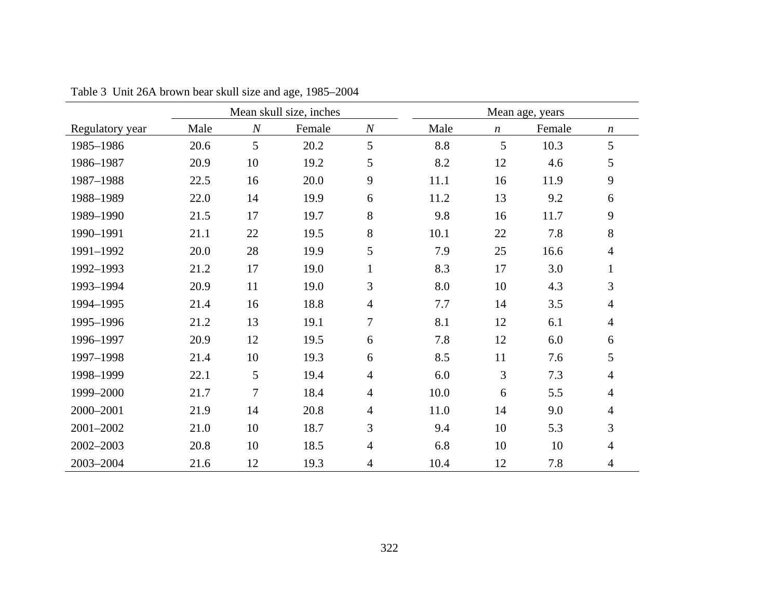|                 |      |                  | Mean skull size, inches |                  |      |                  |        |                  |
|-----------------|------|------------------|-------------------------|------------------|------|------------------|--------|------------------|
| Regulatory year | Male | $\boldsymbol{N}$ | Female                  | $\boldsymbol{N}$ | Male | $\boldsymbol{n}$ | Female | $\boldsymbol{n}$ |
| 1985-1986       | 20.6 | 5                | 20.2                    | 5                | 8.8  | 5                | 10.3   | 5                |
| 1986-1987       | 20.9 | 10               | 19.2                    | 5                | 8.2  | 12               | 4.6    | 5                |
| 1987-1988       | 22.5 | 16               | 20.0                    | 9                | 11.1 | 16               | 11.9   | 9                |
| 1988-1989       | 22.0 | 14               | 19.9                    | 6                | 11.2 | 13               | 9.2    | 6                |
| 1989-1990       | 21.5 | 17               | 19.7                    | 8                | 9.8  | 16               | 11.7   | 9                |
| 1990-1991       | 21.1 | 22               | 19.5                    | 8                | 10.1 | 22               | 7.8    | $8\,$            |
| 1991-1992       | 20.0 | 28               | 19.9                    | 5                | 7.9  | 25               | 16.6   | $\overline{4}$   |
| 1992-1993       | 21.2 | 17               | 19.0                    | $\mathbf{1}$     | 8.3  | 17               | 3.0    | $\mathbf{1}$     |
| 1993-1994       | 20.9 | 11               | 19.0                    | 3                | 8.0  | 10               | 4.3    | 3                |
| 1994-1995       | 21.4 | 16               | 18.8                    | $\overline{4}$   | 7.7  | 14               | 3.5    | $\overline{4}$   |
| 1995-1996       | 21.2 | 13               | 19.1                    | $\overline{7}$   | 8.1  | 12               | 6.1    | $\overline{4}$   |
| 1996-1997       | 20.9 | 12               | 19.5                    | 6                | 7.8  | 12               | 6.0    | 6                |
| 1997-1998       | 21.4 | 10               | 19.3                    | 6                | 8.5  | 11               | 7.6    | 5                |
| 1998-1999       | 22.1 | 5                | 19.4                    | $\overline{4}$   | 6.0  | 3                | 7.3    | $\overline{4}$   |
| 1999-2000       | 21.7 | 7                | 18.4                    | $\overline{4}$   | 10.0 | 6                | 5.5    | $\overline{4}$   |
| 2000-2001       | 21.9 | 14               | 20.8                    | $\overline{4}$   | 11.0 | 14               | 9.0    | $\overline{4}$   |
| 2001-2002       | 21.0 | 10               | 18.7                    | 3                | 9.4  | 10               | 5.3    | $\overline{3}$   |
| 2002-2003       | 20.8 | 10               | 18.5                    | $\overline{4}$   | 6.8  | 10               | 10     | $\overline{4}$   |
| 2003-2004       | 21.6 | 12               | 19.3                    | $\overline{4}$   | 10.4 | 12               | 7.8    | $\overline{4}$   |

Table 3 Unit 26A brown bear skull size and age, 1985–2004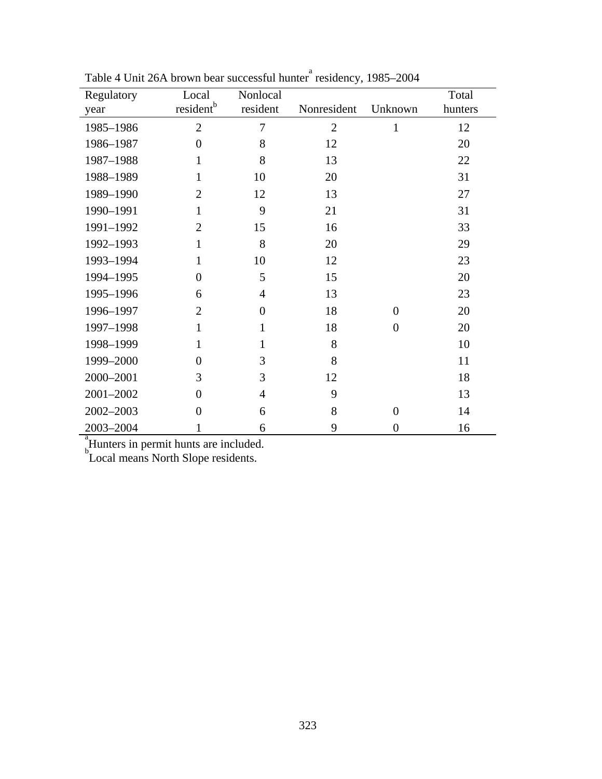| Regulatory                                          | Local                 | Nonlocal       |                |                  | Total   |  |  |  |  |  |
|-----------------------------------------------------|-----------------------|----------------|----------------|------------------|---------|--|--|--|--|--|
| year                                                | resident <sup>b</sup> | resident       | Nonresident    | Unknown          | hunters |  |  |  |  |  |
| 1985-1986                                           | $\overline{2}$        | $\overline{7}$ | $\overline{2}$ | $\mathbf{1}$     | 12      |  |  |  |  |  |
| 1986-1987                                           | $\overline{0}$        | 8              | 12             |                  | 20      |  |  |  |  |  |
| 1987-1988                                           | 1                     | 8              | 13             |                  | 22      |  |  |  |  |  |
| 1988-1989                                           | 1                     | 10             | 20             |                  | 31      |  |  |  |  |  |
| 1989-1990                                           | $\overline{2}$        | 12             | 13             |                  | 27      |  |  |  |  |  |
| 1990-1991                                           | 1                     | 9              | 21             |                  | 31      |  |  |  |  |  |
| 1991-1992                                           | $\overline{2}$        | 15             | 16             |                  | 33      |  |  |  |  |  |
| 1992-1993                                           | 1                     | 8              | 20             |                  | 29      |  |  |  |  |  |
| 1993-1994                                           | $\mathbf{1}$          | 10             | 12             |                  | 23      |  |  |  |  |  |
| 1994-1995                                           | $\Omega$              | 5              | 15             |                  | 20      |  |  |  |  |  |
| 1995-1996                                           | 6                     | $\overline{4}$ | 13             |                  | 23      |  |  |  |  |  |
| 1996-1997                                           | $\overline{2}$        | $\overline{0}$ | 18             | $\theta$         | 20      |  |  |  |  |  |
| 1997-1998                                           | $\mathbf{1}$          | $\mathbf{1}$   | 18             | $\overline{0}$   | 20      |  |  |  |  |  |
| 1998-1999                                           | 1                     | 1              | 8              |                  | 10      |  |  |  |  |  |
| 1999-2000                                           | $\overline{0}$        | 3              | 8              |                  | 11      |  |  |  |  |  |
| 2000-2001                                           | 3                     | 3              | 12             |                  | 18      |  |  |  |  |  |
| 2001-2002                                           | 0                     | $\overline{4}$ | 9              |                  | 13      |  |  |  |  |  |
| 2002-2003                                           | $\overline{0}$        | 6              | 8              | $\overline{0}$   | 14      |  |  |  |  |  |
| 2003-2004                                           | 1                     | 6              | 9              | $\boldsymbol{0}$ | 16      |  |  |  |  |  |
| $\frac{a}{n}$ Hunters in permit hunts are included. |                       |                |                |                  |         |  |  |  |  |  |
| Local means North Slope residents.                  |                       |                |                |                  |         |  |  |  |  |  |

Table 4 Unit 26A brown bear successful hunter<sup>a</sup> residency, 1985–2004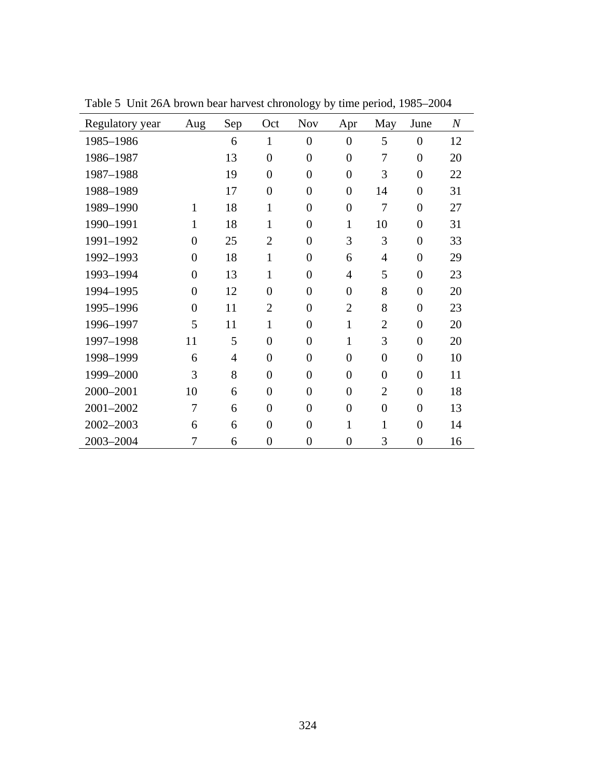| Regulatory year | Aug            | Sep | Oct              | <b>Nov</b>     | Apr              | May            | June             | $\boldsymbol{N}$ |
|-----------------|----------------|-----|------------------|----------------|------------------|----------------|------------------|------------------|
| 1985-1986       |                | 6   | $\mathbf{1}$     | $\overline{0}$ | $\overline{0}$   | 5              | $\overline{0}$   | 12               |
| 1986-1987       |                | 13  | $\overline{0}$   | $\overline{0}$ | $\overline{0}$   | 7              | $\overline{0}$   | 20               |
| 1987-1988       |                | 19  | $\overline{0}$   | $\overline{0}$ | $\overline{0}$   | 3              | $\overline{0}$   | 22               |
| 1988-1989       |                | 17  | $\overline{0}$   | $\overline{0}$ | $\overline{0}$   | 14             | $\overline{0}$   | 31               |
| 1989-1990       | 1              | 18  | $\mathbf{1}$     | $\overline{0}$ | $\overline{0}$   | 7              | $\boldsymbol{0}$ | 27               |
| 1990-1991       | $\mathbf{1}$   | 18  | $\mathbf{1}$     | $\overline{0}$ | $\mathbf{1}$     | 10             | $\overline{0}$   | 31               |
| 1991-1992       | $\overline{0}$ | 25  | $\overline{2}$   | $\overline{0}$ | 3                | 3              | $\overline{0}$   | 33               |
| 1992-1993       | $\overline{0}$ | 18  | $\mathbf{1}$     | $\overline{0}$ | 6                | $\overline{4}$ | $\overline{0}$   | 29               |
| 1993-1994       | $\overline{0}$ | 13  | $\mathbf{1}$     | $\overline{0}$ | $\overline{4}$   | 5              | $\overline{0}$   | 23               |
| 1994-1995       | $\overline{0}$ | 12  | $\overline{0}$   | $\overline{0}$ | $\overline{0}$   | 8              | $\overline{0}$   | 20               |
| 1995-1996       | $\overline{0}$ | 11  | $\overline{2}$   | $\overline{0}$ | $\overline{2}$   | 8              | $\overline{0}$   | 23               |
| 1996-1997       | 5              | 11  | $\mathbf{1}$     | $\overline{0}$ | $\mathbf{1}$     | $\overline{2}$ | $\overline{0}$   | 20               |
| 1997-1998       | 11             | 5   | $\overline{0}$   | $\overline{0}$ | $\mathbf{1}$     | 3              | $\overline{0}$   | 20               |
| 1998-1999       | 6              | 4   | $\overline{0}$   | $\overline{0}$ | $\overline{0}$   | $\overline{0}$ | $\overline{0}$   | 10               |
| 1999-2000       | 3              | 8   | $\overline{0}$   | $\overline{0}$ | $\overline{0}$   | $\overline{0}$ | $\overline{0}$   | 11               |
| 2000-2001       | 10             | 6   | $\overline{0}$   | $\overline{0}$ | $\overline{0}$   | $\overline{2}$ | $\overline{0}$   | 18               |
| 2001-2002       | 7              | 6   | $\overline{0}$   | $\overline{0}$ | $\overline{0}$   | $\overline{0}$ | $\overline{0}$   | 13               |
| 2002-2003       | 6              | 6   | $\overline{0}$   | $\overline{0}$ | $\mathbf{1}$     | 1              | $\overline{0}$   | 14               |
| 2003-2004       | 7              | 6   | $\boldsymbol{0}$ | $\overline{0}$ | $\boldsymbol{0}$ | 3              | $\overline{0}$   | 16               |

Table 5 Unit 26A brown bear harvest chronology by time period, 1985–2004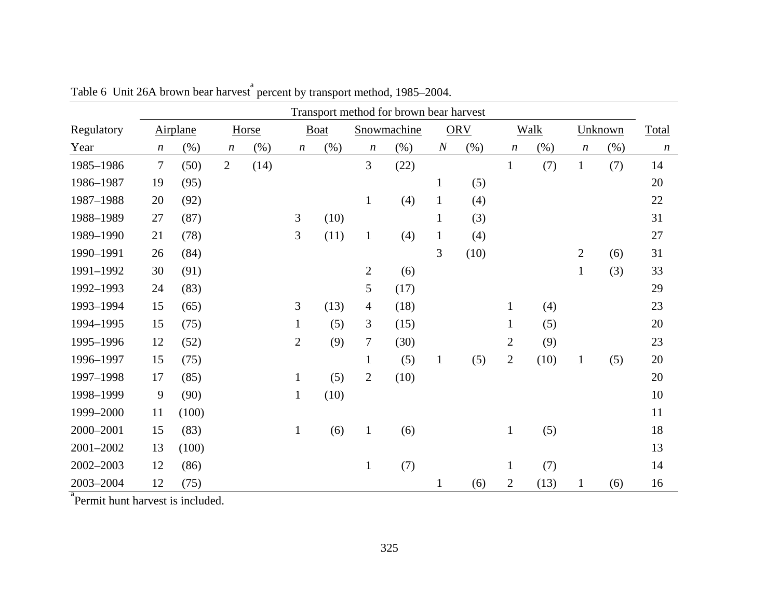|            | Transport method for brown bear harvest |          |                  |        |                  |             |                  |             |                |            |                |         |                  |         |                  |
|------------|-----------------------------------------|----------|------------------|--------|------------------|-------------|------------------|-------------|----------------|------------|----------------|---------|------------------|---------|------------------|
| Regulatory |                                         | Airplane |                  | Horse  |                  | <b>Boat</b> |                  | Snowmachine |                | <b>ORV</b> |                | Walk    |                  | Unknown | Total            |
| Year       | $\boldsymbol{n}$                        | (% )     | $\boldsymbol{n}$ | $(\%)$ | $\boldsymbol{n}$ | (% )        | $\boldsymbol{n}$ | (% )        | $\overline{N}$ | $(\% )$    | n              | $(\% )$ | $\boldsymbol{n}$ | $(\% )$ | $\boldsymbol{n}$ |
| 1985-1986  | $\tau$                                  | (50)     | $\overline{2}$   | (14)   |                  |             | $\overline{3}$   | (22)        |                |            | $\mathbf{1}$   | (7)     | $\mathbf{1}$     | (7)     | 14               |
| 1986-1987  | 19                                      | (95)     |                  |        |                  |             |                  |             | $\mathbf{1}$   | (5)        |                |         |                  |         | 20               |
| 1987-1988  | 20                                      | (92)     |                  |        |                  |             | $\mathbf{1}$     | (4)         | $\mathbf{1}$   | (4)        |                |         |                  |         | 22               |
| 1988-1989  | 27                                      | (87)     |                  |        | 3                | (10)        |                  |             | $\mathbf{1}$   | (3)        |                |         |                  |         | 31               |
| 1989-1990  | 21                                      | (78)     |                  |        | 3                | (11)        | $\mathbf{1}$     | (4)         | $\mathbf{1}$   | (4)        |                |         |                  |         | 27               |
| 1990-1991  | 26                                      | (84)     |                  |        |                  |             |                  |             | 3              | (10)       |                |         | $\overline{2}$   | (6)     | 31               |
| 1991-1992  | 30                                      | (91)     |                  |        |                  |             | $\overline{2}$   | (6)         |                |            |                |         | $\mathbf{1}$     | (3)     | 33               |
| 1992-1993  | 24                                      | (83)     |                  |        |                  |             | 5                | (17)        |                |            |                |         |                  |         | 29               |
| 1993-1994  | 15                                      | (65)     |                  |        | 3                | (13)        | $\overline{4}$   | (18)        |                |            | $\mathbf{1}$   | (4)     |                  |         | 23               |
| 1994-1995  | 15                                      | (75)     |                  |        | $\mathbf{1}$     | (5)         | 3                | (15)        |                |            | $\mathbf{1}$   | (5)     |                  |         | 20               |
| 1995-1996  | 12                                      | (52)     |                  |        | $\overline{2}$   | (9)         | $\tau$           | (30)        |                |            | $\overline{2}$ | (9)     |                  |         | 23               |
| 1996-1997  | 15                                      | (75)     |                  |        |                  |             | $\mathbf{1}$     | (5)         | $\mathbf{1}$   | (5)        | $\overline{2}$ | (10)    | $\mathbf{1}$     | (5)     | 20               |
| 1997-1998  | 17                                      | (85)     |                  |        | $\mathbf{1}$     | (5)         | $\overline{2}$   | (10)        |                |            |                |         |                  |         | 20               |
| 1998-1999  | 9                                       | (90)     |                  |        | $\mathbf{1}$     | (10)        |                  |             |                |            |                |         |                  |         | 10               |
| 1999-2000  | 11                                      | (100)    |                  |        |                  |             |                  |             |                |            |                |         |                  |         | 11               |
| 2000-2001  | 15                                      | (83)     |                  |        | $\mathbf{1}$     | (6)         | $\mathbf{1}$     | (6)         |                |            | $\mathbf{1}$   | (5)     |                  |         | 18               |
| 2001-2002  | 13                                      | (100)    |                  |        |                  |             |                  |             |                |            |                |         |                  |         | 13               |
| 2002-2003  | 12                                      | (86)     |                  |        |                  |             | $\mathbf{1}$     | (7)         |                |            | $\mathbf{1}$   | (7)     |                  |         | 14               |
| 2003-2004  | 12                                      | (75)     |                  |        |                  |             |                  |             | $\mathbf{1}$   | (6)        | $\overline{c}$ | (13)    | 1                | (6)     | 16               |

Table 6 Unit 26A brown bear harvest <sup>a</sup> percent by transport method, 1985–2004.

<sup>a</sup> Permit hunt harvest is included.